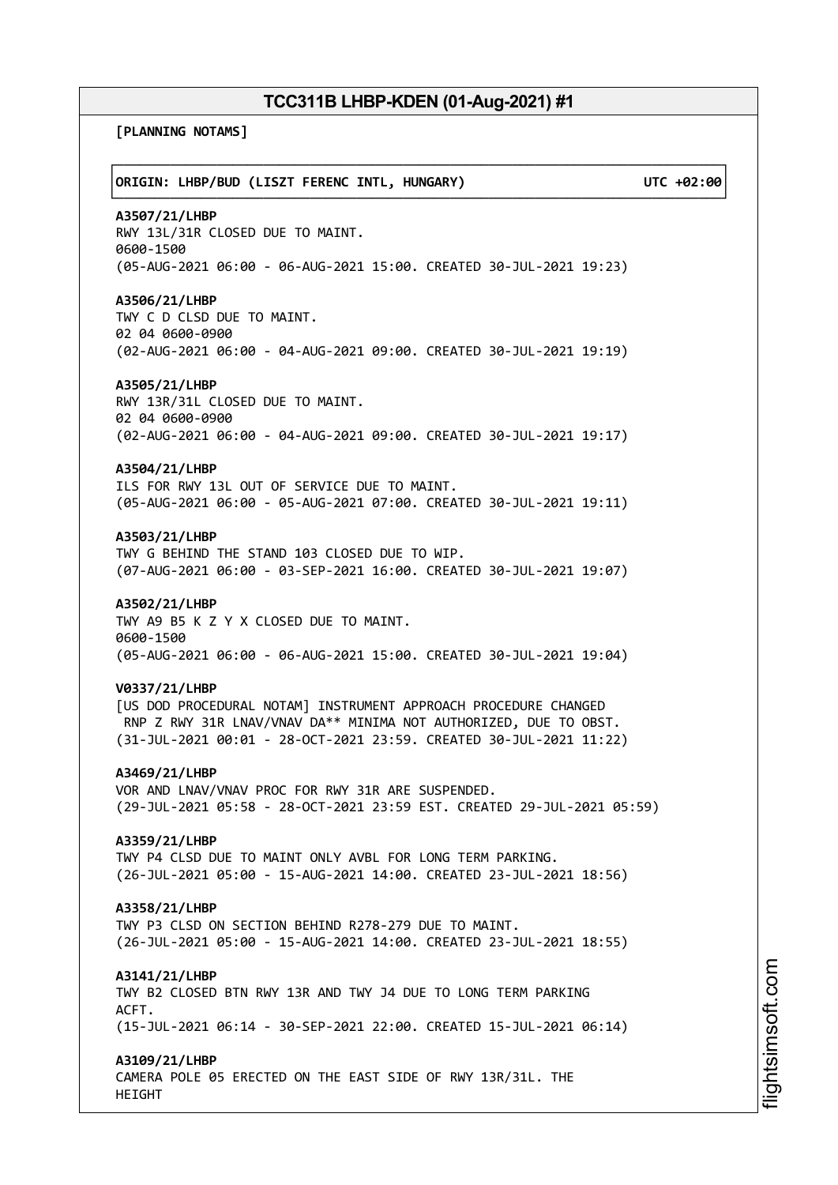**[PLANNING NOTAMS]**

┌──────────────────────────────────────────────────────────────────────────────┐ │**ORIGIN: LHBP/BUD (LISZT FERENC INTL, HUNGARY) UTC +02:00**│ └──────────────────────────────────────────────────────────────────────────────┘ **A3507/21/LHBP** RWY 13L/31R CLOSED DUE TO MAINT. 0600-1500 (05-AUG-2021 06:00 - 06-AUG-2021 15:00. CREATED 30-JUL-2021 19:23) **A3506/21/LHBP** TWY C D CLSD DUE TO MAINT. 02 04 0600-0900 (02-AUG-2021 06:00 - 04-AUG-2021 09:00. CREATED 30-JUL-2021 19:19) **A3505/21/LHBP** RWY 13R/31L CLOSED DUE TO MAINT. 02 04 0600-0900 (02-AUG-2021 06:00 - 04-AUG-2021 09:00. CREATED 30-JUL-2021 19:17) **A3504/21/LHBP** ILS FOR RWY 13L OUT OF SERVICE DUE TO MAINT. (05-AUG-2021 06:00 - 05-AUG-2021 07:00. CREATED 30-JUL-2021 19:11) **A3503/21/LHBP** TWY G BEHIND THE STAND 103 CLOSED DUE TO WIP. (07-AUG-2021 06:00 - 03-SEP-2021 16:00. CREATED 30-JUL-2021 19:07) **A3502/21/LHBP** TWY A9 B5 K Z Y X CLOSED DUE TO MAINT. 0600-1500 (05-AUG-2021 06:00 - 06-AUG-2021 15:00. CREATED 30-JUL-2021 19:04) **V0337/21/LHBP** [US DOD PROCEDURAL NOTAM] INSTRUMENT APPROACH PROCEDURE CHANGED RNP Z RWY 31R LNAV/VNAV DA\*\* MINIMA NOT AUTHORIZED, DUE TO OBST. (31-JUL-2021 00:01 - 28-OCT-2021 23:59. CREATED 30-JUL-2021 11:22) **A3469/21/LHBP** VOR AND LNAV/VNAV PROC FOR RWY 31R ARE SUSPENDED. (29-JUL-2021 05:58 - 28-OCT-2021 23:59 EST. CREATED 29-JUL-2021 05:59) **A3359/21/LHBP** TWY P4 CLSD DUE TO MAINT ONLY AVBL FOR LONG TERM PARKING. (26-JUL-2021 05:00 - 15-AUG-2021 14:00. CREATED 23-JUL-2021 18:56) **A3358/21/LHBP** TWY P3 CLSD ON SECTION BEHIND R278-279 DUE TO MAINT. (26-JUL-2021 05:00 - 15-AUG-2021 14:00. CREATED 23-JUL-2021 18:55) **A3141/21/LHBP** TWY B2 CLOSED BTN RWY 13R AND TWY J4 DUE TO LONG TERM PARKING ACFT. (15-JUL-2021 06:14 - 30-SEP-2021 22:00. CREATED 15-JUL-2021 06:14) **A3109/21/LHBP** CAMERA POLE 05 ERECTED ON THE EAST SIDE OF RWY 13R/31L. THE HEIGHT

m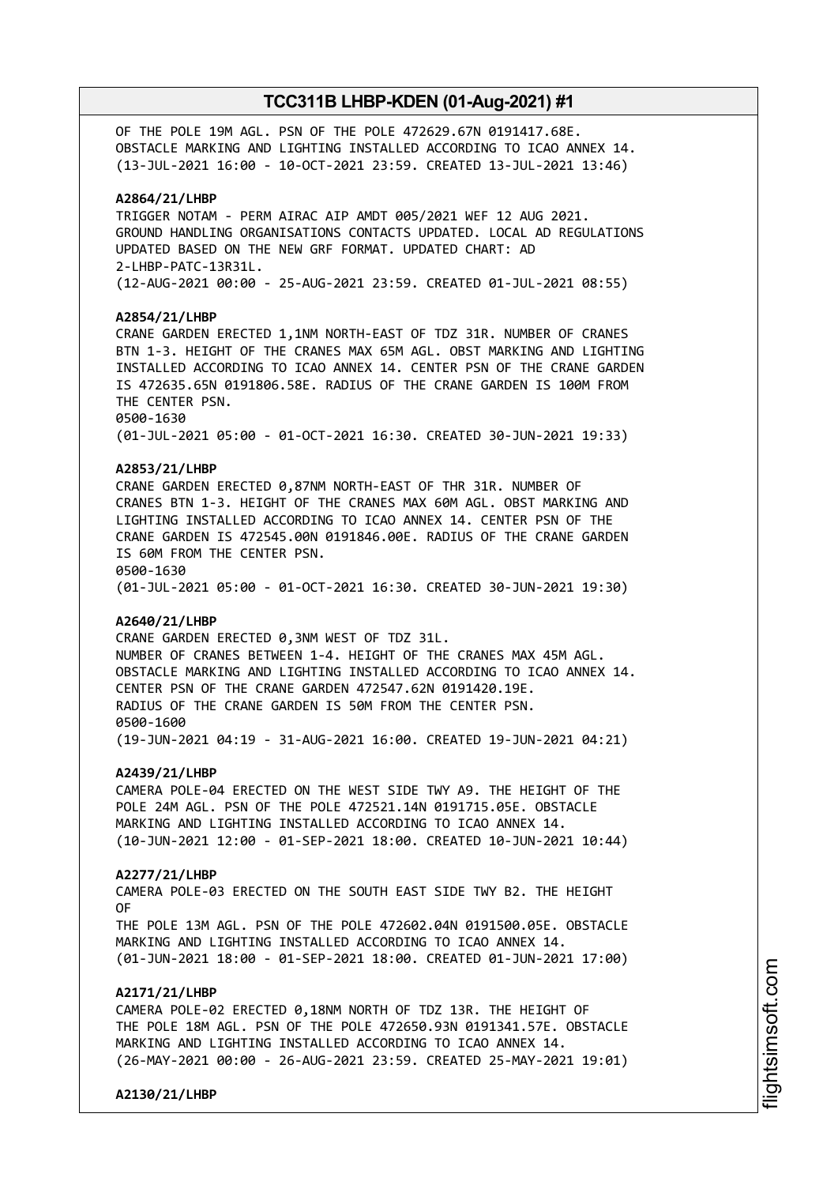OF THE POLE 19M AGL. PSN OF THE POLE 472629.67N 0191417.68E. OBSTACLE MARKING AND LIGHTING INSTALLED ACCORDING TO ICAO ANNEX 14. (13-JUL-2021 16:00 - 10-OCT-2021 23:59. CREATED 13-JUL-2021 13:46)

#### **A2864/21/LHBP**

TRIGGER NOTAM - PERM AIRAC AIP AMDT 005/2021 WEF 12 AUG 2021. GROUND HANDLING ORGANISATIONS CONTACTS UPDATED. LOCAL AD REGULATIONS UPDATED BASED ON THE NEW GRF FORMAT. UPDATED CHART: AD 2-LHBP-PATC-13R31L. (12-AUG-2021 00:00 - 25-AUG-2021 23:59. CREATED 01-JUL-2021 08:55)

### **A2854/21/LHBP**

CRANE GARDEN ERECTED 1,1NM NORTH-EAST OF TDZ 31R. NUMBER OF CRANES BTN 1-3. HEIGHT OF THE CRANES MAX 65M AGL. OBST MARKING AND LIGHTING INSTALLED ACCORDING TO ICAO ANNEX 14. CENTER PSN OF THE CRANE GARDEN IS 472635.65N 0191806.58E. RADIUS OF THE CRANE GARDEN IS 100M FROM THE CENTER PSN. 0500-1630 (01-JUL-2021 05:00 - 01-OCT-2021 16:30. CREATED 30-JUN-2021 19:33)

### **A2853/21/LHBP**

CRANE GARDEN ERECTED 0,87NM NORTH-EAST OF THR 31R. NUMBER OF CRANES BTN 1-3. HEIGHT OF THE CRANES MAX 60M AGL. OBST MARKING AND LIGHTING INSTALLED ACCORDING TO ICAO ANNEX 14. CENTER PSN OF THE CRANE GARDEN IS 472545.00N 0191846.00E. RADIUS OF THE CRANE GARDEN IS 60M FROM THE CENTER PSN. 0500-1630 (01-JUL-2021 05:00 - 01-OCT-2021 16:30. CREATED 30-JUN-2021 19:30)

#### **A2640/21/LHBP**

CRANE GARDEN ERECTED 0,3NM WEST OF TDZ 31L. NUMBER OF CRANES BETWEEN 1-4. HEIGHT OF THE CRANES MAX 45M AGL. OBSTACLE MARKING AND LIGHTING INSTALLED ACCORDING TO ICAO ANNEX 14. CENTER PSN OF THE CRANE GARDEN 472547.62N 0191420.19E. RADIUS OF THE CRANE GARDEN IS 50M FROM THE CENTER PSN. 0500-1600 (19-JUN-2021 04:19 - 31-AUG-2021 16:00. CREATED 19-JUN-2021 04:21)

#### **A2439/21/LHBP**

CAMERA POLE-04 ERECTED ON THE WEST SIDE TWY A9. THE HEIGHT OF THE POLE 24M AGL. PSN OF THE POLE 472521.14N 0191715.05E. OBSTACLE MARKING AND LIGHTING INSTALLED ACCORDING TO ICAO ANNEX 14. (10-JUN-2021 12:00 - 01-SEP-2021 18:00. CREATED 10-JUN-2021 10:44)

#### **A2277/21/LHBP**

CAMERA POLE-03 ERECTED ON THE SOUTH EAST SIDE TWY B2. THE HEIGHT OF THE POLE 13M AGL. PSN OF THE POLE 472602.04N 0191500.05E. OBSTACLE MARKING AND LIGHTING INSTALLED ACCORDING TO ICAO ANNEX 14.

(01-JUN-2021 18:00 - 01-SEP-2021 18:00. CREATED 01-JUN-2021 17:00)

### **A2171/21/LHBP**

CAMERA POLE-02 ERECTED 0,18NM NORTH OF TDZ 13R. THE HEIGHT OF THE POLE 18M AGL. PSN OF THE POLE 472650.93N 0191341.57E. OBSTACLE MARKING AND LIGHTING INSTALLED ACCORDING TO ICAO ANNEX 14. (26-MAY-2021 00:00 - 26-AUG-2021 23:59. CREATED 25-MAY-2021 19:01)

**A2130/21/LHBP**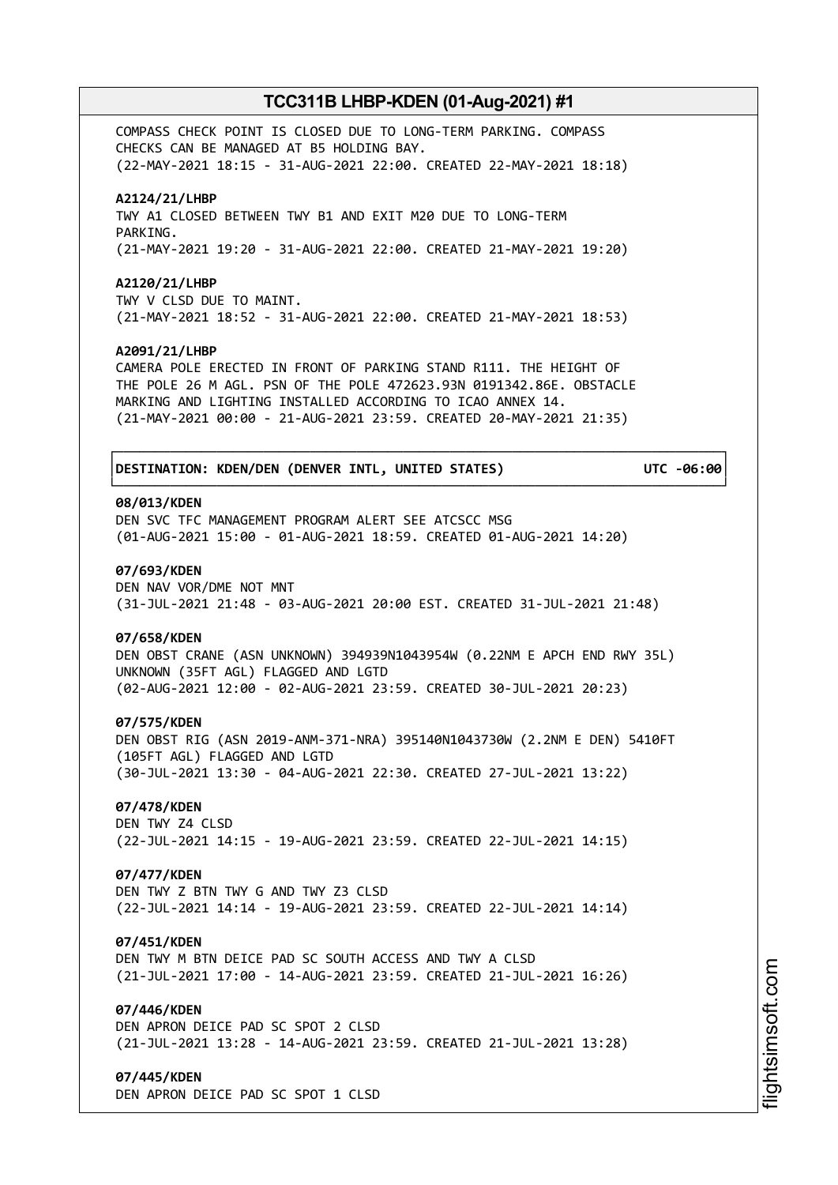COMPASS CHECK POINT IS CLOSED DUE TO LONG-TERM PARKING. COMPASS CHECKS CAN BE MANAGED AT B5 HOLDING BAY. (22-MAY-2021 18:15 - 31-AUG-2021 22:00. CREATED 22-MAY-2021 18:18)

#### **A2124/21/LHBP**

TWY A1 CLOSED BETWEEN TWY B1 AND EXIT M20 DUE TO LONG-TERM PARKING. (21-MAY-2021 19:20 - 31-AUG-2021 22:00. CREATED 21-MAY-2021 19:20)

#### **A2120/21/LHBP**

TWY V CLSD DUE TO MAINT. (21-MAY-2021 18:52 - 31-AUG-2021 22:00. CREATED 21-MAY-2021 18:53)

#### **A2091/21/LHBP**

CAMERA POLE ERECTED IN FRONT OF PARKING STAND R111. THE HEIGHT OF THE POLE 26 M AGL. PSN OF THE POLE 472623.93N 0191342.86E. OBSTACLE MARKING AND LIGHTING INSTALLED ACCORDING TO ICAO ANNEX 14. (21-MAY-2021 00:00 - 21-AUG-2021 23:59. CREATED 20-MAY-2021 21:35)

┌──────────────────────────────────────────────────────────────────────────────┐

└──────────────────────────────────────────────────────────────────────────────┘

### │**DESTINATION: KDEN/DEN (DENVER INTL, UNITED STATES) UTC -06:00**│

### **08/013/KDEN**

DEN SVC TFC MANAGEMENT PROGRAM ALERT SEE ATCSCC MSG (01-AUG-2021 15:00 - 01-AUG-2021 18:59. CREATED 01-AUG-2021 14:20)

### **07/693/KDEN**

DEN NAV VOR/DME NOT MNT (31-JUL-2021 21:48 - 03-AUG-2021 20:00 EST. CREATED 31-JUL-2021 21:48)

#### **07/658/KDEN**

DEN OBST CRANE (ASN UNKNOWN) 394939N1043954W (0.22NM E APCH END RWY 35L) UNKNOWN (35FT AGL) FLAGGED AND LGTD (02-AUG-2021 12:00 - 02-AUG-2021 23:59. CREATED 30-JUL-2021 20:23)

#### **07/575/KDEN**

DEN OBST RIG (ASN 2019-ANM-371-NRA) 395140N1043730W (2.2NM E DEN) 5410FT (105FT AGL) FLAGGED AND LGTD (30-JUL-2021 13:30 - 04-AUG-2021 22:30. CREATED 27-JUL-2021 13:22)

### **07/478/KDEN**

DEN TWY Z4 CLSD (22-JUL-2021 14:15 - 19-AUG-2021 23:59. CREATED 22-JUL-2021 14:15)

### **07/477/KDEN**

DEN TWY Z BTN TWY G AND TWY Z3 CLSD (22-JUL-2021 14:14 - 19-AUG-2021 23:59. CREATED 22-JUL-2021 14:14)

#### **07/451/KDEN**

DEN TWY M BTN DEICE PAD SC SOUTH ACCESS AND TWY A CLSD (21-JUL-2021 17:00 - 14-AUG-2021 23:59. CREATED 21-JUL-2021 16:26)

### **07/446/KDEN**

DEN APRON DEICE PAD SC SPOT 2 CLSD (21-JUL-2021 13:28 - 14-AUG-2021 23:59. CREATED 21-JUL-2021 13:28)

### **07/445/KDEN**

DEN APRON DEICE PAD SC SPOT 1 CLSD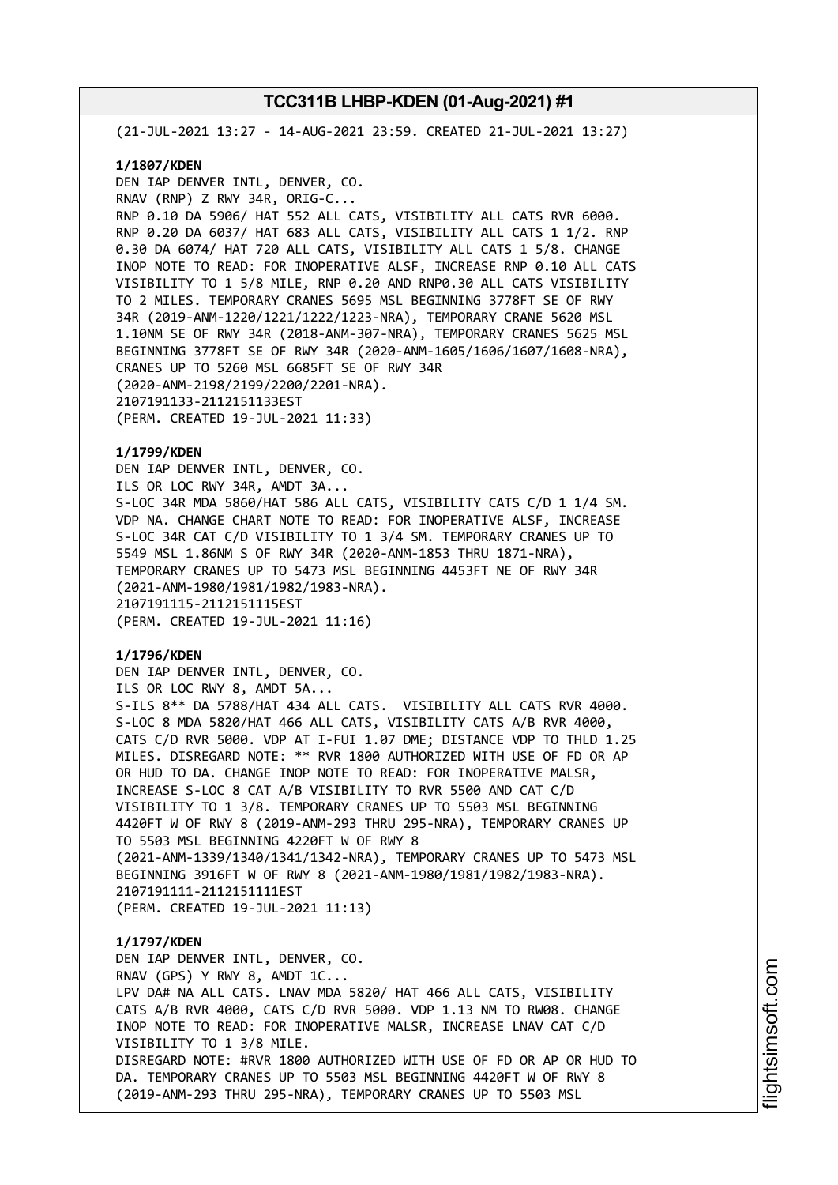(21-JUL-2021 13:27 - 14-AUG-2021 23:59. CREATED 21-JUL-2021 13:27)

#### **1/1807/KDEN**

DEN IAP DENVER INTL, DENVER, CO. RNAV (RNP) Z RWY 34R, ORIG-C... RNP 0.10 DA 5906/ HAT 552 ALL CATS, VISIBILITY ALL CATS RVR 6000. RNP 0.20 DA 6037/ HAT 683 ALL CATS, VISIBILITY ALL CATS 1 1/2. RNP 0.30 DA 6074/ HAT 720 ALL CATS, VISIBILITY ALL CATS 1 5/8. CHANGE INOP NOTE TO READ: FOR INOPERATIVE ALSF, INCREASE RNP 0.10 ALL CATS VISIBILITY TO 1 5/8 MILE, RNP 0.20 AND RNP0.30 ALL CATS VISIBILITY TO 2 MILES. TEMPORARY CRANES 5695 MSL BEGINNING 3778FT SE OF RWY 34R (2019-ANM-1220/1221/1222/1223-NRA), TEMPORARY CRANE 5620 MSL 1.10NM SE OF RWY 34R (2018-ANM-307-NRA), TEMPORARY CRANES 5625 MSL BEGINNING 3778FT SE OF RWY 34R (2020-ANM-1605/1606/1607/1608-NRA), CRANES UP TO 5260 MSL 6685FT SE OF RWY 34R (2020-ANM-2198/2199/2200/2201-NRA). 2107191133-2112151133EST (PERM. CREATED 19-JUL-2021 11:33)

### **1/1799/KDEN**

DEN IAP DENVER INTL, DENVER, CO. ILS OR LOC RWY 34R, AMDT 3A... S-LOC 34R MDA 5860/HAT 586 ALL CATS, VISIBILITY CATS C/D 1 1/4 SM. VDP NA. CHANGE CHART NOTE TO READ: FOR INOPERATIVE ALSF, INCREASE S-LOC 34R CAT C/D VISIBILITY TO 1 3/4 SM. TEMPORARY CRANES UP TO 5549 MSL 1.86NM S OF RWY 34R (2020-ANM-1853 THRU 1871-NRA), TEMPORARY CRANES UP TO 5473 MSL BEGINNING 4453FT NE OF RWY 34R (2021-ANM-1980/1981/1982/1983-NRA). 2107191115-2112151115EST (PERM. CREATED 19-JUL-2021 11:16)

### **1/1796/KDEN**

DEN IAP DENVER INTL, DENVER, CO. ILS OR LOC RWY 8, AMDT 5A... S-ILS 8\*\* DA 5788/HAT 434 ALL CATS. VISIBILITY ALL CATS RVR 4000. S-LOC 8 MDA 5820/HAT 466 ALL CATS, VISIBILITY CATS A/B RVR 4000, CATS C/D RVR 5000. VDP AT I-FUI 1.07 DME; DISTANCE VDP TO THLD 1.25 MILES. DISREGARD NOTE: \*\* RVR 1800 AUTHORIZED WITH USE OF FD OR AP OR HUD TO DA. CHANGE INOP NOTE TO READ: FOR INOPERATIVE MALSR, INCREASE S-LOC 8 CAT A/B VISIBILITY TO RVR 5500 AND CAT C/D VISIBILITY TO 1 3/8. TEMPORARY CRANES UP TO 5503 MSL BEGINNING 4420FT W OF RWY 8 (2019-ANM-293 THRU 295-NRA), TEMPORARY CRANES UP TO 5503 MSL BEGINNING 4220FT W OF RWY 8 (2021-ANM-1339/1340/1341/1342-NRA), TEMPORARY CRANES UP TO 5473 MSL BEGINNING 3916FT W OF RWY 8 (2021-ANM-1980/1981/1982/1983-NRA). 2107191111-2112151111EST (PERM. CREATED 19-JUL-2021 11:13)

## **1/1797/KDEN** DEN IAP DENVER INTL, DENVER, CO. RNAV (GPS) Y RWY 8, AMDT 1C... LPV DA# NA ALL CATS. LNAV MDA 5820/ HAT 466 ALL CATS, VISIBILITY CATS A/B RVR 4000, CATS C/D RVR 5000. VDP 1.13 NM TO RW08. CHANGE INOP NOTE TO READ: FOR INOPERATIVE MALSR, INCREASE LNAV CAT C/D VISIBILITY TO 1 3/8 MILE. DISREGARD NOTE: #RVR 1800 AUTHORIZED WITH USE OF FD OR AP OR HUD TO DA. TEMPORARY CRANES UP TO 5503 MSL BEGINNING 4420FT W OF RWY 8 (2019-ANM-293 THRU 295-NRA), TEMPORARY CRANES UP TO 5503 MSL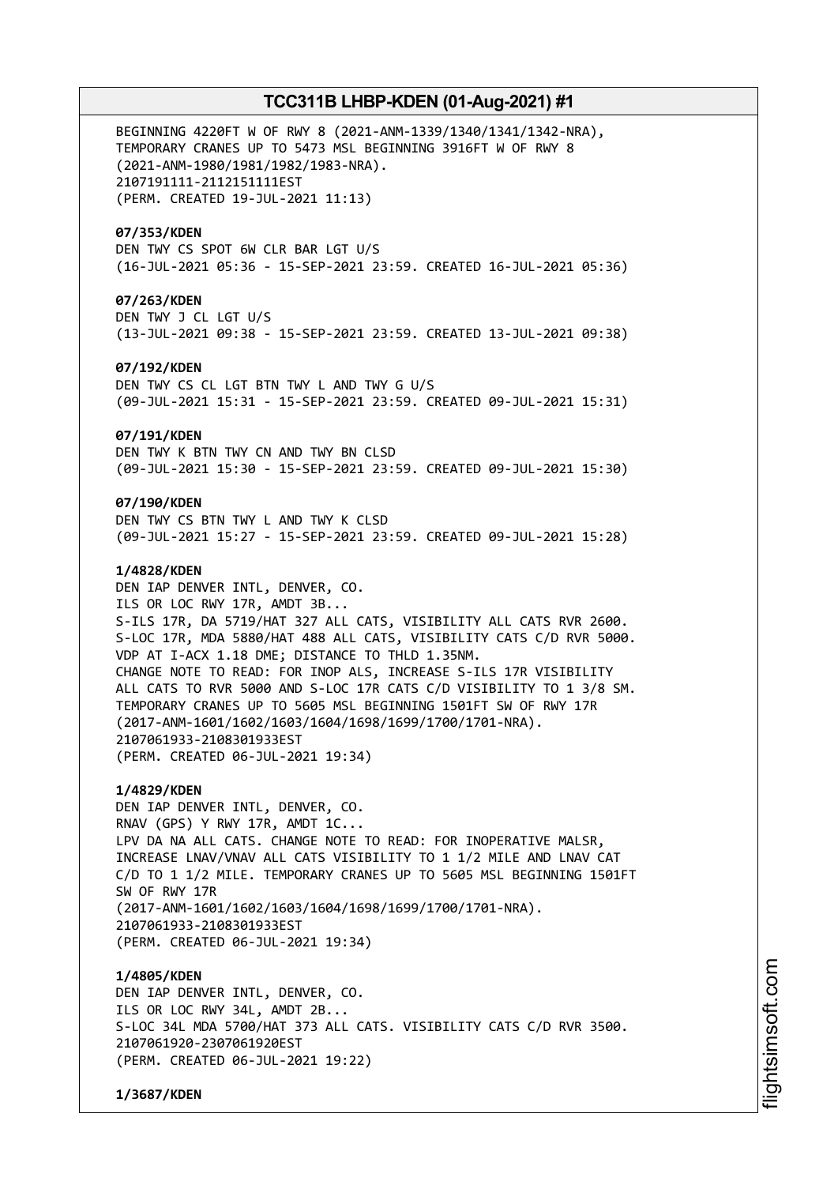BEGINNING 4220FT W OF RWY 8 (2021-ANM-1339/1340/1341/1342-NRA), TEMPORARY CRANES UP TO 5473 MSL BEGINNING 3916FT W OF RWY 8 (2021-ANM-1980/1981/1982/1983-NRA). 2107191111-2112151111EST (PERM. CREATED 19-JUL-2021 11:13)

### **07/353/KDEN**

DEN TWY CS SPOT 6W CLR BAR LGT U/S (16-JUL-2021 05:36 - 15-SEP-2021 23:59. CREATED 16-JUL-2021 05:36)

### **07/263/KDEN**

DEN TWY J CL LGT U/S (13-JUL-2021 09:38 - 15-SEP-2021 23:59. CREATED 13-JUL-2021 09:38)

### **07/192/KDEN**

DEN TWY CS CL LGT BTN TWY L AND TWY G U/S (09-JUL-2021 15:31 - 15-SEP-2021 23:59. CREATED 09-JUL-2021 15:31)

### **07/191/KDEN**

DEN TWY K BTN TWY CN AND TWY BN CLSD (09-JUL-2021 15:30 - 15-SEP-2021 23:59. CREATED 09-JUL-2021 15:30)

### **07/190/KDEN**

DEN TWY CS BTN TWY L AND TWY K CLSD (09-JUL-2021 15:27 - 15-SEP-2021 23:59. CREATED 09-JUL-2021 15:28)

### **1/4828/KDEN**

DEN IAP DENVER INTL, DENVER, CO. ILS OR LOC RWY 17R, AMDT 3B... S-ILS 17R, DA 5719/HAT 327 ALL CATS, VISIBILITY ALL CATS RVR 2600. S-LOC 17R, MDA 5880/HAT 488 ALL CATS, VISIBILITY CATS C/D RVR 5000. VDP AT I-ACX 1.18 DME; DISTANCE TO THLD 1.35NM. CHANGE NOTE TO READ: FOR INOP ALS, INCREASE S-ILS 17R VISIBILITY ALL CATS TO RVR 5000 AND S-LOC 17R CATS C/D VISIBILITY TO 1 3/8 SM. TEMPORARY CRANES UP TO 5605 MSL BEGINNING 1501FT SW OF RWY 17R (2017-ANM-1601/1602/1603/1604/1698/1699/1700/1701-NRA). 2107061933-2108301933EST (PERM. CREATED 06-JUL-2021 19:34)

### **1/4829/KDEN**

DEN IAP DENVER INTL, DENVER, CO. RNAV (GPS) Y RWY 17R, AMDT 1C... LPV DA NA ALL CATS. CHANGE NOTE TO READ: FOR INOPERATIVE MALSR, INCREASE LNAV/VNAV ALL CATS VISIBILITY TO 1 1/2 MILE AND LNAV CAT C/D TO 1 1/2 MILE. TEMPORARY CRANES UP TO 5605 MSL BEGINNING 1501FT SW OF RWY 17R (2017-ANM-1601/1602/1603/1604/1698/1699/1700/1701-NRA). 2107061933-2108301933EST (PERM. CREATED 06-JUL-2021 19:34)

#### **1/4805/KDEN**

DEN IAP DENVER INTL, DENVER, CO. ILS OR LOC RWY 34L, AMDT 2B... S-LOC 34L MDA 5700/HAT 373 ALL CATS. VISIBILITY CATS C/D RVR 3500. 2107061920-2307061920EST (PERM. CREATED 06-JUL-2021 19:22)

**1/3687/KDEN**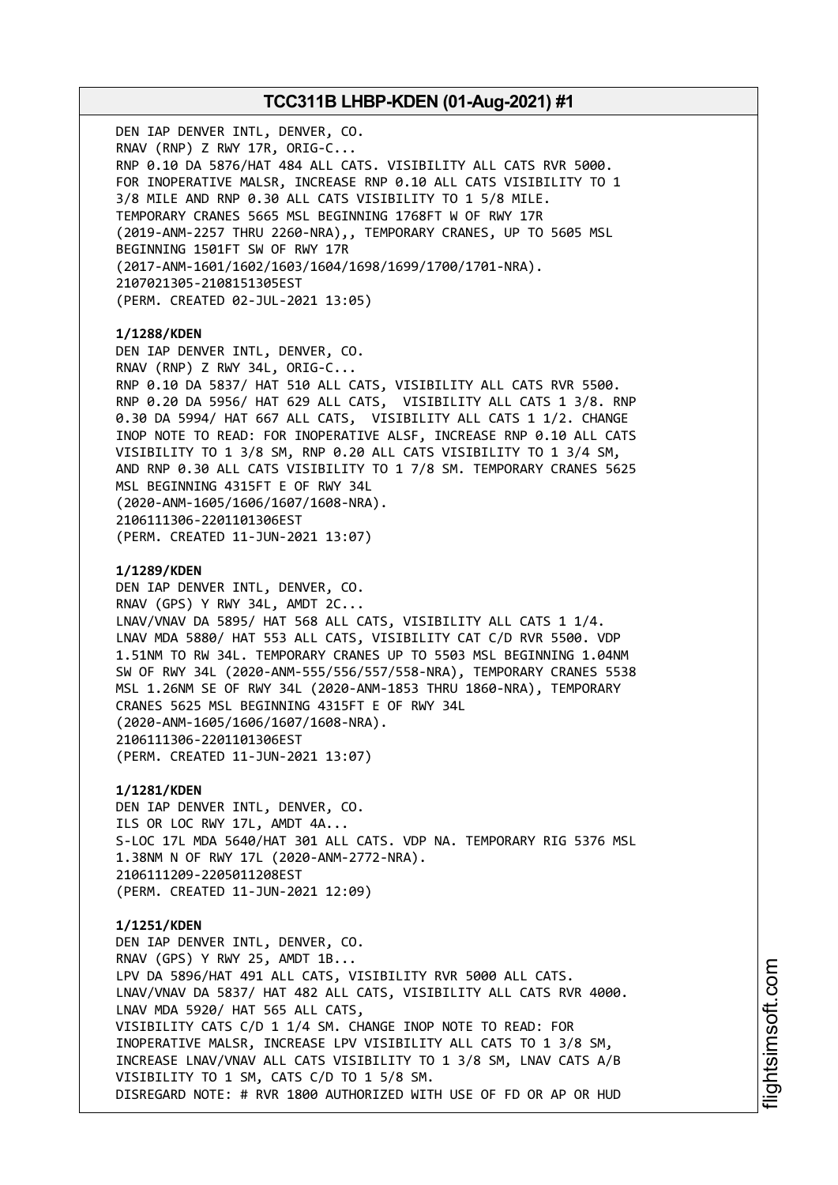DEN IAP DENVER INTL, DENVER, CO. RNAV (RNP) Z RWY 17R, ORIG-C... RNP 0.10 DA 5876/HAT 484 ALL CATS. VISIBILITY ALL CATS RVR 5000. FOR INOPERATIVE MALSR, INCREASE RNP 0.10 ALL CATS VISIBILITY TO 1 3/8 MILE AND RNP 0.30 ALL CATS VISIBILITY TO 1 5/8 MILE. TEMPORARY CRANES 5665 MSL BEGINNING 1768FT W OF RWY 17R (2019-ANM-2257 THRU 2260-NRA),, TEMPORARY CRANES, UP TO 5605 MSL BEGINNING 1501FT SW OF RWY 17R (2017-ANM-1601/1602/1603/1604/1698/1699/1700/1701-NRA). 2107021305-2108151305EST (PERM. CREATED 02-JUL-2021 13:05) **1/1288/KDEN** DEN IAP DENVER INTL, DENVER, CO. RNAV (RNP) Z RWY 34L, ORIG-C... RNP 0.10 DA 5837/ HAT 510 ALL CATS, VISIBILITY ALL CATS RVR 5500. RNP 0.20 DA 5956/ HAT 629 ALL CATS, VISIBILITY ALL CATS 1 3/8. RNP 0.30 DA 5994/ HAT 667 ALL CATS, VISIBILITY ALL CATS 1 1/2. CHANGE INOP NOTE TO READ: FOR INOPERATIVE ALSF, INCREASE RNP 0.10 ALL CATS VISIBILITY TO 1 3/8 SM, RNP 0.20 ALL CATS VISIBILITY TO 1 3/4 SM, AND RNP 0.30 ALL CATS VISIBILITY TO 1 7/8 SM. TEMPORARY CRANES 5625 MSL BEGINNING 4315FT E OF RWY 34L (2020-ANM-1605/1606/1607/1608-NRA). 2106111306-2201101306EST (PERM. CREATED 11-JUN-2021 13:07) **1/1289/KDEN** DEN IAP DENVER INTL, DENVER, CO. RNAV (GPS) Y RWY 34L, AMDT 2C... LNAV/VNAV DA 5895/ HAT 568 ALL CATS, VISIBILITY ALL CATS 1 1/4. LNAV MDA 5880/ HAT 553 ALL CATS, VISIBILITY CAT C/D RVR 5500. VDP 1.51NM TO RW 34L. TEMPORARY CRANES UP TO 5503 MSL BEGINNING 1.04NM SW OF RWY 34L (2020-ANM-555/556/557/558-NRA), TEMPORARY CRANES 5538 MSL 1.26NM SE OF RWY 34L (2020-ANM-1853 THRU 1860-NRA), TEMPORARY CRANES 5625 MSL BEGINNING 4315FT E OF RWY 34L (2020-ANM-1605/1606/1607/1608-NRA). 2106111306-2201101306EST (PERM. CREATED 11-JUN-2021 13:07) **1/1281/KDEN** DEN IAP DENVER INTL, DENVER, CO. ILS OR LOC RWY 17L, AMDT 4A... S-LOC 17L MDA 5640/HAT 301 ALL CATS. VDP NA. TEMPORARY RIG 5376 MSL 1.38NM N OF RWY 17L (2020-ANM-2772-NRA). 2106111209-2205011208EST (PERM. CREATED 11-JUN-2021 12:09) **1/1251/KDEN** DEN IAP DENVER INTL, DENVER, CO. RNAV (GPS) Y RWY 25, AMDT 1B... LPV DA 5896/HAT 491 ALL CATS, VISIBILITY RVR 5000 ALL CATS. LNAV/VNAV DA 5837/ HAT 482 ALL CATS, VISIBILITY ALL CATS RVR 4000. LNAV MDA 5920/ HAT 565 ALL CATS, VISIBILITY CATS C/D 1 1/4 SM. CHANGE INOP NOTE TO READ: FOR INOPERATIVE MALSR, INCREASE LPV VISIBILITY ALL CATS TO 1 3/8 SM, INCREASE LNAV/VNAV ALL CATS VISIBILITY TO 1 3/8 SM, LNAV CATS A/B VISIBILITY TO 1 SM, CATS C/D TO 1 5/8 SM. DISREGARD NOTE: # RVR 1800 AUTHORIZED WITH USE OF FD OR AP OR HUD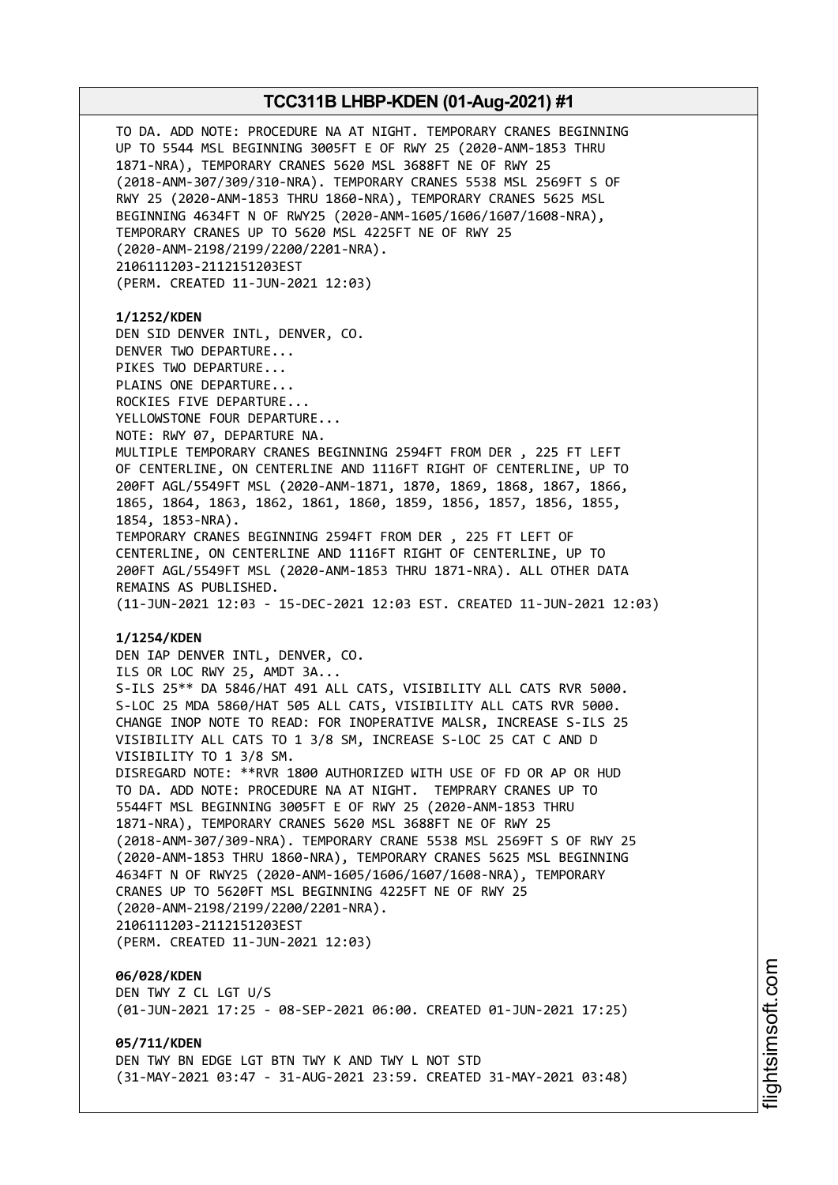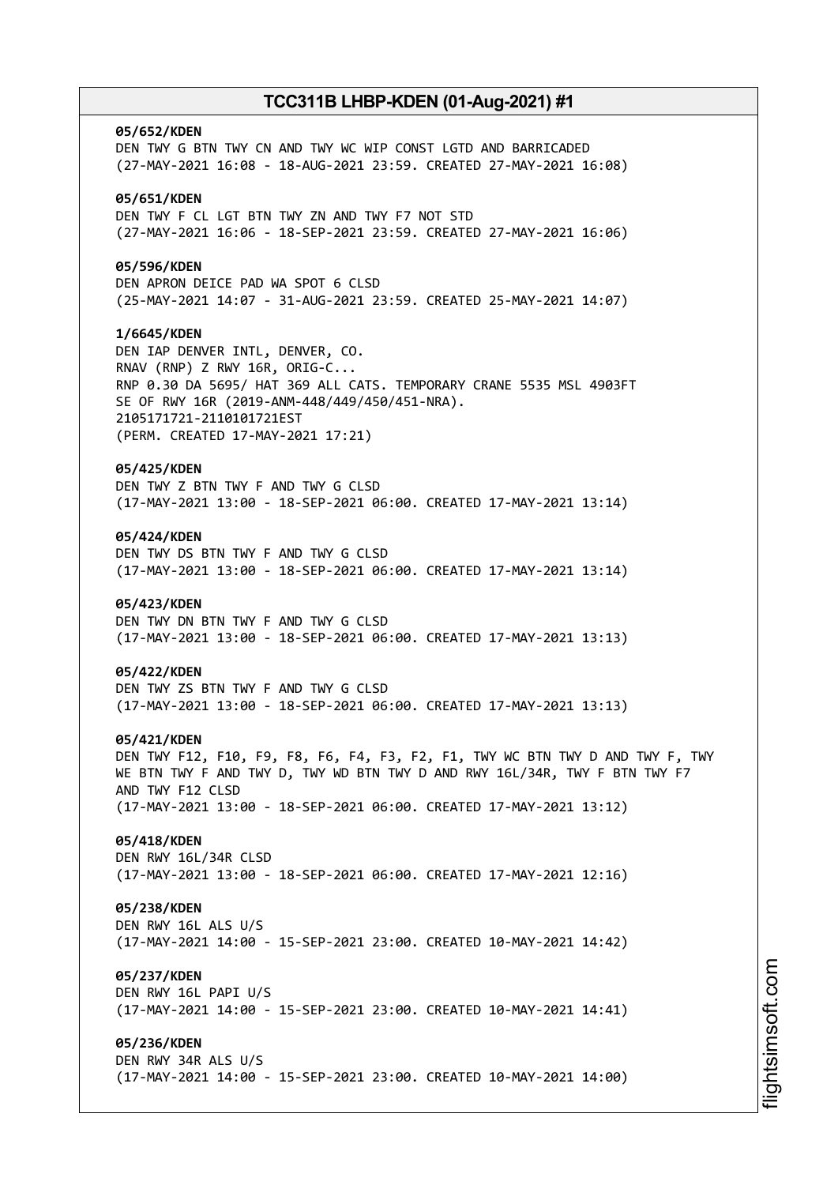# **05/652/KDEN** DEN TWY G BTN TWY CN AND TWY WC WIP CONST LGTD AND BARRICADED (27-MAY-2021 16:08 - 18-AUG-2021 23:59. CREATED 27-MAY-2021 16:08) **05/651/KDEN** DEN TWY F CL LGT BTN TWY ZN AND TWY F7 NOT STD (27-MAY-2021 16:06 - 18-SEP-2021 23:59. CREATED 27-MAY-2021 16:06) **05/596/KDEN** DEN APRON DEICE PAD WA SPOT 6 CLSD (25-MAY-2021 14:07 - 31-AUG-2021 23:59. CREATED 25-MAY-2021 14:07) **1/6645/KDEN** DEN IAP DENVER INTL, DENVER, CO. RNAV (RNP) Z RWY 16R, ORIG-C... RNP 0.30 DA 5695/ HAT 369 ALL CATS. TEMPORARY CRANE 5535 MSL 4903FT SE OF RWY 16R (2019-ANM-448/449/450/451-NRA). 2105171721-2110101721EST (PERM. CREATED 17-MAY-2021 17:21) **05/425/KDEN** DEN TWY Z BTN TWY F AND TWY G CLSD (17-MAY-2021 13:00 - 18-SEP-2021 06:00. CREATED 17-MAY-2021 13:14) **05/424/KDEN** DEN TWY DS BTN TWY F AND TWY G CLSD (17-MAY-2021 13:00 - 18-SEP-2021 06:00. CREATED 17-MAY-2021 13:14) **05/423/KDEN** DEN TWY DN BTN TWY F AND TWY G CLSD (17-MAY-2021 13:00 - 18-SEP-2021 06:00. CREATED 17-MAY-2021 13:13) **05/422/KDEN** DEN TWY ZS BTN TWY F AND TWY G CLSD (17-MAY-2021 13:00 - 18-SEP-2021 06:00. CREATED 17-MAY-2021 13:13) **05/421/KDEN** DEN TWY F12, F10, F9, F8, F6, F4, F3, F2, F1, TWY WC BTN TWY D AND TWY F, TWY WE BTN TWY F AND TWY D, TWY WD BTN TWY D AND RWY 16L/34R, TWY F BTN TWY F7 AND TWY F12 CLSD (17-MAY-2021 13:00 - 18-SEP-2021 06:00. CREATED 17-MAY-2021 13:12) **05/418/KDEN** DEN RWY 16L/34R CLSD (17-MAY-2021 13:00 - 18-SEP-2021 06:00. CREATED 17-MAY-2021 12:16) **05/238/KDEN** DEN RWY 16L ALS U/S (17-MAY-2021 14:00 - 15-SEP-2021 23:00. CREATED 10-MAY-2021 14:42) **05/237/KDEN** DEN RWY 16L PAPI U/S (17-MAY-2021 14:00 - 15-SEP-2021 23:00. CREATED 10-MAY-2021 14:41) **05/236/KDEN** DEN RWY 34R ALS U/S (17-MAY-2021 14:00 - 15-SEP-2021 23:00. CREATED 10-MAY-2021 14:00)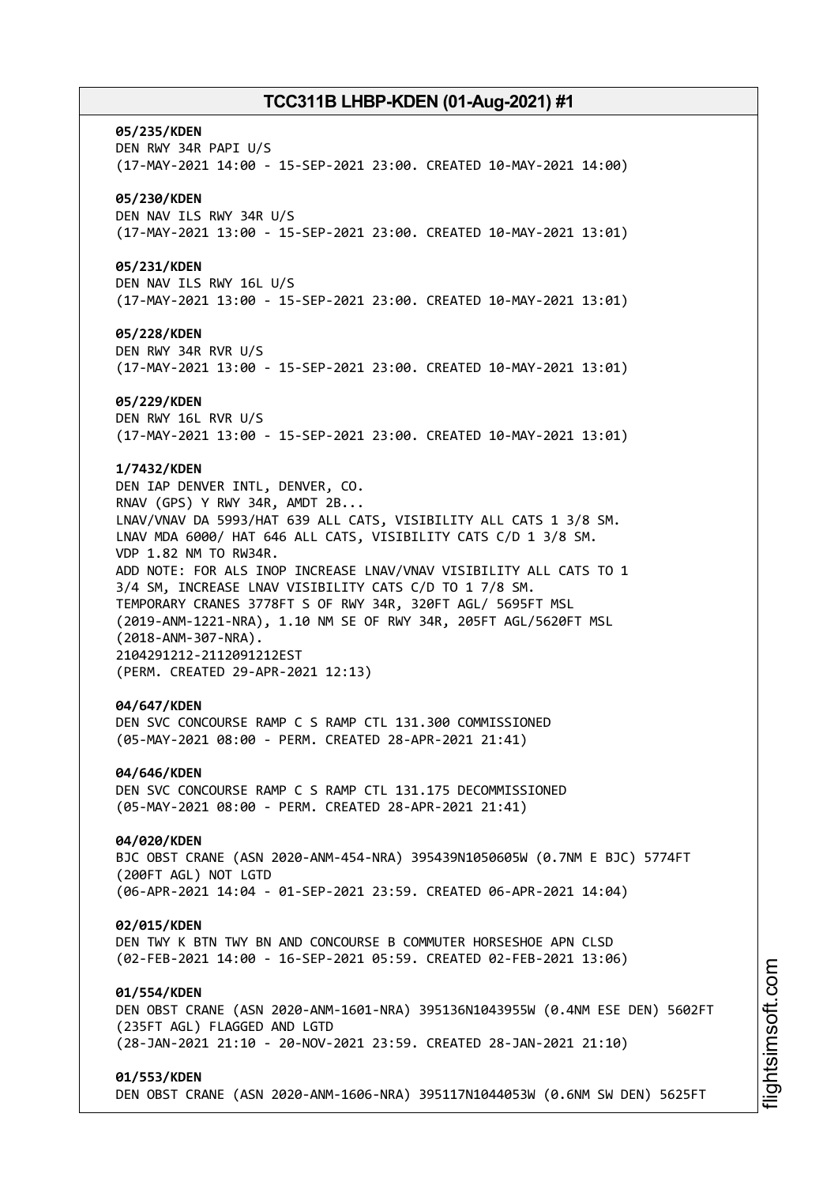#### **05/235/KDEN**

DEN RWY 34R PAPI U/S (17-MAY-2021 14:00 - 15-SEP-2021 23:00. CREATED 10-MAY-2021 14:00)

### **05/230/KDEN**

DEN NAV ILS RWY 34R U/S (17-MAY-2021 13:00 - 15-SEP-2021 23:00. CREATED 10-MAY-2021 13:01)

### **05/231/KDEN**

DEN NAV ILS RWY 16L U/S (17-MAY-2021 13:00 - 15-SEP-2021 23:00. CREATED 10-MAY-2021 13:01)

#### **05/228/KDEN**

DEN RWY 34R RVR U/S (17-MAY-2021 13:00 - 15-SEP-2021 23:00. CREATED 10-MAY-2021 13:01)

#### **05/229/KDEN**

DEN RWY 16L RVR U/S (17-MAY-2021 13:00 - 15-SEP-2021 23:00. CREATED 10-MAY-2021 13:01)

### **1/7432/KDEN**

DEN IAP DENVER INTL, DENVER, CO. RNAV (GPS) Y RWY 34R, AMDT 2B... LNAV/VNAV DA 5993/HAT 639 ALL CATS, VISIBILITY ALL CATS 1 3/8 SM. LNAV MDA 6000/ HAT 646 ALL CATS, VISIBILITY CATS C/D 1 3/8 SM. VDP 1.82 NM TO RW34R. ADD NOTE: FOR ALS INOP INCREASE LNAV/VNAV VISIBILITY ALL CATS TO 1 3/4 SM, INCREASE LNAV VISIBILITY CATS C/D TO 1 7/8 SM. TEMPORARY CRANES 3778FT S OF RWY 34R, 320FT AGL/ 5695FT MSL (2019-ANM-1221-NRA), 1.10 NM SE OF RWY 34R, 205FT AGL/5620FT MSL (2018-ANM-307-NRA). 2104291212-2112091212EST (PERM. CREATED 29-APR-2021 12:13)

#### **04/647/KDEN**

DEN SVC CONCOURSE RAMP C S RAMP CTL 131.300 COMMISSIONED (05-MAY-2021 08:00 - PERM. CREATED 28-APR-2021 21:41)

#### **04/646/KDEN**

DEN SVC CONCOURSE RAMP C S RAMP CTL 131.175 DECOMMISSIONED (05-MAY-2021 08:00 - PERM. CREATED 28-APR-2021 21:41)

#### **04/020/KDEN**

BJC OBST CRANE (ASN 2020-ANM-454-NRA) 395439N1050605W (0.7NM E BJC) 5774FT (200FT AGL) NOT LGTD (06-APR-2021 14:04 - 01-SEP-2021 23:59. CREATED 06-APR-2021 14:04)

#### **02/015/KDEN**

DEN TWY K BTN TWY BN AND CONCOURSE B COMMUTER HORSESHOE APN CLSD (02-FEB-2021 14:00 - 16-SEP-2021 05:59. CREATED 02-FEB-2021 13:06)

### **01/554/KDEN**

DEN OBST CRANE (ASN 2020-ANM-1601-NRA) 395136N1043955W (0.4NM ESE DEN) 5602FT (235FT AGL) FLAGGED AND LGTD (28-JAN-2021 21:10 - 20-NOV-2021 23:59. CREATED 28-JAN-2021 21:10)

#### **01/553/KDEN**

DEN OBST CRANE (ASN 2020-ANM-1606-NRA) 395117N1044053W (0.6NM SW DEN) 5625FT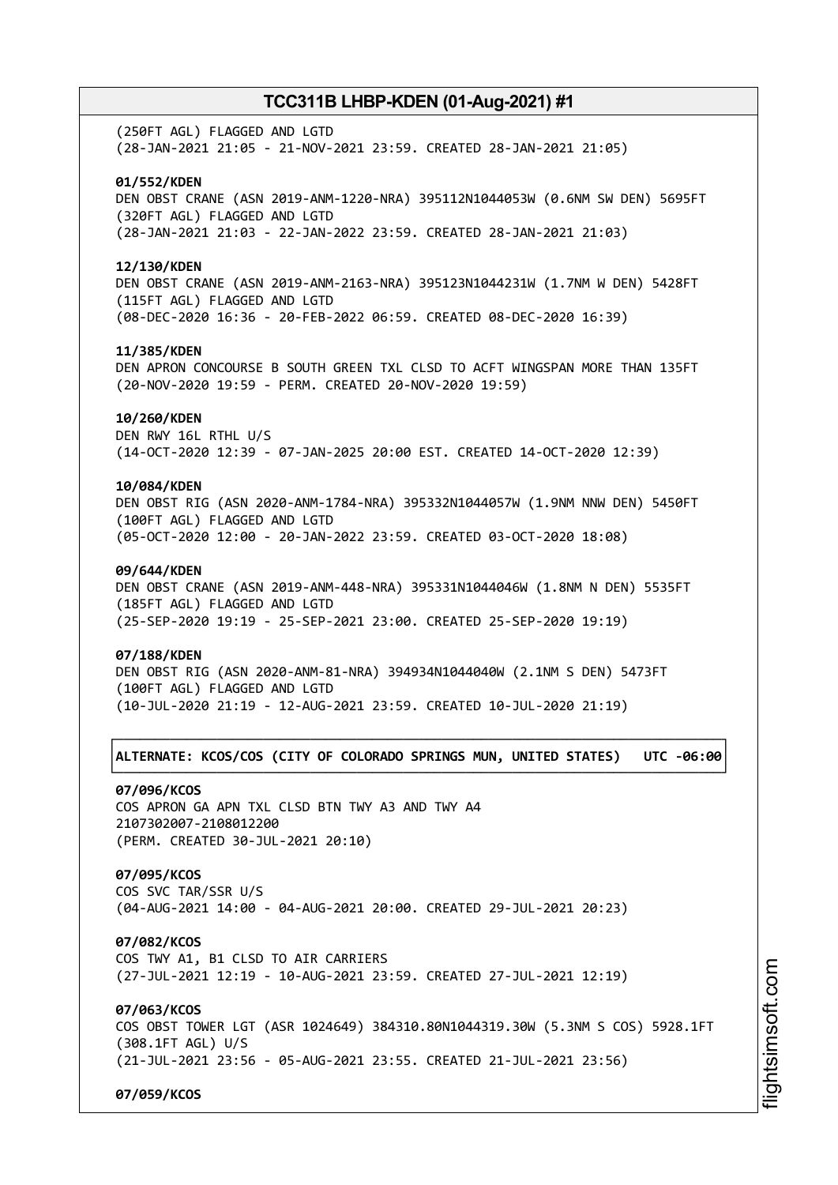(250FT AGL) FLAGGED AND LGTD (28-JAN-2021 21:05 - 21-NOV-2021 23:59. CREATED 28-JAN-2021 21:05)

### **01/552/KDEN**

DEN OBST CRANE (ASN 2019-ANM-1220-NRA) 395112N1044053W (0.6NM SW DEN) 5695FT (320FT AGL) FLAGGED AND LGTD (28-JAN-2021 21:03 - 22-JAN-2022 23:59. CREATED 28-JAN-2021 21:03)

#### **12/130/KDEN**

DEN OBST CRANE (ASN 2019-ANM-2163-NRA) 395123N1044231W (1.7NM W DEN) 5428FT (115FT AGL) FLAGGED AND LGTD (08-DEC-2020 16:36 - 20-FEB-2022 06:59. CREATED 08-DEC-2020 16:39)

#### **11/385/KDEN**

DEN APRON CONCOURSE B SOUTH GREEN TXL CLSD TO ACFT WINGSPAN MORE THAN 135FT (20-NOV-2020 19:59 - PERM. CREATED 20-NOV-2020 19:59)

### **10/260/KDEN**

DEN RWY 16L RTHL U/S (14-OCT-2020 12:39 - 07-JAN-2025 20:00 EST. CREATED 14-OCT-2020 12:39)

### **10/084/KDEN**

DEN OBST RIG (ASN 2020-ANM-1784-NRA) 395332N1044057W (1.9NM NNW DEN) 5450FT (100FT AGL) FLAGGED AND LGTD (05-OCT-2020 12:00 - 20-JAN-2022 23:59. CREATED 03-OCT-2020 18:08)

### **09/644/KDEN**

DEN OBST CRANE (ASN 2019-ANM-448-NRA) 395331N1044046W (1.8NM N DEN) 5535FT (185FT AGL) FLAGGED AND LGTD (25-SEP-2020 19:19 - 25-SEP-2021 23:00. CREATED 25-SEP-2020 19:19)

#### **07/188/KDEN**

DEN OBST RIG (ASN 2020-ANM-81-NRA) 394934N1044040W (2.1NM S DEN) 5473FT (100FT AGL) FLAGGED AND LGTD (10-JUL-2020 21:19 - 12-AUG-2021 23:59. CREATED 10-JUL-2020 21:19)

### ┌──────────────────────────────────────────────────────────────────────────────┐ │**ALTERNATE: KCOS/COS (CITY OF COLORADO SPRINGS MUN, UNITED STATES) UTC -06:00**│ └──────────────────────────────────────────────────────────────────────────────┘

### **07/096/KCOS**

COS APRON GA APN TXL CLSD BTN TWY A3 AND TWY A4 2107302007-2108012200 (PERM. CREATED 30-JUL-2021 20:10)

### **07/095/KCOS**

COS SVC TAR/SSR U/S (04-AUG-2021 14:00 - 04-AUG-2021 20:00. CREATED 29-JUL-2021 20:23)

#### **07/082/KCOS**

COS TWY A1, B1 CLSD TO AIR CARRIERS (27-JUL-2021 12:19 - 10-AUG-2021 23:59. CREATED 27-JUL-2021 12:19)

### **07/063/KCOS**

COS OBST TOWER LGT (ASR 1024649) 384310.80N1044319.30W (5.3NM S COS) 5928.1FT (308.1FT AGL) U/S (21-JUL-2021 23:56 - 05-AUG-2021 23:55. CREATED 21-JUL-2021 23:56)

**07/059/KCOS**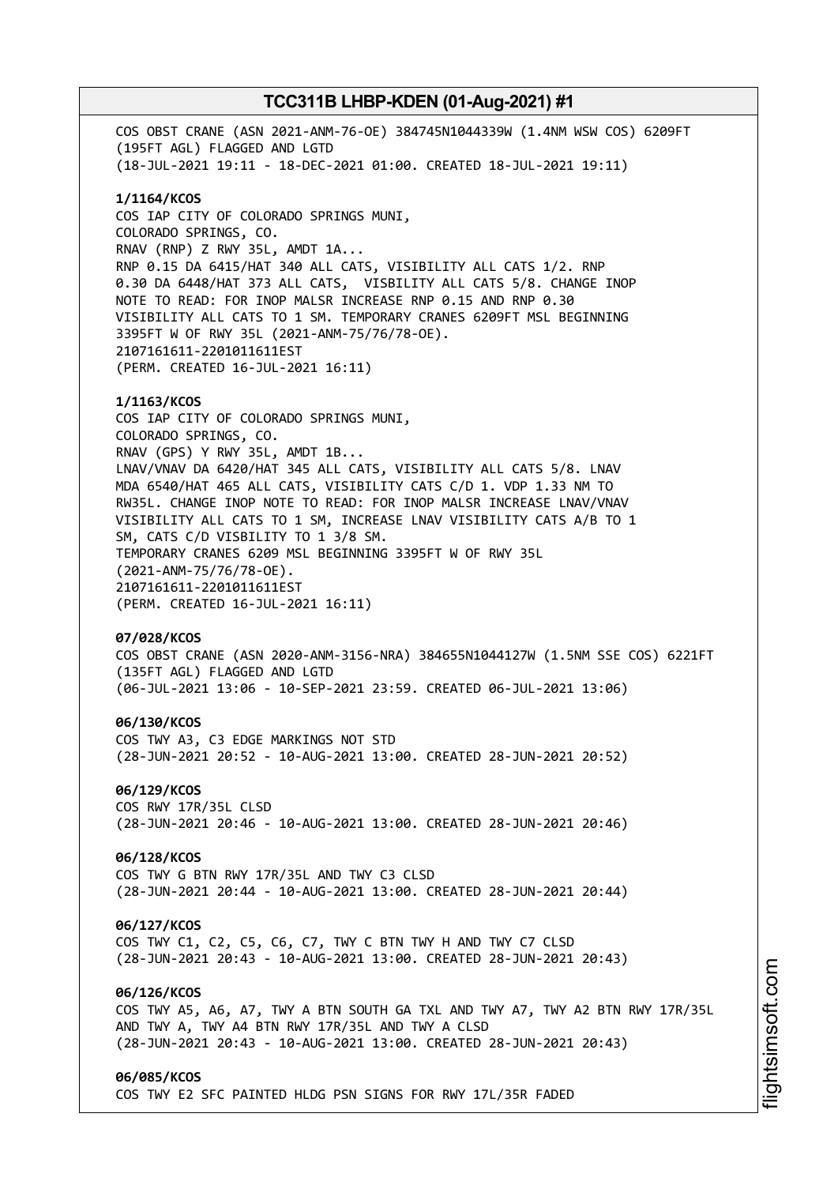COS OBST CRANE (ASN 2021-ANM-76-OE) 384745N1044339W (1.4NM WSW COS) 6209FT (195FT AGL) FLAGGED AND LGTD (18-JUL-2021 19:11 - 18-DEC-2021 01:00. CREATED 18-JUL-2021 19:11) **1/1164/KCOS** COS IAP CITY OF COLORADO SPRINGS MUNI, COLORADO SPRINGS, CO. RNAV (RNP) Z RWY 35L, AMDT 1A... RNP 0.15 DA 6415/HAT 340 ALL CATS, VISIBILITY ALL CATS 1/2. RNP 0.30 DA 6448/HAT 373 ALL CATS, VISBILITY ALL CATS 5/8. CHANGE INOP NOTE TO READ: FOR INOP MALSR INCREASE RNP 0.15 AND RNP 0.30 VISIBILITY ALL CATS TO 1 SM. TEMPORARY CRANES 6209FT MSL BEGINNING 3395FT W OF RWY 35L (2021-ANM-75/76/78-OE). 2107161611-2201011611EST (PERM. CREATED 16-JUL-2021 16:11) **1/1163/KCOS** COS IAP CITY OF COLORADO SPRINGS MUNI, COLORADO SPRINGS, CO. RNAV (GPS) Y RWY 35L, AMDT 1B... LNAV/VNAV DA 6420/HAT 345 ALL CATS, VISIBILITY ALL CATS 5/8. LNAV MDA 6540/HAT 465 ALL CATS, VISIBILITY CATS C/D 1. VDP 1.33 NM TO RW35L. CHANGE INOP NOTE TO READ: FOR INOP MALSR INCREASE LNAV/VNAV VISIBILITY ALL CATS TO 1 SM, INCREASE LNAV VISIBILITY CATS A/B TO 1 SM, CATS C/D VISBILITY TO 1 3/8 SM. TEMPORARY CRANES 6209 MSL BEGINNING 3395FT W OF RWY 35L (2021-ANM-75/76/78-OE). 2107161611-2201011611EST (PERM. CREATED 16-JUL-2021 16:11) **07/028/KCOS** COS OBST CRANE (ASN 2020-ANM-3156-NRA) 384655N1044127W (1.5NM SSE COS) 6221FT (135FT AGL) FLAGGED AND LGTD (06-JUL-2021 13:06 - 10-SEP-2021 23:59. CREATED 06-JUL-2021 13:06) **06/130/KCOS** COS TWY A3, C3 EDGE MARKINGS NOT STD (28-JUN-2021 20:52 - 10-AUG-2021 13:00. CREATED 28-JUN-2021 20:52) **06/129/KCOS** COS RWY 17R/35L CLSD (28-JUN-2021 20:46 - 10-AUG-2021 13:00. CREATED 28-JUN-2021 20:46) **06/128/KCOS** COS TWY G BTN RWY 17R/35L AND TWY C3 CLSD (28-JUN-2021 20:44 - 10-AUG-2021 13:00. CREATED 28-JUN-2021 20:44) **06/127/KCOS** COS TWY C1, C2, C5, C6, C7, TWY C BTN TWY H AND TWY C7 CLSD (28-JUN-2021 20:43 - 10-AUG-2021 13:00. CREATED 28-JUN-2021 20:43) **06/126/KCOS** COS TWY A5, A6, A7, TWY A BTN SOUTH GA TXL AND TWY A7, TWY A2 BTN RWY 17R/35L AND TWY A, TWY A4 BTN RWY 17R/35L AND TWY A CLSD (28-JUN-2021 20:43 - 10-AUG-2021 13:00. CREATED 28-JUN-2021 20:43) **06/085/KCOS** COS TWY E2 SFC PAINTED HLDG PSN SIGNS FOR RWY 17L/35R FADED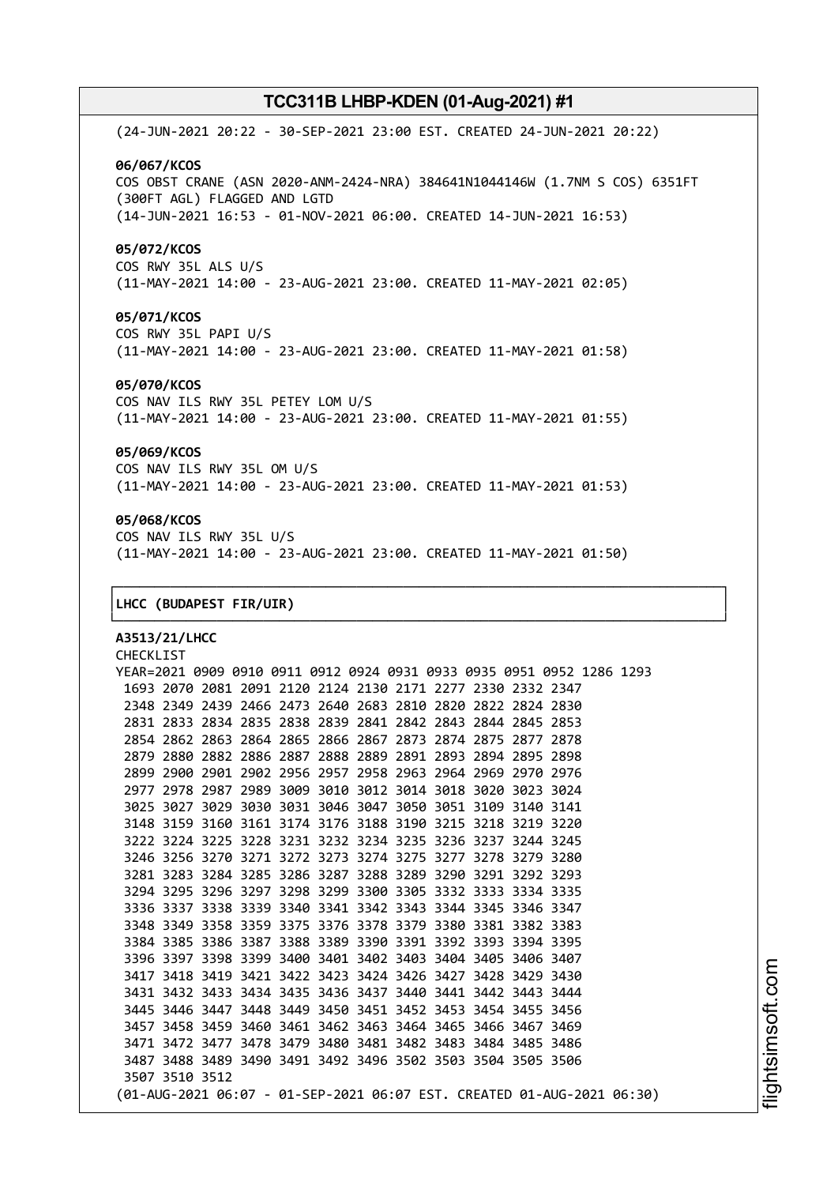(24-JUN-2021 20:22 - 30-SEP-2021 23:00 EST. CREATED 24-JUN-2021 20:22) **06/067/KCOS** COS OBST CRANE (ASN 2020-ANM-2424-NRA) 384641N1044146W (1.7NM S COS) 6351FT (300FT AGL) FLAGGED AND LGTD (14-JUN-2021 16:53 - 01-NOV-2021 06:00. CREATED 14-JUN-2021 16:53) **05/072/KCOS** COS RWY 35L ALS U/S (11-MAY-2021 14:00 - 23-AUG-2021 23:00. CREATED 11-MAY-2021 02:05)

### **05/071/KCOS**

COS RWY 35L PAPI U/S (11-MAY-2021 14:00 - 23-AUG-2021 23:00. CREATED 11-MAY-2021 01:58)

#### **05/070/KCOS**

COS NAV ILS RWY 35L PETEY LOM U/S (11-MAY-2021 14:00 - 23-AUG-2021 23:00. CREATED 11-MAY-2021 01:55)

### **05/069/KCOS**

COS NAV ILS RWY 35L OM U/S (11-MAY-2021 14:00 - 23-AUG-2021 23:00. CREATED 11-MAY-2021 01:53)

### **05/068/KCOS**

COS NAV ILS RWY 35L U/S (11-MAY-2021 14:00 - 23-AUG-2021 23:00. CREATED 11-MAY-2021 01:50)

┌──────────────────────────────────────────────────────────────────────────────┐

└──────────────────────────────────────────────────────────────────────────────┘

#### │**LHCC (BUDAPEST FIR/UIR)** │

**A3513/21/LHCC** CHECKLIST YEAR=2021 0909 0910 0911 0912 0924 0931 0933 0935 0951 0952 1286 1293 2070 2081 2091 2120 2124 2130 2171 2277 2330 2332 2347 2349 2439 2466 2473 2640 2683 2810 2820 2822 2824 2830 2833 2834 2835 2838 2839 2841 2842 2843 2844 2845 2853 2862 2863 2864 2865 2866 2867 2873 2874 2875 2877 2878 2880 2882 2886 2887 2888 2889 2891 2893 2894 2895 2898 2900 2901 2902 2956 2957 2958 2963 2964 2969 2970 2976 2978 2987 2989 3009 3010 3012 3014 3018 3020 3023 3024 3027 3029 3030 3031 3046 3047 3050 3051 3109 3140 3141 3159 3160 3161 3174 3176 3188 3190 3215 3218 3219 3220 3224 3225 3228 3231 3232 3234 3235 3236 3237 3244 3245 3256 3270 3271 3272 3273 3274 3275 3277 3278 3279 3280 3283 3284 3285 3286 3287 3288 3289 3290 3291 3292 3293 3295 3296 3297 3298 3299 3300 3305 3332 3333 3334 3335 3337 3338 3339 3340 3341 3342 3343 3344 3345 3346 3347 3349 3358 3359 3375 3376 3378 3379 3380 3381 3382 3383 3385 3386 3387 3388 3389 3390 3391 3392 3393 3394 3395 3397 3398 3399 3400 3401 3402 3403 3404 3405 3406 3407 3418 3419 3421 3422 3423 3424 3426 3427 3428 3429 3430 3432 3433 3434 3435 3436 3437 3440 3441 3442 3443 3444 3446 3447 3448 3449 3450 3451 3452 3453 3454 3455 3456 3458 3459 3460 3461 3462 3463 3464 3465 3466 3467 3469 3472 3477 3478 3479 3480 3481 3482 3483 3484 3485 3486 3488 3489 3490 3491 3492 3496 3502 3503 3504 3505 3506 3510 3512 (01-AUG-2021 06:07 - 01-SEP-2021 06:07 EST. CREATED 01-AUG-2021 06:30)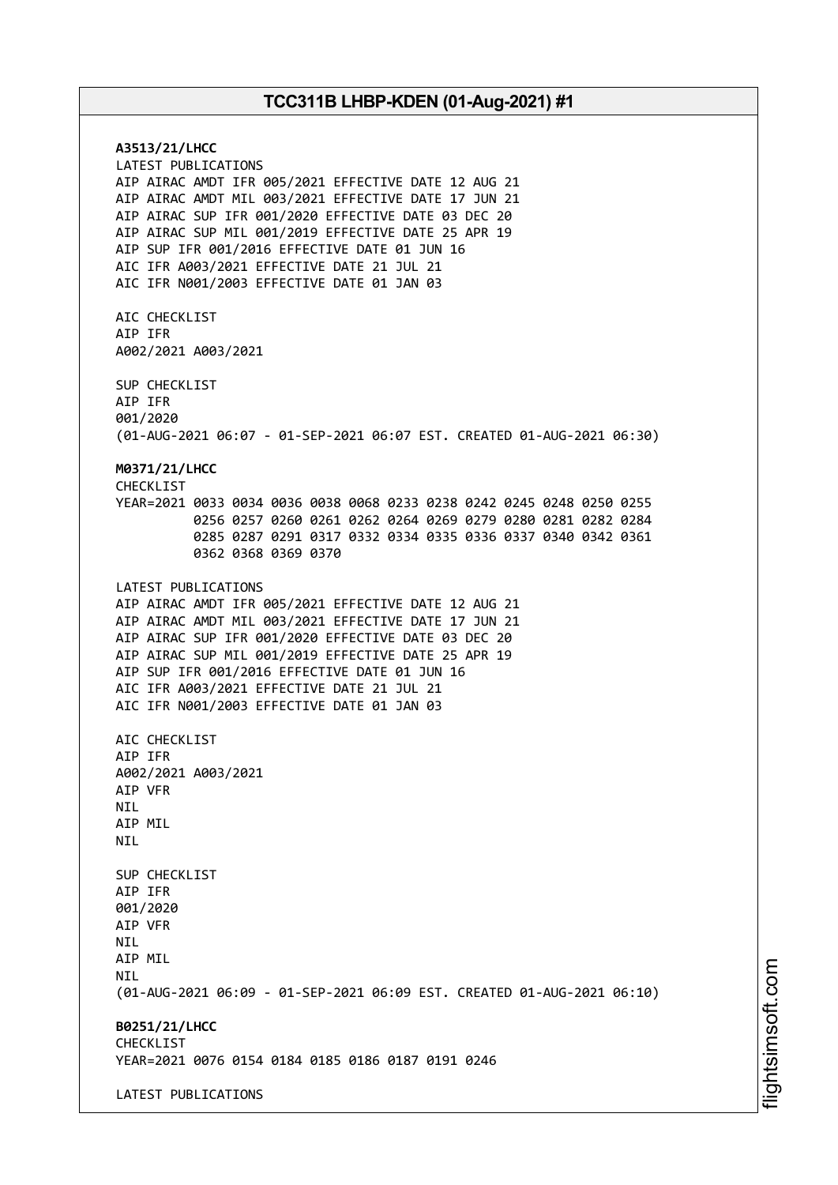**A3513/21/LHCC** LATEST PUBLICATIONS AIP AIRAC AMDT IFR 005/2021 EFFECTIVE DATE 12 AUG 21 AIP AIRAC AMDT MIL 003/2021 EFFECTIVE DATE 17 JUN 21 AIP AIRAC SUP IFR 001/2020 EFFECTIVE DATE 03 DEC 20 AIP AIRAC SUP MIL 001/2019 EFFECTIVE DATE 25 APR 19 AIP SUP IFR 001/2016 EFFECTIVE DATE 01 JUN 16 AIC IFR A003/2021 EFFECTIVE DATE 21 JUL 21 AIC IFR N001/2003 EFFECTIVE DATE 01 JAN 03 AIC CHECKLIST AIP IFR A002/2021 A003/2021 SUP CHECKLIST AIP IFR 001/2020 (01-AUG-2021 06:07 - 01-SEP-2021 06:07 EST. CREATED 01-AUG-2021 06:30) **M0371/21/LHCC** CHECKLIST YEAR=2021 0033 0034 0036 0038 0068 0233 0238 0242 0245 0248 0250 0255 0256 0257 0260 0261 0262 0264 0269 0279 0280 0281 0282 0284 0285 0287 0291 0317 0332 0334 0335 0336 0337 0340 0342 0361 0362 0368 0369 0370 LATEST PUBLICATIONS AIP AIRAC AMDT IFR 005/2021 EFFECTIVE DATE 12 AUG 21 AIP AIRAC AMDT MIL 003/2021 EFFECTIVE DATE 17 JUN 21 AIP AIRAC SUP IFR 001/2020 EFFECTIVE DATE 03 DEC 20 AIP AIRAC SUP MIL 001/2019 EFFECTIVE DATE 25 APR 19 AIP SUP IFR 001/2016 EFFECTIVE DATE 01 JUN 16 AIC IFR A003/2021 EFFECTIVE DATE 21 JUL 21 AIC IFR N001/2003 EFFECTIVE DATE 01 JAN 03 AIC CHECKLIST AIP IFR A002/2021 A003/2021 AIP VFR **NTL** AIP MIL NIL SUP CHECKLIST AIP IFR 001/2020 AIP VFR NIL AIP MIL **NTI** (01-AUG-2021 06:09 - 01-SEP-2021 06:09 EST. CREATED 01-AUG-2021 06:10) **B0251/21/LHCC** CHECKLIST YEAR=2021 0076 0154 0184 0185 0186 0187 0191 0246 LATEST PUBLICATIONS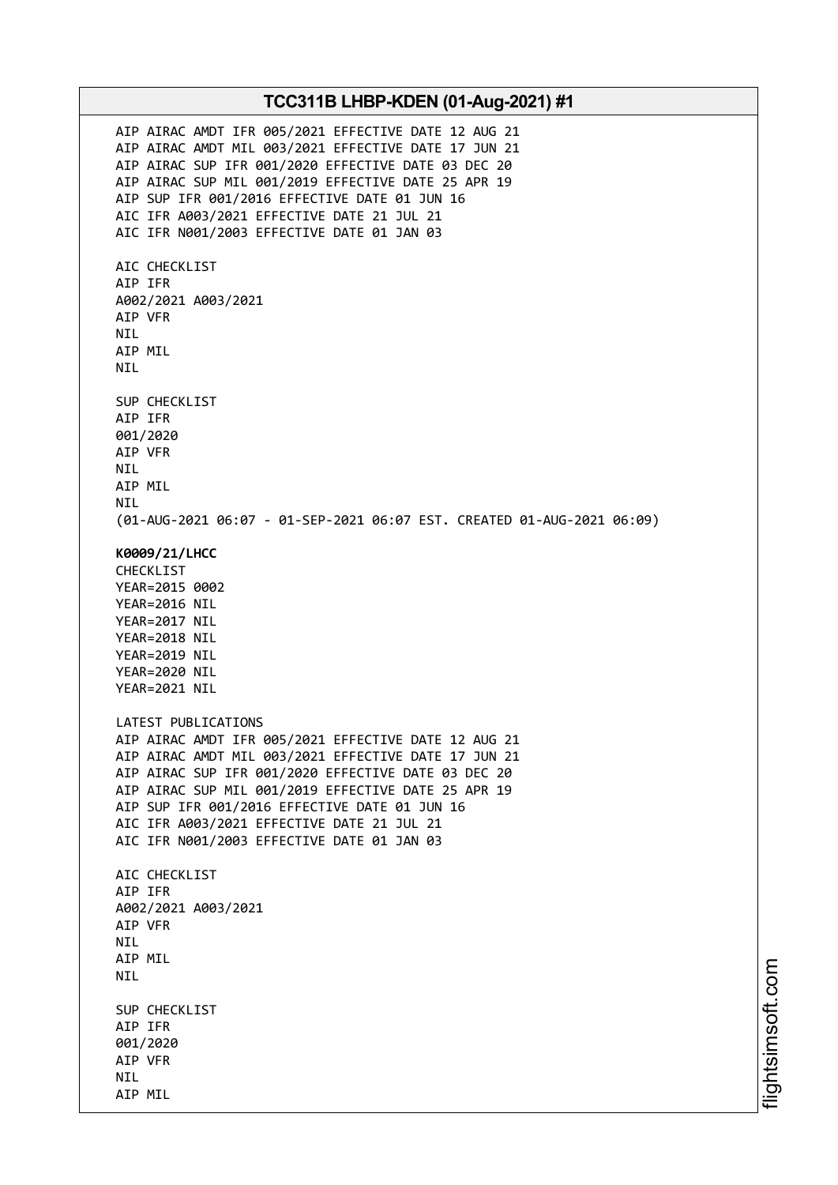AIP AIRAC AMDT IFR 005/2021 EFFECTIVE DATE 12 AUG 21 AIP AIRAC AMDT MIL 003/2021 EFFECTIVE DATE 17 JUN 21 AIP AIRAC SUP IFR 001/2020 EFFECTIVE DATE 03 DEC 20 AIP AIRAC SUP MIL 001/2019 EFFECTIVE DATE 25 APR 19 AIP SUP IFR 001/2016 EFFECTIVE DATE 01 JUN 16 AIC IFR A003/2021 EFFECTIVE DATE 21 JUL 21 AIC IFR N001/2003 EFFECTIVE DATE 01 JAN 03 AIC CHECKLIST AIP IFR A002/2021 A003/2021 AIP VFR NIL AIP MIL NIL SUP CHECKLIST AIP IFR 001/2020 AIP VFR NIL AIP MIL NIL (01-AUG-2021 06:07 - 01-SEP-2021 06:07 EST. CREATED 01-AUG-2021 06:09) **K0009/21/LHCC** CHECKLIST YEAR=2015 0002 YEAR=2016 NIL YEAR=2017 NIL YEAR=2018 NIL YEAR=2019 NIL YEAR=2020 NIL YEAR=2021 NIL LATEST PUBLICATIONS AIP AIRAC AMDT IFR 005/2021 EFFECTIVE DATE 12 AUG 21 AIP AIRAC AMDT MIL 003/2021 EFFECTIVE DATE 17 JUN 21 AIP AIRAC SUP IFR 001/2020 EFFECTIVE DATE 03 DEC 20 AIP AIRAC SUP MIL 001/2019 EFFECTIVE DATE 25 APR 19 AIP SUP IFR 001/2016 EFFECTIVE DATE 01 JUN 16 AIC IFR A003/2021 EFFECTIVE DATE 21 JUL 21 AIC IFR N001/2003 EFFECTIVE DATE 01 JAN 03 AIC CHECKLIST AIP IFR A002/2021 A003/2021 AIP VFR NIL AIP MIL NIL SUP CHECKLIST AIP IFR 001/2020 AIP VFR NIL AIP MIL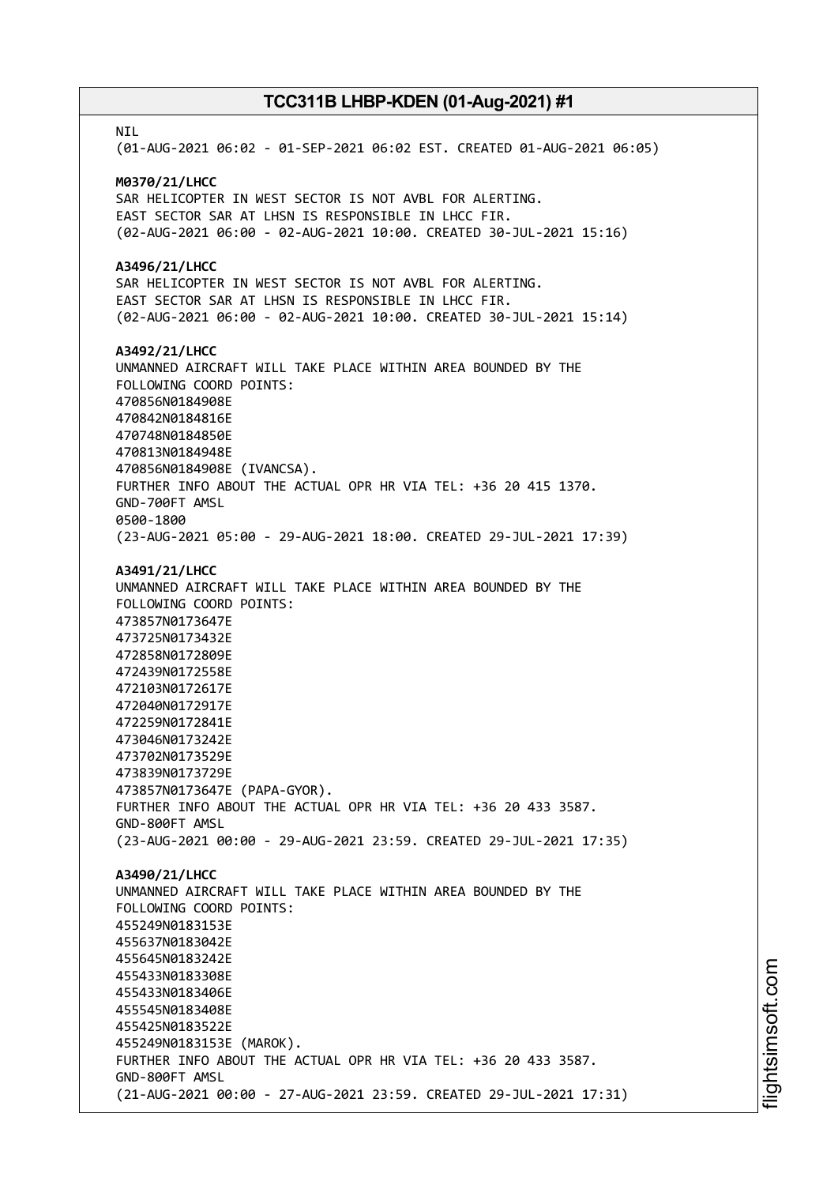**NTI** (01-AUG-2021 06:02 - 01-SEP-2021 06:02 EST. CREATED 01-AUG-2021 06:05) **M0370/21/LHCC** SAR HELICOPTER IN WEST SECTOR IS NOT AVBL FOR ALERTING. EAST SECTOR SAR AT LHSN IS RESPONSIBLE IN LHCC FIR. (02-AUG-2021 06:00 - 02-AUG-2021 10:00. CREATED 30-JUL-2021 15:16) **A3496/21/LHCC** SAR HELICOPTER IN WEST SECTOR IS NOT AVBL FOR ALERTING. EAST SECTOR SAR AT LHSN IS RESPONSIBLE IN LHCC FIR. (02-AUG-2021 06:00 - 02-AUG-2021 10:00. CREATED 30-JUL-2021 15:14) **A3492/21/LHCC** UNMANNED AIRCRAFT WILL TAKE PLACE WITHIN AREA BOUNDED BY THE FOLLOWING COORD POINTS: 470856N0184908E 470842N0184816E 470748N0184850E 470813N0184948E 470856N0184908E (IVANCSA). FURTHER INFO ABOUT THE ACTUAL OPR HR VIA TEL: +36 20 415 1370. GND-700FT AMSL 0500-1800 (23-AUG-2021 05:00 - 29-AUG-2021 18:00. CREATED 29-JUL-2021 17:39) **A3491/21/LHCC** UNMANNED AIRCRAFT WILL TAKE PLACE WITHIN AREA BOUNDED BY THE FOLLOWING COORD POINTS: 473857N0173647E 473725N0173432E 472858N0172809E 472439N0172558E 472103N0172617E 472040N0172917E 472259N0172841E 473046N0173242E 473702N0173529E 473839N0173729E 473857N0173647E (PAPA-GYOR). FURTHER INFO ABOUT THE ACTUAL OPR HR VIA TEL: +36 20 433 3587. GND-800FT AMSL (23-AUG-2021 00:00 - 29-AUG-2021 23:59. CREATED 29-JUL-2021 17:35) **A3490/21/LHCC** UNMANNED AIRCRAFT WILL TAKE PLACE WITHIN AREA BOUNDED BY THE FOLLOWING COORD POINTS: 455249N0183153E 455637N0183042E 455645N0183242E 455433N0183308E 455433N0183406E 455545N0183408E 455425N0183522E 455249N0183153E (MAROK). FURTHER INFO ABOUT THE ACTUAL OPR HR VIA TEL: +36 20 433 3587. GND-800FT AMSL (21-AUG-2021 00:00 - 27-AUG-2021 23:59. CREATED 29-JUL-2021 17:31)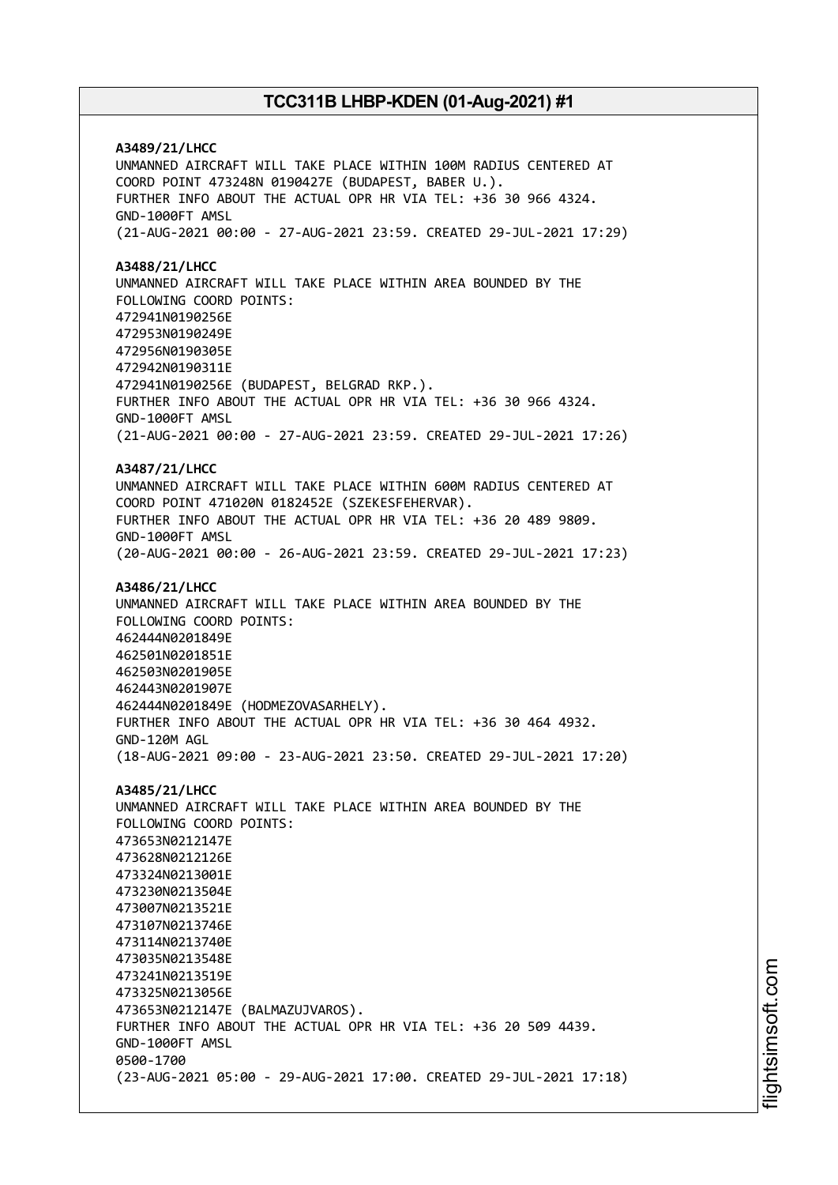**A3489/21/LHCC** UNMANNED AIRCRAFT WILL TAKE PLACE WITHIN 100M RADIUS CENTERED AT COORD POINT 473248N 0190427E (BUDAPEST, BABER U.). FURTHER INFO ABOUT THE ACTUAL OPR HR VIA TEL: +36 30 966 4324. GND-1000FT AMSL (21-AUG-2021 00:00 - 27-AUG-2021 23:59. CREATED 29-JUL-2021 17:29) **A3488/21/LHCC** UNMANNED AIRCRAFT WILL TAKE PLACE WITHIN AREA BOUNDED BY THE FOLLOWING COORD POINTS: 472941N0190256E 472953N0190249E 472956N0190305E 472942N0190311E 472941N0190256E (BUDAPEST, BELGRAD RKP.). FURTHER INFO ABOUT THE ACTUAL OPR HR VIA TEL: +36 30 966 4324. GND-1000FT AMSL (21-AUG-2021 00:00 - 27-AUG-2021 23:59. CREATED 29-JUL-2021 17:26) **A3487/21/LHCC** UNMANNED AIRCRAFT WILL TAKE PLACE WITHIN 600M RADIUS CENTERED AT COORD POINT 471020N 0182452E (SZEKESFEHERVAR). FURTHER INFO ABOUT THE ACTUAL OPR HR VIA TEL: +36 20 489 9809. GND-1000FT AMSL (20-AUG-2021 00:00 - 26-AUG-2021 23:59. CREATED 29-JUL-2021 17:23) **A3486/21/LHCC** UNMANNED AIRCRAFT WILL TAKE PLACE WITHIN AREA BOUNDED BY THE FOLLOWING COORD POINTS: 462444N0201849E 462501N0201851E 462503N0201905E 462443N0201907E 462444N0201849E (HODMEZOVASARHELY). FURTHER INFO ABOUT THE ACTUAL OPR HR VIA TEL: +36 30 464 4932. GND-120M AGL (18-AUG-2021 09:00 - 23-AUG-2021 23:50. CREATED 29-JUL-2021 17:20) **A3485/21/LHCC** UNMANNED AIRCRAFT WILL TAKE PLACE WITHIN AREA BOUNDED BY THE FOLLOWING COORD POINTS: 473653N0212147E 473628N0212126E 473324N0213001E 473230N0213504E 473007N0213521E 473107N0213746E 473114N0213740E 473035N0213548E 473241N0213519E 473325N0213056E 473653N0212147E (BALMAZUJVAROS). FURTHER INFO ABOUT THE ACTUAL OPR HR VIA TEL: +36 20 509 4439. GND-1000FT AMSL 0500-1700 (23-AUG-2021 05:00 - 29-AUG-2021 17:00. CREATED 29-JUL-2021 17:18)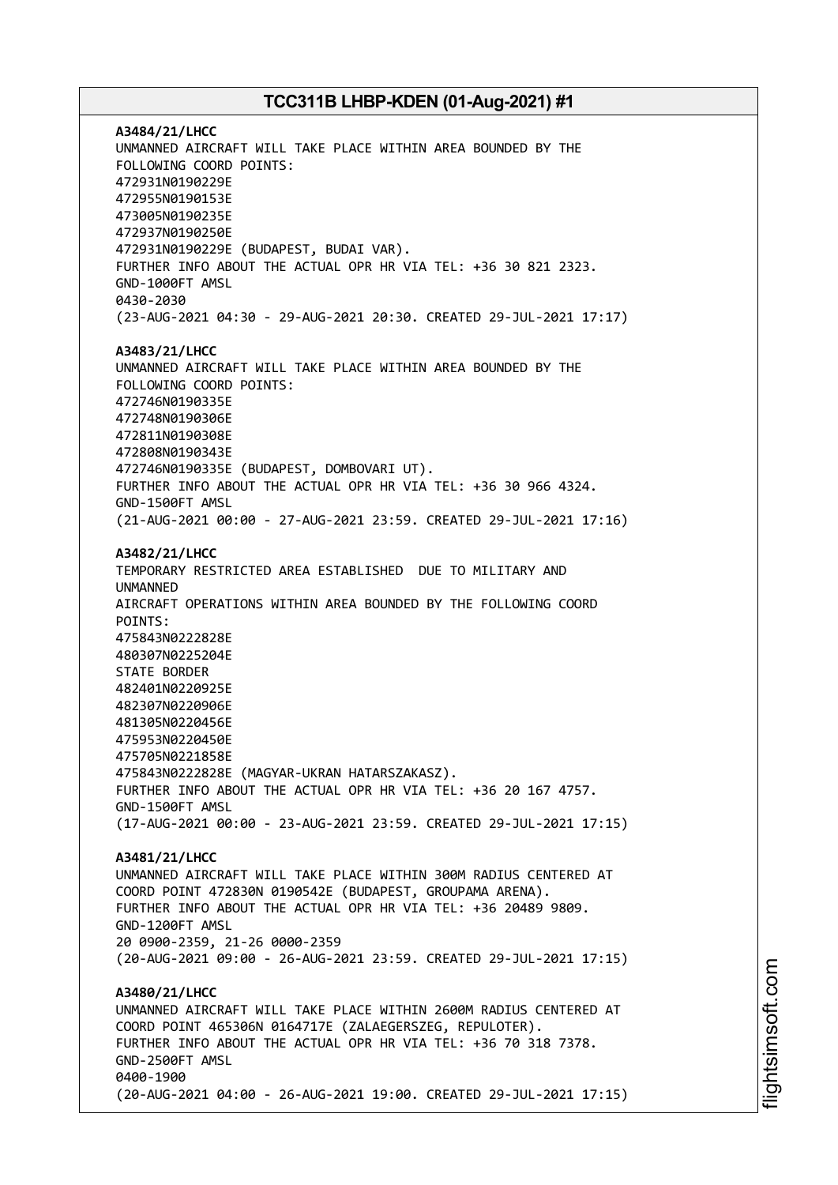**A3484/21/LHCC** UNMANNED AIRCRAFT WILL TAKE PLACE WITHIN AREA BOUNDED BY THE FOLLOWING COORD POINTS: 472931N0190229E 472955N0190153E 473005N0190235E 472937N0190250E 472931N0190229E (BUDAPEST, BUDAI VAR). FURTHER INFO ABOUT THE ACTUAL OPR HR VIA TEL: +36 30 821 2323. GND-1000FT AMSL 0430-2030 (23-AUG-2021 04:30 - 29-AUG-2021 20:30. CREATED 29-JUL-2021 17:17) **A3483/21/LHCC** UNMANNED AIRCRAFT WILL TAKE PLACE WITHIN AREA BOUNDED BY THE FOLLOWING COORD POINTS: 472746N0190335E 472748N0190306E 472811N0190308E 472808N0190343E 472746N0190335E (BUDAPEST, DOMBOVARI UT). FURTHER INFO ABOUT THE ACTUAL OPR HR VIA TEL: +36 30 966 4324. GND-1500FT AMSL (21-AUG-2021 00:00 - 27-AUG-2021 23:59. CREATED 29-JUL-2021 17:16) **A3482/21/LHCC** TEMPORARY RESTRICTED AREA ESTABLISHED DUE TO MILITARY AND UNMANNED AIRCRAFT OPERATIONS WITHIN AREA BOUNDED BY THE FOLLOWING COORD POINTS: 475843N0222828E 480307N0225204E STATE BORDER 482401N0220925E 482307N0220906E 481305N0220456E 475953N0220450E 475705N0221858E 475843N0222828E (MAGYAR-UKRAN HATARSZAKASZ). FURTHER INFO ABOUT THE ACTUAL OPR HR VIA TEL: +36 20 167 4757. GND-1500FT AMSL (17-AUG-2021 00:00 - 23-AUG-2021 23:59. CREATED 29-JUL-2021 17:15) **A3481/21/LHCC** UNMANNED AIRCRAFT WILL TAKE PLACE WITHIN 300M RADIUS CENTERED AT COORD POINT 472830N 0190542E (BUDAPEST, GROUPAMA ARENA). FURTHER INFO ABOUT THE ACTUAL OPR HR VIA TEL: +36 20489 9809. GND-1200FT AMSL 20 0900-2359, 21-26 0000-2359 (20-AUG-2021 09:00 - 26-AUG-2021 23:59. CREATED 29-JUL-2021 17:15) **A3480/21/LHCC** UNMANNED AIRCRAFT WILL TAKE PLACE WITHIN 2600M RADIUS CENTERED AT COORD POINT 465306N 0164717E (ZALAEGERSZEG, REPULOTER). FURTHER INFO ABOUT THE ACTUAL OPR HR VIA TEL: +36 70 318 7378. GND-2500FT AMSL 0400-1900 (20-AUG-2021 04:00 - 26-AUG-2021 19:00. CREATED 29-JUL-2021 17:15)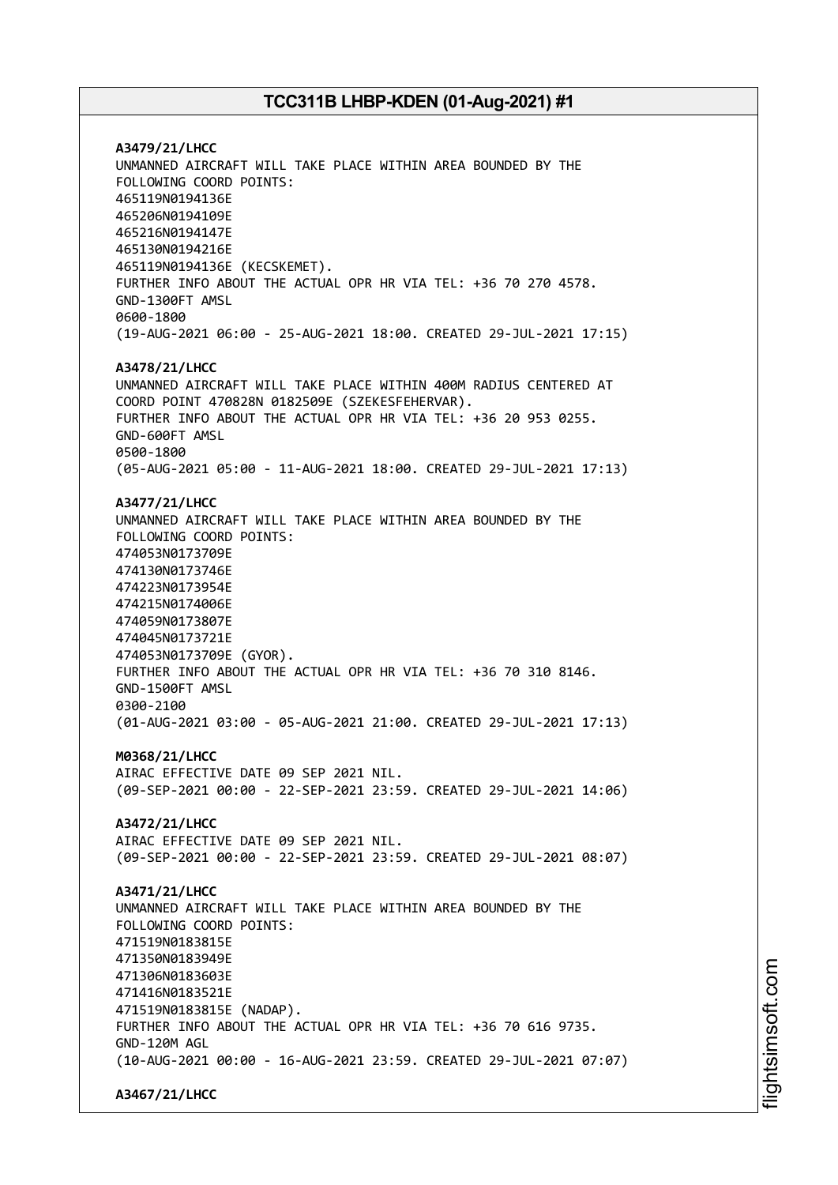**A3479/21/LHCC** UNMANNED AIRCRAFT WILL TAKE PLACE WITHIN AREA BOUNDED BY THE FOLLOWING COORD POINTS: 465119N0194136E 465206N0194109E 465216N0194147E 465130N0194216E 465119N0194136E (KECSKEMET). FURTHER INFO ABOUT THE ACTUAL OPR HR VIA TEL: +36 70 270 4578. GND-1300FT AMSL 0600-1800 (19-AUG-2021 06:00 - 25-AUG-2021 18:00. CREATED 29-JUL-2021 17:15) **A3478/21/LHCC** UNMANNED AIRCRAFT WILL TAKE PLACE WITHIN 400M RADIUS CENTERED AT COORD POINT 470828N 0182509E (SZEKESFEHERVAR). FURTHER INFO ABOUT THE ACTUAL OPR HR VIA TEL: +36 20 953 0255. GND-600FT AMSL 0500-1800 (05-AUG-2021 05:00 - 11-AUG-2021 18:00. CREATED 29-JUL-2021 17:13) **A3477/21/LHCC** UNMANNED AIRCRAFT WILL TAKE PLACE WITHIN AREA BOUNDED BY THE FOLLOWING COORD POINTS: 474053N0173709E 474130N0173746E 474223N0173954E 474215N0174006E 474059N0173807E 474045N0173721E 474053N0173709E (GYOR). FURTHER INFO ABOUT THE ACTUAL OPR HR VIA TEL: +36 70 310 8146. GND-1500FT AMSL 0300-2100 (01-AUG-2021 03:00 - 05-AUG-2021 21:00. CREATED 29-JUL-2021 17:13) **M0368/21/LHCC** AIRAC EFFECTIVE DATE 09 SEP 2021 NIL. (09-SEP-2021 00:00 - 22-SEP-2021 23:59. CREATED 29-JUL-2021 14:06) **A3472/21/LHCC** AIRAC EFFECTIVE DATE 09 SEP 2021 NIL. (09-SEP-2021 00:00 - 22-SEP-2021 23:59. CREATED 29-JUL-2021 08:07) **A3471/21/LHCC** UNMANNED AIRCRAFT WILL TAKE PLACE WITHIN AREA BOUNDED BY THE FOLLOWING COORD POINTS: 471519N0183815E 471350N0183949E 471306N0183603E 471416N0183521E 471519N0183815E (NADAP). FURTHER INFO ABOUT THE ACTUAL OPR HR VIA TEL: +36 70 616 9735. GND-120M AGL (10-AUG-2021 00:00 - 16-AUG-2021 23:59. CREATED 29-JUL-2021 07:07)

**A3467/21/LHCC**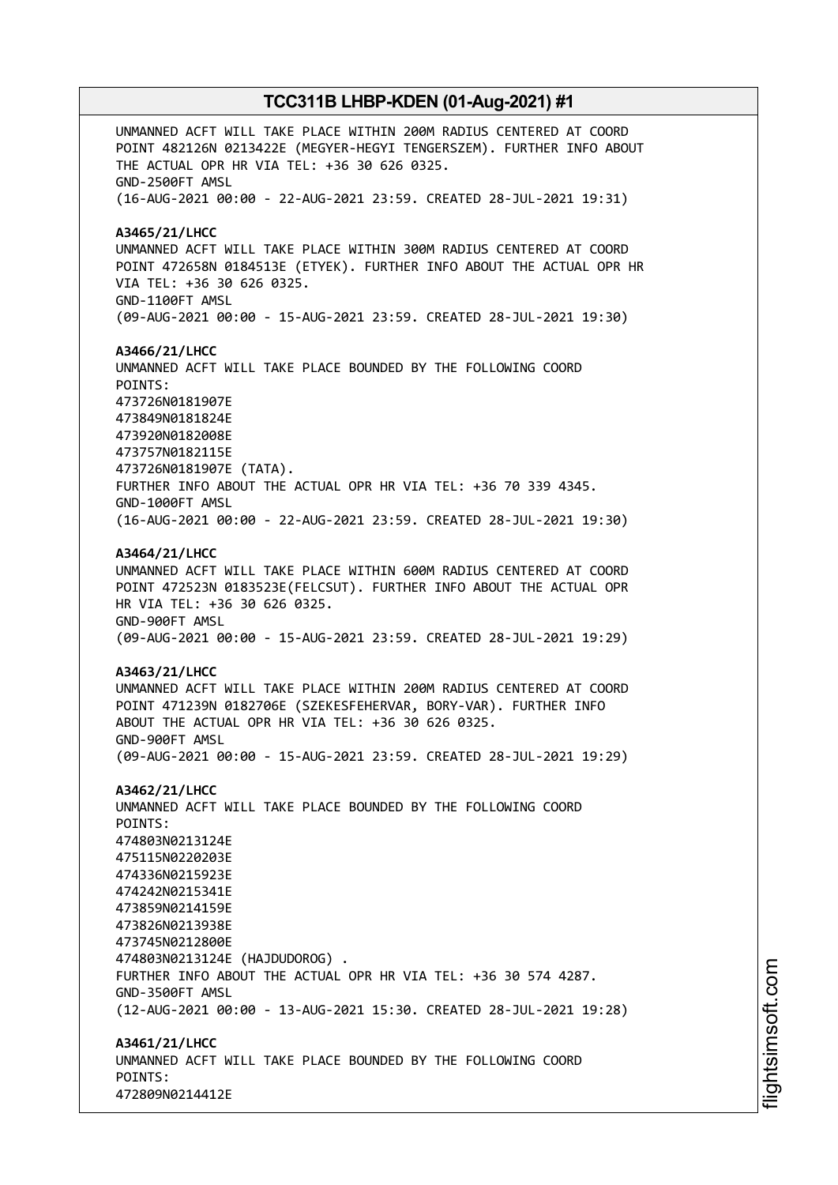UNMANNED ACFT WILL TAKE PLACE WITHIN 200M RADIUS CENTERED AT COORD POINT 482126N 0213422E (MEGYER-HEGYI TENGERSZEM). FURTHER INFO ABOUT THE ACTUAL OPR HR VIA TEL: +36 30 626 0325. GND-2500FT AMSL (16-AUG-2021 00:00 - 22-AUG-2021 23:59. CREATED 28-JUL-2021 19:31) **A3465/21/LHCC** UNMANNED ACFT WILL TAKE PLACE WITHIN 300M RADIUS CENTERED AT COORD POINT 472658N 0184513E (ETYEK). FURTHER INFO ABOUT THE ACTUAL OPR HR VIA TEL: +36 30 626 0325. GND-1100FT AMSL (09-AUG-2021 00:00 - 15-AUG-2021 23:59. CREATED 28-JUL-2021 19:30) **A3466/21/LHCC** UNMANNED ACFT WILL TAKE PLACE BOUNDED BY THE FOLLOWING COORD POINTS: 473726N0181907E 473849N0181824E 473920N0182008E 473757N0182115E 473726N0181907E (TATA). FURTHER INFO ABOUT THE ACTUAL OPR HR VIA TEL: +36 70 339 4345. GND-1000FT AMSL (16-AUG-2021 00:00 - 22-AUG-2021 23:59. CREATED 28-JUL-2021 19:30) **A3464/21/LHCC** UNMANNED ACFT WILL TAKE PLACE WITHIN 600M RADIUS CENTERED AT COORD POINT 472523N 0183523E(FELCSUT). FURTHER INFO ABOUT THE ACTUAL OPR HR VIA TEL: +36 30 626 0325. GND-900FT AMSL (09-AUG-2021 00:00 - 15-AUG-2021 23:59. CREATED 28-JUL-2021 19:29) **A3463/21/LHCC** UNMANNED ACFT WILL TAKE PLACE WITHIN 200M RADIUS CENTERED AT COORD POINT 471239N 0182706E (SZEKESFEHERVAR, BORY-VAR). FURTHER INFO ABOUT THE ACTUAL OPR HR VIA TEL: +36 30 626 0325. GND-900FT AMSL (09-AUG-2021 00:00 - 15-AUG-2021 23:59. CREATED 28-JUL-2021 19:29) **A3462/21/LHCC** UNMANNED ACFT WILL TAKE PLACE BOUNDED BY THE FOLLOWING COORD POINTS: 474803N0213124E 475115N0220203E 474336N0215923E 474242N0215341E 473859N0214159E 473826N0213938E 473745N0212800E 474803N0213124E (HAJDUDOROG) . FURTHER INFO ABOUT THE ACTUAL OPR HR VIA TEL: +36 30 574 4287. GND-3500FT AMSL (12-AUG-2021 00:00 - 13-AUG-2021 15:30. CREATED 28-JUL-2021 19:28) **A3461/21/LHCC** UNMANNED ACFT WILL TAKE PLACE BOUNDED BY THE FOLLOWING COORD POINTS: 472809N0214412E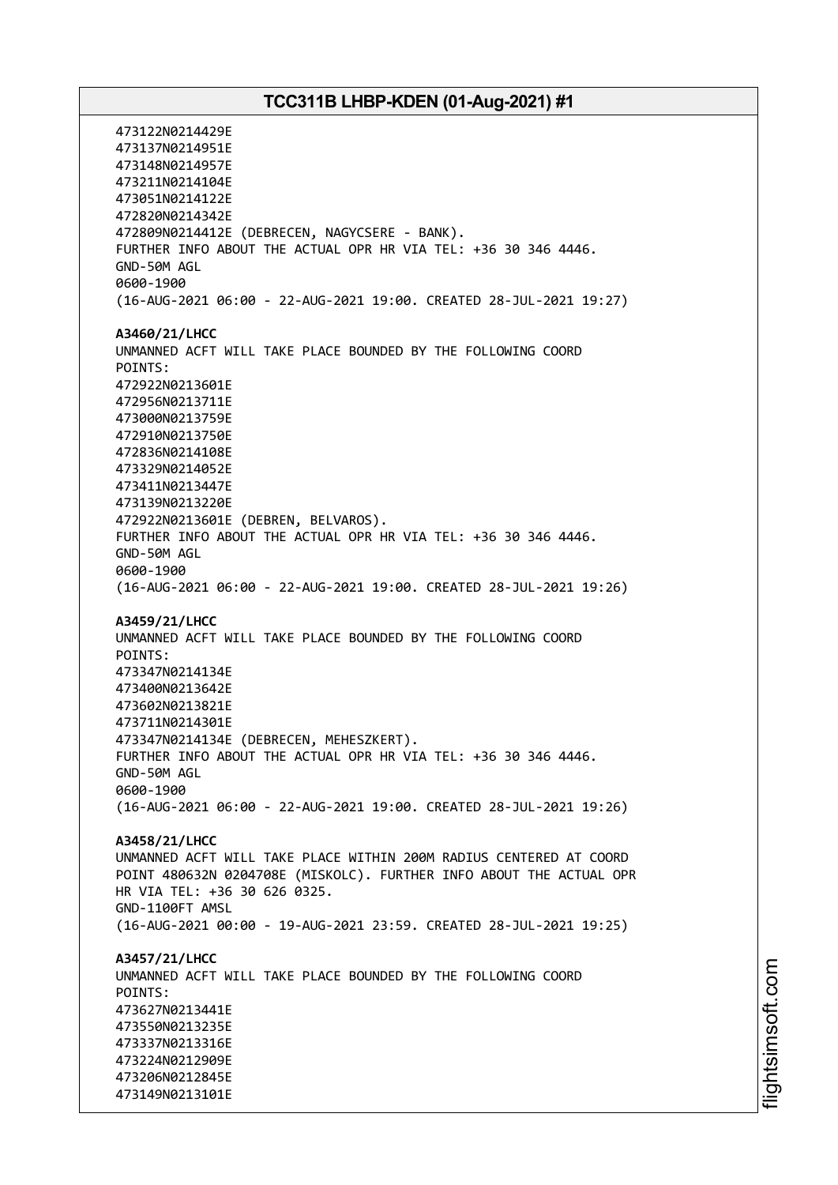473122N0214429E 473137N0214951E 473148N0214957E 473211N0214104E 473051N0214122E 472820N0214342E 472809N0214412E (DEBRECEN, NAGYCSERE - BANK). FURTHER INFO ABOUT THE ACTUAL OPR HR VIA TEL: +36 30 346 4446. GND-50M AGL 0600-1900 (16-AUG-2021 06:00 - 22-AUG-2021 19:00. CREATED 28-JUL-2021 19:27) **A3460/21/LHCC** UNMANNED ACFT WILL TAKE PLACE BOUNDED BY THE FOLLOWING COORD POINTS: 472922N0213601E 472956N0213711E 473000N0213759E 472910N0213750E 472836N0214108E 473329N0214052E 473411N0213447E 473139N0213220E 472922N0213601E (DEBREN, BELVAROS). FURTHER INFO ABOUT THE ACTUAL OPR HR VIA TEL: +36 30 346 4446. GND-50M AGL 0600-1900 (16-AUG-2021 06:00 - 22-AUG-2021 19:00. CREATED 28-JUL-2021 19:26) **A3459/21/LHCC** UNMANNED ACFT WILL TAKE PLACE BOUNDED BY THE FOLLOWING COORD POINTS: 473347N0214134E 473400N0213642E 473602N0213821E 473711N0214301E 473347N0214134E (DEBRECEN, MEHESZKERT). FURTHER INFO ABOUT THE ACTUAL OPR HR VIA TEL: +36 30 346 4446. GND-50M AGL 0600-1900 (16-AUG-2021 06:00 - 22-AUG-2021 19:00. CREATED 28-JUL-2021 19:26) **A3458/21/LHCC** UNMANNED ACFT WILL TAKE PLACE WITHIN 200M RADIUS CENTERED AT COORD POINT 480632N 0204708E (MISKOLC). FURTHER INFO ABOUT THE ACTUAL OPR HR VIA TEL: +36 30 626 0325. GND-1100FT AMSL (16-AUG-2021 00:00 - 19-AUG-2021 23:59. CREATED 28-JUL-2021 19:25) **A3457/21/LHCC** UNMANNED ACFT WILL TAKE PLACE BOUNDED BY THE FOLLOWING COORD POINTS: 473627N0213441E 473550N0213235E 473337N0213316E 473224N0212909E 473206N0212845E 473149N0213101E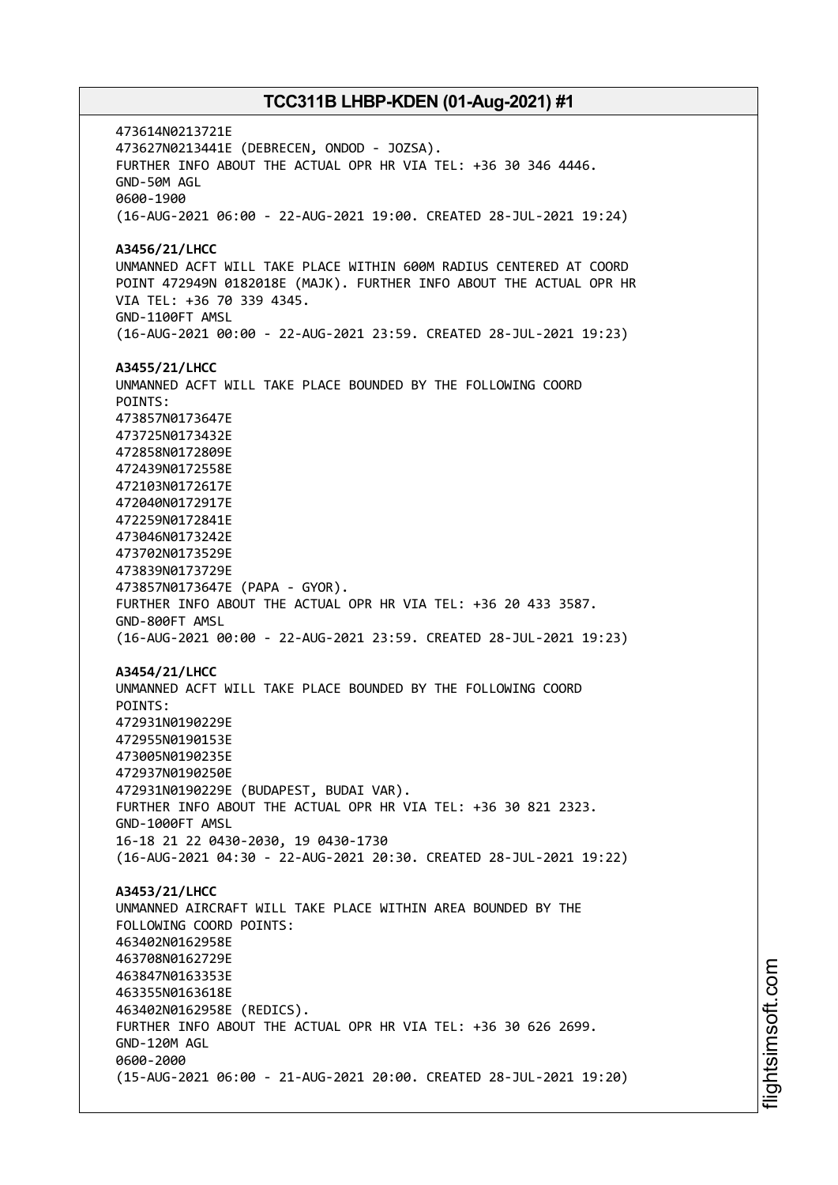473614N0213721E 473627N0213441E (DEBRECEN, ONDOD - JOZSA). FURTHER INFO ABOUT THE ACTUAL OPR HR VIA TEL: +36 30 346 4446. GND-50M AGL 0600-1900 (16-AUG-2021 06:00 - 22-AUG-2021 19:00. CREATED 28-JUL-2021 19:24) **A3456/21/LHCC** UNMANNED ACFT WILL TAKE PLACE WITHIN 600M RADIUS CENTERED AT COORD POINT 472949N 0182018E (MAJK). FURTHER INFO ABOUT THE ACTUAL OPR HR VIA TEL: +36 70 339 4345. GND-1100FT AMSL (16-AUG-2021 00:00 - 22-AUG-2021 23:59. CREATED 28-JUL-2021 19:23) **A3455/21/LHCC** UNMANNED ACFT WILL TAKE PLACE BOUNDED BY THE FOLLOWING COORD POINTS: 473857N0173647E 473725N0173432E 472858N0172809E 472439N0172558E 472103N0172617E 472040N0172917E 472259N0172841E 473046N0173242E 473702N0173529E 473839N0173729E 473857N0173647E (PAPA - GYOR). FURTHER INFO ABOUT THE ACTUAL OPR HR VIA TEL: +36 20 433 3587. GND-800FT AMSL (16-AUG-2021 00:00 - 22-AUG-2021 23:59. CREATED 28-JUL-2021 19:23) **A3454/21/LHCC** UNMANNED ACFT WILL TAKE PLACE BOUNDED BY THE FOLLOWING COORD POINTS: 472931N0190229E 472955N0190153E 473005N0190235E 472937N0190250E 472931N0190229E (BUDAPEST, BUDAI VAR). FURTHER INFO ABOUT THE ACTUAL OPR HR VIA TEL: +36 30 821 2323. GND-1000FT AMSL 16-18 21 22 0430-2030, 19 0430-1730 (16-AUG-2021 04:30 - 22-AUG-2021 20:30. CREATED 28-JUL-2021 19:22) **A3453/21/LHCC** UNMANNED AIRCRAFT WILL TAKE PLACE WITHIN AREA BOUNDED BY THE FOLLOWING COORD POINTS: 463402N0162958E 463708N0162729E 463847N0163353E 463355N0163618E 463402N0162958E (REDICS). FURTHER INFO ABOUT THE ACTUAL OPR HR VIA TEL: +36 30 626 2699. GND-120M AGL 0600-2000 (15-AUG-2021 06:00 - 21-AUG-2021 20:00. CREATED 28-JUL-2021 19:20)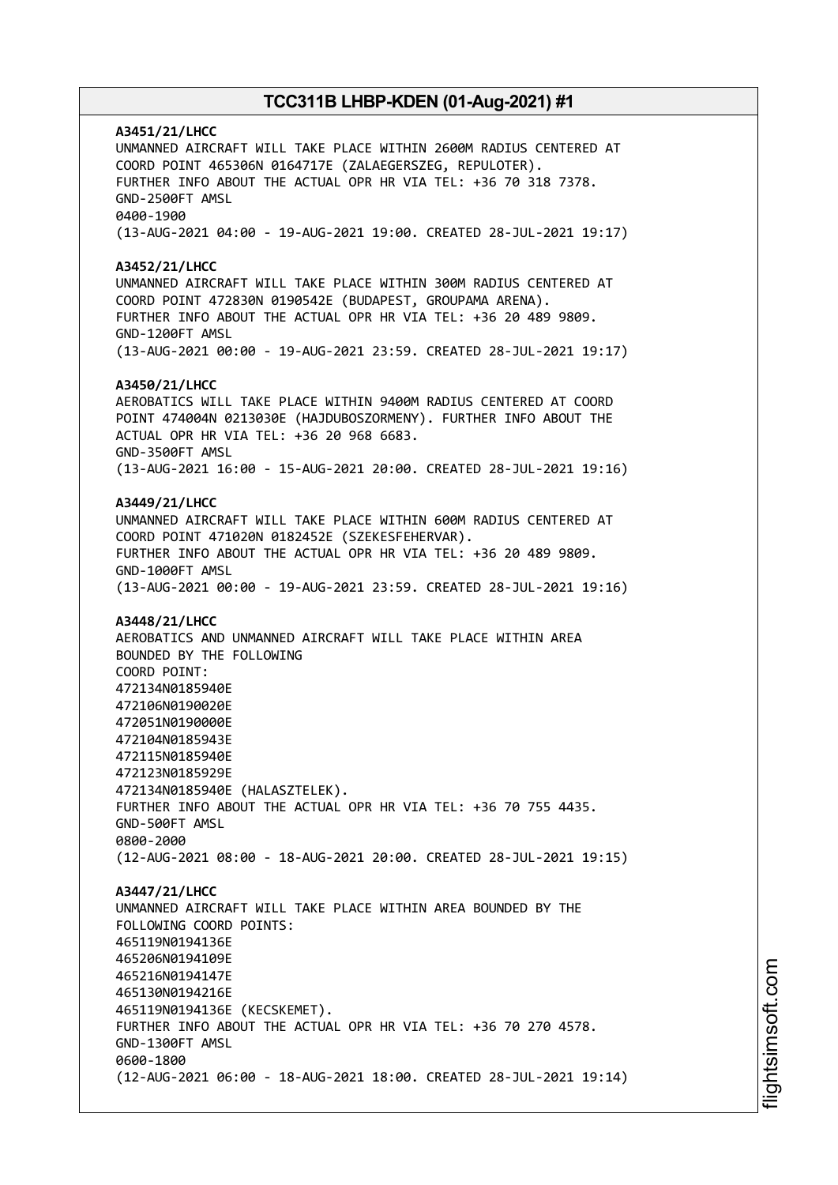**A3451/21/LHCC** UNMANNED AIRCRAFT WILL TAKE PLACE WITHIN 2600M RADIUS CENTERED AT COORD POINT 465306N 0164717E (ZALAEGERSZEG, REPULOTER). FURTHER INFO ABOUT THE ACTUAL OPR HR VIA TEL: +36 70 318 7378. GND-2500FT AMSL 0400-1900 (13-AUG-2021 04:00 - 19-AUG-2021 19:00. CREATED 28-JUL-2021 19:17) **A3452/21/LHCC** UNMANNED AIRCRAFT WILL TAKE PLACE WITHIN 300M RADIUS CENTERED AT COORD POINT 472830N 0190542E (BUDAPEST, GROUPAMA ARENA). FURTHER INFO ABOUT THE ACTUAL OPR HR VIA TEL: +36 20 489 9809. GND-1200FT AMSL (13-AUG-2021 00:00 - 19-AUG-2021 23:59. CREATED 28-JUL-2021 19:17) **A3450/21/LHCC** AEROBATICS WILL TAKE PLACE WITHIN 9400M RADIUS CENTERED AT COORD POINT 474004N 0213030E (HAJDUBOSZORMENY). FURTHER INFO ABOUT THE ACTUAL OPR HR VIA TEL: +36 20 968 6683. GND-3500FT AMSL (13-AUG-2021 16:00 - 15-AUG-2021 20:00. CREATED 28-JUL-2021 19:16) **A3449/21/LHCC** UNMANNED AIRCRAFT WILL TAKE PLACE WITHIN 600M RADIUS CENTERED AT COORD POINT 471020N 0182452E (SZEKESFEHERVAR). FURTHER INFO ABOUT THE ACTUAL OPR HR VIA TEL: +36 20 489 9809. GND-1000FT AMSL (13-AUG-2021 00:00 - 19-AUG-2021 23:59. CREATED 28-JUL-2021 19:16) **A3448/21/LHCC** AEROBATICS AND UNMANNED AIRCRAFT WILL TAKE PLACE WITHIN AREA BOUNDED BY THE FOLLOWING COORD POINT: 472134N0185940E 472106N0190020E 472051N0190000E 472104N0185943E 472115N0185940E 472123N0185929E 472134N0185940E (HALASZTELEK). FURTHER INFO ABOUT THE ACTUAL OPR HR VIA TEL: +36 70 755 4435. GND-500FT AMSL 0800-2000 (12-AUG-2021 08:00 - 18-AUG-2021 20:00. CREATED 28-JUL-2021 19:15) **A3447/21/LHCC** UNMANNED AIRCRAFT WILL TAKE PLACE WITHIN AREA BOUNDED BY THE FOLLOWING COORD POINTS: 465119N0194136E 465206N0194109E 465216N0194147E 465130N0194216E 465119N0194136E (KECSKEMET). FURTHER INFO ABOUT THE ACTUAL OPR HR VIA TEL: +36 70 270 4578. GND-1300FT AMSL 0600-1800 (12-AUG-2021 06:00 - 18-AUG-2021 18:00. CREATED 28-JUL-2021 19:14)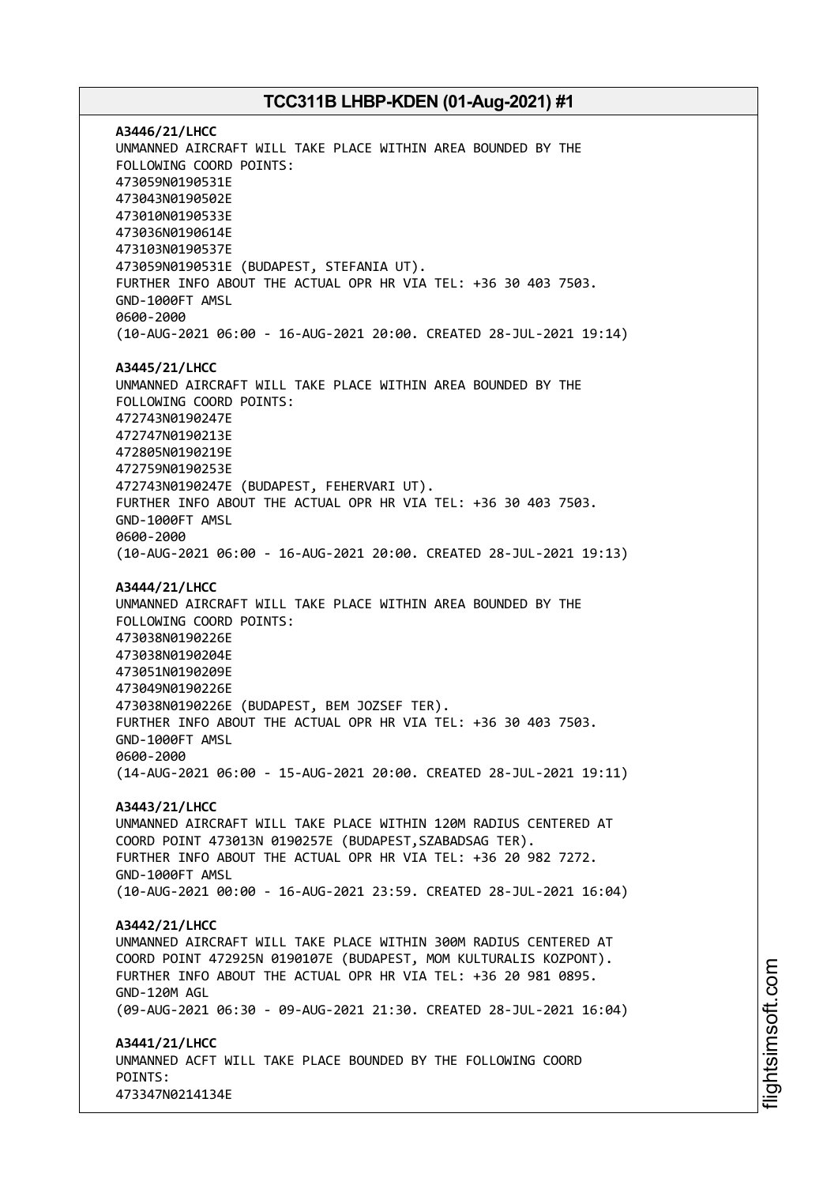**A3446/21/LHCC** UNMANNED AIRCRAFT WILL TAKE PLACE WITHIN AREA BOUNDED BY THE FOLLOWING COORD POINTS: 473059N0190531E 473043N0190502E 473010N0190533E 473036N0190614E 473103N0190537E 473059N0190531E (BUDAPEST, STEFANIA UT). FURTHER INFO ABOUT THE ACTUAL OPR HR VIA TEL: +36 30 403 7503. GND-1000FT AMSL 0600-2000 (10-AUG-2021 06:00 - 16-AUG-2021 20:00. CREATED 28-JUL-2021 19:14) **A3445/21/LHCC** UNMANNED AIRCRAFT WILL TAKE PLACE WITHIN AREA BOUNDED BY THE FOLLOWING COORD POINTS: 472743N0190247E 472747N0190213E 472805N0190219E 472759N0190253E 472743N0190247E (BUDAPEST, FEHERVARI UT). FURTHER INFO ABOUT THE ACTUAL OPR HR VIA TEL: +36 30 403 7503. GND-1000FT AMSL 0600-2000 (10-AUG-2021 06:00 - 16-AUG-2021 20:00. CREATED 28-JUL-2021 19:13) **A3444/21/LHCC** UNMANNED AIRCRAFT WILL TAKE PLACE WITHIN AREA BOUNDED BY THE FOLLOWING COORD POINTS: 473038N0190226E 473038N0190204E 473051N0190209E 473049N0190226E 473038N0190226E (BUDAPEST, BEM JOZSEF TER). FURTHER INFO ABOUT THE ACTUAL OPR HR VIA TEL: +36 30 403 7503. GND-1000FT AMSL 0600-2000 (14-AUG-2021 06:00 - 15-AUG-2021 20:00. CREATED 28-JUL-2021 19:11) **A3443/21/LHCC** UNMANNED AIRCRAFT WILL TAKE PLACE WITHIN 120M RADIUS CENTERED AT COORD POINT 473013N 0190257E (BUDAPEST,SZABADSAG TER). FURTHER INFO ABOUT THE ACTUAL OPR HR VIA TEL: +36 20 982 7272. GND-1000FT AMSL (10-AUG-2021 00:00 - 16-AUG-2021 23:59. CREATED 28-JUL-2021 16:04) **A3442/21/LHCC** UNMANNED AIRCRAFT WILL TAKE PLACE WITHIN 300M RADIUS CENTERED AT COORD POINT 472925N 0190107E (BUDAPEST, MOM KULTURALIS KOZPONT). FURTHER INFO ABOUT THE ACTUAL OPR HR VIA TEL: +36 20 981 0895. GND-120M AGL (09-AUG-2021 06:30 - 09-AUG-2021 21:30. CREATED 28-JUL-2021 16:04) **A3441/21/LHCC** UNMANNED ACFT WILL TAKE PLACE BOUNDED BY THE FOLLOWING COORD POINTS: 473347N0214134E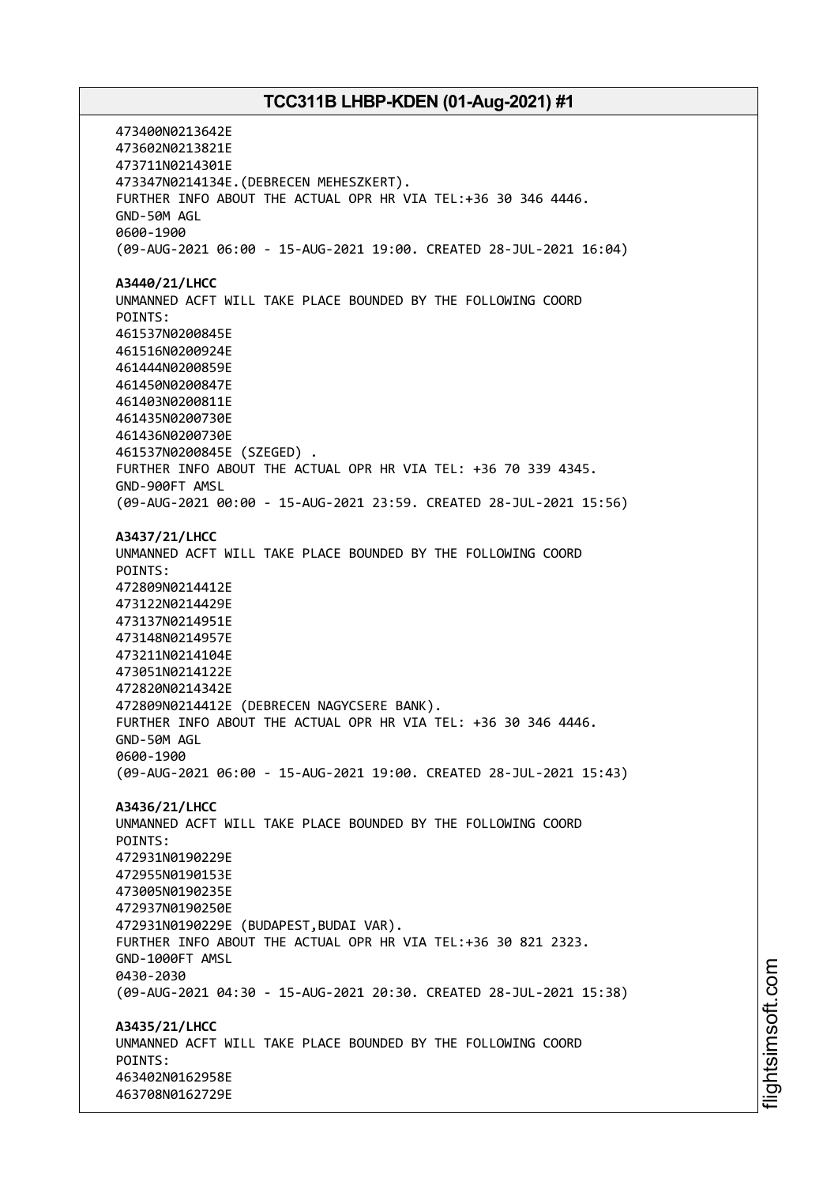473400N0213642E 473602N0213821E 473711N0214301E 473347N0214134E.(DEBRECEN MEHESZKERT). FURTHER INFO ABOUT THE ACTUAL OPR HR VIA TEL:+36 30 346 4446. GND-50M AGL 0600-1900 (09-AUG-2021 06:00 - 15-AUG-2021 19:00. CREATED 28-JUL-2021 16:04) **A3440/21/LHCC** UNMANNED ACFT WILL TAKE PLACE BOUNDED BY THE FOLLOWING COORD POINTS: 461537N0200845E 461516N0200924E 461444N0200859E 461450N0200847E 461403N0200811E 461435N0200730E 461436N0200730E 461537N0200845E (SZEGED) . FURTHER INFO ABOUT THE ACTUAL OPR HR VIA TEL: +36 70 339 4345. GND-900FT AMSL (09-AUG-2021 00:00 - 15-AUG-2021 23:59. CREATED 28-JUL-2021 15:56) **A3437/21/LHCC** UNMANNED ACFT WILL TAKE PLACE BOUNDED BY THE FOLLOWING COORD POINTS: 472809N0214412E 473122N0214429E 473137N0214951E 473148N0214957E 473211N0214104E 473051N0214122E 472820N0214342E 472809N0214412E (DEBRECEN NAGYCSERE BANK). FURTHER INFO ABOUT THE ACTUAL OPR HR VIA TEL: +36 30 346 4446. GND-50M AGL 0600-1900 (09-AUG-2021 06:00 - 15-AUG-2021 19:00. CREATED 28-JUL-2021 15:43) **A3436/21/LHCC** UNMANNED ACFT WILL TAKE PLACE BOUNDED BY THE FOLLOWING COORD POINTS: 472931N0190229E 472955N0190153E 473005N0190235E 472937N0190250E 472931N0190229E (BUDAPEST,BUDAI VAR). FURTHER INFO ABOUT THE ACTUAL OPR HR VIA TEL:+36 30 821 2323. GND-1000FT AMSL 0430-2030 (09-AUG-2021 04:30 - 15-AUG-2021 20:30. CREATED 28-JUL-2021 15:38) **A3435/21/LHCC** UNMANNED ACFT WILL TAKE PLACE BOUNDED BY THE FOLLOWING COORD POINTS: 463402N0162958E 463708N0162729E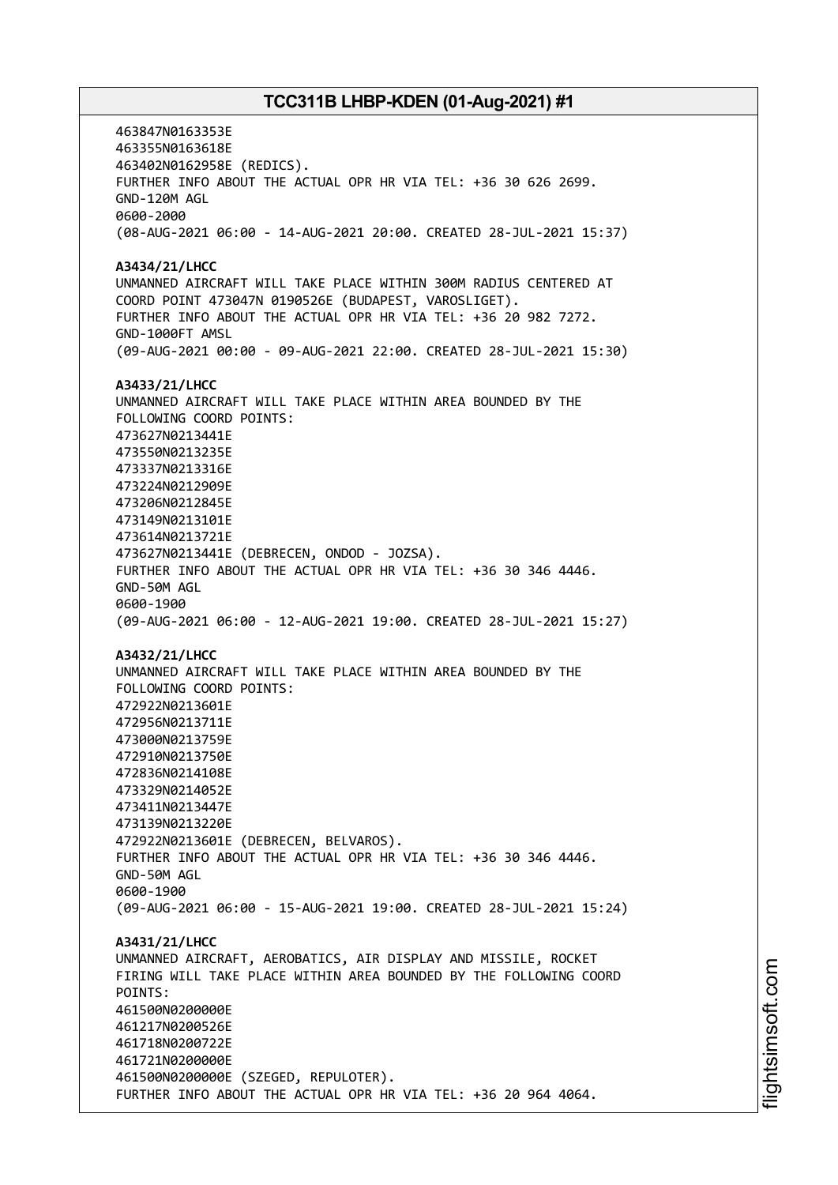463847N0163353E 463355N0163618E 463402N0162958E (REDICS). FURTHER INFO ABOUT THE ACTUAL OPR HR VIA TEL: +36 30 626 2699. GND-120M AGL 0600-2000 (08-AUG-2021 06:00 - 14-AUG-2021 20:00. CREATED 28-JUL-2021 15:37) **A3434/21/LHCC** UNMANNED AIRCRAFT WILL TAKE PLACE WITHIN 300M RADIUS CENTERED AT COORD POINT 473047N 0190526E (BUDAPEST, VAROSLIGET). FURTHER INFO ABOUT THE ACTUAL OPR HR VIA TEL: +36 20 982 7272. GND-1000FT AMSL (09-AUG-2021 00:00 - 09-AUG-2021 22:00. CREATED 28-JUL-2021 15:30) **A3433/21/LHCC** UNMANNED AIRCRAFT WILL TAKE PLACE WITHIN AREA BOUNDED BY THE FOLLOWING COORD POINTS: 473627N0213441E 473550N0213235E 473337N0213316E 473224N0212909E 473206N0212845E 473149N0213101E 473614N0213721E 473627N0213441E (DEBRECEN, ONDOD - JOZSA). FURTHER INFO ABOUT THE ACTUAL OPR HR VIA TEL: +36 30 346 4446. GND-50M AGL 0600-1900 (09-AUG-2021 06:00 - 12-AUG-2021 19:00. CREATED 28-JUL-2021 15:27) **A3432/21/LHCC** UNMANNED AIRCRAFT WILL TAKE PLACE WITHIN AREA BOUNDED BY THE FOLLOWING COORD POINTS: 472922N0213601E 472956N0213711E 473000N0213759E 472910N0213750E 472836N0214108E 473329N0214052E 473411N0213447E 473139N0213220E 472922N0213601E (DEBRECEN, BELVAROS). FURTHER INFO ABOUT THE ACTUAL OPR HR VIA TEL: +36 30 346 4446. GND-50M AGL 0600-1900 (09-AUG-2021 06:00 - 15-AUG-2021 19:00. CREATED 28-JUL-2021 15:24) **A3431/21/LHCC** UNMANNED AIRCRAFT, AEROBATICS, AIR DISPLAY AND MISSILE, ROCKET FIRING WILL TAKE PLACE WITHIN AREA BOUNDED BY THE FOLLOWING COORD POINTS: 461500N0200000E 461217N0200526E 461718N0200722E 461721N0200000E 461500N0200000E (SZEGED, REPULOTER). FURTHER INFO ABOUT THE ACTUAL OPR HR VIA TEL: +36 20 964 4064.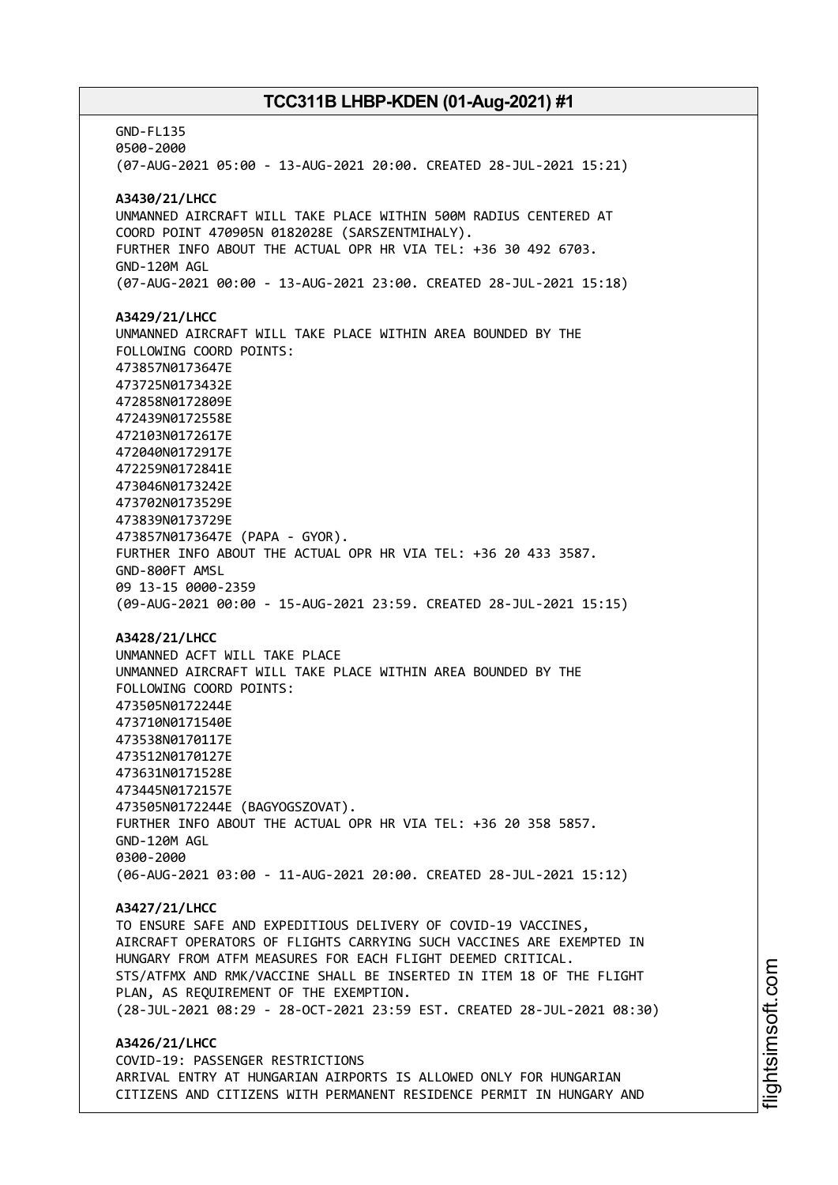GND-FL135 0500-2000 (07-AUG-2021 05:00 - 13-AUG-2021 20:00. CREATED 28-JUL-2021 15:21) **A3430/21/LHCC** UNMANNED AIRCRAFT WILL TAKE PLACE WITHIN 500M RADIUS CENTERED AT COORD POINT 470905N 0182028E (SARSZENTMIHALY). FURTHER INFO ABOUT THE ACTUAL OPR HR VIA TEL: +36 30 492 6703. GND-120M AGL (07-AUG-2021 00:00 - 13-AUG-2021 23:00. CREATED 28-JUL-2021 15:18) **A3429/21/LHCC** UNMANNED AIRCRAFT WILL TAKE PLACE WITHIN AREA BOUNDED BY THE FOLLOWING COORD POINTS: 473857N0173647E 473725N0173432E 472858N0172809E 472439N0172558E 472103N0172617E 472040N0172917E 472259N0172841E 473046N0173242E 473702N0173529E 473839N0173729E 473857N0173647E (PAPA - GYOR). FURTHER INFO ABOUT THE ACTUAL OPR HR VIA TEL: +36 20 433 3587. GND-800FT AMSL 09 13-15 0000-2359 (09-AUG-2021 00:00 - 15-AUG-2021 23:59. CREATED 28-JUL-2021 15:15) **A3428/21/LHCC** UNMANNED ACFT WILL TAKE PLACE UNMANNED AIRCRAFT WILL TAKE PLACE WITHIN AREA BOUNDED BY THE FOLLOWING COORD POINTS: 473505N0172244E 473710N0171540E 473538N0170117E 473512N0170127E 473631N0171528E 473445N0172157E 473505N0172244E (BAGYOGSZOVAT). FURTHER INFO ABOUT THE ACTUAL OPR HR VIA TEL: +36 20 358 5857. GND-120M AGL 0300-2000 (06-AUG-2021 03:00 - 11-AUG-2021 20:00. CREATED 28-JUL-2021 15:12) **A3427/21/LHCC** TO ENSURE SAFE AND EXPEDITIOUS DELIVERY OF COVID-19 VACCINES, AIRCRAFT OPERATORS OF FLIGHTS CARRYING SUCH VACCINES ARE EXEMPTED IN HUNGARY FROM ATFM MEASURES FOR EACH FLIGHT DEEMED CRITICAL. STS/ATFMX AND RMK/VACCINE SHALL BE INSERTED IN ITEM 18 OF THE FLIGHT PLAN, AS REQUIREMENT OF THE EXEMPTION. (28-JUL-2021 08:29 - 28-OCT-2021 23:59 EST. CREATED 28-JUL-2021 08:30) **A3426/21/LHCC** COVID-19: PASSENGER RESTRICTIONS ARRIVAL ENTRY AT HUNGARIAN AIRPORTS IS ALLOWED ONLY FOR HUNGARIAN CITIZENS AND CITIZENS WITH PERMANENT RESIDENCE PERMIT IN HUNGARY AND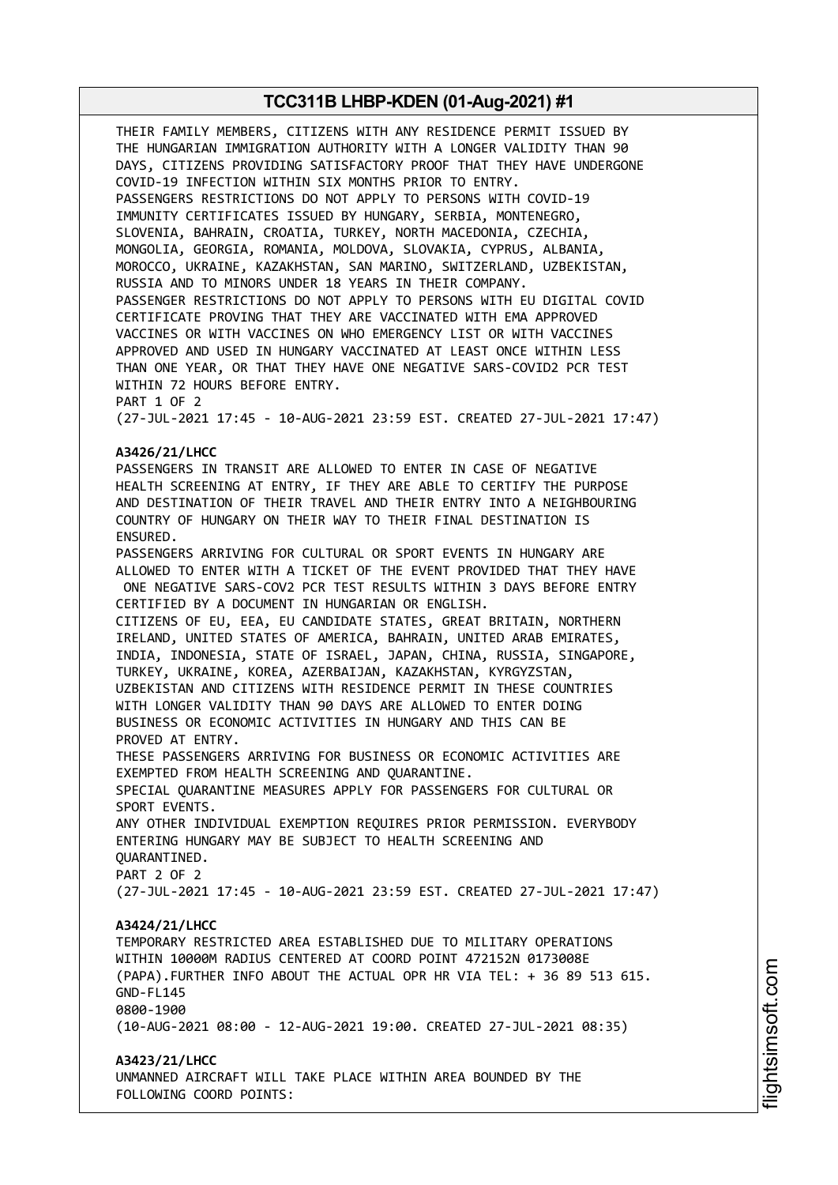THEIR FAMILY MEMBERS, CITIZENS WITH ANY RESIDENCE PERMIT ISSUED BY THE HUNGARIAN IMMIGRATION AUTHORITY WITH A LONGER VALIDITY THAN 90 DAYS, CITIZENS PROVIDING SATISFACTORY PROOF THAT THEY HAVE UNDERGONE COVID-19 INFECTION WITHIN SIX MONTHS PRIOR TO ENTRY. PASSENGERS RESTRICTIONS DO NOT APPLY TO PERSONS WITH COVID-19 IMMUNITY CERTIFICATES ISSUED BY HUNGARY, SERBIA, MONTENEGRO, SLOVENIA, BAHRAIN, CROATIA, TURKEY, NORTH MACEDONIA, CZECHIA, MONGOLIA, GEORGIA, ROMANIA, MOLDOVA, SLOVAKIA, CYPRUS, ALBANIA, MOROCCO, UKRAINE, KAZAKHSTAN, SAN MARINO, SWITZERLAND, UZBEKISTAN, RUSSIA AND TO MINORS UNDER 18 YEARS IN THEIR COMPANY. PASSENGER RESTRICTIONS DO NOT APPLY TO PERSONS WITH EU DIGITAL COVID CERTIFICATE PROVING THAT THEY ARE VACCINATED WITH EMA APPROVED VACCINES OR WITH VACCINES ON WHO EMERGENCY LIST OR WITH VACCINES APPROVED AND USED IN HUNGARY VACCINATED AT LEAST ONCE WITHIN LESS THAN ONE YEAR, OR THAT THEY HAVE ONE NEGATIVE SARS-COVID2 PCR TEST WITHIN 72 HOURS BEFORE ENTRY. PART 1 OF 2 (27-JUL-2021 17:45 - 10-AUG-2021 23:59 EST. CREATED 27-JUL-2021 17:47) **A3426/21/LHCC** PASSENGERS IN TRANSIT ARE ALLOWED TO ENTER IN CASE OF NEGATIVE HEALTH SCREENING AT ENTRY, IF THEY ARE ABLE TO CERTIFY THE PURPOSE AND DESTINATION OF THEIR TRAVEL AND THEIR ENTRY INTO A NEIGHBOURING COUNTRY OF HUNGARY ON THEIR WAY TO THEIR FINAL DESTINATION IS ENSURED. PASSENGERS ARRIVING FOR CULTURAL OR SPORT EVENTS IN HUNGARY ARE ALLOWED TO ENTER WITH A TICKET OF THE EVENT PROVIDED THAT THEY HAVE ONE NEGATIVE SARS-COV2 PCR TEST RESULTS WITHIN 3 DAYS BEFORE ENTRY CERTIFIED BY A DOCUMENT IN HUNGARIAN OR ENGLISH. CITIZENS OF EU, EEA, EU CANDIDATE STATES, GREAT BRITAIN, NORTHERN IRELAND, UNITED STATES OF AMERICA, BAHRAIN, UNITED ARAB EMIRATES, INDIA, INDONESIA, STATE OF ISRAEL, JAPAN, CHINA, RUSSIA, SINGAPORE, TURKEY, UKRAINE, KOREA, AZERBAIJAN, KAZAKHSTAN, KYRGYZSTAN, UZBEKISTAN AND CITIZENS WITH RESIDENCE PERMIT IN THESE COUNTRIES WITH LONGER VALIDITY THAN 90 DAYS ARE ALLOWED TO ENTER DOING BUSINESS OR ECONOMIC ACTIVITIES IN HUNGARY AND THIS CAN BE PROVED AT ENTRY. THESE PASSENGERS ARRIVING FOR BUSINESS OR ECONOMIC ACTIVITIES ARE EXEMPTED FROM HEALTH SCREENING AND QUARANTINE. SPECIAL QUARANTINE MEASURES APPLY FOR PASSENGERS FOR CULTURAL OR SPORT EVENTS. ANY OTHER INDIVIDUAL EXEMPTION REQUIRES PRIOR PERMISSION. EVERYBODY ENTERING HUNGARY MAY BE SUBJECT TO HEALTH SCREENING AND QUARANTINED. PART 2 OF 2 (27-JUL-2021 17:45 - 10-AUG-2021 23:59 EST. CREATED 27-JUL-2021 17:47) **A3424/21/LHCC** TEMPORARY RESTRICTED AREA ESTABLISHED DUE TO MILITARY OPERATIONS WITHIN 10000M RADIUS CENTERED AT COORD POINT 472152N 0173008E (PAPA).FURTHER INFO ABOUT THE ACTUAL OPR HR VIA TEL: + 36 89 513 615. GND-FL145 0800-1900 (10-AUG-2021 08:00 - 12-AUG-2021 19:00. CREATED 27-JUL-2021 08:35) **A3423/21/LHCC** UNMANNED AIRCRAFT WILL TAKE PLACE WITHIN AREA BOUNDED BY THE FOLLOWING COORD POINTS: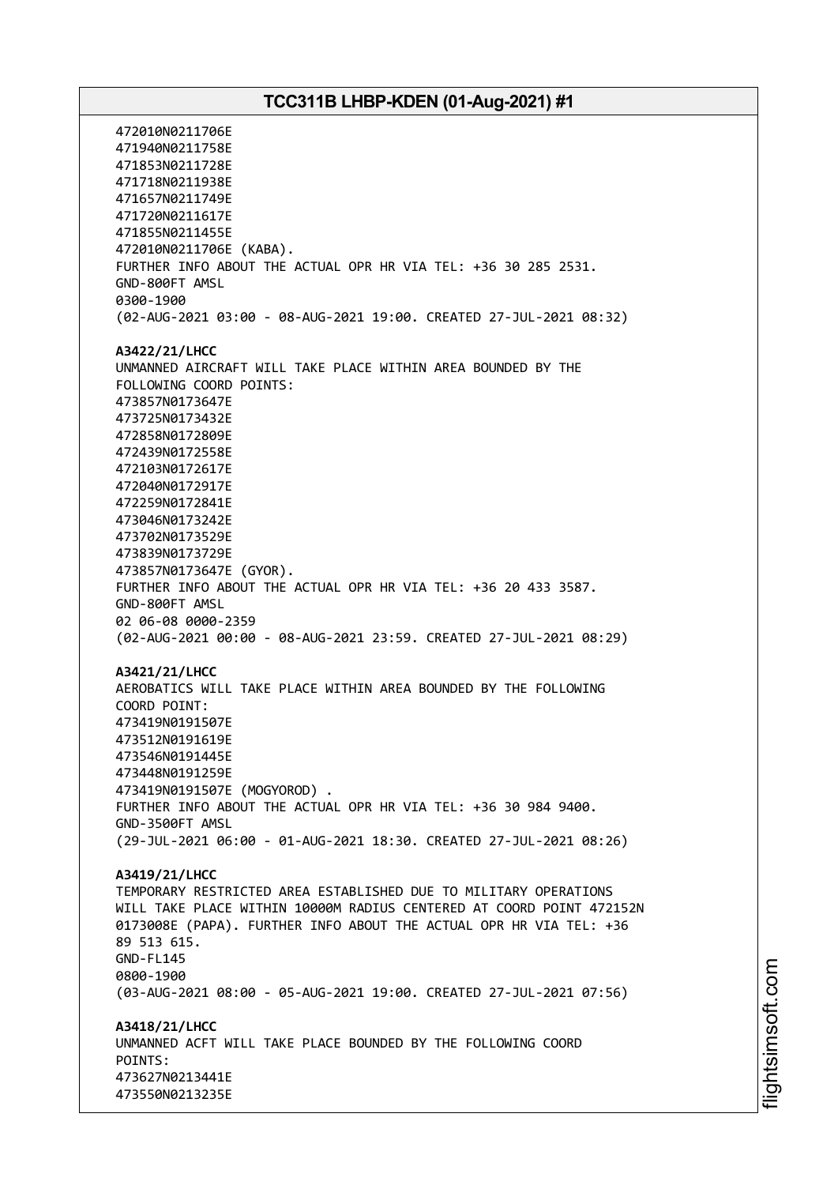472010N0211706E 471940N0211758E 471853N0211728E 471718N0211938E 471657N0211749E 471720N0211617E 471855N0211455E 472010N0211706E (KABA). FURTHER INFO ABOUT THE ACTUAL OPR HR VIA TEL: +36 30 285 2531. GND-800FT AMSL 0300-1900 (02-AUG-2021 03:00 - 08-AUG-2021 19:00. CREATED 27-JUL-2021 08:32) **A3422/21/LHCC** UNMANNED AIRCRAFT WILL TAKE PLACE WITHIN AREA BOUNDED BY THE FOLLOWING COORD POINTS: 473857N0173647E 473725N0173432E 472858N0172809E 472439N0172558E 472103N0172617E 472040N0172917E 472259N0172841E 473046N0173242E 473702N0173529E 473839N0173729E 473857N0173647E (GYOR). FURTHER INFO ABOUT THE ACTUAL OPR HR VIA TEL: +36 20 433 3587. GND-800FT AMSL 02 06-08 0000-2359 (02-AUG-2021 00:00 - 08-AUG-2021 23:59. CREATED 27-JUL-2021 08:29) **A3421/21/LHCC** AEROBATICS WILL TAKE PLACE WITHIN AREA BOUNDED BY THE FOLLOWING COORD POINT: 473419N0191507E 473512N0191619E 473546N0191445E 473448N0191259E 473419N0191507E (MOGYOROD) . FURTHER INFO ABOUT THE ACTUAL OPR HR VIA TEL: +36 30 984 9400. GND-3500FT AMSL (29-JUL-2021 06:00 - 01-AUG-2021 18:30. CREATED 27-JUL-2021 08:26) **A3419/21/LHCC** TEMPORARY RESTRICTED AREA ESTABLISHED DUE TO MILITARY OPERATIONS WILL TAKE PLACE WITHIN 10000M RADIUS CENTERED AT COORD POINT 472152N 0173008E (PAPA). FURTHER INFO ABOUT THE ACTUAL OPR HR VIA TEL: +36 89 513 615. GND-FL145 0800-1900 (03-AUG-2021 08:00 - 05-AUG-2021 19:00. CREATED 27-JUL-2021 07:56) **A3418/21/LHCC** UNMANNED ACFT WILL TAKE PLACE BOUNDED BY THE FOLLOWING COORD POINTS: 473627N0213441E 473550N0213235E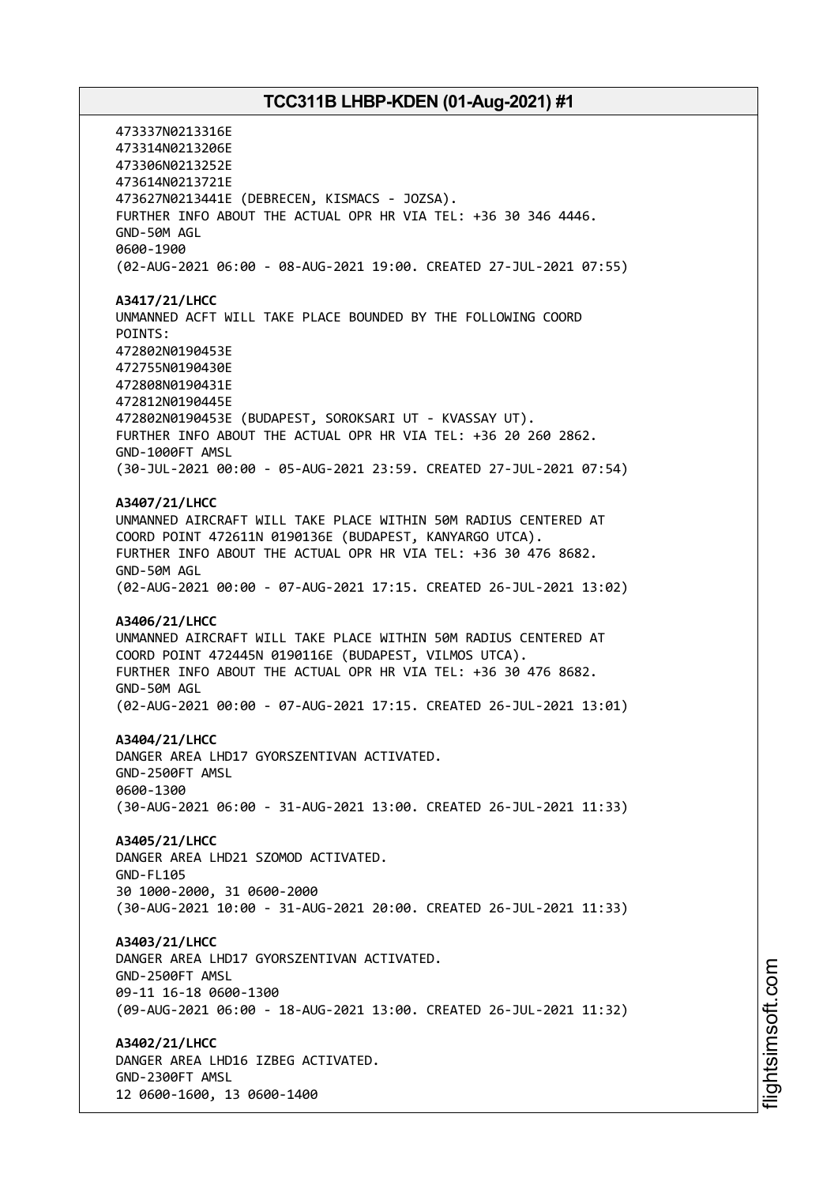473337N0213316E 473314N0213206E 473306N0213252E 473614N0213721E 473627N0213441E (DEBRECEN, KISMACS - JOZSA). FURTHER INFO ABOUT THE ACTUAL OPR HR VIA TEL: +36 30 346 4446. GND-50M AGL 0600-1900 (02-AUG-2021 06:00 - 08-AUG-2021 19:00. CREATED 27-JUL-2021 07:55) **A3417/21/LHCC** UNMANNED ACFT WILL TAKE PLACE BOUNDED BY THE FOLLOWING COORD POINTS: 472802N0190453E 472755N0190430E 472808N0190431E 472812N0190445E 472802N0190453E (BUDAPEST, SOROKSARI UT - KVASSAY UT). FURTHER INFO ABOUT THE ACTUAL OPR HR VIA TEL: +36 20 260 2862. GND-1000FT AMSL (30-JUL-2021 00:00 - 05-AUG-2021 23:59. CREATED 27-JUL-2021 07:54) **A3407/21/LHCC** UNMANNED AIRCRAFT WILL TAKE PLACE WITHIN 50M RADIUS CENTERED AT COORD POINT 472611N 0190136E (BUDAPEST, KANYARGO UTCA). FURTHER INFO ABOUT THE ACTUAL OPR HR VIA TEL: +36 30 476 8682. GND-50M AGL (02-AUG-2021 00:00 - 07-AUG-2021 17:15. CREATED 26-JUL-2021 13:02) **A3406/21/LHCC** UNMANNED AIRCRAFT WILL TAKE PLACE WITHIN 50M RADIUS CENTERED AT COORD POINT 472445N 0190116E (BUDAPEST, VILMOS UTCA). FURTHER INFO ABOUT THE ACTUAL OPR HR VIA TEL: +36 30 476 8682. GND-50M AGL (02-AUG-2021 00:00 - 07-AUG-2021 17:15. CREATED 26-JUL-2021 13:01) **A3404/21/LHCC** DANGER AREA LHD17 GYORSZENTIVAN ACTIVATED. GND-2500FT AMSL 0600-1300 (30-AUG-2021 06:00 - 31-AUG-2021 13:00. CREATED 26-JUL-2021 11:33) **A3405/21/LHCC** DANGER AREA LHD21 SZOMOD ACTIVATED. GND-FL105 30 1000-2000, 31 0600-2000 (30-AUG-2021 10:00 - 31-AUG-2021 20:00. CREATED 26-JUL-2021 11:33) **A3403/21/LHCC** DANGER AREA LHD17 GYORSZENTIVAN ACTIVATED. GND-2500FT AMSL 09-11 16-18 0600-1300 (09-AUG-2021 06:00 - 18-AUG-2021 13:00. CREATED 26-JUL-2021 11:32) **A3402/21/LHCC** DANGER AREA LHD16 IZBEG ACTIVATED. GND-2300FT AMSL 12 0600-1600, 13 0600-1400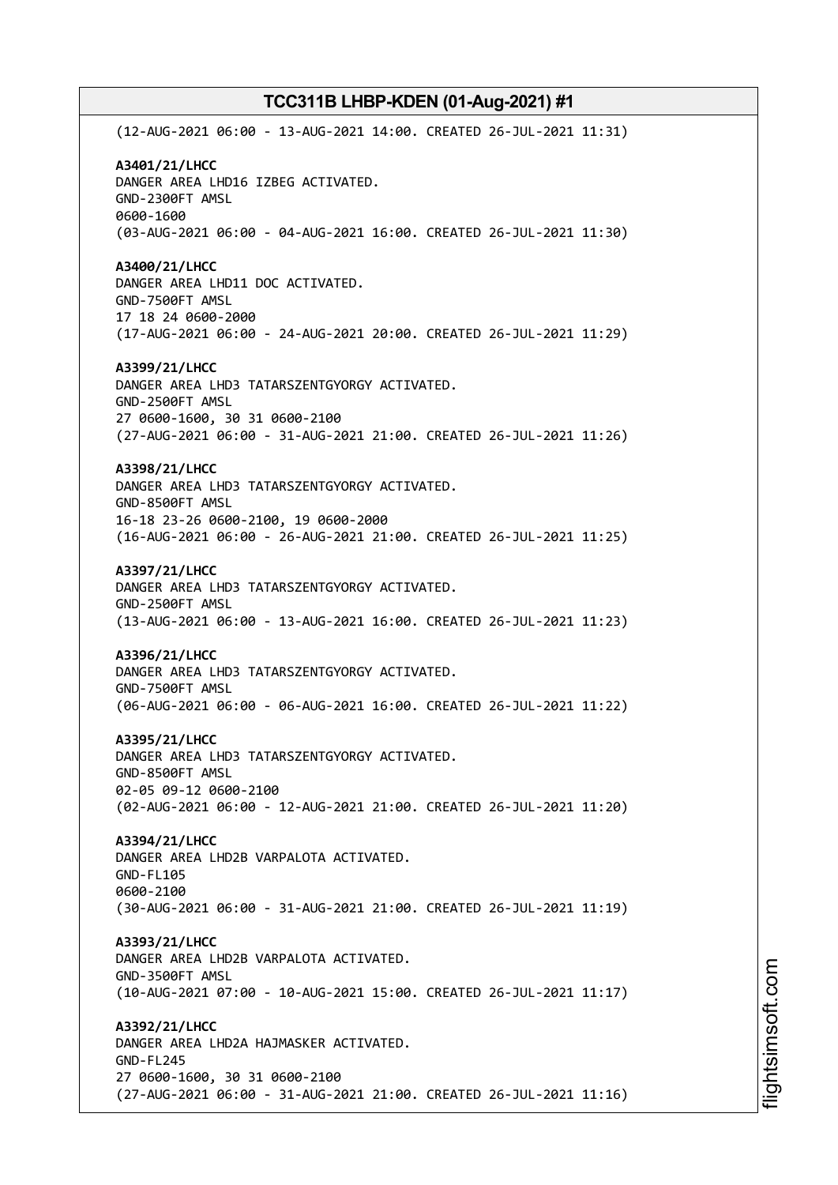(12-AUG-2021 06:00 - 13-AUG-2021 14:00. CREATED 26-JUL-2021 11:31) **A3401/21/LHCC** DANGER AREA LHD16 IZBEG ACTIVATED. GND-2300FT AMSL 0600-1600 (03-AUG-2021 06:00 - 04-AUG-2021 16:00. CREATED 26-JUL-2021 11:30) **A3400/21/LHCC** DANGER AREA LHD11 DOC ACTIVATED. GND-7500FT AMSL 17 18 24 0600-2000 (17-AUG-2021 06:00 - 24-AUG-2021 20:00. CREATED 26-JUL-2021 11:29) **A3399/21/LHCC** DANGER AREA LHD3 TATARSZENTGYORGY ACTIVATED. GND-2500FT AMSL 27 0600-1600, 30 31 0600-2100 (27-AUG-2021 06:00 - 31-AUG-2021 21:00. CREATED 26-JUL-2021 11:26) **A3398/21/LHCC** DANGER AREA LHD3 TATARSZENTGYORGY ACTIVATED. GND-8500FT AMSL 16-18 23-26 0600-2100, 19 0600-2000 (16-AUG-2021 06:00 - 26-AUG-2021 21:00. CREATED 26-JUL-2021 11:25) **A3397/21/LHCC** DANGER AREA LHD3 TATARSZENTGYORGY ACTIVATED. GND-2500FT AMSL (13-AUG-2021 06:00 - 13-AUG-2021 16:00. CREATED 26-JUL-2021 11:23) **A3396/21/LHCC** DANGER AREA LHD3 TATARSZENTGYORGY ACTIVATED. GND-7500FT AMSL (06-AUG-2021 06:00 - 06-AUG-2021 16:00. CREATED 26-JUL-2021 11:22) **A3395/21/LHCC** DANGER AREA LHD3 TATARSZENTGYORGY ACTIVATED. GND-8500FT AMSL 02-05 09-12 0600-2100 (02-AUG-2021 06:00 - 12-AUG-2021 21:00. CREATED 26-JUL-2021 11:20) **A3394/21/LHCC** DANGER AREA LHD2B VARPALOTA ACTIVATED. GND-FL105 0600-2100 (30-AUG-2021 06:00 - 31-AUG-2021 21:00. CREATED 26-JUL-2021 11:19) **A3393/21/LHCC** DANGER AREA LHD2B VARPALOTA ACTIVATED. GND-3500FT AMSL (10-AUG-2021 07:00 - 10-AUG-2021 15:00. CREATED 26-JUL-2021 11:17) **A3392/21/LHCC** DANGER AREA LHD2A HAJMASKER ACTIVATED. GND-FL245 27 0600-1600, 30 31 0600-2100 (27-AUG-2021 06:00 - 31-AUG-2021 21:00. CREATED 26-JUL-2021 11:16)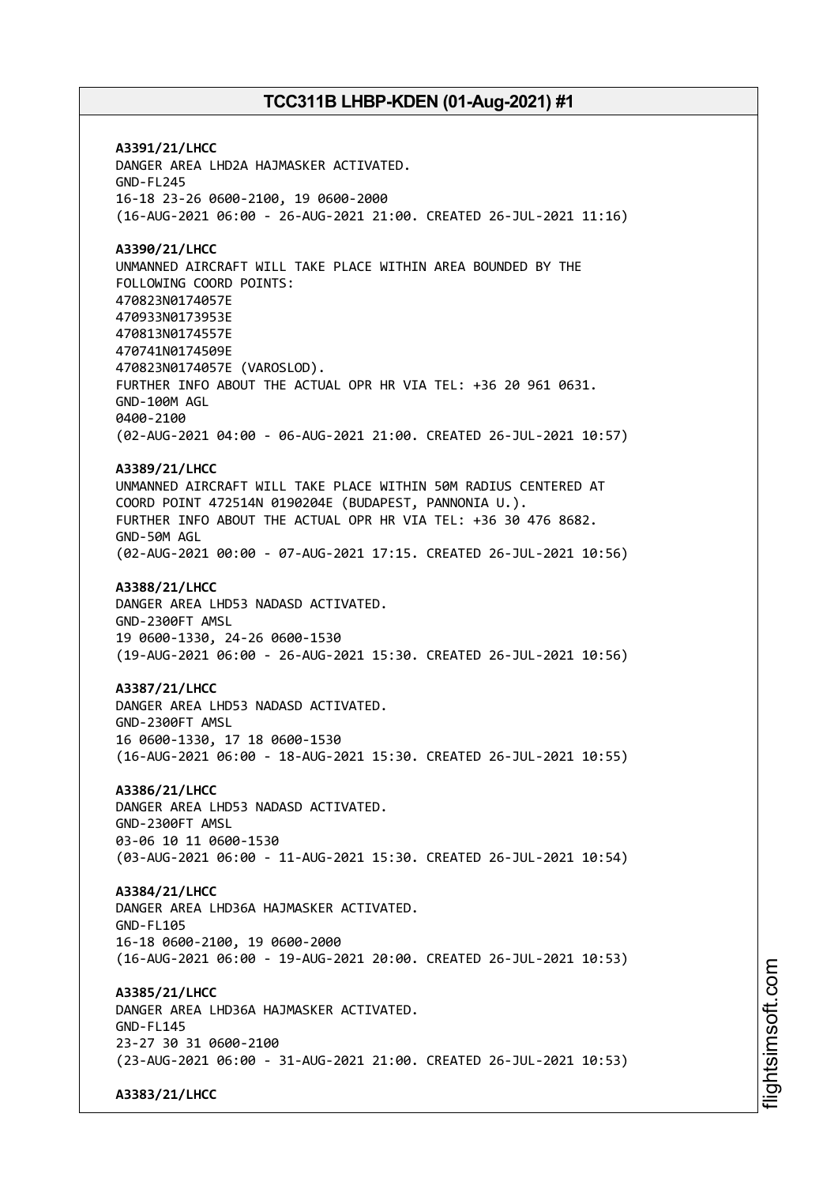**A3391/21/LHCC** DANGER AREA LHD2A HAJMASKER ACTIVATED. GND-FL245 16-18 23-26 0600-2100, 19 0600-2000 (16-AUG-2021 06:00 - 26-AUG-2021 21:00. CREATED 26-JUL-2021 11:16) **A3390/21/LHCC** UNMANNED AIRCRAFT WILL TAKE PLACE WITHIN AREA BOUNDED BY THE FOLLOWING COORD POINTS: 470823N0174057E 470933N0173953E 470813N0174557E 470741N0174509E 470823N0174057E (VAROSLOD). FURTHER INFO ABOUT THE ACTUAL OPR HR VIA TEL: +36 20 961 0631. GND-100M AGL 0400-2100 (02-AUG-2021 04:00 - 06-AUG-2021 21:00. CREATED 26-JUL-2021 10:57) **A3389/21/LHCC** UNMANNED AIRCRAFT WILL TAKE PLACE WITHIN 50M RADIUS CENTERED AT COORD POINT 472514N 0190204E (BUDAPEST, PANNONIA U.). FURTHER INFO ABOUT THE ACTUAL OPR HR VIA TEL: +36 30 476 8682. GND-50M AGL (02-AUG-2021 00:00 - 07-AUG-2021 17:15. CREATED 26-JUL-2021 10:56) **A3388/21/LHCC** DANGER AREA LHD53 NADASD ACTIVATED. GND-2300FT AMSL 19 0600-1330, 24-26 0600-1530 (19-AUG-2021 06:00 - 26-AUG-2021 15:30. CREATED 26-JUL-2021 10:56) **A3387/21/LHCC** DANGER AREA LHD53 NADASD ACTIVATED. GND-2300FT AMSL 16 0600-1330, 17 18 0600-1530 (16-AUG-2021 06:00 - 18-AUG-2021 15:30. CREATED 26-JUL-2021 10:55) **A3386/21/LHCC** DANGER AREA LHD53 NADASD ACTIVATED. GND-2300FT AMSL 03-06 10 11 0600-1530 (03-AUG-2021 06:00 - 11-AUG-2021 15:30. CREATED 26-JUL-2021 10:54) **A3384/21/LHCC** DANGER AREA LHD36A HAJMASKER ACTIVATED. GND-FL105 16-18 0600-2100, 19 0600-2000 (16-AUG-2021 06:00 - 19-AUG-2021 20:00. CREATED 26-JUL-2021 10:53) **A3385/21/LHCC** DANGER AREA LHD36A HAJMASKER ACTIVATED. GND-FL145 23-27 30 31 0600-2100 (23-AUG-2021 06:00 - 31-AUG-2021 21:00. CREATED 26-JUL-2021 10:53) **A3383/21/LHCC**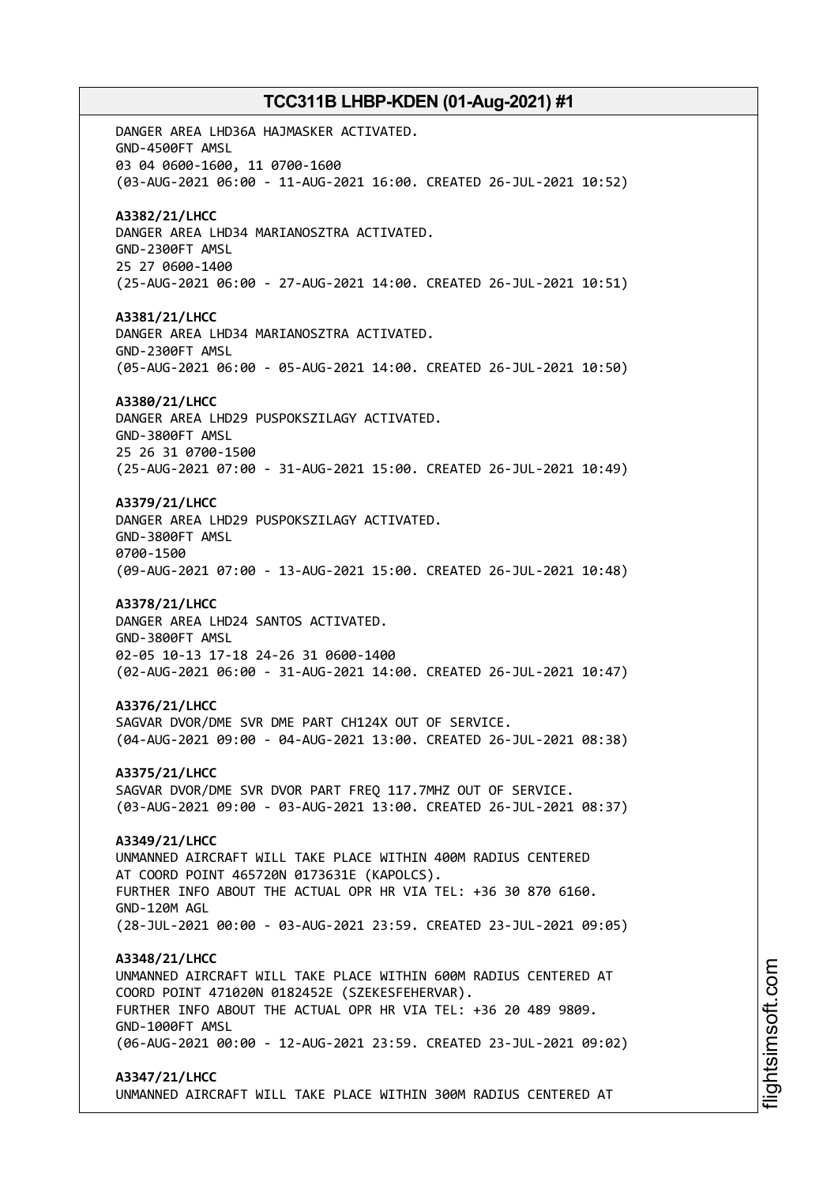DANGER AREA LHD36A HAJMASKER ACTIVATED. GND-4500FT AMSL 03 04 0600-1600, 11 0700-1600 (03-AUG-2021 06:00 - 11-AUG-2021 16:00. CREATED 26-JUL-2021 10:52) **A3382/21/LHCC** DANGER AREA LHD34 MARIANOSZTRA ACTIVATED. GND-2300FT AMSL 25 27 0600-1400 (25-AUG-2021 06:00 - 27-AUG-2021 14:00. CREATED 26-JUL-2021 10:51) **A3381/21/LHCC** DANGER AREA LHD34 MARIANOSZTRA ACTIVATED. GND-2300FT AMSL (05-AUG-2021 06:00 - 05-AUG-2021 14:00. CREATED 26-JUL-2021 10:50) **A3380/21/LHCC** DANGER AREA LHD29 PUSPOKSZILAGY ACTIVATED. GND-3800FT AMSL 25 26 31 0700-1500 (25-AUG-2021 07:00 - 31-AUG-2021 15:00. CREATED 26-JUL-2021 10:49) **A3379/21/LHCC** DANGER AREA LHD29 PUSPOKSZILAGY ACTIVATED. GND-3800FT AMSL 0700-1500 (09-AUG-2021 07:00 - 13-AUG-2021 15:00. CREATED 26-JUL-2021 10:48) **A3378/21/LHCC** DANGER AREA LHD24 SANTOS ACTIVATED. GND-3800FT AMSL 02-05 10-13 17-18 24-26 31 0600-1400 (02-AUG-2021 06:00 - 31-AUG-2021 14:00. CREATED 26-JUL-2021 10:47) **A3376/21/LHCC** SAGVAR DVOR/DME SVR DME PART CH124X OUT OF SERVICE. (04-AUG-2021 09:00 - 04-AUG-2021 13:00. CREATED 26-JUL-2021 08:38) **A3375/21/LHCC** SAGVAR DVOR/DME SVR DVOR PART FREQ 117.7MHZ OUT OF SERVICE. (03-AUG-2021 09:00 - 03-AUG-2021 13:00. CREATED 26-JUL-2021 08:37) **A3349/21/LHCC** UNMANNED AIRCRAFT WILL TAKE PLACE WITHIN 400M RADIUS CENTERED AT COORD POINT 465720N 0173631E (KAPOLCS). FURTHER INFO ABOUT THE ACTUAL OPR HR VIA TEL: +36 30 870 6160. GND-120M AGL (28-JUL-2021 00:00 - 03-AUG-2021 23:59. CREATED 23-JUL-2021 09:05) **A3348/21/LHCC** UNMANNED AIRCRAFT WILL TAKE PLACE WITHIN 600M RADIUS CENTERED AT COORD POINT 471020N 0182452E (SZEKESFEHERVAR). FURTHER INFO ABOUT THE ACTUAL OPR HR VIA TEL: +36 20 489 9809. GND-1000FT AMSL (06-AUG-2021 00:00 - 12-AUG-2021 23:59. CREATED 23-JUL-2021 09:02) **A3347/21/LHCC** UNMANNED AIRCRAFT WILL TAKE PLACE WITHIN 300M RADIUS CENTERED AT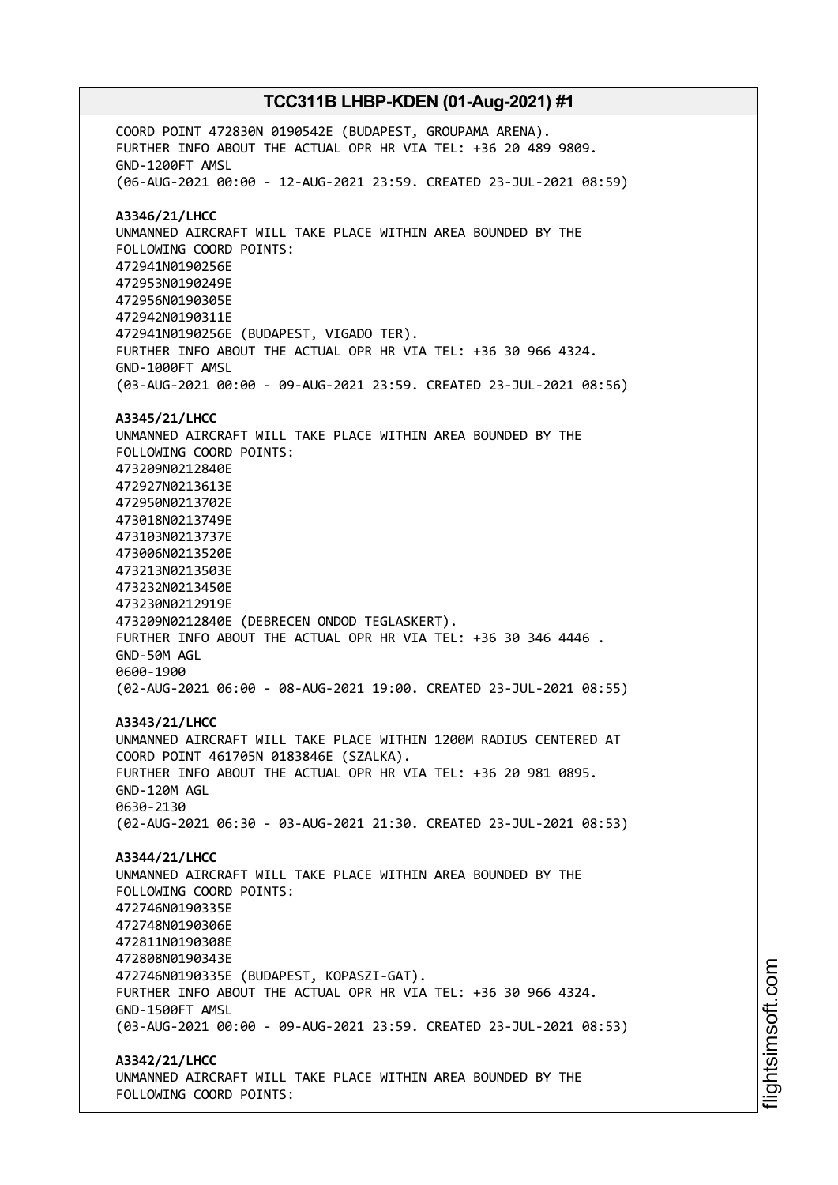COORD POINT 472830N 0190542E (BUDAPEST, GROUPAMA ARENA). FURTHER INFO ABOUT THE ACTUAL OPR HR VIA TEL: +36 20 489 9809. GND-1200FT AMSL (06-AUG-2021 00:00 - 12-AUG-2021 23:59. CREATED 23-JUL-2021 08:59) **A3346/21/LHCC** UNMANNED AIRCRAFT WILL TAKE PLACE WITHIN AREA BOUNDED BY THE FOLLOWING COORD POINTS: 472941N0190256E 472953N0190249E 472956N0190305E 472942N0190311E 472941N0190256E (BUDAPEST, VIGADO TER). FURTHER INFO ABOUT THE ACTUAL OPR HR VIA TEL: +36 30 966 4324. GND-1000FT AMSL (03-AUG-2021 00:00 - 09-AUG-2021 23:59. CREATED 23-JUL-2021 08:56) **A3345/21/LHCC** UNMANNED AIRCRAFT WILL TAKE PLACE WITHIN AREA BOUNDED BY THE FOLLOWING COORD POINTS: 473209N0212840E 472927N0213613E 472950N0213702E 473018N0213749E 473103N0213737E 473006N0213520E 473213N0213503E 473232N0213450E 473230N0212919E 473209N0212840E (DEBRECEN ONDOD TEGLASKERT). FURTHER INFO ABOUT THE ACTUAL OPR HR VIA TEL: +36 30 346 4446 . GND-50M AGL 0600-1900 (02-AUG-2021 06:00 - 08-AUG-2021 19:00. CREATED 23-JUL-2021 08:55) **A3343/21/LHCC** UNMANNED AIRCRAFT WILL TAKE PLACE WITHIN 1200M RADIUS CENTERED AT COORD POINT 461705N 0183846E (SZALKA). FURTHER INFO ABOUT THE ACTUAL OPR HR VIA TEL: +36 20 981 0895. GND-120M AGL 0630-2130 (02-AUG-2021 06:30 - 03-AUG-2021 21:30. CREATED 23-JUL-2021 08:53) **A3344/21/LHCC** UNMANNED AIRCRAFT WILL TAKE PLACE WITHIN AREA BOUNDED BY THE FOLLOWING COORD POINTS: 472746N0190335E 472748N0190306E 472811N0190308E 472808N0190343E 472746N0190335E (BUDAPEST, KOPASZI-GAT). FURTHER INFO ABOUT THE ACTUAL OPR HR VIA TEL: +36 30 966 4324. GND-1500FT AMSL (03-AUG-2021 00:00 - 09-AUG-2021 23:59. CREATED 23-JUL-2021 08:53) **A3342/21/LHCC** UNMANNED AIRCRAFT WILL TAKE PLACE WITHIN AREA BOUNDED BY THE FOLLOWING COORD POINTS: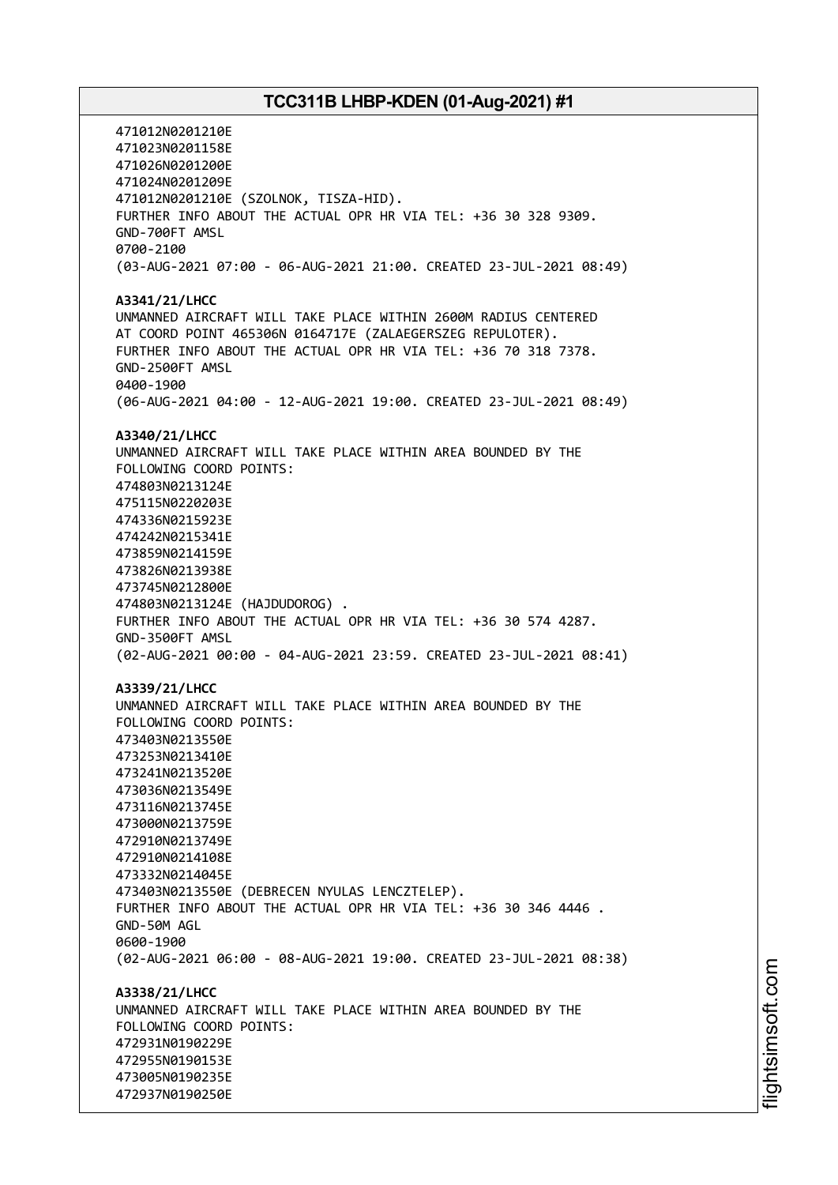471012N0201210E 471023N0201158E 471026N0201200E 471024N0201209E 471012N0201210E (SZOLNOK, TISZA-HID). FURTHER INFO ABOUT THE ACTUAL OPR HR VIA TEL: +36 30 328 9309. GND-700FT AMSL 0700-2100 (03-AUG-2021 07:00 - 06-AUG-2021 21:00. CREATED 23-JUL-2021 08:49) **A3341/21/LHCC** UNMANNED AIRCRAFT WILL TAKE PLACE WITHIN 2600M RADIUS CENTERED AT COORD POINT 465306N 0164717E (ZALAEGERSZEG REPULOTER). FURTHER INFO ABOUT THE ACTUAL OPR HR VIA TEL: +36 70 318 7378. GND-2500FT AMSL 0400-1900 (06-AUG-2021 04:00 - 12-AUG-2021 19:00. CREATED 23-JUL-2021 08:49) **A3340/21/LHCC** UNMANNED AIRCRAFT WILL TAKE PLACE WITHIN AREA BOUNDED BY THE FOLLOWING COORD POINTS: 474803N0213124E 475115N0220203E 474336N0215923E 474242N0215341E 473859N0214159E 473826N0213938E 473745N0212800E 474803N0213124E (HAJDUDOROG) . FURTHER INFO ABOUT THE ACTUAL OPR HR VIA TEL: +36 30 574 4287. GND-3500FT AMSL (02-AUG-2021 00:00 - 04-AUG-2021 23:59. CREATED 23-JUL-2021 08:41) **A3339/21/LHCC** UNMANNED AIRCRAFT WILL TAKE PLACE WITHIN AREA BOUNDED BY THE FOLLOWING COORD POINTS: 473403N0213550E 473253N0213410E 473241N0213520E 473036N0213549E 473116N0213745E 473000N0213759E 472910N0213749E 472910N0214108E 473332N0214045E 473403N0213550E (DEBRECEN NYULAS LENCZTELEP). FURTHER INFO ABOUT THE ACTUAL OPR HR VIA TEL: +36 30 346 4446 . GND-50M AGL 0600-1900 (02-AUG-2021 06:00 - 08-AUG-2021 19:00. CREATED 23-JUL-2021 08:38) **A3338/21/LHCC** UNMANNED AIRCRAFT WILL TAKE PLACE WITHIN AREA BOUNDED BY THE FOLLOWING COORD POINTS: 472931N0190229E 472955N0190153E 473005N0190235E 472937N0190250E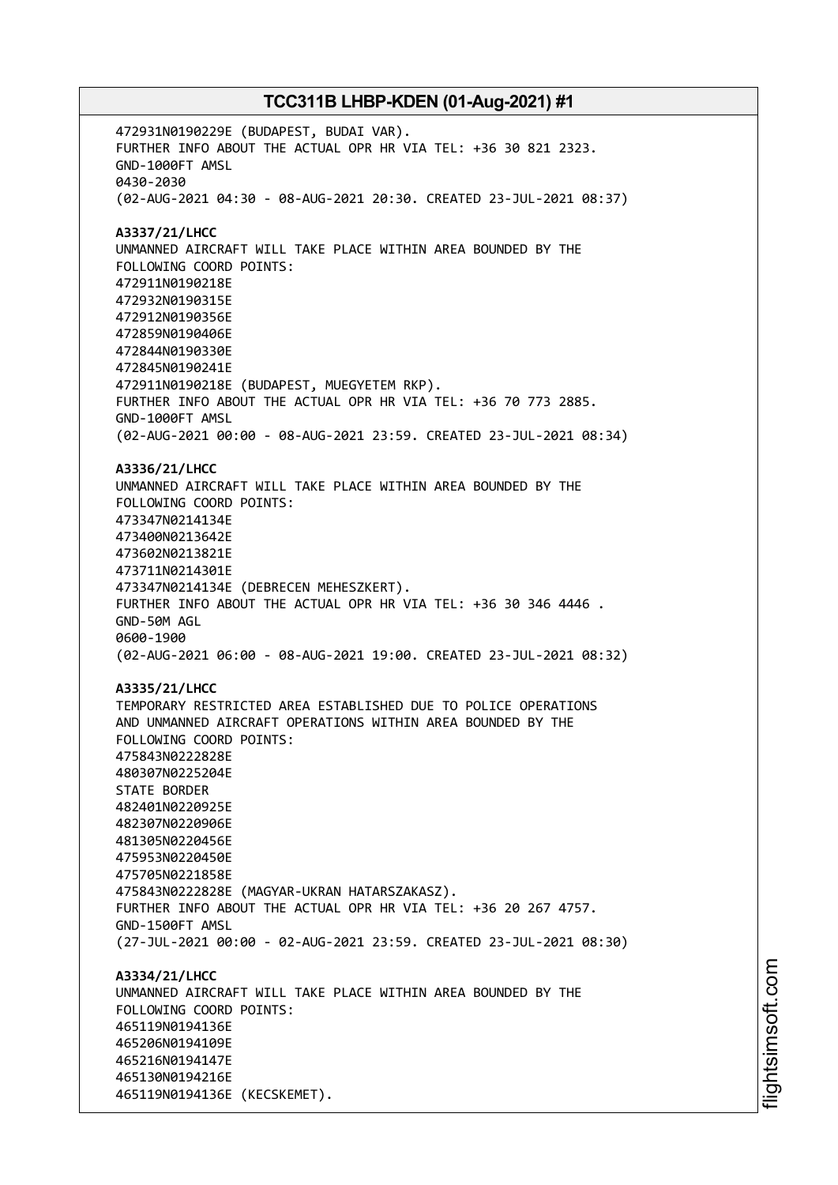472931N0190229E (BUDAPEST, BUDAI VAR). FURTHER INFO ABOUT THE ACTUAL OPR HR VIA TEL: +36 30 821 2323. GND-1000FT AMSL 0430-2030 (02-AUG-2021 04:30 - 08-AUG-2021 20:30. CREATED 23-JUL-2021 08:37) **A3337/21/LHCC** UNMANNED AIRCRAFT WILL TAKE PLACE WITHIN AREA BOUNDED BY THE FOLLOWING COORD POINTS: 472911N0190218E 472932N0190315E 472912N0190356E 472859N0190406E 472844N0190330E 472845N0190241E 472911N0190218E (BUDAPEST, MUEGYETEM RKP). FURTHER INFO ABOUT THE ACTUAL OPR HR VIA TEL: +36 70 773 2885. GND-1000FT AMSL (02-AUG-2021 00:00 - 08-AUG-2021 23:59. CREATED 23-JUL-2021 08:34) **A3336/21/LHCC** UNMANNED AIRCRAFT WILL TAKE PLACE WITHIN AREA BOUNDED BY THE FOLLOWING COORD POINTS: 473347N0214134E 473400N0213642E 473602N0213821E 473711N0214301E 473347N0214134E (DEBRECEN MEHESZKERT). FURTHER INFO ABOUT THE ACTUAL OPR HR VIA TEL: +36 30 346 4446 . GND-50M AGL 0600-1900 (02-AUG-2021 06:00 - 08-AUG-2021 19:00. CREATED 23-JUL-2021 08:32) **A3335/21/LHCC** TEMPORARY RESTRICTED AREA ESTABLISHED DUE TO POLICE OPERATIONS AND UNMANNED AIRCRAFT OPERATIONS WITHIN AREA BOUNDED BY THE FOLLOWING COORD POINTS: 475843N0222828E 480307N0225204E STATE BORDER 482401N0220925E 482307N0220906E 481305N0220456E 475953N0220450E 475705N0221858E 475843N0222828E (MAGYAR-UKRAN HATARSZAKASZ). FURTHER INFO ABOUT THE ACTUAL OPR HR VIA TEL: +36 20 267 4757. GND-1500FT AMSL (27-JUL-2021 00:00 - 02-AUG-2021 23:59. CREATED 23-JUL-2021 08:30) **A3334/21/LHCC** UNMANNED AIRCRAFT WILL TAKE PLACE WITHIN AREA BOUNDED BY THE FOLLOWING COORD POINTS: 465119N0194136E 465206N0194109E 465216N0194147E 465130N0194216E 465119N0194136E (KECSKEMET).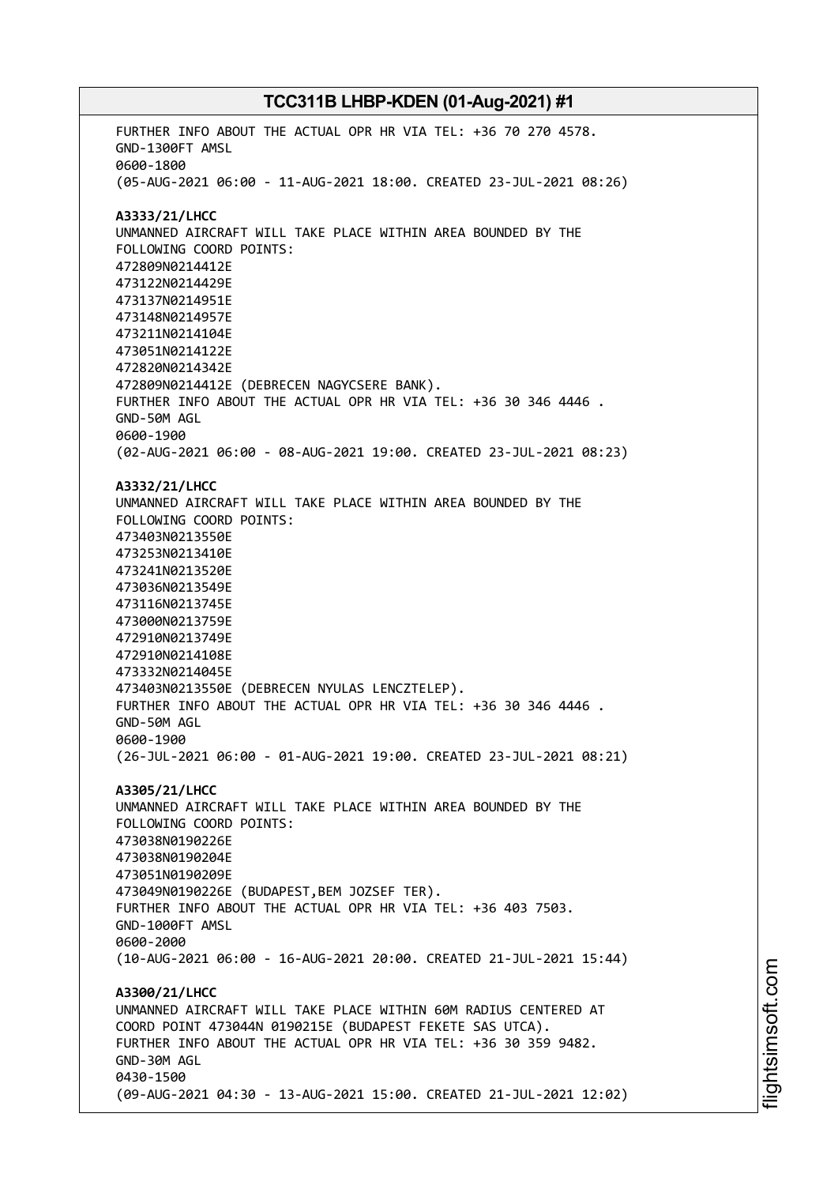FURTHER INFO ABOUT THE ACTUAL OPR HR VIA TEL: +36 70 270 4578. GND-1300FT AMSL 0600-1800 (05-AUG-2021 06:00 - 11-AUG-2021 18:00. CREATED 23-JUL-2021 08:26) **A3333/21/LHCC** UNMANNED AIRCRAFT WILL TAKE PLACE WITHIN AREA BOUNDED BY THE FOLLOWING COORD POINTS: 472809N0214412E 473122N0214429E 473137N0214951E 473148N0214957E 473211N0214104E 473051N0214122E 472820N0214342E 472809N0214412E (DEBRECEN NAGYCSERE BANK). FURTHER INFO ABOUT THE ACTUAL OPR HR VIA TEL: +36 30 346 4446 . GND-50M AGL 0600-1900 (02-AUG-2021 06:00 - 08-AUG-2021 19:00. CREATED 23-JUL-2021 08:23) **A3332/21/LHCC** UNMANNED AIRCRAFT WILL TAKE PLACE WITHIN AREA BOUNDED BY THE FOLLOWING COORD POINTS: 473403N0213550E 473253N0213410E 473241N0213520E 473036N0213549E 473116N0213745E 473000N0213759E 472910N0213749E 472910N0214108E 473332N0214045E 473403N0213550E (DEBRECEN NYULAS LENCZTELEP). FURTHER INFO ABOUT THE ACTUAL OPR HR VIA TEL: +36 30 346 4446 . GND-50M AGL 0600-1900 (26-JUL-2021 06:00 - 01-AUG-2021 19:00. CREATED 23-JUL-2021 08:21) **A3305/21/LHCC** UNMANNED AIRCRAFT WILL TAKE PLACE WITHIN AREA BOUNDED BY THE FOLLOWING COORD POINTS: 473038N0190226E 473038N0190204E 473051N0190209E 473049N0190226E (BUDAPEST,BEM JOZSEF TER). FURTHER INFO ABOUT THE ACTUAL OPR HR VIA TEL: +36 403 7503. GND-1000FT AMSL 0600-2000 (10-AUG-2021 06:00 - 16-AUG-2021 20:00. CREATED 21-JUL-2021 15:44) **A3300/21/LHCC** UNMANNED AIRCRAFT WILL TAKE PLACE WITHIN 60M RADIUS CENTERED AT COORD POINT 473044N 0190215E (BUDAPEST FEKETE SAS UTCA). FURTHER INFO ABOUT THE ACTUAL OPR HR VIA TEL: +36 30 359 9482. GND-30M AGL 0430-1500 (09-AUG-2021 04:30 - 13-AUG-2021 15:00. CREATED 21-JUL-2021 12:02)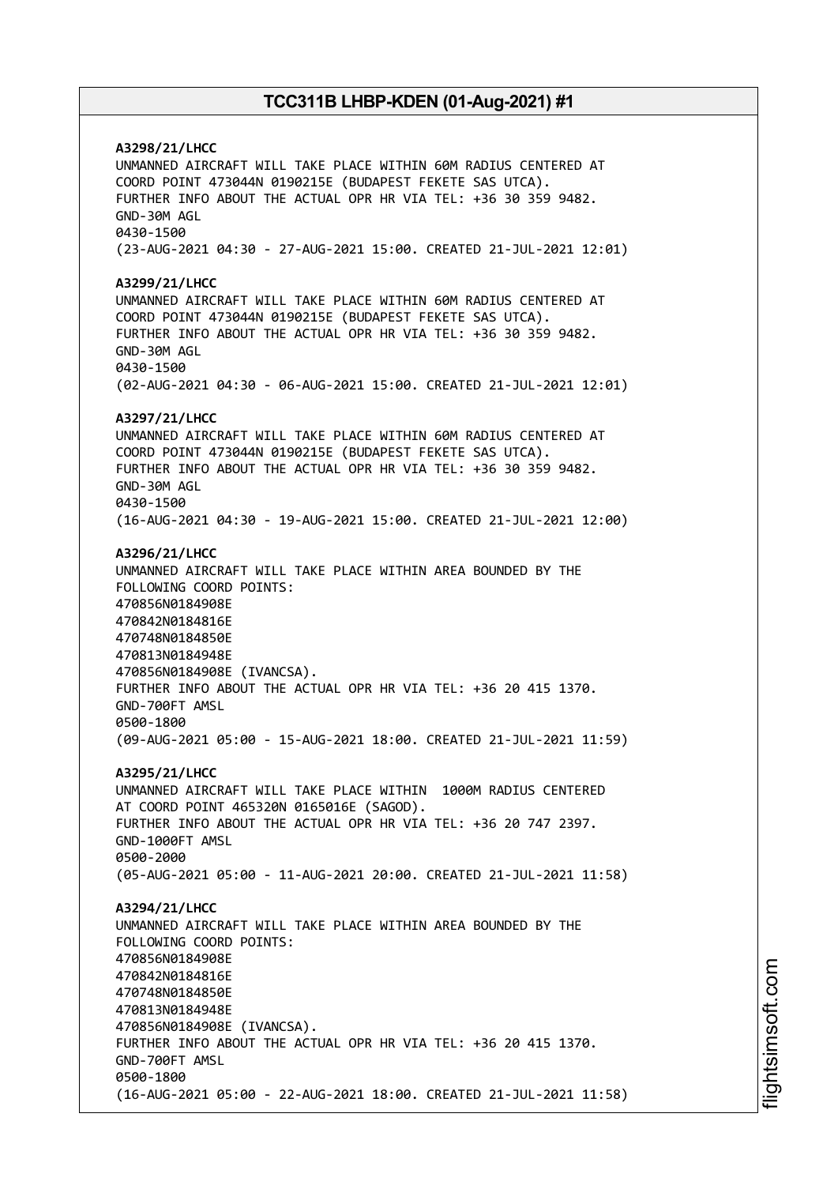**A3298/21/LHCC** UNMANNED AIRCRAFT WILL TAKE PLACE WITHIN 60M RADIUS CENTERED AT COORD POINT 473044N 0190215E (BUDAPEST FEKETE SAS UTCA). FURTHER INFO ABOUT THE ACTUAL OPR HR VIA TEL: +36 30 359 9482. GND-30M AGL 0430-1500 (23-AUG-2021 04:30 - 27-AUG-2021 15:00. CREATED 21-JUL-2021 12:01) **A3299/21/LHCC** UNMANNED AIRCRAFT WILL TAKE PLACE WITHIN 60M RADIUS CENTERED AT COORD POINT 473044N 0190215E (BUDAPEST FEKETE SAS UTCA). FURTHER INFO ABOUT THE ACTUAL OPR HR VIA TEL: +36 30 359 9482. GND-30M AGL 0430-1500 (02-AUG-2021 04:30 - 06-AUG-2021 15:00. CREATED 21-JUL-2021 12:01) **A3297/21/LHCC** UNMANNED AIRCRAFT WILL TAKE PLACE WITHIN 60M RADIUS CENTERED AT COORD POINT 473044N 0190215E (BUDAPEST FEKETE SAS UTCA). FURTHER INFO ABOUT THE ACTUAL OPR HR VIA TEL: +36 30 359 9482. GND-30M AGL 0430-1500 (16-AUG-2021 04:30 - 19-AUG-2021 15:00. CREATED 21-JUL-2021 12:00) **A3296/21/LHCC** UNMANNED AIRCRAFT WILL TAKE PLACE WITHIN AREA BOUNDED BY THE FOLLOWING COORD POINTS: 470856N0184908E 470842N0184816E 470748N0184850E 470813N0184948E 470856N0184908E (IVANCSA). FURTHER INFO ABOUT THE ACTUAL OPR HR VIA TEL: +36 20 415 1370. GND-700FT AMSL 0500-1800 (09-AUG-2021 05:00 - 15-AUG-2021 18:00. CREATED 21-JUL-2021 11:59) **A3295/21/LHCC** UNMANNED AIRCRAFT WILL TAKE PLACE WITHIN 1000M RADIUS CENTERED AT COORD POINT 465320N 0165016E (SAGOD). FURTHER INFO ABOUT THE ACTUAL OPR HR VIA TEL: +36 20 747 2397. GND-1000FT AMSL 0500-2000 (05-AUG-2021 05:00 - 11-AUG-2021 20:00. CREATED 21-JUL-2021 11:58) **A3294/21/LHCC** UNMANNED AIRCRAFT WILL TAKE PLACE WITHIN AREA BOUNDED BY THE FOLLOWING COORD POINTS: 470856N0184908E 470842N0184816E 470748N0184850E 470813N0184948E 470856N0184908E (IVANCSA). FURTHER INFO ABOUT THE ACTUAL OPR HR VIA TEL: +36 20 415 1370. GND-700FT AMSL 0500-1800 (16-AUG-2021 05:00 - 22-AUG-2021 18:00. CREATED 21-JUL-2021 11:58)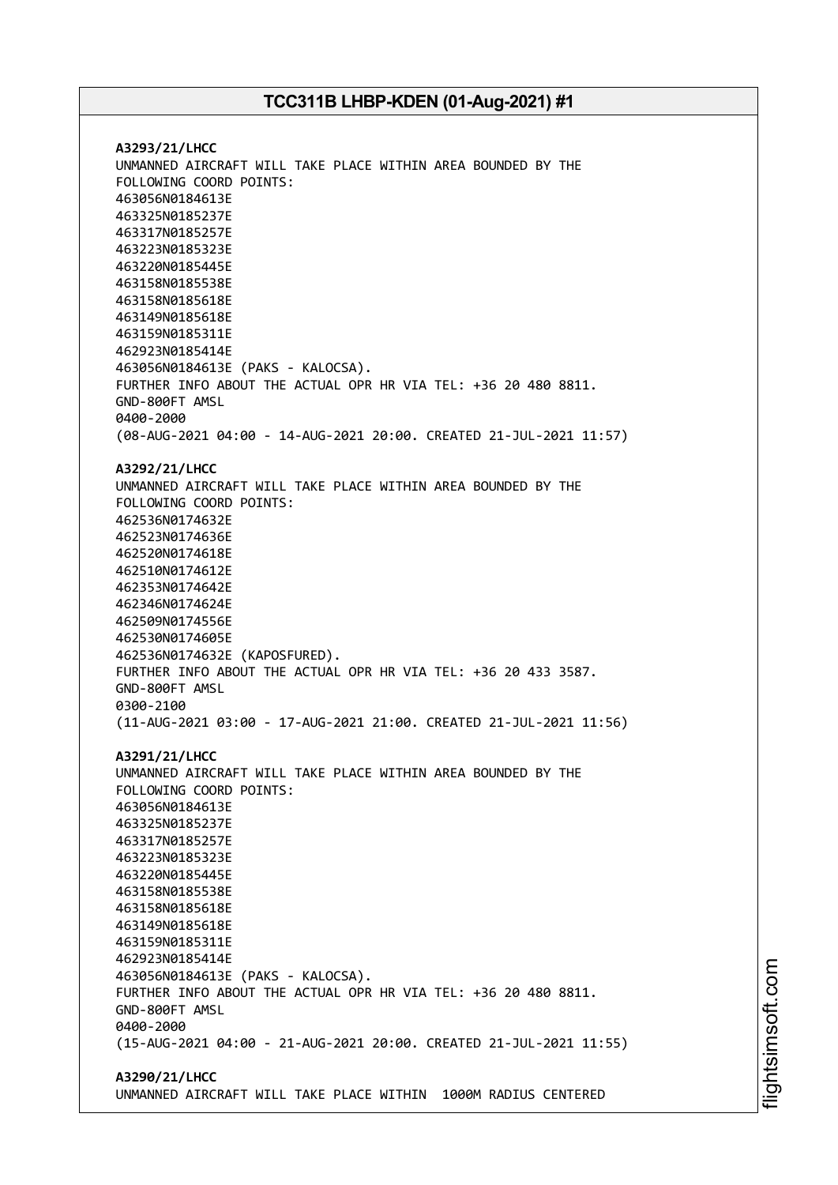**A3293/21/LHCC** UNMANNED AIRCRAFT WILL TAKE PLACE WITHIN AREA BOUNDED BY THE FOLLOWING COORD POINTS: 463056N0184613E 463325N0185237E 463317N0185257E 463223N0185323E 463220N0185445E 463158N0185538E 463158N0185618E 463149N0185618E 463159N0185311E 462923N0185414E 463056N0184613E (PAKS - KALOCSA). FURTHER INFO ABOUT THE ACTUAL OPR HR VIA TEL: +36 20 480 8811. GND-800FT AMSL 0400-2000 (08-AUG-2021 04:00 - 14-AUG-2021 20:00. CREATED 21-JUL-2021 11:57) **A3292/21/LHCC** UNMANNED AIRCRAFT WILL TAKE PLACE WITHIN AREA BOUNDED BY THE FOLLOWING COORD POINTS: 462536N0174632E 462523N0174636E 462520N0174618E 462510N0174612E 462353N0174642E 462346N0174624E 462509N0174556E 462530N0174605E 462536N0174632E (KAPOSFURED). FURTHER INFO ABOUT THE ACTUAL OPR HR VIA TEL: +36 20 433 3587. GND-800FT AMSL 0300-2100 (11-AUG-2021 03:00 - 17-AUG-2021 21:00. CREATED 21-JUL-2021 11:56) **A3291/21/LHCC** UNMANNED AIRCRAFT WILL TAKE PLACE WITHIN AREA BOUNDED BY THE FOLLOWING COORD POINTS: 463056N0184613E 463325N0185237E 463317N0185257E 463223N0185323E 463220N0185445E 463158N0185538E 463158N0185618E 463149N0185618E 463159N0185311E 462923N0185414E 463056N0184613E (PAKS - KALOCSA). FURTHER INFO ABOUT THE ACTUAL OPR HR VIA TEL: +36 20 480 8811. GND-800FT AMSL 0400-2000 (15-AUG-2021 04:00 - 21-AUG-2021 20:00. CREATED 21-JUL-2021 11:55) **A3290/21/LHCC**

UNMANNED AIRCRAFT WILL TAKE PLACE WITHIN 1000M RADIUS CENTERED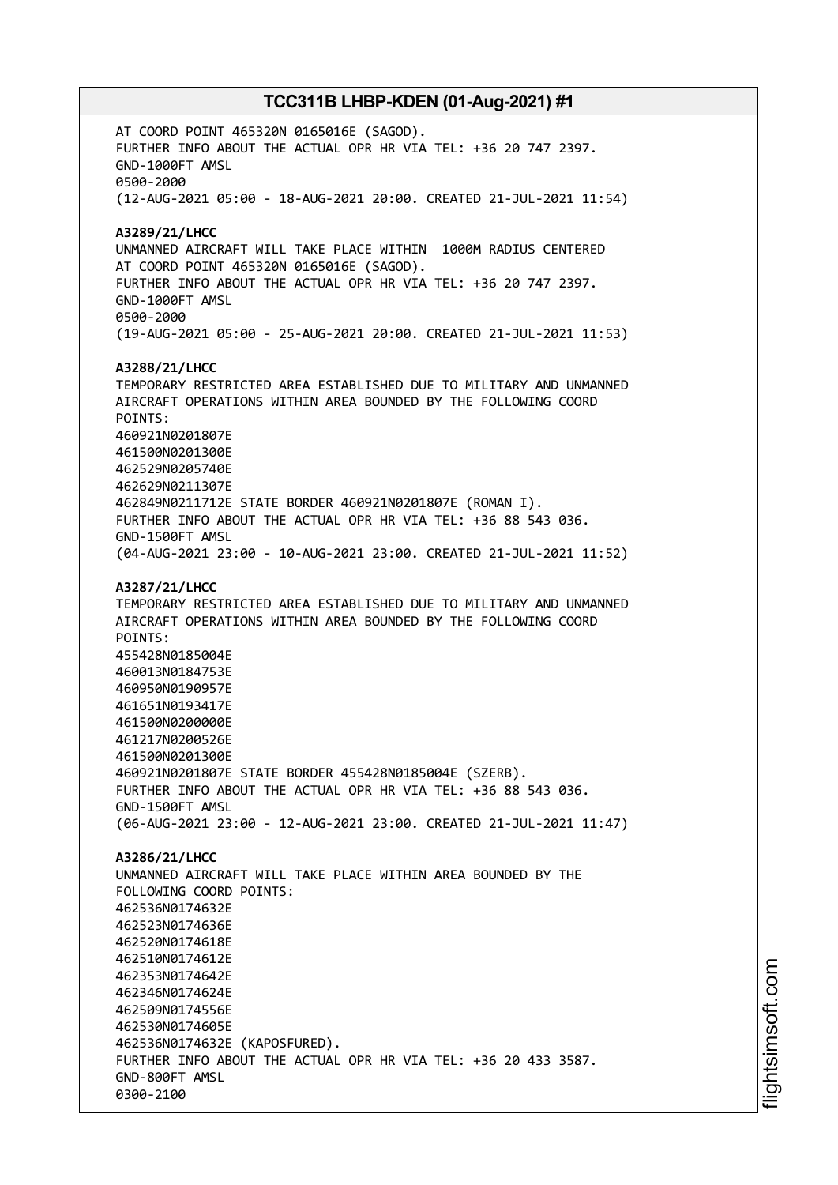AT COORD POINT 465320N 0165016E (SAGOD). FURTHER INFO ABOUT THE ACTUAL OPR HR VIA TEL: +36 20 747 2397. GND-1000FT AMSL 0500-2000 (12-AUG-2021 05:00 - 18-AUG-2021 20:00. CREATED 21-JUL-2021 11:54) **A3289/21/LHCC** UNMANNED AIRCRAFT WILL TAKE PLACE WITHIN 1000M RADIUS CENTERED AT COORD POINT 465320N 0165016E (SAGOD). FURTHER INFO ABOUT THE ACTUAL OPR HR VIA TEL: +36 20 747 2397. GND-1000FT AMSL 0500-2000 (19-AUG-2021 05:00 - 25-AUG-2021 20:00. CREATED 21-JUL-2021 11:53) **A3288/21/LHCC** TEMPORARY RESTRICTED AREA ESTABLISHED DUE TO MILITARY AND UNMANNED AIRCRAFT OPERATIONS WITHIN AREA BOUNDED BY THE FOLLOWING COORD POINTS: 460921N0201807E 461500N0201300E 462529N0205740E 462629N0211307E 462849N0211712E STATE BORDER 460921N0201807E (ROMAN I). FURTHER INFO ABOUT THE ACTUAL OPR HR VIA TEL: +36 88 543 036. GND-1500FT AMSL (04-AUG-2021 23:00 - 10-AUG-2021 23:00. CREATED 21-JUL-2021 11:52) **A3287/21/LHCC** TEMPORARY RESTRICTED AREA ESTABLISHED DUE TO MILITARY AND UNMANNED AIRCRAFT OPERATIONS WITHIN AREA BOUNDED BY THE FOLLOWING COORD POINTS: 455428N0185004E 460013N0184753E 460950N0190957E 461651N0193417E 461500N0200000E 461217N0200526E 461500N0201300E 460921N0201807E STATE BORDER 455428N0185004E (SZERB). FURTHER INFO ABOUT THE ACTUAL OPR HR VIA TEL: +36 88 543 036. GND-1500FT AMSL (06-AUG-2021 23:00 - 12-AUG-2021 23:00. CREATED 21-JUL-2021 11:47) **A3286/21/LHCC** UNMANNED AIRCRAFT WILL TAKE PLACE WITHIN AREA BOUNDED BY THE FOLLOWING COORD POINTS: 462536N0174632E 462523N0174636E 462520N0174618E 462510N0174612E 462353N0174642E 462346N0174624E 462509N0174556E 462530N0174605E 462536N0174632E (KAPOSFURED). FURTHER INFO ABOUT THE ACTUAL OPR HR VIA TEL: +36 20 433 3587. GND-800FT AMSL 0300-2100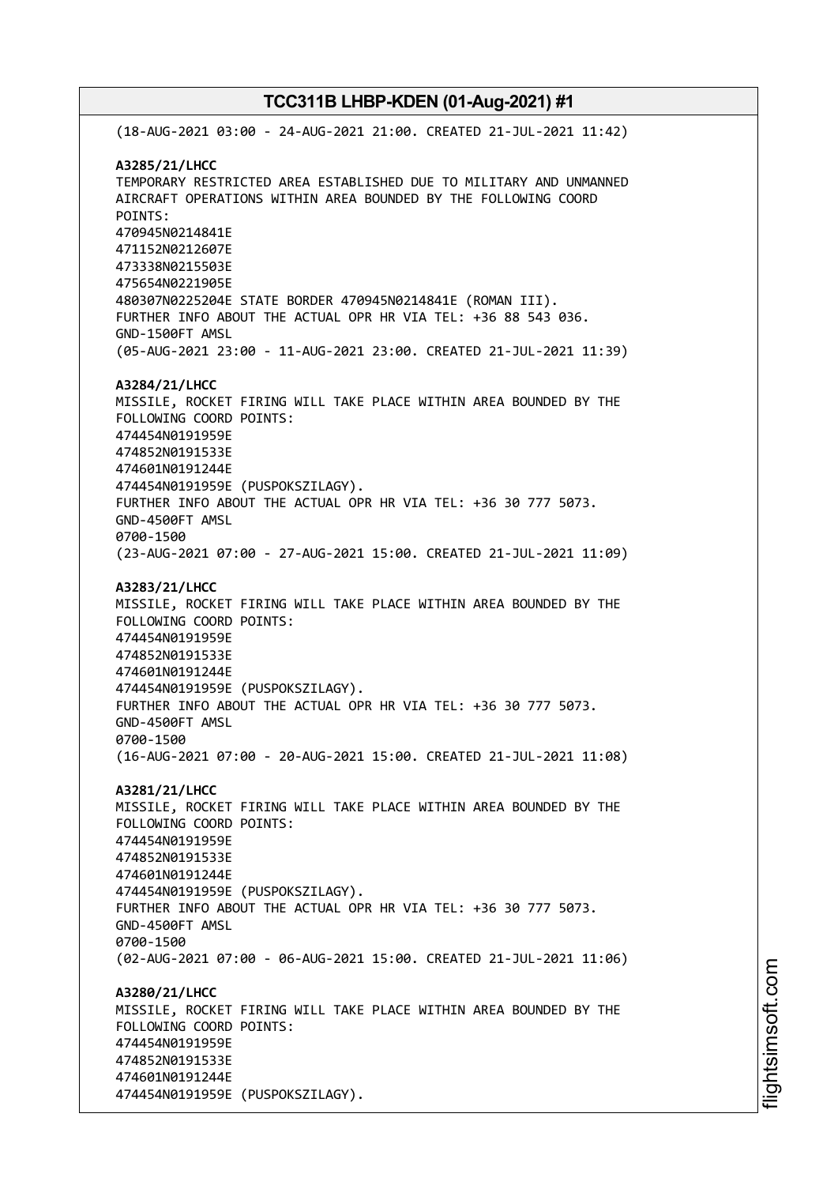(18-AUG-2021 03:00 - 24-AUG-2021 21:00. CREATED 21-JUL-2021 11:42) **A3285/21/LHCC** TEMPORARY RESTRICTED AREA ESTABLISHED DUE TO MILITARY AND UNMANNED AIRCRAFT OPERATIONS WITHIN AREA BOUNDED BY THE FOLLOWING COORD POINTS: 470945N0214841E 471152N0212607E 473338N0215503E 475654N0221905E 480307N0225204E STATE BORDER 470945N0214841E (ROMAN III). FURTHER INFO ABOUT THE ACTUAL OPR HR VIA TEL: +36 88 543 036. GND-1500FT AMSL (05-AUG-2021 23:00 - 11-AUG-2021 23:00. CREATED 21-JUL-2021 11:39) **A3284/21/LHCC** MISSILE, ROCKET FIRING WILL TAKE PLACE WITHIN AREA BOUNDED BY THE FOLLOWING COORD POINTS: 474454N0191959E 474852N0191533E 474601N0191244E 474454N0191959E (PUSPOKSZILAGY). FURTHER INFO ABOUT THE ACTUAL OPR HR VIA TEL: +36 30 777 5073. GND-4500FT AMSL 0700-1500 (23-AUG-2021 07:00 - 27-AUG-2021 15:00. CREATED 21-JUL-2021 11:09) **A3283/21/LHCC** MISSILE, ROCKET FIRING WILL TAKE PLACE WITHIN AREA BOUNDED BY THE FOLLOWING COORD POINTS: 474454N0191959E 474852N0191533E 474601N0191244E 474454N0191959E (PUSPOKSZILAGY). FURTHER INFO ABOUT THE ACTUAL OPR HR VIA TEL: +36 30 777 5073. GND-4500FT AMSL 0700-1500 (16-AUG-2021 07:00 - 20-AUG-2021 15:00. CREATED 21-JUL-2021 11:08) **A3281/21/LHCC** MISSILE, ROCKET FIRING WILL TAKE PLACE WITHIN AREA BOUNDED BY THE FOLLOWING COORD POINTS: 474454N0191959E 474852N0191533E 474601N0191244E 474454N0191959E (PUSPOKSZILAGY). FURTHER INFO ABOUT THE ACTUAL OPR HR VIA TEL: +36 30 777 5073. GND-4500FT AMSL 0700-1500 (02-AUG-2021 07:00 - 06-AUG-2021 15:00. CREATED 21-JUL-2021 11:06) **A3280/21/LHCC** MISSILE, ROCKET FIRING WILL TAKE PLACE WITHIN AREA BOUNDED BY THE FOLLOWING COORD POINTS: 474454N0191959E 474852N0191533E 474601N0191244E 474454N0191959E (PUSPOKSZILAGY).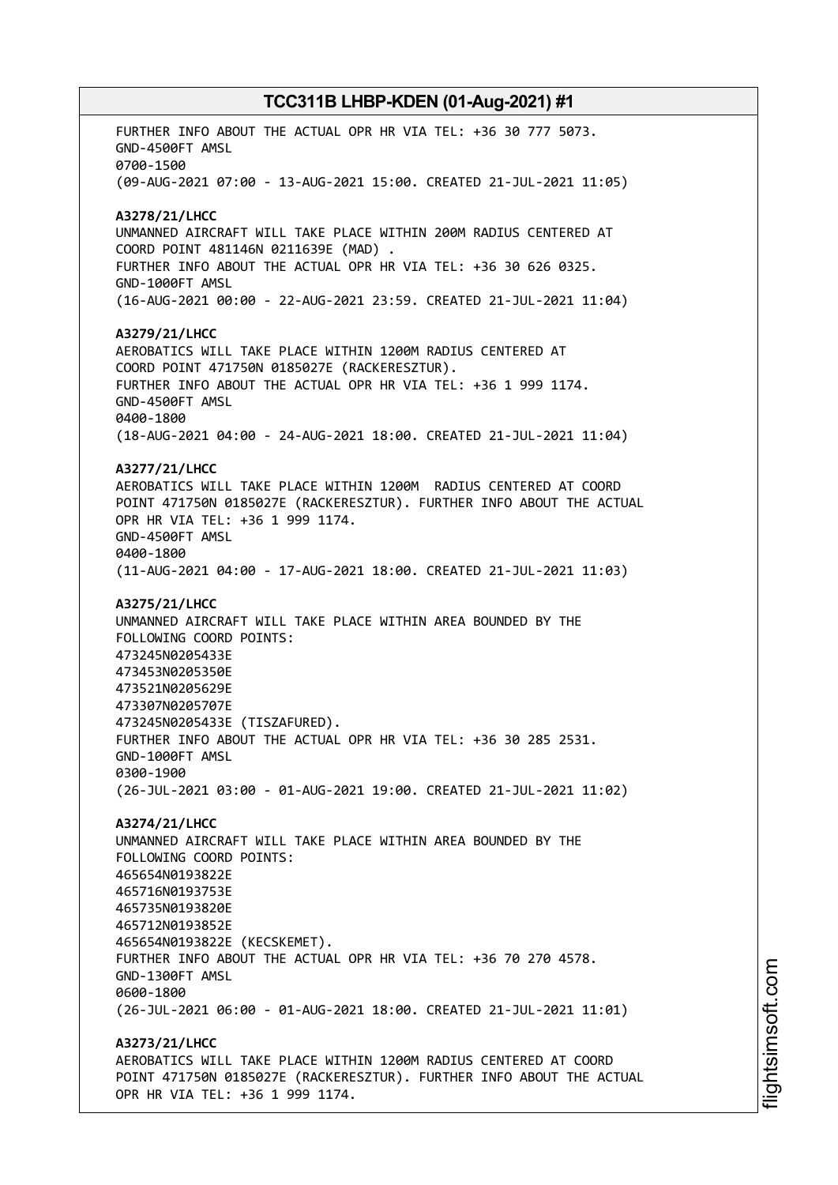FURTHER INFO ABOUT THE ACTUAL OPR HR VIA TEL: +36 30 777 5073. GND-4500FT AMSL 0700-1500 (09-AUG-2021 07:00 - 13-AUG-2021 15:00. CREATED 21-JUL-2021 11:05) **A3278/21/LHCC** UNMANNED AIRCRAFT WILL TAKE PLACE WITHIN 200M RADIUS CENTERED AT COORD POINT 481146N 0211639E (MAD) . FURTHER INFO ABOUT THE ACTUAL OPR HR VIA TEL: +36 30 626 0325. GND-1000FT AMSL (16-AUG-2021 00:00 - 22-AUG-2021 23:59. CREATED 21-JUL-2021 11:04) **A3279/21/LHCC** AEROBATICS WILL TAKE PLACE WITHIN 1200M RADIUS CENTERED AT COORD POINT 471750N 0185027E (RACKERESZTUR). FURTHER INFO ABOUT THE ACTUAL OPR HR VIA TEL: +36 1 999 1174. GND-4500FT AMSL 0400-1800 (18-AUG-2021 04:00 - 24-AUG-2021 18:00. CREATED 21-JUL-2021 11:04) **A3277/21/LHCC** AEROBATICS WILL TAKE PLACE WITHIN 1200M RADIUS CENTERED AT COORD POINT 471750N 0185027E (RACKERESZTUR). FURTHER INFO ABOUT THE ACTUAL OPR HR VIA TEL: +36 1 999 1174. GND-4500FT AMSL 0400-1800 (11-AUG-2021 04:00 - 17-AUG-2021 18:00. CREATED 21-JUL-2021 11:03) **A3275/21/LHCC** UNMANNED AIRCRAFT WILL TAKE PLACE WITHIN AREA BOUNDED BY THE FOLLOWING COORD POINTS: 473245N0205433E 473453N0205350E 473521N0205629E 473307N0205707E 473245N0205433E (TISZAFURED). FURTHER INFO ABOUT THE ACTUAL OPR HR VIA TEL: +36 30 285 2531. GND-1000FT AMSL 0300-1900 (26-JUL-2021 03:00 - 01-AUG-2021 19:00. CREATED 21-JUL-2021 11:02) **A3274/21/LHCC** UNMANNED AIRCRAFT WILL TAKE PLACE WITHIN AREA BOUNDED BY THE FOLLOWING COORD POINTS: 465654N0193822E 465716N0193753E 465735N0193820E 465712N0193852E 465654N0193822E (KECSKEMET). FURTHER INFO ABOUT THE ACTUAL OPR HR VIA TEL: +36 70 270 4578. GND-1300FT AMSL 0600-1800 (26-JUL-2021 06:00 - 01-AUG-2021 18:00. CREATED 21-JUL-2021 11:01) **A3273/21/LHCC** AEROBATICS WILL TAKE PLACE WITHIN 1200M RADIUS CENTERED AT COORD POINT 471750N 0185027E (RACKERESZTUR). FURTHER INFO ABOUT THE ACTUAL OPR HR VIA TEL: +36 1 999 1174.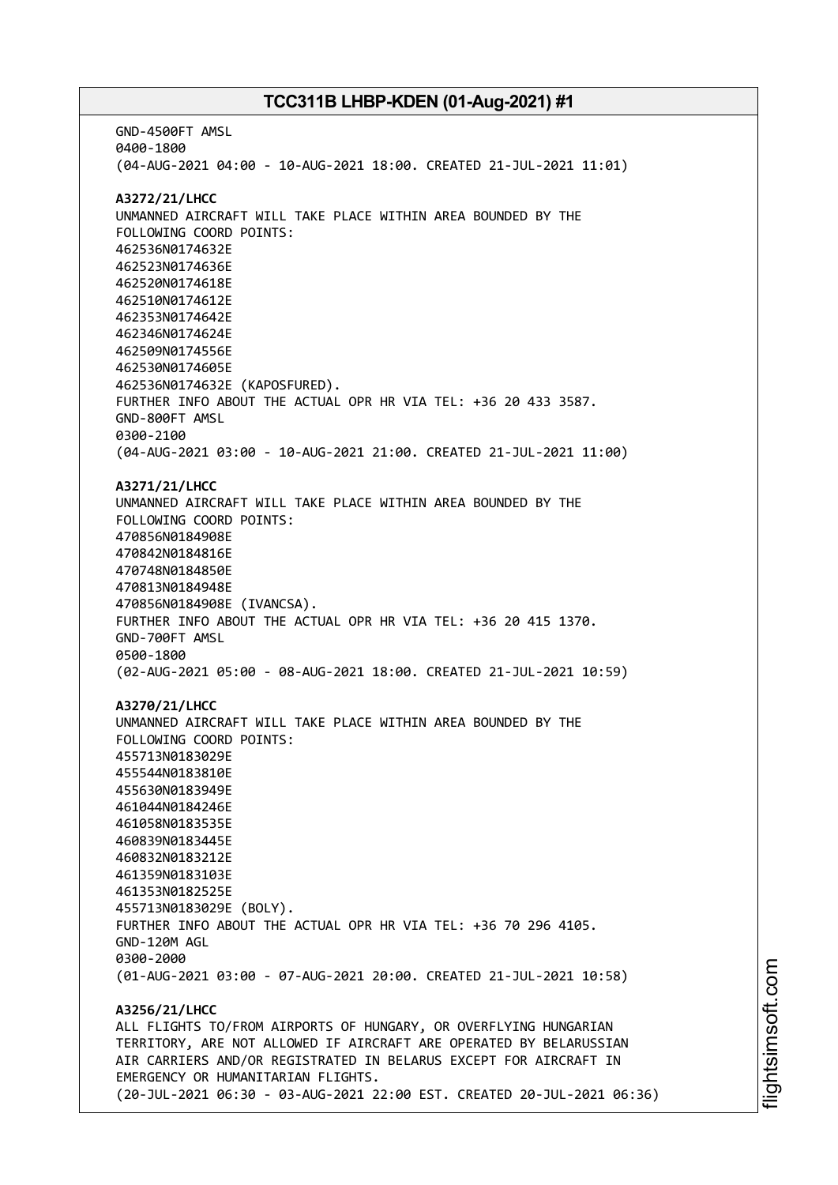GND-4500FT AMSL 0400-1800 (04-AUG-2021 04:00 - 10-AUG-2021 18:00. CREATED 21-JUL-2021 11:01) **A3272/21/LHCC** UNMANNED AIRCRAFT WILL TAKE PLACE WITHIN AREA BOUNDED BY THE FOLLOWING COORD POINTS: 462536N0174632E 462523N0174636E 462520N0174618E 462510N0174612E 462353N0174642E 462346N0174624E 462509N0174556E 462530N0174605E 462536N0174632E (KAPOSFURED). FURTHER INFO ABOUT THE ACTUAL OPR HR VIA TEL: +36 20 433 3587. GND-800FT AMSL 0300-2100 (04-AUG-2021 03:00 - 10-AUG-2021 21:00. CREATED 21-JUL-2021 11:00) **A3271/21/LHCC** UNMANNED AIRCRAFT WILL TAKE PLACE WITHIN AREA BOUNDED BY THE FOLLOWING COORD POINTS: 470856N0184908E 470842N0184816E 470748N0184850E 470813N0184948E 470856N0184908E (IVANCSA). FURTHER INFO ABOUT THE ACTUAL OPR HR VIA TEL: +36 20 415 1370. GND-700FT AMSL 0500-1800 (02-AUG-2021 05:00 - 08-AUG-2021 18:00. CREATED 21-JUL-2021 10:59) **A3270/21/LHCC** UNMANNED AIRCRAFT WILL TAKE PLACE WITHIN AREA BOUNDED BY THE FOLLOWING COORD POINTS: 455713N0183029E 455544N0183810E 455630N0183949E 461044N0184246E 461058N0183535E 460839N0183445E 460832N0183212E 461359N0183103E 461353N0182525E 455713N0183029E (BOLY). FURTHER INFO ABOUT THE ACTUAL OPR HR VIA TEL: +36 70 296 4105. GND-120M AGL 0300-2000 (01-AUG-2021 03:00 - 07-AUG-2021 20:00. CREATED 21-JUL-2021 10:58) **A3256/21/LHCC** ALL FLIGHTS TO/FROM AIRPORTS OF HUNGARY, OR OVERFLYING HUNGARIAN TERRITORY, ARE NOT ALLOWED IF AIRCRAFT ARE OPERATED BY BELARUSSIAN AIR CARRIERS AND/OR REGISTRATED IN BELARUS EXCEPT FOR AIRCRAFT IN EMERGENCY OR HUMANITARIAN FLIGHTS. (20-JUL-2021 06:30 - 03-AUG-2021 22:00 EST. CREATED 20-JUL-2021 06:36)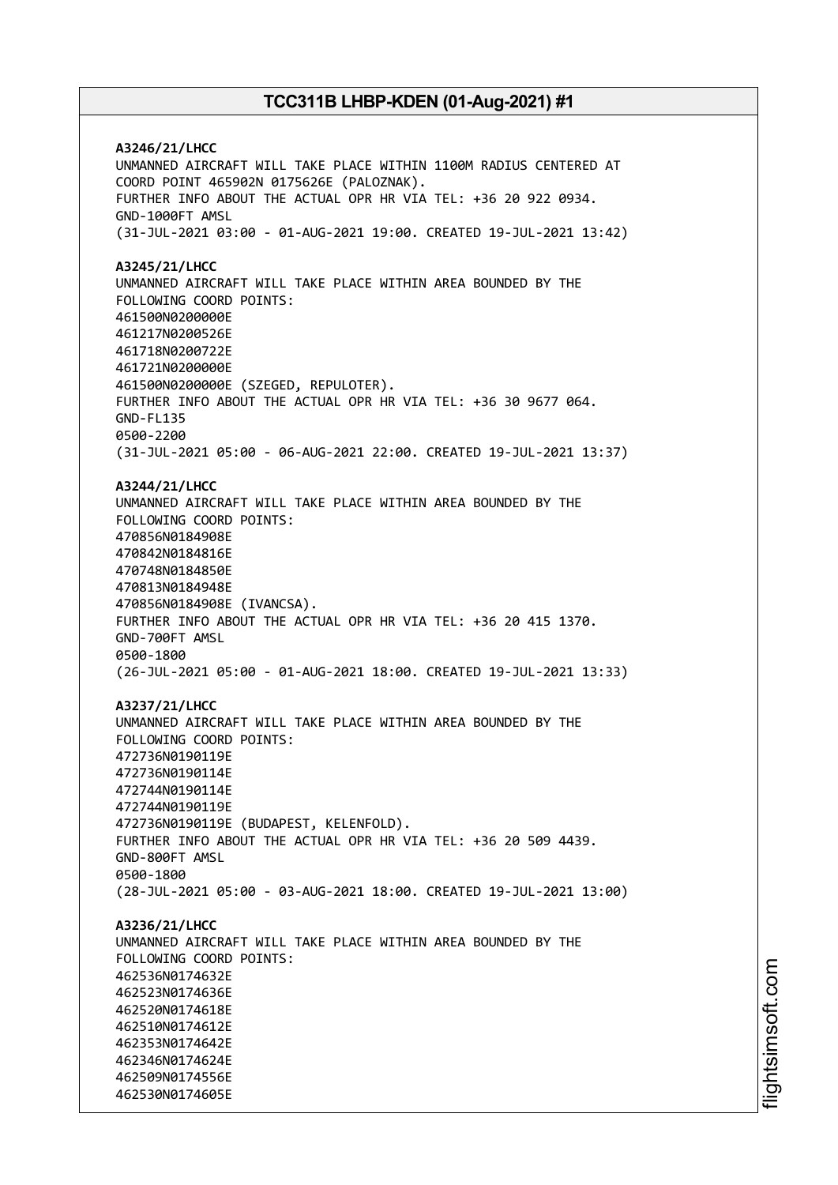**A3246/21/LHCC** UNMANNED AIRCRAFT WILL TAKE PLACE WITHIN 1100M RADIUS CENTERED AT COORD POINT 465902N 0175626E (PALOZNAK). FURTHER INFO ABOUT THE ACTUAL OPR HR VIA TEL: +36 20 922 0934. GND-1000FT AMSL (31-JUL-2021 03:00 - 01-AUG-2021 19:00. CREATED 19-JUL-2021 13:42) **A3245/21/LHCC** UNMANNED AIRCRAFT WILL TAKE PLACE WITHIN AREA BOUNDED BY THE FOLLOWING COORD POINTS: 461500N0200000E 461217N0200526E 461718N0200722E 461721N0200000E 461500N0200000E (SZEGED, REPULOTER). FURTHER INFO ABOUT THE ACTUAL OPR HR VIA TEL: +36 30 9677 064. GND-FL135 0500-2200 (31-JUL-2021 05:00 - 06-AUG-2021 22:00. CREATED 19-JUL-2021 13:37) **A3244/21/LHCC** UNMANNED AIRCRAFT WILL TAKE PLACE WITHIN AREA BOUNDED BY THE FOLLOWING COORD POINTS: 470856N0184908E 470842N0184816E 470748N0184850E 470813N0184948E 470856N0184908E (IVANCSA). FURTHER INFO ABOUT THE ACTUAL OPR HR VIA TEL: +36 20 415 1370. GND-700FT AMSL 0500-1800 (26-JUL-2021 05:00 - 01-AUG-2021 18:00. CREATED 19-JUL-2021 13:33) **A3237/21/LHCC** UNMANNED AIRCRAFT WILL TAKE PLACE WITHIN AREA BOUNDED BY THE FOLLOWING COORD POINTS: 472736N0190119E 472736N0190114E 472744N0190114E 472744N0190119E 472736N0190119E (BUDAPEST, KELENFOLD). FURTHER INFO ABOUT THE ACTUAL OPR HR VIA TEL: +36 20 509 4439. GND-800FT AMSL 0500-1800 (28-JUL-2021 05:00 - 03-AUG-2021 18:00. CREATED 19-JUL-2021 13:00) **A3236/21/LHCC** UNMANNED AIRCRAFT WILL TAKE PLACE WITHIN AREA BOUNDED BY THE FOLLOWING COORD POINTS: 462536N0174632E 462523N0174636E 462520N0174618E 462510N0174612E 462353N0174642E 462346N0174624E 462509N0174556E 462530N0174605E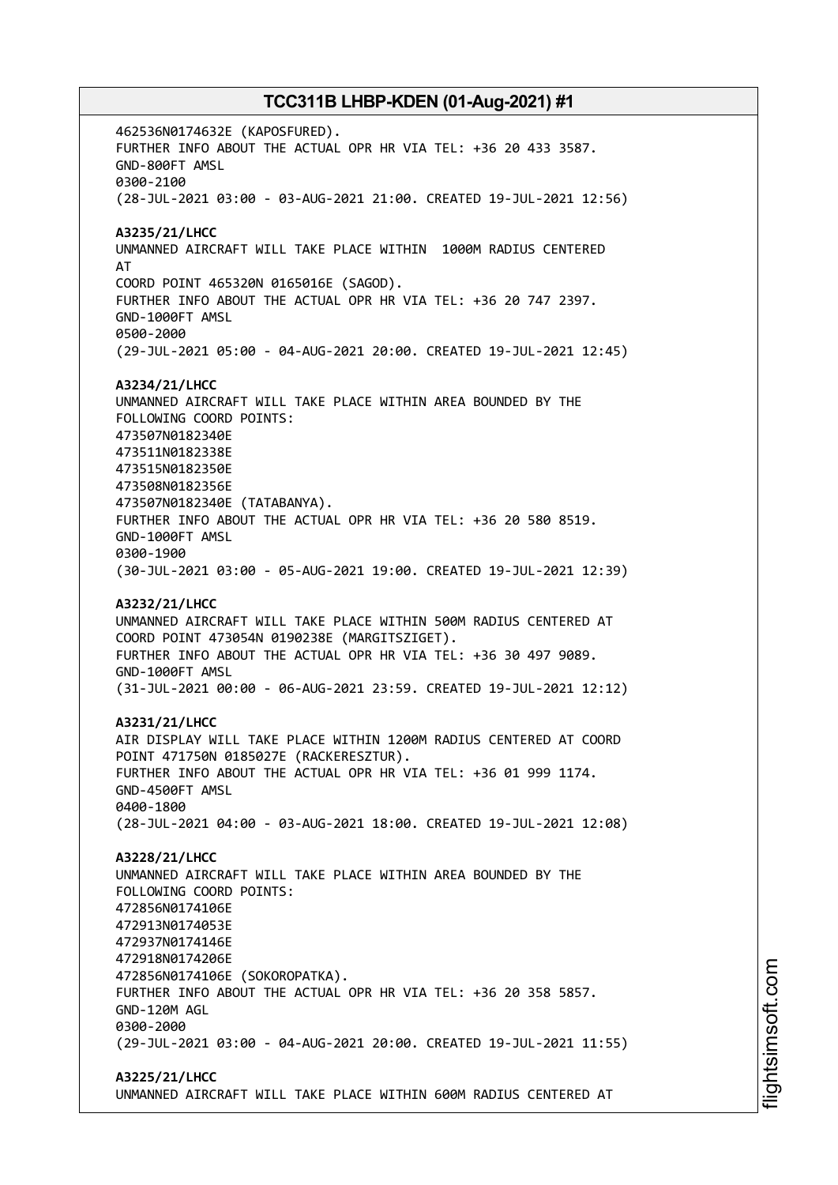462536N0174632E (KAPOSFURED). FURTHER INFO ABOUT THE ACTUAL OPR HR VIA TEL: +36 20 433 3587. GND-800FT AMSL 0300-2100 (28-JUL-2021 03:00 - 03-AUG-2021 21:00. CREATED 19-JUL-2021 12:56) **A3235/21/LHCC** UNMANNED AIRCRAFT WILL TAKE PLACE WITHIN 1000M RADIUS CENTERED AT COORD POINT 465320N 0165016E (SAGOD). FURTHER INFO ABOUT THE ACTUAL OPR HR VIA TEL: +36 20 747 2397. GND-1000FT AMSL 0500-2000 (29-JUL-2021 05:00 - 04-AUG-2021 20:00. CREATED 19-JUL-2021 12:45) **A3234/21/LHCC** UNMANNED AIRCRAFT WILL TAKE PLACE WITHIN AREA BOUNDED BY THE FOLLOWING COORD POINTS: 473507N0182340E 473511N0182338E 473515N0182350E 473508N0182356E 473507N0182340E (TATABANYA). FURTHER INFO ABOUT THE ACTUAL OPR HR VIA TEL: +36 20 580 8519. GND-1000FT AMSL 0300-1900 (30-JUL-2021 03:00 - 05-AUG-2021 19:00. CREATED 19-JUL-2021 12:39) **A3232/21/LHCC** UNMANNED AIRCRAFT WILL TAKE PLACE WITHIN 500M RADIUS CENTERED AT COORD POINT 473054N 0190238E (MARGITSZIGET). FURTHER INFO ABOUT THE ACTUAL OPR HR VIA TEL: +36 30 497 9089. GND-1000FT AMSL (31-JUL-2021 00:00 - 06-AUG-2021 23:59. CREATED 19-JUL-2021 12:12) **A3231/21/LHCC** AIR DISPLAY WILL TAKE PLACE WITHIN 1200M RADIUS CENTERED AT COORD POINT 471750N 0185027E (RACKERESZTUR). FURTHER INFO ABOUT THE ACTUAL OPR HR VIA TEL: +36 01 999 1174. GND-4500FT AMSL 0400-1800 (28-JUL-2021 04:00 - 03-AUG-2021 18:00. CREATED 19-JUL-2021 12:08) **A3228/21/LHCC** UNMANNED AIRCRAFT WILL TAKE PLACE WITHIN AREA BOUNDED BY THE FOLLOWING COORD POINTS: 472856N0174106E 472913N0174053E 472937N0174146E 472918N0174206E 472856N0174106E (SOKOROPATKA). FURTHER INFO ABOUT THE ACTUAL OPR HR VIA TEL: +36 20 358 5857. GND-120M AGL 0300-2000 (29-JUL-2021 03:00 - 04-AUG-2021 20:00. CREATED 19-JUL-2021 11:55) **A3225/21/LHCC**

UNMANNED AIRCRAFT WILL TAKE PLACE WITHIN 600M RADIUS CENTERED AT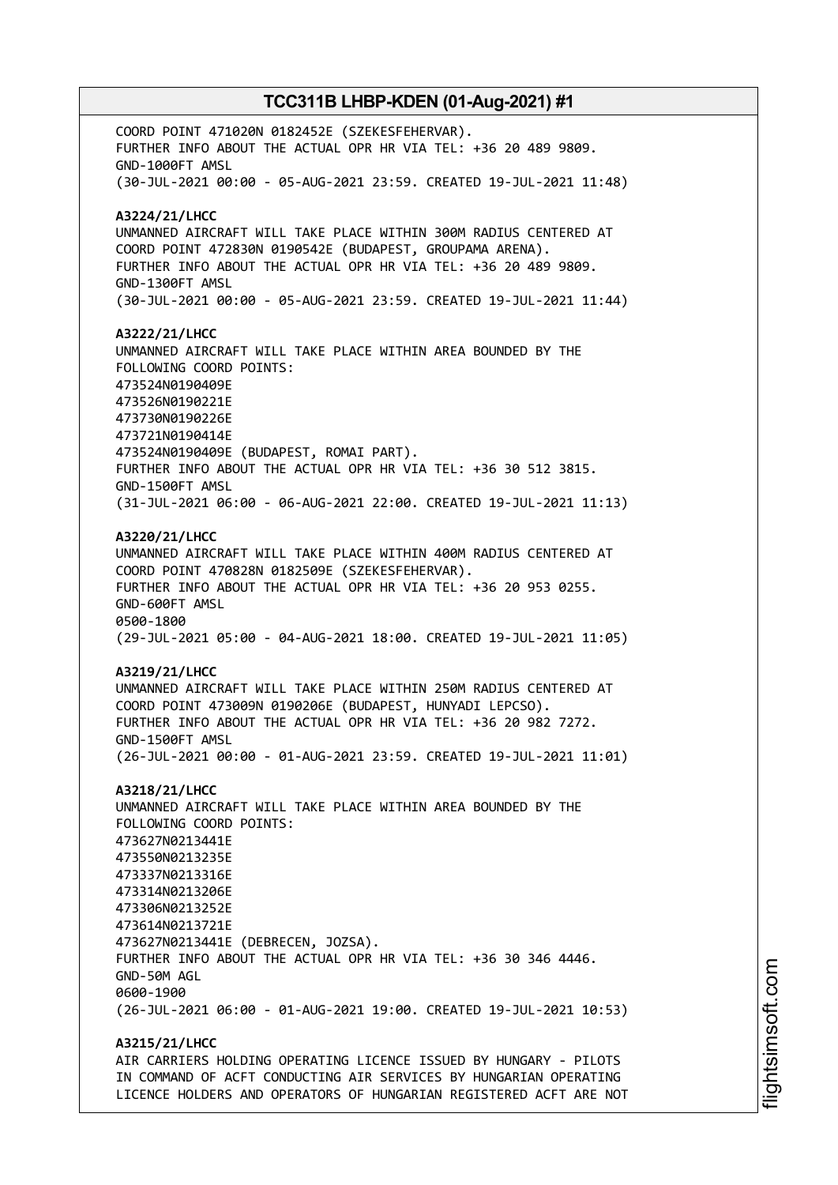COORD POINT 471020N 0182452E (SZEKESFEHERVAR). FURTHER INFO ABOUT THE ACTUAL OPR HR VIA TEL: +36 20 489 9809. GND-1000FT AMSL (30-JUL-2021 00:00 - 05-AUG-2021 23:59. CREATED 19-JUL-2021 11:48) **A3224/21/LHCC** UNMANNED AIRCRAFT WILL TAKE PLACE WITHIN 300M RADIUS CENTERED AT COORD POINT 472830N 0190542E (BUDAPEST, GROUPAMA ARENA). FURTHER INFO ABOUT THE ACTUAL OPR HR VIA TEL: +36 20 489 9809. GND-1300FT AMSL (30-JUL-2021 00:00 - 05-AUG-2021 23:59. CREATED 19-JUL-2021 11:44) **A3222/21/LHCC** UNMANNED AIRCRAFT WILL TAKE PLACE WITHIN AREA BOUNDED BY THE FOLLOWING COORD POINTS: 473524N0190409E 473526N0190221E 473730N0190226E 473721N0190414E 473524N0190409E (BUDAPEST, ROMAI PART). FURTHER INFO ABOUT THE ACTUAL OPR HR VIA TEL: +36 30 512 3815. GND-1500FT AMSL (31-JUL-2021 06:00 - 06-AUG-2021 22:00. CREATED 19-JUL-2021 11:13) **A3220/21/LHCC** UNMANNED AIRCRAFT WILL TAKE PLACE WITHIN 400M RADIUS CENTERED AT COORD POINT 470828N 0182509E (SZEKESFEHERVAR). FURTHER INFO ABOUT THE ACTUAL OPR HR VIA TEL: +36 20 953 0255. GND-600FT AMSL 0500-1800 (29-JUL-2021 05:00 - 04-AUG-2021 18:00. CREATED 19-JUL-2021 11:05) **A3219/21/LHCC** UNMANNED AIRCRAFT WILL TAKE PLACE WITHIN 250M RADIUS CENTERED AT COORD POINT 473009N 0190206E (BUDAPEST, HUNYADI LEPCSO). FURTHER INFO ABOUT THE ACTUAL OPR HR VIA TEL: +36 20 982 7272. GND-1500FT AMSL (26-JUL-2021 00:00 - 01-AUG-2021 23:59. CREATED 19-JUL-2021 11:01) **A3218/21/LHCC** UNMANNED AIRCRAFT WILL TAKE PLACE WITHIN AREA BOUNDED BY THE FOLLOWING COORD POINTS: 473627N0213441E 473550N0213235E 473337N0213316E 473314N0213206E 473306N0213252E 473614N0213721E 473627N0213441E (DEBRECEN, JOZSA). FURTHER INFO ABOUT THE ACTUAL OPR HR VIA TEL: +36 30 346 4446. GND-50M AGL 0600-1900 (26-JUL-2021 06:00 - 01-AUG-2021 19:00. CREATED 19-JUL-2021 10:53) **A3215/21/LHCC** AIR CARRIERS HOLDING OPERATING LICENCE ISSUED BY HUNGARY - PILOTS

IN COMMAND OF ACFT CONDUCTING AIR SERVICES BY HUNGARIAN OPERATING LICENCE HOLDERS AND OPERATORS OF HUNGARIAN REGISTERED ACFT ARE NOT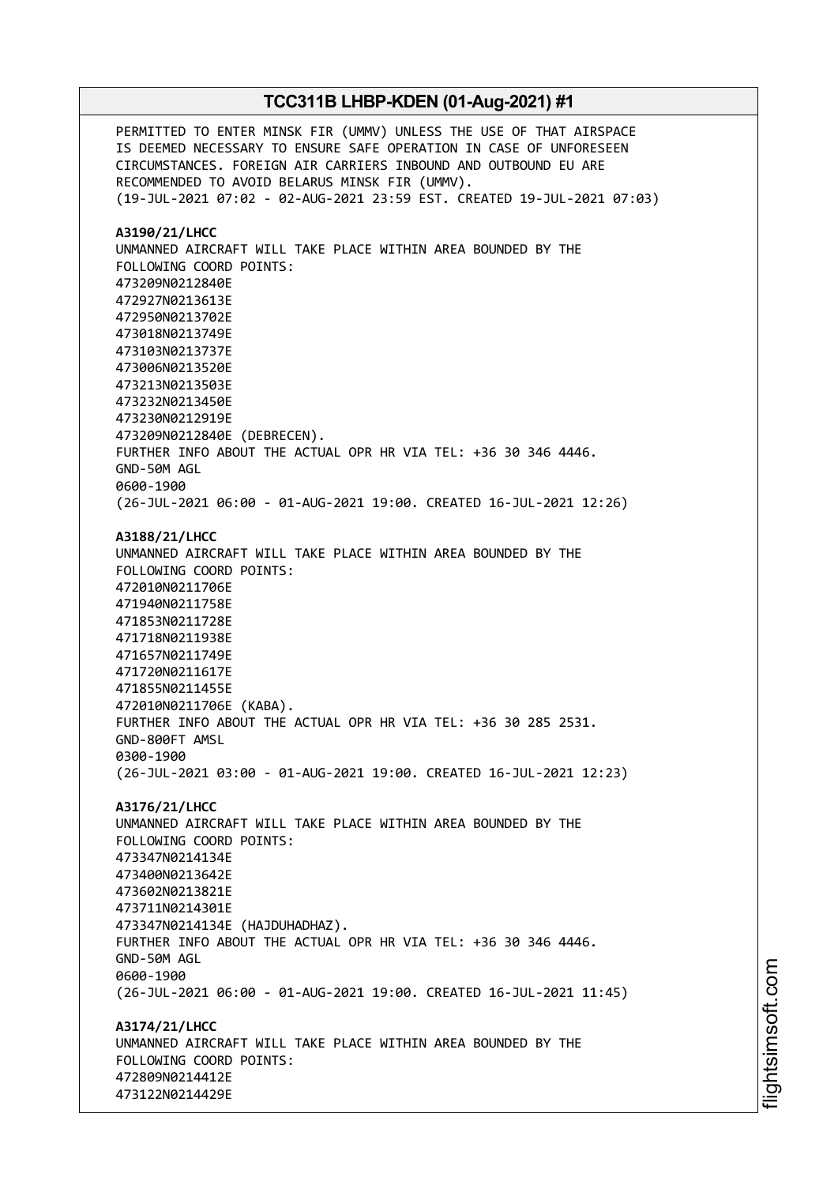PERMITTED TO ENTER MINSK FIR (UMMV) UNLESS THE USE OF THAT AIRSPACE IS DEEMED NECESSARY TO ENSURE SAFE OPERATION IN CASE OF UNFORESEEN CIRCUMSTANCES. FOREIGN AIR CARRIERS INBOUND AND OUTBOUND EU ARE RECOMMENDED TO AVOID BELARUS MINSK FIR (UMMV). (19-JUL-2021 07:02 - 02-AUG-2021 23:59 EST. CREATED 19-JUL-2021 07:03) **A3190/21/LHCC** UNMANNED AIRCRAFT WILL TAKE PLACE WITHIN AREA BOUNDED BY THE FOLLOWING COORD POINTS: 473209N0212840E 472927N0213613E 472950N0213702E 473018N0213749E 473103N0213737E 473006N0213520E 473213N0213503E 473232N0213450E 473230N0212919E 473209N0212840E (DEBRECEN). FURTHER INFO ABOUT THE ACTUAL OPR HR VIA TEL: +36 30 346 4446. GND-50M AGL 0600-1900 (26-JUL-2021 06:00 - 01-AUG-2021 19:00. CREATED 16-JUL-2021 12:26) **A3188/21/LHCC** UNMANNED AIRCRAFT WILL TAKE PLACE WITHIN AREA BOUNDED BY THE FOLLOWING COORD POINTS: 472010N0211706E 471940N0211758E 471853N0211728E 471718N0211938E 471657N0211749E 471720N0211617E 471855N0211455E 472010N0211706E (KABA). FURTHER INFO ABOUT THE ACTUAL OPR HR VIA TEL: +36 30 285 2531. GND-800FT AMSL 0300-1900 (26-JUL-2021 03:00 - 01-AUG-2021 19:00. CREATED 16-JUL-2021 12:23) **A3176/21/LHCC** UNMANNED AIRCRAFT WILL TAKE PLACE WITHIN AREA BOUNDED BY THE FOLLOWING COORD POINTS: 473347N0214134E 473400N0213642E 473602N0213821E 473711N0214301E 473347N0214134E (HAJDUHADHAZ). FURTHER INFO ABOUT THE ACTUAL OPR HR VIA TEL: +36 30 346 4446. GND-50M AGL 0600-1900 (26-JUL-2021 06:00 - 01-AUG-2021 19:00. CREATED 16-JUL-2021 11:45) **A3174/21/LHCC** UNMANNED AIRCRAFT WILL TAKE PLACE WITHIN AREA BOUNDED BY THE FOLLOWING COORD POINTS: 472809N0214412E 473122N0214429E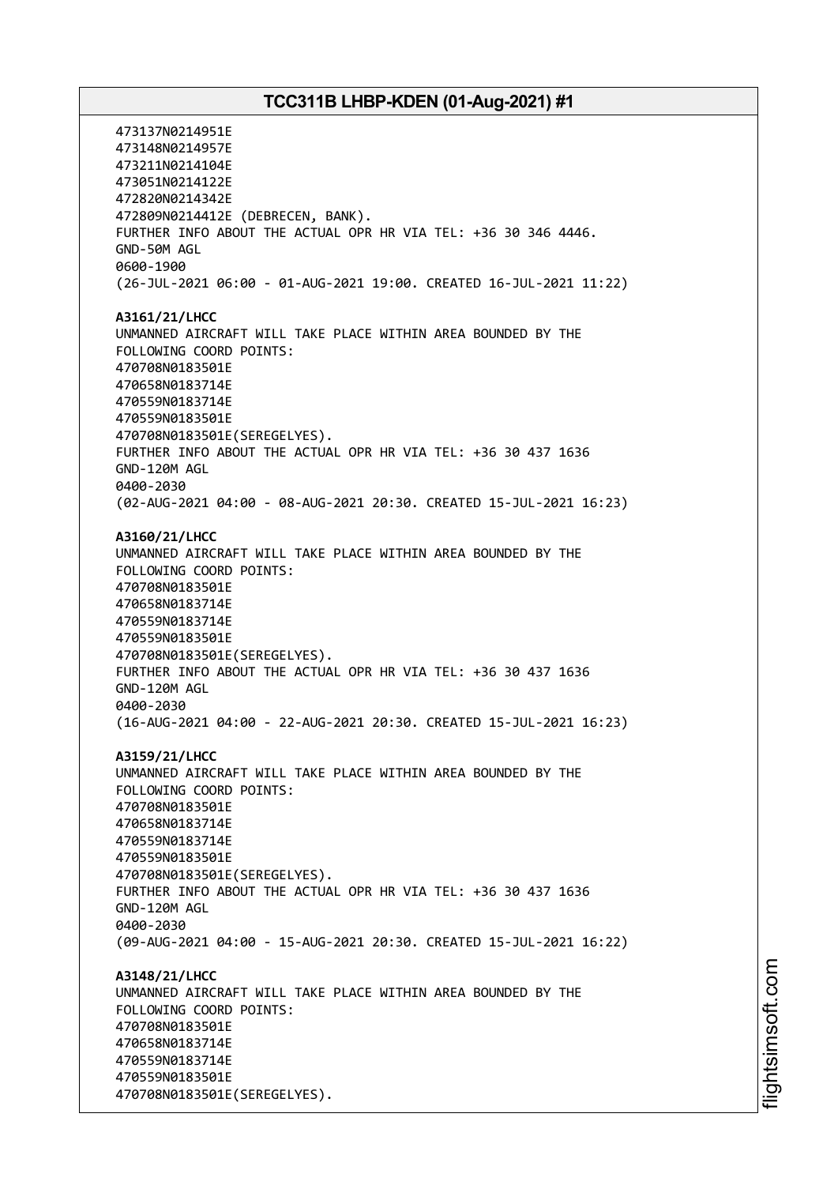473137N0214951E 473148N0214957E 473211N0214104E 473051N0214122E 472820N0214342E 472809N0214412E (DEBRECEN, BANK). FURTHER INFO ABOUT THE ACTUAL OPR HR VIA TEL: +36 30 346 4446. GND-50M AGL 0600-1900 (26-JUL-2021 06:00 - 01-AUG-2021 19:00. CREATED 16-JUL-2021 11:22) **A3161/21/LHCC** UNMANNED AIRCRAFT WILL TAKE PLACE WITHIN AREA BOUNDED BY THE FOLLOWING COORD POINTS: 470708N0183501E 470658N0183714E 470559N0183714E 470559N0183501E 470708N0183501E(SEREGELYES). FURTHER INFO ABOUT THE ACTUAL OPR HR VIA TEL: +36 30 437 1636 GND-120M AGL 0400-2030 (02-AUG-2021 04:00 - 08-AUG-2021 20:30. CREATED 15-JUL-2021 16:23) **A3160/21/LHCC** UNMANNED AIRCRAFT WILL TAKE PLACE WITHIN AREA BOUNDED BY THE FOLLOWING COORD POINTS: 470708N0183501E 470658N0183714E 470559N0183714E 470559N0183501E 470708N0183501E(SEREGELYES). FURTHER INFO ABOUT THE ACTUAL OPR HR VIA TEL: +36 30 437 1636 GND-120M AGL 0400-2030 (16-AUG-2021 04:00 - 22-AUG-2021 20:30. CREATED 15-JUL-2021 16:23) **A3159/21/LHCC** UNMANNED AIRCRAFT WILL TAKE PLACE WITHIN AREA BOUNDED BY THE FOLLOWING COORD POINTS: 470708N0183501E 470658N0183714E 470559N0183714E 470559N0183501E 470708N0183501E(SEREGELYES). FURTHER INFO ABOUT THE ACTUAL OPR HR VIA TEL: +36 30 437 1636 GND-120M AGL 0400-2030 (09-AUG-2021 04:00 - 15-AUG-2021 20:30. CREATED 15-JUL-2021 16:22) **A3148/21/LHCC** UNMANNED AIRCRAFT WILL TAKE PLACE WITHIN AREA BOUNDED BY THE FOLLOWING COORD POINTS: 470708N0183501E 470658N0183714E 470559N0183714E 470559N0183501E 470708N0183501E(SEREGELYES).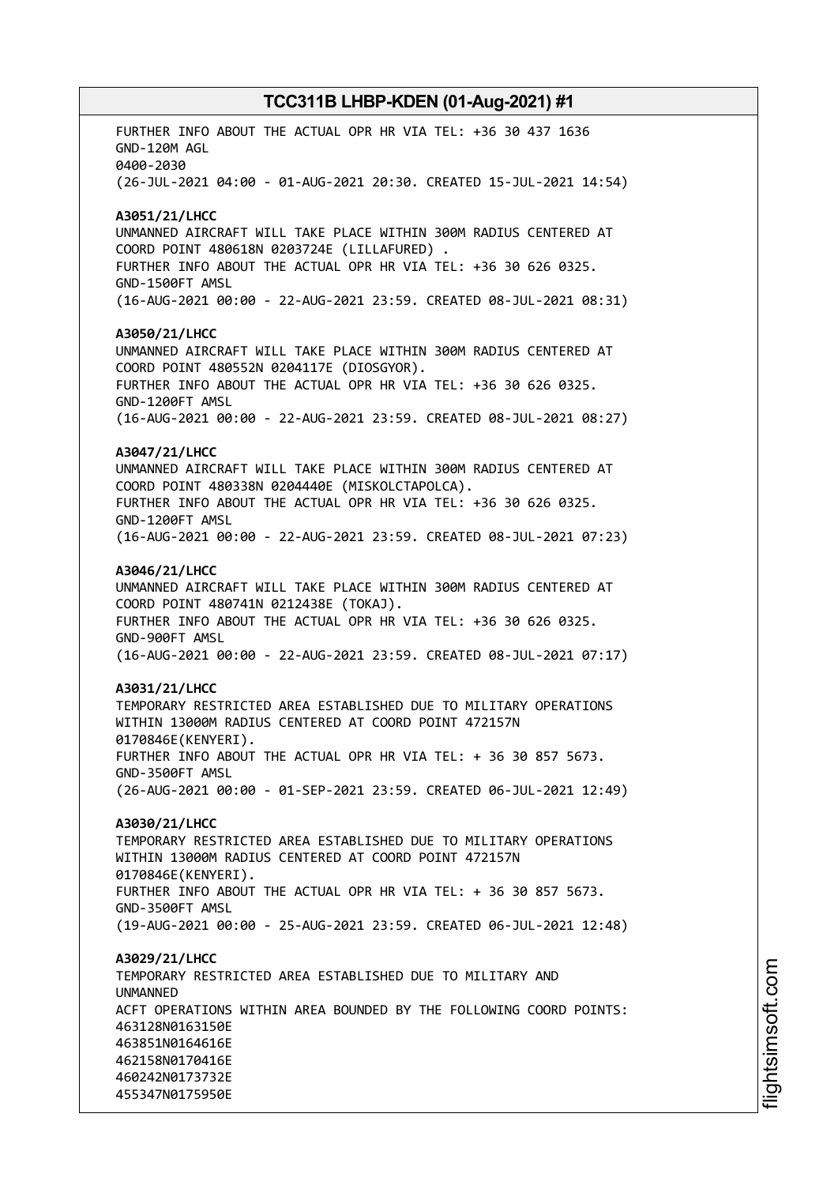FURTHER INFO ABOUT THE ACTUAL OPR HR VIA TEL: +36 30 437 1636 GND-120M AGL 0400-2030 (26-JUL-2021 04:00 - 01-AUG-2021 20:30. CREATED 15-JUL-2021 14:54) **A3051/21/LHCC** UNMANNED AIRCRAFT WILL TAKE PLACE WITHIN 300M RADIUS CENTERED AT COORD POINT 480618N 0203724E (LILLAFURED) . FURTHER INFO ABOUT THE ACTUAL OPR HR VIA TEL: +36 30 626 0325. GND-1500FT AMSL (16-AUG-2021 00:00 - 22-AUG-2021 23:59. CREATED 08-JUL-2021 08:31) **A3050/21/LHCC** UNMANNED AIRCRAFT WILL TAKE PLACE WITHIN 300M RADIUS CENTERED AT COORD POINT 480552N 0204117E (DIOSGYOR). FURTHER INFO ABOUT THE ACTUAL OPR HR VIA TEL: +36 30 626 0325. GND-1200FT AMSL (16-AUG-2021 00:00 - 22-AUG-2021 23:59. CREATED 08-JUL-2021 08:27) **A3047/21/LHCC** UNMANNED AIRCRAFT WILL TAKE PLACE WITHIN 300M RADIUS CENTERED AT COORD POINT 480338N 0204440E (MISKOLCTAPOLCA). FURTHER INFO ABOUT THE ACTUAL OPR HR VIA TEL: +36 30 626 0325. GND-1200FT AMSL (16-AUG-2021 00:00 - 22-AUG-2021 23:59. CREATED 08-JUL-2021 07:23) **A3046/21/LHCC** UNMANNED AIRCRAFT WILL TAKE PLACE WITHIN 300M RADIUS CENTERED AT COORD POINT 480741N 0212438E (TOKAJ). FURTHER INFO ABOUT THE ACTUAL OPR HR VIA TEL: +36 30 626 0325. GND-900FT AMSL (16-AUG-2021 00:00 - 22-AUG-2021 23:59. CREATED 08-JUL-2021 07:17) **A3031/21/LHCC** TEMPORARY RESTRICTED AREA ESTABLISHED DUE TO MILITARY OPERATIONS WITHIN 13000M RADIUS CENTERED AT COORD POINT 472157N 0170846E(KENYERI). FURTHER INFO ABOUT THE ACTUAL OPR HR VIA TEL: + 36 30 857 5673. GND-3500FT AMSL (26-AUG-2021 00:00 - 01-SEP-2021 23:59. CREATED 06-JUL-2021 12:49) **A3030/21/LHCC** TEMPORARY RESTRICTED AREA ESTABLISHED DUE TO MILITARY OPERATIONS WITHIN 13000M RADIUS CENTERED AT COORD POINT 472157N 0170846E(KENYERI). FURTHER INFO ABOUT THE ACTUAL OPR HR VIA TEL: + 36 30 857 5673. GND-3500FT AMSL (19-AUG-2021 00:00 - 25-AUG-2021 23:59. CREATED 06-JUL-2021 12:48) **A3029/21/LHCC** TEMPORARY RESTRICTED AREA ESTABLISHED DUE TO MILITARY AND **IINMANNED** ACFT OPERATIONS WITHIN AREA BOUNDED BY THE FOLLOWING COORD POINTS: 463128N0163150E 463851N0164616E 462158N0170416E 460242N0173732E 455347N0175950E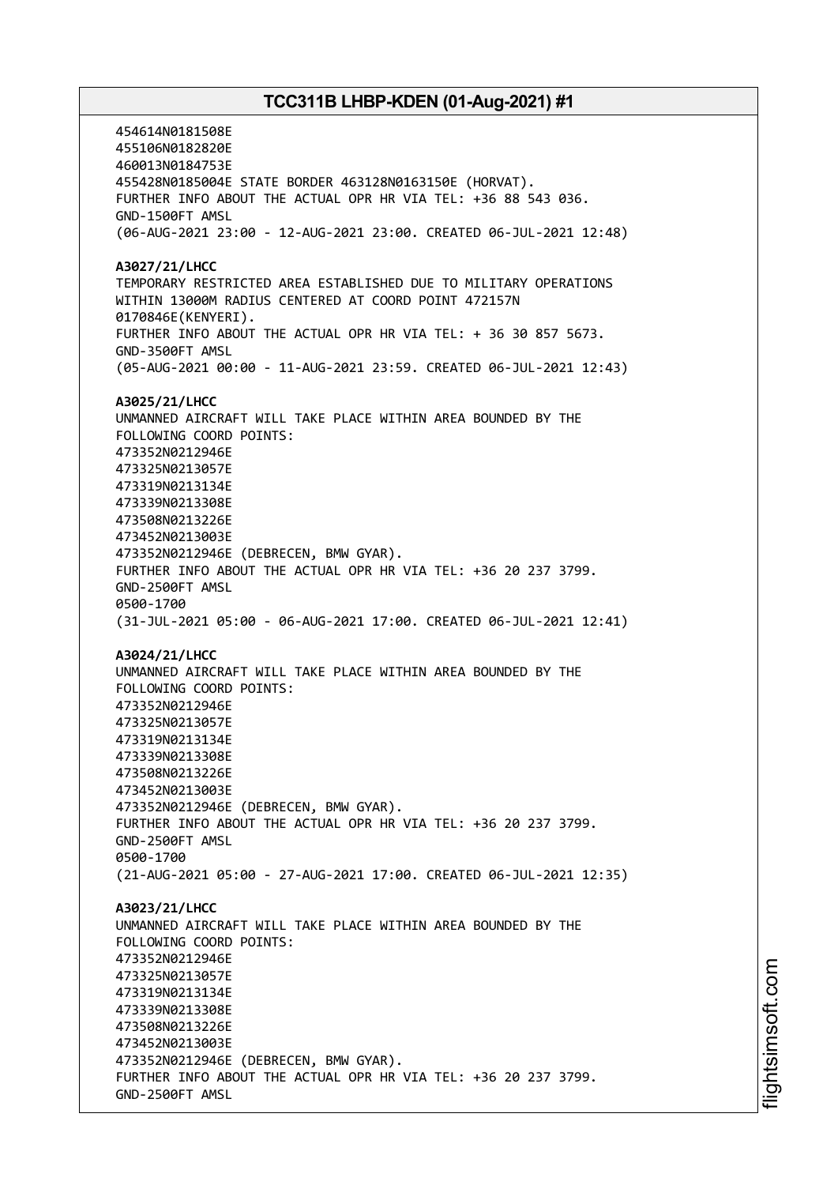454614N0181508E 455106N0182820E 460013N0184753E 455428N0185004E STATE BORDER 463128N0163150E (HORVAT). FURTHER INFO ABOUT THE ACTUAL OPR HR VIA TEL: +36 88 543 036. GND-1500FT AMSL (06-AUG-2021 23:00 - 12-AUG-2021 23:00. CREATED 06-JUL-2021 12:48) **A3027/21/LHCC** TEMPORARY RESTRICTED AREA ESTABLISHED DUE TO MILITARY OPERATIONS WITHIN 13000M RADIUS CENTERED AT COORD POINT 472157N 0170846E(KENYERI). FURTHER INFO ABOUT THE ACTUAL OPR HR VIA TEL: + 36 30 857 5673. GND-3500FT AMSL (05-AUG-2021 00:00 - 11-AUG-2021 23:59. CREATED 06-JUL-2021 12:43) **A3025/21/LHCC** UNMANNED AIRCRAFT WILL TAKE PLACE WITHIN AREA BOUNDED BY THE FOLLOWING COORD POINTS: 473352N0212946E 473325N0213057E 473319N0213134E 473339N0213308E 473508N0213226E 473452N0213003E 473352N0212946E (DEBRECEN, BMW GYAR). FURTHER INFO ABOUT THE ACTUAL OPR HR VIA TEL: +36 20 237 3799. GND-2500FT AMSL 0500-1700 (31-JUL-2021 05:00 - 06-AUG-2021 17:00. CREATED 06-JUL-2021 12:41) **A3024/21/LHCC** UNMANNED AIRCRAFT WILL TAKE PLACE WITHIN AREA BOUNDED BY THE FOLLOWING COORD POINTS: 473352N0212946E 473325N0213057E 473319N0213134E 473339N0213308E 473508N0213226E 473452N0213003E 473352N0212946E (DEBRECEN, BMW GYAR). FURTHER INFO ABOUT THE ACTUAL OPR HR VIA TEL: +36 20 237 3799. GND-2500FT AMSL 0500-1700 (21-AUG-2021 05:00 - 27-AUG-2021 17:00. CREATED 06-JUL-2021 12:35) **A3023/21/LHCC** UNMANNED AIRCRAFT WILL TAKE PLACE WITHIN AREA BOUNDED BY THE FOLLOWING COORD POINTS: 473352N0212946E 473325N0213057E 473319N0213134E 473339N0213308E 473508N0213226E 473452N0213003E 473352N0212946E (DEBRECEN, BMW GYAR). FURTHER INFO ABOUT THE ACTUAL OPR HR VIA TEL: +36 20 237 3799. GND-2500FT AMSL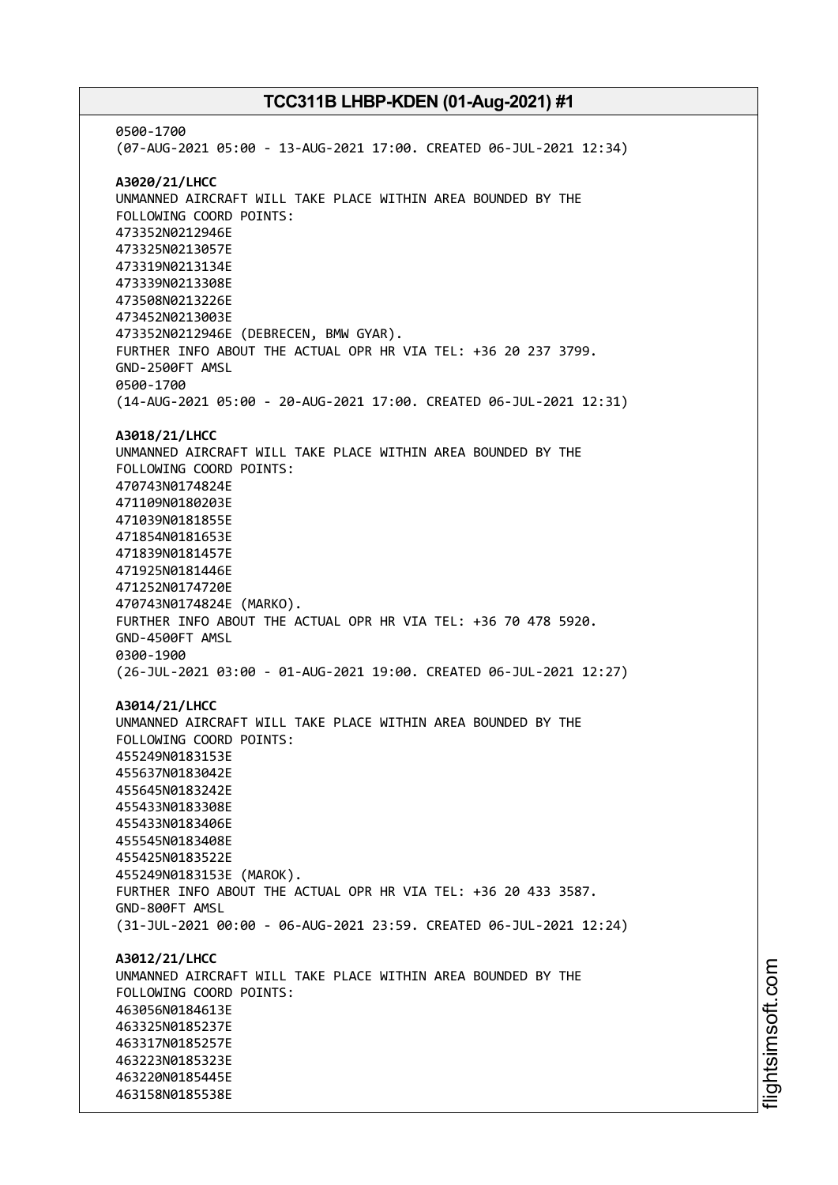0500-1700 (07-AUG-2021 05:00 - 13-AUG-2021 17:00. CREATED 06-JUL-2021 12:34) **A3020/21/LHCC** UNMANNED AIRCRAFT WILL TAKE PLACE WITHIN AREA BOUNDED BY THE FOLLOWING COORD POINTS: 473352N0212946E 473325N0213057E 473319N0213134E 473339N0213308E 473508N0213226E 473452N0213003E 473352N0212946E (DEBRECEN, BMW GYAR). FURTHER INFO ABOUT THE ACTUAL OPR HR VIA TEL: +36 20 237 3799. GND-2500FT AMSL 0500-1700 (14-AUG-2021 05:00 - 20-AUG-2021 17:00. CREATED 06-JUL-2021 12:31) **A3018/21/LHCC** UNMANNED AIRCRAFT WILL TAKE PLACE WITHIN AREA BOUNDED BY THE FOLLOWING COORD POINTS: 470743N0174824E 471109N0180203E 471039N0181855E 471854N0181653E 471839N0181457E 471925N0181446E 471252N0174720E 470743N0174824E (MARKO). FURTHER INFO ABOUT THE ACTUAL OPR HR VIA TEL: +36 70 478 5920. GND-4500FT AMSL 0300-1900 (26-JUL-2021 03:00 - 01-AUG-2021 19:00. CREATED 06-JUL-2021 12:27) **A3014/21/LHCC** UNMANNED AIRCRAFT WILL TAKE PLACE WITHIN AREA BOUNDED BY THE FOLLOWING COORD POINTS: 455249N0183153E 455637N0183042E 455645N0183242E 455433N0183308E 455433N0183406E 455545N0183408E 455425N0183522E 455249N0183153E (MAROK). FURTHER INFO ABOUT THE ACTUAL OPR HR VIA TEL: +36 20 433 3587. GND-800FT AMSL (31-JUL-2021 00:00 - 06-AUG-2021 23:59. CREATED 06-JUL-2021 12:24) **A3012/21/LHCC** UNMANNED AIRCRAFT WILL TAKE PLACE WITHIN AREA BOUNDED BY THE FOLLOWING COORD POINTS: 463056N0184613E 463325N0185237E 463317N0185257E 463223N0185323E 463220N0185445E 463158N0185538E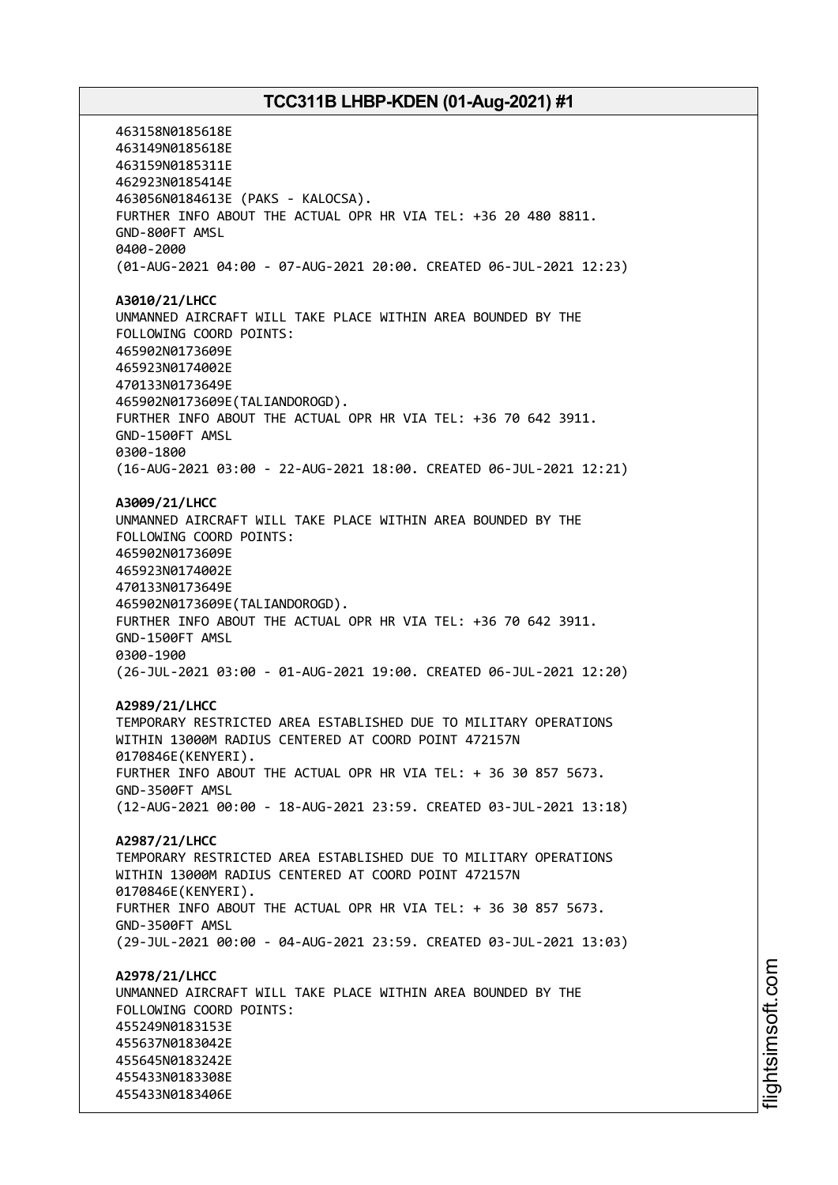463158N0185618E 463149N0185618E 463159N0185311E 462923N0185414E 463056N0184613E (PAKS - KALOCSA). FURTHER INFO ABOUT THE ACTUAL OPR HR VIA TEL: +36 20 480 8811. GND-800FT AMSL 0400-2000 (01-AUG-2021 04:00 - 07-AUG-2021 20:00. CREATED 06-JUL-2021 12:23) **A3010/21/LHCC** UNMANNED AIRCRAFT WILL TAKE PLACE WITHIN AREA BOUNDED BY THE FOLLOWING COORD POINTS: 465902N0173609E 465923N0174002E 470133N0173649E 465902N0173609E(TALIANDOROGD). FURTHER INFO ABOUT THE ACTUAL OPR HR VIA TEL: +36 70 642 3911. GND-1500FT AMSL 0300-1800 (16-AUG-2021 03:00 - 22-AUG-2021 18:00. CREATED 06-JUL-2021 12:21) **A3009/21/LHCC** UNMANNED AIRCRAFT WILL TAKE PLACE WITHIN AREA BOUNDED BY THE FOLLOWING COORD POINTS: 465902N0173609E 465923N0174002E 470133N0173649E 465902N0173609E(TALIANDOROGD). FURTHER INFO ABOUT THE ACTUAL OPR HR VIA TEL: +36 70 642 3911. GND-1500FT AMSL 0300-1900 (26-JUL-2021 03:00 - 01-AUG-2021 19:00. CREATED 06-JUL-2021 12:20) **A2989/21/LHCC** TEMPORARY RESTRICTED AREA ESTABLISHED DUE TO MILITARY OPERATIONS WITHIN 13000M RADIUS CENTERED AT COORD POINT 472157N 0170846E(KENYERI). FURTHER INFO ABOUT THE ACTUAL OPR HR VIA TEL: + 36 30 857 5673. GND-3500FT AMSL (12-AUG-2021 00:00 - 18-AUG-2021 23:59. CREATED 03-JUL-2021 13:18) **A2987/21/LHCC** TEMPORARY RESTRICTED AREA ESTABLISHED DUE TO MILITARY OPERATIONS WITHIN 13000M RADIUS CENTERED AT COORD POINT 472157N 0170846E(KENYERI). FURTHER INFO ABOUT THE ACTUAL OPR HR VIA TEL: + 36 30 857 5673. GND-3500FT AMSL (29-JUL-2021 00:00 - 04-AUG-2021 23:59. CREATED 03-JUL-2021 13:03) **A2978/21/LHCC** UNMANNED AIRCRAFT WILL TAKE PLACE WITHIN AREA BOUNDED BY THE FOLLOWING COORD POINTS: 455249N0183153E 455637N0183042E 455645N0183242E 455433N0183308E 455433N0183406E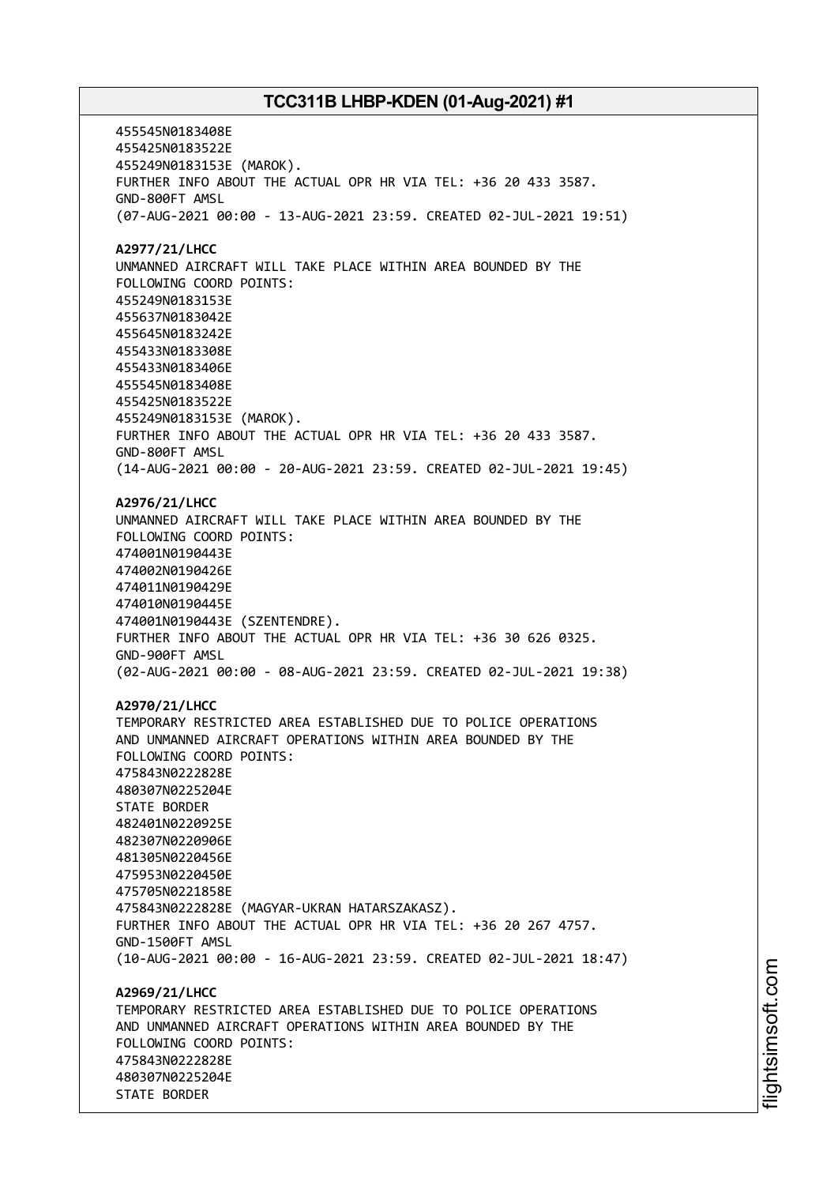455545N0183408E 455425N0183522E 455249N0183153E (MAROK). FURTHER INFO ABOUT THE ACTUAL OPR HR VIA TEL: +36 20 433 3587. GND-800FT AMSL (07-AUG-2021 00:00 - 13-AUG-2021 23:59. CREATED 02-JUL-2021 19:51) **A2977/21/LHCC** UNMANNED AIRCRAFT WILL TAKE PLACE WITHIN AREA BOUNDED BY THE FOLLOWING COORD POINTS: 455249N0183153E 455637N0183042E 455645N0183242E 455433N0183308E 455433N0183406E 455545N0183408E 455425N0183522E 455249N0183153E (MAROK). FURTHER INFO ABOUT THE ACTUAL OPR HR VIA TEL: +36 20 433 3587. GND-800FT AMSL (14-AUG-2021 00:00 - 20-AUG-2021 23:59. CREATED 02-JUL-2021 19:45) **A2976/21/LHCC** UNMANNED AIRCRAFT WILL TAKE PLACE WITHIN AREA BOUNDED BY THE FOLLOWING COORD POINTS: 474001N0190443E 474002N0190426E 474011N0190429E 474010N0190445E 474001N0190443E (SZENTENDRE). FURTHER INFO ABOUT THE ACTUAL OPR HR VIA TEL: +36 30 626 0325. GND-900FT AMSL (02-AUG-2021 00:00 - 08-AUG-2021 23:59. CREATED 02-JUL-2021 19:38) **A2970/21/LHCC** TEMPORARY RESTRICTED AREA ESTABLISHED DUE TO POLICE OPERATIONS AND UNMANNED AIRCRAFT OPERATIONS WITHIN AREA BOUNDED BY THE FOLLOWING COORD POINTS: 475843N0222828E 480307N0225204E STATE BORDER 482401N0220925E 482307N0220906E 481305N0220456E 475953N0220450E 475705N0221858E 475843N0222828E (MAGYAR-UKRAN HATARSZAKASZ). FURTHER INFO ABOUT THE ACTUAL OPR HR VIA TEL: +36 20 267 4757. GND-1500FT AMSL (10-AUG-2021 00:00 - 16-AUG-2021 23:59. CREATED 02-JUL-2021 18:47) **A2969/21/LHCC** TEMPORARY RESTRICTED AREA ESTABLISHED DUE TO POLICE OPERATIONS AND UNMANNED AIRCRAFT OPERATIONS WITHIN AREA BOUNDED BY THE FOLLOWING COORD POINTS: 475843N0222828E 480307N0225204E STATE BORDER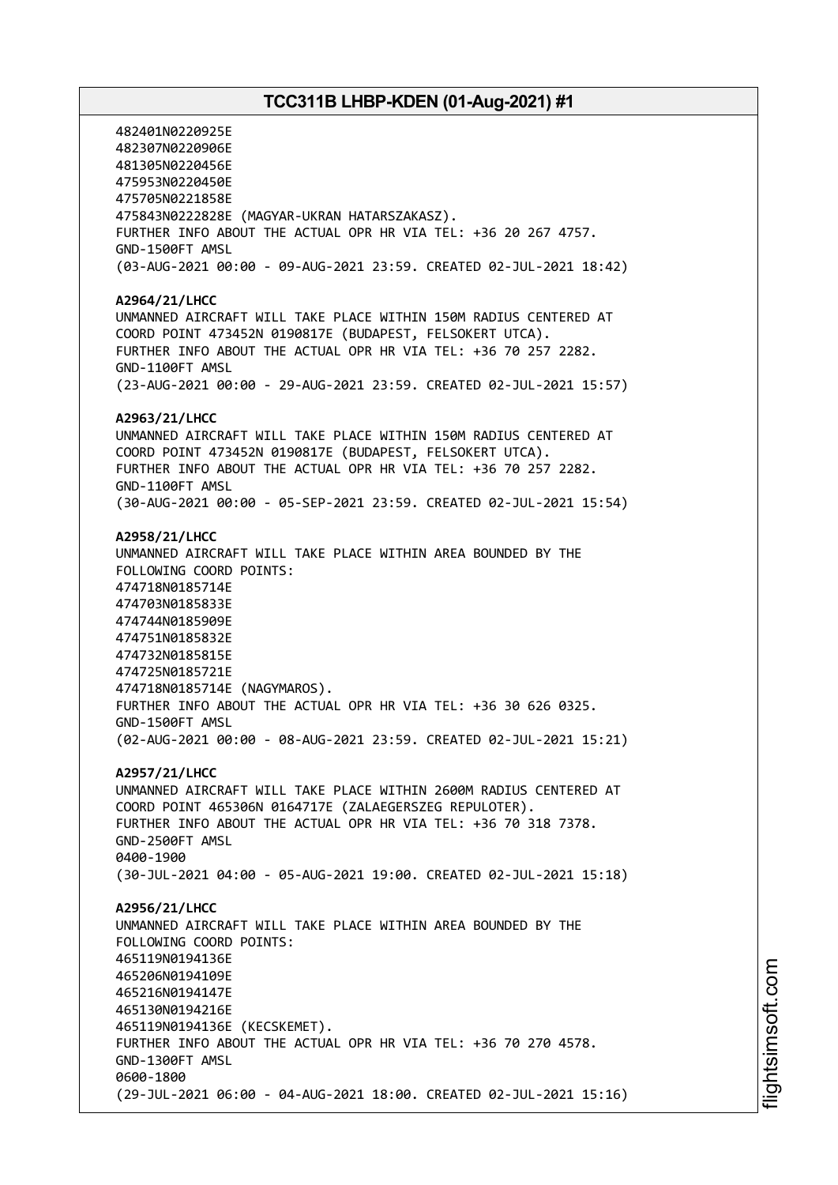482401N0220925E 482307N0220906E 481305N0220456E 475953N0220450E 475705N0221858E 475843N0222828E (MAGYAR-UKRAN HATARSZAKASZ). FURTHER INFO ABOUT THE ACTUAL OPR HR VIA TEL: +36 20 267 4757. GND-1500FT AMSL (03-AUG-2021 00:00 - 09-AUG-2021 23:59. CREATED 02-JUL-2021 18:42) **A2964/21/LHCC** UNMANNED AIRCRAFT WILL TAKE PLACE WITHIN 150M RADIUS CENTERED AT COORD POINT 473452N 0190817E (BUDAPEST, FELSOKERT UTCA). FURTHER INFO ABOUT THE ACTUAL OPR HR VIA TEL: +36 70 257 2282. GND-1100FT AMSL (23-AUG-2021 00:00 - 29-AUG-2021 23:59. CREATED 02-JUL-2021 15:57) **A2963/21/LHCC** UNMANNED AIRCRAFT WILL TAKE PLACE WITHIN 150M RADIUS CENTERED AT COORD POINT 473452N 0190817E (BUDAPEST, FELSOKERT UTCA). FURTHER INFO ABOUT THE ACTUAL OPR HR VIA TEL: +36 70 257 2282. GND-1100FT AMSL (30-AUG-2021 00:00 - 05-SEP-2021 23:59. CREATED 02-JUL-2021 15:54) **A2958/21/LHCC** UNMANNED AIRCRAFT WILL TAKE PLACE WITHIN AREA BOUNDED BY THE FOLLOWING COORD POINTS: 474718N0185714E 474703N0185833E 474744N0185909E 474751N0185832E 474732N0185815E 474725N0185721E 474718N0185714E (NAGYMAROS). FURTHER INFO ABOUT THE ACTUAL OPR HR VIA TEL: +36 30 626 0325. GND-1500FT AMSL (02-AUG-2021 00:00 - 08-AUG-2021 23:59. CREATED 02-JUL-2021 15:21) **A2957/21/LHCC** UNMANNED AIRCRAFT WILL TAKE PLACE WITHIN 2600M RADIUS CENTERED AT COORD POINT 465306N 0164717E (ZALAEGERSZEG REPULOTER). FURTHER INFO ABOUT THE ACTUAL OPR HR VIA TEL: +36 70 318 7378. GND-2500FT AMSL 0400-1900 (30-JUL-2021 04:00 - 05-AUG-2021 19:00. CREATED 02-JUL-2021 15:18) **A2956/21/LHCC** UNMANNED AIRCRAFT WILL TAKE PLACE WITHIN AREA BOUNDED BY THE FOLLOWING COORD POINTS: 465119N0194136E 465206N0194109E 465216N0194147E 465130N0194216E 465119N0194136E (KECSKEMET). FURTHER INFO ABOUT THE ACTUAL OPR HR VIA TEL: +36 70 270 4578. GND-1300FT AMSL 0600-1800 (29-JUL-2021 06:00 - 04-AUG-2021 18:00. CREATED 02-JUL-2021 15:16)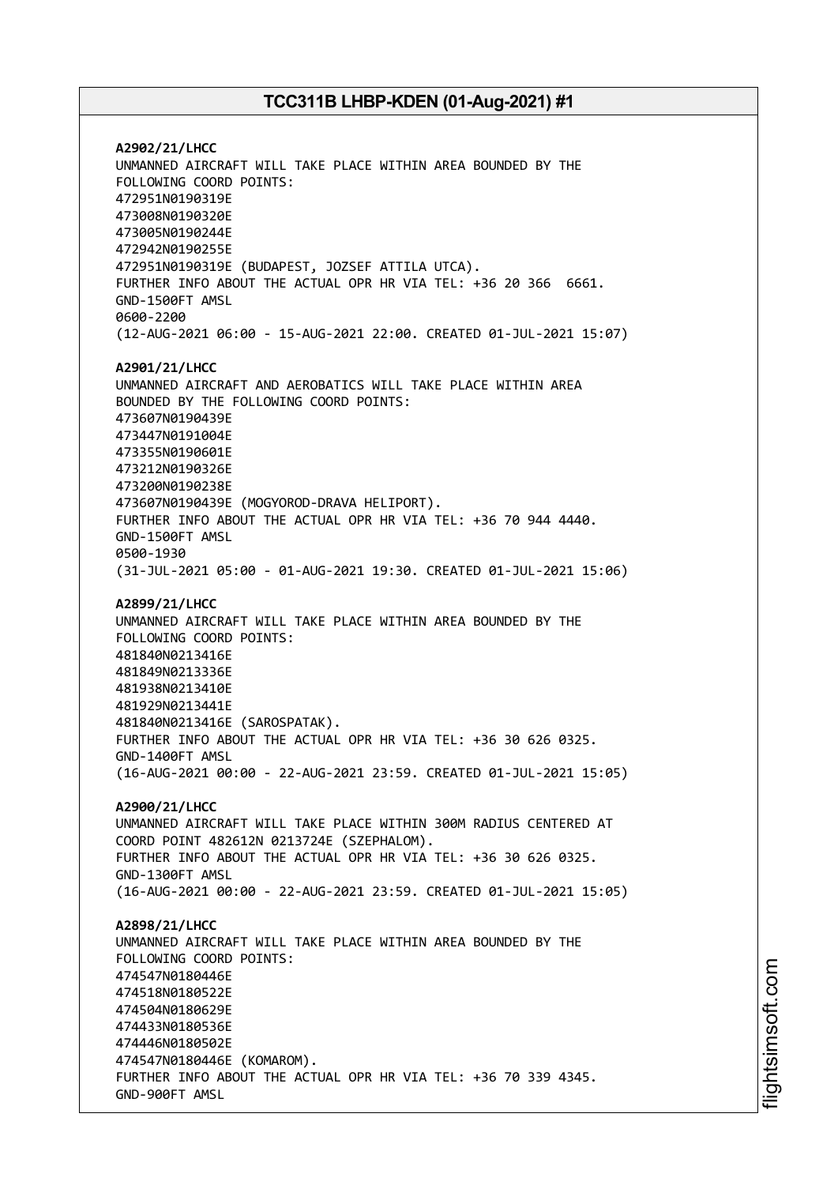**A2902/21/LHCC** UNMANNED AIRCRAFT WILL TAKE PLACE WITHIN AREA BOUNDED BY THE FOLLOWING COORD POINTS: 472951N0190319E 473008N0190320E 473005N0190244E 472942N0190255E 472951N0190319E (BUDAPEST, JOZSEF ATTILA UTCA). FURTHER INFO ABOUT THE ACTUAL OPR HR VIA TEL: +36 20 366 6661. GND-1500FT AMSL 0600-2200 (12-AUG-2021 06:00 - 15-AUG-2021 22:00. CREATED 01-JUL-2021 15:07) **A2901/21/LHCC** UNMANNED AIRCRAFT AND AEROBATICS WILL TAKE PLACE WITHIN AREA BOUNDED BY THE FOLLOWING COORD POINTS: 473607N0190439E 473447N0191004E 473355N0190601E 473212N0190326E 473200N0190238E 473607N0190439E (MOGYOROD-DRAVA HELIPORT). FURTHER INFO ABOUT THE ACTUAL OPR HR VIA TEL: +36 70 944 4440. GND-1500FT AMSL 0500-1930 (31-JUL-2021 05:00 - 01-AUG-2021 19:30. CREATED 01-JUL-2021 15:06) **A2899/21/LHCC** UNMANNED AIRCRAFT WILL TAKE PLACE WITHIN AREA BOUNDED BY THE FOLLOWING COORD POINTS: 481840N0213416E 481849N0213336E 481938N0213410E 481929N0213441E 481840N0213416E (SAROSPATAK). FURTHER INFO ABOUT THE ACTUAL OPR HR VIA TEL: +36 30 626 0325. GND-1400FT AMSL (16-AUG-2021 00:00 - 22-AUG-2021 23:59. CREATED 01-JUL-2021 15:05) **A2900/21/LHCC** UNMANNED AIRCRAFT WILL TAKE PLACE WITHIN 300M RADIUS CENTERED AT COORD POINT 482612N 0213724E (SZEPHALOM). FURTHER INFO ABOUT THE ACTUAL OPR HR VIA TEL: +36 30 626 0325. GND-1300FT AMSL (16-AUG-2021 00:00 - 22-AUG-2021 23:59. CREATED 01-JUL-2021 15:05) **A2898/21/LHCC** UNMANNED AIRCRAFT WILL TAKE PLACE WITHIN AREA BOUNDED BY THE FOLLOWING COORD POINTS: 474547N0180446E 474518N0180522E 474504N0180629E 474433N0180536E 474446N0180502E 474547N0180446E (KOMAROM). FURTHER INFO ABOUT THE ACTUAL OPR HR VIA TEL: +36 70 339 4345. GND-900FT AMSL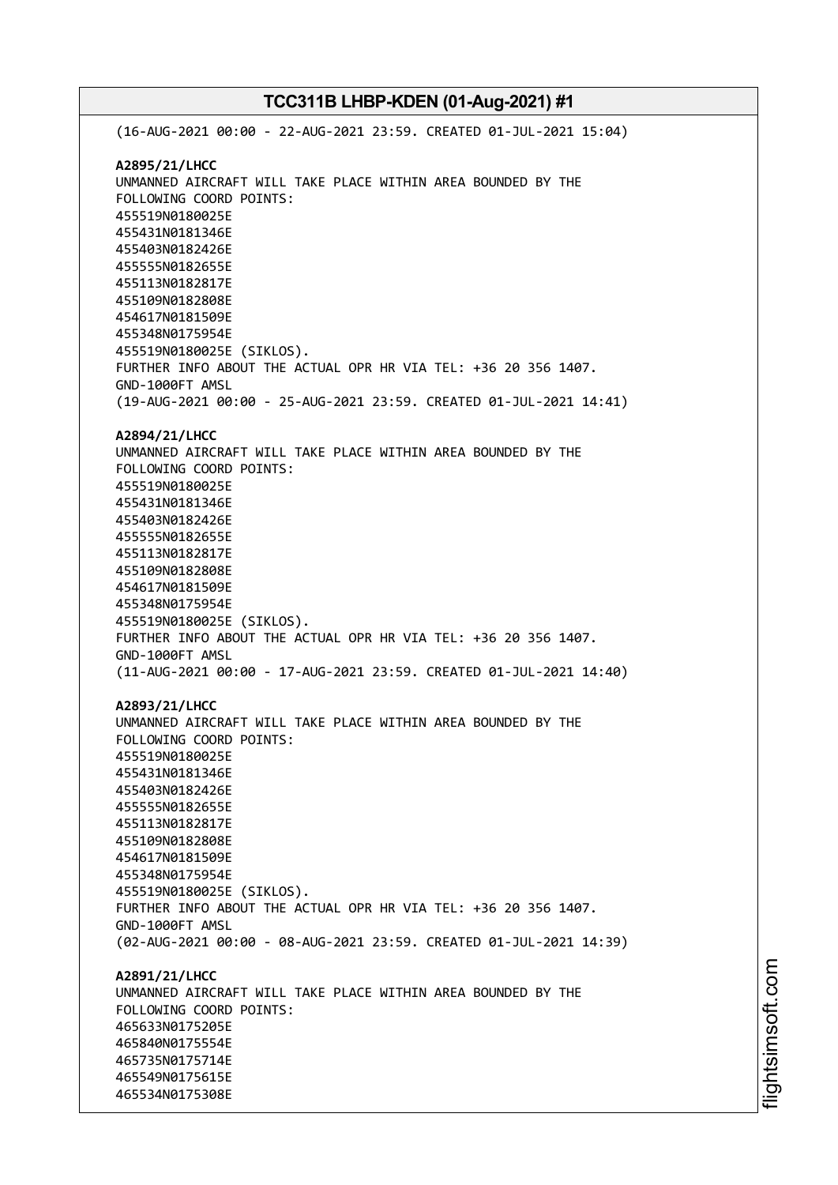(16-AUG-2021 00:00 - 22-AUG-2021 23:59. CREATED 01-JUL-2021 15:04) **A2895/21/LHCC** UNMANNED AIRCRAFT WILL TAKE PLACE WITHIN AREA BOUNDED BY THE FOLLOWING COORD POINTS: 455519N0180025E 455431N0181346E 455403N0182426E 455555N0182655E 455113N0182817E 455109N0182808E 454617N0181509E 455348N0175954E 455519N0180025E (SIKLOS). FURTHER INFO ABOUT THE ACTUAL OPR HR VIA TEL: +36 20 356 1407. GND-1000FT AMSL (19-AUG-2021 00:00 - 25-AUG-2021 23:59. CREATED 01-JUL-2021 14:41) **A2894/21/LHCC** UNMANNED AIRCRAFT WILL TAKE PLACE WITHIN AREA BOUNDED BY THE FOLLOWING COORD POINTS: 455519N0180025E 455431N0181346E 455403N0182426E 455555N0182655E 455113N0182817E 455109N0182808E 454617N0181509E 455348N0175954E 455519N0180025E (SIKLOS). FURTHER INFO ABOUT THE ACTUAL OPR HR VIA TEL: +36 20 356 1407. GND-1000FT AMSL (11-AUG-2021 00:00 - 17-AUG-2021 23:59. CREATED 01-JUL-2021 14:40) **A2893/21/LHCC** UNMANNED AIRCRAFT WILL TAKE PLACE WITHIN AREA BOUNDED BY THE FOLLOWING COORD POINTS: 455519N0180025E 455431N0181346E 455403N0182426E 455555N0182655E 455113N0182817E 455109N0182808E 454617N0181509E 455348N0175954E 455519N0180025E (SIKLOS). FURTHER INFO ABOUT THE ACTUAL OPR HR VIA TEL: +36 20 356 1407. GND-1000FT AMSL (02-AUG-2021 00:00 - 08-AUG-2021 23:59. CREATED 01-JUL-2021 14:39) **A2891/21/LHCC** UNMANNED AIRCRAFT WILL TAKE PLACE WITHIN AREA BOUNDED BY THE FOLLOWING COORD POINTS: 465633N0175205E 465840N0175554E 465735N0175714E 465549N0175615E 465534N0175308E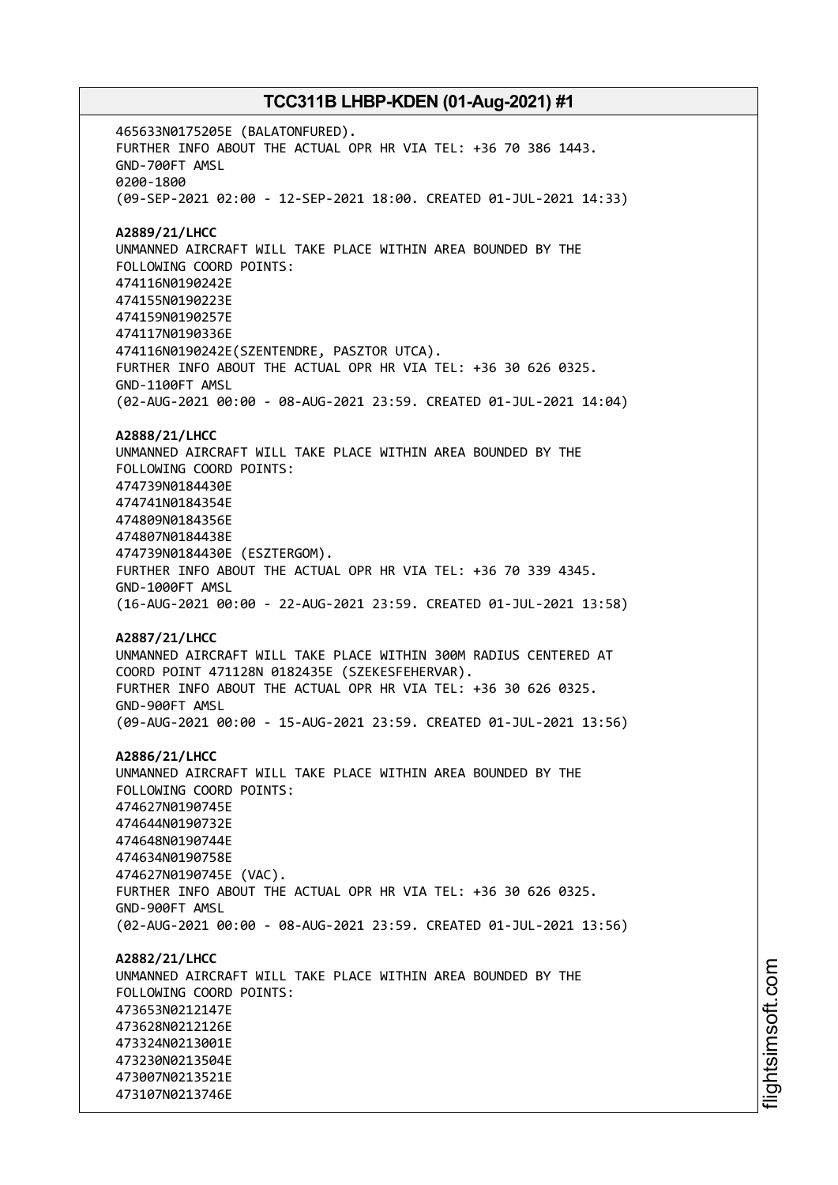465633N0175205E (BALATONFURED). FURTHER INFO ABOUT THE ACTUAL OPR HR VIA TEL: +36 70 386 1443. GND-700FT AMSL 0200-1800 (09-SEP-2021 02:00 - 12-SEP-2021 18:00. CREATED 01-JUL-2021 14:33) **A2889/21/LHCC** UNMANNED AIRCRAFT WILL TAKE PLACE WITHIN AREA BOUNDED BY THE FOLLOWING COORD POINTS: 474116N0190242E 474155N0190223E 474159N0190257E 474117N0190336E 474116N0190242E(SZENTENDRE, PASZTOR UTCA). FURTHER INFO ABOUT THE ACTUAL OPR HR VIA TEL: +36 30 626 0325. GND-1100FT AMSL (02-AUG-2021 00:00 - 08-AUG-2021 23:59. CREATED 01-JUL-2021 14:04) **A2888/21/LHCC** UNMANNED AIRCRAFT WILL TAKE PLACE WITHIN AREA BOUNDED BY THE FOLLOWING COORD POINTS: 474739N0184430E 474741N0184354E 474809N0184356E 474807N0184438E 474739N0184430E (ESZTERGOM). FURTHER INFO ABOUT THE ACTUAL OPR HR VIA TEL: +36 70 339 4345. GND-1000FT AMSL (16-AUG-2021 00:00 - 22-AUG-2021 23:59. CREATED 01-JUL-2021 13:58) **A2887/21/LHCC** UNMANNED AIRCRAFT WILL TAKE PLACE WITHIN 300M RADIUS CENTERED AT COORD POINT 471128N 0182435E (SZEKESFEHERVAR). FURTHER INFO ABOUT THE ACTUAL OPR HR VIA TEL: +36 30 626 0325. GND-900FT AMSL (09-AUG-2021 00:00 - 15-AUG-2021 23:59. CREATED 01-JUL-2021 13:56) **A2886/21/LHCC** UNMANNED AIRCRAFT WILL TAKE PLACE WITHIN AREA BOUNDED BY THE FOLLOWING COORD POINTS: 474627N0190745E 474644N0190732E 474648N0190744E 474634N0190758E 474627N0190745E (VAC). FURTHER INFO ABOUT THE ACTUAL OPR HR VIA TEL: +36 30 626 0325. GND-900FT AMSL (02-AUG-2021 00:00 - 08-AUG-2021 23:59. CREATED 01-JUL-2021 13:56) **A2882/21/LHCC** UNMANNED AIRCRAFT WILL TAKE PLACE WITHIN AREA BOUNDED BY THE FOLLOWING COORD POINTS: 473653N0212147E 473628N0212126E 473324N0213001E 473230N0213504E 473007N0213521E 473107N0213746E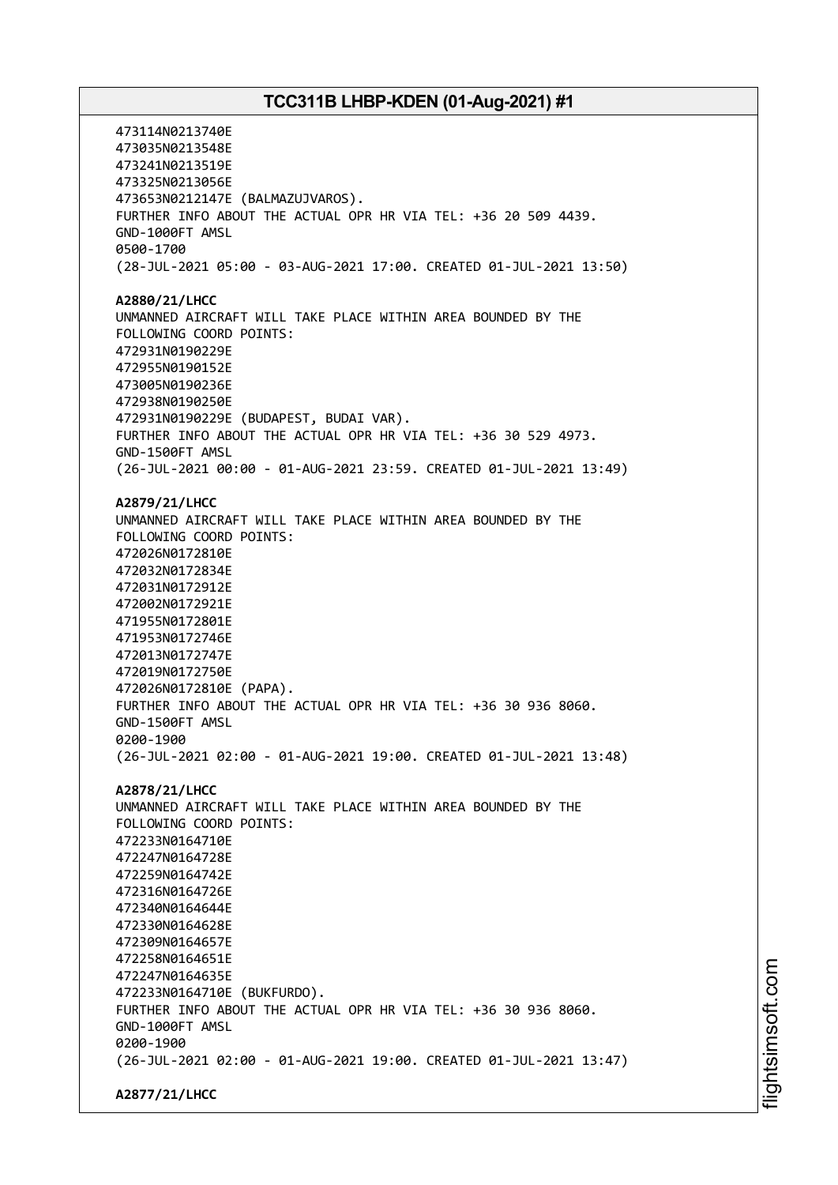473114N0213740E 473035N0213548E 473241N0213519E 473325N0213056E 473653N0212147E (BALMAZUJVAROS). FURTHER INFO ABOUT THE ACTUAL OPR HR VIA TEL: +36 20 509 4439. GND-1000FT AMSL 0500-1700 (28-JUL-2021 05:00 - 03-AUG-2021 17:00. CREATED 01-JUL-2021 13:50) **A2880/21/LHCC** UNMANNED AIRCRAFT WILL TAKE PLACE WITHIN AREA BOUNDED BY THE FOLLOWING COORD POINTS: 472931N0190229E 472955N0190152E 473005N0190236E 472938N0190250E 472931N0190229E (BUDAPEST, BUDAI VAR). FURTHER INFO ABOUT THE ACTUAL OPR HR VIA TEL: +36 30 529 4973. GND-1500FT AMSL (26-JUL-2021 00:00 - 01-AUG-2021 23:59. CREATED 01-JUL-2021 13:49) **A2879/21/LHCC** UNMANNED AIRCRAFT WILL TAKE PLACE WITHIN AREA BOUNDED BY THE FOLLOWING COORD POINTS: 472026N0172810E 472032N0172834E 472031N0172912E 472002N0172921E 471955N0172801E 471953N0172746E 472013N0172747E 472019N0172750E 472026N0172810E (PAPA). FURTHER INFO ABOUT THE ACTUAL OPR HR VIA TEL: +36 30 936 8060. GND-1500FT AMSL 0200-1900 (26-JUL-2021 02:00 - 01-AUG-2021 19:00. CREATED 01-JUL-2021 13:48) **A2878/21/LHCC** UNMANNED AIRCRAFT WILL TAKE PLACE WITHIN AREA BOUNDED BY THE FOLLOWING COORD POINTS: 472233N0164710E 472247N0164728E 472259N0164742E 472316N0164726E 472340N0164644E 472330N0164628E 472309N0164657E 472258N0164651E 472247N0164635E 472233N0164710E (BUKFURDO). FURTHER INFO ABOUT THE ACTUAL OPR HR VIA TEL: +36 30 936 8060. GND-1000FT AMSL 0200-1900 (26-JUL-2021 02:00 - 01-AUG-2021 19:00. CREATED 01-JUL-2021 13:47) **A2877/21/LHCC**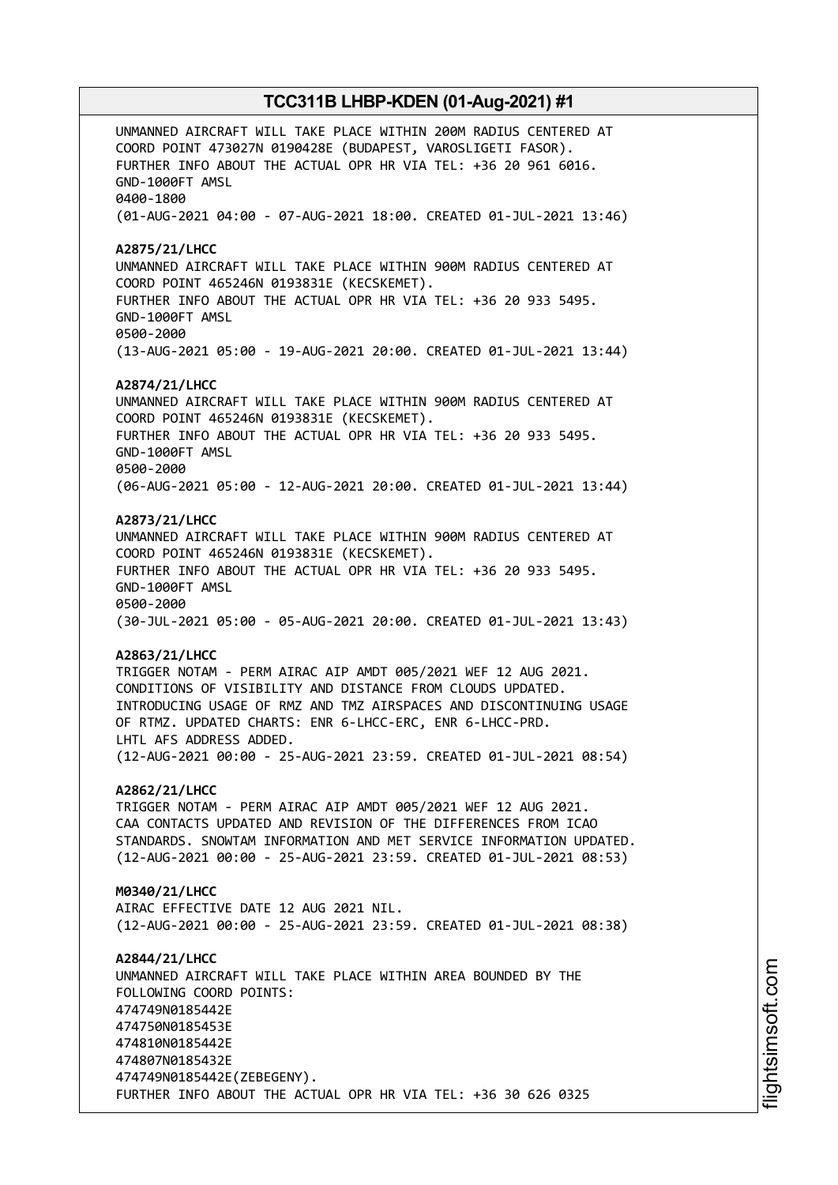UNMANNED AIRCRAFT WILL TAKE PLACE WITHIN 200M RADIUS CENTERED AT COORD POINT 473027N 0190428E (BUDAPEST, VAROSLIGETI FASOR). FURTHER INFO ABOUT THE ACTUAL OPR HR VIA TEL: +36 20 961 6016. GND-1000FT AMSL 0400-1800 (01-AUG-2021 04:00 - 07-AUG-2021 18:00. CREATED 01-JUL-2021 13:46) **A2875/21/LHCC** UNMANNED AIRCRAFT WILL TAKE PLACE WITHIN 900M RADIUS CENTERED AT COORD POINT 465246N 0193831E (KECSKEMET). FURTHER INFO ABOUT THE ACTUAL OPR HR VIA TEL: +36 20 933 5495. GND-1000FT AMSL 0500-2000 (13-AUG-2021 05:00 - 19-AUG-2021 20:00. CREATED 01-JUL-2021 13:44) **A2874/21/LHCC** UNMANNED AIRCRAFT WILL TAKE PLACE WITHIN 900M RADIUS CENTERED AT COORD POINT 465246N 0193831E (KECSKEMET). FURTHER INFO ABOUT THE ACTUAL OPR HR VIA TEL: +36 20 933 5495. GND-1000FT AMSL 0500-2000 (06-AUG-2021 05:00 - 12-AUG-2021 20:00. CREATED 01-JUL-2021 13:44) **A2873/21/LHCC** UNMANNED AIRCRAFT WILL TAKE PLACE WITHIN 900M RADIUS CENTERED AT COORD POINT 465246N 0193831E (KECSKEMET). FURTHER INFO ABOUT THE ACTUAL OPR HR VIA TEL: +36 20 933 5495. GND-1000FT AMSL 0500-2000 (30-JUL-2021 05:00 - 05-AUG-2021 20:00. CREATED 01-JUL-2021 13:43) **A2863/21/LHCC** TRIGGER NOTAM - PERM AIRAC AIP AMDT 005/2021 WEF 12 AUG 2021. CONDITIONS OF VISIBILITY AND DISTANCE FROM CLOUDS UPDATED. INTRODUCING USAGE OF RMZ AND TMZ AIRSPACES AND DISCONTINUING USAGE OF RTMZ. UPDATED CHARTS: ENR 6-LHCC-ERC, ENR 6-LHCC-PRD. LHTL AFS ADDRESS ADDED. (12-AUG-2021 00:00 - 25-AUG-2021 23:59. CREATED 01-JUL-2021 08:54) **A2862/21/LHCC** TRIGGER NOTAM - PERM AIRAC AIP AMDT 005/2021 WEF 12 AUG 2021. CAA CONTACTS UPDATED AND REVISION OF THE DIFFERENCES FROM ICAO STANDARDS. SNOWTAM INFORMATION AND MET SERVICE INFORMATION UPDATED. (12-AUG-2021 00:00 - 25-AUG-2021 23:59. CREATED 01-JUL-2021 08:53) **M0340/21/LHCC** AIRAC EFFECTIVE DATE 12 AUG 2021 NIL. (12-AUG-2021 00:00 - 25-AUG-2021 23:59. CREATED 01-JUL-2021 08:38) **A2844/21/LHCC** UNMANNED AIRCRAFT WILL TAKE PLACE WITHIN AREA BOUNDED BY THE FOLLOWING COORD POINTS: 474749N0185442E 474750N0185453E 474810N0185442E 474807N0185432E 474749N0185442E(ZEBEGENY). FURTHER INFO ABOUT THE ACTUAL OPR HR VIA TEL: +36 30 626 0325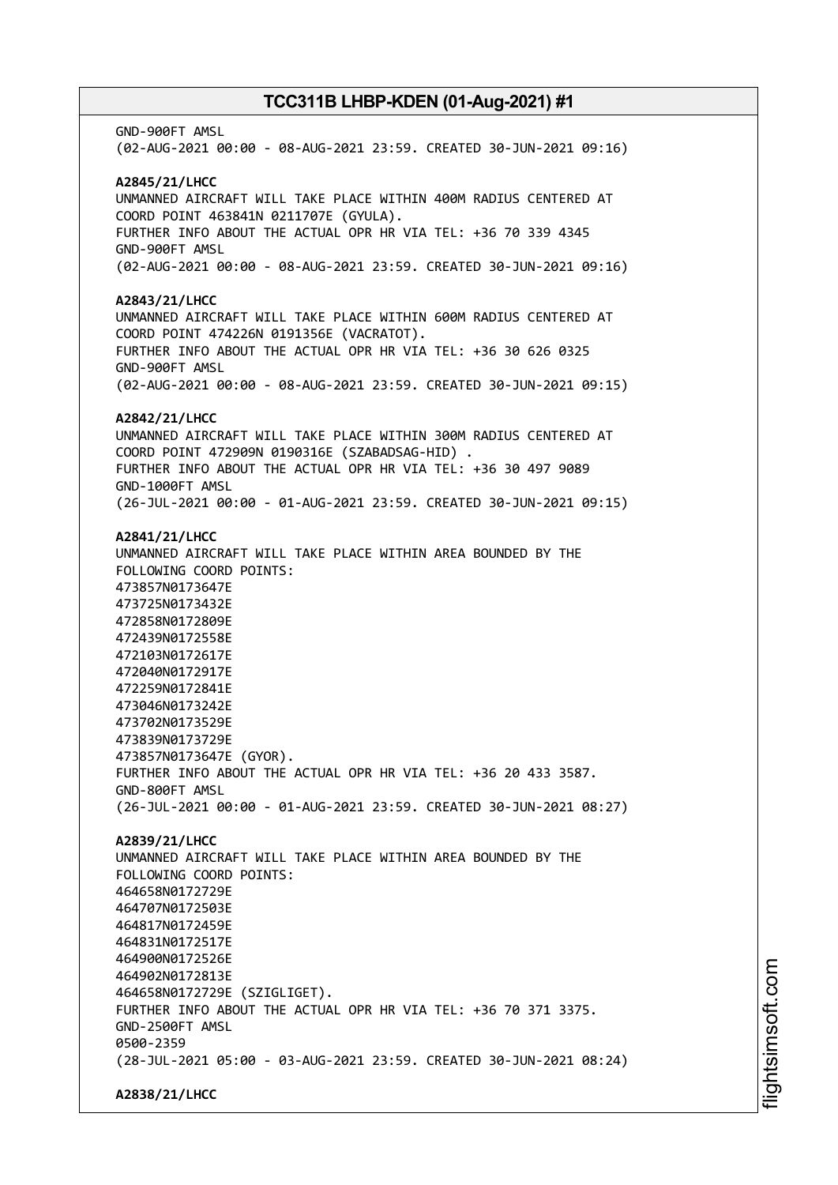GND-900FT AMSL (02-AUG-2021 00:00 - 08-AUG-2021 23:59. CREATED 30-JUN-2021 09:16) **A2845/21/LHCC** UNMANNED AIRCRAFT WILL TAKE PLACE WITHIN 400M RADIUS CENTERED AT COORD POINT 463841N 0211707E (GYULA). FURTHER INFO ABOUT THE ACTUAL OPR HR VIA TEL: +36 70 339 4345 GND-900FT AMSL (02-AUG-2021 00:00 - 08-AUG-2021 23:59. CREATED 30-JUN-2021 09:16) **A2843/21/LHCC** UNMANNED AIRCRAFT WILL TAKE PLACE WITHIN 600M RADIUS CENTERED AT COORD POINT 474226N 0191356E (VACRATOT). FURTHER INFO ABOUT THE ACTUAL OPR HR VIA TEL: +36 30 626 0325 GND-900FT AMSL (02-AUG-2021 00:00 - 08-AUG-2021 23:59. CREATED 30-JUN-2021 09:15) **A2842/21/LHCC** UNMANNED AIRCRAFT WILL TAKE PLACE WITHIN 300M RADIUS CENTERED AT COORD POINT 472909N 0190316E (SZABADSAG-HID) . FURTHER INFO ABOUT THE ACTUAL OPR HR VIA TEL: +36 30 497 9089 GND-1000FT AMSL (26-JUL-2021 00:00 - 01-AUG-2021 23:59. CREATED 30-JUN-2021 09:15) **A2841/21/LHCC** UNMANNED AIRCRAFT WILL TAKE PLACE WITHIN AREA BOUNDED BY THE FOLLOWING COORD POINTS: 473857N0173647E 473725N0173432E 472858N0172809E 472439N0172558E 472103N0172617E 472040N0172917E 472259N0172841E 473046N0173242E 473702N0173529E 473839N0173729E 473857N0173647E (GYOR). FURTHER INFO ABOUT THE ACTUAL OPR HR VIA TEL: +36 20 433 3587. GND-800FT AMSL (26-JUL-2021 00:00 - 01-AUG-2021 23:59. CREATED 30-JUN-2021 08:27) **A2839/21/LHCC** UNMANNED AIRCRAFT WILL TAKE PLACE WITHIN AREA BOUNDED BY THE FOLLOWING COORD POINTS: 464658N0172729E 464707N0172503E 464817N0172459E 464831N0172517E 464900N0172526E 464902N0172813E 464658N0172729E (SZIGLIGET). FURTHER INFO ABOUT THE ACTUAL OPR HR VIA TEL: +36 70 371 3375. GND-2500FT AMSL 0500-2359 (28-JUL-2021 05:00 - 03-AUG-2021 23:59. CREATED 30-JUN-2021 08:24) **A2838/21/LHCC**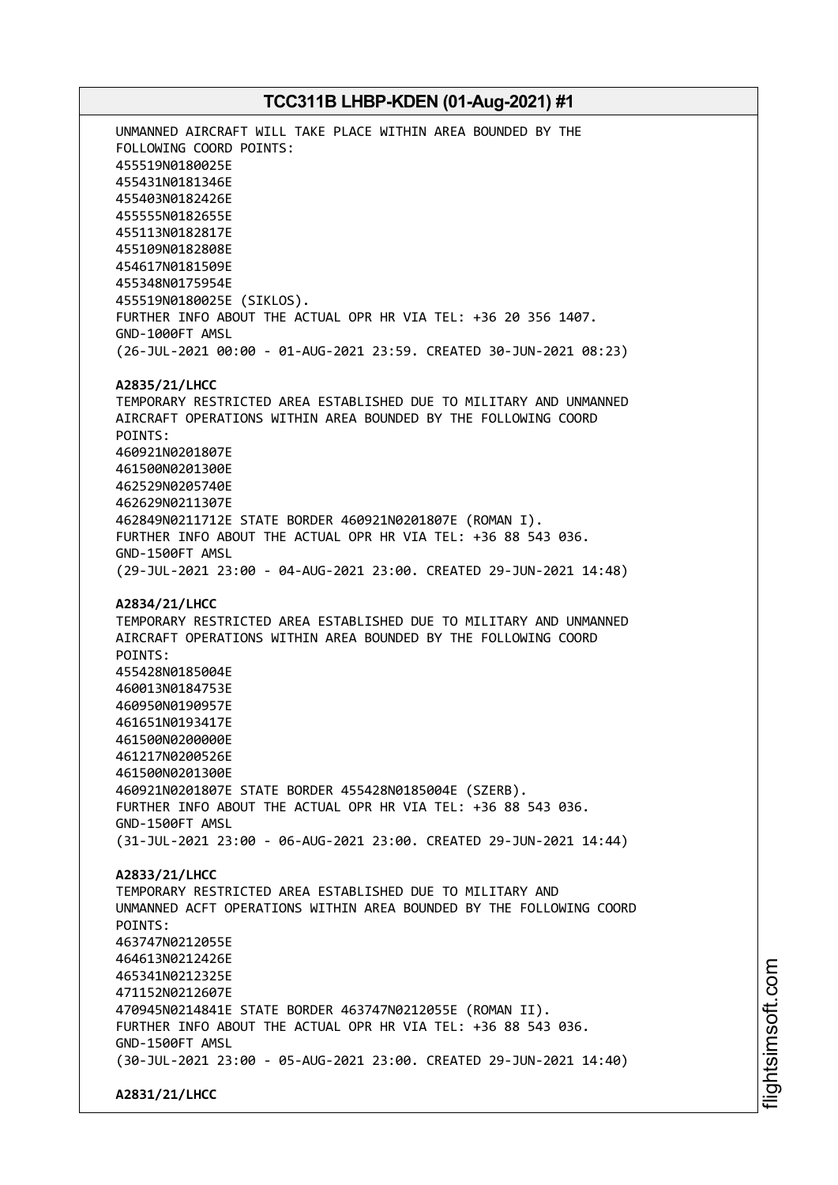UNMANNED AIRCRAFT WILL TAKE PLACE WITHIN AREA BOUNDED BY THE FOLLOWING COORD POINTS: 455519N0180025E 455431N0181346E 455403N0182426E 455555N0182655E 455113N0182817E 455109N0182808E 454617N0181509E 455348N0175954E 455519N0180025E (SIKLOS). FURTHER INFO ABOUT THE ACTUAL OPR HR VIA TEL: +36 20 356 1407. GND-1000FT AMSL (26-JUL-2021 00:00 - 01-AUG-2021 23:59. CREATED 30-JUN-2021 08:23) **A2835/21/LHCC** TEMPORARY RESTRICTED AREA ESTABLISHED DUE TO MILITARY AND UNMANNED AIRCRAFT OPERATIONS WITHIN AREA BOUNDED BY THE FOLLOWING COORD POINTS: 460921N0201807E 461500N0201300E 462529N0205740E 462629N0211307E 462849N0211712E STATE BORDER 460921N0201807E (ROMAN I). FURTHER INFO ABOUT THE ACTUAL OPR HR VIA TEL: +36 88 543 036. GND-1500FT AMSL (29-JUL-2021 23:00 - 04-AUG-2021 23:00. CREATED 29-JUN-2021 14:48) **A2834/21/LHCC** TEMPORARY RESTRICTED AREA ESTABLISHED DUE TO MILITARY AND UNMANNED AIRCRAFT OPERATIONS WITHIN AREA BOUNDED BY THE FOLLOWING COORD POINTS: 455428N0185004E 460013N0184753E 460950N0190957E 461651N0193417E 461500N0200000E 461217N0200526E 461500N0201300E 460921N0201807E STATE BORDER 455428N0185004E (SZERB). FURTHER INFO ABOUT THE ACTUAL OPR HR VIA TEL: +36 88 543 036. GND-1500FT AMSL (31-JUL-2021 23:00 - 06-AUG-2021 23:00. CREATED 29-JUN-2021 14:44) **A2833/21/LHCC** TEMPORARY RESTRICTED AREA ESTABLISHED DUE TO MILITARY AND UNMANNED ACFT OPERATIONS WITHIN AREA BOUNDED BY THE FOLLOWING COORD POINTS: 463747N0212055E 464613N0212426E 465341N0212325E 471152N0212607E 470945N0214841E STATE BORDER 463747N0212055E (ROMAN II). FURTHER INFO ABOUT THE ACTUAL OPR HR VIA TEL: +36 88 543 036. GND-1500FT AMSL (30-JUL-2021 23:00 - 05-AUG-2021 23:00. CREATED 29-JUN-2021 14:40) **A2831/21/LHCC**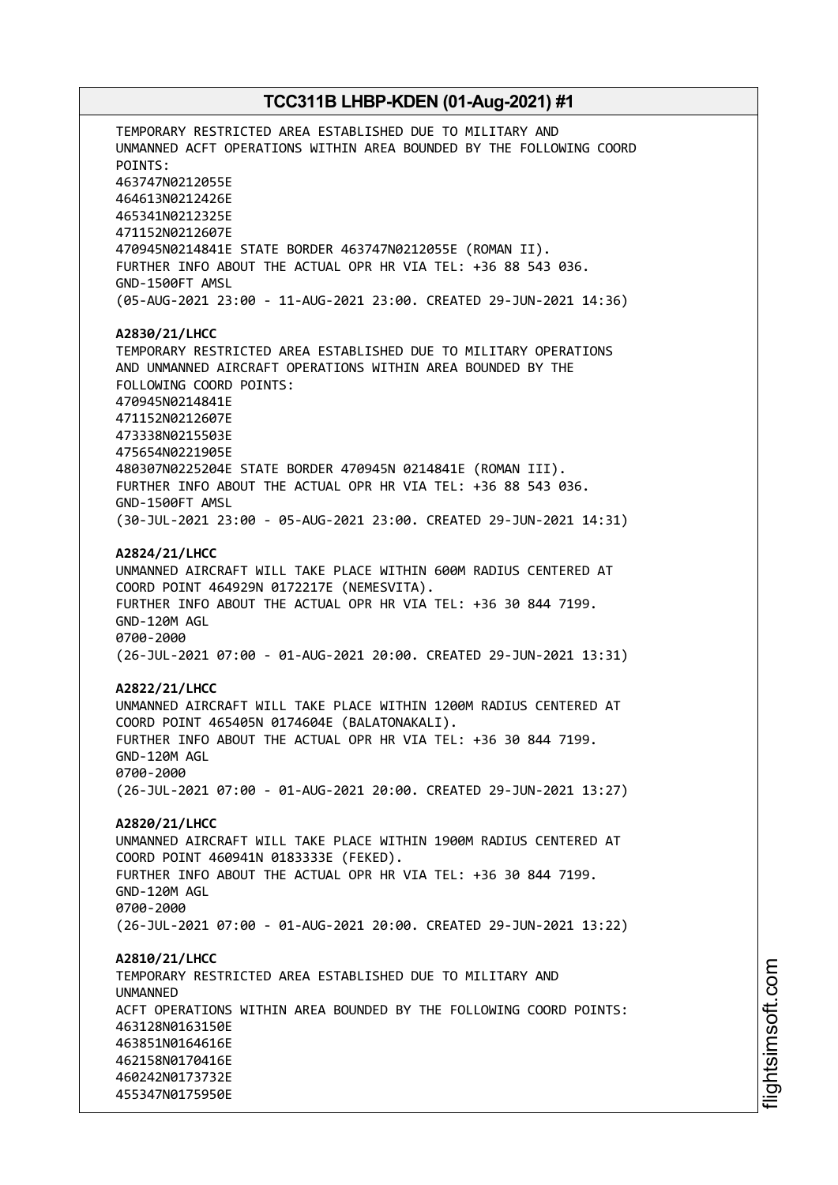TEMPORARY RESTRICTED AREA ESTABLISHED DUE TO MILITARY AND UNMANNED ACFT OPERATIONS WITHIN AREA BOUNDED BY THE FOLLOWING COORD POINTS: 463747N0212055E 464613N0212426E 465341N0212325E 471152N0212607E 470945N0214841E STATE BORDER 463747N0212055E (ROMAN II). FURTHER INFO ABOUT THE ACTUAL OPR HR VIA TEL: +36 88 543 036. GND-1500FT AMSL (05-AUG-2021 23:00 - 11-AUG-2021 23:00. CREATED 29-JUN-2021 14:36) **A2830/21/LHCC** TEMPORARY RESTRICTED AREA ESTABLISHED DUE TO MILITARY OPERATIONS AND UNMANNED AIRCRAFT OPERATIONS WITHIN AREA BOUNDED BY THE FOLLOWING COORD POINTS: 470945N0214841E 471152N0212607E 473338N0215503E 475654N0221905E 480307N0225204E STATE BORDER 470945N 0214841E (ROMAN III). FURTHER INFO ABOUT THE ACTUAL OPR HR VIA TEL: +36 88 543 036. GND-1500FT AMSL (30-JUL-2021 23:00 - 05-AUG-2021 23:00. CREATED 29-JUN-2021 14:31) **A2824/21/LHCC** UNMANNED AIRCRAFT WILL TAKE PLACE WITHIN 600M RADIUS CENTERED AT COORD POINT 464929N 0172217E (NEMESVITA). FURTHER INFO ABOUT THE ACTUAL OPR HR VIA TEL: +36 30 844 7199. GND-120M AGL 0700-2000 (26-JUL-2021 07:00 - 01-AUG-2021 20:00. CREATED 29-JUN-2021 13:31) **A2822/21/LHCC** UNMANNED AIRCRAFT WILL TAKE PLACE WITHIN 1200M RADIUS CENTERED AT COORD POINT 465405N 0174604E (BALATONAKALI). FURTHER INFO ABOUT THE ACTUAL OPR HR VIA TEL: +36 30 844 7199. GND-120M AGL 0700-2000 (26-JUL-2021 07:00 - 01-AUG-2021 20:00. CREATED 29-JUN-2021 13:27) **A2820/21/LHCC** UNMANNED AIRCRAFT WILL TAKE PLACE WITHIN 1900M RADIUS CENTERED AT COORD POINT 460941N 0183333E (FEKED). FURTHER INFO ABOUT THE ACTUAL OPR HR VIA TEL: +36 30 844 7199. GND-120M AGL 0700-2000 (26-JUL-2021 07:00 - 01-AUG-2021 20:00. CREATED 29-JUN-2021 13:22) **A2810/21/LHCC** TEMPORARY RESTRICTED AREA ESTABLISHED DUE TO MILITARY AND **IINMANNED** ACFT OPERATIONS WITHIN AREA BOUNDED BY THE FOLLOWING COORD POINTS: 463128N0163150E 463851N0164616E 462158N0170416E 460242N0173732E 455347N0175950E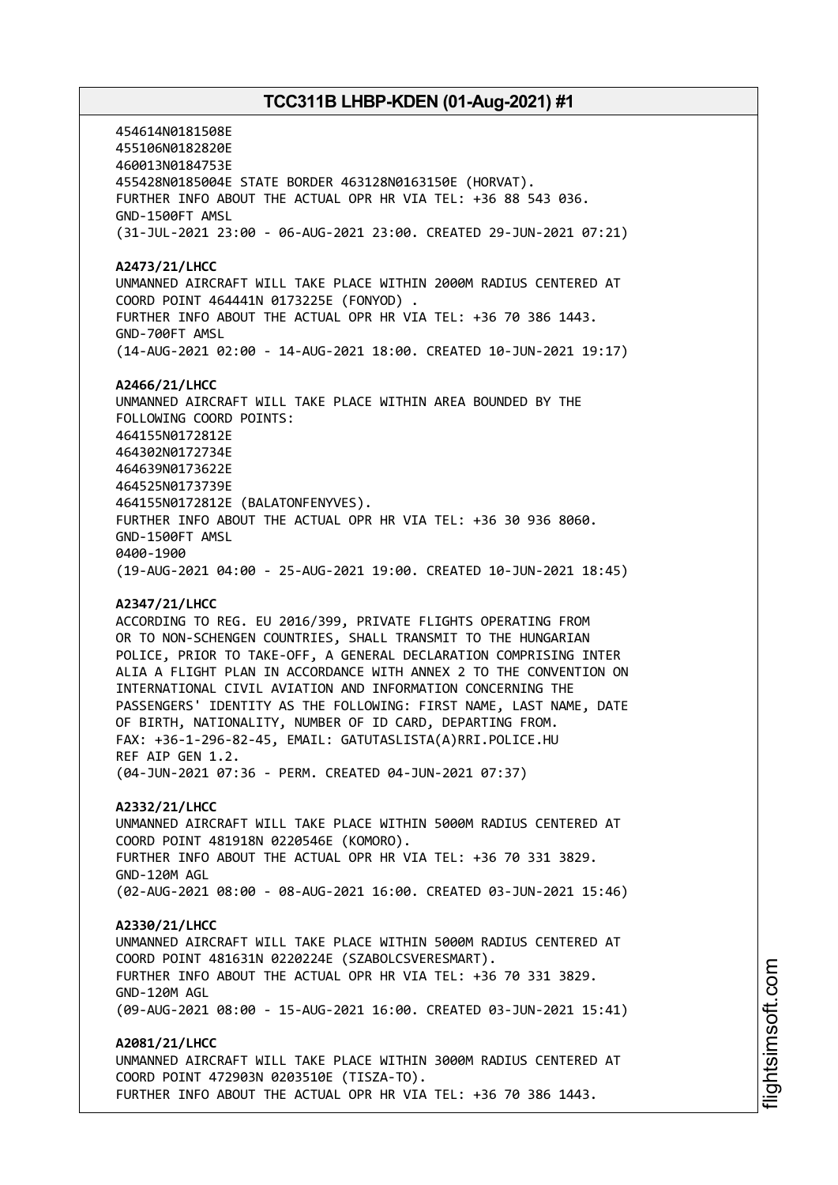454614N0181508E 455106N0182820E 460013N0184753E 455428N0185004E STATE BORDER 463128N0163150E (HORVAT). FURTHER INFO ABOUT THE ACTUAL OPR HR VIA TEL: +36 88 543 036. GND-1500FT AMSL (31-JUL-2021 23:00 - 06-AUG-2021 23:00. CREATED 29-JUN-2021 07:21) **A2473/21/LHCC** UNMANNED AIRCRAFT WILL TAKE PLACE WITHIN 2000M RADIUS CENTERED AT COORD POINT 464441N 0173225E (FONYOD) . FURTHER INFO ABOUT THE ACTUAL OPR HR VIA TEL: +36 70 386 1443. GND-700FT AMSL (14-AUG-2021 02:00 - 14-AUG-2021 18:00. CREATED 10-JUN-2021 19:17) **A2466/21/LHCC** UNMANNED AIRCRAFT WILL TAKE PLACE WITHIN AREA BOUNDED BY THE FOLLOWING COORD POINTS: 464155N0172812E 464302N0172734E 464639N0173622E 464525N0173739E 464155N0172812E (BALATONFENYVES). FURTHER INFO ABOUT THE ACTUAL OPR HR VIA TEL: +36 30 936 8060. GND-1500FT AMSL 0400-1900 (19-AUG-2021 04:00 - 25-AUG-2021 19:00. CREATED 10-JUN-2021 18:45) **A2347/21/LHCC** ACCORDING TO REG. EU 2016/399, PRIVATE FLIGHTS OPERATING FROM OR TO NON-SCHENGEN COUNTRIES, SHALL TRANSMIT TO THE HUNGARIAN POLICE, PRIOR TO TAKE-OFF, A GENERAL DECLARATION COMPRISING INTER ALIA A FLIGHT PLAN IN ACCORDANCE WITH ANNEX 2 TO THE CONVENTION ON INTERNATIONAL CIVIL AVIATION AND INFORMATION CONCERNING THE PASSENGERS' IDENTITY AS THE FOLLOWING: FIRST NAME, LAST NAME, DATE OF BIRTH, NATIONALITY, NUMBER OF ID CARD, DEPARTING FROM. FAX: +36-1-296-82-45, EMAIL: GATUTASLISTA(A)RRI.POLICE.HU REF AIP GEN 1.2. (04-JUN-2021 07:36 - PERM. CREATED 04-JUN-2021 07:37) **A2332/21/LHCC** UNMANNED AIRCRAFT WILL TAKE PLACE WITHIN 5000M RADIUS CENTERED AT COORD POINT 481918N 0220546E (KOMORO). FURTHER INFO ABOUT THE ACTUAL OPR HR VIA TEL: +36 70 331 3829. GND-120M AGL (02-AUG-2021 08:00 - 08-AUG-2021 16:00. CREATED 03-JUN-2021 15:46)

**A2330/21/LHCC** UNMANNED AIRCRAFT WILL TAKE PLACE WITHIN 5000M RADIUS CENTERED AT COORD POINT 481631N 0220224E (SZABOLCSVERESMART). FURTHER INFO ABOUT THE ACTUAL OPR HR VIA TEL: +36 70 331 3829. GND-120M AGL (09-AUG-2021 08:00 - 15-AUG-2021 16:00. CREATED 03-JUN-2021 15:41)

**A2081/21/LHCC** UNMANNED AIRCRAFT WILL TAKE PLACE WITHIN 3000M RADIUS CENTERED AT COORD POINT 472903N 0203510E (TISZA-TO). FURTHER INFO ABOUT THE ACTUAL OPR HR VIA TEL: +36 70 386 1443.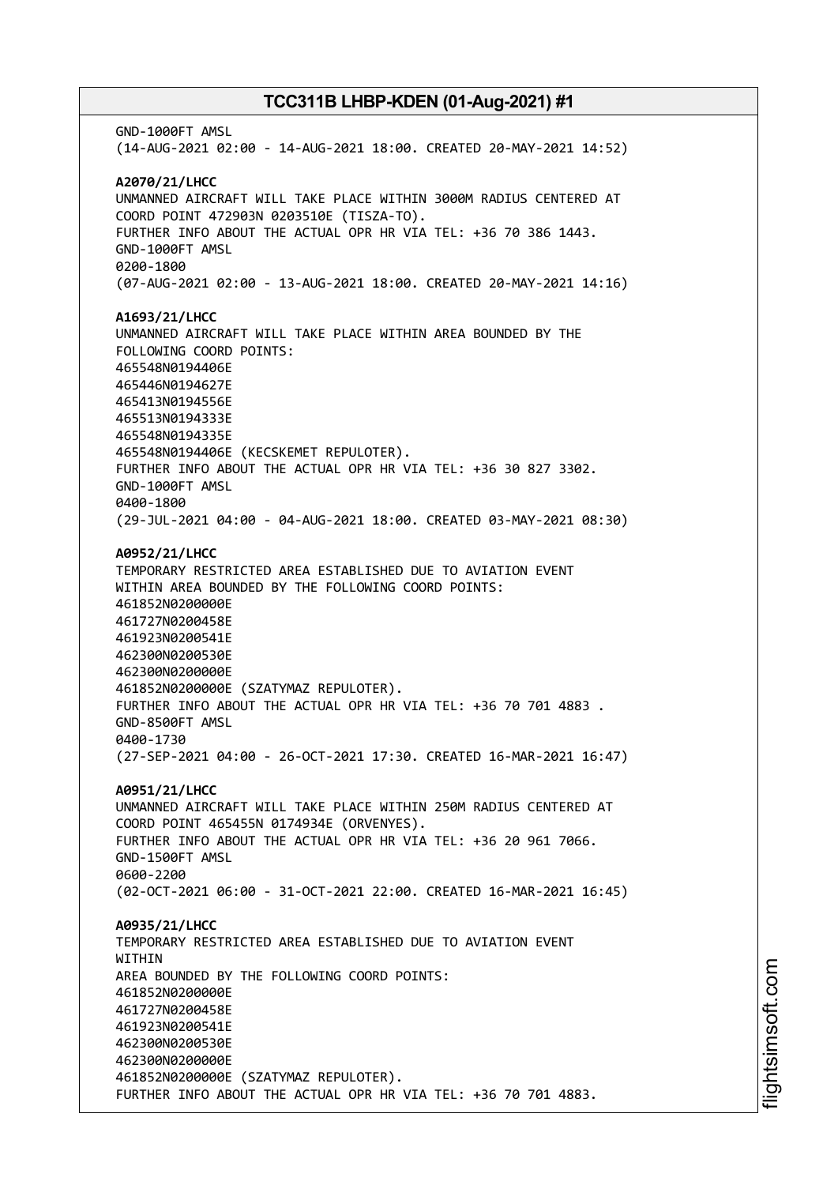GND-1000FT AMSL (14-AUG-2021 02:00 - 14-AUG-2021 18:00. CREATED 20-MAY-2021 14:52) **A2070/21/LHCC** UNMANNED AIRCRAFT WILL TAKE PLACE WITHIN 3000M RADIUS CENTERED AT COORD POINT 472903N 0203510E (TISZA-TO). FURTHER INFO ABOUT THE ACTUAL OPR HR VIA TEL: +36 70 386 1443. GND-1000FT AMSL 0200-1800 (07-AUG-2021 02:00 - 13-AUG-2021 18:00. CREATED 20-MAY-2021 14:16) **A1693/21/LHCC** UNMANNED AIRCRAFT WILL TAKE PLACE WITHIN AREA BOUNDED BY THE FOLLOWING COORD POINTS: 465548N0194406E 465446N0194627E 465413N0194556E 465513N0194333E 465548N0194335E 465548N0194406E (KECSKEMET REPULOTER). FURTHER INFO ABOUT THE ACTUAL OPR HR VIA TEL: +36 30 827 3302. GND-1000FT AMSL 0400-1800 (29-JUL-2021 04:00 - 04-AUG-2021 18:00. CREATED 03-MAY-2021 08:30) **A0952/21/LHCC** TEMPORARY RESTRICTED AREA ESTABLISHED DUE TO AVIATION EVENT WITHIN AREA BOUNDED BY THE FOLLOWING COORD POINTS: 461852N0200000E 461727N0200458E 461923N0200541E 462300N0200530E 462300N0200000E 461852N0200000E (SZATYMAZ REPULOTER). FURTHER INFO ABOUT THE ACTUAL OPR HR VIA TEL: +36 70 701 4883 . GND-8500FT AMSL 0400-1730 (27-SEP-2021 04:00 - 26-OCT-2021 17:30. CREATED 16-MAR-2021 16:47) **A0951/21/LHCC** UNMANNED AIRCRAFT WILL TAKE PLACE WITHIN 250M RADIUS CENTERED AT COORD POINT 465455N 0174934E (ORVENYES). FURTHER INFO ABOUT THE ACTUAL OPR HR VIA TEL: +36 20 961 7066. GND-1500FT AMSL 0600-2200 (02-OCT-2021 06:00 - 31-OCT-2021 22:00. CREATED 16-MAR-2021 16:45) **A0935/21/LHCC** TEMPORARY RESTRICTED AREA ESTABLISHED DUE TO AVIATION EVENT WITHIN AREA BOUNDED BY THE FOLLOWING COORD POINTS: 461852N0200000E 461727N0200458E 461923N0200541E 462300N0200530E 462300N0200000E 461852N0200000E (SZATYMAZ REPULOTER). FURTHER INFO ABOUT THE ACTUAL OPR HR VIA TEL: +36 70 701 4883.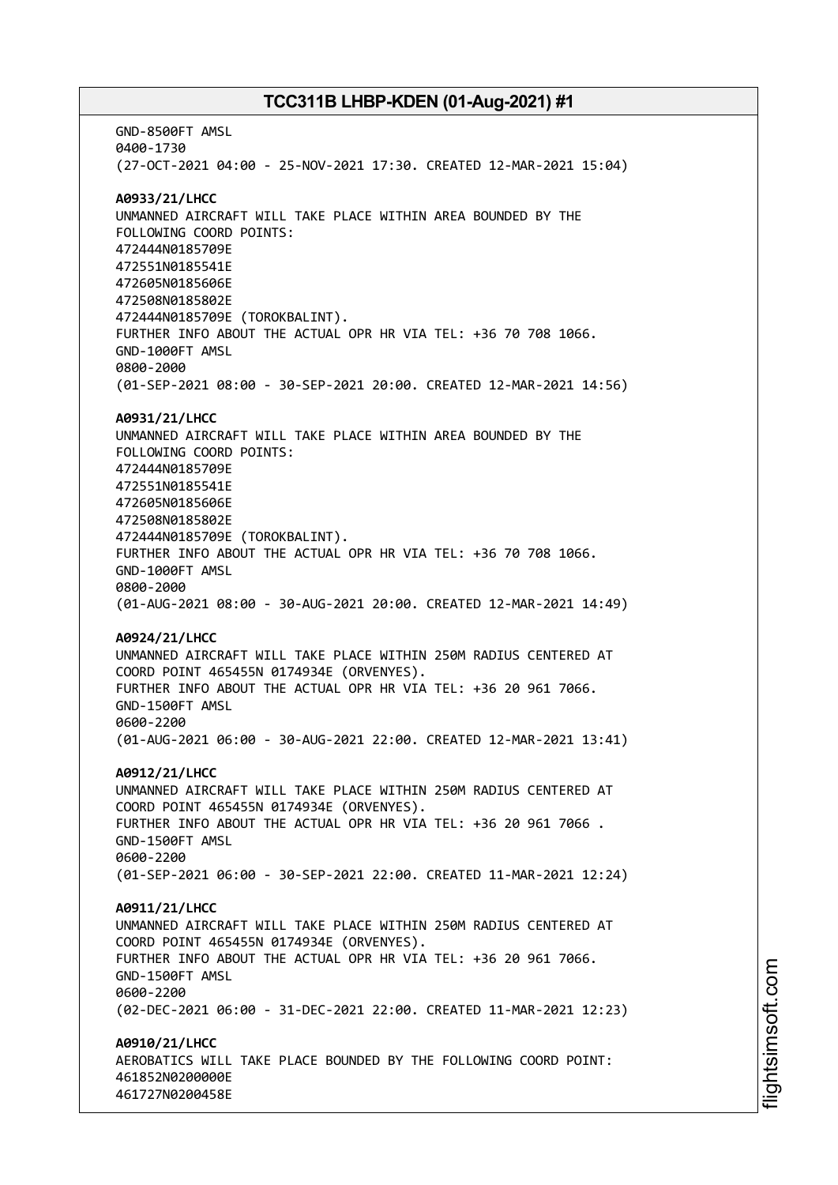GND-8500FT AMSL 0400-1730 (27-OCT-2021 04:00 - 25-NOV-2021 17:30. CREATED 12-MAR-2021 15:04) **A0933/21/LHCC** UNMANNED AIRCRAFT WILL TAKE PLACE WITHIN AREA BOUNDED BY THE FOLLOWING COORD POINTS: 472444N0185709E 472551N0185541E 472605N0185606E 472508N0185802E 472444N0185709E (TOROKBALINT). FURTHER INFO ABOUT THE ACTUAL OPR HR VIA TEL: +36 70 708 1066. GND-1000FT AMSL 0800-2000 (01-SEP-2021 08:00 - 30-SEP-2021 20:00. CREATED 12-MAR-2021 14:56) **A0931/21/LHCC** UNMANNED AIRCRAFT WILL TAKE PLACE WITHIN AREA BOUNDED BY THE FOLLOWING COORD POINTS: 472444N0185709E 472551N0185541E 472605N0185606E 472508N0185802E 472444N0185709E (TOROKBALINT). FURTHER INFO ABOUT THE ACTUAL OPR HR VIA TEL: +36 70 708 1066. GND-1000FT AMSL 0800-2000 (01-AUG-2021 08:00 - 30-AUG-2021 20:00. CREATED 12-MAR-2021 14:49) **A0924/21/LHCC** UNMANNED AIRCRAFT WILL TAKE PLACE WITHIN 250M RADIUS CENTERED AT COORD POINT 465455N 0174934E (ORVENYES). FURTHER INFO ABOUT THE ACTUAL OPR HR VIA TEL: +36 20 961 7066. GND-1500FT AMSL 0600-2200 (01-AUG-2021 06:00 - 30-AUG-2021 22:00. CREATED 12-MAR-2021 13:41) **A0912/21/LHCC** UNMANNED AIRCRAFT WILL TAKE PLACE WITHIN 250M RADIUS CENTERED AT COORD POINT 465455N 0174934E (ORVENYES). FURTHER INFO ABOUT THE ACTUAL OPR HR VIA TEL: +36 20 961 7066 . GND-1500FT AMSL 0600-2200 (01-SEP-2021 06:00 - 30-SEP-2021 22:00. CREATED 11-MAR-2021 12:24) **A0911/21/LHCC** UNMANNED AIRCRAFT WILL TAKE PLACE WITHIN 250M RADIUS CENTERED AT COORD POINT 465455N 0174934E (ORVENYES). FURTHER INFO ABOUT THE ACTUAL OPR HR VIA TEL: +36 20 961 7066. GND-1500FT AMSL 0600-2200 (02-DEC-2021 06:00 - 31-DEC-2021 22:00. CREATED 11-MAR-2021 12:23) **A0910/21/LHCC** AEROBATICS WILL TAKE PLACE BOUNDED BY THE FOLLOWING COORD POINT: 461852N0200000E 461727N0200458E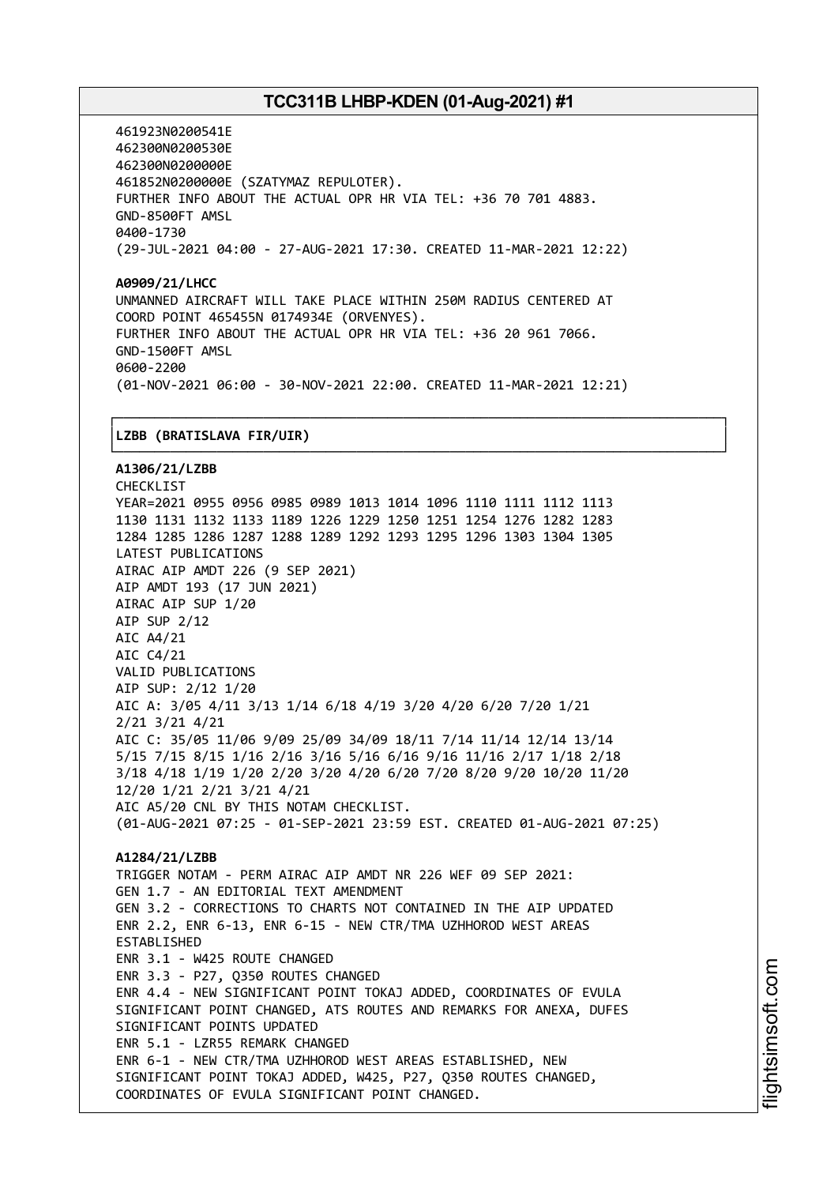461923N0200541E 462300N0200530E 462300N0200000E 461852N0200000E (SZATYMAZ REPULOTER). FURTHER INFO ABOUT THE ACTUAL OPR HR VIA TEL: +36 70 701 4883. GND-8500FT AMSL 0400-1730 (29-JUL-2021 04:00 - 27-AUG-2021 17:30. CREATED 11-MAR-2021 12:22)

**A0909/21/LHCC** UNMANNED AIRCRAFT WILL TAKE PLACE WITHIN 250M RADIUS CENTERED AT COORD POINT 465455N 0174934E (ORVENYES). FURTHER INFO ABOUT THE ACTUAL OPR HR VIA TEL: +36 20 961 7066. GND-1500FT AMSL 0600-2200 (01-NOV-2021 06:00 - 30-NOV-2021 22:00. CREATED 11-MAR-2021 12:21)

┌──────────────────────────────────────────────────────────────────────────────┐

#### │**LZBB (BRATISLAVA FIR/UIR)** │

└──────────────────────────────────────────────────────────────────────────────┘ **A1306/21/LZBB** CHECKLIST YEAR=2021 0955 0956 0985 0989 1013 1014 1096 1110 1111 1112 1113 1130 1131 1132 1133 1189 1226 1229 1250 1251 1254 1276 1282 1283 1284 1285 1286 1287 1288 1289 1292 1293 1295 1296 1303 1304 1305 LATEST PUBLICATIONS AIRAC AIP AMDT 226 (9 SEP 2021) AIP AMDT 193 (17 JUN 2021) AIRAC AIP SUP 1/20 AIP SUP 2/12 AIC A4/21 AIC C4/21 VALID PUBLICATIONS AIP SUP: 2/12 1/20 AIC A: 3/05 4/11 3/13 1/14 6/18 4/19 3/20 4/20 6/20 7/20 1/21 2/21 3/21 4/21 AIC C: 35/05 11/06 9/09 25/09 34/09 18/11 7/14 11/14 12/14 13/14 5/15 7/15 8/15 1/16 2/16 3/16 5/16 6/16 9/16 11/16 2/17 1/18 2/18 3/18 4/18 1/19 1/20 2/20 3/20 4/20 6/20 7/20 8/20 9/20 10/20 11/20 12/20 1/21 2/21 3/21 4/21 AIC A5/20 CNL BY THIS NOTAM CHECKLIST. (01-AUG-2021 07:25 - 01-SEP-2021 23:59 EST. CREATED 01-AUG-2021 07:25) **A1284/21/LZBB** TRIGGER NOTAM - PERM AIRAC AIP AMDT NR 226 WEF 09 SEP 2021: GEN 1.7 - AN EDITORIAL TEXT AMENDMENT GEN 3.2 - CORRECTIONS TO CHARTS NOT CONTAINED IN THE AIP UPDATED ENR 2.2, ENR 6-13, ENR 6-15 - NEW CTR/TMA UZHHOROD WEST AREAS ESTABLISHED ENR 3.1 - W425 ROUTE CHANGED ENR 3.3 - P27, Q350 ROUTES CHANGED ENR 4.4 - NEW SIGNIFICANT POINT TOKAJ ADDED, COORDINATES OF EVULA SIGNIFICANT POINT CHANGED, ATS ROUTES AND REMARKS FOR ANEXA, DUFES SIGNIFICANT POINTS UPDATED ENR 5.1 - LZR55 REMARK CHANGED ENR 6-1 - NEW CTR/TMA UZHHOROD WEST AREAS ESTABLISHED, NEW SIGNIFICANT POINT TOKAJ ADDED, W425, P27, Q350 ROUTES CHANGED, COORDINATES OF EVULA SIGNIFICANT POINT CHANGED.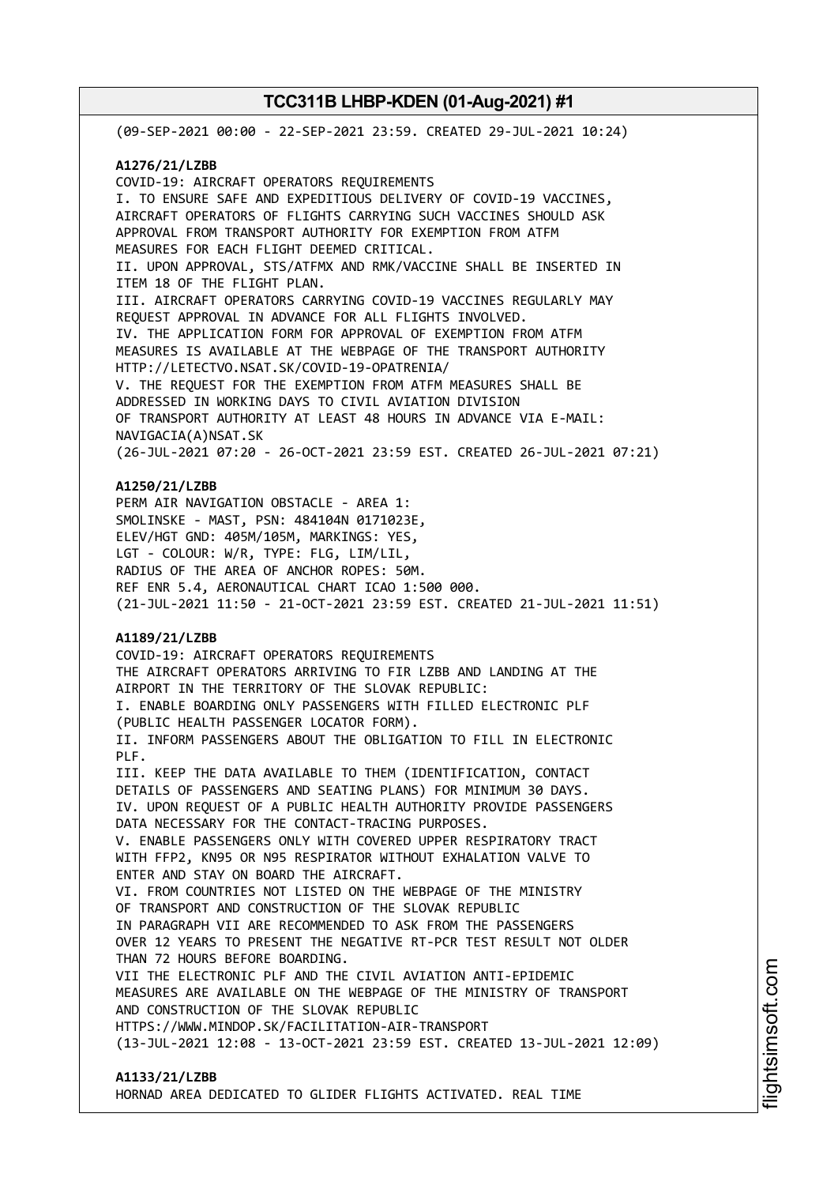(09-SEP-2021 00:00 - 22-SEP-2021 23:59. CREATED 29-JUL-2021 10:24) **A1276/21/LZBB** COVID-19: AIRCRAFT OPERATORS REQUIREMENTS I. TO ENSURE SAFE AND EXPEDITIOUS DELIVERY OF COVID-19 VACCINES, AIRCRAFT OPERATORS OF FLIGHTS CARRYING SUCH VACCINES SHOULD ASK APPROVAL FROM TRANSPORT AUTHORITY FOR EXEMPTION FROM ATFM MEASURES FOR EACH FLIGHT DEEMED CRITICAL. II. UPON APPROVAL, STS/ATFMX AND RMK/VACCINE SHALL BE INSERTED IN ITEM 18 OF THE FLIGHT PLAN. III. AIRCRAFT OPERATORS CARRYING COVID-19 VACCINES REGULARLY MAY REQUEST APPROVAL IN ADVANCE FOR ALL FLIGHTS INVOLVED. IV. THE APPLICATION FORM FOR APPROVAL OF EXEMPTION FROM ATFM MEASURES IS AVAILABLE AT THE WEBPAGE OF THE TRANSPORT AUTHORITY HTTP://LETECTVO.NSAT.SK/COVID-19-OPATRENIA/ V. THE REQUEST FOR THE EXEMPTION FROM ATFM MEASURES SHALL BE ADDRESSED IN WORKING DAYS TO CIVIL AVIATION DIVISION OF TRANSPORT AUTHORITY AT LEAST 48 HOURS IN ADVANCE VIA E-MAIL: NAVIGACIA(A)NSAT.SK (26-JUL-2021 07:20 - 26-OCT-2021 23:59 EST. CREATED 26-JUL-2021 07:21) **A1250/21/LZBB** PERM AIR NAVIGATION OBSTACLE - AREA 1: SMOLINSKE - MAST, PSN: 484104N 0171023E, ELEV/HGT GND: 405M/105M, MARKINGS: YES, LGT - COLOUR: W/R, TYPE: FLG, LIM/LIL, RADIUS OF THE AREA OF ANCHOR ROPES: 50M. REF ENR 5.4, AERONAUTICAL CHART ICAO 1:500 000. (21-JUL-2021 11:50 - 21-OCT-2021 23:59 EST. CREATED 21-JUL-2021 11:51) **A1189/21/LZBB** COVID-19: AIRCRAFT OPERATORS REQUIREMENTS THE AIRCRAFT OPERATORS ARRIVING TO FIR LZBB AND LANDING AT THE AIRPORT IN THE TERRITORY OF THE SLOVAK REPUBLIC: I. ENABLE BOARDING ONLY PASSENGERS WITH FILLED ELECTRONIC PLF (PUBLIC HEALTH PASSENGER LOCATOR FORM). II. INFORM PASSENGERS ABOUT THE OBLIGATION TO FILL IN ELECTRONIC PLF. III. KEEP THE DATA AVAILABLE TO THEM (IDENTIFICATION, CONTACT DETAILS OF PASSENGERS AND SEATING PLANS) FOR MINIMUM 30 DAYS. IV. UPON REQUEST OF A PUBLIC HEALTH AUTHORITY PROVIDE PASSENGERS DATA NECESSARY FOR THE CONTACT-TRACING PURPOSES. V. ENABLE PASSENGERS ONLY WITH COVERED UPPER RESPIRATORY TRACT WITH FFP2, KN95 OR N95 RESPIRATOR WITHOUT EXHALATION VALVE TO ENTER AND STAY ON BOARD THE AIRCRAFT. VI. FROM COUNTRIES NOT LISTED ON THE WEBPAGE OF THE MINISTRY OF TRANSPORT AND CONSTRUCTION OF THE SLOVAK REPUBLIC IN PARAGRAPH VII ARE RECOMMENDED TO ASK FROM THE PASSENGERS OVER 12 YEARS TO PRESENT THE NEGATIVE RT-PCR TEST RESULT NOT OLDER THAN 72 HOURS BEFORE BOARDING. VII THE ELECTRONIC PLF AND THE CIVIL AVIATION ANTI-EPIDEMIC MEASURES ARE AVAILABLE ON THE WEBPAGE OF THE MINISTRY OF TRANSPORT AND CONSTRUCTION OF THE SLOVAK REPUBLIC HTTPS://WWW.MINDOP.SK/FACILITATION-AIR-TRANSPORT (13-JUL-2021 12:08 - 13-OCT-2021 23:59 EST. CREATED 13-JUL-2021 12:09) **A1133/21/LZBB**

HORNAD AREA DEDICATED TO GLIDER FLIGHTS ACTIVATED. REAL TIME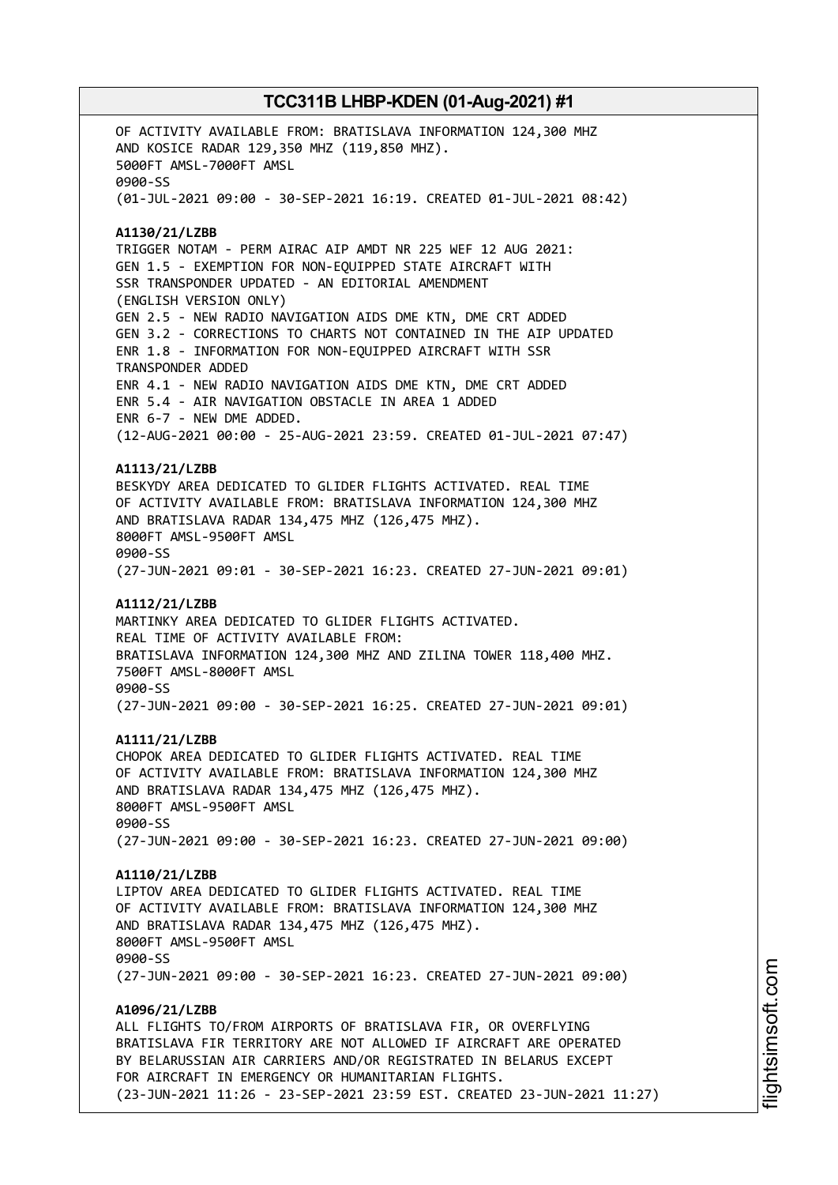OF ACTIVITY AVAILABLE FROM: BRATISLAVA INFORMATION 124,300 MHZ AND KOSICE RADAR 129,350 MHZ (119,850 MHZ). 5000FT AMSL-7000FT AMSL 0900-SS (01-JUL-2021 09:00 - 30-SEP-2021 16:19. CREATED 01-JUL-2021 08:42) **A1130/21/LZBB** TRIGGER NOTAM - PERM AIRAC AIP AMDT NR 225 WEF 12 AUG 2021: GEN 1.5 - EXEMPTION FOR NON-EQUIPPED STATE AIRCRAFT WITH SSR TRANSPONDER UPDATED - AN EDITORIAL AMENDMENT (ENGLISH VERSION ONLY) GEN 2.5 - NEW RADIO NAVIGATION AIDS DME KTN, DME CRT ADDED GEN 3.2 - CORRECTIONS TO CHARTS NOT CONTAINED IN THE AIP UPDATED ENR 1.8 - INFORMATION FOR NON-EQUIPPED AIRCRAFT WITH SSR TRANSPONDER ADDED ENR 4.1 - NEW RADIO NAVIGATION AIDS DME KTN, DME CRT ADDED ENR 5.4 - AIR NAVIGATION OBSTACLE IN AREA 1 ADDED ENR 6-7 - NEW DME ADDED. (12-AUG-2021 00:00 - 25-AUG-2021 23:59. CREATED 01-JUL-2021 07:47) **A1113/21/LZBB** BESKYDY AREA DEDICATED TO GLIDER FLIGHTS ACTIVATED. REAL TIME OF ACTIVITY AVAILABLE FROM: BRATISLAVA INFORMATION 124,300 MHZ AND BRATISLAVA RADAR 134,475 MHZ (126,475 MHZ). 8000FT AMSL-9500FT AMSL 0900-SS (27-JUN-2021 09:01 - 30-SEP-2021 16:23. CREATED 27-JUN-2021 09:01) **A1112/21/LZBB** MARTINKY AREA DEDICATED TO GLIDER FLIGHTS ACTIVATED. REAL TIME OF ACTIVITY AVAILABLE FROM: BRATISLAVA INFORMATION 124,300 MHZ AND ZILINA TOWER 118,400 MHZ. 7500FT AMSL-8000FT AMSL 0900-SS (27-JUN-2021 09:00 - 30-SEP-2021 16:25. CREATED 27-JUN-2021 09:01) **A1111/21/LZBB** CHOPOK AREA DEDICATED TO GLIDER FLIGHTS ACTIVATED. REAL TIME OF ACTIVITY AVAILABLE FROM: BRATISLAVA INFORMATION 124,300 MHZ AND BRATISLAVA RADAR 134,475 MHZ (126,475 MHZ). 8000FT AMSL-9500FT AMSL 0900-SS (27-JUN-2021 09:00 - 30-SEP-2021 16:23. CREATED 27-JUN-2021 09:00) **A1110/21/LZBB** LIPTOV AREA DEDICATED TO GLIDER FLIGHTS ACTIVATED. REAL TIME OF ACTIVITY AVAILABLE FROM: BRATISLAVA INFORMATION 124,300 MHZ AND BRATISLAVA RADAR 134,475 MHZ (126,475 MHZ). 8000FT AMSL-9500FT AMSL 0900-SS (27-JUN-2021 09:00 - 30-SEP-2021 16:23. CREATED 27-JUN-2021 09:00) **A1096/21/LZBB** ALL FLIGHTS TO/FROM AIRPORTS OF BRATISLAVA FIR, OR OVERFLYING BRATISLAVA FIR TERRITORY ARE NOT ALLOWED IF AIRCRAFT ARE OPERATED BY BELARUSSIAN AIR CARRIERS AND/OR REGISTRATED IN BELARUS EXCEPT FOR AIRCRAFT IN EMERGENCY OR HUMANITARIAN FLIGHTS. (23-JUN-2021 11:26 - 23-SEP-2021 23:59 EST. CREATED 23-JUN-2021 11:27)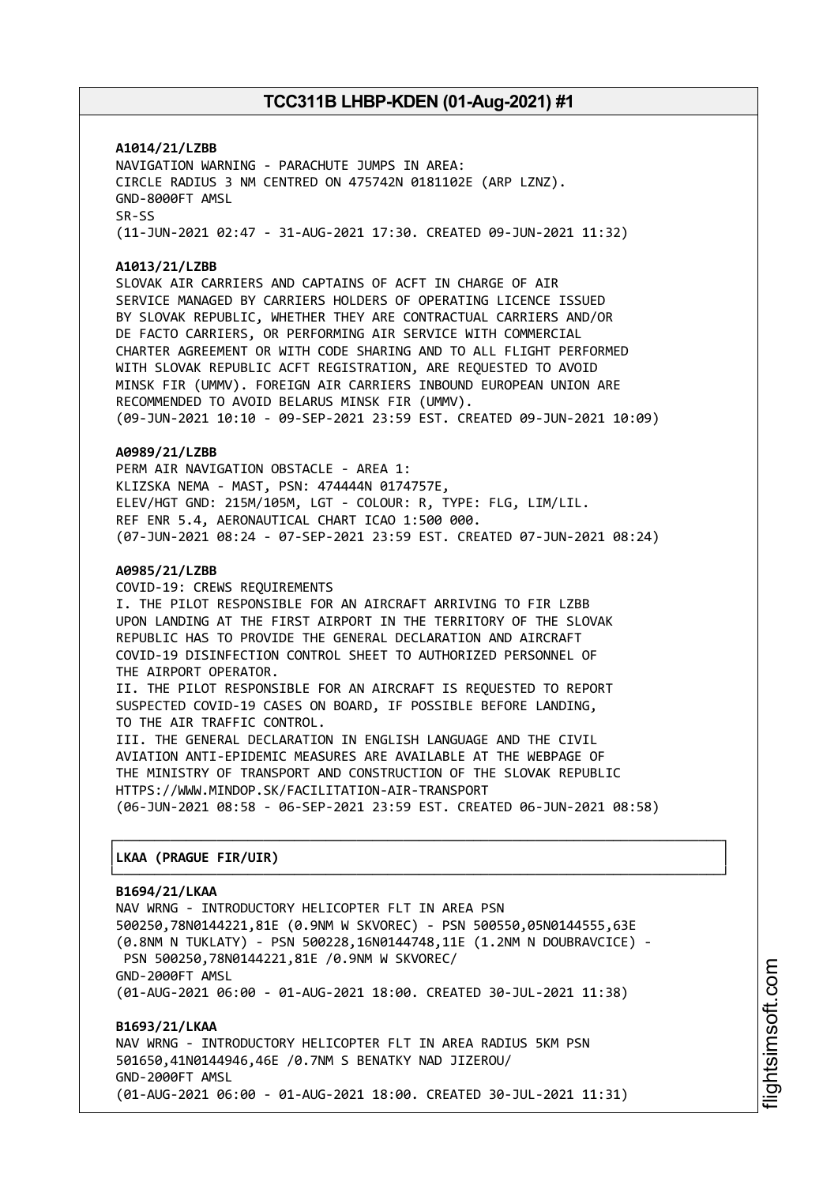**A1014/21/LZBB** NAVIGATION WARNING - PARACHUTE JUMPS IN AREA: CIRCLE RADIUS 3 NM CENTRED ON 475742N 0181102E (ARP LZNZ). GND-8000FT AMSL SR-SS (11-JUN-2021 02:47 - 31-AUG-2021 17:30. CREATED 09-JUN-2021 11:32)

#### **A1013/21/LZBB**

SLOVAK AIR CARRIERS AND CAPTAINS OF ACFT IN CHARGE OF AIR SERVICE MANAGED BY CARRIERS HOLDERS OF OPERATING LICENCE ISSUED BY SLOVAK REPUBLIC, WHETHER THEY ARE CONTRACTUAL CARRIERS AND/OR DE FACTO CARRIERS, OR PERFORMING AIR SERVICE WITH COMMERCIAL CHARTER AGREEMENT OR WITH CODE SHARING AND TO ALL FLIGHT PERFORMED WITH SLOVAK REPUBLIC ACFT REGISTRATION, ARE REQUESTED TO AVOID MINSK FIR (UMMV). FOREIGN AIR CARRIERS INBOUND EUROPEAN UNION ARE RECOMMENDED TO AVOID BELARUS MINSK FIR (UMMV). (09-JUN-2021 10:10 - 09-SEP-2021 23:59 EST. CREATED 09-JUN-2021 10:09)

#### **A0989/21/LZBB**

PERM AIR NAVIGATION OBSTACLE - AREA 1: KLIZSKA NEMA - MAST, PSN: 474444N 0174757E, ELEV/HGT GND: 215M/105M, LGT - COLOUR: R, TYPE: FLG, LIM/LIL. REF ENR 5.4, AERONAUTICAL CHART ICAO 1:500 000. (07-JUN-2021 08:24 - 07-SEP-2021 23:59 EST. CREATED 07-JUN-2021 08:24)

#### **A0985/21/LZBB**

COVID-19: CREWS REQUIREMENTS I. THE PILOT RESPONSIBLE FOR AN AIRCRAFT ARRIVING TO FIR LZBB UPON LANDING AT THE FIRST AIRPORT IN THE TERRITORY OF THE SLOVAK REPUBLIC HAS TO PROVIDE THE GENERAL DECLARATION AND AIRCRAFT COVID-19 DISINFECTION CONTROL SHEET TO AUTHORIZED PERSONNEL OF THE AIRPORT OPERATOR. II. THE PILOT RESPONSIBLE FOR AN AIRCRAFT IS REQUESTED TO REPORT SUSPECTED COVID-19 CASES ON BOARD, IF POSSIBLE BEFORE LANDING,

TO THE AIR TRAFFIC CONTROL. III. THE GENERAL DECLARATION IN ENGLISH LANGUAGE AND THE CIVIL AVIATION ANTI-EPIDEMIC MEASURES ARE AVAILABLE AT THE WEBPAGE OF THE MINISTRY OF TRANSPORT AND CONSTRUCTION OF THE SLOVAK REPUBLIC HTTPS://WWW.MINDOP.SK/FACILITATION-AIR-TRANSPORT (06-JUN-2021 08:58 - 06-SEP-2021 23:59 EST. CREATED 06-JUN-2021 08:58)

┌──────────────────────────────────────────────────────────────────────────────┐

└──────────────────────────────────────────────────────────────────────────────┘

#### │**LKAA (PRAGUE FIR/UIR)** │

#### **B1694/21/LKAA**

NAV WRNG - INTRODUCTORY HELICOPTER FLT IN AREA PSN 500250,78N0144221,81E (0.9NM W SKVOREC) - PSN 500550,05N0144555,63E (0.8NM N TUKLATY) - PSN 500228,16N0144748,11E (1.2NM N DOUBRAVCICE) - PSN 500250,78N0144221,81E /0.9NM W SKVOREC/ GND-2000FT AMSL (01-AUG-2021 06:00 - 01-AUG-2021 18:00. CREATED 30-JUL-2021 11:38)

**B1693/21/LKAA** NAV WRNG - INTRODUCTORY HELICOPTER FLT IN AREA RADIUS 5KM PSN 501650,41N0144946,46E /0.7NM S BENATKY NAD JIZEROU/ GND-2000FT AMSL (01-AUG-2021 06:00 - 01-AUG-2021 18:00. CREATED 30-JUL-2021 11:31)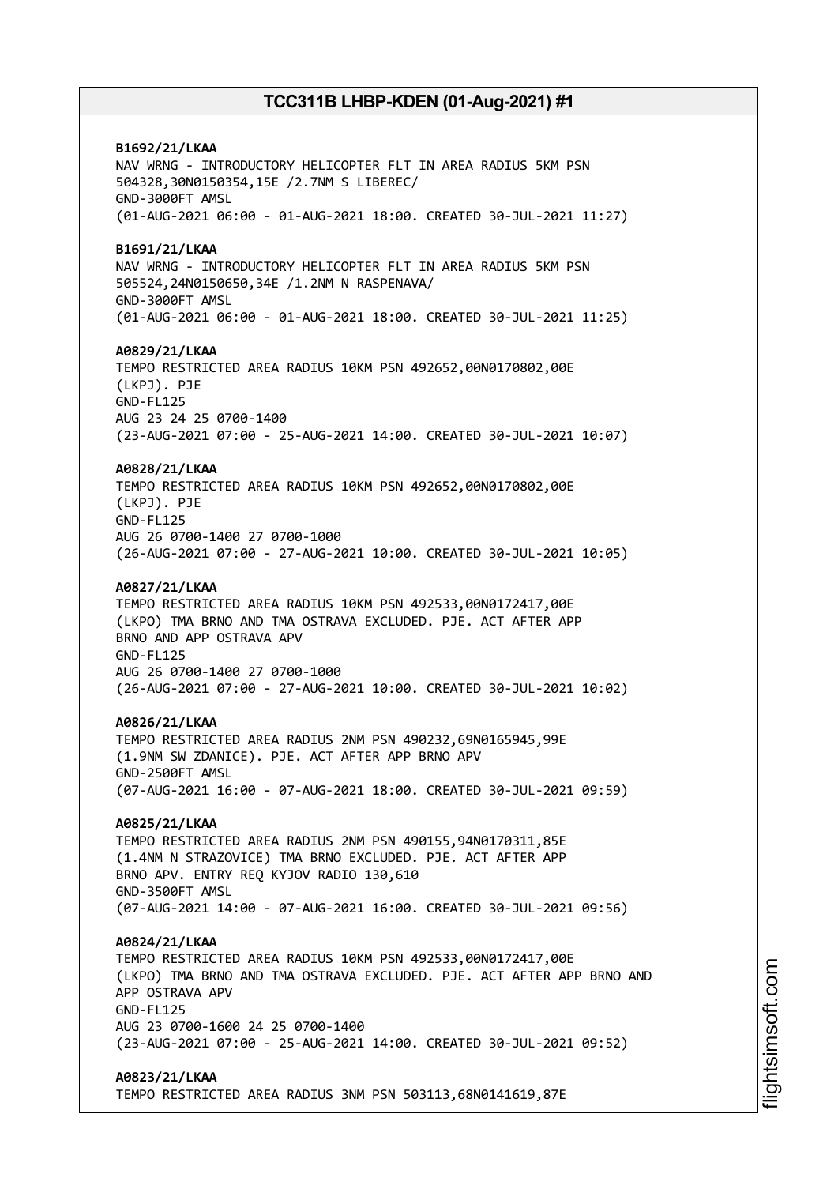**B1692/21/LKAA** NAV WRNG - INTRODUCTORY HELICOPTER FLT IN AREA RADIUS 5KM PSN 504328,30N0150354,15E /2.7NM S LIBEREC/ GND-3000FT AMSL (01-AUG-2021 06:00 - 01-AUG-2021 18:00. CREATED 30-JUL-2021 11:27) **B1691/21/LKAA** NAV WRNG - INTRODUCTORY HELICOPTER FLT IN AREA RADIUS 5KM PSN 505524,24N0150650,34E /1.2NM N RASPENAVA/ GND-3000FT AMSL (01-AUG-2021 06:00 - 01-AUG-2021 18:00. CREATED 30-JUL-2021 11:25) **A0829/21/LKAA** TEMPO RESTRICTED AREA RADIUS 10KM PSN 492652,00N0170802,00E (LKPJ). PJE GND-FL125 AUG 23 24 25 0700-1400 (23-AUG-2021 07:00 - 25-AUG-2021 14:00. CREATED 30-JUL-2021 10:07) **A0828/21/LKAA** TEMPO RESTRICTED AREA RADIUS 10KM PSN 492652,00N0170802,00E (LKPJ). PJE GND-FL125 AUG 26 0700-1400 27 0700-1000 (26-AUG-2021 07:00 - 27-AUG-2021 10:00. CREATED 30-JUL-2021 10:05) **A0827/21/LKAA** TEMPO RESTRICTED AREA RADIUS 10KM PSN 492533,00N0172417,00E (LKPO) TMA BRNO AND TMA OSTRAVA EXCLUDED. PJE. ACT AFTER APP BRNO AND APP OSTRAVA APV GND-FL125 AUG 26 0700-1400 27 0700-1000 (26-AUG-2021 07:00 - 27-AUG-2021 10:00. CREATED 30-JUL-2021 10:02) **A0826/21/LKAA** TEMPO RESTRICTED AREA RADIUS 2NM PSN 490232,69N0165945,99E (1.9NM SW ZDANICE). PJE. ACT AFTER APP BRNO APV GND-2500FT AMSL (07-AUG-2021 16:00 - 07-AUG-2021 18:00. CREATED 30-JUL-2021 09:59) **A0825/21/LKAA** TEMPO RESTRICTED AREA RADIUS 2NM PSN 490155,94N0170311,85E (1.4NM N STRAZOVICE) TMA BRNO EXCLUDED. PJE. ACT AFTER APP BRNO APV. ENTRY REQ KYJOV RADIO 130,610 GND-3500FT AMSL (07-AUG-2021 14:00 - 07-AUG-2021 16:00. CREATED 30-JUL-2021 09:56) **A0824/21/LKAA** TEMPO RESTRICTED AREA RADIUS 10KM PSN 492533,00N0172417,00E (LKPO) TMA BRNO AND TMA OSTRAVA EXCLUDED. PJE. ACT AFTER APP BRNO AND APP OSTRAVA APV GND-FL125 AUG 23 0700-1600 24 25 0700-1400 (23-AUG-2021 07:00 - 25-AUG-2021 14:00. CREATED 30-JUL-2021 09:52) **A0823/21/LKAA** TEMPO RESTRICTED AREA RADIUS 3NM PSN 503113,68N0141619,87E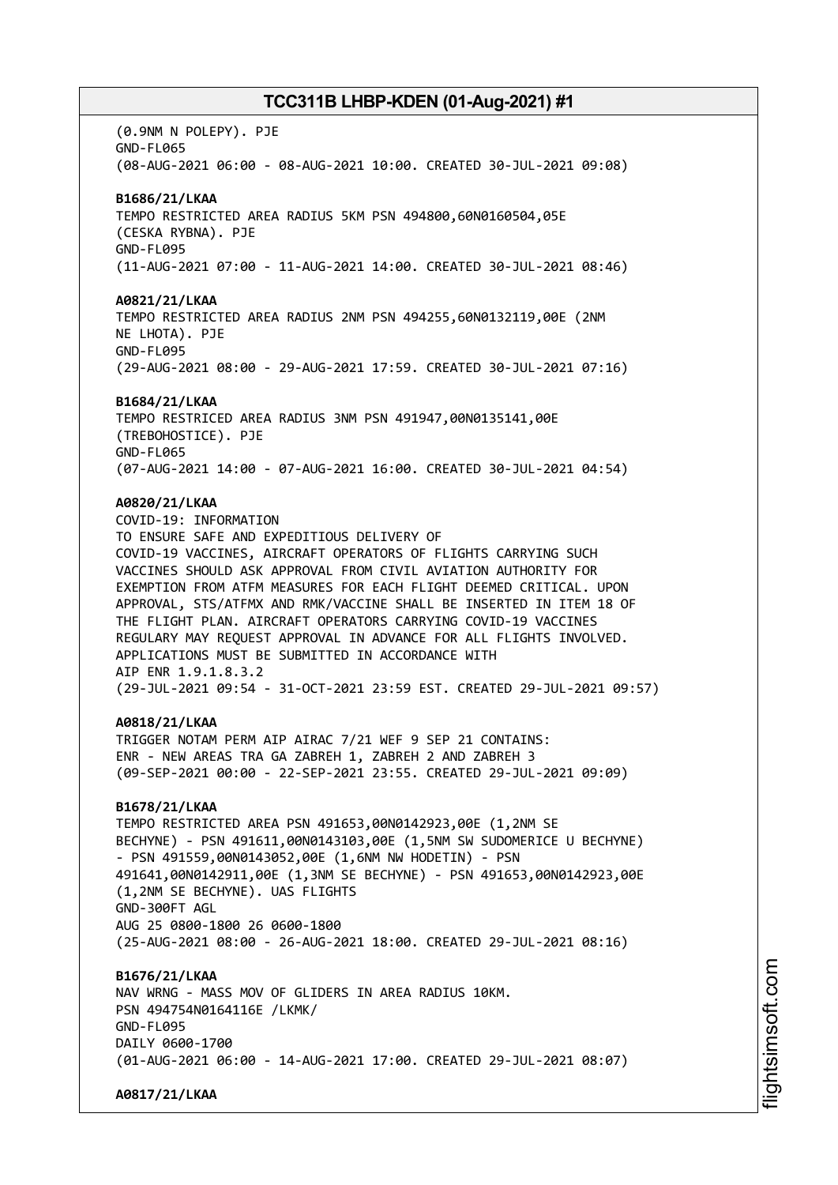(0.9NM N POLEPY). PJE GND-FL065 (08-AUG-2021 06:00 - 08-AUG-2021 10:00. CREATED 30-JUL-2021 09:08) **B1686/21/LKAA** TEMPO RESTRICTED AREA RADIUS 5KM PSN 494800,60N0160504,05E (CESKA RYBNA). PJE GND-FL095 (11-AUG-2021 07:00 - 11-AUG-2021 14:00. CREATED 30-JUL-2021 08:46) **A0821/21/LKAA** TEMPO RESTRICTED AREA RADIUS 2NM PSN 494255,60N0132119,00E (2NM NE LHOTA). PJE GND-FL095 (29-AUG-2021 08:00 - 29-AUG-2021 17:59. CREATED 30-JUL-2021 07:16) **B1684/21/LKAA** TEMPO RESTRICED AREA RADIUS 3NM PSN 491947,00N0135141,00E (TREBOHOSTICE). PJE GND-FL065 (07-AUG-2021 14:00 - 07-AUG-2021 16:00. CREATED 30-JUL-2021 04:54) **A0820/21/LKAA** COVID-19: INFORMATION TO ENSURE SAFE AND EXPEDITIOUS DELIVERY OF COVID-19 VACCINES, AIRCRAFT OPERATORS OF FLIGHTS CARRYING SUCH VACCINES SHOULD ASK APPROVAL FROM CIVIL AVIATION AUTHORITY FOR EXEMPTION FROM ATFM MEASURES FOR EACH FLIGHT DEEMED CRITICAL. UPON APPROVAL, STS/ATFMX AND RMK/VACCINE SHALL BE INSERTED IN ITEM 18 OF THE FLIGHT PLAN. AIRCRAFT OPERATORS CARRYING COVID-19 VACCINES REGULARY MAY REQUEST APPROVAL IN ADVANCE FOR ALL FLIGHTS INVOLVED. APPLICATIONS MUST BE SUBMITTED IN ACCORDANCE WITH AIP ENR 1.9.1.8.3.2 (29-JUL-2021 09:54 - 31-OCT-2021 23:59 EST. CREATED 29-JUL-2021 09:57) **A0818/21/LKAA** TRIGGER NOTAM PERM AIP AIRAC 7/21 WEF 9 SEP 21 CONTAINS: ENR - NEW AREAS TRA GA ZABREH 1, ZABREH 2 AND ZABREH 3 (09-SEP-2021 00:00 - 22-SEP-2021 23:55. CREATED 29-JUL-2021 09:09) **B1678/21/LKAA** TEMPO RESTRICTED AREA PSN 491653,00N0142923,00E (1,2NM SE BECHYNE) - PSN 491611,00N0143103,00E (1,5NM SW SUDOMERICE U BECHYNE) - PSN 491559,00N0143052,00E (1,6NM NW HODETIN) - PSN 491641,00N0142911,00E (1,3NM SE BECHYNE) - PSN 491653,00N0142923,00E (1,2NM SE BECHYNE). UAS FLIGHTS GND-300FT AGL AUG 25 0800-1800 26 0600-1800 (25-AUG-2021 08:00 - 26-AUG-2021 18:00. CREATED 29-JUL-2021 08:16) **B1676/21/LKAA** NAV WRNG - MASS MOV OF GLIDERS IN AREA RADIUS 10KM. PSN 494754N0164116E /LKMK/ GND-FL095 DATLY 0600-1700 (01-AUG-2021 06:00 - 14-AUG-2021 17:00. CREATED 29-JUL-2021 08:07) **A0817/21/LKAA**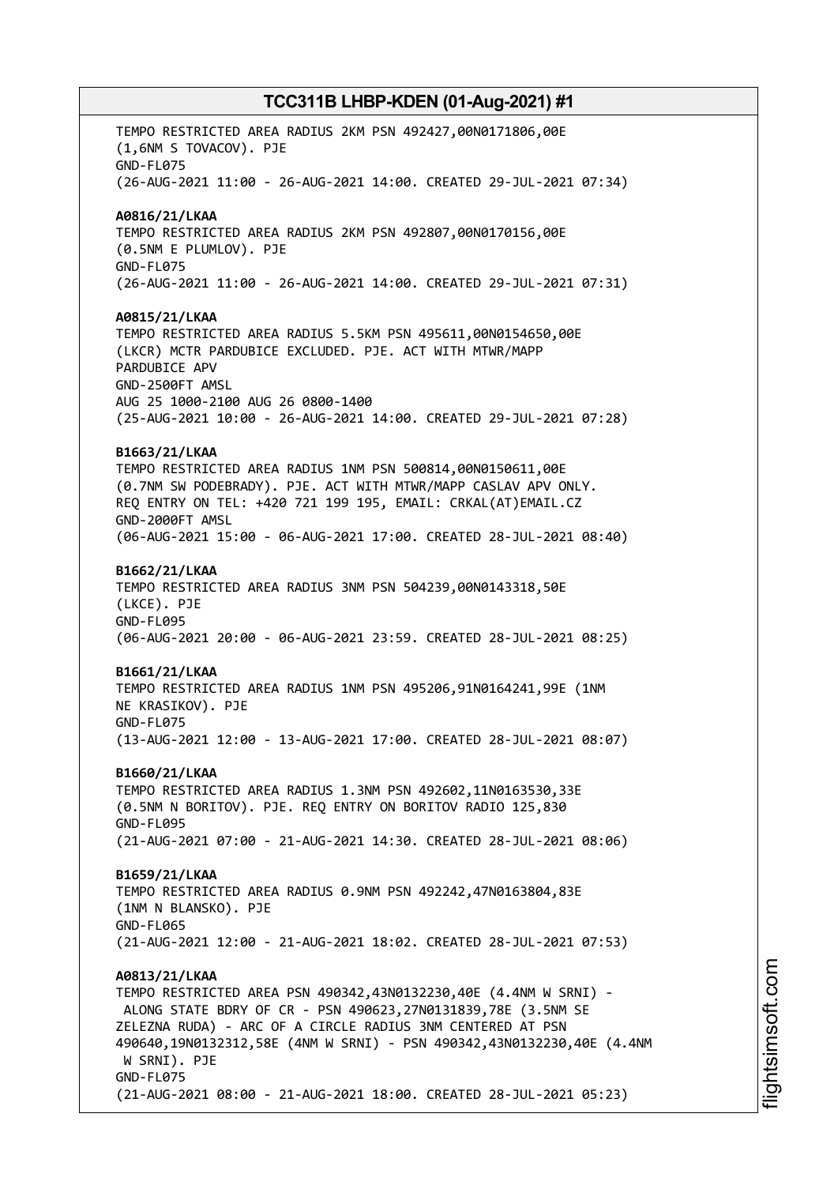TEMPO RESTRICTED AREA RADIUS 2KM PSN 492427,00N0171806,00E (1,6NM S TOVACOV). PJE GND-FL075 (26-AUG-2021 11:00 - 26-AUG-2021 14:00. CREATED 29-JUL-2021 07:34) **A0816/21/LKAA** TEMPO RESTRICTED AREA RADIUS 2KM PSN 492807,00N0170156,00E (0.5NM E PLUMLOV). PJE GND-FL075 (26-AUG-2021 11:00 - 26-AUG-2021 14:00. CREATED 29-JUL-2021 07:31) **A0815/21/LKAA** TEMPO RESTRICTED AREA RADIUS 5.5KM PSN 495611,00N0154650,00E (LKCR) MCTR PARDUBICE EXCLUDED. PJE. ACT WITH MTWR/MAPP PARDUBICE APV GND-2500FT AMSL AUG 25 1000-2100 AUG 26 0800-1400 (25-AUG-2021 10:00 - 26-AUG-2021 14:00. CREATED 29-JUL-2021 07:28) **B1663/21/LKAA** TEMPO RESTRICTED AREA RADIUS 1NM PSN 500814,00N0150611,00E (0.7NM SW PODEBRADY). PJE. ACT WITH MTWR/MAPP CASLAV APV ONLY. REQ ENTRY ON TEL: +420 721 199 195, EMAIL: CRKAL(AT)EMAIL.CZ GND-2000FT AMSL (06-AUG-2021 15:00 - 06-AUG-2021 17:00. CREATED 28-JUL-2021 08:40) **B1662/21/LKAA** TEMPO RESTRICTED AREA RADIUS 3NM PSN 504239,00N0143318,50E (LKCE). PJE GND-FL095 (06-AUG-2021 20:00 - 06-AUG-2021 23:59. CREATED 28-JUL-2021 08:25) **B1661/21/LKAA** TEMPO RESTRICTED AREA RADIUS 1NM PSN 495206,91N0164241,99E (1NM NE KRASIKOV). PJE GND-FL075 (13-AUG-2021 12:00 - 13-AUG-2021 17:00. CREATED 28-JUL-2021 08:07) **B1660/21/LKAA** TEMPO RESTRICTED AREA RADIUS 1.3NM PSN 492602,11N0163530,33E (0.5NM N BORITOV). PJE. REQ ENTRY ON BORITOV RADIO 125,830 GND-FL095 (21-AUG-2021 07:00 - 21-AUG-2021 14:30. CREATED 28-JUL-2021 08:06) **B1659/21/LKAA** TEMPO RESTRICTED AREA RADIUS 0.9NM PSN 492242,47N0163804,83E (1NM N BLANSKO). PJE GND-FL065 (21-AUG-2021 12:00 - 21-AUG-2021 18:02. CREATED 28-JUL-2021 07:53) **A0813/21/LKAA** TEMPO RESTRICTED AREA PSN 490342,43N0132230,40E (4.4NM W SRNI) - ALONG STATE BDRY OF CR - PSN 490623,27N0131839,78E (3.5NM SE ZELEZNA RUDA) - ARC OF A CIRCLE RADIUS 3NM CENTERED AT PSN 490640,19N0132312,58E (4NM W SRNI) - PSN 490342,43N0132230,40E (4.4NM W SRNI). PJE GND-FL075 (21-AUG-2021 08:00 - 21-AUG-2021 18:00. CREATED 28-JUL-2021 05:23)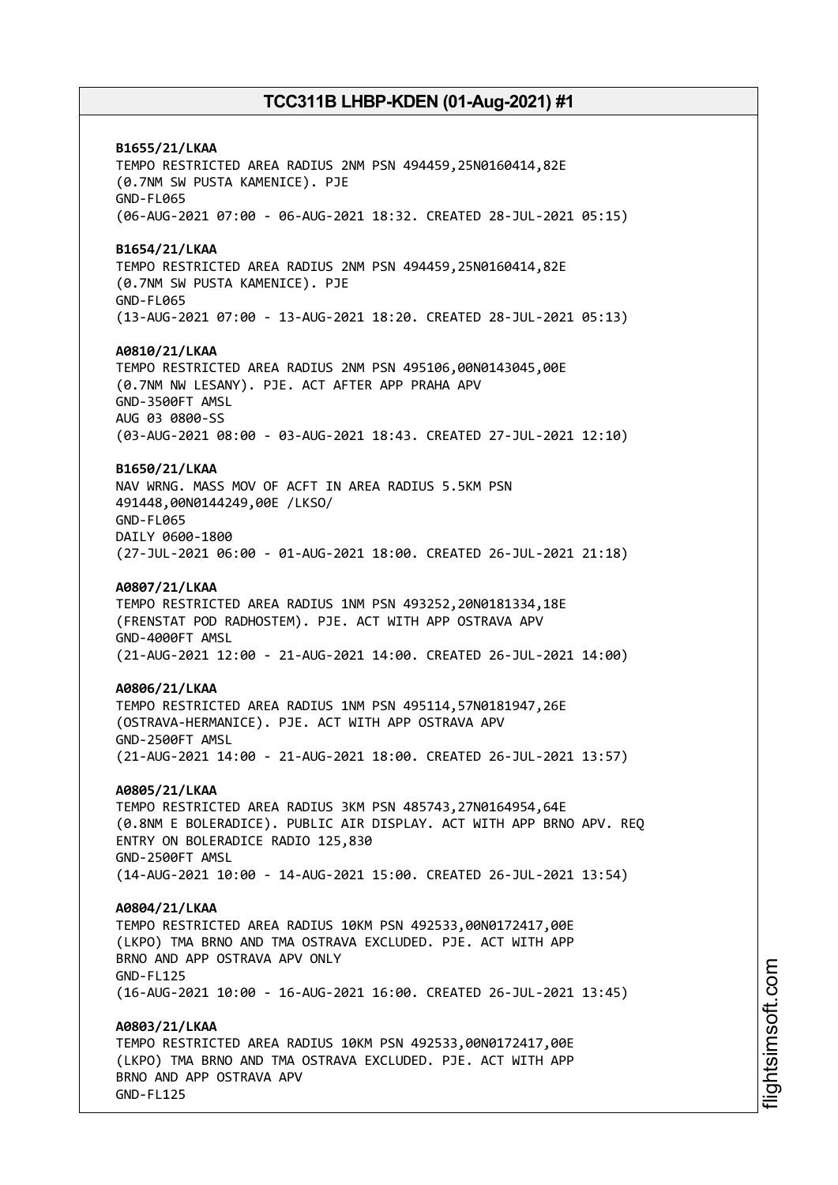**B1655/21/LKAA** TEMPO RESTRICTED AREA RADIUS 2NM PSN 494459,25N0160414,82E (0.7NM SW PUSTA KAMENICE). PJE GND-FL065 (06-AUG-2021 07:00 - 06-AUG-2021 18:32. CREATED 28-JUL-2021 05:15) **B1654/21/LKAA** TEMPO RESTRICTED AREA RADIUS 2NM PSN 494459,25N0160414,82E (0.7NM SW PUSTA KAMENICE). PJE GND-FL065 (13-AUG-2021 07:00 - 13-AUG-2021 18:20. CREATED 28-JUL-2021 05:13) **A0810/21/LKAA** TEMPO RESTRICTED AREA RADIUS 2NM PSN 495106,00N0143045,00E (0.7NM NW LESANY). PJE. ACT AFTER APP PRAHA APV GND-3500FT AMSL AUG 03 0800-SS (03-AUG-2021 08:00 - 03-AUG-2021 18:43. CREATED 27-JUL-2021 12:10) **B1650/21/LKAA** NAV WRNG. MASS MOV OF ACFT IN AREA RADIUS 5.5KM PSN 491448,00N0144249,00E /LKSO/ GND-FL065 DAILY 0600-1800 (27-JUL-2021 06:00 - 01-AUG-2021 18:00. CREATED 26-JUL-2021 21:18) **A0807/21/LKAA** TEMPO RESTRICTED AREA RADIUS 1NM PSN 493252,20N0181334,18E (FRENSTAT POD RADHOSTEM). PJE. ACT WITH APP OSTRAVA APV GND-4000FT AMSL (21-AUG-2021 12:00 - 21-AUG-2021 14:00. CREATED 26-JUL-2021 14:00) **A0806/21/LKAA** TEMPO RESTRICTED AREA RADIUS 1NM PSN 495114,57N0181947,26E (OSTRAVA-HERMANICE). PJE. ACT WITH APP OSTRAVA APV GND-2500FT AMSL (21-AUG-2021 14:00 - 21-AUG-2021 18:00. CREATED 26-JUL-2021 13:57) **A0805/21/LKAA** TEMPO RESTRICTED AREA RADIUS 3KM PSN 485743,27N0164954,64E (0.8NM E BOLERADICE). PUBLIC AIR DISPLAY. ACT WITH APP BRNO APV. REQ ENTRY ON BOLERADICE RADIO 125,830 GND-2500FT AMSL (14-AUG-2021 10:00 - 14-AUG-2021 15:00. CREATED 26-JUL-2021 13:54) **A0804/21/LKAA** TEMPO RESTRICTED AREA RADIUS 10KM PSN 492533,00N0172417,00E (LKPO) TMA BRNO AND TMA OSTRAVA EXCLUDED. PJE. ACT WITH APP BRNO AND APP OSTRAVA APV ONLY GND-FL125 (16-AUG-2021 10:00 - 16-AUG-2021 16:00. CREATED 26-JUL-2021 13:45) **A0803/21/LKAA** TEMPO RESTRICTED AREA RADIUS 10KM PSN 492533,00N0172417,00E (LKPO) TMA BRNO AND TMA OSTRAVA EXCLUDED. PJE. ACT WITH APP BRNO AND APP OSTRAVA APV GND-FL125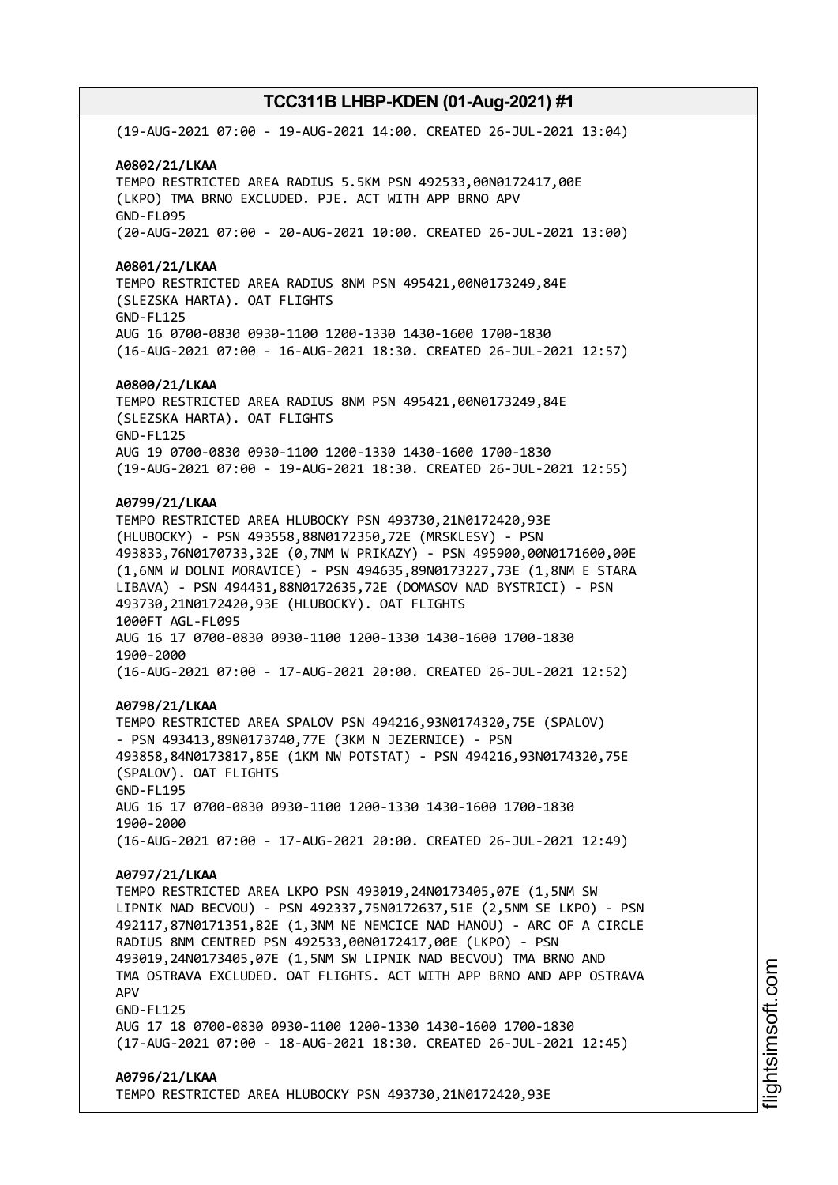(19-AUG-2021 07:00 - 19-AUG-2021 14:00. CREATED 26-JUL-2021 13:04) **A0802/21/LKAA** TEMPO RESTRICTED AREA RADIUS 5.5KM PSN 492533,00N0172417,00E (LKPO) TMA BRNO EXCLUDED. PJE. ACT WITH APP BRNO APV GND-FL095 (20-AUG-2021 07:00 - 20-AUG-2021 10:00. CREATED 26-JUL-2021 13:00) **A0801/21/LKAA** TEMPO RESTRICTED AREA RADIUS 8NM PSN 495421,00N0173249,84E (SLEZSKA HARTA). OAT FLIGHTS GND-FL125 AUG 16 0700-0830 0930-1100 1200-1330 1430-1600 1700-1830 (16-AUG-2021 07:00 - 16-AUG-2021 18:30. CREATED 26-JUL-2021 12:57) **A0800/21/LKAA** TEMPO RESTRICTED AREA RADIUS 8NM PSN 495421,00N0173249,84E (SLEZSKA HARTA). OAT FLIGHTS GND-FL125 AUG 19 0700-0830 0930-1100 1200-1330 1430-1600 1700-1830 (19-AUG-2021 07:00 - 19-AUG-2021 18:30. CREATED 26-JUL-2021 12:55) **A0799/21/LKAA** TEMPO RESTRICTED AREA HLUBOCKY PSN 493730,21N0172420,93E (HLUBOCKY) - PSN 493558,88N0172350,72E (MRSKLESY) - PSN 493833,76N0170733,32E (0,7NM W PRIKAZY) - PSN 495900,00N0171600,00E (1,6NM W DOLNI MORAVICE) - PSN 494635,89N0173227,73E (1,8NM E STARA LIBAVA) - PSN 494431,88N0172635,72E (DOMASOV NAD BYSTRICI) - PSN 493730,21N0172420,93E (HLUBOCKY). OAT FLIGHTS 1000FT AGL-FL095 AUG 16 17 0700-0830 0930-1100 1200-1330 1430-1600 1700-1830 1900-2000 (16-AUG-2021 07:00 - 17-AUG-2021 20:00. CREATED 26-JUL-2021 12:52) **A0798/21/LKAA** TEMPO RESTRICTED AREA SPALOV PSN 494216,93N0174320,75E (SPALOV) - PSN 493413,89N0173740,77E (3KM N JEZERNICE) - PSN 493858,84N0173817,85E (1KM NW POTSTAT) - PSN 494216,93N0174320,75E (SPALOV). OAT FLIGHTS GND-FL195 AUG 16 17 0700-0830 0930-1100 1200-1330 1430-1600 1700-1830 1900-2000 (16-AUG-2021 07:00 - 17-AUG-2021 20:00. CREATED 26-JUL-2021 12:49) **A0797/21/LKAA** TEMPO RESTRICTED AREA LKPO PSN 493019,24N0173405,07E (1,5NM SW LIPNIK NAD BECVOU) - PSN 492337,75N0172637,51E (2,5NM SE LKPO) - PSN 492117,87N0171351,82E (1,3NM NE NEMCICE NAD HANOU) - ARC OF A CIRCLE RADIUS 8NM CENTRED PSN 492533,00N0172417,00E (LKPO) - PSN 493019,24N0173405,07E (1,5NM SW LIPNIK NAD BECVOU) TMA BRNO AND TMA OSTRAVA EXCLUDED. OAT FLIGHTS. ACT WITH APP BRNO AND APP OSTRAVA APV GND-FL125 AUG 17 18 0700-0830 0930-1100 1200-1330 1430-1600 1700-1830 (17-AUG-2021 07:00 - 18-AUG-2021 18:30. CREATED 26-JUL-2021 12:45) **A0796/21/LKAA** TEMPO RESTRICTED AREA HLUBOCKY PSN 493730,21N0172420,93E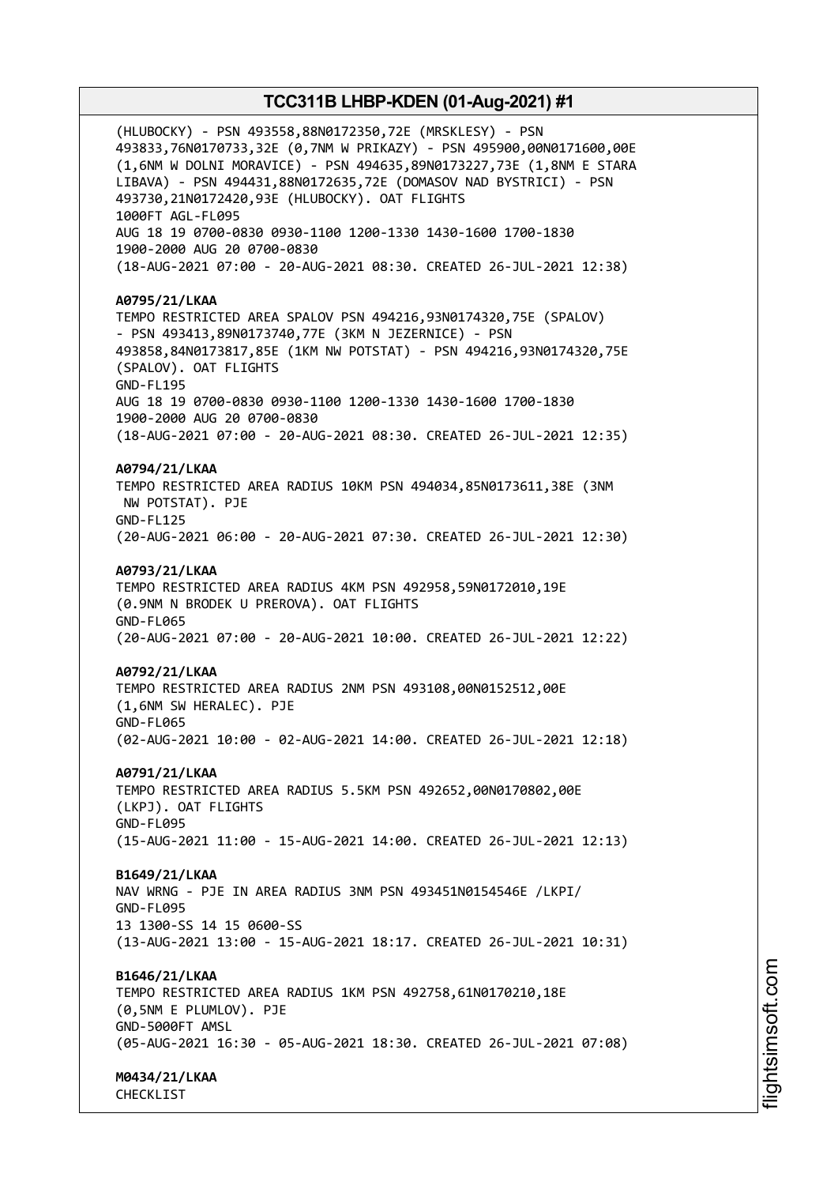(HLUBOCKY) - PSN 493558,88N0172350,72E (MRSKLESY) - PSN 493833,76N0170733,32E (0,7NM W PRIKAZY) - PSN 495900,00N0171600,00E (1,6NM W DOLNI MORAVICE) - PSN 494635,89N0173227,73E (1,8NM E STARA LIBAVA) - PSN 494431,88N0172635,72E (DOMASOV NAD BYSTRICI) - PSN 493730,21N0172420,93E (HLUBOCKY). OAT FLIGHTS 1000FT AGL-FL095 AUG 18 19 0700-0830 0930-1100 1200-1330 1430-1600 1700-1830 1900-2000 AUG 20 0700-0830 (18-AUG-2021 07:00 - 20-AUG-2021 08:30. CREATED 26-JUL-2021 12:38) **A0795/21/LKAA** TEMPO RESTRICTED AREA SPALOV PSN 494216,93N0174320,75E (SPALOV) - PSN 493413,89N0173740,77E (3KM N JEZERNICE) - PSN 493858,84N0173817,85E (1KM NW POTSTAT) - PSN 494216,93N0174320,75E (SPALOV). OAT FLIGHTS GND-FL195 AUG 18 19 0700-0830 0930-1100 1200-1330 1430-1600 1700-1830 1900-2000 AUG 20 0700-0830 (18-AUG-2021 07:00 - 20-AUG-2021 08:30. CREATED 26-JUL-2021 12:35) **A0794/21/LKAA** TEMPO RESTRICTED AREA RADIUS 10KM PSN 494034,85N0173611,38E (3NM NW POTSTAT). PJE GND-FL125 (20-AUG-2021 06:00 - 20-AUG-2021 07:30. CREATED 26-JUL-2021 12:30) **A0793/21/LKAA** TEMPO RESTRICTED AREA RADIUS 4KM PSN 492958,59N0172010,19E (0.9NM N BRODEK U PREROVA). OAT FLIGHTS GND-FL065 (20-AUG-2021 07:00 - 20-AUG-2021 10:00. CREATED 26-JUL-2021 12:22) **A0792/21/LKAA** TEMPO RESTRICTED AREA RADIUS 2NM PSN 493108,00N0152512,00E (1,6NM SW HERALEC). PJE GND-FL065 (02-AUG-2021 10:00 - 02-AUG-2021 14:00. CREATED 26-JUL-2021 12:18) **A0791/21/LKAA** TEMPO RESTRICTED AREA RADIUS 5.5KM PSN 492652,00N0170802,00E (LKPJ). OAT FLIGHTS GND-FL095 (15-AUG-2021 11:00 - 15-AUG-2021 14:00. CREATED 26-JUL-2021 12:13) **B1649/21/LKAA** NAV WRNG - PJE IN AREA RADIUS 3NM PSN 493451N0154546E /LKPI/ GND-FL095 13 1300-SS 14 15 0600-SS (13-AUG-2021 13:00 - 15-AUG-2021 18:17. CREATED 26-JUL-2021 10:31) **B1646/21/LKAA** TEMPO RESTRICTED AREA RADIUS 1KM PSN 492758,61N0170210,18E (0,5NM E PLUMLOV). PJE GND-5000FT AMSL (05-AUG-2021 16:30 - 05-AUG-2021 18:30. CREATED 26-JUL-2021 07:08) **M0434/21/LKAA**

CHECKLIST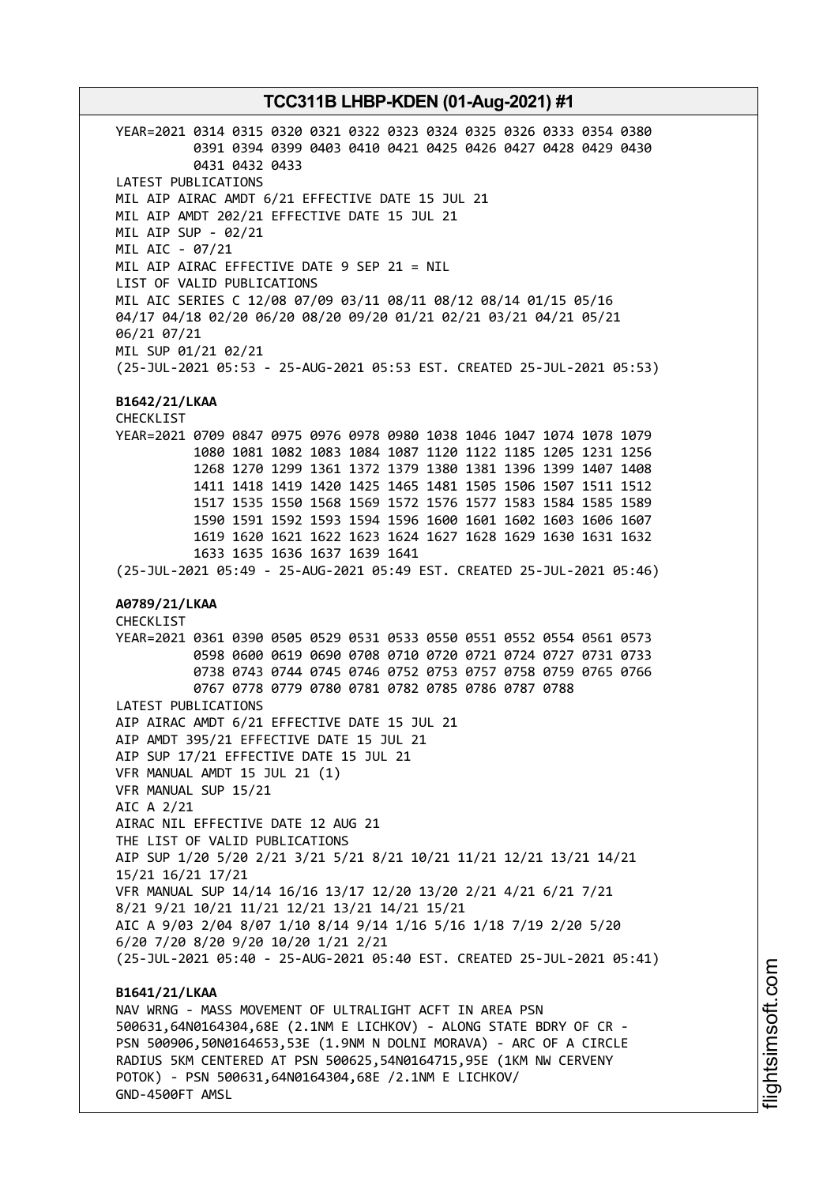YEAR=2021 0314 0315 0320 0321 0322 0323 0324 0325 0326 0333 0354 0380 0391 0394 0399 0403 0410 0421 0425 0426 0427 0428 0429 0430 0431 0432 0433 LATEST PUBLICATIONS MIL AIP AIRAC AMDT 6/21 EFFECTIVE DATE 15 JUL 21 MIL AIP AMDT 202/21 EFFECTIVE DATE 15 JUL 21 MIL AIP SUP - 02/21 MIL AIC - 07/21 MIL AIP AIRAC EFFECTIVE DATE 9 SEP 21 = NIL LIST OF VALID PUBLICATIONS MIL AIC SERIES C 12/08 07/09 03/11 08/11 08/12 08/14 01/15 05/16 04/17 04/18 02/20 06/20 08/20 09/20 01/21 02/21 03/21 04/21 05/21 06/21 07/21 MIL SUP 01/21 02/21 (25-JUL-2021 05:53 - 25-AUG-2021 05:53 EST. CREATED 25-JUL-2021 05:53) **B1642/21/LKAA** CHECKLIST YEAR=2021 0709 0847 0975 0976 0978 0980 1038 1046 1047 1074 1078 1079 1080 1081 1082 1083 1084 1087 1120 1122 1185 1205 1231 1256 1268 1270 1299 1361 1372 1379 1380 1381 1396 1399 1407 1408 1411 1418 1419 1420 1425 1465 1481 1505 1506 1507 1511 1512 1517 1535 1550 1568 1569 1572 1576 1577 1583 1584 1585 1589 1590 1591 1592 1593 1594 1596 1600 1601 1602 1603 1606 1607 1619 1620 1621 1622 1623 1624 1627 1628 1629 1630 1631 1632 1633 1635 1636 1637 1639 1641 (25-JUL-2021 05:49 - 25-AUG-2021 05:49 EST. CREATED 25-JUL-2021 05:46) **A0789/21/LKAA** CHECKLIST YEAR=2021 0361 0390 0505 0529 0531 0533 0550 0551 0552 0554 0561 0573 0598 0600 0619 0690 0708 0710 0720 0721 0724 0727 0731 0733 0738 0743 0744 0745 0746 0752 0753 0757 0758 0759 0765 0766 0767 0778 0779 0780 0781 0782 0785 0786 0787 0788 LATEST PUBLICATIONS AIP AIRAC AMDT 6/21 EFFECTIVE DATE 15 JUL 21 AIP AMDT 395/21 EFFECTIVE DATE 15 JUL 21 AIP SUP 17/21 EFFECTIVE DATE 15 JUL 21 VFR MANUAL AMDT 15 JUL 21 (1) VFR MANUAL SUP 15/21 AIC A 2/21 AIRAC NIL EFFECTIVE DATE 12 AUG 21 THE LIST OF VALID PUBLICATIONS AIP SUP 1/20 5/20 2/21 3/21 5/21 8/21 10/21 11/21 12/21 13/21 14/21 15/21 16/21 17/21 VFR MANUAL SUP 14/14 16/16 13/17 12/20 13/20 2/21 4/21 6/21 7/21 8/21 9/21 10/21 11/21 12/21 13/21 14/21 15/21 AIC A 9/03 2/04 8/07 1/10 8/14 9/14 1/16 5/16 1/18 7/19 2/20 5/20 6/20 7/20 8/20 9/20 10/20 1/21 2/21 (25-JUL-2021 05:40 - 25-AUG-2021 05:40 EST. CREATED 25-JUL-2021 05:41) **B1641/21/LKAA** NAV WRNG - MASS MOVEMENT OF ULTRALIGHT ACFT IN AREA PSN 500631,64N0164304,68E (2.1NM E LICHKOV) - ALONG STATE BDRY OF CR - PSN 500906,50N0164653,53E (1.9NM N DOLNI MORAVA) - ARC OF A CIRCLE RADIUS 5KM CENTERED AT PSN 500625,54N0164715,95E (1KM NW CERVENY POTOK) - PSN 500631,64N0164304,68E /2.1NM E LICHKOV/

GND-4500FT AMSL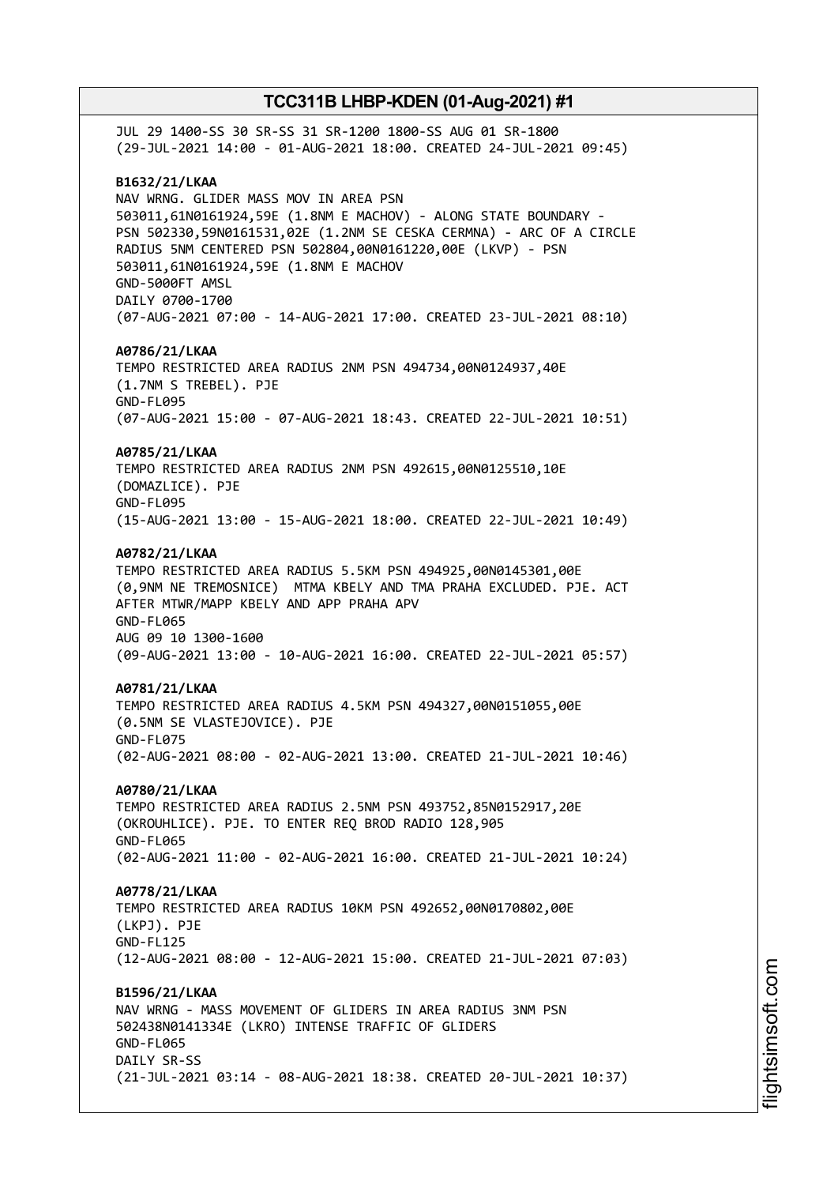JUL 29 1400-SS 30 SR-SS 31 SR-1200 1800-SS AUG 01 SR-1800 (29-JUL-2021 14:00 - 01-AUG-2021 18:00. CREATED 24-JUL-2021 09:45) **B1632/21/LKAA** NAV WRNG. GLIDER MASS MOV IN AREA PSN 503011,61N0161924,59E (1.8NM E MACHOV) - ALONG STATE BOUNDARY - PSN 502330,59N0161531,02E (1.2NM SE CESKA CERMNA) - ARC OF A CIRCLE RADIUS 5NM CENTERED PSN 502804,00N0161220,00E (LKVP) - PSN 503011,61N0161924,59E (1.8NM E MACHOV GND-5000FT AMSL DAILY 0700-1700 (07-AUG-2021 07:00 - 14-AUG-2021 17:00. CREATED 23-JUL-2021 08:10) **A0786/21/LKAA** TEMPO RESTRICTED AREA RADIUS 2NM PSN 494734,00N0124937,40E (1.7NM S TREBEL). PJE GND-FL095 (07-AUG-2021 15:00 - 07-AUG-2021 18:43. CREATED 22-JUL-2021 10:51) **A0785/21/LKAA** TEMPO RESTRICTED AREA RADIUS 2NM PSN 492615,00N0125510,10E (DOMAZLICE). PJE GND-FL095 (15-AUG-2021 13:00 - 15-AUG-2021 18:00. CREATED 22-JUL-2021 10:49) **A0782/21/LKAA** TEMPO RESTRICTED AREA RADIUS 5.5KM PSN 494925,00N0145301,00E (0,9NM NE TREMOSNICE) MTMA KBELY AND TMA PRAHA EXCLUDED. PJE. ACT AFTER MTWR/MAPP KBELY AND APP PRAHA APV GND-FL065 AUG 09 10 1300-1600 (09-AUG-2021 13:00 - 10-AUG-2021 16:00. CREATED 22-JUL-2021 05:57) **A0781/21/LKAA** TEMPO RESTRICTED AREA RADIUS 4.5KM PSN 494327,00N0151055,00E (0.5NM SE VLASTEJOVICE). PJE GND-FL075 (02-AUG-2021 08:00 - 02-AUG-2021 13:00. CREATED 21-JUL-2021 10:46) **A0780/21/LKAA** TEMPO RESTRICTED AREA RADIUS 2.5NM PSN 493752,85N0152917,20E (OKROUHLICE). PJE. TO ENTER REQ BROD RADIO 128,905 GND-FL065 (02-AUG-2021 11:00 - 02-AUG-2021 16:00. CREATED 21-JUL-2021 10:24) **A0778/21/LKAA** TEMPO RESTRICTED AREA RADIUS 10KM PSN 492652,00N0170802,00E (LKPJ). PJE GND-FL125 (12-AUG-2021 08:00 - 12-AUG-2021 15:00. CREATED 21-JUL-2021 07:03) **B1596/21/LKAA** NAV WRNG - MASS MOVEMENT OF GLIDERS IN AREA RADIUS 3NM PSN 502438N0141334E (LKRO) INTENSE TRAFFIC OF GLIDERS GND-FL065 DATLY SR-SS (21-JUL-2021 03:14 - 08-AUG-2021 18:38. CREATED 20-JUL-2021 10:37)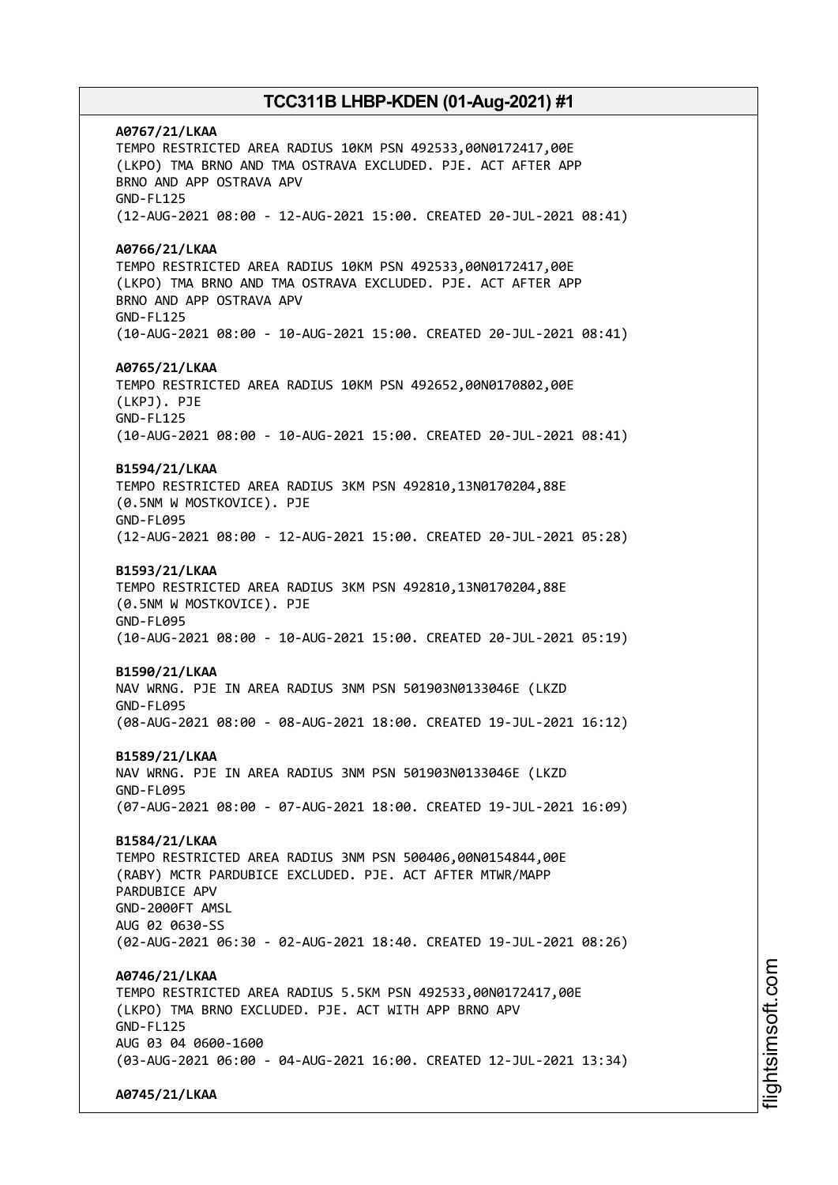**A0767/21/LKAA** TEMPO RESTRICTED AREA RADIUS 10KM PSN 492533,00N0172417,00E (LKPO) TMA BRNO AND TMA OSTRAVA EXCLUDED. PJE. ACT AFTER APP BRNO AND APP OSTRAVA APV GND-FL125 (12-AUG-2021 08:00 - 12-AUG-2021 15:00. CREATED 20-JUL-2021 08:41) **A0766/21/LKAA** TEMPO RESTRICTED AREA RADIUS 10KM PSN 492533,00N0172417,00E (LKPO) TMA BRNO AND TMA OSTRAVA EXCLUDED. PJE. ACT AFTER APP BRNO AND APP OSTRAVA APV GND-FL125 (10-AUG-2021 08:00 - 10-AUG-2021 15:00. CREATED 20-JUL-2021 08:41) **A0765/21/LKAA** TEMPO RESTRICTED AREA RADIUS 10KM PSN 492652,00N0170802,00E (LKPJ). PJE GND-FL125 (10-AUG-2021 08:00 - 10-AUG-2021 15:00. CREATED 20-JUL-2021 08:41) **B1594/21/LKAA** TEMPO RESTRICTED AREA RADIUS 3KM PSN 492810,13N0170204,88E (0.5NM W MOSTKOVICE). PJE GND-FL095 (12-AUG-2021 08:00 - 12-AUG-2021 15:00. CREATED 20-JUL-2021 05:28) **B1593/21/LKAA** TEMPO RESTRICTED AREA RADIUS 3KM PSN 492810,13N0170204,88E (0.5NM W MOSTKOVICE). PJE GND-FL095 (10-AUG-2021 08:00 - 10-AUG-2021 15:00. CREATED 20-JUL-2021 05:19) **B1590/21/LKAA** NAV WRNG. PJE IN AREA RADIUS 3NM PSN 501903N0133046E (LKZD GND-FL095 (08-AUG-2021 08:00 - 08-AUG-2021 18:00. CREATED 19-JUL-2021 16:12) **B1589/21/LKAA** NAV WRNG. PJE IN AREA RADIUS 3NM PSN 501903N0133046E (LKZD GND-FL095 (07-AUG-2021 08:00 - 07-AUG-2021 18:00. CREATED 19-JUL-2021 16:09) **B1584/21/LKAA** TEMPO RESTRICTED AREA RADIUS 3NM PSN 500406,00N0154844,00E (RABY) MCTR PARDUBICE EXCLUDED. PJE. ACT AFTER MTWR/MAPP PARDUBICE APV GND-2000FT AMSL AUG 02 0630-SS (02-AUG-2021 06:30 - 02-AUG-2021 18:40. CREATED 19-JUL-2021 08:26) **A0746/21/LKAA** TEMPO RESTRICTED AREA RADIUS 5.5KM PSN 492533,00N0172417,00E (LKPO) TMA BRNO EXCLUDED. PJE. ACT WITH APP BRNO APV GND-FL125 AUG 03 04 0600-1600 (03-AUG-2021 06:00 - 04-AUG-2021 16:00. CREATED 12-JUL-2021 13:34) **A0745/21/LKAA**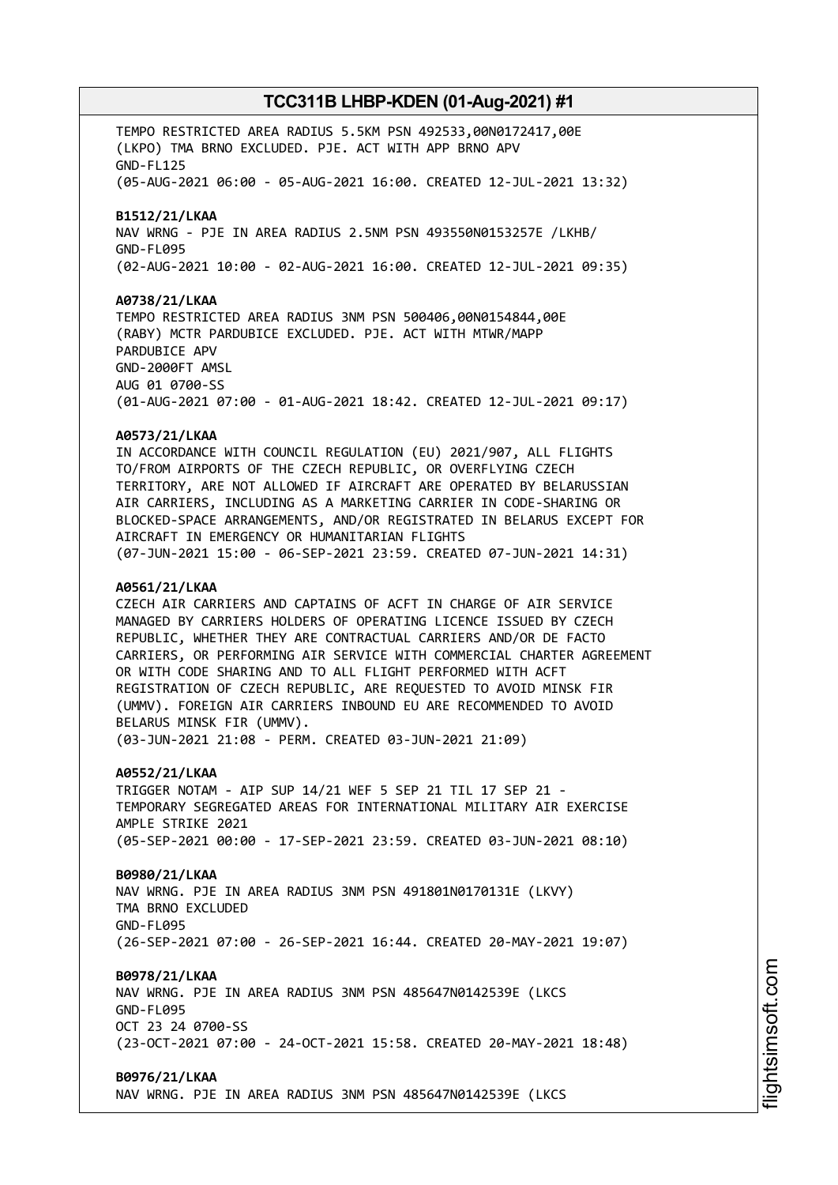TEMPO RESTRICTED AREA RADIUS 5.5KM PSN 492533,00N0172417,00E (LKPO) TMA BRNO EXCLUDED. PJE. ACT WITH APP BRNO APV GND-FL125 (05-AUG-2021 06:00 - 05-AUG-2021 16:00. CREATED 12-JUL-2021 13:32) **B1512/21/LKAA** NAV WRNG - PJE IN AREA RADIUS 2.5NM PSN 493550N0153257E /LKHB/ GND-FL095 (02-AUG-2021 10:00 - 02-AUG-2021 16:00. CREATED 12-JUL-2021 09:35) **A0738/21/LKAA** TEMPO RESTRICTED AREA RADIUS 3NM PSN 500406,00N0154844,00E (RABY) MCTR PARDUBICE EXCLUDED. PJE. ACT WITH MTWR/MAPP PARDUBICE APV GND-2000FT AMSL AUG 01 0700-SS (01-AUG-2021 07:00 - 01-AUG-2021 18:42. CREATED 12-JUL-2021 09:17) **A0573/21/LKAA** IN ACCORDANCE WITH COUNCIL REGULATION (EU) 2021/907, ALL FLIGHTS TO/FROM AIRPORTS OF THE CZECH REPUBLIC, OR OVERFLYING CZECH TERRITORY, ARE NOT ALLOWED IF AIRCRAFT ARE OPERATED BY BELARUSSIAN AIR CARRIERS, INCLUDING AS A MARKETING CARRIER IN CODE-SHARING OR BLOCKED-SPACE ARRANGEMENTS, AND/OR REGISTRATED IN BELARUS EXCEPT FOR AIRCRAFT IN EMERGENCY OR HUMANITARIAN FLIGHTS (07-JUN-2021 15:00 - 06-SEP-2021 23:59. CREATED 07-JUN-2021 14:31) **A0561/21/LKAA** CZECH AIR CARRIERS AND CAPTAINS OF ACFT IN CHARGE OF AIR SERVICE MANAGED BY CARRIERS HOLDERS OF OPERATING LICENCE ISSUED BY CZECH REPUBLIC, WHETHER THEY ARE CONTRACTUAL CARRIERS AND/OR DE FACTO CARRIERS, OR PERFORMING AIR SERVICE WITH COMMERCIAL CHARTER AGREEMENT OR WITH CODE SHARING AND TO ALL FLIGHT PERFORMED WITH ACFT REGISTRATION OF CZECH REPUBLIC, ARE REQUESTED TO AVOID MINSK FIR (UMMV). FOREIGN AIR CARRIERS INBOUND EU ARE RECOMMENDED TO AVOID BELARUS MINSK FIR (UMMV). (03-JUN-2021 21:08 - PERM. CREATED 03-JUN-2021 21:09) **A0552/21/LKAA** TRIGGER NOTAM - AIP SUP 14/21 WEF 5 SEP 21 TIL 17 SEP 21 - TEMPORARY SEGREGATED AREAS FOR INTERNATIONAL MILITARY AIR EXERCISE AMPLE STRIKE 2021 (05-SEP-2021 00:00 - 17-SEP-2021 23:59. CREATED 03-JUN-2021 08:10) **B0980/21/LKAA** NAV WRNG. PJE IN AREA RADIUS 3NM PSN 491801N0170131E (LKVY) TMA BRNO EXCLUDED GND-FL095 (26-SEP-2021 07:00 - 26-SEP-2021 16:44. CREATED 20-MAY-2021 19:07) **B0978/21/LKAA** NAV WRNG. PJE IN AREA RADIUS 3NM PSN 485647N0142539E (LKCS GND-FL095 OCT 23 24 0700-SS (23-OCT-2021 07:00 - 24-OCT-2021 15:58. CREATED 20-MAY-2021 18:48) **B0976/21/LKAA** NAV WRNG. PJE IN AREA RADIUS 3NM PSN 485647N0142539E (LKCS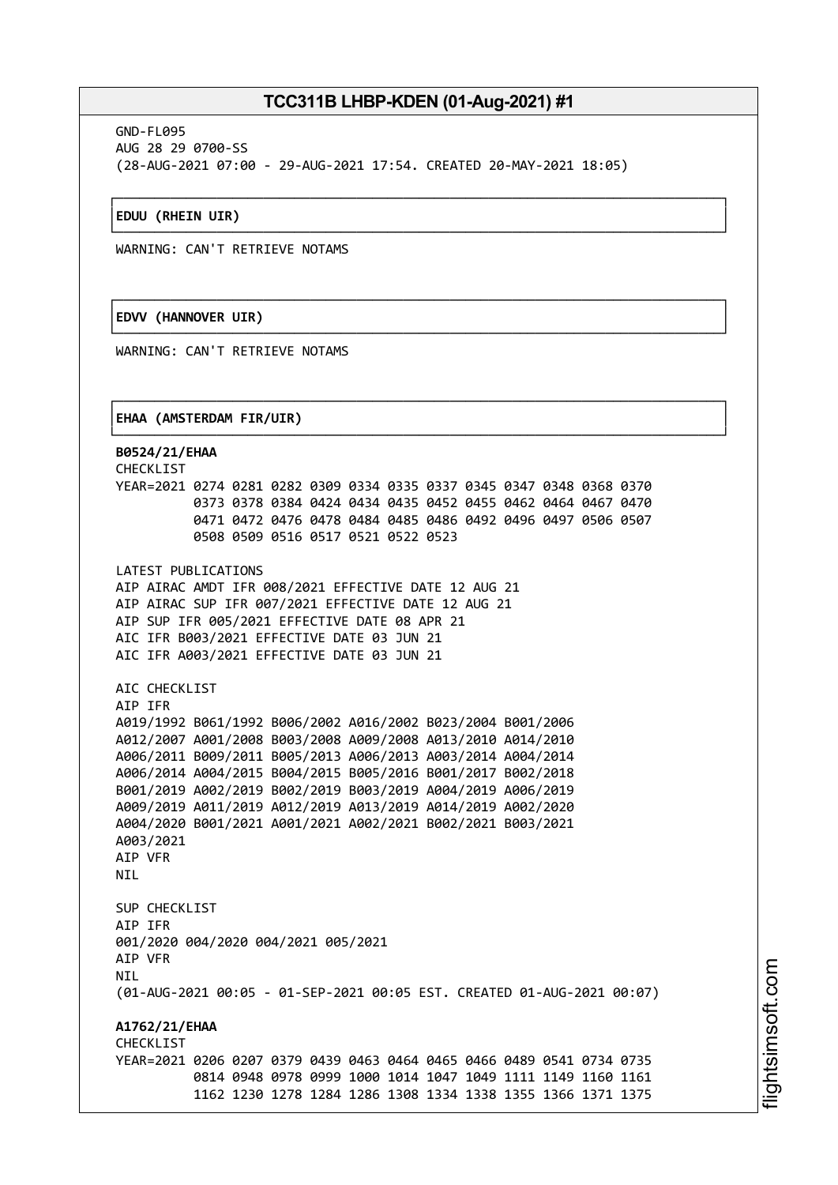┌──────────────────────────────────────────────────────────────────────────────┐

└──────────────────────────────────────────────────────────────────────────────┘

┌──────────────────────────────────────────────────────────────────────────────┐

└──────────────────────────────────────────────────────────────────────────────┘

┌──────────────────────────────────────────────────────────────────────────────┐

GND-FL095 AUG 28 29 0700-SS (28-AUG-2021 07:00 - 29-AUG-2021 17:54. CREATED 20-MAY-2021 18:05)

#### │**EDUU (RHEIN UIR)** │

WARNING: CAN'T RETRIEVE NOTAMS

### │**EDVV (HANNOVER UIR)** │

WARNING: CAN'T RETRIEVE NOTAMS

#### │**EHAA (AMSTERDAM FIR/UIR)** │

└──────────────────────────────────────────────────────────────────────────────┘ **B0524/21/EHAA** CHECKLIST YEAR=2021 0274 0281 0282 0309 0334 0335 0337 0345 0347 0348 0368 0370 0373 0378 0384 0424 0434 0435 0452 0455 0462 0464 0467 0470 0471 0472 0476 0478 0484 0485 0486 0492 0496 0497 0506 0507 0508 0509 0516 0517 0521 0522 0523 LATEST PUBLICATIONS AIP AIRAC AMDT IFR 008/2021 EFFECTIVE DATE 12 AUG 21 AIP AIRAC SUP IFR 007/2021 EFFECTIVE DATE 12 AUG 21 AIP SUP IFR 005/2021 EFFECTIVE DATE 08 APR 21 AIC IFR B003/2021 EFFECTIVE DATE 03 JUN 21 AIC IFR A003/2021 EFFECTIVE DATE 03 JUN 21 AIC CHECKLIST AIP IFR A019/1992 B061/1992 B006/2002 A016/2002 B023/2004 B001/2006 A012/2007 A001/2008 B003/2008 A009/2008 A013/2010 A014/2010 A006/2011 B009/2011 B005/2013 A006/2013 A003/2014 A004/2014 A006/2014 A004/2015 B004/2015 B005/2016 B001/2017 B002/2018 B001/2019 A002/2019 B002/2019 B003/2019 A004/2019 A006/2019 A009/2019 A011/2019 A012/2019 A013/2019 A014/2019 A002/2020 A004/2020 B001/2021 A001/2021 A002/2021 B002/2021 B003/2021 A003/2021 AIP VFR **NTI** SUP CHECKLIST AIP IFR 001/2020 004/2020 004/2021 005/2021 AIP VFR **NTI** (01-AUG-2021 00:05 - 01-SEP-2021 00:05 EST. CREATED 01-AUG-2021 00:07) **A1762/21/EHAA CHECKLIST** YEAR=2021 0206 0207 0379 0439 0463 0464 0465 0466 0489 0541 0734 0735 0814 0948 0978 0999 1000 1014 1047 1049 1111 1149 1160 1161 1162 1230 1278 1284 1286 1308 1334 1338 1355 1366 1371 1375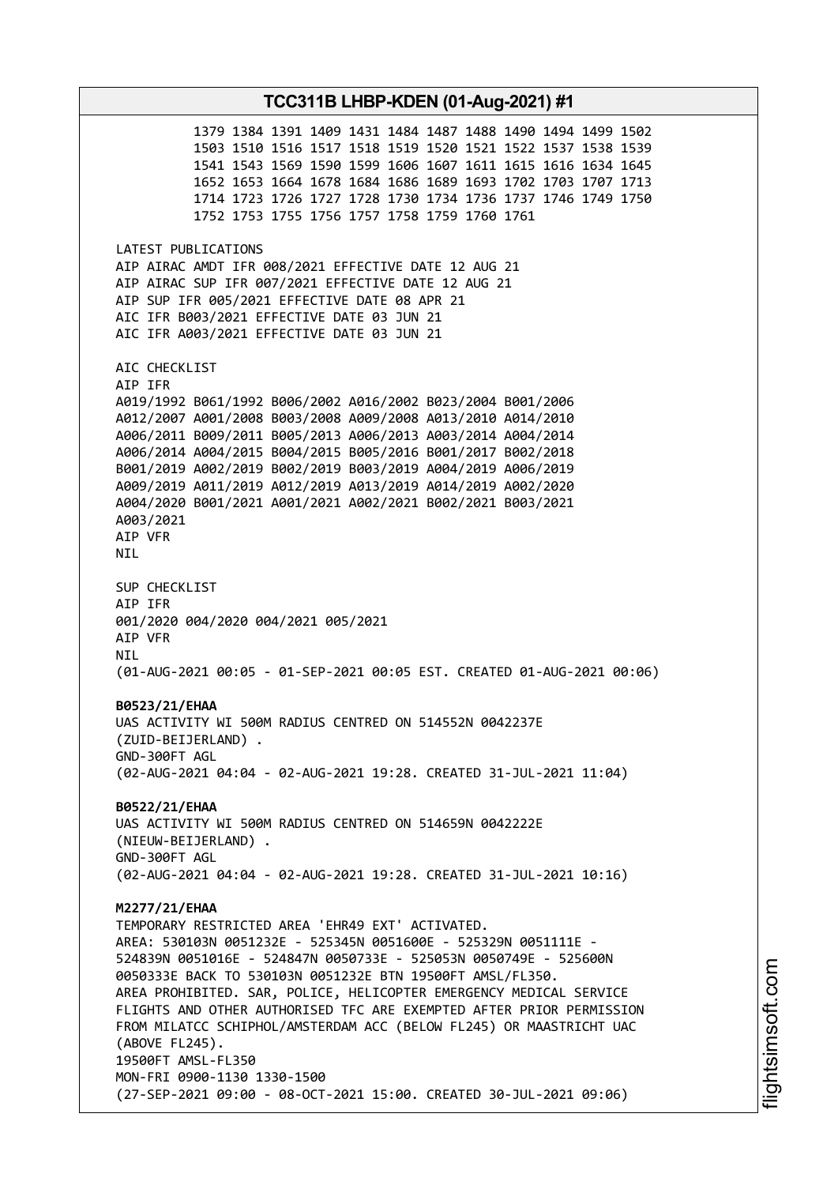1379 1384 1391 1409 1431 1484 1487 1488 1490 1494 1499 1502 1503 1510 1516 1517 1518 1519 1520 1521 1522 1537 1538 1539 1541 1543 1569 1590 1599 1606 1607 1611 1615 1616 1634 1645 1652 1653 1664 1678 1684 1686 1689 1693 1702 1703 1707 1713 1714 1723 1726 1727 1728 1730 1734 1736 1737 1746 1749 1750 1752 1753 1755 1756 1757 1758 1759 1760 1761 LATEST PUBLICATIONS AIP AIRAC AMDT IFR 008/2021 EFFECTIVE DATE 12 AUG 21 AIP AIRAC SUP IFR 007/2021 EFFECTIVE DATE 12 AUG 21 AIP SUP IFR 005/2021 EFFECTIVE DATE 08 APR 21 AIC IFR B003/2021 EFFECTIVE DATE 03 JUN 21 AIC IFR A003/2021 EFFECTIVE DATE 03 JUN 21 AIC CHECKLIST AIP IFR A019/1992 B061/1992 B006/2002 A016/2002 B023/2004 B001/2006 A012/2007 A001/2008 B003/2008 A009/2008 A013/2010 A014/2010 A006/2011 B009/2011 B005/2013 A006/2013 A003/2014 A004/2014 A006/2014 A004/2015 B004/2015 B005/2016 B001/2017 B002/2018 B001/2019 A002/2019 B002/2019 B003/2019 A004/2019 A006/2019 A009/2019 A011/2019 A012/2019 A013/2019 A014/2019 A002/2020 A004/2020 B001/2021 A001/2021 A002/2021 B002/2021 B003/2021 A003/2021 AIP VFR NIL SUP CHECKLIST AIP IFR 001/2020 004/2020 004/2021 005/2021 AIP VFR NIL (01-AUG-2021 00:05 - 01-SEP-2021 00:05 EST. CREATED 01-AUG-2021 00:06) **B0523/21/EHAA** UAS ACTIVITY WI 500M RADIUS CENTRED ON 514552N 0042237E (ZUID-BEIJERLAND) . GND-300FT AGL (02-AUG-2021 04:04 - 02-AUG-2021 19:28. CREATED 31-JUL-2021 11:04) **B0522/21/EHAA** UAS ACTIVITY WI 500M RADIUS CENTRED ON 514659N 0042222E (NIEUW-BEIJERLAND) . GND-300FT AGL (02-AUG-2021 04:04 - 02-AUG-2021 19:28. CREATED 31-JUL-2021 10:16) **M2277/21/EHAA** TEMPORARY RESTRICTED AREA 'EHR49 EXT' ACTIVATED. AREA: 530103N 0051232E - 525345N 0051600E - 525329N 0051111E - 524839N 0051016E - 524847N 0050733E - 525053N 0050749E - 525600N 0050333E BACK TO 530103N 0051232E BTN 19500FT AMSL/FL350. AREA PROHIBITED. SAR, POLICE, HELICOPTER EMERGENCY MEDICAL SERVICE FLIGHTS AND OTHER AUTHORISED TFC ARE EXEMPTED AFTER PRIOR PERMISSION FROM MILATCC SCHIPHOL/AMSTERDAM ACC (BELOW FL245) OR MAASTRICHT UAC (ABOVE FL245). 19500FT AMSL-FL350 MON-FRI 0900-1130 1330-1500 (27-SEP-2021 09:00 - 08-OCT-2021 15:00. CREATED 30-JUL-2021 09:06)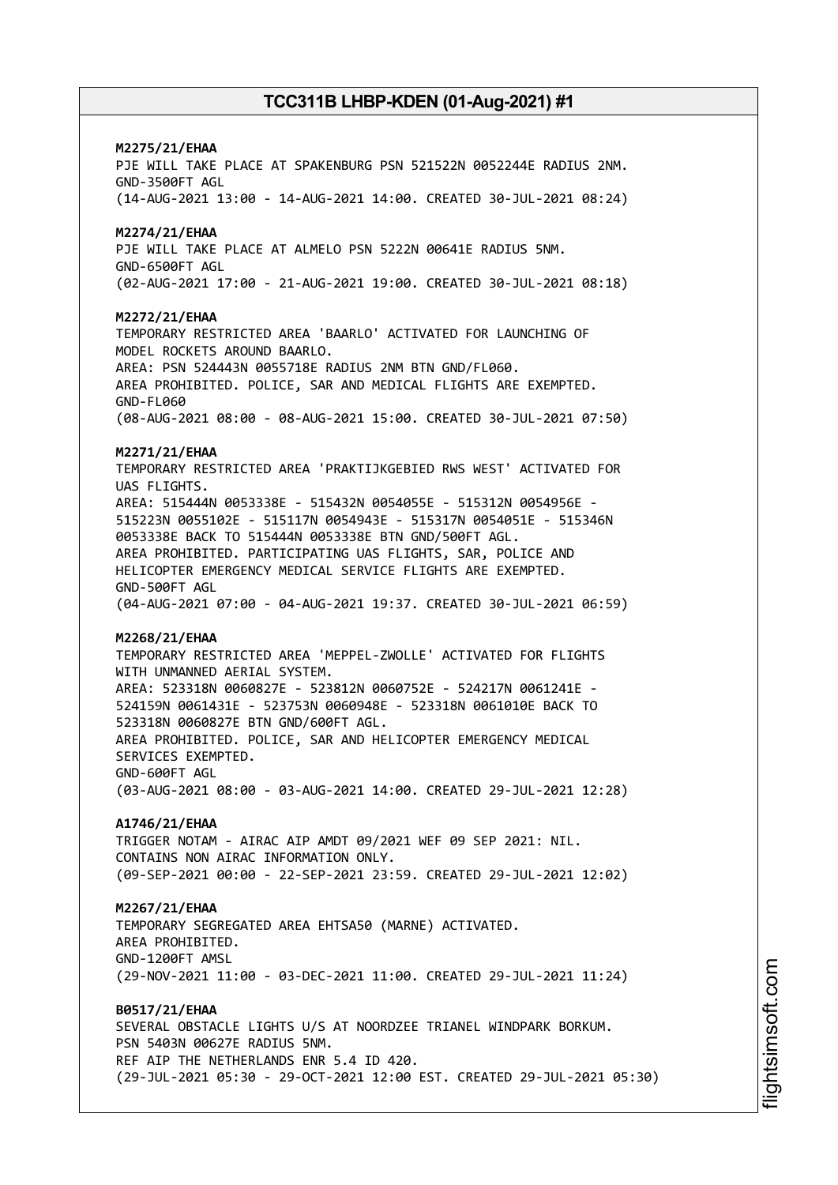# **M2275/21/EHAA** PJE WILL TAKE PLACE AT SPAKENBURG PSN 521522N 0052244E RADIUS 2NM. GND-3500FT AGL (14-AUG-2021 13:00 - 14-AUG-2021 14:00. CREATED 30-JUL-2021 08:24) **M2274/21/EHAA** PJE WILL TAKE PLACE AT ALMELO PSN 5222N 00641E RADIUS 5NM. GND-6500FT AGL (02-AUG-2021 17:00 - 21-AUG-2021 19:00. CREATED 30-JUL-2021 08:18) **M2272/21/EHAA** TEMPORARY RESTRICTED AREA 'BAARLO' ACTIVATED FOR LAUNCHING OF MODEL ROCKETS AROUND BAARLO. AREA: PSN 524443N 0055718E RADIUS 2NM BTN GND/FL060. AREA PROHIBITED. POLICE, SAR AND MEDICAL FLIGHTS ARE EXEMPTED. GND-FL060 (08-AUG-2021 08:00 - 08-AUG-2021 15:00. CREATED 30-JUL-2021 07:50) **M2271/21/EHAA** TEMPORARY RESTRICTED AREA 'PRAKTIJKGEBIED RWS WEST' ACTIVATED FOR UAS FLIGHTS. AREA: 515444N 0053338E - 515432N 0054055E - 515312N 0054956E - 515223N 0055102E - 515117N 0054943E - 515317N 0054051E - 515346N 0053338E BACK TO 515444N 0053338E BTN GND/500FT AGL. AREA PROHIBITED. PARTICIPATING UAS FLIGHTS, SAR, POLICE AND HELICOPTER EMERGENCY MEDICAL SERVICE FLIGHTS ARE EXEMPTED. GND-500FT AGL (04-AUG-2021 07:00 - 04-AUG-2021 19:37. CREATED 30-JUL-2021 06:59) **M2268/21/EHAA** TEMPORARY RESTRICTED AREA 'MEPPEL-ZWOLLE' ACTIVATED FOR FLIGHTS WITH UNMANNED AERIAL SYSTEM. AREA: 523318N 0060827E - 523812N 0060752E - 524217N 0061241E - 524159N 0061431E - 523753N 0060948E - 523318N 0061010E BACK TO 523318N 0060827E BTN GND/600FT AGL. AREA PROHIBITED. POLICE, SAR AND HELICOPTER EMERGENCY MEDICAL SERVICES EXEMPTED. GND-600FT AGL (03-AUG-2021 08:00 - 03-AUG-2021 14:00. CREATED 29-JUL-2021 12:28) **A1746/21/EHAA** TRIGGER NOTAM - AIRAC AIP AMDT 09/2021 WEF 09 SEP 2021: NIL. CONTAINS NON ATRAC INFORMATION ONLY. (09-SEP-2021 00:00 - 22-SEP-2021 23:59. CREATED 29-JUL-2021 12:02) **M2267/21/EHAA** TEMPORARY SEGREGATED AREA EHTSA50 (MARNE) ACTIVATED. AREA PROHIBITED. GND-1200FT AMSL (29-NOV-2021 11:00 - 03-DEC-2021 11:00. CREATED 29-JUL-2021 11:24) **B0517/21/EHAA** SEVERAL OBSTACLE LIGHTS U/S AT NOORDZEE TRIANEL WINDPARK BORKUM. PSN 5403N 00627E RADIUS 5NM. REF AIP THE NETHERLANDS ENR 5.4 ID 420. (29-JUL-2021 05:30 - 29-OCT-2021 12:00 EST. CREATED 29-JUL-2021 05:30)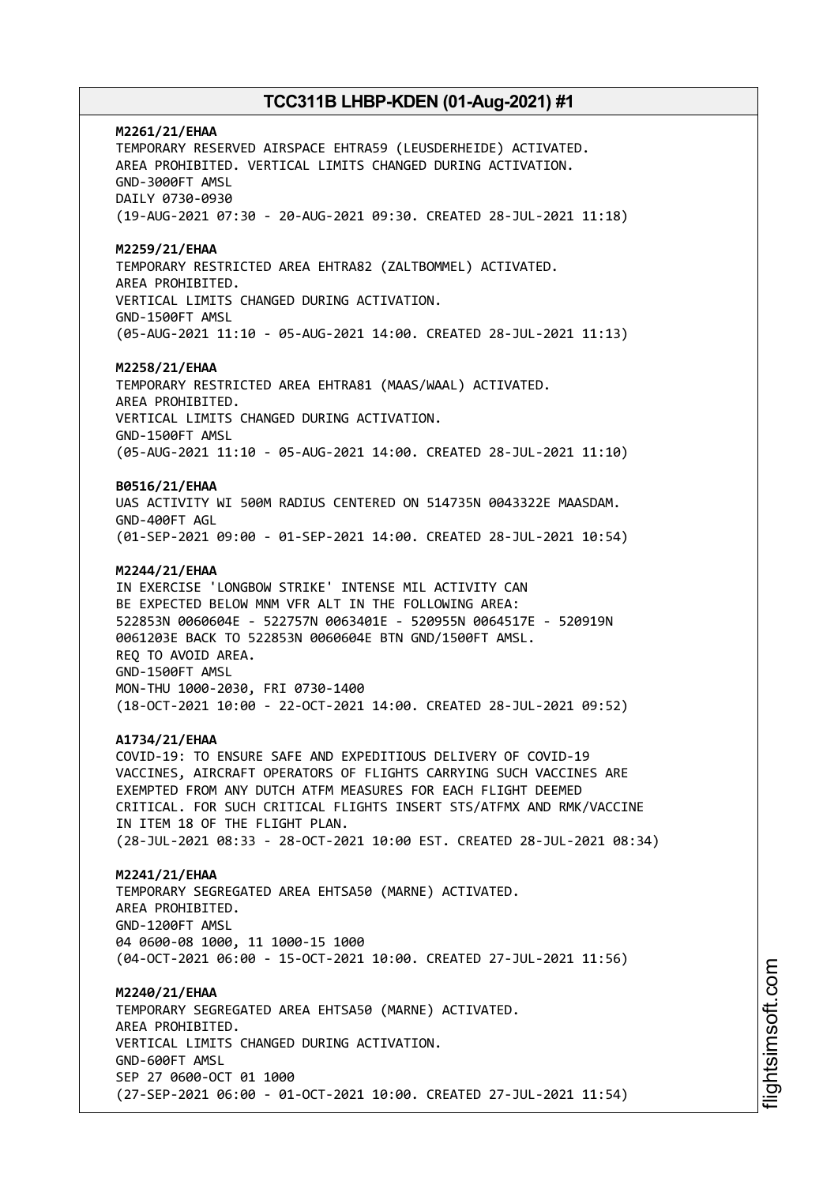**M2261/21/EHAA** TEMPORARY RESERVED AIRSPACE EHTRA59 (LEUSDERHEIDE) ACTIVATED. AREA PROHIBITED. VERTICAL LIMITS CHANGED DURING ACTIVATION. GND-3000FT AMSL DAILY 0730-0930 (19-AUG-2021 07:30 - 20-AUG-2021 09:30. CREATED 28-JUL-2021 11:18) **M2259/21/EHAA** TEMPORARY RESTRICTED AREA EHTRA82 (ZALTBOMMEL) ACTIVATED. AREA PROHIBITED. VERTICAL LIMITS CHANGED DURING ACTIVATION. GND-1500FT AMSL (05-AUG-2021 11:10 - 05-AUG-2021 14:00. CREATED 28-JUL-2021 11:13) **M2258/21/EHAA** TEMPORARY RESTRICTED AREA EHTRA81 (MAAS/WAAL) ACTIVATED. AREA PROHIBITED. VERTICAL LIMITS CHANGED DURING ACTIVATION. GND-1500FT AMSL (05-AUG-2021 11:10 - 05-AUG-2021 14:00. CREATED 28-JUL-2021 11:10) **B0516/21/EHAA** UAS ACTIVITY WI 500M RADIUS CENTERED ON 514735N 0043322E MAASDAM. GND-400FT AGL (01-SEP-2021 09:00 - 01-SEP-2021 14:00. CREATED 28-JUL-2021 10:54) **M2244/21/EHAA** IN EXERCISE 'LONGBOW STRIKE' INTENSE MIL ACTIVITY CAN BE EXPECTED BELOW MNM VFR ALT IN THE FOLLOWING AREA: 522853N 0060604E - 522757N 0063401E - 520955N 0064517E - 520919N 0061203E BACK TO 522853N 0060604E BTN GND/1500FT AMSL. REQ TO AVOID AREA. GND-1500FT AMSL MON-THU 1000-2030, FRI 0730-1400 (18-OCT-2021 10:00 - 22-OCT-2021 14:00. CREATED 28-JUL-2021 09:52) **A1734/21/EHAA** COVID-19: TO ENSURE SAFE AND EXPEDITIOUS DELIVERY OF COVID-19 VACCINES, AIRCRAFT OPERATORS OF FLIGHTS CARRYING SUCH VACCINES ARE EXEMPTED FROM ANY DUTCH ATFM MEASURES FOR EACH FLIGHT DEEMED CRITICAL. FOR SUCH CRITICAL FLIGHTS INSERT STS/ATFMX AND RMK/VACCINE IN ITEM 18 OF THE FLIGHT PLAN. (28-JUL-2021 08:33 - 28-OCT-2021 10:00 EST. CREATED 28-JUL-2021 08:34) **M2241/21/EHAA** TEMPORARY SEGREGATED AREA EHTSA50 (MARNE) ACTIVATED. AREA PROHIBITED. GND-1200FT AMSL 04 0600-08 1000, 11 1000-15 1000 (04-OCT-2021 06:00 - 15-OCT-2021 10:00. CREATED 27-JUL-2021 11:56) **M2240/21/EHAA** TEMPORARY SEGREGATED AREA EHTSA50 (MARNE) ACTIVATED. AREA PROHIBITED. VERTICAL LIMITS CHANGED DURING ACTIVATION. GND-600FT AMSL SEP 27 0600-OCT 01 1000 (27-SEP-2021 06:00 - 01-OCT-2021 10:00. CREATED 27-JUL-2021 11:54)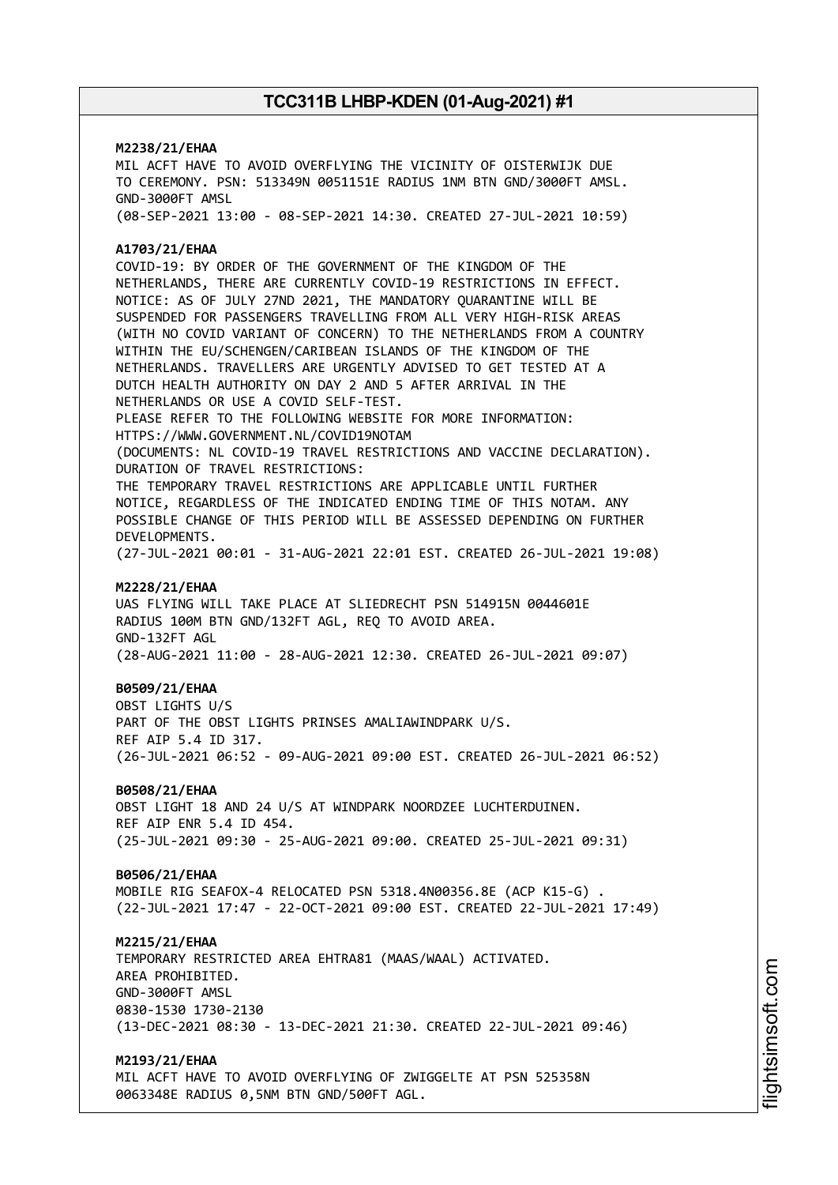# **M2238/21/EHAA** MIL ACFT HAVE TO AVOID OVERFLYING THE VICINITY OF OISTERWIJK DUE TO CEREMONY. PSN: 513349N 0051151E RADIUS 1NM BTN GND/3000FT AMSL. GND-3000FT AMSL (08-SEP-2021 13:00 - 08-SEP-2021 14:30. CREATED 27-JUL-2021 10:59) **A1703/21/EHAA** COVID-19: BY ORDER OF THE GOVERNMENT OF THE KINGDOM OF THE NETHERLANDS, THERE ARE CURRENTLY COVID-19 RESTRICTIONS IN EFFECT. NOTICE: AS OF JULY 27ND 2021, THE MANDATORY QUARANTINE WILL BE SUSPENDED FOR PASSENGERS TRAVELLING FROM ALL VERY HIGH-RISK AREAS (WITH NO COVID VARIANT OF CONCERN) TO THE NETHERLANDS FROM A COUNTRY WITHIN THE EU/SCHENGEN/CARIBEAN ISLANDS OF THE KINGDOM OF THE NETHERLANDS. TRAVELLERS ARE URGENTLY ADVISED TO GET TESTED AT A DUTCH HEALTH AUTHORITY ON DAY 2 AND 5 AFTER ARRIVAL IN THE NETHERLANDS OR USE A COVID SELF-TEST. PLEASE REFER TO THE FOLLOWING WEBSITE FOR MORE INFORMATION: HTTPS://WWW.GOVERNMENT.NL/COVID19NOTAM (DOCUMENTS: NL COVID-19 TRAVEL RESTRICTIONS AND VACCINE DECLARATION). DURATION OF TRAVEL RESTRICTIONS: THE TEMPORARY TRAVEL RESTRICTIONS ARE APPLICABLE UNTIL FURTHER NOTICE, REGARDLESS OF THE INDICATED ENDING TIME OF THIS NOTAM. ANY POSSIBLE CHANGE OF THIS PERIOD WILL BE ASSESSED DEPENDING ON FURTHER DEVELOPMENTS. (27-JUL-2021 00:01 - 31-AUG-2021 22:01 EST. CREATED 26-JUL-2021 19:08) **M2228/21/EHAA** UAS FLYING WILL TAKE PLACE AT SLIEDRECHT PSN 514915N 0044601E RADIUS 100M BTN GND/132FT AGL, REQ TO AVOID AREA. GND-132FT AGL (28-AUG-2021 11:00 - 28-AUG-2021 12:30. CREATED 26-JUL-2021 09:07) **B0509/21/EHAA** OBST LIGHTS U/S PART OF THE OBST LIGHTS PRINSES AMALIAWINDPARK U/S. REF AIP 5.4 ID 317. (26-JUL-2021 06:52 - 09-AUG-2021 09:00 EST. CREATED 26-JUL-2021 06:52) **B0508/21/EHAA** OBST LIGHT 18 AND 24 U/S AT WINDPARK NOORDZEE LUCHTERDUINEN. REF AIP ENR 5.4 ID 454. (25-JUL-2021 09:30 - 25-AUG-2021 09:00. CREATED 25-JUL-2021 09:31) **B0506/21/EHAA** MOBILE RIG SEAFOX-4 RELOCATED PSN 5318.4N00356.8E (ACP K15-G) . (22-JUL-2021 17:47 - 22-OCT-2021 09:00 EST. CREATED 22-JUL-2021 17:49) **M2215/21/EHAA** TEMPORARY RESTRICTED AREA EHTRA81 (MAAS/WAAL) ACTIVATED. AREA PROHIBITED. GND-3000FT AMSL 0830-1530 1730-2130 (13-DEC-2021 08:30 - 13-DEC-2021 21:30. CREATED 22-JUL-2021 09:46) **M2193/21/EHAA**

MIL ACFT HAVE TO AVOID OVERFLYING OF ZWIGGELTE AT PSN 525358N 0063348E RADIUS 0,5NM BTN GND/500FT AGL.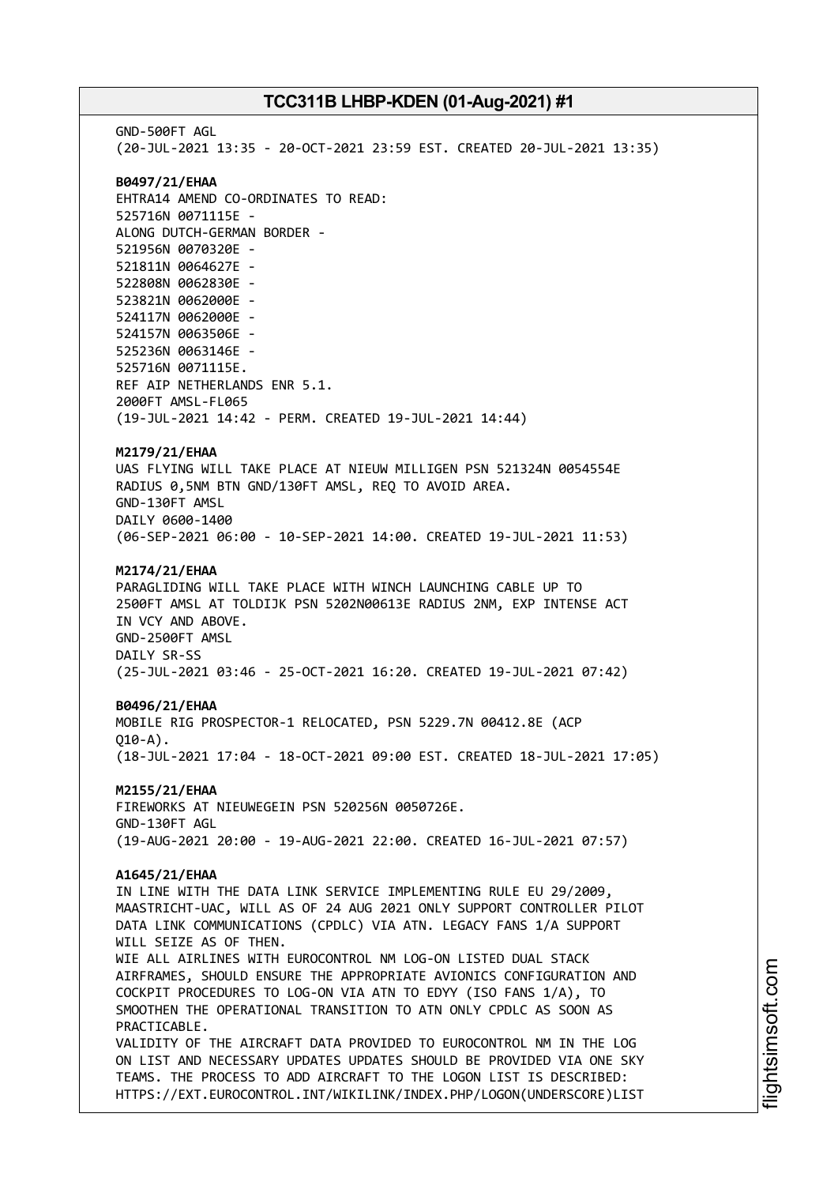GND-500FT AGL (20-JUL-2021 13:35 - 20-OCT-2021 23:59 EST. CREATED 20-JUL-2021 13:35) **B0497/21/EHAA** EHTRA14 AMEND CO-ORDINATES TO READ: 525716N 0071115E - ALONG DUTCH-GERMAN BORDER - 521956N 0070320E - 521811N 0064627E - 522808N 0062830E - 523821N 0062000E - 524117N 0062000E - 524157N 0063506E - 525236N 0063146E - 525716N 0071115E. REF AIP NETHERLANDS ENR 5.1. 2000FT AMSL-FL065 (19-JUL-2021 14:42 - PERM. CREATED 19-JUL-2021 14:44) **M2179/21/EHAA** UAS FLYING WILL TAKE PLACE AT NIEUW MILLIGEN PSN 521324N 0054554E RADIUS 0,5NM BTN GND/130FT AMSL, REQ TO AVOID AREA. GND-130FT AMSL DAILY 0600-1400 (06-SEP-2021 06:00 - 10-SEP-2021 14:00. CREATED 19-JUL-2021 11:53) **M2174/21/EHAA** PARAGLIDING WILL TAKE PLACE WITH WINCH LAUNCHING CABLE UP TO 2500FT AMSL AT TOLDIJK PSN 5202N00613E RADIUS 2NM, EXP INTENSE ACT IN VCY AND ABOVE. GND-2500FT AMSL DAILY SR-SS (25-JUL-2021 03:46 - 25-OCT-2021 16:20. CREATED 19-JUL-2021 07:42) **B0496/21/EHAA** MOBILE RIG PROSPECTOR-1 RELOCATED, PSN 5229.7N 00412.8E (ACP  $010 - A$ ). (18-JUL-2021 17:04 - 18-OCT-2021 09:00 EST. CREATED 18-JUL-2021 17:05) **M2155/21/EHAA** FIREWORKS AT NIEUWEGEIN PSN 520256N 0050726E. GND-130FT AGL (19-AUG-2021 20:00 - 19-AUG-2021 22:00. CREATED 16-JUL-2021 07:57) **A1645/21/EHAA** IN LINE WITH THE DATA LINK SERVICE IMPLEMENTING RULE EU 29/2009, MAASTRICHT-UAC, WILL AS OF 24 AUG 2021 ONLY SUPPORT CONTROLLER PILOT DATA LINK COMMUNICATIONS (CPDLC) VIA ATN. LEGACY FANS 1/A SUPPORT WILL SEIZE AS OF THEN. WIE ALL AIRLINES WITH EUROCONTROL NM LOG-ON LISTED DUAL STACK AIRFRAMES, SHOULD ENSURE THE APPROPRIATE AVIONICS CONFIGURATION AND COCKPIT PROCEDURES TO LOG-ON VIA ATN TO EDYY (ISO FANS 1/A), TO SMOOTHEN THE OPERATIONAL TRANSITION TO ATN ONLY CPDLC AS SOON AS PRACTICABLE. VALIDITY OF THE AIRCRAFT DATA PROVIDED TO EUROCONTROL NM IN THE LOG ON LIST AND NECESSARY UPDATES UPDATES SHOULD BE PROVIDED VIA ONE SKY TEAMS. THE PROCESS TO ADD AIRCRAFT TO THE LOGON LIST IS DESCRIBED: HTTPS://EXT.EUROCONTROL.INT/WIKILINK/INDEX.PHP/LOGON(UNDERSCORE)LIST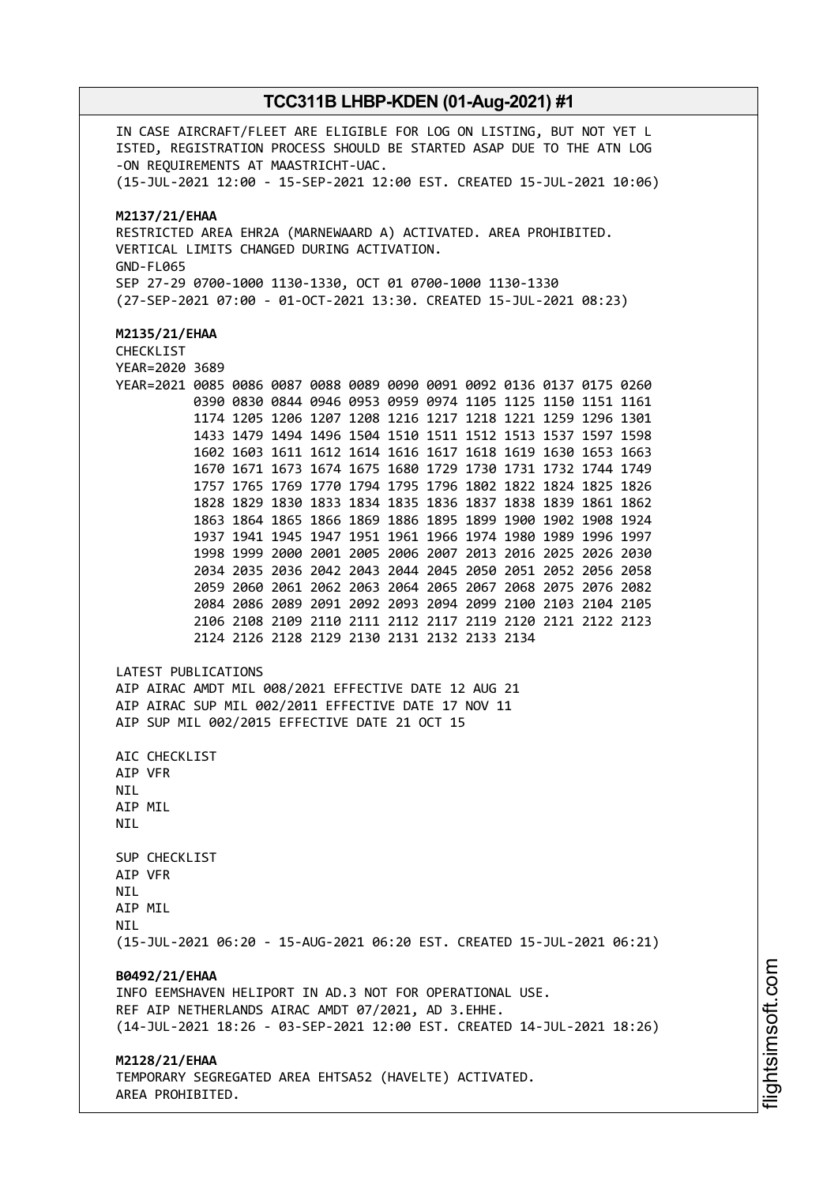IN CASE AIRCRAFT/FLEET ARE ELIGIBLE FOR LOG ON LISTING, BUT NOT YET L ISTED, REGISTRATION PROCESS SHOULD BE STARTED ASAP DUE TO THE ATN LOG -ON REQUIREMENTS AT MAASTRICHT-UAC. (15-JUL-2021 12:00 - 15-SEP-2021 12:00 EST. CREATED 15-JUL-2021 10:06) **M2137/21/EHAA** RESTRICTED AREA EHR2A (MARNEWAARD A) ACTIVATED. AREA PROHIBITED. VERTICAL LIMITS CHANGED DURING ACTIVATION. GND-FL065 SEP 27-29 0700-1000 1130-1330, OCT 01 0700-1000 1130-1330 (27-SEP-2021 07:00 - 01-OCT-2021 13:30. CREATED 15-JUL-2021 08:23) **M2135/21/EHAA** CHECKLIST YEAR=2020 3689 YEAR=2021 0085 0086 0087 0088 0089 0090 0091 0092 0136 0137 0175 0260 0390 0830 0844 0946 0953 0959 0974 1105 1125 1150 1151 1161 1174 1205 1206 1207 1208 1216 1217 1218 1221 1259 1296 1301 1433 1479 1494 1496 1504 1510 1511 1512 1513 1537 1597 1598 1602 1603 1611 1612 1614 1616 1617 1618 1619 1630 1653 1663 1670 1671 1673 1674 1675 1680 1729 1730 1731 1732 1744 1749 1757 1765 1769 1770 1794 1795 1796 1802 1822 1824 1825 1826 1828 1829 1830 1833 1834 1835 1836 1837 1838 1839 1861 1862 1863 1864 1865 1866 1869 1886 1895 1899 1900 1902 1908 1924 1937 1941 1945 1947 1951 1961 1966 1974 1980 1989 1996 1997 1998 1999 2000 2001 2005 2006 2007 2013 2016 2025 2026 2030 2034 2035 2036 2042 2043 2044 2045 2050 2051 2052 2056 2058 2059 2060 2061 2062 2063 2064 2065 2067 2068 2075 2076 2082 2084 2086 2089 2091 2092 2093 2094 2099 2100 2103 2104 2105 2106 2108 2109 2110 2111 2112 2117 2119 2120 2121 2122 2123 2124 2126 2128 2129 2130 2131 2132 2133 2134 LATEST PUBLICATIONS AIP AIRAC AMDT MIL 008/2021 EFFECTIVE DATE 12 AUG 21 AIP AIRAC SUP MIL 002/2011 EFFECTIVE DATE 17 NOV 11 AIP SUP MIL 002/2015 EFFECTIVE DATE 21 OCT 15 AIC CHECKLIST AIP VFR NIL AIP MIL **NTI** SUP CHECKLIST AIP VFR **NTI** AIP MIL **NTI** (15-JUL-2021 06:20 - 15-AUG-2021 06:20 EST. CREATED 15-JUL-2021 06:21) **B0492/21/EHAA** INFO EEMSHAVEN HELIPORT IN AD.3 NOT FOR OPERATIONAL USE. REF AIP NETHERLANDS AIRAC AMDT 07/2021, AD 3.EHHE. (14-JUL-2021 18:26 - 03-SEP-2021 12:00 EST. CREATED 14-JUL-2021 18:26) **M2128/21/EHAA** TEMPORARY SEGREGATED AREA EHTSA52 (HAVELTE) ACTIVATED. AREA PROHIBITED.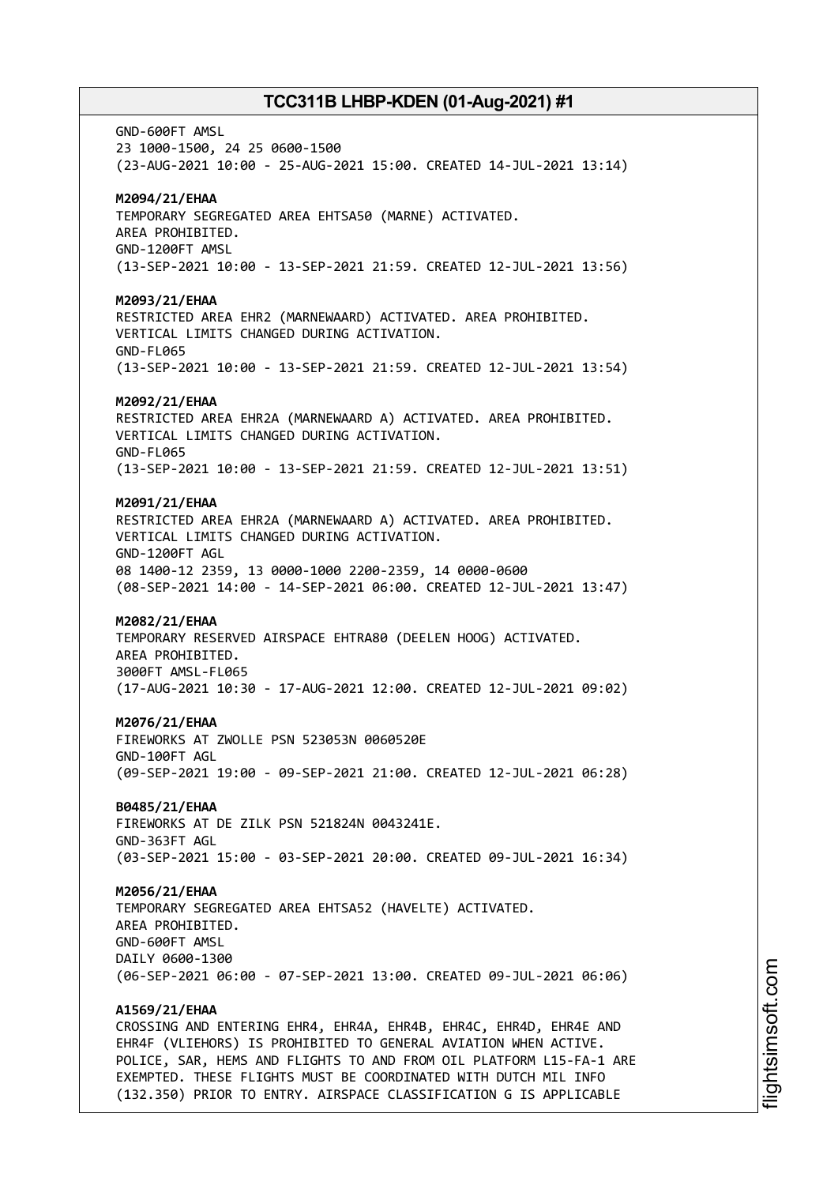GND-600FT AMSL 23 1000-1500, 24 25 0600-1500 (23-AUG-2021 10:00 - 25-AUG-2021 15:00. CREATED 14-JUL-2021 13:14) **M2094/21/EHAA** TEMPORARY SEGREGATED AREA EHTSA50 (MARNE) ACTIVATED. AREA PROHIBITED. GND-1200FT AMSL (13-SEP-2021 10:00 - 13-SEP-2021 21:59. CREATED 12-JUL-2021 13:56) **M2093/21/EHAA** RESTRICTED AREA EHR2 (MARNEWAARD) ACTIVATED. AREA PROHIBITED. VERTICAL LIMITS CHANGED DURING ACTIVATION. GND-FL065 (13-SEP-2021 10:00 - 13-SEP-2021 21:59. CREATED 12-JUL-2021 13:54) **M2092/21/EHAA** RESTRICTED AREA EHR2A (MARNEWAARD A) ACTIVATED. AREA PROHIBITED. VERTICAL LIMITS CHANGED DURING ACTIVATION. GND-FL065 (13-SEP-2021 10:00 - 13-SEP-2021 21:59. CREATED 12-JUL-2021 13:51) **M2091/21/EHAA** RESTRICTED AREA EHR2A (MARNEWAARD A) ACTIVATED. AREA PROHIBITED. VERTICAL LIMITS CHANGED DURING ACTIVATION. GND-1200FT AGL 08 1400-12 2359, 13 0000-1000 2200-2359, 14 0000-0600 (08-SEP-2021 14:00 - 14-SEP-2021 06:00. CREATED 12-JUL-2021 13:47) **M2082/21/EHAA** TEMPORARY RESERVED AIRSPACE EHTRA80 (DEELEN HOOG) ACTIVATED. AREA PROHIBITED. 3000FT AMSL-FL065 (17-AUG-2021 10:30 - 17-AUG-2021 12:00. CREATED 12-JUL-2021 09:02) **M2076/21/EHAA** FIREWORKS AT ZWOLLE PSN 523053N 0060520E GND-100FT AGL (09-SEP-2021 19:00 - 09-SEP-2021 21:00. CREATED 12-JUL-2021 06:28) **B0485/21/EHAA** FIREWORKS AT DE ZILK PSN 521824N 0043241E. GND-363FT AGL (03-SEP-2021 15:00 - 03-SEP-2021 20:00. CREATED 09-JUL-2021 16:34) **M2056/21/EHAA** TEMPORARY SEGREGATED AREA EHTSA52 (HAVELTE) ACTIVATED. AREA PROHIBITED. GND-600FT AMSL DAILY 0600-1300 (06-SEP-2021 06:00 - 07-SEP-2021 13:00. CREATED 09-JUL-2021 06:06) **A1569/21/EHAA** CROSSING AND ENTERING EHR4, EHR4A, EHR4B, EHR4C, EHR4D, EHR4E AND EHR4F (VLIEHORS) IS PROHIBITED TO GENERAL AVIATION WHEN ACTIVE. POLICE, SAR, HEMS AND FLIGHTS TO AND FROM OIL PLATFORM L15-FA-1 ARE EXEMPTED. THESE FLIGHTS MUST BE COORDINATED WITH DUTCH MIL INFO

(132.350) PRIOR TO ENTRY. AIRSPACE CLASSIFICATION G IS APPLICABLE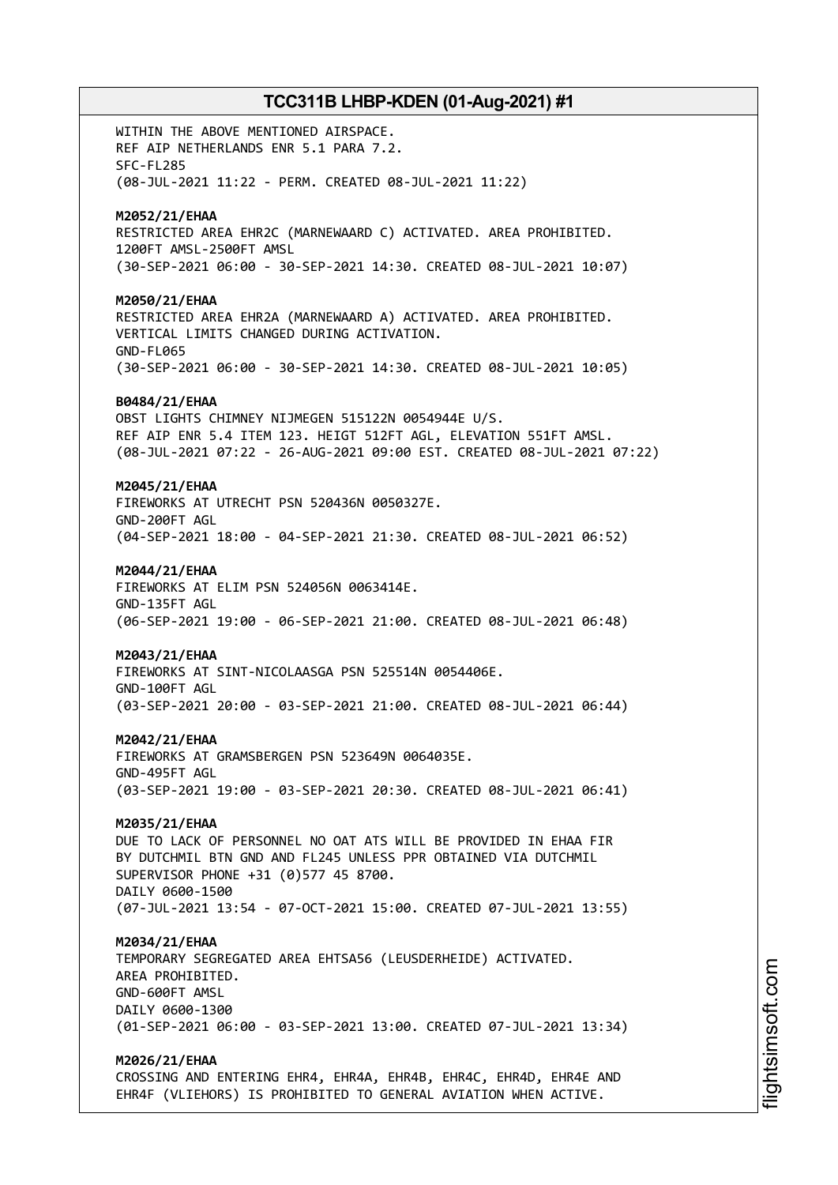WITHIN THE ABOVE MENTIONED AIRSPACE. REF AIP NETHERLANDS ENR 5.1 PARA 7.2. SFC-FL285 (08-JUL-2021 11:22 - PERM. CREATED 08-JUL-2021 11:22) **M2052/21/EHAA** RESTRICTED AREA EHR2C (MARNEWAARD C) ACTIVATED. AREA PROHIBITED. 1200FT AMSL-2500FT AMSL (30-SEP-2021 06:00 - 30-SEP-2021 14:30. CREATED 08-JUL-2021 10:07) **M2050/21/EHAA** RESTRICTED AREA EHR2A (MARNEWAARD A) ACTIVATED. AREA PROHIBITED. VERTICAL LIMITS CHANGED DURING ACTIVATION. GND-FL065 (30-SEP-2021 06:00 - 30-SEP-2021 14:30. CREATED 08-JUL-2021 10:05) **B0484/21/EHAA** OBST LIGHTS CHIMNEY NIJMEGEN 515122N 0054944E U/S. REF AIP ENR 5.4 ITEM 123. HEIGT 512FT AGL, ELEVATION 551FT AMSL. (08-JUL-2021 07:22 - 26-AUG-2021 09:00 EST. CREATED 08-JUL-2021 07:22) **M2045/21/EHAA** FIREWORKS AT UTRECHT PSN 520436N 0050327E. GND-200FT AGL (04-SEP-2021 18:00 - 04-SEP-2021 21:30. CREATED 08-JUL-2021 06:52) **M2044/21/EHAA** FIREWORKS AT ELIM PSN 524056N 0063414E. GND-135FT AGL (06-SEP-2021 19:00 - 06-SEP-2021 21:00. CREATED 08-JUL-2021 06:48) **M2043/21/EHAA** FIREWORKS AT SINT-NICOLAASGA PSN 525514N 0054406E. GND-100FT AGL (03-SEP-2021 20:00 - 03-SEP-2021 21:00. CREATED 08-JUL-2021 06:44) **M2042/21/EHAA** FIREWORKS AT GRAMSBERGEN PSN 523649N 0064035E. GND-495FT AGL (03-SEP-2021 19:00 - 03-SEP-2021 20:30. CREATED 08-JUL-2021 06:41) **M2035/21/EHAA** DUE TO LACK OF PERSONNEL NO OAT ATS WILL BE PROVIDED IN EHAA FIR BY DUTCHMIL BTN GND AND FL245 UNLESS PPR OBTAINED VIA DUTCHMIL SUPERVISOR PHONE +31 (0)577 45 8700. DAILY 0600-1500 (07-JUL-2021 13:54 - 07-OCT-2021 15:00. CREATED 07-JUL-2021 13:55) **M2034/21/EHAA** TEMPORARY SEGREGATED AREA EHTSA56 (LEUSDERHEIDE) ACTIVATED. AREA PROHIBITED. GND-600FT AMSL DAILY 0600-1300 (01-SEP-2021 06:00 - 03-SEP-2021 13:00. CREATED 07-JUL-2021 13:34) **M2026/21/EHAA**

CROSSING AND ENTERING EHR4, EHR4A, EHR4B, EHR4C, EHR4D, EHR4E AND EHR4F (VLIEHORS) IS PROHIBITED TO GENERAL AVIATION WHEN ACTIVE.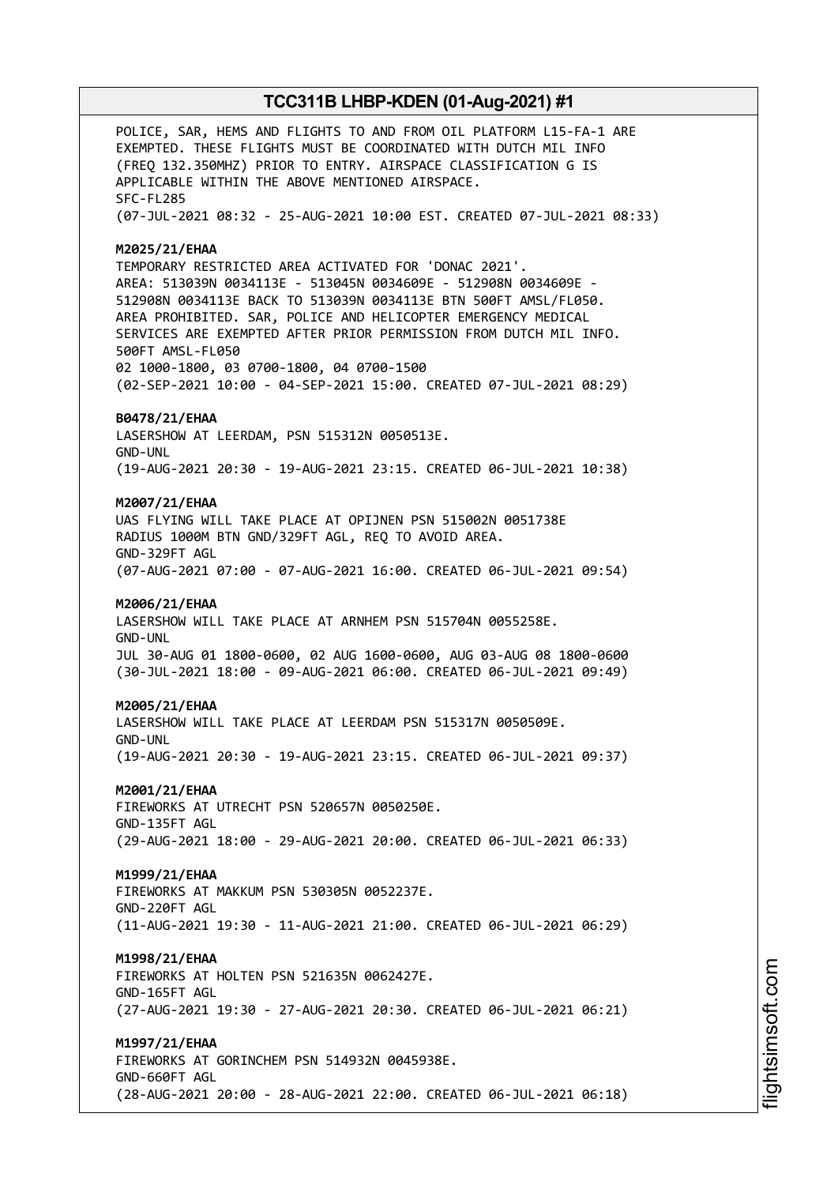POLICE, SAR, HEMS AND FLIGHTS TO AND FROM OIL PLATFORM L15-FA-1 ARE EXEMPTED. THESE FLIGHTS MUST BE COORDINATED WITH DUTCH MIL INFO (FREQ 132.350MHZ) PRIOR TO ENTRY. AIRSPACE CLASSIFICATION G IS APPLICABLE WITHIN THE ABOVE MENTIONED AIRSPACE. SFC-FL285 (07-JUL-2021 08:32 - 25-AUG-2021 10:00 EST. CREATED 07-JUL-2021 08:33) **M2025/21/EHAA** TEMPORARY RESTRICTED AREA ACTIVATED FOR 'DONAC 2021'. AREA: 513039N 0034113E - 513045N 0034609E - 512908N 0034609E - 512908N 0034113E BACK TO 513039N 0034113E BTN 500FT AMSL/FL050. AREA PROHIBITED. SAR, POLICE AND HELICOPTER EMERGENCY MEDICAL SERVICES ARE EXEMPTED AFTER PRIOR PERMISSION FROM DUTCH MIL INFO. 500FT AMSL-FL050 02 1000-1800, 03 0700-1800, 04 0700-1500 (02-SEP-2021 10:00 - 04-SEP-2021 15:00. CREATED 07-JUL-2021 08:29) **B0478/21/EHAA** LASERSHOW AT LEERDAM, PSN 515312N 0050513E. GND-UNL (19-AUG-2021 20:30 - 19-AUG-2021 23:15. CREATED 06-JUL-2021 10:38) **M2007/21/EHAA** UAS FLYING WILL TAKE PLACE AT OPIJNEN PSN 515002N 0051738E RADIUS 1000M BTN GND/329FT AGL, REQ TO AVOID AREA. GND-329FT AGL (07-AUG-2021 07:00 - 07-AUG-2021 16:00. CREATED 06-JUL-2021 09:54) **M2006/21/EHAA** LASERSHOW WILL TAKE PLACE AT ARNHEM PSN 515704N 0055258E. GND-UNL JUL 30-AUG 01 1800-0600, 02 AUG 1600-0600, AUG 03-AUG 08 1800-0600 (30-JUL-2021 18:00 - 09-AUG-2021 06:00. CREATED 06-JUL-2021 09:49) **M2005/21/EHAA** LASERSHOW WILL TAKE PLACE AT LEERDAM PSN 515317N 0050509E. GND-UNL (19-AUG-2021 20:30 - 19-AUG-2021 23:15. CREATED 06-JUL-2021 09:37) **M2001/21/EHAA** FIREWORKS AT UTRECHT PSN 520657N 0050250E. GND-135FT AGL (29-AUG-2021 18:00 - 29-AUG-2021 20:00. CREATED 06-JUL-2021 06:33) **M1999/21/EHAA** FIREWORKS AT MAKKUM PSN 530305N 0052237E. GND-220FT AGL (11-AUG-2021 19:30 - 11-AUG-2021 21:00. CREATED 06-JUL-2021 06:29) **M1998/21/EHAA** FIREWORKS AT HOLTEN PSN 521635N 0062427E. GND-165FT AGL (27-AUG-2021 19:30 - 27-AUG-2021 20:30. CREATED 06-JUL-2021 06:21) **M1997/21/EHAA** FIREWORKS AT GORINCHEM PSN 514932N 0045938E. GND-660FT AGL (28-AUG-2021 20:00 - 28-AUG-2021 22:00. CREATED 06-JUL-2021 06:18)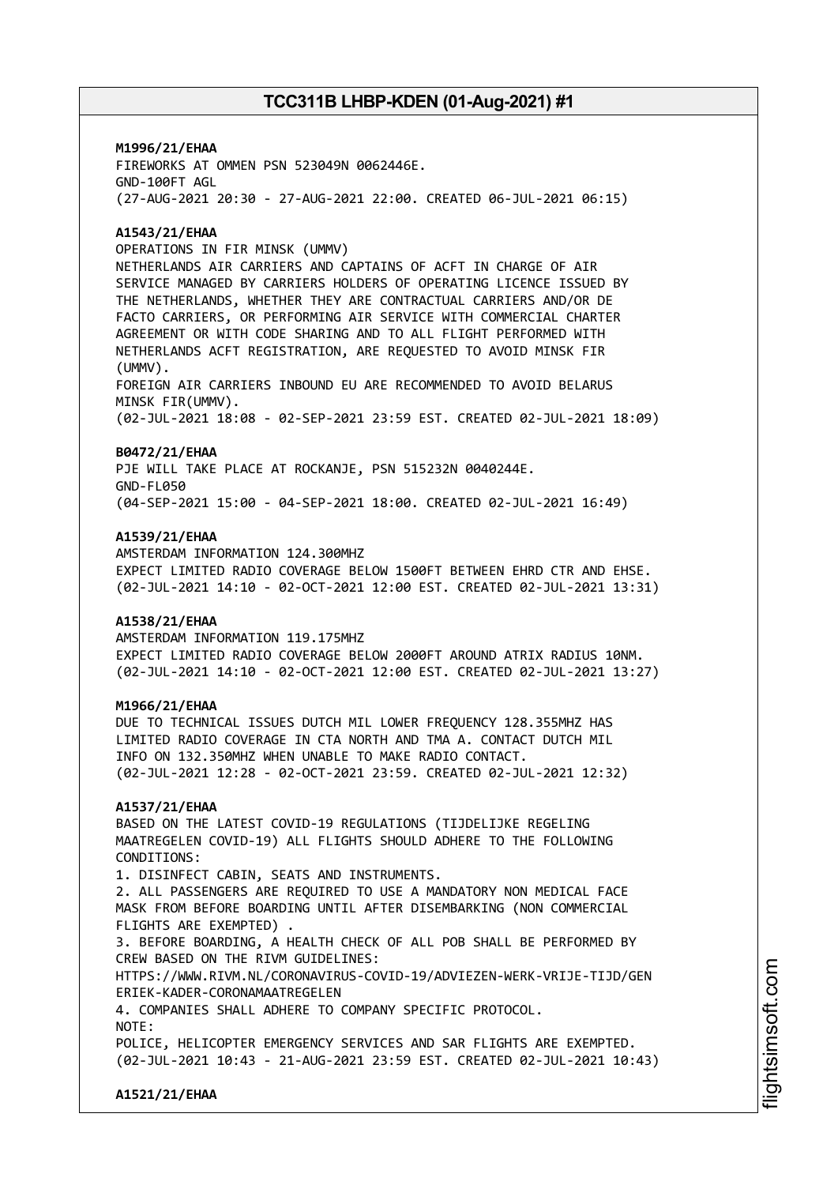**M1996/21/EHAA** FIREWORKS AT OMMEN PSN 523049N 0062446E. GND-100FT AGL (27-AUG-2021 20:30 - 27-AUG-2021 22:00. CREATED 06-JUL-2021 06:15)

#### **A1543/21/EHAA**

OPERATIONS IN FIR MINSK (UMMV)

NETHERLANDS AIR CARRIERS AND CAPTAINS OF ACFT IN CHARGE OF AIR SERVICE MANAGED BY CARRIERS HOLDERS OF OPERATING LICENCE ISSUED BY THE NETHERLANDS, WHETHER THEY ARE CONTRACTUAL CARRIERS AND/OR DE FACTO CARRIERS, OR PERFORMING AIR SERVICE WITH COMMERCIAL CHARTER AGREEMENT OR WITH CODE SHARING AND TO ALL FLIGHT PERFORMED WITH NETHERLANDS ACFT REGISTRATION, ARE REQUESTED TO AVOID MINSK FIR (UMMV).

FOREIGN AIR CARRIERS INBOUND EU ARE RECOMMENDED TO AVOID BELARUS MINSK FIR(UMMV).

(02-JUL-2021 18:08 - 02-SEP-2021 23:59 EST. CREATED 02-JUL-2021 18:09)

#### **B0472/21/EHAA**

PJE WILL TAKE PLACE AT ROCKANJE, PSN 515232N 0040244E. GND-FL050 (04-SEP-2021 15:00 - 04-SEP-2021 18:00. CREATED 02-JUL-2021 16:49)

#### **A1539/21/EHAA**

AMSTERDAM INFORMATION 124.300MHZ EXPECT LIMITED RADIO COVERAGE BELOW 1500FT BETWEEN EHRD CTR AND EHSE. (02-JUL-2021 14:10 - 02-OCT-2021 12:00 EST. CREATED 02-JUL-2021 13:31)

#### **A1538/21/EHAA**

AMSTERDAM INFORMATION 119.175MHZ EXPECT LIMITED RADIO COVERAGE BELOW 2000FT AROUND ATRIX RADIUS 10NM. (02-JUL-2021 14:10 - 02-OCT-2021 12:00 EST. CREATED 02-JUL-2021 13:27)

#### **M1966/21/EHAA**

DUE TO TECHNICAL ISSUES DUTCH MIL LOWER FREQUENCY 128.355MHZ HAS LIMITED RADIO COVERAGE IN CTA NORTH AND TMA A. CONTACT DUTCH MIL INFO ON 132.350MHZ WHEN UNABLE TO MAKE RADIO CONTACT. (02-JUL-2021 12:28 - 02-OCT-2021 23:59. CREATED 02-JUL-2021 12:32)

#### **A1537/21/EHAA**

BASED ON THE LATEST COVID-19 REGULATIONS (TIJDELIJKE REGELING MAATREGELEN COVID-19) ALL FLIGHTS SHOULD ADHERE TO THE FOLLOWING CONDITIONS:

1. DISINFECT CABIN, SEATS AND INSTRUMENTS. 2. ALL PASSENGERS ARE REQUIRED TO USE A MANDATORY NON MEDICAL FACE MASK FROM BEFORE BOARDING UNTIL AFTER DISEMBARKING (NON COMMERCIAL FLIGHTS ARE EXEMPTED) .

3. BEFORE BOARDING, A HEALTH CHECK OF ALL POB SHALL BE PERFORMED BY CREW BASED ON THE RIVM GUIDELINES:

HTTPS://WWW.RIVM.NL/CORONAVIRUS-COVID-19/ADVIEZEN-WERK-VRIJE-TIJD/GEN ERIEK-KADER-CORONAMAATREGELEN

4. COMPANIES SHALL ADHERE TO COMPANY SPECIFIC PROTOCOL.

NOTE:

POLICE, HELICOPTER EMERGENCY SERVICES AND SAR FLIGHTS ARE EXEMPTED. (02-JUL-2021 10:43 - 21-AUG-2021 23:59 EST. CREATED 02-JUL-2021 10:43)

**A1521/21/EHAA**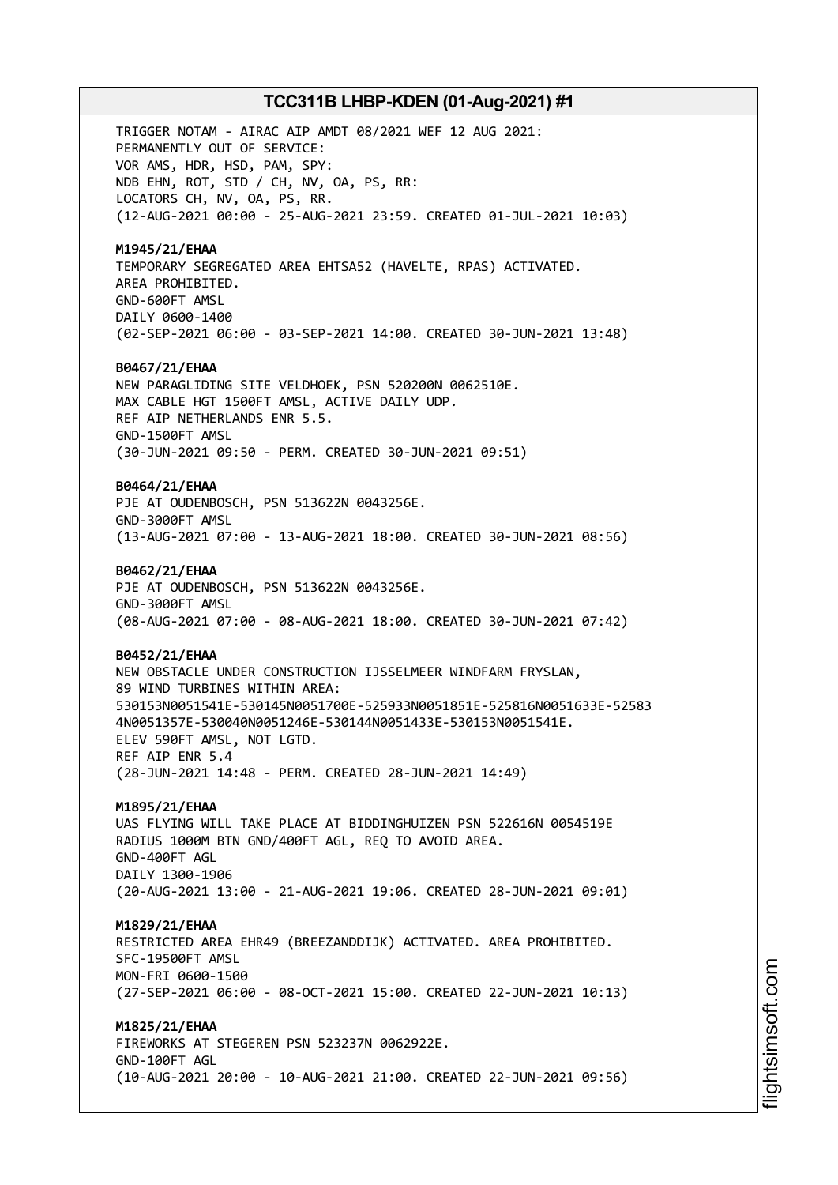TRIGGER NOTAM - AIRAC AIP AMDT 08/2021 WEF 12 AUG 2021: PERMANENTLY OUT OF SERVICE: VOR AMS, HDR, HSD, PAM, SPY: NDB EHN, ROT, STD / CH, NV, OA, PS, RR: LOCATORS CH, NV, OA, PS, RR. (12-AUG-2021 00:00 - 25-AUG-2021 23:59. CREATED 01-JUL-2021 10:03) **M1945/21/EHAA** TEMPORARY SEGREGATED AREA EHTSA52 (HAVELTE, RPAS) ACTIVATED. AREA PROHIBITED. GND-600FT AMSL DAILY 0600-1400 (02-SEP-2021 06:00 - 03-SEP-2021 14:00. CREATED 30-JUN-2021 13:48) **B0467/21/EHAA** NEW PARAGLIDING SITE VELDHOEK, PSN 520200N 0062510E. MAX CABLE HGT 1500FT AMSL, ACTIVE DAILY UDP. REF AIP NETHERLANDS ENR 5.5. GND-1500FT AMSL (30-JUN-2021 09:50 - PERM. CREATED 30-JUN-2021 09:51) **B0464/21/EHAA** PJE AT OUDENBOSCH, PSN 513622N 0043256E. GND-3000FT AMSL (13-AUG-2021 07:00 - 13-AUG-2021 18:00. CREATED 30-JUN-2021 08:56) **B0462/21/EHAA** PJE AT OUDENBOSCH, PSN 513622N 0043256E. GND-3000FT AMSL (08-AUG-2021 07:00 - 08-AUG-2021 18:00. CREATED 30-JUN-2021 07:42) **B0452/21/EHAA** NEW OBSTACLE UNDER CONSTRUCTION IJSSELMEER WINDFARM FRYSLAN, 89 WIND TURBINES WITHIN AREA: 530153N0051541E-530145N0051700E-525933N0051851E-525816N0051633E-52583 4N0051357E-530040N0051246E-530144N0051433E-530153N0051541E. ELEV 590FT AMSL, NOT LGTD. REF AIP ENR 5.4 (28-JUN-2021 14:48 - PERM. CREATED 28-JUN-2021 14:49) **M1895/21/EHAA** UAS FLYING WILL TAKE PLACE AT BIDDINGHUIZEN PSN 522616N 0054519E RADIUS 1000M BTN GND/400FT AGL, REQ TO AVOID AREA. GND-400FT AGL DAILY 1300-1906 (20-AUG-2021 13:00 - 21-AUG-2021 19:06. CREATED 28-JUN-2021 09:01) **M1829/21/EHAA** RESTRICTED AREA EHR49 (BREEZANDDIJK) ACTIVATED. AREA PROHIBITED. SFC-19500FT AMSL MON-FRI 0600-1500 (27-SEP-2021 06:00 - 08-OCT-2021 15:00. CREATED 22-JUN-2021 10:13) **M1825/21/EHAA** FIREWORKS AT STEGEREN PSN 523237N 0062922E. GND-100FT AGL

(10-AUG-2021 20:00 - 10-AUG-2021 21:00. CREATED 22-JUN-2021 09:56)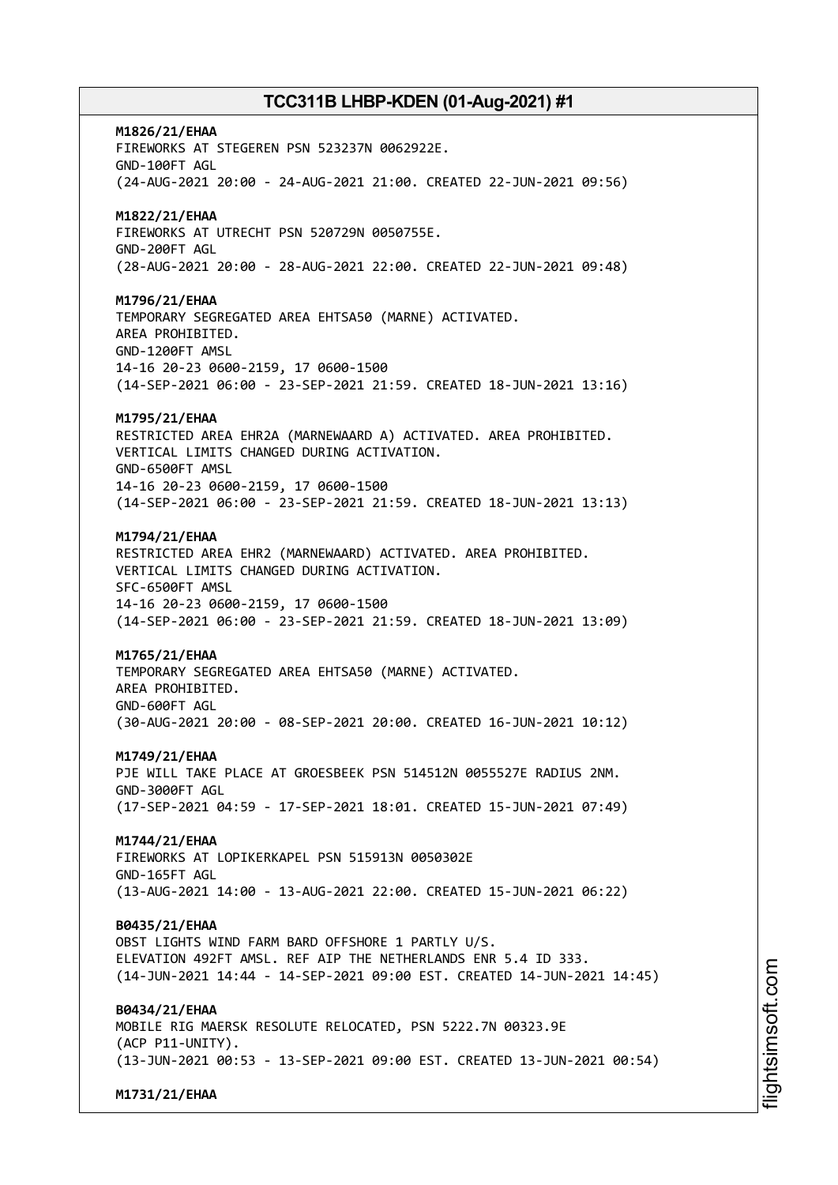**M1826/21/EHAA** FIREWORKS AT STEGEREN PSN 523237N 0062922E. GND-100FT AGL (24-AUG-2021 20:00 - 24-AUG-2021 21:00. CREATED 22-JUN-2021 09:56) **M1822/21/EHAA** FIREWORKS AT UTRECHT PSN 520729N 0050755E. GND-200FT AGL (28-AUG-2021 20:00 - 28-AUG-2021 22:00. CREATED 22-JUN-2021 09:48) **M1796/21/EHAA** TEMPORARY SEGREGATED AREA EHTSA50 (MARNE) ACTIVATED. AREA PROHIBITED. GND-1200FT AMSL 14-16 20-23 0600-2159, 17 0600-1500 (14-SEP-2021 06:00 - 23-SEP-2021 21:59. CREATED 18-JUN-2021 13:16) **M1795/21/EHAA** RESTRICTED AREA EHR2A (MARNEWAARD A) ACTIVATED. AREA PROHIBITED. VERTICAL LIMITS CHANGED DURING ACTIVATION. GND-6500FT AMSL 14-16 20-23 0600-2159, 17 0600-1500 (14-SEP-2021 06:00 - 23-SEP-2021 21:59. CREATED 18-JUN-2021 13:13) **M1794/21/EHAA** RESTRICTED AREA EHR2 (MARNEWAARD) ACTIVATED. AREA PROHIBITED. VERTICAL LIMITS CHANGED DURING ACTIVATION. SFC-6500FT AMSL 14-16 20-23 0600-2159, 17 0600-1500 (14-SEP-2021 06:00 - 23-SEP-2021 21:59. CREATED 18-JUN-2021 13:09) **M1765/21/EHAA** TEMPORARY SEGREGATED AREA EHTSA50 (MARNE) ACTIVATED. AREA PROHIBITED. GND-600FT AGL (30-AUG-2021 20:00 - 08-SEP-2021 20:00. CREATED 16-JUN-2021 10:12) **M1749/21/EHAA** PJE WILL TAKE PLACE AT GROESBEEK PSN 514512N 0055527E RADIUS 2NM. GND-3000FT AGL (17-SEP-2021 04:59 - 17-SEP-2021 18:01. CREATED 15-JUN-2021 07:49) **M1744/21/EHAA** FIREWORKS AT LOPIKERKAPEL PSN 515913N 0050302E GND-165FT AGL (13-AUG-2021 14:00 - 13-AUG-2021 22:00. CREATED 15-JUN-2021 06:22) **B0435/21/EHAA** OBST LIGHTS WIND FARM BARD OFFSHORE 1 PARTLY U/S. ELEVATION 492FT AMSL. REF AIP THE NETHERLANDS ENR 5.4 ID 333. (14-JUN-2021 14:44 - 14-SEP-2021 09:00 EST. CREATED 14-JUN-2021 14:45) **B0434/21/EHAA** MOBILE RIG MAERSK RESOLUTE RELOCATED, PSN 5222.7N 00323.9E (ACP P11-UNITY). (13-JUN-2021 00:53 - 13-SEP-2021 09:00 EST. CREATED 13-JUN-2021 00:54)

**M1731/21/EHAA**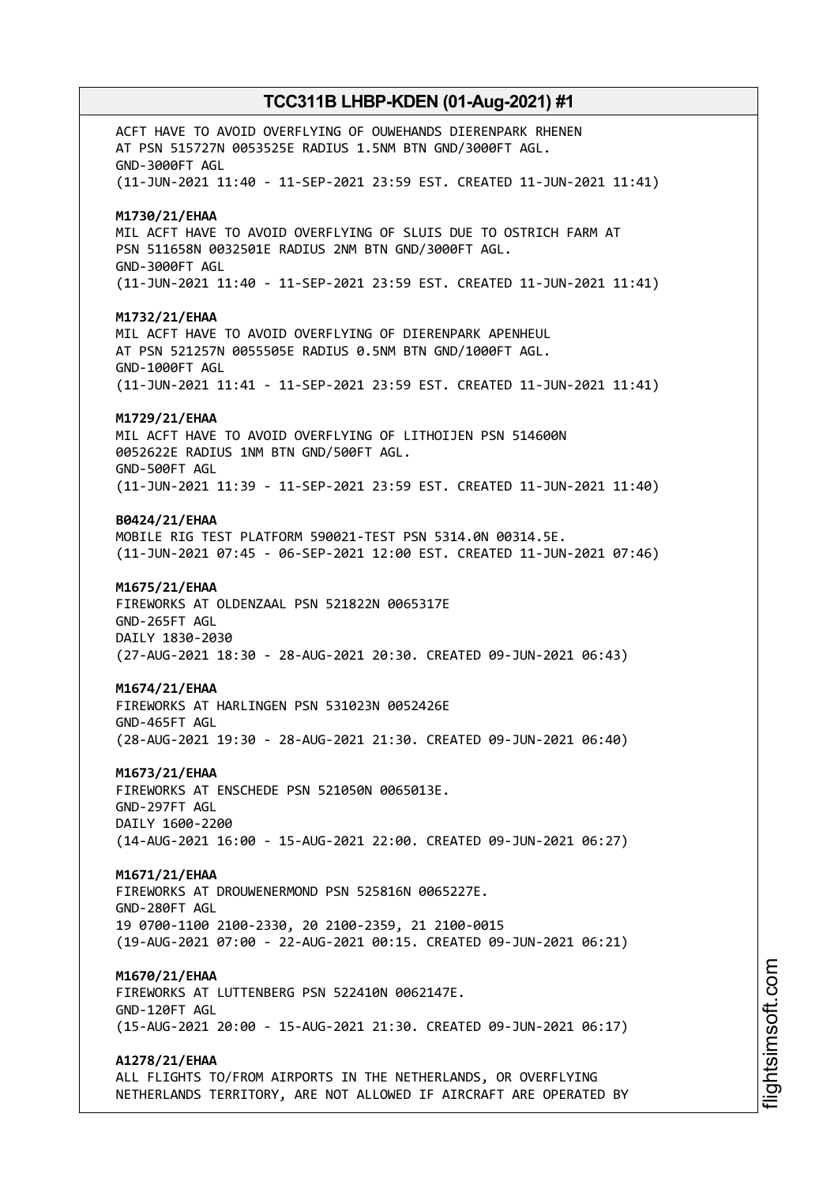ACFT HAVE TO AVOID OVERFLYING OF OUWEHANDS DIERENPARK RHENEN AT PSN 515727N 0053525E RADIUS 1.5NM BTN GND/3000FT AGL. GND-3000FT AGL (11-JUN-2021 11:40 - 11-SEP-2021 23:59 EST. CREATED 11-JUN-2021 11:41) **M1730/21/EHAA** MIL ACFT HAVE TO AVOID OVERFLYING OF SLUIS DUE TO OSTRICH FARM AT PSN 511658N 0032501E RADIUS 2NM BTN GND/3000FT AGL. GND-3000FT AGL (11-JUN-2021 11:40 - 11-SEP-2021 23:59 EST. CREATED 11-JUN-2021 11:41) **M1732/21/EHAA** MIL ACFT HAVE TO AVOID OVERFLYING OF DIERENPARK APENHEUL AT PSN 521257N 0055505E RADIUS 0.5NM BTN GND/1000FT AGL. GND-1000FT AGL (11-JUN-2021 11:41 - 11-SEP-2021 23:59 EST. CREATED 11-JUN-2021 11:41) **M1729/21/EHAA** MIL ACFT HAVE TO AVOID OVERFLYING OF LITHOIJEN PSN 514600N 0052622E RADIUS 1NM BTN GND/500FT AGL. GND-500FT AGL (11-JUN-2021 11:39 - 11-SEP-2021 23:59 EST. CREATED 11-JUN-2021 11:40) **B0424/21/EHAA** MOBILE RIG TEST PLATFORM 590021-TEST PSN 5314.0N 00314.5E. (11-JUN-2021 07:45 - 06-SEP-2021 12:00 EST. CREATED 11-JUN-2021 07:46) **M1675/21/EHAA** FIREWORKS AT OLDENZAAL PSN 521822N 0065317E GND-265FT AGL DAILY 1830-2030 (27-AUG-2021 18:30 - 28-AUG-2021 20:30. CREATED 09-JUN-2021 06:43) **M1674/21/EHAA** FIREWORKS AT HARLINGEN PSN 531023N 0052426E GND-465FT AGL (28-AUG-2021 19:30 - 28-AUG-2021 21:30. CREATED 09-JUN-2021 06:40) **M1673/21/EHAA** FIREWORKS AT ENSCHEDE PSN 521050N 0065013E. GND-297FT AGL DAILY 1600-2200 (14-AUG-2021 16:00 - 15-AUG-2021 22:00. CREATED 09-JUN-2021 06:27) **M1671/21/EHAA** FIREWORKS AT DROUWENERMOND PSN 525816N 0065227E. GND-280FT AGL 19 0700-1100 2100-2330, 20 2100-2359, 21 2100-0015 (19-AUG-2021 07:00 - 22-AUG-2021 00:15. CREATED 09-JUN-2021 06:21) **M1670/21/EHAA** FIREWORKS AT LUTTENBERG PSN 522410N 0062147E. GND-120FT AGL (15-AUG-2021 20:00 - 15-AUG-2021 21:30. CREATED 09-JUN-2021 06:17) **A1278/21/EHAA** ALL FLIGHTS TO/FROM AIRPORTS IN THE NETHERLANDS, OR OVERFLYING NETHERLANDS TERRITORY, ARE NOT ALLOWED IF AIRCRAFT ARE OPERATED BY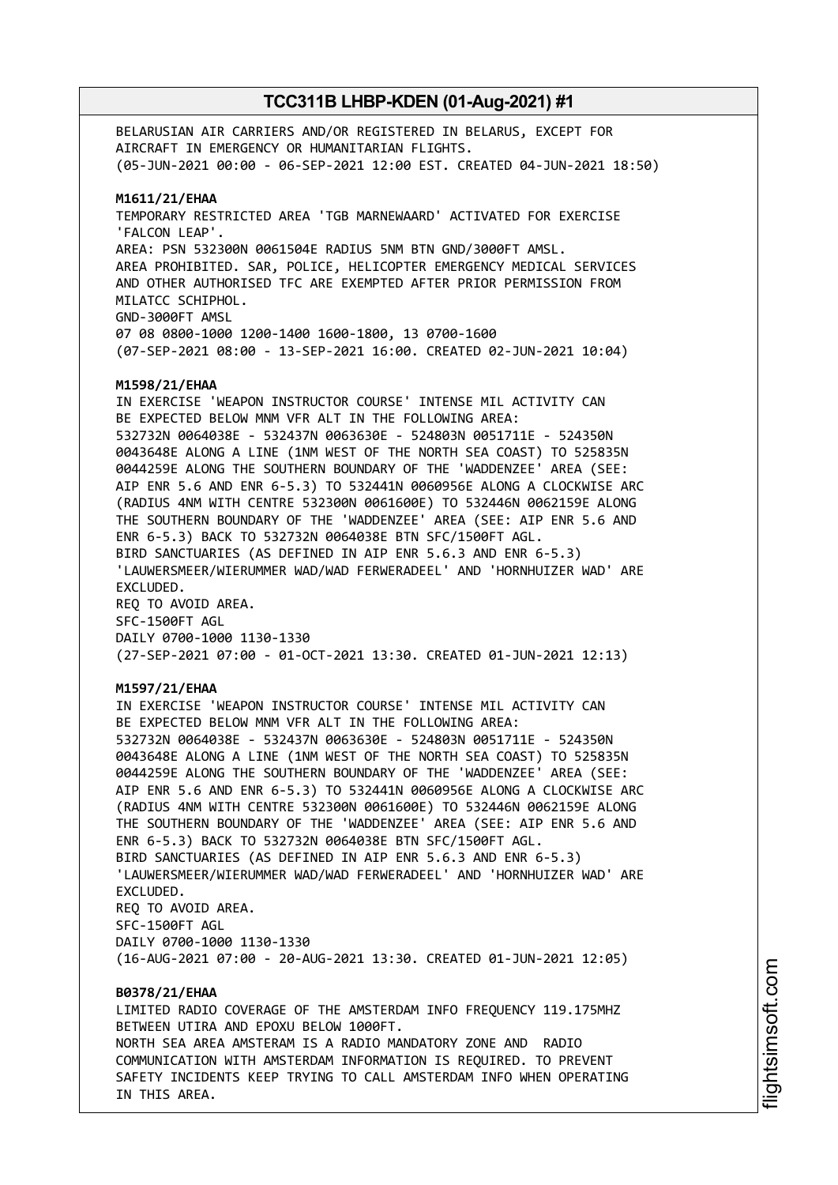BELARUSIAN AIR CARRIERS AND/OR REGISTERED IN BELARUS, EXCEPT FOR AIRCRAFT IN EMERGENCY OR HUMANITARIAN FLIGHTS. (05-JUN-2021 00:00 - 06-SEP-2021 12:00 EST. CREATED 04-JUN-2021 18:50) **M1611/21/EHAA** TEMPORARY RESTRICTED AREA 'TGB MARNEWAARD' ACTIVATED FOR EXERCISE 'FALCON LEAP'. AREA: PSN 532300N 0061504E RADIUS 5NM BTN GND/3000FT AMSL. AREA PROHIBITED. SAR, POLICE, HELICOPTER EMERGENCY MEDICAL SERVICES AND OTHER AUTHORISED TFC ARE EXEMPTED AFTER PRIOR PERMISSION FROM MILATCC SCHIPHOL. GND-3000FT AMSL 07 08 0800-1000 1200-1400 1600-1800, 13 0700-1600 (07-SEP-2021 08:00 - 13-SEP-2021 16:00. CREATED 02-JUN-2021 10:04) **M1598/21/EHAA** IN EXERCISE 'WEAPON INSTRUCTOR COURSE' INTENSE MIL ACTIVITY CAN BE EXPECTED BELOW MNM VFR ALT IN THE FOLLOWING AREA: 532732N 0064038E - 532437N 0063630E - 524803N 0051711E - 524350N 0043648E ALONG A LINE (1NM WEST OF THE NORTH SEA COAST) TO 525835N 0044259E ALONG THE SOUTHERN BOUNDARY OF THE 'WADDENZEE' AREA (SEE: AIP ENR 5.6 AND ENR 6-5.3) TO 532441N 0060956E ALONG A CLOCKWISE ARC (RADIUS 4NM WITH CENTRE 532300N 0061600E) TO 532446N 0062159E ALONG THE SOUTHERN BOUNDARY OF THE 'WADDENZEE' AREA (SEE: AIP ENR 5.6 AND ENR 6-5.3) BACK TO 532732N 0064038E BTN SFC/1500FT AGL. BIRD SANCTUARIES (AS DEFINED IN AIP ENR 5.6.3 AND ENR 6-5.3) 'LAUWERSMEER/WIERUMMER WAD/WAD FERWERADEEL' AND 'HORNHUIZER WAD' ARE EXCLUDED. REQ TO AVOID AREA. SFC-1500FT AGL DAILY 0700-1000 1130-1330 (27-SEP-2021 07:00 - 01-OCT-2021 13:30. CREATED 01-JUN-2021 12:13) **M1597/21/EHAA** IN EXERCISE 'WEAPON INSTRUCTOR COURSE' INTENSE MIL ACTIVITY CAN BE EXPECTED BELOW MNM VFR ALT IN THE FOLLOWING AREA: 532732N 0064038E - 532437N 0063630E - 524803N 0051711E - 524350N 0043648E ALONG A LINE (1NM WEST OF THE NORTH SEA COAST) TO 525835N 0044259E ALONG THE SOUTHERN BOUNDARY OF THE 'WADDENZEE' AREA (SEE: AIP ENR 5.6 AND ENR 6-5.3) TO 532441N 0060956E ALONG A CLOCKWISE ARC (RADIUS 4NM WITH CENTRE 532300N 0061600E) TO 532446N 0062159E ALONG THE SOUTHERN BOUNDARY OF THE 'WADDENZEE' AREA (SEE: AIP ENR 5.6 AND ENR 6-5.3) BACK TO 532732N 0064038E BTN SFC/1500FT AGL. BIRD SANCTUARIES (AS DEFINED IN AIP ENR 5.6.3 AND ENR 6-5.3) 'LAUWERSMEER/WIERUMMER WAD/WAD FERWERADEEL' AND 'HORNHUIZER WAD' ARE EXCLUDED. REQ TO AVOID AREA. SFC-1500FT AGL DAILY 0700-1000 1130-1330 (16-AUG-2021 07:00 - 20-AUG-2021 13:30. CREATED 01-JUN-2021 12:05) **B0378/21/EHAA** LIMITED RADIO COVERAGE OF THE AMSTERDAM INFO FREQUENCY 119.175MHZ BETWEEN UTIRA AND EPOXU BELOW 1000FT. NORTH SEA AREA AMSTERAM IS A RADIO MANDATORY ZONE AND RADIO COMMUNICATION WITH AMSTERDAM INFORMATION IS REQUIRED. TO PREVENT

SAFETY INCIDENTS KEEP TRYING TO CALL AMSTERDAM INFO WHEN OPERATING

IN THIS AREA.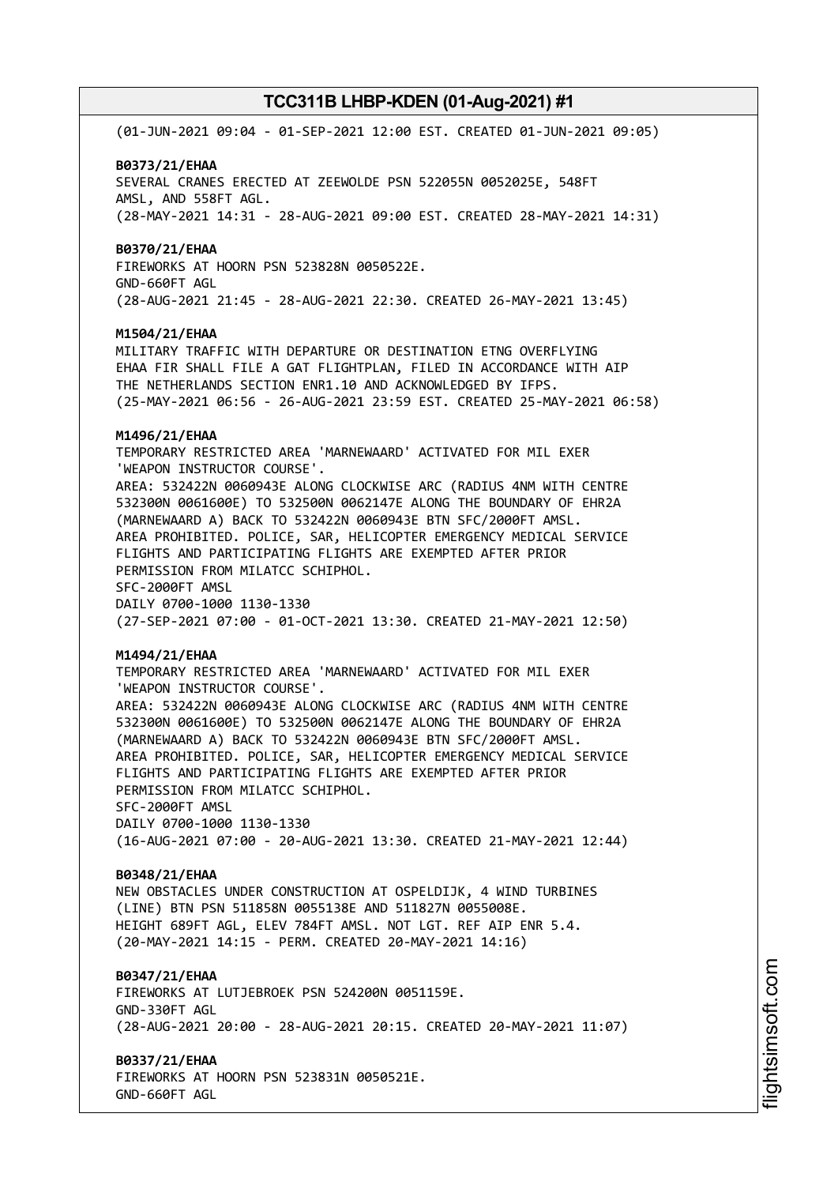(01-JUN-2021 09:04 - 01-SEP-2021 12:00 EST. CREATED 01-JUN-2021 09:05)

#### **B0373/21/EHAA**

SEVERAL CRANES ERECTED AT ZEEWOLDE PSN 522055N 0052025E, 548FT AMSL, AND 558FT AGL. (28-MAY-2021 14:31 - 28-AUG-2021 09:00 EST. CREATED 28-MAY-2021 14:31)

#### **B0370/21/EHAA**

FIREWORKS AT HOORN PSN 523828N 0050522E. GND-660FT AGL (28-AUG-2021 21:45 - 28-AUG-2021 22:30. CREATED 26-MAY-2021 13:45)

#### **M1504/21/EHAA**

MILITARY TRAFFIC WITH DEPARTURE OR DESTINATION ETNG OVERFLYING EHAA FIR SHALL FILE A GAT FLIGHTPLAN, FILED IN ACCORDANCE WITH AIP THE NETHERLANDS SECTION ENR1.10 AND ACKNOWLEDGED BY IFPS. (25-MAY-2021 06:56 - 26-AUG-2021 23:59 EST. CREATED 25-MAY-2021 06:58)

#### **M1496/21/EHAA**

TEMPORARY RESTRICTED AREA 'MARNEWAARD' ACTIVATED FOR MIL EXER 'WEAPON INSTRUCTOR COURSE'. AREA: 532422N 0060943E ALONG CLOCKWISE ARC (RADIUS 4NM WITH CENTRE 532300N 0061600E) TO 532500N 0062147E ALONG THE BOUNDARY OF EHR2A (MARNEWAARD A) BACK TO 532422N 0060943E BTN SFC/2000FT AMSL.

AREA PROHIBITED. POLICE, SAR, HELICOPTER EMERGENCY MEDICAL SERVICE FLIGHTS AND PARTICIPATING FLIGHTS ARE EXEMPTED AFTER PRIOR PERMISSION FROM MILATCC SCHIPHOL. SFC-2000FT AMSL

DAILY 0700-1000 1130-1330 (27-SEP-2021 07:00 - 01-OCT-2021 13:30. CREATED 21-MAY-2021 12:50)

#### **M1494/21/EHAA**

TEMPORARY RESTRICTED AREA 'MARNEWAARD' ACTIVATED FOR MIL EXER 'WEAPON INSTRUCTOR COURSE'. AREA: 532422N 0060943E ALONG CLOCKWISE ARC (RADIUS 4NM WITH CENTRE 532300N 0061600E) TO 532500N 0062147E ALONG THE BOUNDARY OF EHR2A (MARNEWAARD A) BACK TO 532422N 0060943E BTN SFC/2000FT AMSL. AREA PROHIBITED. POLICE, SAR, HELICOPTER EMERGENCY MEDICAL SERVICE FLIGHTS AND PARTICIPATING FLIGHTS ARE EXEMPTED AFTER PRIOR PERMISSION FROM MILATCC SCHIPHOL. SFC-2000FT AMSL DAILY 0700-1000 1130-1330 (16-AUG-2021 07:00 - 20-AUG-2021 13:30. CREATED 21-MAY-2021 12:44)

#### **B0348/21/EHAA**

NEW OBSTACLES UNDER CONSTRUCTION AT OSPELDIJK, 4 WIND TURBINES (LINE) BTN PSN 511858N 0055138E AND 511827N 0055008E. HEIGHT 689FT AGL, ELEV 784FT AMSL. NOT LGT. REF AIP ENR 5.4. (20-MAY-2021 14:15 - PERM. CREATED 20-MAY-2021 14:16)

#### **B0347/21/EHAA**

FIREWORKS AT LUTJEBROEK PSN 524200N 0051159E. GND-330FT AGL (28-AUG-2021 20:00 - 28-AUG-2021 20:15. CREATED 20-MAY-2021 11:07)

**B0337/21/EHAA** FIREWORKS AT HOORN PSN 523831N 0050521E.

GND-660FT AGL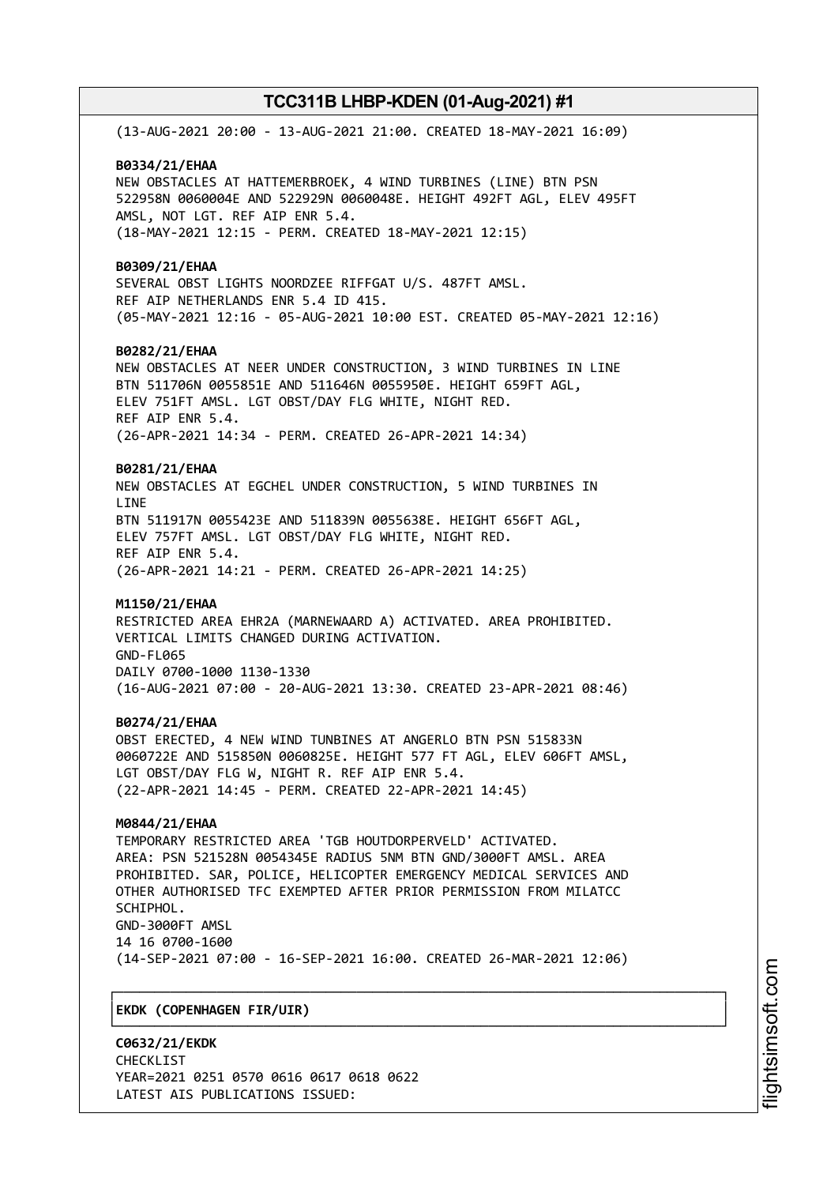(13-AUG-2021 20:00 - 13-AUG-2021 21:00. CREATED 18-MAY-2021 16:09) **B0334/21/EHAA** NEW OBSTACLES AT HATTEMERBROEK, 4 WIND TURBINES (LINE) BTN PSN 522958N 0060004E AND 522929N 0060048E. HEIGHT 492FT AGL, ELEV 495FT AMSL, NOT LGT. REF AIP ENR 5.4. (18-MAY-2021 12:15 - PERM. CREATED 18-MAY-2021 12:15) **B0309/21/EHAA** SEVERAL OBST LIGHTS NOORDZEE RIFFGAT U/S. 487FT AMSL. REF AIP NETHERLANDS ENR 5.4 ID 415. (05-MAY-2021 12:16 - 05-AUG-2021 10:00 EST. CREATED 05-MAY-2021 12:16) **B0282/21/EHAA** NEW OBSTACLES AT NEER UNDER CONSTRUCTION, 3 WIND TURBINES IN LINE BTN 511706N 0055851E AND 511646N 0055950E. HEIGHT 659FT AGL, ELEV 751FT AMSL. LGT OBST/DAY FLG WHITE, NIGHT RED. REF AIP ENR 5.4. (26-APR-2021 14:34 - PERM. CREATED 26-APR-2021 14:34) **B0281/21/EHAA** NEW OBSTACLES AT EGCHEL UNDER CONSTRUCTION, 5 WIND TURBINES IN **LTNF** BTN 511917N 0055423E AND 511839N 0055638E. HEIGHT 656FT AGL, ELEV 757FT AMSL. LGT OBST/DAY FLG WHITE, NIGHT RED. REF AIP ENR 5.4. (26-APR-2021 14:21 - PERM. CREATED 26-APR-2021 14:25) **M1150/21/EHAA** RESTRICTED AREA EHR2A (MARNEWAARD A) ACTIVATED. AREA PROHIBITED. VERTICAL LIMITS CHANGED DURING ACTIVATION. GND-FL065 DAILY 0700-1000 1130-1330 (16-AUG-2021 07:00 - 20-AUG-2021 13:30. CREATED 23-APR-2021 08:46) **B0274/21/EHAA** OBST ERECTED, 4 NEW WIND TUNBINES AT ANGERLO BTN PSN 515833N 0060722E AND 515850N 0060825E. HEIGHT 577 FT AGL, ELEV 606FT AMSL, LGT OBST/DAY FLG W, NIGHT R. REF AIP ENR 5.4. (22-APR-2021 14:45 - PERM. CREATED 22-APR-2021 14:45) **M0844/21/EHAA** TEMPORARY RESTRICTED AREA 'TGB HOUTDORPERVELD' ACTIVATED. AREA: PSN 521528N 0054345E RADIUS 5NM BTN GND/3000FT AMSL. AREA PROHIBITED. SAR, POLICE, HELICOPTER EMERGENCY MEDICAL SERVICES AND OTHER AUTHORISED TFC EXEMPTED AFTER PRIOR PERMISSION FROM MILATCC SCHIPHOL. GND-3000FT AMSL 14 16 0700-1600 (14-SEP-2021 07:00 - 16-SEP-2021 16:00. CREATED 26-MAR-2021 12:06) ┌──────────────────────────────────────────────────────────────────────────────┐ │**EKDK (COPENHAGEN FIR/UIR)** │

└──────────────────────────────────────────────────────────────────────────────┘

**C0632/21/EKDK** CHECKL<sub>TST</sub> YEAR=2021 0251 0570 0616 0617 0618 0622 LATEST AIS PUBLICATIONS ISSUED: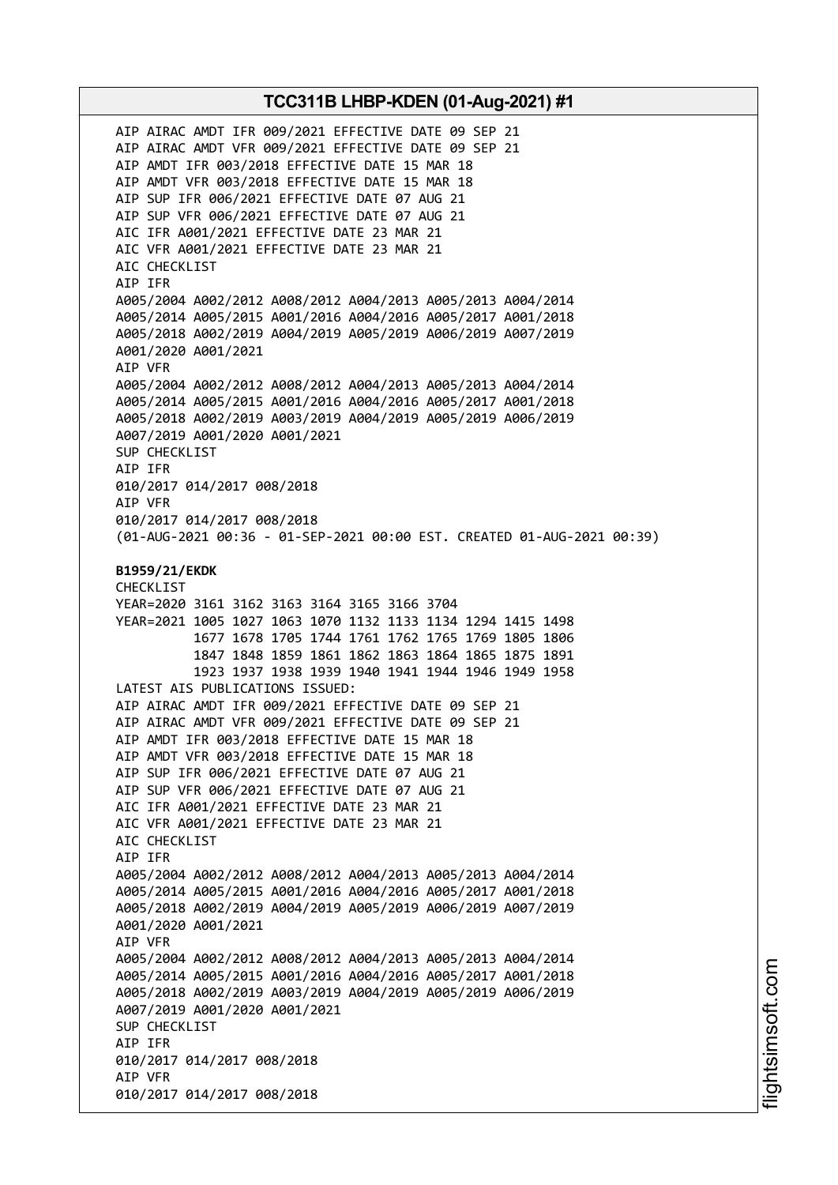AIP AIRAC AMDT IFR 009/2021 EFFECTIVE DATE 09 SEP 21 AIP AIRAC AMDT VFR 009/2021 EFFECTIVE DATE 09 SEP 21 AIP AMDT IFR 003/2018 EFFECTIVE DATE 15 MAR 18 AIP AMDT VFR 003/2018 EFFECTIVE DATE 15 MAR 18 AIP SUP IFR 006/2021 EFFECTIVE DATE 07 AUG 21 AIP SUP VFR 006/2021 EFFECTIVE DATE 07 AUG 21 AIC IFR A001/2021 EFFECTIVE DATE 23 MAR 21 AIC VFR A001/2021 EFFECTIVE DATE 23 MAR 21 AIC CHECKLIST AIP IFR A005/2004 A002/2012 A008/2012 A004/2013 A005/2013 A004/2014 A005/2014 A005/2015 A001/2016 A004/2016 A005/2017 A001/2018 A005/2018 A002/2019 A004/2019 A005/2019 A006/2019 A007/2019 A001/2020 A001/2021 AIP VFR A005/2004 A002/2012 A008/2012 A004/2013 A005/2013 A004/2014 A005/2014 A005/2015 A001/2016 A004/2016 A005/2017 A001/2018 A005/2018 A002/2019 A003/2019 A004/2019 A005/2019 A006/2019 A007/2019 A001/2020 A001/2021 SUP CHECKLIST AIP IFR 010/2017 014/2017 008/2018 AIP VFR 010/2017 014/2017 008/2018 (01-AUG-2021 00:36 - 01-SEP-2021 00:00 EST. CREATED 01-AUG-2021 00:39) **B1959/21/EKDK** CHECKLIST YEAR=2020 3161 3162 3163 3164 3165 3166 3704 YEAR=2021 1005 1027 1063 1070 1132 1133 1134 1294 1415 1498 1677 1678 1705 1744 1761 1762 1765 1769 1805 1806 1847 1848 1859 1861 1862 1863 1864 1865 1875 1891 1923 1937 1938 1939 1940 1941 1944 1946 1949 1958 LATEST AIS PUBLICATIONS ISSUED: AIP AIRAC AMDT IFR 009/2021 EFFECTIVE DATE 09 SEP 21 AIP AIRAC AMDT VFR 009/2021 EFFECTIVE DATE 09 SEP 21 AIP AMDT IFR 003/2018 EFFECTIVE DATE 15 MAR 18 AIP AMDT VFR 003/2018 EFFECTIVE DATE 15 MAR 18 AIP SUP IFR 006/2021 EFFECTIVE DATE 07 AUG 21 AIP SUP VFR 006/2021 EFFECTIVE DATE 07 AUG 21 AIC IFR A001/2021 EFFECTIVE DATE 23 MAR 21 AIC VFR A001/2021 EFFECTIVE DATE 23 MAR 21 AIC CHECKLIST AIP IFR A005/2004 A002/2012 A008/2012 A004/2013 A005/2013 A004/2014 A005/2014 A005/2015 A001/2016 A004/2016 A005/2017 A001/2018 A005/2018 A002/2019 A004/2019 A005/2019 A006/2019 A007/2019 A001/2020 A001/2021 AIP VFR A005/2004 A002/2012 A008/2012 A004/2013 A005/2013 A004/2014 A005/2014 A005/2015 A001/2016 A004/2016 A005/2017 A001/2018 A005/2018 A002/2019 A003/2019 A004/2019 A005/2019 A006/2019 A007/2019 A001/2020 A001/2021 SUP CHECKLIST AIP IFR 010/2017 014/2017 008/2018 AIP VFR 010/2017 014/2017 008/2018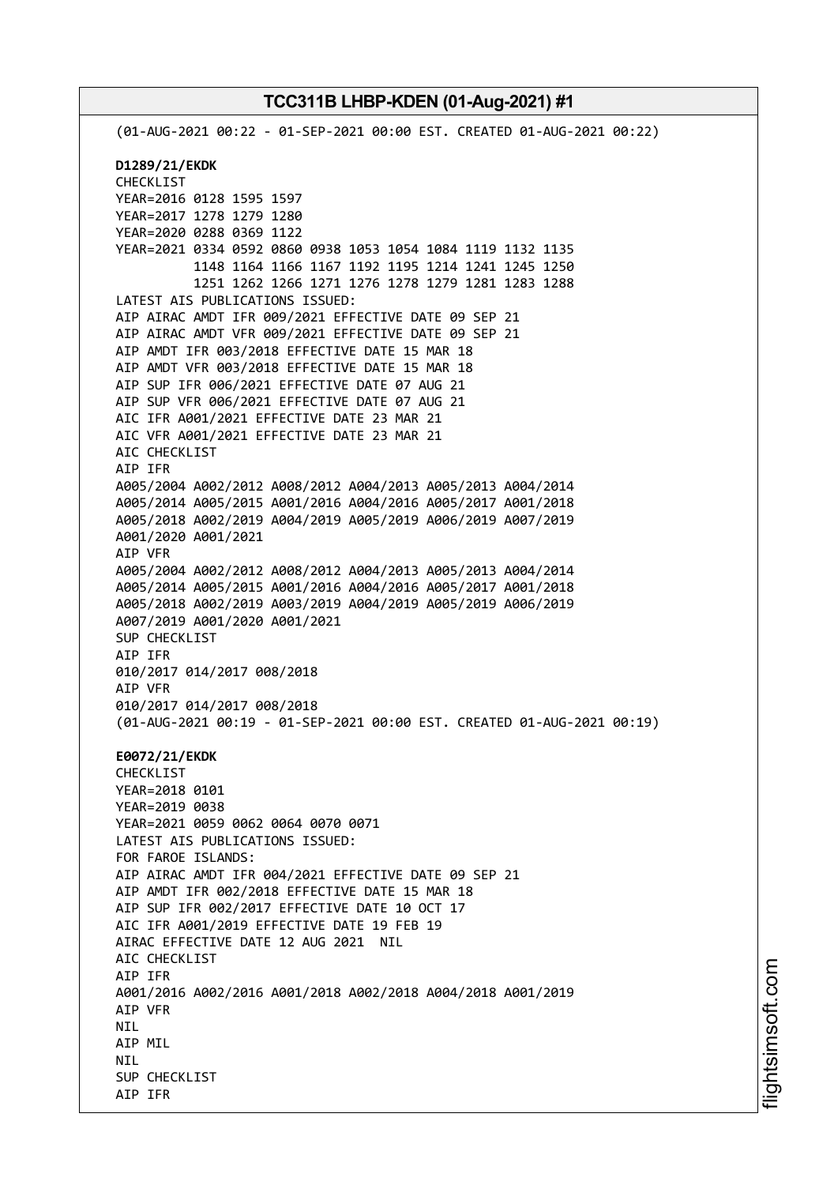(01-AUG-2021 00:22 - 01-SEP-2021 00:00 EST. CREATED 01-AUG-2021 00:22) **D1289/21/EKDK** CHECKLIST YEAR=2016 0128 1595 1597 YEAR=2017 1278 1279 1280 YEAR=2020 0288 0369 1122 YEAR=2021 0334 0592 0860 0938 1053 1054 1084 1119 1132 1135 1148 1164 1166 1167 1192 1195 1214 1241 1245 1250 1251 1262 1266 1271 1276 1278 1279 1281 1283 1288 LATEST AIS PUBLICATIONS ISSUED: AIP AIRAC AMDT IFR 009/2021 EFFECTIVE DATE 09 SEP 21 AIP AIRAC AMDT VFR 009/2021 EFFECTIVE DATE 09 SEP 21 AIP AMDT IFR 003/2018 EFFECTIVE DATE 15 MAR 18 AIP AMDT VFR 003/2018 EFFECTIVE DATE 15 MAR 18 AIP SUP IFR 006/2021 EFFECTIVE DATE 07 AUG 21 AIP SUP VFR 006/2021 EFFECTIVE DATE 07 AUG 21 AIC IFR A001/2021 EFFECTIVE DATE 23 MAR 21 AIC VFR A001/2021 EFFECTIVE DATE 23 MAR 21 AIC CHECKLIST AIP IFR A005/2004 A002/2012 A008/2012 A004/2013 A005/2013 A004/2014 A005/2014 A005/2015 A001/2016 A004/2016 A005/2017 A001/2018 A005/2018 A002/2019 A004/2019 A005/2019 A006/2019 A007/2019 A001/2020 A001/2021 AIP VFR A005/2004 A002/2012 A008/2012 A004/2013 A005/2013 A004/2014 A005/2014 A005/2015 A001/2016 A004/2016 A005/2017 A001/2018 A005/2018 A002/2019 A003/2019 A004/2019 A005/2019 A006/2019 A007/2019 A001/2020 A001/2021 SUP CHECKLIST AIP IFR 010/2017 014/2017 008/2018 AIP VFR 010/2017 014/2017 008/2018 (01-AUG-2021 00:19 - 01-SEP-2021 00:00 EST. CREATED 01-AUG-2021 00:19) **E0072/21/EKDK** CHECKLIST YEAR=2018 0101 YEAR=2019 0038 YEAR=2021 0059 0062 0064 0070 0071 LATEST AIS PUBLICATIONS ISSUED: FOR FAROE ISLANDS: AIP AIRAC AMDT IFR 004/2021 EFFECTIVE DATE 09 SEP 21 AIP AMDT IFR 002/2018 EFFECTIVE DATE 15 MAR 18 AIP SUP IFR 002/2017 EFFECTIVE DATE 10 OCT 17 AIC IFR A001/2019 EFFECTIVE DATE 19 FEB 19 AIRAC EFFECTIVE DATE 12 AUG 2021 NIL AIC CHECKLIST AIP IFR A001/2016 A002/2016 A001/2018 A002/2018 A004/2018 A001/2019 AIP VFR **NTI** AIP MIL **NTI** SUP CHECKLIST AIP IFR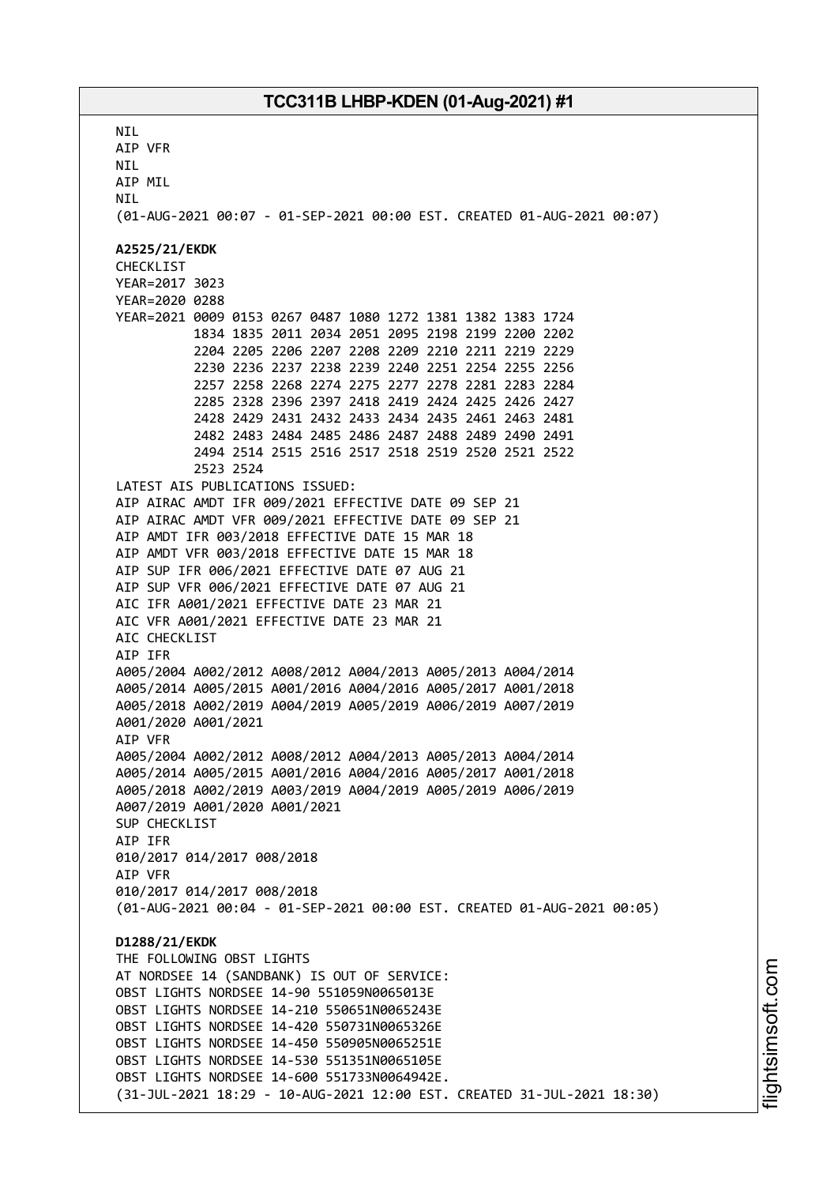**NTI** AIP VFR NIL AIP MIL **NTI** (01-AUG-2021 00:07 - 01-SEP-2021 00:00 EST. CREATED 01-AUG-2021 00:07) **A2525/21/EKDK** CHECKLIST YEAR=2017 3023 YEAR=2020 0288 YEAR=2021 0009 0153 0267 0487 1080 1272 1381 1382 1383 1724 1834 1835 2011 2034 2051 2095 2198 2199 2200 2202 2204 2205 2206 2207 2208 2209 2210 2211 2219 2229 2230 2236 2237 2238 2239 2240 2251 2254 2255 2256 2257 2258 2268 2274 2275 2277 2278 2281 2283 2284 2285 2328 2396 2397 2418 2419 2424 2425 2426 2427 2428 2429 2431 2432 2433 2434 2435 2461 2463 2481 2482 2483 2484 2485 2486 2487 2488 2489 2490 2491 2494 2514 2515 2516 2517 2518 2519 2520 2521 2522 2523 2524 LATEST AIS PUBLICATIONS ISSUED: AIP AIRAC AMDT IFR 009/2021 EFFECTIVE DATE 09 SEP 21 AIP AIRAC AMDT VFR 009/2021 EFFECTIVE DATE 09 SEP 21 AIP AMDT IFR 003/2018 EFFECTIVE DATE 15 MAR 18 AIP AMDT VFR 003/2018 EFFECTIVE DATE 15 MAR 18 AIP SUP IFR 006/2021 EFFECTIVE DATE 07 AUG 21 AIP SUP VFR 006/2021 EFFECTIVE DATE 07 AUG 21 AIC IFR A001/2021 EFFECTIVE DATE 23 MAR 21 AIC VFR A001/2021 EFFECTIVE DATE 23 MAR 21 AIC CHECKLIST AIP IFR A005/2004 A002/2012 A008/2012 A004/2013 A005/2013 A004/2014 A005/2014 A005/2015 A001/2016 A004/2016 A005/2017 A001/2018 A005/2018 A002/2019 A004/2019 A005/2019 A006/2019 A007/2019 A001/2020 A001/2021 AIP VFR A005/2004 A002/2012 A008/2012 A004/2013 A005/2013 A004/2014 A005/2014 A005/2015 A001/2016 A004/2016 A005/2017 A001/2018 A005/2018 A002/2019 A003/2019 A004/2019 A005/2019 A006/2019 A007/2019 A001/2020 A001/2021 SUP CHECKLIST AIP IFR 010/2017 014/2017 008/2018 AIP VFR 010/2017 014/2017 008/2018 (01-AUG-2021 00:04 - 01-SEP-2021 00:00 EST. CREATED 01-AUG-2021 00:05) **D1288/21/EKDK** THE FOLLOWING OBST LIGHTS AT NORDSEE 14 (SANDBANK) IS OUT OF SERVICE: OBST LIGHTS NORDSEE 14-90 551059N0065013E OBST LIGHTS NORDSEE 14-210 550651N0065243E OBST LIGHTS NORDSEE 14-420 550731N0065326E OBST LIGHTS NORDSEE 14-450 550905N0065251E OBST LIGHTS NORDSEE 14-530 551351N0065105E OBST LIGHTS NORDSEE 14-600 551733N0064942E. (31-JUL-2021 18:29 - 10-AUG-2021 12:00 EST. CREATED 31-JUL-2021 18:30)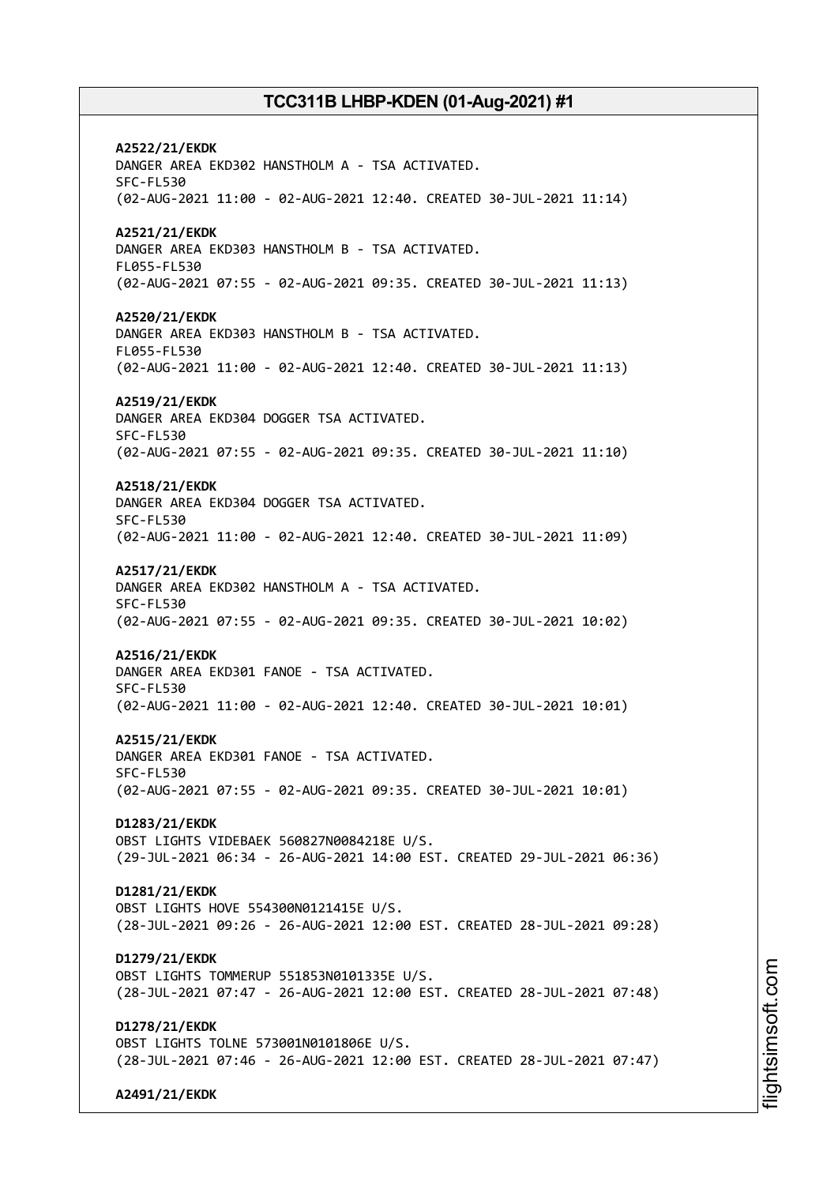**A2522/21/EKDK** DANGER AREA EKD302 HANSTHOLM A - TSA ACTIVATED. SFC-FL530 (02-AUG-2021 11:00 - 02-AUG-2021 12:40. CREATED 30-JUL-2021 11:14) **A2521/21/EKDK** DANGER AREA EKD303 HANSTHOLM B - TSA ACTIVATED. FL055-FL530 (02-AUG-2021 07:55 - 02-AUG-2021 09:35. CREATED 30-JUL-2021 11:13) **A2520/21/EKDK** DANGER AREA EKD303 HANSTHOLM B - TSA ACTIVATED. FL055-FL530 (02-AUG-2021 11:00 - 02-AUG-2021 12:40. CREATED 30-JUL-2021 11:13) **A2519/21/EKDK** DANGER AREA EKD304 DOGGER TSA ACTIVATED. SFC-FL530 (02-AUG-2021 07:55 - 02-AUG-2021 09:35. CREATED 30-JUL-2021 11:10) **A2518/21/EKDK** DANGER AREA EKD304 DOGGER TSA ACTIVATED. SFC-FL530 (02-AUG-2021 11:00 - 02-AUG-2021 12:40. CREATED 30-JUL-2021 11:09) **A2517/21/EKDK** DANGER AREA EKD302 HANSTHOLM A - TSA ACTIVATED. SFC-FL530 (02-AUG-2021 07:55 - 02-AUG-2021 09:35. CREATED 30-JUL-2021 10:02) **A2516/21/EKDK** DANGER AREA EKD301 FANOE - TSA ACTIVATED. SFC-FL530 (02-AUG-2021 11:00 - 02-AUG-2021 12:40. CREATED 30-JUL-2021 10:01) **A2515/21/EKDK** DANGER AREA EKD301 FANOE - TSA ACTIVATED. SFC-FL530 (02-AUG-2021 07:55 - 02-AUG-2021 09:35. CREATED 30-JUL-2021 10:01) **D1283/21/EKDK** OBST LIGHTS VIDEBAEK 560827N0084218E U/S. (29-JUL-2021 06:34 - 26-AUG-2021 14:00 EST. CREATED 29-JUL-2021 06:36) **D1281/21/EKDK** OBST LIGHTS HOVE 554300N0121415E U/S. (28-JUL-2021 09:26 - 26-AUG-2021 12:00 EST. CREATED 28-JUL-2021 09:28) **D1279/21/EKDK** OBST LIGHTS TOMMERUP 551853N0101335E U/S. (28-JUL-2021 07:47 - 26-AUG-2021 12:00 EST. CREATED 28-JUL-2021 07:48) **D1278/21/EKDK** OBST LIGHTS TOLNE 573001N0101806E U/S. (28-JUL-2021 07:46 - 26-AUG-2021 12:00 EST. CREATED 28-JUL-2021 07:47) **A2491/21/EKDK**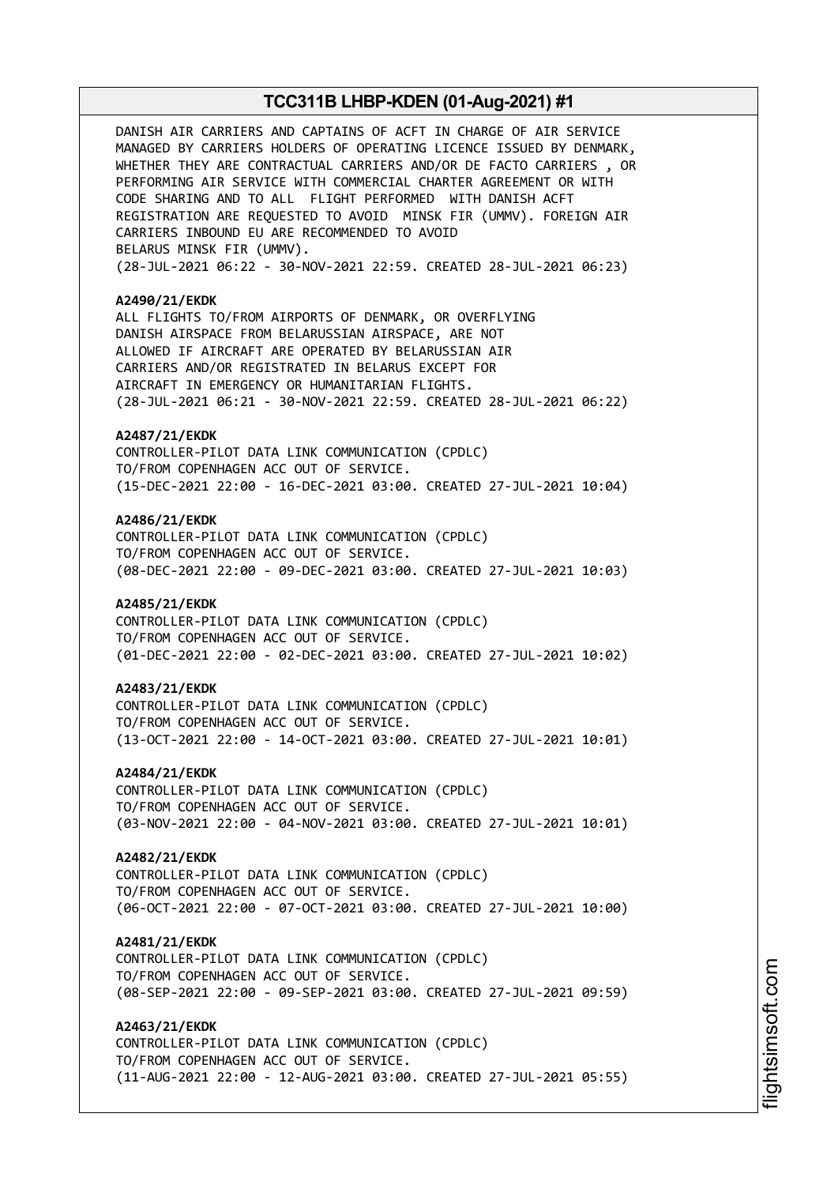DANISH AIR CARRIERS AND CAPTAINS OF ACFT IN CHARGE OF AIR SERVICE MANAGED BY CARRIERS HOLDERS OF OPERATING LICENCE ISSUED BY DENMARK, WHETHER THEY ARE CONTRACTUAL CARRIERS AND/OR DE FACTO CARRIERS , OR PERFORMING AIR SERVICE WITH COMMERCIAL CHARTER AGREEMENT OR WITH CODE SHARING AND TO ALL FLIGHT PERFORMED WITH DANISH ACFT REGISTRATION ARE REQUESTED TO AVOID MINSK FIR (UMMV). FOREIGN AIR CARRIERS INBOUND EU ARE RECOMMENDED TO AVOID BELARUS MINSK FIR (UMMV). (28-JUL-2021 06:22 - 30-NOV-2021 22:59. CREATED 28-JUL-2021 06:23) **A2490/21/EKDK** ALL FLIGHTS TO/FROM AIRPORTS OF DENMARK, OR OVERFLYING DANISH AIRSPACE FROM BELARUSSIAN AIRSPACE, ARE NOT ALLOWED IF AIRCRAFT ARE OPERATED BY BELARUSSIAN AIR CARRIERS AND/OR REGISTRATED IN BELARUS EXCEPT FOR AIRCRAFT IN EMERGENCY OR HUMANITARIAN FLIGHTS. (28-JUL-2021 06:21 - 30-NOV-2021 22:59. CREATED 28-JUL-2021 06:22) **A2487/21/EKDK** CONTROLLER-PILOT DATA LINK COMMUNICATION (CPDLC) TO/FROM COPENHAGEN ACC OUT OF SERVICE. (15-DEC-2021 22:00 - 16-DEC-2021 03:00. CREATED 27-JUL-2021 10:04) **A2486/21/EKDK** CONTROLLER-PILOT DATA LINK COMMUNICATION (CPDLC) TO/FROM COPENHAGEN ACC OUT OF SERVICE. (08-DEC-2021 22:00 - 09-DEC-2021 03:00. CREATED 27-JUL-2021 10:03) **A2485/21/EKDK** CONTROLLER-PILOT DATA LINK COMMUNICATION (CPDLC) TO/FROM COPENHAGEN ACC OUT OF SERVICE. (01-DEC-2021 22:00 - 02-DEC-2021 03:00. CREATED 27-JUL-2021 10:02) **A2483/21/EKDK** CONTROLLER-PILOT DATA LINK COMMUNICATION (CPDLC) TO/FROM COPENHAGEN ACC OUT OF SERVICE. (13-OCT-2021 22:00 - 14-OCT-2021 03:00. CREATED 27-JUL-2021 10:01) **A2484/21/EKDK** CONTROLLER-PILOT DATA LINK COMMUNICATION (CPDLC) TO/FROM COPENHAGEN ACC OUT OF SERVICE. (03-NOV-2021 22:00 - 04-NOV-2021 03:00. CREATED 27-JUL-2021 10:01) **A2482/21/EKDK** CONTROLLER-PILOT DATA LINK COMMUNICATION (CPDLC) TO/FROM COPENHAGEN ACC OUT OF SERVICE. (06-OCT-2021 22:00 - 07-OCT-2021 03:00. CREATED 27-JUL-2021 10:00) **A2481/21/EKDK** CONTROLLER-PILOT DATA LINK COMMUNICATION (CPDLC) TO/FROM COPENHAGEN ACC OUT OF SERVICE. (08-SEP-2021 22:00 - 09-SEP-2021 03:00. CREATED 27-JUL-2021 09:59) **A2463/21/EKDK** CONTROLLER-PILOT DATA LINK COMMUNICATION (CPDLC) TO/FROM COPENHAGEN ACC OUT OF SERVICE. (11-AUG-2021 22:00 - 12-AUG-2021 03:00. CREATED 27-JUL-2021 05:55)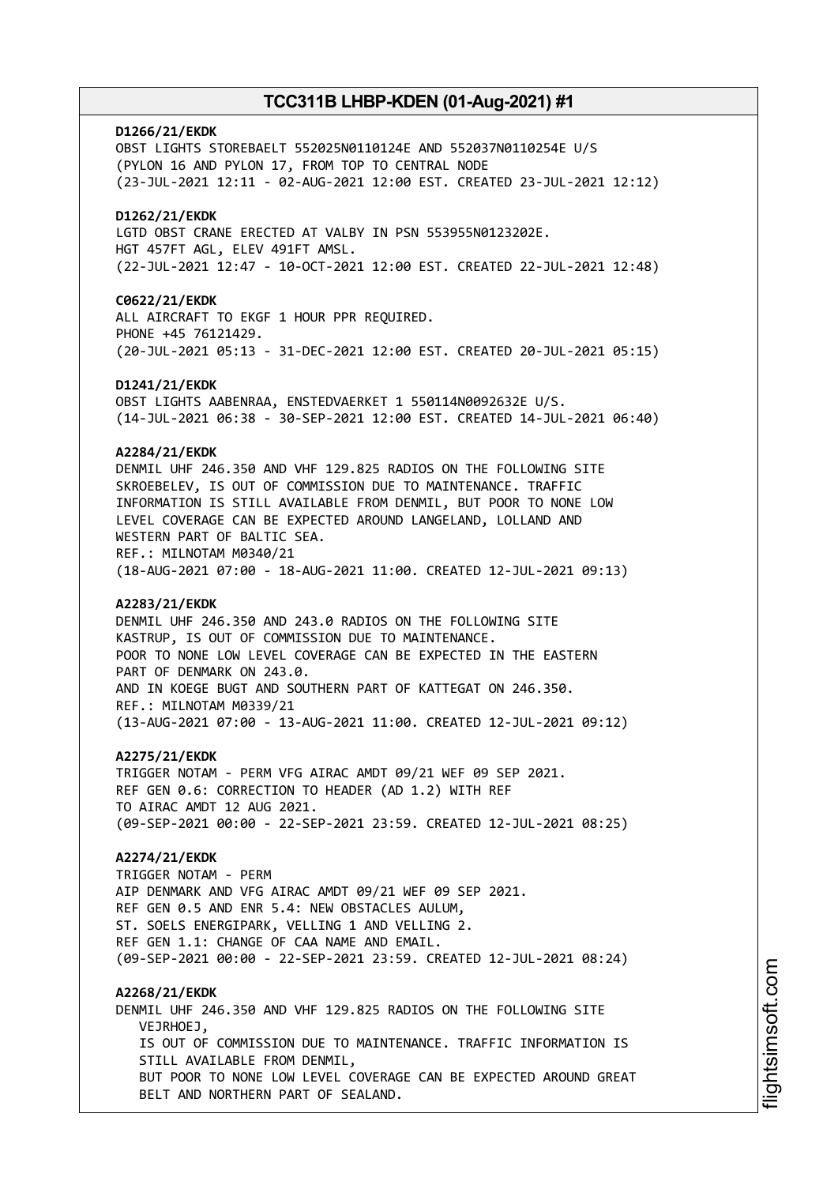# **D1266/21/EKDK** OBST LIGHTS STOREBAELT 552025N0110124E AND 552037N0110254E U/S (PYLON 16 AND PYLON 17, FROM TOP TO CENTRAL NODE (23-JUL-2021 12:11 - 02-AUG-2021 12:00 EST. CREATED 23-JUL-2021 12:12) **D1262/21/EKDK** LGTD OBST CRANE ERECTED AT VALBY IN PSN 553955N0123202E. HGT 457FT AGL, ELEV 491FT AMSL. (22-JUL-2021 12:47 - 10-OCT-2021 12:00 EST. CREATED 22-JUL-2021 12:48) **C0622/21/EKDK** ALL AIRCRAFT TO EKGF 1 HOUR PPR REQUIRED. PHONE +45 76121429. (20-JUL-2021 05:13 - 31-DEC-2021 12:00 EST. CREATED 20-JUL-2021 05:15) **D1241/21/EKDK** OBST LIGHTS AABENRAA, ENSTEDVAERKET 1 550114N0092632E U/S. (14-JUL-2021 06:38 - 30-SEP-2021 12:00 EST. CREATED 14-JUL-2021 06:40) **A2284/21/EKDK** DENMIL UHF 246.350 AND VHF 129.825 RADIOS ON THE FOLLOWING SITE SKROEBELEV, IS OUT OF COMMISSION DUE TO MAINTENANCE. TRAFFIC INFORMATION IS STILL AVAILABLE FROM DENMIL, BUT POOR TO NONE LOW LEVEL COVERAGE CAN BE EXPECTED AROUND LANGELAND, LOLLAND AND WESTERN PART OF BALTIC SEA. REF.: MILNOTAM M0340/21 (18-AUG-2021 07:00 - 18-AUG-2021 11:00. CREATED 12-JUL-2021 09:13) **A2283/21/EKDK** DENMIL UHF 246.350 AND 243.0 RADIOS ON THE FOLLOWING SITE KASTRUP, IS OUT OF COMMISSION DUE TO MAINTENANCE. POOR TO NONE LOW LEVEL COVERAGE CAN BE EXPECTED IN THE EASTERN PART OF DENMARK ON 243.0. AND IN KOEGE BUGT AND SOUTHERN PART OF KATTEGAT ON 246.350. REF.: MILNOTAM M0339/21 (13-AUG-2021 07:00 - 13-AUG-2021 11:00. CREATED 12-JUL-2021 09:12) **A2275/21/EKDK** TRIGGER NOTAM - PERM VFG AIRAC AMDT 09/21 WEF 09 SEP 2021. REF GEN 0.6: CORRECTION TO HEADER (AD 1.2) WITH REF TO AIRAC AMDT 12 AUG 2021. (09-SEP-2021 00:00 - 22-SEP-2021 23:59. CREATED 12-JUL-2021 08:25) **A2274/21/EKDK** TRIGGER NOTAM - PERM AIP DENMARK AND VFG AIRAC AMDT 09/21 WEF 09 SEP 2021. REF GEN 0.5 AND ENR 5.4: NEW OBSTACLES AULUM, ST. SOELS ENERGIPARK, VELLING 1 AND VELLING 2. REF GEN 1.1: CHANGE OF CAA NAME AND EMAIL. (09-SEP-2021 00:00 - 22-SEP-2021 23:59. CREATED 12-JUL-2021 08:24) **A2268/21/EKDK** DENMIL UHF 246.350 AND VHF 129.825 RADIOS ON THE FOLLOWING SITE VEJRHOEJ, IS OUT OF COMMISSION DUE TO MAINTENANCE. TRAFFIC INFORMATION IS STILL AVAILABLE FROM DENMIL, BUT POOR TO NONE LOW LEVEL COVERAGE CAN BE EXPECTED AROUND GREAT BELT AND NORTHERN PART OF SEALAND.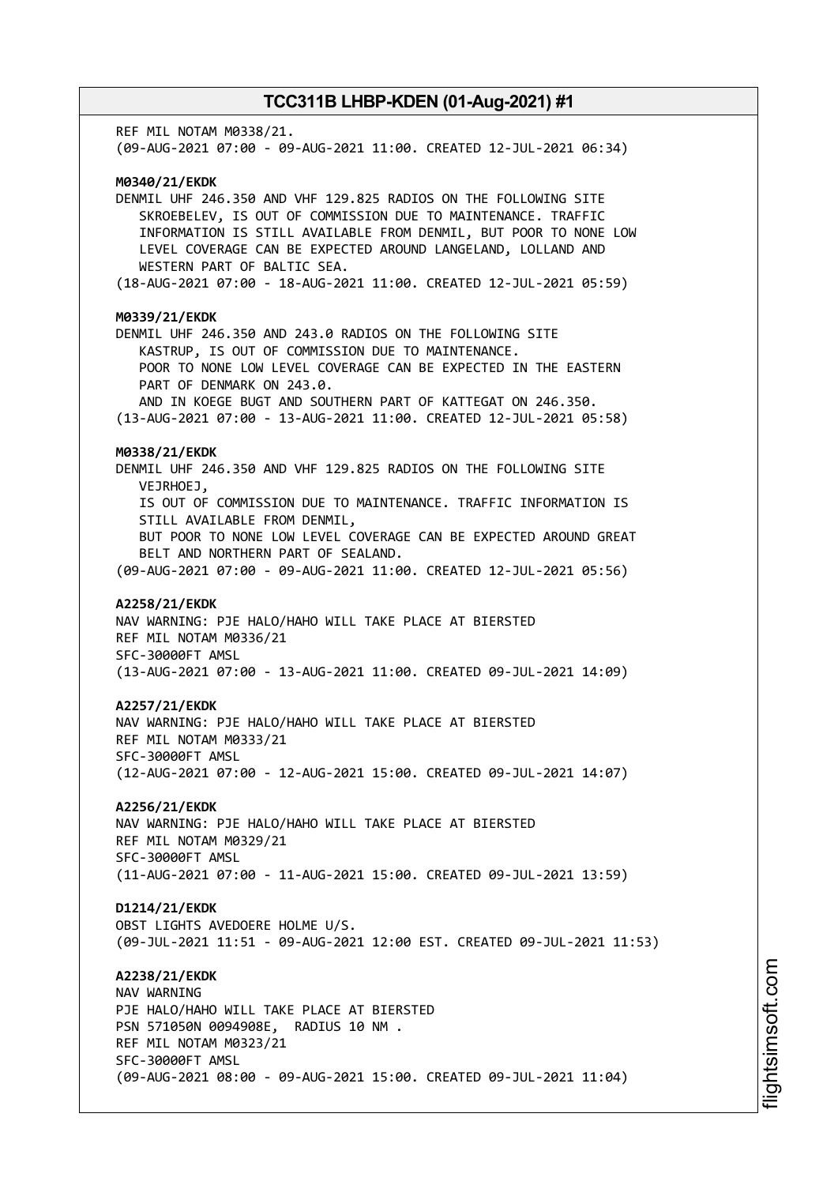REF MIL NOTAM M0338/21. (09-AUG-2021 07:00 - 09-AUG-2021 11:00. CREATED 12-JUL-2021 06:34) **M0340/21/EKDK** DENMIL UHF 246.350 AND VHF 129.825 RADIOS ON THE FOLLOWING SITE SKROEBELEV, IS OUT OF COMMISSION DUE TO MAINTENANCE. TRAFFIC INFORMATION IS STILL AVAILABLE FROM DENMIL, BUT POOR TO NONE LOW LEVEL COVERAGE CAN BE EXPECTED AROUND LANGELAND, LOLLAND AND WESTERN PART OF BALTIC SEA. (18-AUG-2021 07:00 - 18-AUG-2021 11:00. CREATED 12-JUL-2021 05:59) **M0339/21/EKDK** DENMIL UHF 246.350 AND 243.0 RADIOS ON THE FOLLOWING SITE KASTRUP, IS OUT OF COMMISSION DUE TO MAINTENANCE. POOR TO NONE LOW LEVEL COVERAGE CAN BE EXPECTED IN THE EASTERN PART OF DENMARK ON 243.0. AND IN KOEGE BUGT AND SOUTHERN PART OF KATTEGAT ON 246.350. (13-AUG-2021 07:00 - 13-AUG-2021 11:00. CREATED 12-JUL-2021 05:58) **M0338/21/EKDK** DENMIL UHF 246.350 AND VHF 129.825 RADIOS ON THE FOLLOWING SITE VEJRHOEJ, IS OUT OF COMMISSION DUE TO MAINTENANCE. TRAFFIC INFORMATION IS STILL AVAILABLE FROM DENMIL, BUT POOR TO NONE LOW LEVEL COVERAGE CAN BE EXPECTED AROUND GREAT BELT AND NORTHERN PART OF SEALAND. (09-AUG-2021 07:00 - 09-AUG-2021 11:00. CREATED 12-JUL-2021 05:56) **A2258/21/EKDK** NAV WARNING: PJE HALO/HAHO WILL TAKE PLACE AT BIERSTED REF MIL NOTAM M0336/21 SFC-30000FT AMSL (13-AUG-2021 07:00 - 13-AUG-2021 11:00. CREATED 09-JUL-2021 14:09) **A2257/21/EKDK** NAV WARNING: PJE HALO/HAHO WILL TAKE PLACE AT BIERSTED REF MIL NOTAM M0333/21 SFC-30000FT AMSL (12-AUG-2021 07:00 - 12-AUG-2021 15:00. CREATED 09-JUL-2021 14:07) **A2256/21/EKDK** NAV WARNING: PJE HALO/HAHO WILL TAKE PLACE AT BIERSTED REF MIL NOTAM M0329/21 SFC-30000FT AMSL (11-AUG-2021 07:00 - 11-AUG-2021 15:00. CREATED 09-JUL-2021 13:59) **D1214/21/EKDK** OBST LIGHTS AVEDOERE HOLME U/S. (09-JUL-2021 11:51 - 09-AUG-2021 12:00 EST. CREATED 09-JUL-2021 11:53) **A2238/21/EKDK** NAV WARNING PJE HALO/HAHO WILL TAKE PLACE AT BIERSTED PSN 571050N 0094908E, RADIUS 10 NM . REF MIL NOTAM M0323/21 SFC-30000FT AMSL (09-AUG-2021 08:00 - 09-AUG-2021 15:00. CREATED 09-JUL-2021 11:04)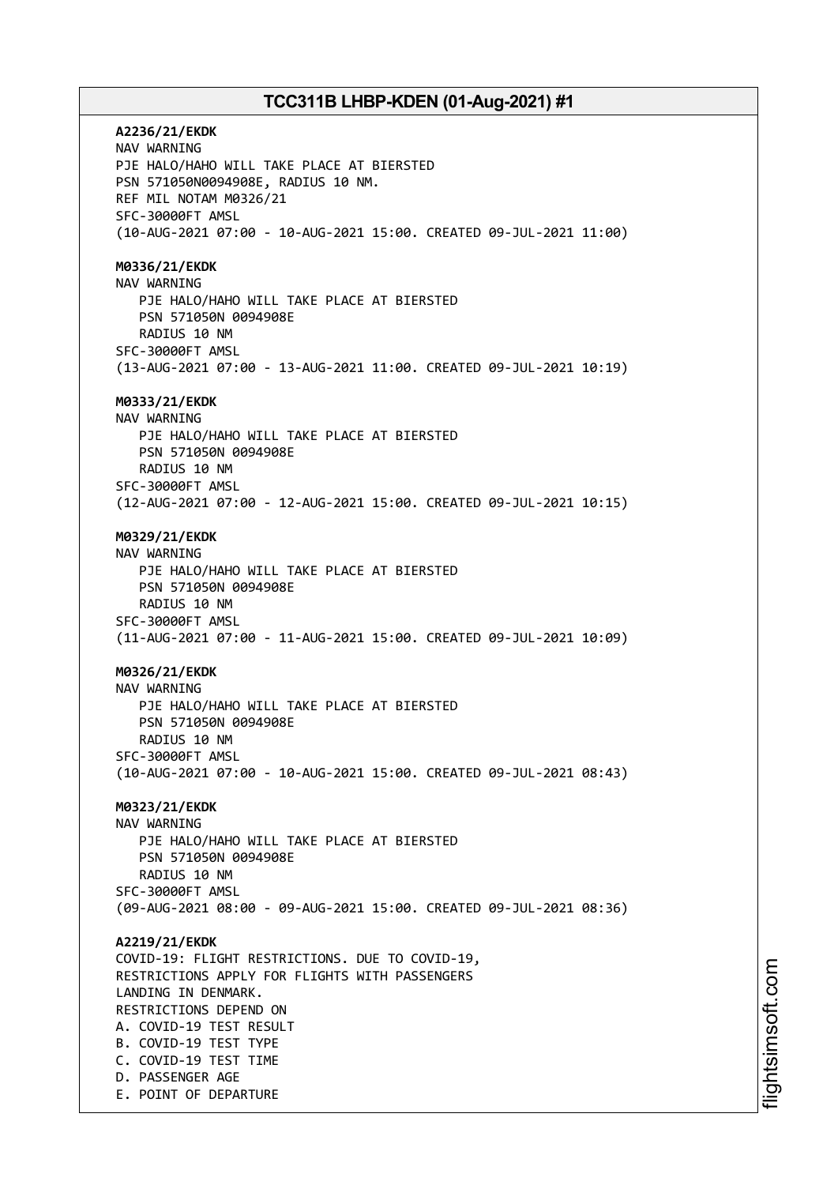**A2236/21/EKDK** NAV WARNING PJE HALO/HAHO WILL TAKE PLACE AT BIERSTED PSN 571050N0094908E, RADIUS 10 NM. REF MIL NOTAM M0326/21 SFC-30000FT AMSL (10-AUG-2021 07:00 - 10-AUG-2021 15:00. CREATED 09-JUL-2021 11:00) **M0336/21/EKDK** NAV WARNING PJE HALO/HAHO WILL TAKE PLACE AT BIERSTED PSN 571050N 0094908E RADIUS 10 NM SFC-30000FT AMSL (13-AUG-2021 07:00 - 13-AUG-2021 11:00. CREATED 09-JUL-2021 10:19) **M0333/21/EKDK** NAV WARNING PJE HALO/HAHO WILL TAKE PLACE AT BIERSTED PSN 571050N 0094908E RADIUS 10 NM SFC-30000FT AMSL (12-AUG-2021 07:00 - 12-AUG-2021 15:00. CREATED 09-JUL-2021 10:15) **M0329/21/EKDK** NAV WARNING PJE HALO/HAHO WILL TAKE PLACE AT BIERSTED PSN 571050N 0094908E RADIUS 10 NM SFC-30000FT AMSL (11-AUG-2021 07:00 - 11-AUG-2021 15:00. CREATED 09-JUL-2021 10:09) **M0326/21/EKDK** NAV WARNING PJE HALO/HAHO WILL TAKE PLACE AT BIERSTED PSN 571050N 0094908E RADIUS 10 NM SFC-30000FT AMSL (10-AUG-2021 07:00 - 10-AUG-2021 15:00. CREATED 09-JUL-2021 08:43) **M0323/21/EKDK** NAV WARNING PJE HALO/HAHO WILL TAKE PLACE AT BIERSTED PSN 571050N 0094908E RADIUS 10 NM SFC-30000FT AMSL (09-AUG-2021 08:00 - 09-AUG-2021 15:00. CREATED 09-JUL-2021 08:36) **A2219/21/EKDK** COVID-19: FLIGHT RESTRICTIONS. DUE TO COVID-19, RESTRICTIONS APPLY FOR FLIGHTS WITH PASSENGERS LANDING IN DENMARK. RESTRICTIONS DEPEND ON A. COVID-19 TEST RESULT B. COVID-19 TEST TYPE C. COVID-19 TEST TIME D. PASSENGER AGE E. POINT OF DEPARTURE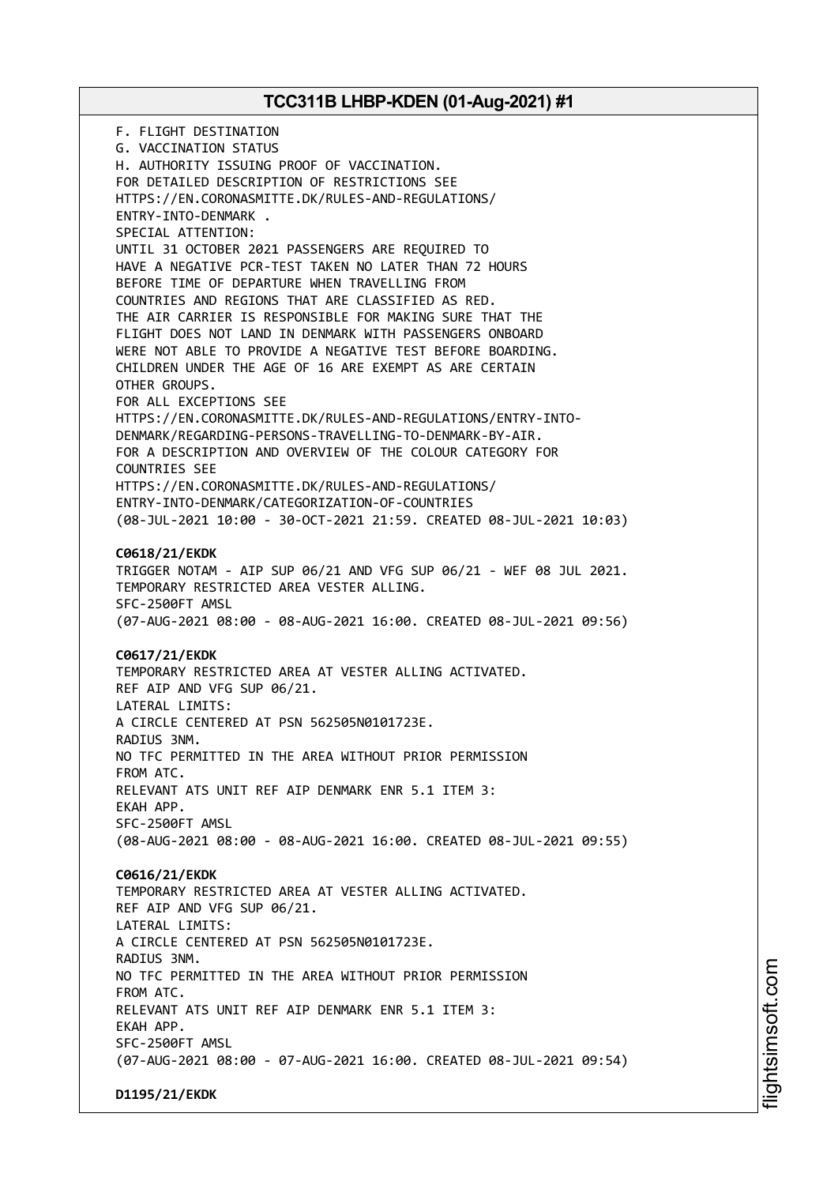F. FLIGHT DESTINATION G. VACCINATION STATUS H. AUTHORITY ISSUING PROOF OF VACCINATION. FOR DETAILED DESCRIPTION OF RESTRICTIONS SEE HTTPS://EN.CORONASMITTE.DK/RULES-AND-REGULATIONS/ ENTRY-INTO-DENMARK . SPECIAL ATTENTION: UNTIL 31 OCTOBER 2021 PASSENGERS ARE REQUIRED TO HAVE A NEGATIVE PCR-TEST TAKEN NO LATER THAN 72 HOURS BEFORE TIME OF DEPARTURE WHEN TRAVELLING FROM COUNTRIES AND REGIONS THAT ARE CLASSIFIED AS RED. THE AIR CARRIER IS RESPONSIBLE FOR MAKING SURE THAT THE FLIGHT DOES NOT LAND IN DENMARK WITH PASSENGERS ONBOARD WERE NOT ABLE TO PROVIDE A NEGATIVE TEST BEFORE BOARDING. CHILDREN UNDER THE AGE OF 16 ARE EXEMPT AS ARE CERTAIN OTHER GROUPS. FOR ALL EXCEPTIONS SEE HTTPS://EN.CORONASMITTE.DK/RULES-AND-REGULATIONS/ENTRY-INTO-DENMARK/REGARDING-PERSONS-TRAVELLING-TO-DENMARK-BY-AIR. FOR A DESCRIPTION AND OVERVIEW OF THE COLOUR CATEGORY FOR COUNTRIES SEE HTTPS://EN.CORONASMITTE.DK/RULES-AND-REGULATIONS/ ENTRY-INTO-DENMARK/CATEGORIZATION-OF-COUNTRIES (08-JUL-2021 10:00 - 30-OCT-2021 21:59. CREATED 08-JUL-2021 10:03) **C0618/21/EKDK** TRIGGER NOTAM - AIP SUP 06/21 AND VFG SUP 06/21 - WEF 08 JUL 2021. TEMPORARY RESTRICTED AREA VESTER ALLING. SFC-2500FT AMSL (07-AUG-2021 08:00 - 08-AUG-2021 16:00. CREATED 08-JUL-2021 09:56) **C0617/21/EKDK** TEMPORARY RESTRICTED AREA AT VESTER ALLING ACTIVATED. REF AIP AND VFG SUP 06/21. LATERAL LIMITS: A CIRCLE CENTERED AT PSN 562505N0101723E. RADIUS 3NM. NO TFC PERMITTED IN THE AREA WITHOUT PRIOR PERMISSION FROM ATC. RELEVANT ATS UNIT REF AIP DENMARK ENR 5.1 ITEM 3: EKAH APP. SFC-2500FT AMSL (08-AUG-2021 08:00 - 08-AUG-2021 16:00. CREATED 08-JUL-2021 09:55) **C0616/21/EKDK** TEMPORARY RESTRICTED AREA AT VESTER ALLING ACTIVATED. REF AIP AND VFG SUP 06/21. LATERAL LIMITS: A CIRCLE CENTERED AT PSN 562505N0101723E. RADIUS 3NM. NO TFC PERMITTED IN THE AREA WITHOUT PRIOR PERMISSION FROM ATC. RELEVANT ATS UNIT REF AIP DENMARK ENR 5.1 ITEM 3: EKAH APP. SFC-2500FT AMSL (07-AUG-2021 08:00 - 07-AUG-2021 16:00. CREATED 08-JUL-2021 09:54) **D1195/21/EKDK**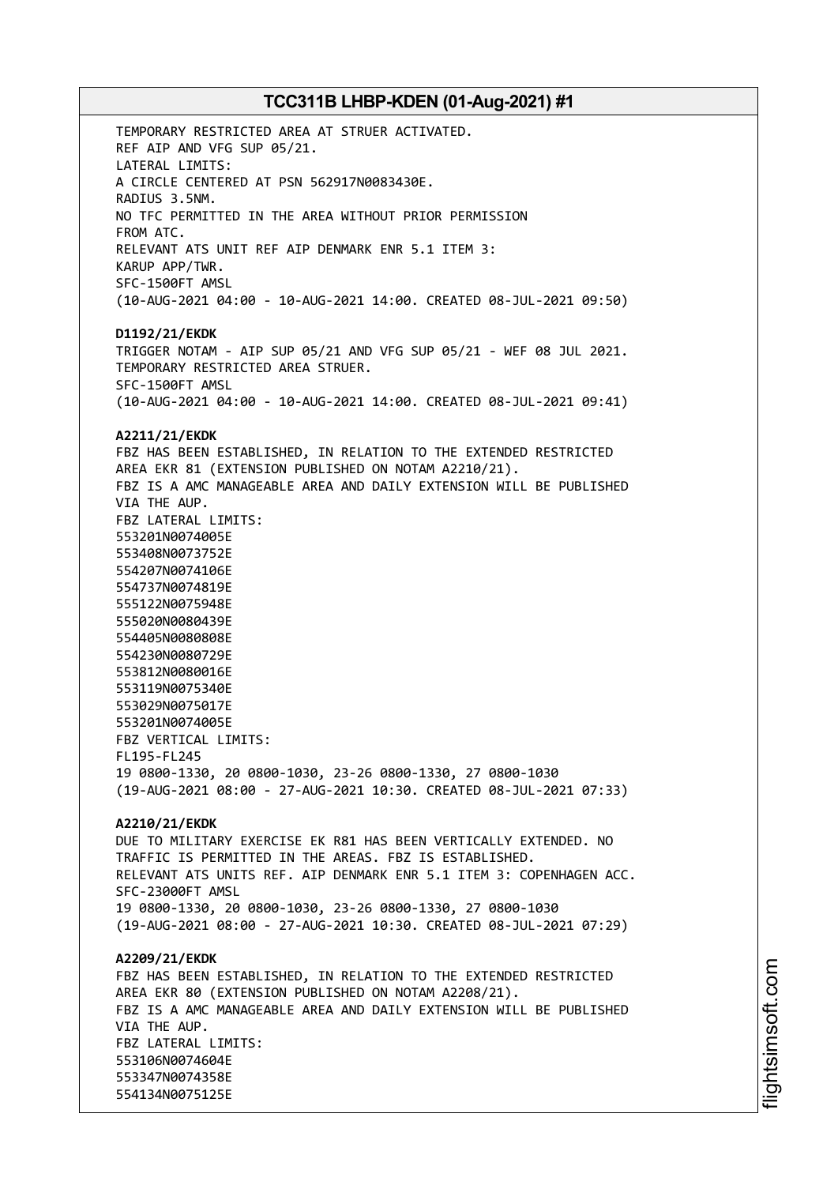TEMPORARY RESTRICTED AREA AT STRUER ACTIVATED. REF AIP AND VFG SUP 05/21. LATERAL LIMITS: A CIRCLE CENTERED AT PSN 562917N0083430E. RADIUS 3.5NM. NO TFC PERMITTED IN THE AREA WITHOUT PRIOR PERMISSION FROM ATC. RELEVANT ATS UNIT REF AIP DENMARK ENR 5.1 ITEM 3: KARUP APP/TWR. SFC-1500FT AMSL (10-AUG-2021 04:00 - 10-AUG-2021 14:00. CREATED 08-JUL-2021 09:50) **D1192/21/EKDK** TRIGGER NOTAM - AIP SUP 05/21 AND VFG SUP 05/21 - WEF 08 JUL 2021. TEMPORARY RESTRICTED AREA STRUER. SFC-1500FT AMSL (10-AUG-2021 04:00 - 10-AUG-2021 14:00. CREATED 08-JUL-2021 09:41) **A2211/21/EKDK** FBZ HAS BEEN ESTABLISHED, IN RELATION TO THE EXTENDED RESTRICTED AREA EKR 81 (EXTENSION PUBLISHED ON NOTAM A2210/21). FBZ IS A AMC MANAGEABLE AREA AND DAILY EXTENSION WILL BE PUBLISHED VIA THE AUP. FBZ LATERAL LIMITS: 553201N0074005E 553408N0073752E 554207N0074106E 554737N0074819E 555122N0075948E 555020N0080439E 554405N0080808E 554230N0080729E 553812N0080016E 553119N0075340E 553029N0075017E 553201N0074005E FBZ VERTICAL LIMITS: FL195-FL245 19 0800-1330, 20 0800-1030, 23-26 0800-1330, 27 0800-1030 (19-AUG-2021 08:00 - 27-AUG-2021 10:30. CREATED 08-JUL-2021 07:33) **A2210/21/EKDK** DUE TO MILITARY EXERCISE EK R81 HAS BEEN VERTICALLY EXTENDED. NO TRAFFIC IS PERMITTED IN THE AREAS. FBZ IS ESTABLISHED. RELEVANT ATS UNITS REF. AIP DENMARK ENR 5.1 ITEM 3: COPENHAGEN ACC. SFC-23000FT AMSL 19 0800-1330, 20 0800-1030, 23-26 0800-1330, 27 0800-1030 (19-AUG-2021 08:00 - 27-AUG-2021 10:30. CREATED 08-JUL-2021 07:29) **A2209/21/EKDK** FBZ HAS BEEN ESTABLISHED, IN RELATION TO THE EXTENDED RESTRICTED AREA EKR 80 (EXTENSION PUBLISHED ON NOTAM A2208/21). FBZ IS A AMC MANAGEABLE AREA AND DAILY EXTENSION WILL BE PUBLISHED VIA THE AUP. FBZ LATERAL LIMITS: 553106N0074604E 553347N0074358E 554134N0075125E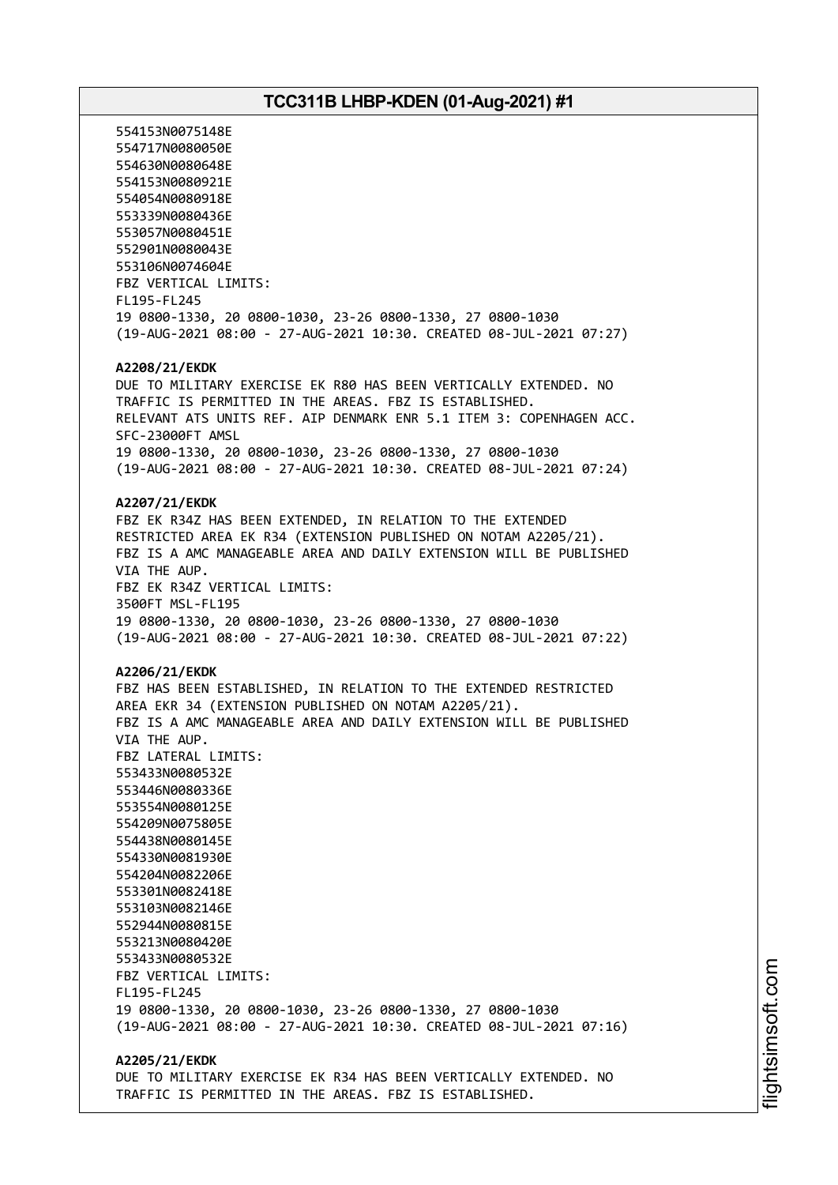554153N0075148E 554717N0080050E 554630N0080648E 554153N0080921E 554054N0080918E 553339N0080436E 553057N0080451E 552901N0080043E 553106N0074604E FBZ VERTICAL LIMITS: FL195-FL245 19 0800-1330, 20 0800-1030, 23-26 0800-1330, 27 0800-1030 (19-AUG-2021 08:00 - 27-AUG-2021 10:30. CREATED 08-JUL-2021 07:27) **A2208/21/EKDK** DUE TO MILITARY EXERCISE EK R80 HAS BEEN VERTICALLY EXTENDED. NO TRAFFIC IS PERMITTED IN THE AREAS. FBZ IS ESTABLISHED. RELEVANT ATS UNITS REF. AIP DENMARK ENR 5.1 ITEM 3: COPENHAGEN ACC. SFC-23000FT AMSL 19 0800-1330, 20 0800-1030, 23-26 0800-1330, 27 0800-1030 (19-AUG-2021 08:00 - 27-AUG-2021 10:30. CREATED 08-JUL-2021 07:24) **A2207/21/EKDK** FBZ EK R34Z HAS BEEN EXTENDED, IN RELATION TO THE EXTENDED RESTRICTED AREA EK R34 (EXTENSION PUBLISHED ON NOTAM A2205/21). FBZ IS A AMC MANAGEABLE AREA AND DAILY EXTENSION WILL BE PUBLISHED VIA THE AUP. FBZ EK R34Z VERTICAL LIMITS: 3500FT MSL-FL195 19 0800-1330, 20 0800-1030, 23-26 0800-1330, 27 0800-1030 (19-AUG-2021 08:00 - 27-AUG-2021 10:30. CREATED 08-JUL-2021 07:22) **A2206/21/EKDK** FBZ HAS BEEN ESTABLISHED, IN RELATION TO THE EXTENDED RESTRICTED AREA EKR 34 (EXTENSION PUBLISHED ON NOTAM A2205/21). FBZ IS A AMC MANAGEABLE AREA AND DAILY EXTENSION WILL BE PUBLISHED VIA THE AUP. FBZ LATERAL LIMITS: 553433N0080532E 553446N0080336E 553554N0080125E 554209N0075805E 554438N0080145E 554330N0081930E 554204N0082206E 553301N0082418E 553103N0082146E 552944N0080815E 553213N0080420E 553433N0080532E FBZ VERTICAL LIMITS: FL195-FL245 19 0800-1330, 20 0800-1030, 23-26 0800-1330, 27 0800-1030 (19-AUG-2021 08:00 - 27-AUG-2021 10:30. CREATED 08-JUL-2021 07:16) **A2205/21/EKDK**

DUE TO MILITARY EXERCISE EK R34 HAS BEEN VERTICALLY EXTENDED. NO TRAFFIC IS PERMITTED IN THE AREAS. FBZ IS ESTABLISHED.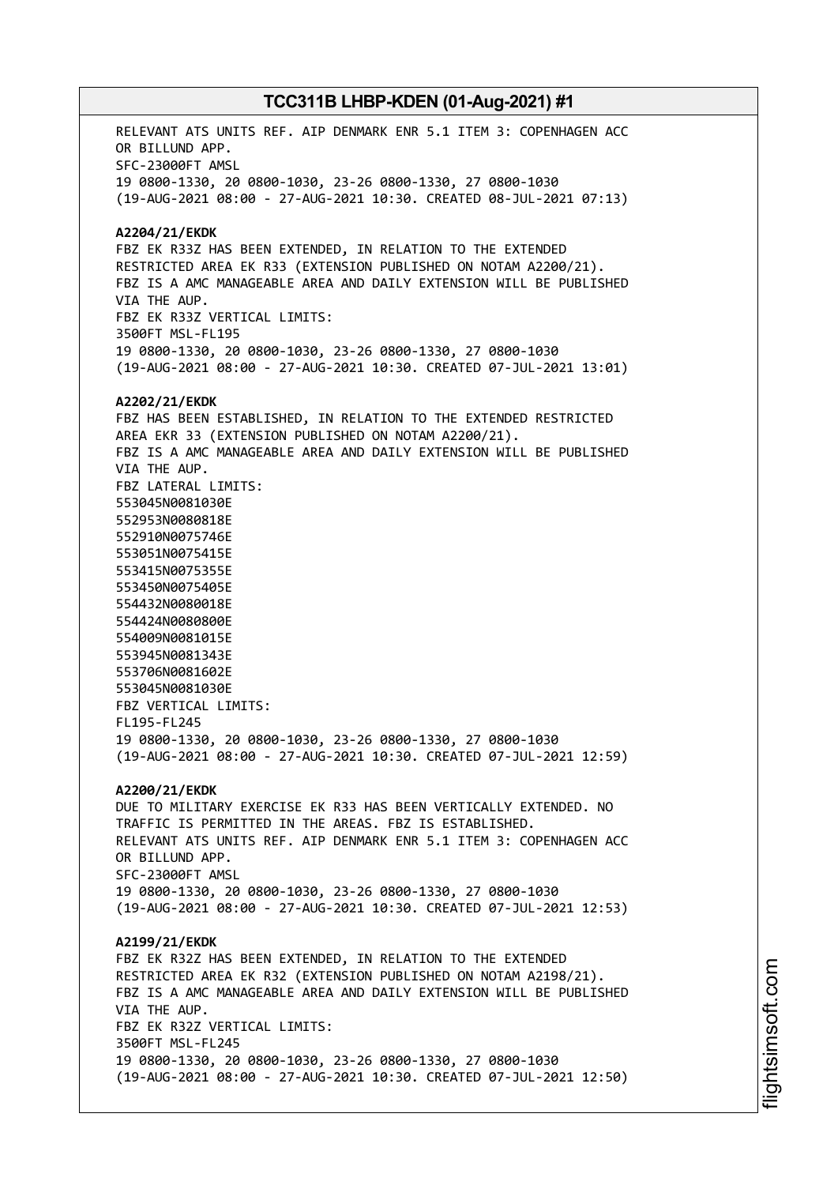RELEVANT ATS UNITS REF. AIP DENMARK ENR 5.1 ITEM 3: COPENHAGEN ACC OR BILLUND APP. SFC-23000FT AMSL 19 0800-1330, 20 0800-1030, 23-26 0800-1330, 27 0800-1030 (19-AUG-2021 08:00 - 27-AUG-2021 10:30. CREATED 08-JUL-2021 07:13) **A2204/21/EKDK** FBZ EK R33Z HAS BEEN EXTENDED, IN RELATION TO THE EXTENDED RESTRICTED AREA EK R33 (EXTENSION PUBLISHED ON NOTAM A2200/21). FBZ IS A AMC MANAGEABLE AREA AND DAILY EXTENSION WILL BE PUBLISHED VIA THE AUP. FBZ EK R33Z VERTICAL LIMITS: 3500FT MSL-FL195 19 0800-1330, 20 0800-1030, 23-26 0800-1330, 27 0800-1030 (19-AUG-2021 08:00 - 27-AUG-2021 10:30. CREATED 07-JUL-2021 13:01) **A2202/21/EKDK** FBZ HAS BEEN ESTABLISHED, IN RELATION TO THE EXTENDED RESTRICTED AREA EKR 33 (EXTENSION PUBLISHED ON NOTAM A2200/21). FBZ IS A AMC MANAGEABLE AREA AND DAILY EXTENSION WILL BE PUBLISHED VIA THE AUP. FBZ LATERAL LIMITS: 553045N0081030E 552953N0080818E 552910N0075746E 553051N0075415E 553415N0075355E 553450N0075405E 554432N0080018E 554424N0080800E 554009N0081015E 553945N0081343E 553706N0081602E 553045N0081030E FBZ VERTICAL LIMITS: FL195-FL245 19 0800-1330, 20 0800-1030, 23-26 0800-1330, 27 0800-1030 (19-AUG-2021 08:00 - 27-AUG-2021 10:30. CREATED 07-JUL-2021 12:59) **A2200/21/EKDK** DUE TO MILITARY EXERCISE EK R33 HAS BEEN VERTICALLY EXTENDED. NO TRAFFIC IS PERMITTED IN THE AREAS. FBZ IS ESTABLISHED. RELEVANT ATS UNITS REF. AIP DENMARK ENR 5.1 ITEM 3: COPENHAGEN ACC OR BILLUND APP. SFC-23000FT AMSL 19 0800-1330, 20 0800-1030, 23-26 0800-1330, 27 0800-1030 (19-AUG-2021 08:00 - 27-AUG-2021 10:30. CREATED 07-JUL-2021 12:53) **A2199/21/EKDK** FBZ EK R32Z HAS BEEN EXTENDED, IN RELATION TO THE EXTENDED RESTRICTED AREA EK R32 (EXTENSION PUBLISHED ON NOTAM A2198/21). FBZ IS A AMC MANAGEABLE AREA AND DAILY EXTENSION WILL BE PUBLISHED VIA THE AUP. FBZ EK R32Z VERTICAL LIMITS: 3500FT MSL-FL245 19 0800-1330, 20 0800-1030, 23-26 0800-1330, 27 0800-1030 (19-AUG-2021 08:00 - 27-AUG-2021 10:30. CREATED 07-JUL-2021 12:50)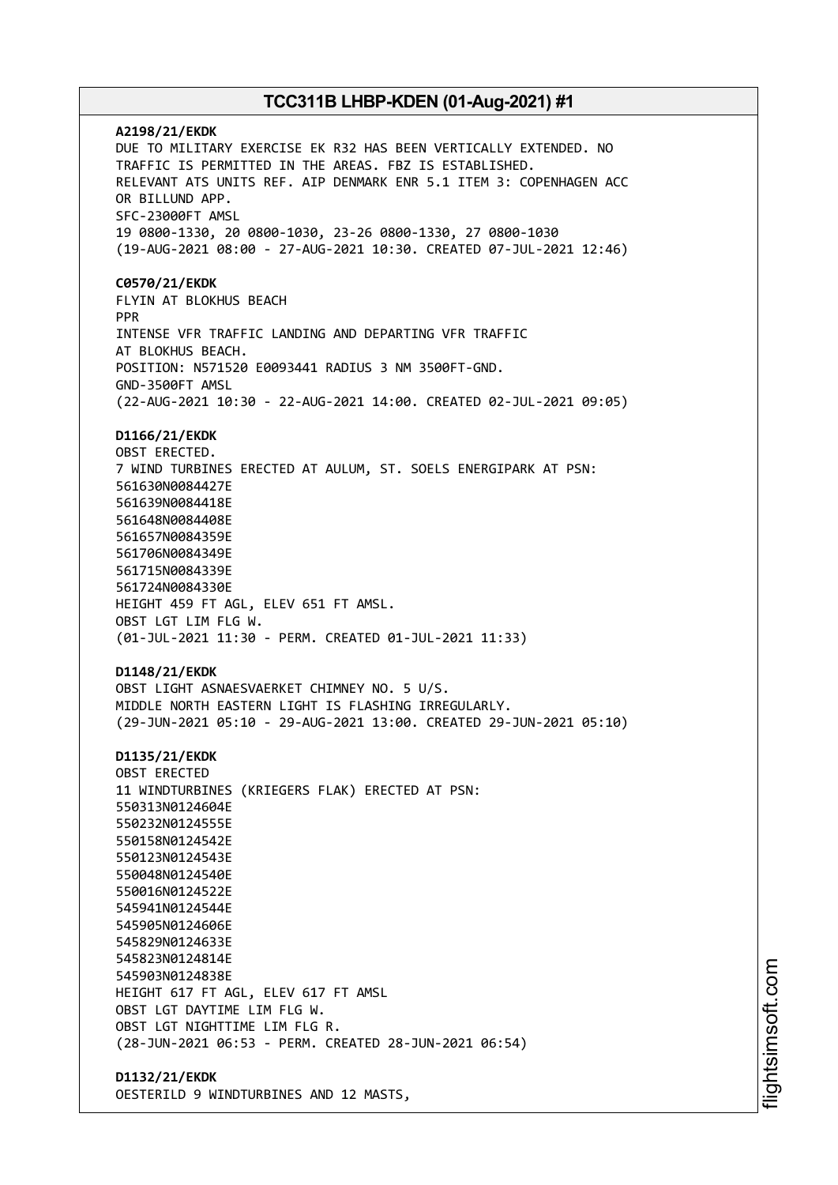**A2198/21/EKDK** DUE TO MILITARY EXERCISE EK R32 HAS BEEN VERTICALLY EXTENDED. NO TRAFFIC IS PERMITTED IN THE AREAS. FBZ IS ESTABLISHED. RELEVANT ATS UNITS REF. AIP DENMARK ENR 5.1 ITEM 3: COPENHAGEN ACC OR BILLUND APP. SFC-23000FT AMSL 19 0800-1330, 20 0800-1030, 23-26 0800-1330, 27 0800-1030 (19-AUG-2021 08:00 - 27-AUG-2021 10:30. CREATED 07-JUL-2021 12:46) **C0570/21/EKDK** FLYIN AT BLOKHUS BEACH PPR INTENSE VFR TRAFFIC LANDING AND DEPARTING VFR TRAFFIC AT BLOKHUS BEACH. POSITION: N571520 E0093441 RADIUS 3 NM 3500FT-GND. GND-3500FT AMSL (22-AUG-2021 10:30 - 22-AUG-2021 14:00. CREATED 02-JUL-2021 09:05) **D1166/21/EKDK** OBST ERECTED. 7 WIND TURBINES ERECTED AT AULUM, ST. SOELS ENERGIPARK AT PSN: 561630N0084427E 561639N0084418E 561648N0084408E 561657N0084359E 561706N0084349E 561715N0084339E 561724N0084330E HEIGHT 459 FT AGL, ELEV 651 FT AMSL. OBST LGT LIM FLG W. (01-JUL-2021 11:30 - PERM. CREATED 01-JUL-2021 11:33) **D1148/21/EKDK** OBST LIGHT ASNAESVAERKET CHIMNEY NO. 5 U/S. MIDDLE NORTH EASTERN LIGHT IS FLASHING IRREGULARLY. (29-JUN-2021 05:10 - 29-AUG-2021 13:00. CREATED 29-JUN-2021 05:10) **D1135/21/EKDK** OBST ERECTED 11 WINDTURBINES (KRIEGERS FLAK) ERECTED AT PSN: 550313N0124604E 550232N0124555E 550158N0124542E 550123N0124543E 550048N0124540E 550016N0124522E 545941N0124544E 545905N0124606E 545829N0124633E 545823N0124814E 545903N0124838E HEIGHT 617 FT AGL, ELEV 617 FT AMSL OBST LGT DAYTIME LIM FLG W. OBST LGT NIGHTTIME LIM FLG R. (28-JUN-2021 06:53 - PERM. CREATED 28-JUN-2021 06:54) **D1132/21/EKDK**

OESTERILD 9 WINDTURBINES AND 12 MASTS,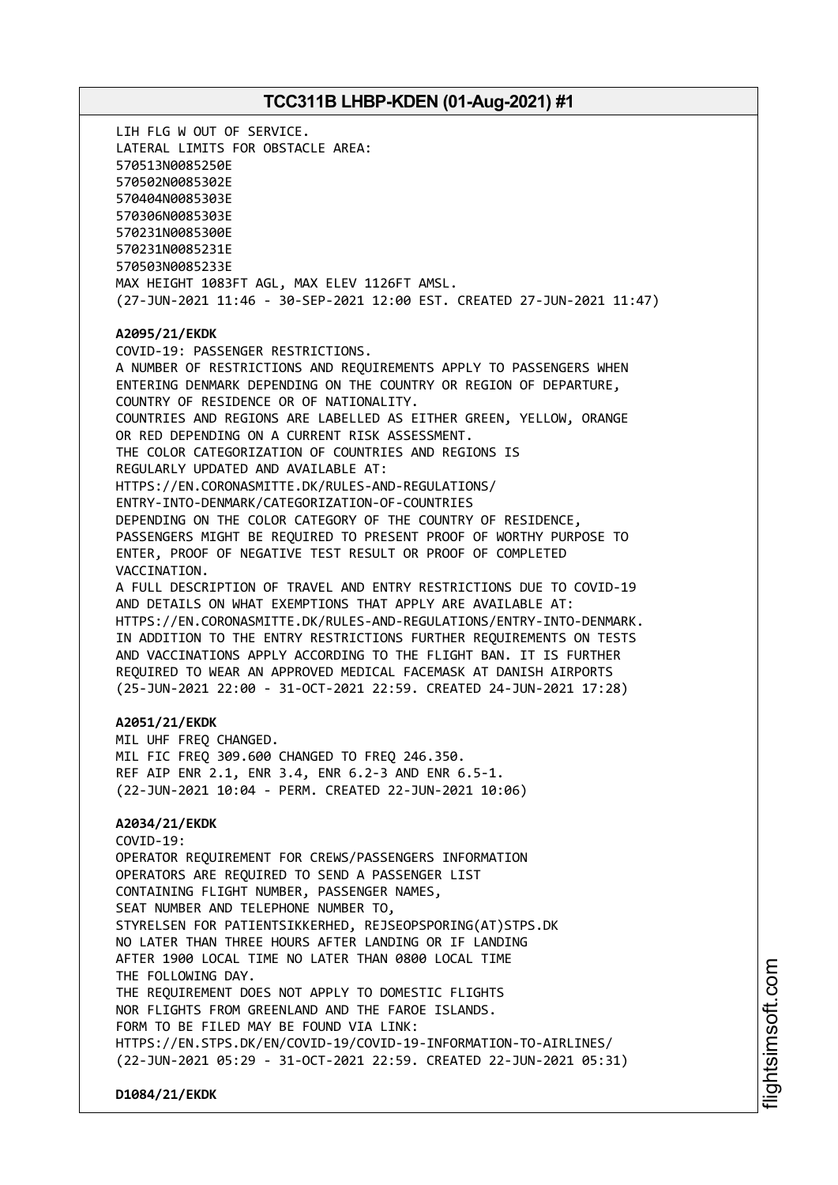LIH FLG W OUT OF SERVICE. LATERAL LIMITS FOR OBSTACLE AREA: 570513N0085250E 570502N0085302E 570404N0085303E 570306N0085303E 570231N0085300E 570231N0085231E 570503N0085233E MAX HEIGHT 1083FT AGL, MAX ELEV 1126FT AMSL. (27-JUN-2021 11:46 - 30-SEP-2021 12:00 EST. CREATED 27-JUN-2021 11:47) **A2095/21/EKDK** COVID-19: PASSENGER RESTRICTIONS. A NUMBER OF RESTRICTIONS AND REQUIREMENTS APPLY TO PASSENGERS WHEN ENTERING DENMARK DEPENDING ON THE COUNTRY OR REGION OF DEPARTURE, COUNTRY OF RESIDENCE OR OF NATIONALITY. COUNTRIES AND REGIONS ARE LABELLED AS EITHER GREEN, YELLOW, ORANGE OR RED DEPENDING ON A CURRENT RISK ASSESSMENT. THE COLOR CATEGORIZATION OF COUNTRIES AND REGIONS IS REGULARLY UPDATED AND AVAILABLE AT: HTTPS://EN.CORONASMITTE.DK/RULES-AND-REGULATIONS/ ENTRY-INTO-DENMARK/CATEGORIZATION-OF-COUNTRIES DEPENDING ON THE COLOR CATEGORY OF THE COUNTRY OF RESIDENCE, PASSENGERS MIGHT BE REQUIRED TO PRESENT PROOF OF WORTHY PURPOSE TO ENTER, PROOF OF NEGATIVE TEST RESULT OR PROOF OF COMPLETED VACCINATION. A FULL DESCRIPTION OF TRAVEL AND ENTRY RESTRICTIONS DUE TO COVID-19 AND DETAILS ON WHAT EXEMPTIONS THAT APPLY ARE AVAILABLE AT: HTTPS://EN.CORONASMITTE.DK/RULES-AND-REGULATIONS/ENTRY-INTO-DENMARK. IN ADDITION TO THE ENTRY RESTRICTIONS FURTHER REQUIREMENTS ON TESTS AND VACCINATIONS APPLY ACCORDING TO THE FLIGHT BAN. IT IS FURTHER REQUIRED TO WEAR AN APPROVED MEDICAL FACEMASK AT DANISH AIRPORTS (25-JUN-2021 22:00 - 31-OCT-2021 22:59. CREATED 24-JUN-2021 17:28) **A2051/21/EKDK** MIL UHF FREQ CHANGED. MIL FIC FREQ 309.600 CHANGED TO FREQ 246.350. REF AIP ENR 2.1, ENR 3.4, ENR 6.2-3 AND ENR 6.5-1. (22-JUN-2021 10:04 - PERM. CREATED 22-JUN-2021 10:06) **A2034/21/EKDK** COVID-19: OPERATOR REQUIREMENT FOR CREWS/PASSENGERS INFORMATION OPERATORS ARE REQUIRED TO SEND A PASSENGER LIST CONTAINING FLIGHT NUMBER, PASSENGER NAMES, SEAT NUMBER AND TELEPHONE NUMBER TO, STYRELSEN FOR PATIENTSIKKERHED, REJSEOPSPORING(AT)STPS.DK NO LATER THAN THREE HOURS AFTER LANDING OR IF LANDING AFTER 1900 LOCAL TIME NO LATER THAN 0800 LOCAL TIME THE FOLLOWING DAY. THE REQUIREMENT DOES NOT APPLY TO DOMESTIC FLIGHTS NOR FLIGHTS FROM GREENLAND AND THE FAROE ISLANDS. FORM TO BE FILED MAY BE FOUND VIA LINK: HTTPS://EN.STPS.DK/EN/COVID-19/COVID-19-INFORMATION-TO-AIRLINES/ (22-JUN-2021 05:29 - 31-OCT-2021 22:59. CREATED 22-JUN-2021 05:31)

**D1084/21/EKDK**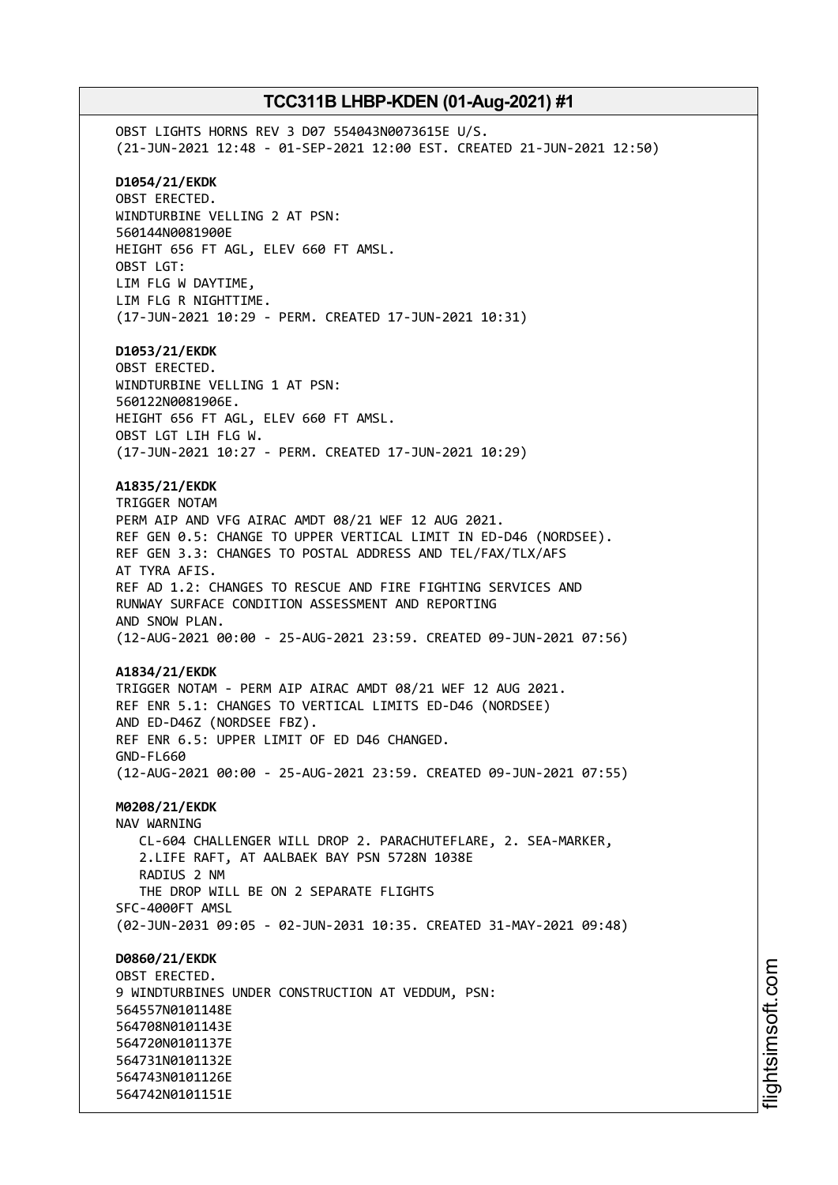OBST LIGHTS HORNS REV 3 D07 554043N0073615E U/S. (21-JUN-2021 12:48 - 01-SEP-2021 12:00 EST. CREATED 21-JUN-2021 12:50) **D1054/21/EKDK** OBST ERECTED. WINDTURBINE VELLING 2 AT PSN: 560144N0081900E HEIGHT 656 FT AGL, ELEV 660 FT AMSL. OBST LGT: LIM FLG W DAYTIME, LIM FLG R NIGHTTIME. (17-JUN-2021 10:29 - PERM. CREATED 17-JUN-2021 10:31) **D1053/21/EKDK** OBST ERECTED. WINDTURBINE VELLING 1 AT PSN: 560122N0081906E. HEIGHT 656 FT AGL, ELEV 660 FT AMSL. OBST LGT LIH FLG W. (17-JUN-2021 10:27 - PERM. CREATED 17-JUN-2021 10:29) **A1835/21/EKDK** TRIGGER NOTAM PERM AIP AND VFG AIRAC AMDT 08/21 WEF 12 AUG 2021. REF GEN 0.5: CHANGE TO UPPER VERTICAL LIMIT IN ED-D46 (NORDSEE). REF GEN 3.3: CHANGES TO POSTAL ADDRESS AND TEL/FAX/TLX/AFS AT TYRA AFIS. REF AD 1.2: CHANGES TO RESCUE AND FIRE FIGHTING SERVICES AND RUNWAY SURFACE CONDITION ASSESSMENT AND REPORTING AND SNOW PLAN. (12-AUG-2021 00:00 - 25-AUG-2021 23:59. CREATED 09-JUN-2021 07:56) **A1834/21/EKDK** TRIGGER NOTAM - PERM AIP AIRAC AMDT 08/21 WEF 12 AUG 2021. REF ENR 5.1: CHANGES TO VERTICAL LIMITS ED-D46 (NORDSEE) AND ED-D46Z (NORDSEE FBZ). REF ENR 6.5: UPPER LIMIT OF ED D46 CHANGED. GND-FL660 (12-AUG-2021 00:00 - 25-AUG-2021 23:59. CREATED 09-JUN-2021 07:55) **M0208/21/EKDK** NAV WARNING CL-604 CHALLENGER WILL DROP 2. PARACHUTEFLARE, 2. SEA-MARKER, 2.LIFE RAFT, AT AALBAEK BAY PSN 5728N 1038E RADIUS 2 NM THE DROP WILL BE ON 2 SEPARATE FLIGHTS SFC-4000FT AMSL (02-JUN-2031 09:05 - 02-JUN-2031 10:35. CREATED 31-MAY-2021 09:48) **D0860/21/EKDK** OBST ERECTED. 9 WINDTURBINES UNDER CONSTRUCTION AT VEDDUM, PSN: 564557N0101148E 564708N0101143E 564720N0101137E 564731N0101132E 564743N0101126E 564742N0101151E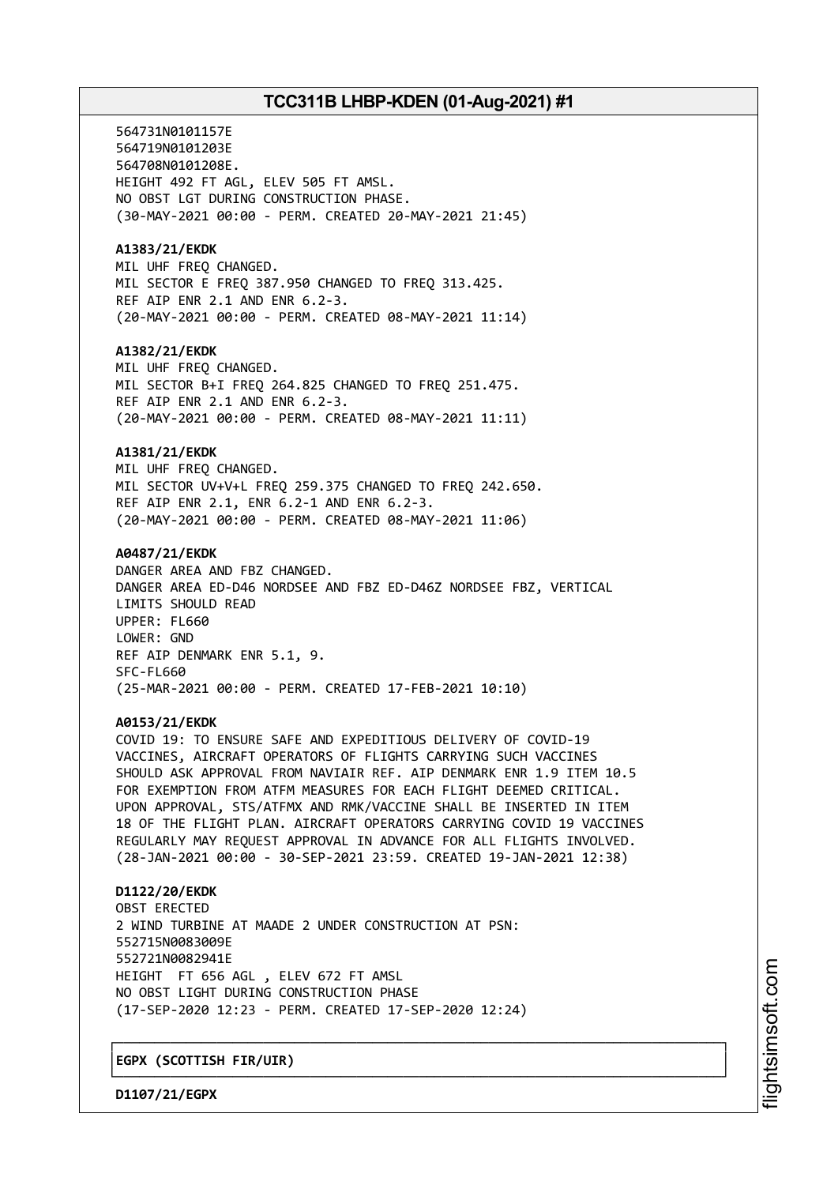564731N0101157E 564719N0101203E 564708N0101208E. HEIGHT 492 FT AGL, ELEV 505 FT AMSL. NO OBST LGT DURING CONSTRUCTION PHASE. (30-MAY-2021 00:00 - PERM. CREATED 20-MAY-2021 21:45) **A1383/21/EKDK** MIL UHF FREQ CHANGED. MIL SECTOR E FREQ 387.950 CHANGED TO FREQ 313.425. REF AIP ENR 2.1 AND ENR 6.2-3. (20-MAY-2021 00:00 - PERM. CREATED 08-MAY-2021 11:14) **A1382/21/EKDK** MIL UHF FREQ CHANGED. MIL SECTOR B+I FREQ 264.825 CHANGED TO FREQ 251.475. REF AIP ENR 2.1 AND ENR 6.2-3. (20-MAY-2021 00:00 - PERM. CREATED 08-MAY-2021 11:11) **A1381/21/EKDK** MIL UHF FREQ CHANGED. MIL SECTOR UV+V+L FREQ 259.375 CHANGED TO FREQ 242.650. REF AIP ENR 2.1, ENR 6.2-1 AND ENR 6.2-3. (20-MAY-2021 00:00 - PERM. CREATED 08-MAY-2021 11:06) **A0487/21/EKDK** DANGER AREA AND FBZ CHANGED. DANGER AREA ED-D46 NORDSEE AND FBZ ED-D46Z NORDSEE FBZ, VERTICAL LIMITS SHOULD READ UPPER: FL660 LOWER: GND REF AIP DENMARK ENR 5.1, 9. SFC-FL660 (25-MAR-2021 00:00 - PERM. CREATED 17-FEB-2021 10:10) **A0153/21/EKDK** COVID 19: TO ENSURE SAFE AND EXPEDITIOUS DELIVERY OF COVID-19 VACCINES, AIRCRAFT OPERATORS OF FLIGHTS CARRYING SUCH VACCINES SHOULD ASK APPROVAL FROM NAVIAIR REF. AIP DENMARK ENR 1.9 ITEM 10.5 FOR EXEMPTION FROM ATFM MEASURES FOR EACH FLIGHT DEEMED CRITICAL. UPON APPROVAL, STS/ATFMX AND RMK/VACCINE SHALL BE INSERTED IN ITEM 18 OF THE FLIGHT PLAN. AIRCRAFT OPERATORS CARRYING COVID 19 VACCINES REGULARLY MAY REQUEST APPROVAL IN ADVANCE FOR ALL FLIGHTS INVOLVED. (28-JAN-2021 00:00 - 30-SEP-2021 23:59. CREATED 19-JAN-2021 12:38) **D1122/20/EKDK** OBST ERECTED 2 WIND TURBINE AT MAADE 2 UNDER CONSTRUCTION AT PSN: 552715N0083009E 552721N0082941E HEIGHT FT 656 AGL , ELEV 672 FT AMSL NO OBST LIGHT DURING CONSTRUCTION PHASE (17-SEP-2020 12:23 - PERM. CREATED 17-SEP-2020 12:24)

┌──────────────────────────────────────────────────────────────────────────────┐

└──────────────────────────────────────────────────────────────────────────────┘

│**EGPX (SCOTTISH FIR/UIR)** │

**D1107/21/EGPX**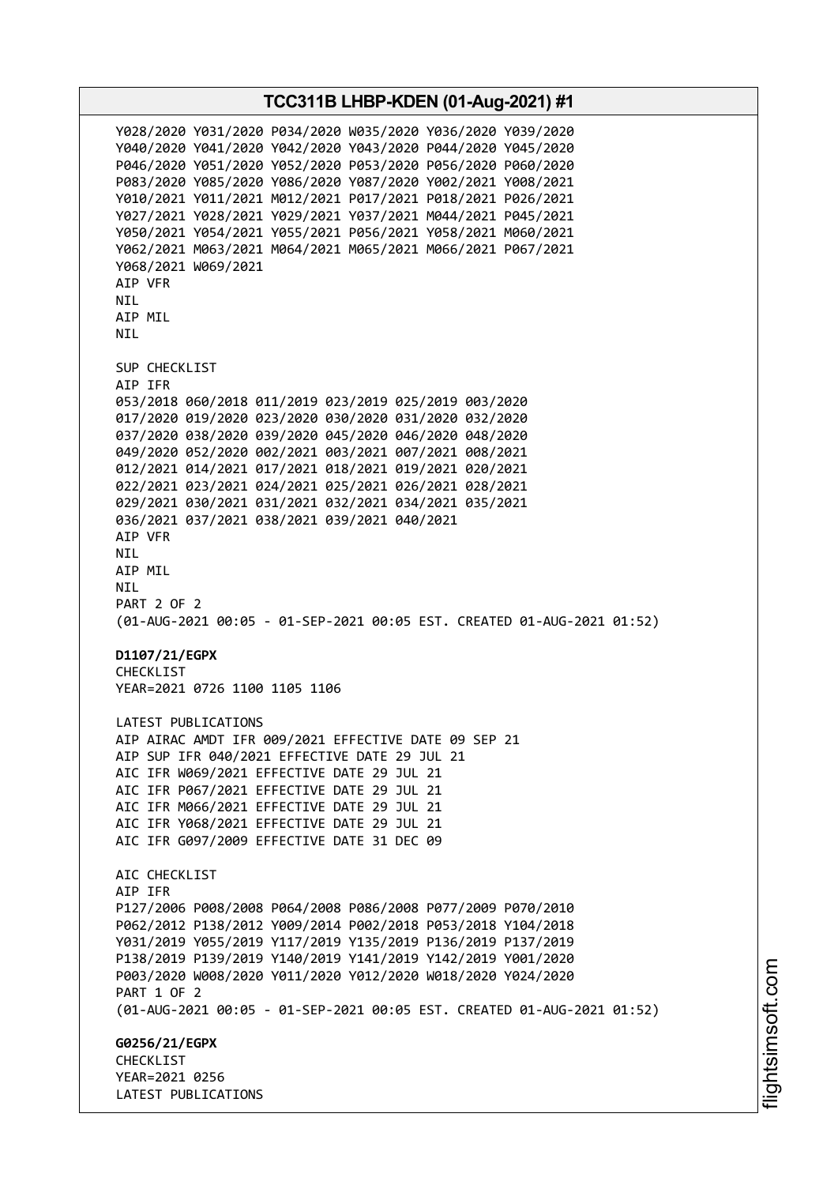**TCC311B LHBP-KDEN (01-Aug-2021) #1** Y028/2020 Y031/2020 P034/2020 W035/2020 Y036/2020 Y039/2020 Y040/2020 Y041/2020 Y042/2020 Y043/2020 P044/2020 Y045/2020 P046/2020 Y051/2020 Y052/2020 P053/2020 P056/2020 P060/2020 P083/2020 Y085/2020 Y086/2020 Y087/2020 Y002/2021 Y008/2021 Y010/2021 Y011/2021 M012/2021 P017/2021 P018/2021 P026/2021 Y027/2021 Y028/2021 Y029/2021 Y037/2021 M044/2021 P045/2021 Y050/2021 Y054/2021 Y055/2021 P056/2021 Y058/2021 M060/2021 Y062/2021 M063/2021 M064/2021 M065/2021 M066/2021 P067/2021 Y068/2021 W069/2021 AIP VFR NIL AIP MIL NIL SUP CHECKLIST AIP IFR 053/2018 060/2018 011/2019 023/2019 025/2019 003/2020 017/2020 019/2020 023/2020 030/2020 031/2020 032/2020 037/2020 038/2020 039/2020 045/2020 046/2020 048/2020 049/2020 052/2020 002/2021 003/2021 007/2021 008/2021 012/2021 014/2021 017/2021 018/2021 019/2021 020/2021 022/2021 023/2021 024/2021 025/2021 026/2021 028/2021 029/2021 030/2021 031/2021 032/2021 034/2021 035/2021 036/2021 037/2021 038/2021 039/2021 040/2021 AIP VFR NIL AIP MIL NIL PART 2 OF 2 (01-AUG-2021 00:05 - 01-SEP-2021 00:05 EST. CREATED 01-AUG-2021 01:52) **D1107/21/EGPX** CHECKLIST YEAR=2021 0726 1100 1105 1106 LATEST PUBLICATIONS AIP AIRAC AMDT IFR 009/2021 EFFECTIVE DATE 09 SEP 21 AIP SUP IFR 040/2021 EFFECTIVE DATE 29 JUL 21 AIC IFR W069/2021 EFFECTIVE DATE 29 JUL 21 AIC IFR P067/2021 EFFECTIVE DATE 29 JUL 21 AIC IFR M066/2021 EFFECTIVE DATE 29 JUL 21 AIC IFR Y068/2021 EFFECTIVE DATE 29 JUL 21 AIC IFR G097/2009 EFFECTIVE DATE 31 DEC 09 ATC CHECKLIST AIP IFR P127/2006 P008/2008 P064/2008 P086/2008 P077/2009 P070/2010 P062/2012 P138/2012 Y009/2014 P002/2018 P053/2018 Y104/2018 Y031/2019 Y055/2019 Y117/2019 Y135/2019 P136/2019 P137/2019 P138/2019 P139/2019 Y140/2019 Y141/2019 Y142/2019 Y001/2020 P003/2020 W008/2020 Y011/2020 Y012/2020 W018/2020 Y024/2020 PART 1 OF 2 (01-AUG-2021 00:05 - 01-SEP-2021 00:05 EST. CREATED 01-AUG-2021 01:52) **G0256/21/EGPX CHECKLIST** YEAR=2021 0256 LATEST PUBLICATIONS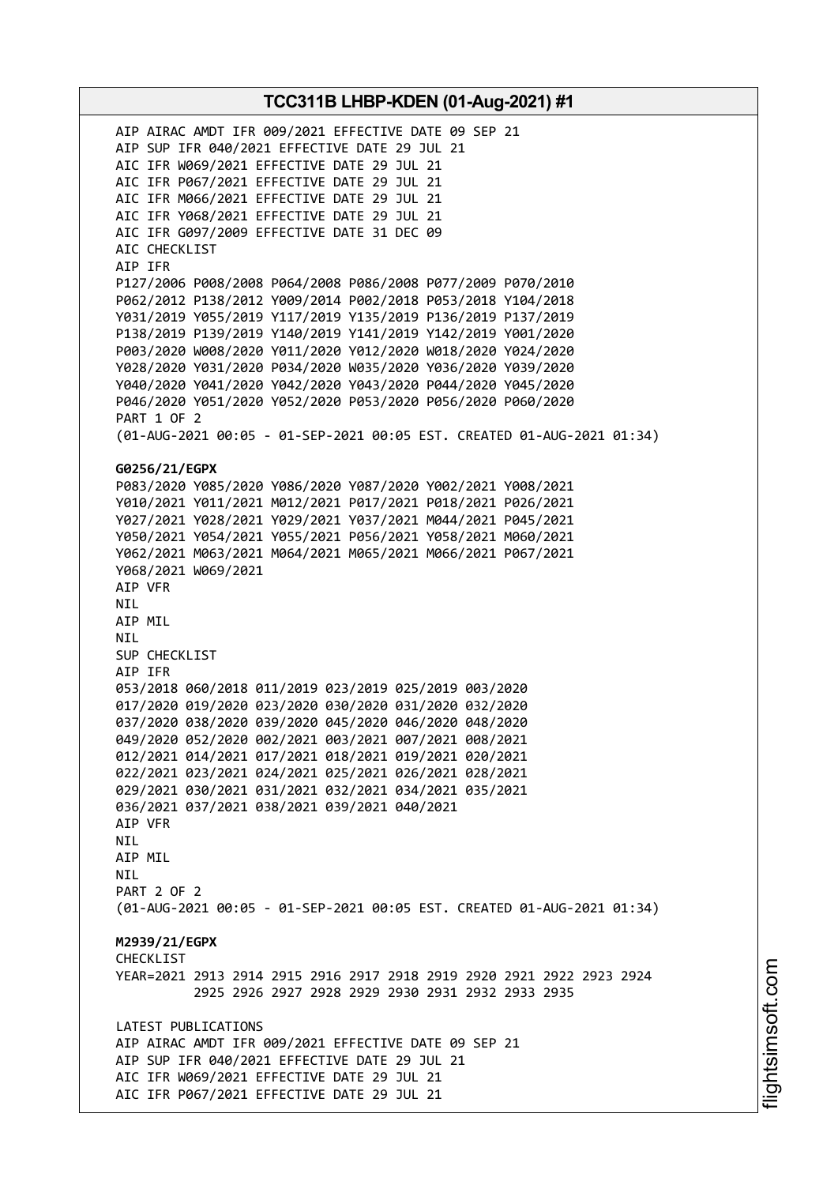AIP AIRAC AMDT IFR 009/2021 EFFECTIVE DATE 09 SEP 21 AIP SUP IFR 040/2021 EFFECTIVE DATE 29 JUL 21 AIC IFR W069/2021 EFFECTIVE DATE 29 JUL 21 AIC IFR P067/2021 EFFECTIVE DATE 29 JUL 21 AIC IFR M066/2021 EFFECTIVE DATE 29 JUL 21 AIC IFR Y068/2021 EFFECTIVE DATE 29 JUL 21 AIC IFR G097/2009 EFFECTIVE DATE 31 DEC 09 AIC CHECKLIST AIP IFR P127/2006 P008/2008 P064/2008 P086/2008 P077/2009 P070/2010 P062/2012 P138/2012 Y009/2014 P002/2018 P053/2018 Y104/2018 Y031/2019 Y055/2019 Y117/2019 Y135/2019 P136/2019 P137/2019 P138/2019 P139/2019 Y140/2019 Y141/2019 Y142/2019 Y001/2020 P003/2020 W008/2020 Y011/2020 Y012/2020 W018/2020 Y024/2020 Y028/2020 Y031/2020 P034/2020 W035/2020 Y036/2020 Y039/2020 Y040/2020 Y041/2020 Y042/2020 Y043/2020 P044/2020 Y045/2020 P046/2020 Y051/2020 Y052/2020 P053/2020 P056/2020 P060/2020 PART 1 OF 2 (01-AUG-2021 00:05 - 01-SEP-2021 00:05 EST. CREATED 01-AUG-2021 01:34) **G0256/21/EGPX** P083/2020 Y085/2020 Y086/2020 Y087/2020 Y002/2021 Y008/2021 Y010/2021 Y011/2021 M012/2021 P017/2021 P018/2021 P026/2021 Y027/2021 Y028/2021 Y029/2021 Y037/2021 M044/2021 P045/2021 Y050/2021 Y054/2021 Y055/2021 P056/2021 Y058/2021 M060/2021 Y062/2021 M063/2021 M064/2021 M065/2021 M066/2021 P067/2021 Y068/2021 W069/2021 AIP VFR NIL AIP MIL NIL SUP CHECKLIST AIP IFR 053/2018 060/2018 011/2019 023/2019 025/2019 003/2020 017/2020 019/2020 023/2020 030/2020 031/2020 032/2020 037/2020 038/2020 039/2020 045/2020 046/2020 048/2020 049/2020 052/2020 002/2021 003/2021 007/2021 008/2021 012/2021 014/2021 017/2021 018/2021 019/2021 020/2021 022/2021 023/2021 024/2021 025/2021 026/2021 028/2021 029/2021 030/2021 031/2021 032/2021 034/2021 035/2021 036/2021 037/2021 038/2021 039/2021 040/2021 AIP VFR NIL AIP MIL **NTI** PART 2 OF 2 (01-AUG-2021 00:05 - 01-SEP-2021 00:05 EST. CREATED 01-AUG-2021 01:34) **M2939/21/EGPX** CHECKLIST YEAR=2021 2913 2914 2915 2916 2917 2918 2919 2920 2921 2922 2923 2924 2925 2926 2927 2928 2929 2930 2931 2932 2933 2935 LATEST PUBLICATIONS AIP AIRAC AMDT IFR 009/2021 EFFECTIVE DATE 09 SEP 21 AIP SUP IFR 040/2021 EFFECTIVE DATE 29 JUL 21 AIC IFR W069/2021 EFFECTIVE DATE 29 JUL 21 AIC IFR P067/2021 EFFECTIVE DATE 29 JUL 21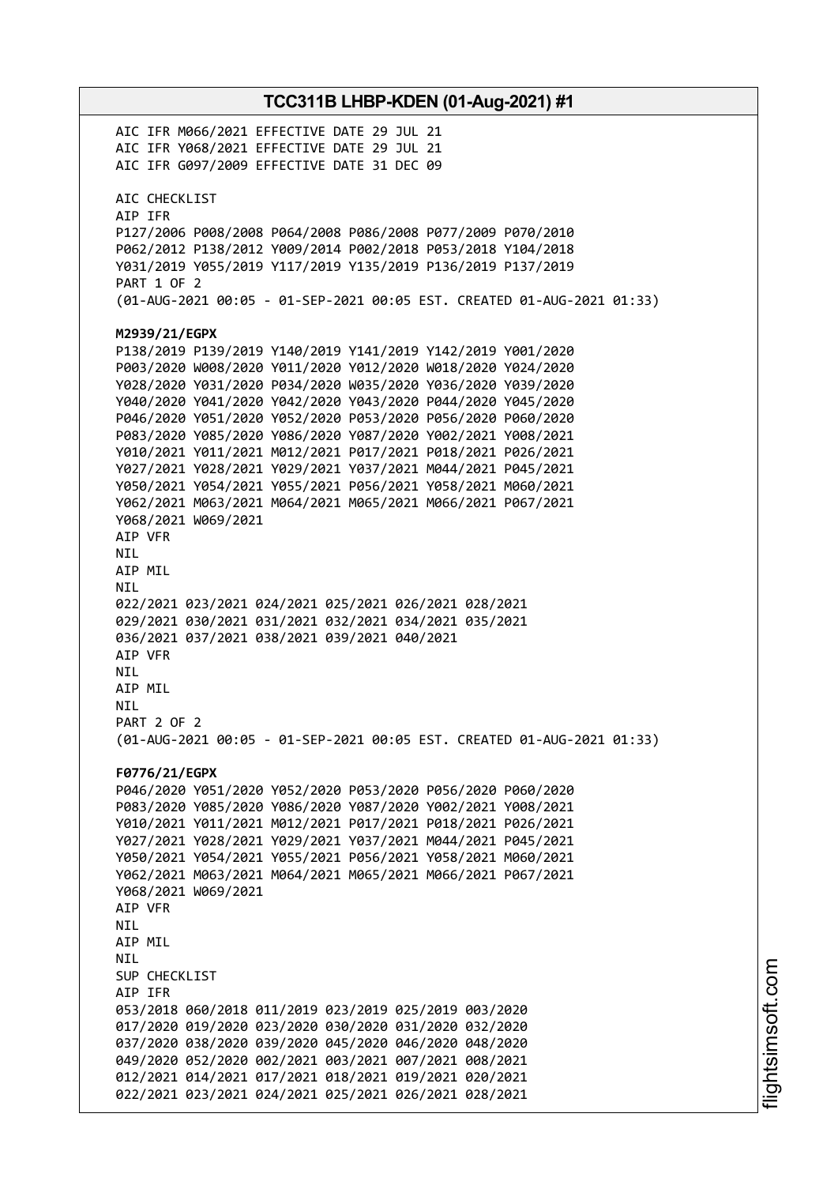**TCC311B LHBP-KDEN (01-Aug-2021) #1** AIC IFR M066/2021 EFFECTIVE DATE 29 JUL 21 AIC IFR Y068/2021 EFFECTIVE DATE 29 JUL 21 AIC IFR G097/2009 EFFECTIVE DATE 31 DEC 09 AIC CHECKLIST AIP IFR P127/2006 P008/2008 P064/2008 P086/2008 P077/2009 P070/2010 P062/2012 P138/2012 Y009/2014 P002/2018 P053/2018 Y104/2018 Y031/2019 Y055/2019 Y117/2019 Y135/2019 P136/2019 P137/2019 PART 1 OF 2 (01-AUG-2021 00:05 - 01-SEP-2021 00:05 EST. CREATED 01-AUG-2021 01:33) **M2939/21/EGPX** P138/2019 P139/2019 Y140/2019 Y141/2019 Y142/2019 Y001/2020 P003/2020 W008/2020 Y011/2020 Y012/2020 W018/2020 Y024/2020 Y028/2020 Y031/2020 P034/2020 W035/2020 Y036/2020 Y039/2020 Y040/2020 Y041/2020 Y042/2020 Y043/2020 P044/2020 Y045/2020 P046/2020 Y051/2020 Y052/2020 P053/2020 P056/2020 P060/2020 P083/2020 Y085/2020 Y086/2020 Y087/2020 Y002/2021 Y008/2021 Y010/2021 Y011/2021 M012/2021 P017/2021 P018/2021 P026/2021 Y027/2021 Y028/2021 Y029/2021 Y037/2021 M044/2021 P045/2021 Y050/2021 Y054/2021 Y055/2021 P056/2021 Y058/2021 M060/2021 Y062/2021 M063/2021 M064/2021 M065/2021 M066/2021 P067/2021 Y068/2021 W069/2021 AIP VFR NIL AIP MIL NIL 022/2021 023/2021 024/2021 025/2021 026/2021 028/2021 029/2021 030/2021 031/2021 032/2021 034/2021 035/2021 036/2021 037/2021 038/2021 039/2021 040/2021 AIP VFR NIL AIP MIL NIL PART 2 OF 2 (01-AUG-2021 00:05 - 01-SEP-2021 00:05 EST. CREATED 01-AUG-2021 01:33) **F0776/21/EGPX** P046/2020 Y051/2020 Y052/2020 P053/2020 P056/2020 P060/2020 P083/2020 Y085/2020 Y086/2020 Y087/2020 Y002/2021 Y008/2021 Y010/2021 Y011/2021 M012/2021 P017/2021 P018/2021 P026/2021 Y027/2021 Y028/2021 Y029/2021 Y037/2021 M044/2021 P045/2021 Y050/2021 Y054/2021 Y055/2021 P056/2021 Y058/2021 M060/2021 Y062/2021 M063/2021 M064/2021 M065/2021 M066/2021 P067/2021 Y068/2021 W069/2021 AIP VFR **NTI** AIP MIL NIL SUP CHECKLIST AIP IFR 053/2018 060/2018 011/2019 023/2019 025/2019 003/2020 017/2020 019/2020 023/2020 030/2020 031/2020 032/2020 037/2020 038/2020 039/2020 045/2020 046/2020 048/2020 049/2020 052/2020 002/2021 003/2021 007/2021 008/2021 012/2021 014/2021 017/2021 018/2021 019/2021 020/2021 022/2021 023/2021 024/2021 025/2021 026/2021 028/2021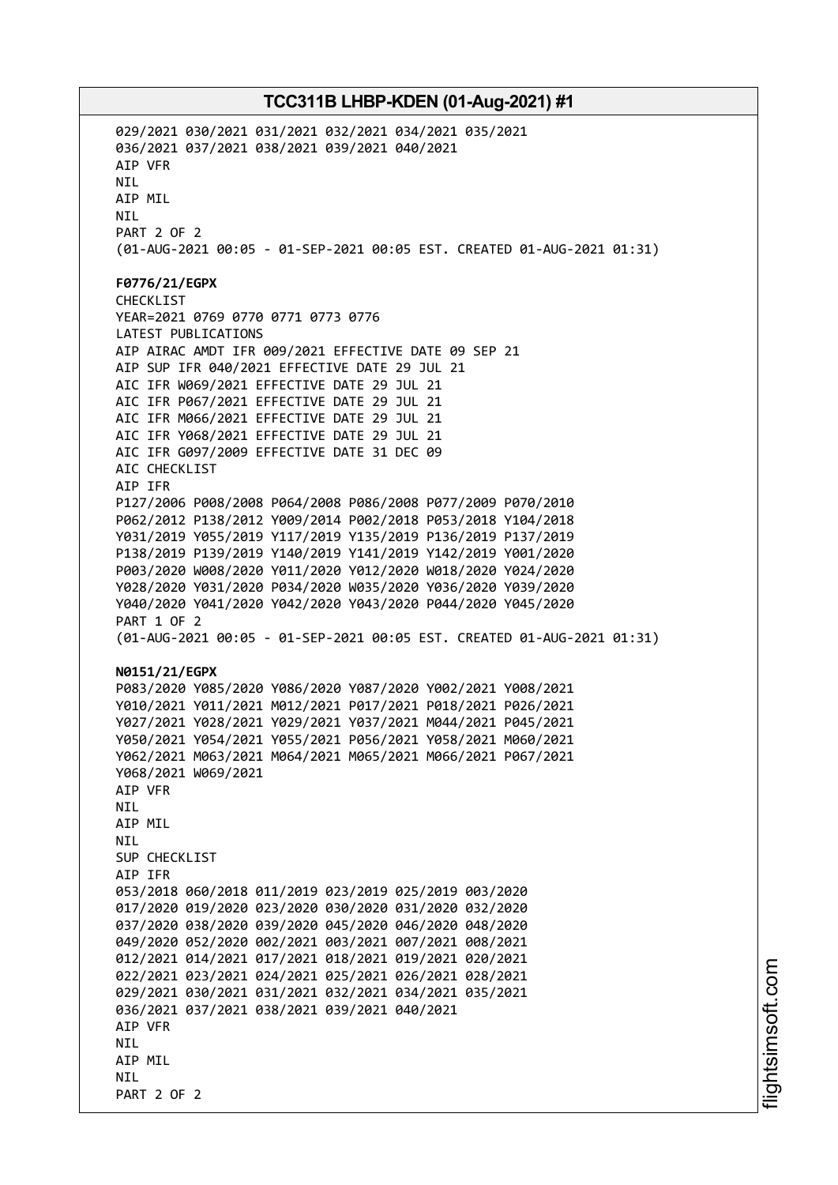029/2021 030/2021 031/2021 032/2021 034/2021 035/2021 036/2021 037/2021 038/2021 039/2021 040/2021 AIP VFR NIL AIP MIL NIL PART 2 OF 2 (01-AUG-2021 00:05 - 01-SEP-2021 00:05 EST. CREATED 01-AUG-2021 01:31) **F0776/21/EGPX** CHECKLIST YEAR=2021 0769 0770 0771 0773 0776 LATEST PUBLICATIONS AIP AIRAC AMDT IFR 009/2021 EFFECTIVE DATE 09 SEP 21 AIP SUP IFR 040/2021 EFFECTIVE DATE 29 JUL 21 AIC IFR W069/2021 EFFECTIVE DATE 29 JUL 21 AIC IFR P067/2021 EFFECTIVE DATE 29 JUL 21 AIC IFR M066/2021 EFFECTIVE DATE 29 JUL 21 AIC IFR Y068/2021 EFFECTIVE DATE 29 JUL 21 AIC IFR G097/2009 EFFECTIVE DATE 31 DEC 09 AIC CHECKLIST AIP IFR P127/2006 P008/2008 P064/2008 P086/2008 P077/2009 P070/2010 P062/2012 P138/2012 Y009/2014 P002/2018 P053/2018 Y104/2018 Y031/2019 Y055/2019 Y117/2019 Y135/2019 P136/2019 P137/2019 P138/2019 P139/2019 Y140/2019 Y141/2019 Y142/2019 Y001/2020 P003/2020 W008/2020 Y011/2020 Y012/2020 W018/2020 Y024/2020 Y028/2020 Y031/2020 P034/2020 W035/2020 Y036/2020 Y039/2020 Y040/2020 Y041/2020 Y042/2020 Y043/2020 P044/2020 Y045/2020 PART 1 OF 2 (01-AUG-2021 00:05 - 01-SEP-2021 00:05 EST. CREATED 01-AUG-2021 01:31) **N0151/21/EGPX** P083/2020 Y085/2020 Y086/2020 Y087/2020 Y002/2021 Y008/2021 Y010/2021 Y011/2021 M012/2021 P017/2021 P018/2021 P026/2021 Y027/2021 Y028/2021 Y029/2021 Y037/2021 M044/2021 P045/2021 Y050/2021 Y054/2021 Y055/2021 P056/2021 Y058/2021 M060/2021 Y062/2021 M063/2021 M064/2021 M065/2021 M066/2021 P067/2021 Y068/2021 W069/2021 AIP VFR **NTI** AIP MIL NIL SUP CHECKLIST AIP IFR 053/2018 060/2018 011/2019 023/2019 025/2019 003/2020 017/2020 019/2020 023/2020 030/2020 031/2020 032/2020 037/2020 038/2020 039/2020 045/2020 046/2020 048/2020 049/2020 052/2020 002/2021 003/2021 007/2021 008/2021 012/2021 014/2021 017/2021 018/2021 019/2021 020/2021 022/2021 023/2021 024/2021 025/2021 026/2021 028/2021 029/2021 030/2021 031/2021 032/2021 034/2021 035/2021 036/2021 037/2021 038/2021 039/2021 040/2021 AIP VFR **NTI** AIP MIL **NTI** PART 2 OF 2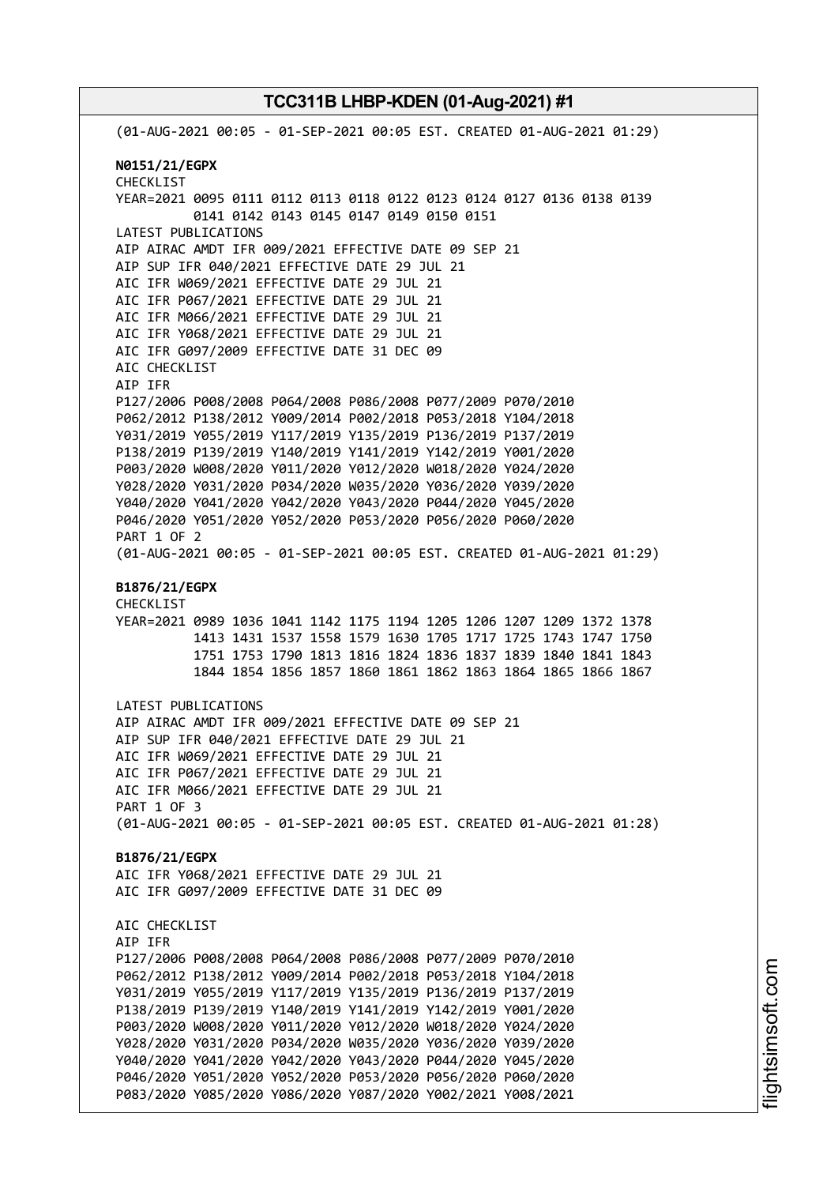(01-AUG-2021 00:05 - 01-SEP-2021 00:05 EST. CREATED 01-AUG-2021 01:29) **N0151/21/EGPX** CHECKLIST YEAR=2021 0095 0111 0112 0113 0118 0122 0123 0124 0127 0136 0138 0139 0141 0142 0143 0145 0147 0149 0150 0151 LATEST PUBLICATIONS AIP AIRAC AMDT IFR 009/2021 EFFECTIVE DATE 09 SEP 21 AIP SUP IFR 040/2021 EFFECTIVE DATE 29 JUL 21 AIC IFR W069/2021 EFFECTIVE DATE 29 JUL 21 AIC IFR P067/2021 EFFECTIVE DATE 29 JUL 21 AIC IFR M066/2021 EFFECTIVE DATE 29 JUL 21 AIC IFR Y068/2021 EFFECTIVE DATE 29 JUL 21 AIC IFR G097/2009 EFFECTIVE DATE 31 DEC 09 AIC CHECKLIST AIP IFR P127/2006 P008/2008 P064/2008 P086/2008 P077/2009 P070/2010 P062/2012 P138/2012 Y009/2014 P002/2018 P053/2018 Y104/2018 Y031/2019 Y055/2019 Y117/2019 Y135/2019 P136/2019 P137/2019 P138/2019 P139/2019 Y140/2019 Y141/2019 Y142/2019 Y001/2020 P003/2020 W008/2020 Y011/2020 Y012/2020 W018/2020 Y024/2020 Y028/2020 Y031/2020 P034/2020 W035/2020 Y036/2020 Y039/2020 Y040/2020 Y041/2020 Y042/2020 Y043/2020 P044/2020 Y045/2020 P046/2020 Y051/2020 Y052/2020 P053/2020 P056/2020 P060/2020 PART 1 OF 2 (01-AUG-2021 00:05 - 01-SEP-2021 00:05 EST. CREATED 01-AUG-2021 01:29) **B1876/21/EGPX** CHECKLIST YEAR=2021 0989 1036 1041 1142 1175 1194 1205 1206 1207 1209 1372 1378 1413 1431 1537 1558 1579 1630 1705 1717 1725 1743 1747 1750 1751 1753 1790 1813 1816 1824 1836 1837 1839 1840 1841 1843 1844 1854 1856 1857 1860 1861 1862 1863 1864 1865 1866 1867 LATEST PUBLICATIONS AIP AIRAC AMDT IFR 009/2021 EFFECTIVE DATE 09 SEP 21 AIP SUP IFR 040/2021 EFFECTIVE DATE 29 JUL 21 AIC IFR W069/2021 EFFECTIVE DATE 29 JUL 21 AIC IFR P067/2021 EFFECTIVE DATE 29 JUL 21 AIC IFR M066/2021 EFFECTIVE DATE 29 JUL 21 PART 1 OF 3 (01-AUG-2021 00:05 - 01-SEP-2021 00:05 EST. CREATED 01-AUG-2021 01:28) **B1876/21/EGPX** AIC IFR Y068/2021 EFFECTIVE DATE 29 JUL 21 AIC IFR G097/2009 EFFECTIVE DATE 31 DEC 09 AIC CHECKLIST AIP IFR P127/2006 P008/2008 P064/2008 P086/2008 P077/2009 P070/2010 P062/2012 P138/2012 Y009/2014 P002/2018 P053/2018 Y104/2018 Y031/2019 Y055/2019 Y117/2019 Y135/2019 P136/2019 P137/2019 P138/2019 P139/2019 Y140/2019 Y141/2019 Y142/2019 Y001/2020 P003/2020 W008/2020 Y011/2020 Y012/2020 W018/2020 Y024/2020 Y028/2020 Y031/2020 P034/2020 W035/2020 Y036/2020 Y039/2020 Y040/2020 Y041/2020 Y042/2020 Y043/2020 P044/2020 Y045/2020 P046/2020 Y051/2020 Y052/2020 P053/2020 P056/2020 P060/2020 P083/2020 Y085/2020 Y086/2020 Y087/2020 Y002/2021 Y008/2021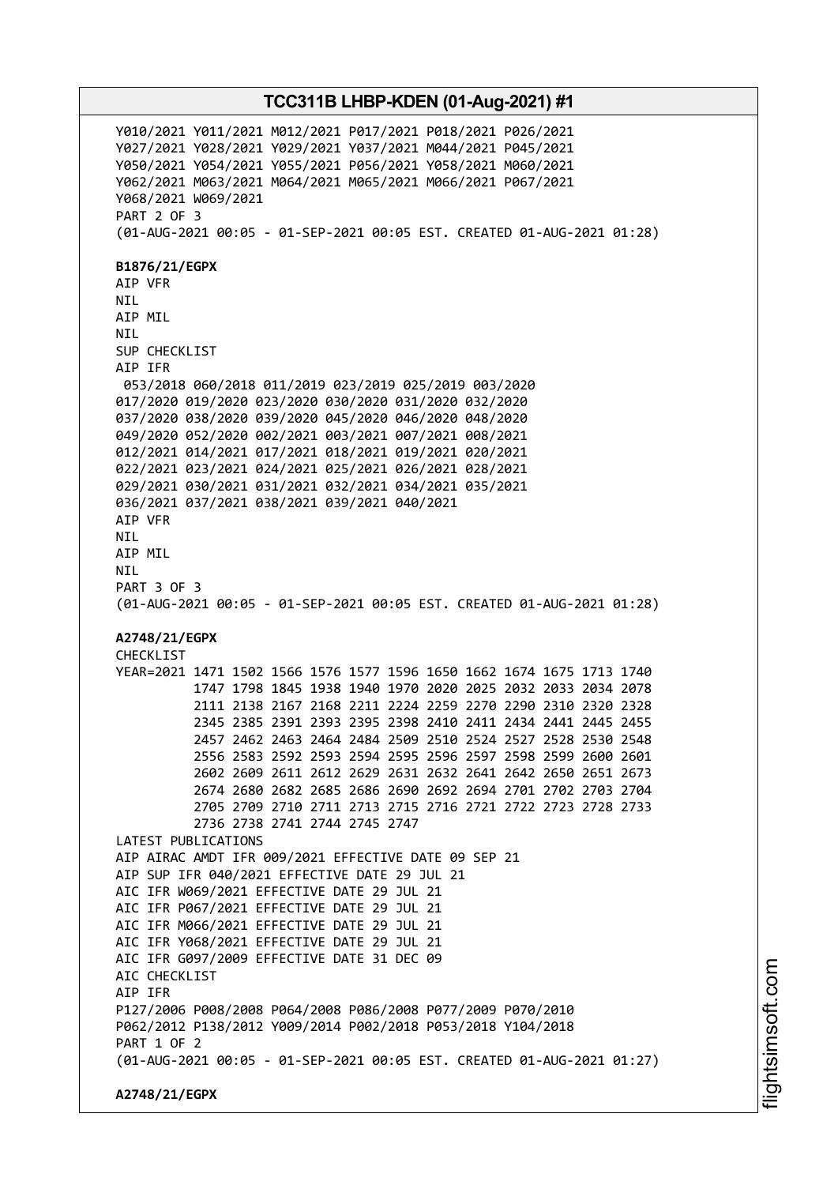Y010/2021 Y011/2021 M012/2021 P017/2021 P018/2021 P026/2021 Y027/2021 Y028/2021 Y029/2021 Y037/2021 M044/2021 P045/2021 Y050/2021 Y054/2021 Y055/2021 P056/2021 Y058/2021 M060/2021 Y062/2021 M063/2021 M064/2021 M065/2021 M066/2021 P067/2021 Y068/2021 W069/2021 PART 2 OF 3 (01-AUG-2021 00:05 - 01-SEP-2021 00:05 EST. CREATED 01-AUG-2021 01:28) **B1876/21/EGPX** AIP VFR NIL AIP MIL NIL SUP CHECKLIST AIP IFR 053/2018 060/2018 011/2019 023/2019 025/2019 003/2020 017/2020 019/2020 023/2020 030/2020 031/2020 032/2020 037/2020 038/2020 039/2020 045/2020 046/2020 048/2020 049/2020 052/2020 002/2021 003/2021 007/2021 008/2021 012/2021 014/2021 017/2021 018/2021 019/2021 020/2021 022/2021 023/2021 024/2021 025/2021 026/2021 028/2021 029/2021 030/2021 031/2021 032/2021 034/2021 035/2021 036/2021 037/2021 038/2021 039/2021 040/2021 AIP VFR NIL AIP MIL **NTI** PART 3 OF 3 (01-AUG-2021 00:05 - 01-SEP-2021 00:05 EST. CREATED 01-AUG-2021 01:28) **A2748/21/EGPX** CHECKLIST YEAR=2021 1471 1502 1566 1576 1577 1596 1650 1662 1674 1675 1713 1740 1747 1798 1845 1938 1940 1970 2020 2025 2032 2033 2034 2078 2111 2138 2167 2168 2211 2224 2259 2270 2290 2310 2320 2328 2345 2385 2391 2393 2395 2398 2410 2411 2434 2441 2445 2455 2457 2462 2463 2464 2484 2509 2510 2524 2527 2528 2530 2548 2556 2583 2592 2593 2594 2595 2596 2597 2598 2599 2600 2601 2602 2609 2611 2612 2629 2631 2632 2641 2642 2650 2651 2673 2674 2680 2682 2685 2686 2690 2692 2694 2701 2702 2703 2704 2705 2709 2710 2711 2713 2715 2716 2721 2722 2723 2728 2733 2736 2738 2741 2744 2745 2747 LATEST PUBLICATIONS AIP AIRAC AMDT IFR 009/2021 EFFECTIVE DATE 09 SEP 21 AIP SUP IFR 040/2021 EFFECTIVE DATE 29 JUL 21 AIC IFR W069/2021 EFFECTIVE DATE 29 JUL 21 AIC IFR P067/2021 EFFECTIVE DATE 29 JUL 21 AIC IFR M066/2021 EFFECTIVE DATE 29 JUL 21 AIC IFR Y068/2021 EFFECTIVE DATE 29 JUL 21 AIC IFR G097/2009 EFFECTIVE DATE 31 DEC 09 AIC CHECKLIST AIP IFR P127/2006 P008/2008 P064/2008 P086/2008 P077/2009 P070/2010 P062/2012 P138/2012 Y009/2014 P002/2018 P053/2018 Y104/2018 PART 1 OF 2 (01-AUG-2021 00:05 - 01-SEP-2021 00:05 EST. CREATED 01-AUG-2021 01:27) **A2748/21/EGPX**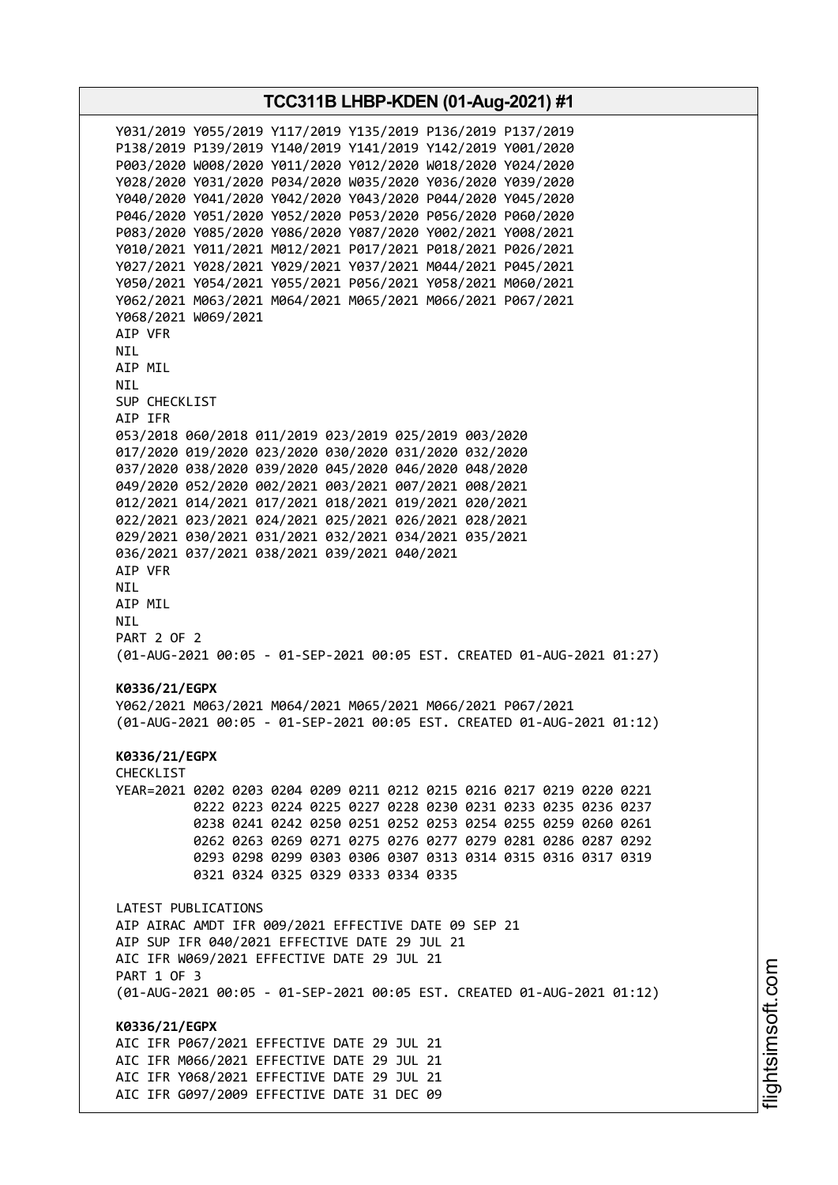**TCC311B LHBP-KDEN (01-Aug-2021) #1** Y031/2019 Y055/2019 Y117/2019 Y135/2019 P136/2019 P137/2019 P138/2019 P139/2019 Y140/2019 Y141/2019 Y142/2019 Y001/2020 P003/2020 W008/2020 Y011/2020 Y012/2020 W018/2020 Y024/2020 Y028/2020 Y031/2020 P034/2020 W035/2020 Y036/2020 Y039/2020 Y040/2020 Y041/2020 Y042/2020 Y043/2020 P044/2020 Y045/2020 P046/2020 Y051/2020 Y052/2020 P053/2020 P056/2020 P060/2020 P083/2020 Y085/2020 Y086/2020 Y087/2020 Y002/2021 Y008/2021 Y010/2021 Y011/2021 M012/2021 P017/2021 P018/2021 P026/2021 Y027/2021 Y028/2021 Y029/2021 Y037/2021 M044/2021 P045/2021 Y050/2021 Y054/2021 Y055/2021 P056/2021 Y058/2021 M060/2021 Y062/2021 M063/2021 M064/2021 M065/2021 M066/2021 P067/2021 Y068/2021 W069/2021 AIP VFR NIL AIP MIL NIL SUP CHECKLIST AIP IFR 053/2018 060/2018 011/2019 023/2019 025/2019 003/2020 017/2020 019/2020 023/2020 030/2020 031/2020 032/2020 037/2020 038/2020 039/2020 045/2020 046/2020 048/2020 049/2020 052/2020 002/2021 003/2021 007/2021 008/2021 012/2021 014/2021 017/2021 018/2021 019/2021 020/2021 022/2021 023/2021 024/2021 025/2021 026/2021 028/2021 029/2021 030/2021 031/2021 032/2021 034/2021 035/2021 036/2021 037/2021 038/2021 039/2021 040/2021 AIP VFR NIL AIP MIL NIL PART 2 OF 2 (01-AUG-2021 00:05 - 01-SEP-2021 00:05 EST. CREATED 01-AUG-2021 01:27) **K0336/21/EGPX** Y062/2021 M063/2021 M064/2021 M065/2021 M066/2021 P067/2021 (01-AUG-2021 00:05 - 01-SEP-2021 00:05 EST. CREATED 01-AUG-2021 01:12) **K0336/21/EGPX** CHECKLIST YEAR=2021 0202 0203 0204 0209 0211 0212 0215 0216 0217 0219 0220 0221 0222 0223 0224 0225 0227 0228 0230 0231 0233 0235 0236 0237 0238 0241 0242 0250 0251 0252 0253 0254 0255 0259 0260 0261 0262 0263 0269 0271 0275 0276 0277 0279 0281 0286 0287 0292 0293 0298 0299 0303 0306 0307 0313 0314 0315 0316 0317 0319 0321 0324 0325 0329 0333 0334 0335 LATEST PUBLICATIONS AIP AIRAC AMDT IFR 009/2021 EFFECTIVE DATE 09 SEP 21 AIP SUP IFR 040/2021 EFFECTIVE DATE 29 JUL 21 AIC IFR W069/2021 EFFECTIVE DATE 29 JUL 21 PART 1 OF 3 (01-AUG-2021 00:05 - 01-SEP-2021 00:05 EST. CREATED 01-AUG-2021 01:12) **K0336/21/EGPX** AIC IFR P067/2021 EFFECTIVE DATE 29 JUL 21 AIC IFR M066/2021 EFFECTIVE DATE 29 JUL 21 AIC IFR Y068/2021 EFFECTIVE DATE 29 JUL 21 AIC IFR G097/2009 EFFECTIVE DATE 31 DEC 09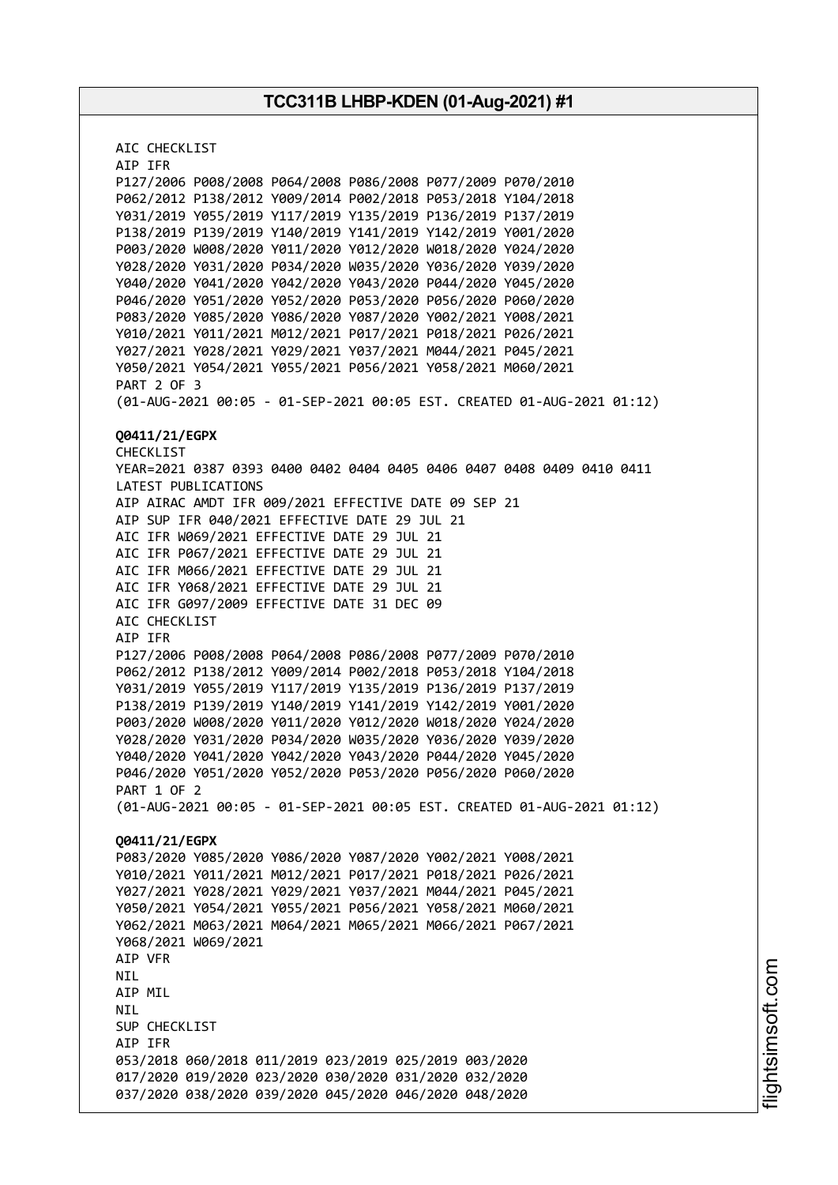AIC CHECKLIST AIP IFR P127/2006 P008/2008 P064/2008 P086/2008 P077/2009 P070/2010 P062/2012 P138/2012 Y009/2014 P002/2018 P053/2018 Y104/2018 Y031/2019 Y055/2019 Y117/2019 Y135/2019 P136/2019 P137/2019 P138/2019 P139/2019 Y140/2019 Y141/2019 Y142/2019 Y001/2020 P003/2020 W008/2020 Y011/2020 Y012/2020 W018/2020 Y024/2020 Y028/2020 Y031/2020 P034/2020 W035/2020 Y036/2020 Y039/2020 Y040/2020 Y041/2020 Y042/2020 Y043/2020 P044/2020 Y045/2020 P046/2020 Y051/2020 Y052/2020 P053/2020 P056/2020 P060/2020 P083/2020 Y085/2020 Y086/2020 Y087/2020 Y002/2021 Y008/2021 Y010/2021 Y011/2021 M012/2021 P017/2021 P018/2021 P026/2021 Y027/2021 Y028/2021 Y029/2021 Y037/2021 M044/2021 P045/2021 Y050/2021 Y054/2021 Y055/2021 P056/2021 Y058/2021 M060/2021 PART 2 OF 3 (01-AUG-2021 00:05 - 01-SEP-2021 00:05 EST. CREATED 01-AUG-2021 01:12) **Q0411/21/EGPX** CHECKLIST YEAR=2021 0387 0393 0400 0402 0404 0405 0406 0407 0408 0409 0410 0411 LATEST PUBLICATIONS AIP AIRAC AMDT IFR 009/2021 EFFECTIVE DATE 09 SEP 21 AIP SUP IFR 040/2021 EFFECTIVE DATE 29 JUL 21 AIC IFR W069/2021 EFFECTIVE DATE 29 JUL 21 AIC IFR P067/2021 EFFECTIVE DATE 29 JUL 21 AIC IFR M066/2021 EFFECTIVE DATE 29 JUL 21 AIC IFR Y068/2021 EFFECTIVE DATE 29 JUL 21 AIC IFR G097/2009 EFFECTIVE DATE 31 DEC 09 AIC CHECKLIST AIP IFR P127/2006 P008/2008 P064/2008 P086/2008 P077/2009 P070/2010 P062/2012 P138/2012 Y009/2014 P002/2018 P053/2018 Y104/2018 Y031/2019 Y055/2019 Y117/2019 Y135/2019 P136/2019 P137/2019 P138/2019 P139/2019 Y140/2019 Y141/2019 Y142/2019 Y001/2020 P003/2020 W008/2020 Y011/2020 Y012/2020 W018/2020 Y024/2020 Y028/2020 Y031/2020 P034/2020 W035/2020 Y036/2020 Y039/2020 Y040/2020 Y041/2020 Y042/2020 Y043/2020 P044/2020 Y045/2020 P046/2020 Y051/2020 Y052/2020 P053/2020 P056/2020 P060/2020 PART 1 OF 2 (01-AUG-2021 00:05 - 01-SEP-2021 00:05 EST. CREATED 01-AUG-2021 01:12) **Q0411/21/EGPX** P083/2020 Y085/2020 Y086/2020 Y087/2020 Y002/2021 Y008/2021 Y010/2021 Y011/2021 M012/2021 P017/2021 P018/2021 P026/2021 Y027/2021 Y028/2021 Y029/2021 Y037/2021 M044/2021 P045/2021 Y050/2021 Y054/2021 Y055/2021 P056/2021 Y058/2021 M060/2021 Y062/2021 M063/2021 M064/2021 M065/2021 M066/2021 P067/2021 Y068/2021 W069/2021 AIP VFR NIL AIP MIL NIL SUP CHECKLIST AIP IFR 053/2018 060/2018 011/2019 023/2019 025/2019 003/2020 017/2020 019/2020 023/2020 030/2020 031/2020 032/2020 037/2020 038/2020 039/2020 045/2020 046/2020 048/2020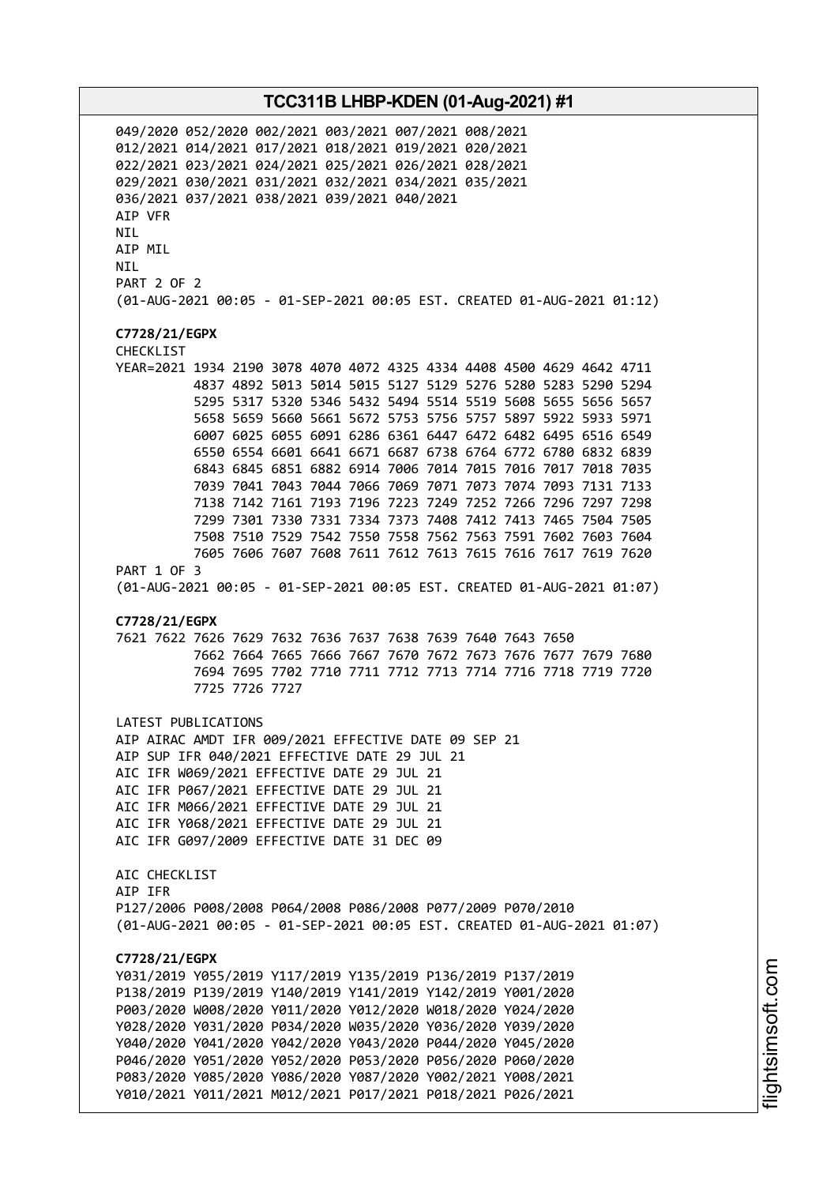049/2020 052/2020 002/2021 003/2021 007/2021 008/2021 012/2021 014/2021 017/2021 018/2021 019/2021 020/2021 022/2021 023/2021 024/2021 025/2021 026/2021 028/2021 029/2021 030/2021 031/2021 032/2021 034/2021 035/2021 036/2021 037/2021 038/2021 039/2021 040/2021 AIP VFR NIL AIP MIL NIL PART 2 OF 2 (01-AUG-2021 00:05 - 01-SEP-2021 00:05 EST. CREATED 01-AUG-2021 01:12) **C7728/21/EGPX** CHECKLIST YEAR=2021 1934 2190 3078 4070 4072 4325 4334 4408 4500 4629 4642 4711 4837 4892 5013 5014 5015 5127 5129 5276 5280 5283 5290 5294 5295 5317 5320 5346 5432 5494 5514 5519 5608 5655 5656 5657 5658 5659 5660 5661 5672 5753 5756 5757 5897 5922 5933 5971 6007 6025 6055 6091 6286 6361 6447 6472 6482 6495 6516 6549 6550 6554 6601 6641 6671 6687 6738 6764 6772 6780 6832 6839 6843 6845 6851 6882 6914 7006 7014 7015 7016 7017 7018 7035 7039 7041 7043 7044 7066 7069 7071 7073 7074 7093 7131 7133 7138 7142 7161 7193 7196 7223 7249 7252 7266 7296 7297 7298 7299 7301 7330 7331 7334 7373 7408 7412 7413 7465 7504 7505 7508 7510 7529 7542 7550 7558 7562 7563 7591 7602 7603 7604 7605 7606 7607 7608 7611 7612 7613 7615 7616 7617 7619 7620 PART 1 OF 3 (01-AUG-2021 00:05 - 01-SEP-2021 00:05 EST. CREATED 01-AUG-2021 01:07) **C7728/21/EGPX** 7621 7622 7626 7629 7632 7636 7637 7638 7639 7640 7643 7650 7662 7664 7665 7666 7667 7670 7672 7673 7676 7677 7679 7680 7694 7695 7702 7710 7711 7712 7713 7714 7716 7718 7719 7720 7725 7726 7727 LATEST PUBLICATIONS AIP AIRAC AMDT IFR 009/2021 EFFECTIVE DATE 09 SEP 21 AIP SUP IFR 040/2021 EFFECTIVE DATE 29 JUL 21 AIC IFR W069/2021 EFFECTIVE DATE 29 JUL 21 AIC IFR P067/2021 EFFECTIVE DATE 29 JUL 21 AIC IFR M066/2021 EFFECTIVE DATE 29 JUL 21 AIC IFR Y068/2021 EFFECTIVE DATE 29 JUL 21 AIC IFR G097/2009 EFFECTIVE DATE 31 DEC 09 AIC CHECKLIST AIP IFR P127/2006 P008/2008 P064/2008 P086/2008 P077/2009 P070/2010 (01-AUG-2021 00:05 - 01-SEP-2021 00:05 EST. CREATED 01-AUG-2021 01:07) **C7728/21/EGPX** Y031/2019 Y055/2019 Y117/2019 Y135/2019 P136/2019 P137/2019 P138/2019 P139/2019 Y140/2019 Y141/2019 Y142/2019 Y001/2020 P003/2020 W008/2020 Y011/2020 Y012/2020 W018/2020 Y024/2020 Y028/2020 Y031/2020 P034/2020 W035/2020 Y036/2020 Y039/2020 Y040/2020 Y041/2020 Y042/2020 Y043/2020 P044/2020 Y045/2020 P046/2020 Y051/2020 Y052/2020 P053/2020 P056/2020 P060/2020 P083/2020 Y085/2020 Y086/2020 Y087/2020 Y002/2021 Y008/2021 Y010/2021 Y011/2021 M012/2021 P017/2021 P018/2021 P026/2021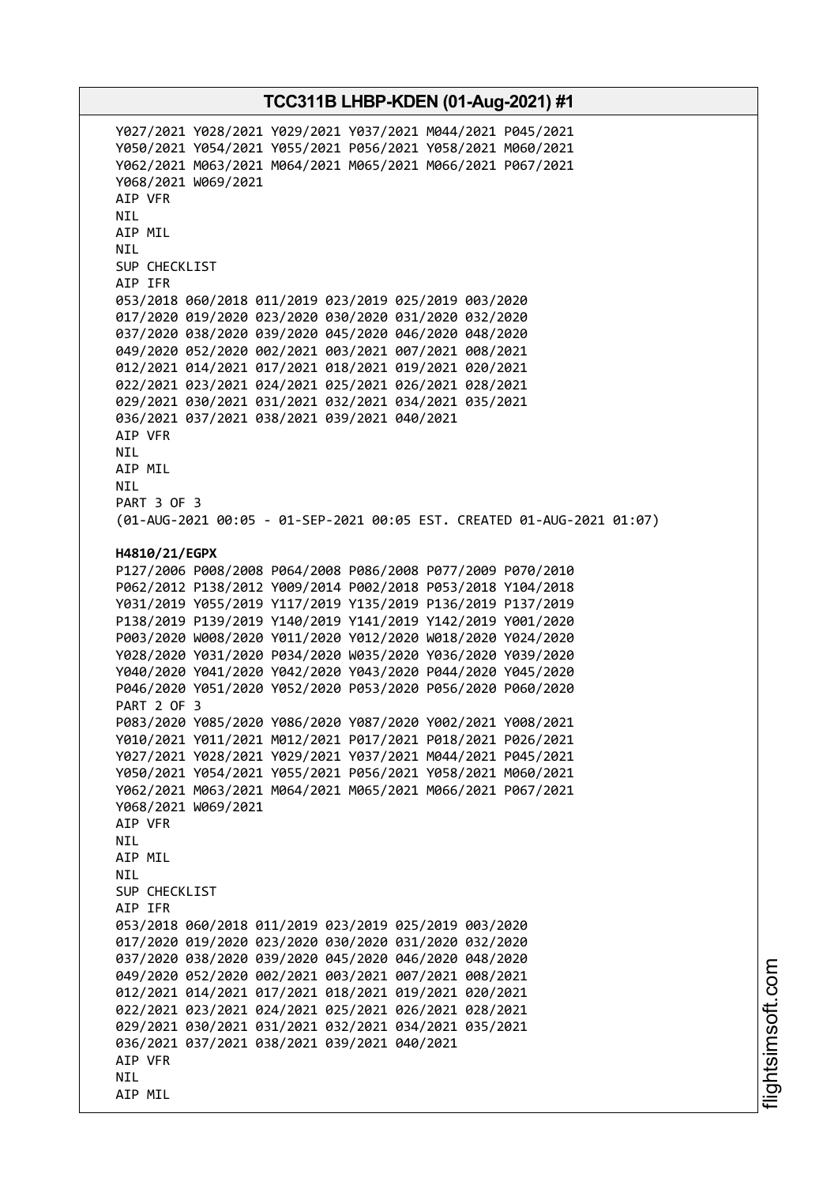Y027/2021 Y028/2021 Y029/2021 Y037/2021 M044/2021 P045/2021 Y050/2021 Y054/2021 Y055/2021 P056/2021 Y058/2021 M060/2021 Y062/2021 M063/2021 M064/2021 M065/2021 M066/2021 P067/2021 Y068/2021 W069/2021 AIP VFR NIL AIP MIL NIL SUP CHECKLIST AIP IFR 053/2018 060/2018 011/2019 023/2019 025/2019 003/2020 017/2020 019/2020 023/2020 030/2020 031/2020 032/2020 037/2020 038/2020 039/2020 045/2020 046/2020 048/2020 049/2020 052/2020 002/2021 003/2021 007/2021 008/2021 012/2021 014/2021 017/2021 018/2021 019/2021 020/2021 022/2021 023/2021 024/2021 025/2021 026/2021 028/2021 029/2021 030/2021 031/2021 032/2021 034/2021 035/2021 036/2021 037/2021 038/2021 039/2021 040/2021 AIP VFR NIL AIP MIL NIL PART 3 OF 3 (01-AUG-2021 00:05 - 01-SEP-2021 00:05 EST. CREATED 01-AUG-2021 01:07) **H4810/21/EGPX** P127/2006 P008/2008 P064/2008 P086/2008 P077/2009 P070/2010 P062/2012 P138/2012 Y009/2014 P002/2018 P053/2018 Y104/2018 Y031/2019 Y055/2019 Y117/2019 Y135/2019 P136/2019 P137/2019 P138/2019 P139/2019 Y140/2019 Y141/2019 Y142/2019 Y001/2020 P003/2020 W008/2020 Y011/2020 Y012/2020 W018/2020 Y024/2020 Y028/2020 Y031/2020 P034/2020 W035/2020 Y036/2020 Y039/2020 Y040/2020 Y041/2020 Y042/2020 Y043/2020 P044/2020 Y045/2020 P046/2020 Y051/2020 Y052/2020 P053/2020 P056/2020 P060/2020 PART 2 OF 3 P083/2020 Y085/2020 Y086/2020 Y087/2020 Y002/2021 Y008/2021 Y010/2021 Y011/2021 M012/2021 P017/2021 P018/2021 P026/2021 Y027/2021 Y028/2021 Y029/2021 Y037/2021 M044/2021 P045/2021 Y050/2021 Y054/2021 Y055/2021 P056/2021 Y058/2021 M060/2021 Y062/2021 M063/2021 M064/2021 M065/2021 M066/2021 P067/2021 Y068/2021 W069/2021 AIP VFR NIL AIP MIL **NTI** SUP CHECKLIST AIP IFR 053/2018 060/2018 011/2019 023/2019 025/2019 003/2020 017/2020 019/2020 023/2020 030/2020 031/2020 032/2020 037/2020 038/2020 039/2020 045/2020 046/2020 048/2020 049/2020 052/2020 002/2021 003/2021 007/2021 008/2021 012/2021 014/2021 017/2021 018/2021 019/2021 020/2021 022/2021 023/2021 024/2021 025/2021 026/2021 028/2021 029/2021 030/2021 031/2021 032/2021 034/2021 035/2021 036/2021 037/2021 038/2021 039/2021 040/2021 AIP VFR NIL AIP MIL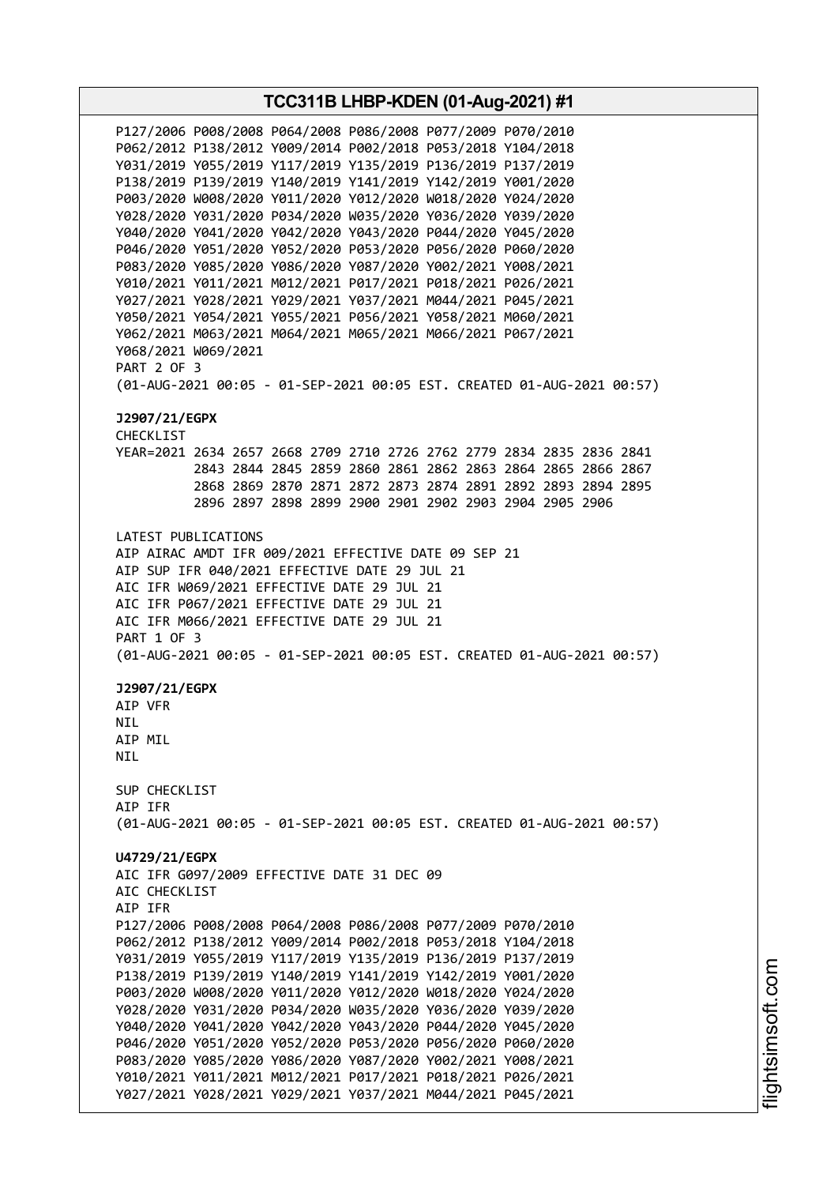**TCC311B LHBP-KDEN (01-Aug-2021) #1** P127/2006 P008/2008 P064/2008 P086/2008 P077/2009 P070/2010 P062/2012 P138/2012 Y009/2014 P002/2018 P053/2018 Y104/2018 Y031/2019 Y055/2019 Y117/2019 Y135/2019 P136/2019 P137/2019 P138/2019 P139/2019 Y140/2019 Y141/2019 Y142/2019 Y001/2020 P003/2020 W008/2020 Y011/2020 Y012/2020 W018/2020 Y024/2020 Y028/2020 Y031/2020 P034/2020 W035/2020 Y036/2020 Y039/2020 Y040/2020 Y041/2020 Y042/2020 Y043/2020 P044/2020 Y045/2020 P046/2020 Y051/2020 Y052/2020 P053/2020 P056/2020 P060/2020 P083/2020 Y085/2020 Y086/2020 Y087/2020 Y002/2021 Y008/2021 Y010/2021 Y011/2021 M012/2021 P017/2021 P018/2021 P026/2021 Y027/2021 Y028/2021 Y029/2021 Y037/2021 M044/2021 P045/2021 Y050/2021 Y054/2021 Y055/2021 P056/2021 Y058/2021 M060/2021 Y062/2021 M063/2021 M064/2021 M065/2021 M066/2021 P067/2021 Y068/2021 W069/2021 PART 2 OF 3 (01-AUG-2021 00:05 - 01-SEP-2021 00:05 EST. CREATED 01-AUG-2021 00:57) **J2907/21/EGPX** CHECKLIST YEAR=2021 2634 2657 2668 2709 2710 2726 2762 2779 2834 2835 2836 2841 2843 2844 2845 2859 2860 2861 2862 2863 2864 2865 2866 2867 2868 2869 2870 2871 2872 2873 2874 2891 2892 2893 2894 2895 2896 2897 2898 2899 2900 2901 2902 2903 2904 2905 2906 LATEST PUBLICATIONS AIP AIRAC AMDT IFR 009/2021 EFFECTIVE DATE 09 SEP 21 AIP SUP IFR 040/2021 EFFECTIVE DATE 29 JUL 21 AIC IFR W069/2021 EFFECTIVE DATE 29 JUL 21 AIC IFR P067/2021 EFFECTIVE DATE 29 JUL 21 AIC IFR M066/2021 EFFECTIVE DATE 29 JUL 21 PART 1 OF 3 (01-AUG-2021 00:05 - 01-SEP-2021 00:05 EST. CREATED 01-AUG-2021 00:57) **J2907/21/EGPX** AIP VFR **NTL** AIP MIL NIL SUP CHECKLIST AIP IFR (01-AUG-2021 00:05 - 01-SEP-2021 00:05 EST. CREATED 01-AUG-2021 00:57) **U4729/21/EGPX** AIC IFR G097/2009 EFFECTIVE DATE 31 DEC 09 AIC CHECKLIST AIP IFR P127/2006 P008/2008 P064/2008 P086/2008 P077/2009 P070/2010 P062/2012 P138/2012 Y009/2014 P002/2018 P053/2018 Y104/2018 Y031/2019 Y055/2019 Y117/2019 Y135/2019 P136/2019 P137/2019 P138/2019 P139/2019 Y140/2019 Y141/2019 Y142/2019 Y001/2020 P003/2020 W008/2020 Y011/2020 Y012/2020 W018/2020 Y024/2020 Y028/2020 Y031/2020 P034/2020 W035/2020 Y036/2020 Y039/2020 Y040/2020 Y041/2020 Y042/2020 Y043/2020 P044/2020 Y045/2020 P046/2020 Y051/2020 Y052/2020 P053/2020 P056/2020 P060/2020 P083/2020 Y085/2020 Y086/2020 Y087/2020 Y002/2021 Y008/2021 Y010/2021 Y011/2021 M012/2021 P017/2021 P018/2021 P026/2021 Y027/2021 Y028/2021 Y029/2021 Y037/2021 M044/2021 P045/2021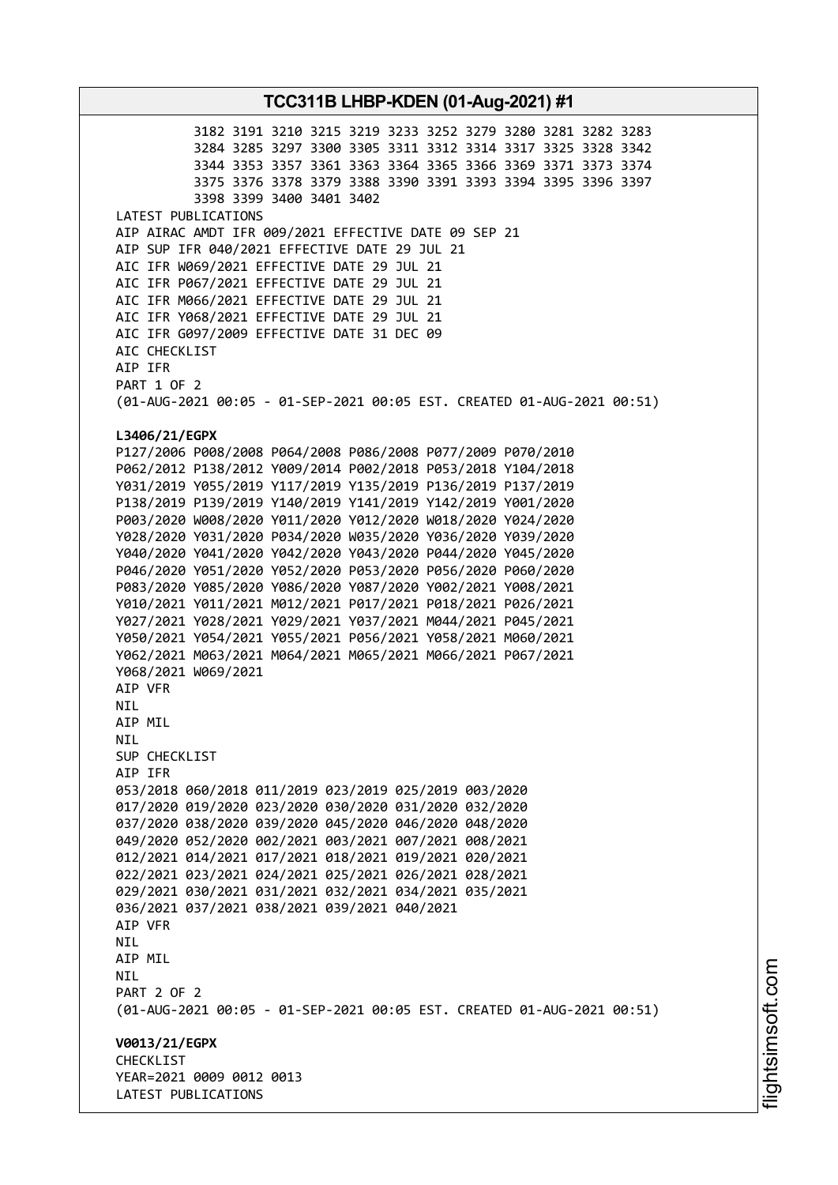3182 3191 3210 3215 3219 3233 3252 3279 3280 3281 3282 3283 3284 3285 3297 3300 3305 3311 3312 3314 3317 3325 3328 3342 3344 3353 3357 3361 3363 3364 3365 3366 3369 3371 3373 3374 3375 3376 3378 3379 3388 3390 3391 3393 3394 3395 3396 3397 3398 3399 3400 3401 3402 LATEST PUBLICATIONS AIP AIRAC AMDT IFR 009/2021 EFFECTIVE DATE 09 SEP 21 AIP SUP IFR 040/2021 EFFECTIVE DATE 29 JUL 21 AIC IFR W069/2021 EFFECTIVE DATE 29 JUL 21 AIC IFR P067/2021 EFFECTIVE DATE 29 JUL 21 AIC IFR M066/2021 EFFECTIVE DATE 29 JUL 21 AIC IFR Y068/2021 EFFECTIVE DATE 29 JUL 21 AIC IFR G097/2009 EFFECTIVE DATE 31 DEC 09 AIC CHECKLIST AIP IFR PART 1 OF 2 (01-AUG-2021 00:05 - 01-SEP-2021 00:05 EST. CREATED 01-AUG-2021 00:51) **L3406/21/EGPX** P127/2006 P008/2008 P064/2008 P086/2008 P077/2009 P070/2010 P062/2012 P138/2012 Y009/2014 P002/2018 P053/2018 Y104/2018 Y031/2019 Y055/2019 Y117/2019 Y135/2019 P136/2019 P137/2019 P138/2019 P139/2019 Y140/2019 Y141/2019 Y142/2019 Y001/2020 P003/2020 W008/2020 Y011/2020 Y012/2020 W018/2020 Y024/2020 Y028/2020 Y031/2020 P034/2020 W035/2020 Y036/2020 Y039/2020 Y040/2020 Y041/2020 Y042/2020 Y043/2020 P044/2020 Y045/2020 P046/2020 Y051/2020 Y052/2020 P053/2020 P056/2020 P060/2020 P083/2020 Y085/2020 Y086/2020 Y087/2020 Y002/2021 Y008/2021 Y010/2021 Y011/2021 M012/2021 P017/2021 P018/2021 P026/2021 Y027/2021 Y028/2021 Y029/2021 Y037/2021 M044/2021 P045/2021 Y050/2021 Y054/2021 Y055/2021 P056/2021 Y058/2021 M060/2021 Y062/2021 M063/2021 M064/2021 M065/2021 M066/2021 P067/2021 Y068/2021 W069/2021 AIP VFR NIL AIP MIL NIL SUP CHECKLIST AIP IFR 053/2018 060/2018 011/2019 023/2019 025/2019 003/2020 017/2020 019/2020 023/2020 030/2020 031/2020 032/2020 037/2020 038/2020 039/2020 045/2020 046/2020 048/2020 049/2020 052/2020 002/2021 003/2021 007/2021 008/2021 012/2021 014/2021 017/2021 018/2021 019/2021 020/2021 022/2021 023/2021 024/2021 025/2021 026/2021 028/2021 029/2021 030/2021 031/2021 032/2021 034/2021 035/2021 036/2021 037/2021 038/2021 039/2021 040/2021 AIP VFR NIL AIP MIL NIL PART 2 OF 2 (01-AUG-2021 00:05 - 01-SEP-2021 00:05 EST. CREATED 01-AUG-2021 00:51) **V0013/21/EGPX CHECKLIST** YEAR=2021 0009 0012 0013 LATEST PUBLICATIONS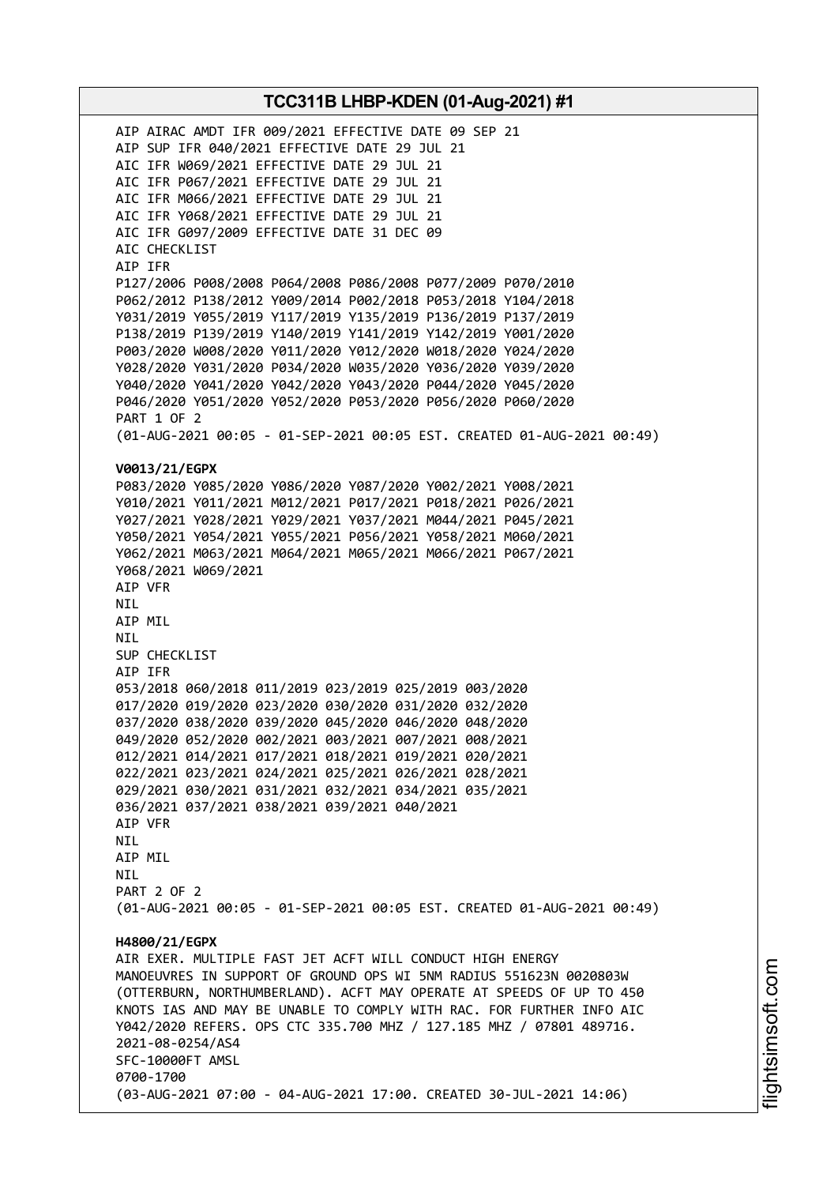AIP AIRAC AMDT IFR 009/2021 EFFECTIVE DATE 09 SEP 21 AIP SUP IFR 040/2021 EFFECTIVE DATE 29 JUL 21 AIC IFR W069/2021 EFFECTIVE DATE 29 JUL 21 AIC IFR P067/2021 EFFECTIVE DATE 29 JUL 21 AIC IFR M066/2021 EFFECTIVE DATE 29 JUL 21 AIC IFR Y068/2021 EFFECTIVE DATE 29 JUL 21 AIC IFR G097/2009 EFFECTIVE DATE 31 DEC 09 AIC CHECKLIST AIP IFR P127/2006 P008/2008 P064/2008 P086/2008 P077/2009 P070/2010 P062/2012 P138/2012 Y009/2014 P002/2018 P053/2018 Y104/2018 Y031/2019 Y055/2019 Y117/2019 Y135/2019 P136/2019 P137/2019 P138/2019 P139/2019 Y140/2019 Y141/2019 Y142/2019 Y001/2020 P003/2020 W008/2020 Y011/2020 Y012/2020 W018/2020 Y024/2020 Y028/2020 Y031/2020 P034/2020 W035/2020 Y036/2020 Y039/2020 Y040/2020 Y041/2020 Y042/2020 Y043/2020 P044/2020 Y045/2020 P046/2020 Y051/2020 Y052/2020 P053/2020 P056/2020 P060/2020 PART 1 OF 2 (01-AUG-2021 00:05 - 01-SEP-2021 00:05 EST. CREATED 01-AUG-2021 00:49) **V0013/21/EGPX** P083/2020 Y085/2020 Y086/2020 Y087/2020 Y002/2021 Y008/2021 Y010/2021 Y011/2021 M012/2021 P017/2021 P018/2021 P026/2021 Y027/2021 Y028/2021 Y029/2021 Y037/2021 M044/2021 P045/2021 Y050/2021 Y054/2021 Y055/2021 P056/2021 Y058/2021 M060/2021 Y062/2021 M063/2021 M064/2021 M065/2021 M066/2021 P067/2021 Y068/2021 W069/2021 AIP VFR NIL AIP MIL NIL SUP CHECKLIST AIP IFR 053/2018 060/2018 011/2019 023/2019 025/2019 003/2020 017/2020 019/2020 023/2020 030/2020 031/2020 032/2020 037/2020 038/2020 039/2020 045/2020 046/2020 048/2020 049/2020 052/2020 002/2021 003/2021 007/2021 008/2021 012/2021 014/2021 017/2021 018/2021 019/2021 020/2021 022/2021 023/2021 024/2021 025/2021 026/2021 028/2021 029/2021 030/2021 031/2021 032/2021 034/2021 035/2021 036/2021 037/2021 038/2021 039/2021 040/2021 AIP VFR NIL AIP MIL **NTI** PART 2 OF 2 (01-AUG-2021 00:05 - 01-SEP-2021 00:05 EST. CREATED 01-AUG-2021 00:49) **H4800/21/EGPX** AIR EXER. MULTIPLE FAST JET ACFT WILL CONDUCT HIGH ENERGY MANOEUVRES IN SUPPORT OF GROUND OPS WI 5NM RADIUS 551623N 0020803W (OTTERBURN, NORTHUMBERLAND). ACFT MAY OPERATE AT SPEEDS OF UP TO 450 KNOTS IAS AND MAY BE UNABLE TO COMPLY WITH RAC. FOR FURTHER INFO AIC Y042/2020 REFERS. OPS CTC 335.700 MHZ / 127.185 MHZ / 07801 489716. 2021-08-0254/AS4 SFC-10000FT AMSL 0700-1700 (03-AUG-2021 07:00 - 04-AUG-2021 17:00. CREATED 30-JUL-2021 14:06)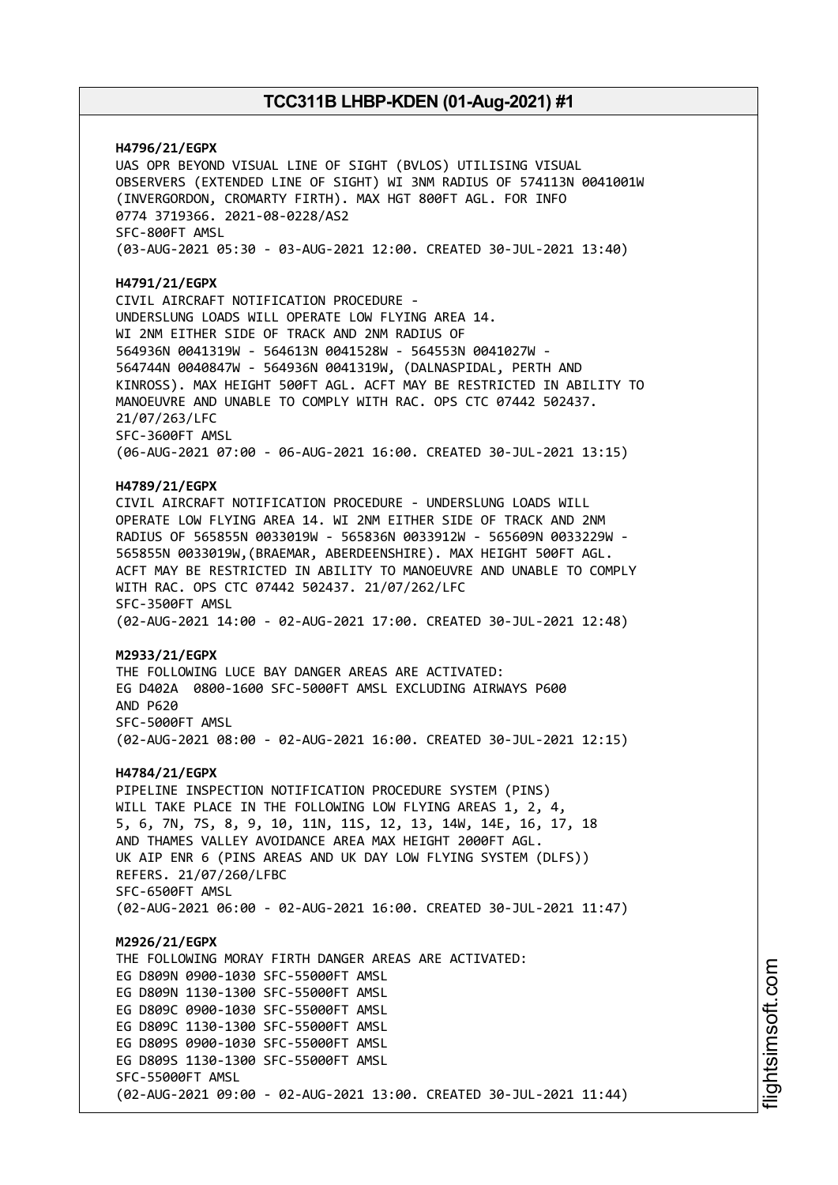**H4796/21/EGPX** UAS OPR BEYOND VISUAL LINE OF SIGHT (BVLOS) UTILISING VISUAL OBSERVERS (EXTENDED LINE OF SIGHT) WI 3NM RADIUS OF 574113N 0041001W (INVERGORDON, CROMARTY FIRTH). MAX HGT 800FT AGL. FOR INFO 0774 3719366. 2021-08-0228/AS2 SFC-800FT AMSL (03-AUG-2021 05:30 - 03-AUG-2021 12:00. CREATED 30-JUL-2021 13:40) **H4791/21/EGPX** CIVIL AIRCRAFT NOTIFICATION PROCEDURE - UNDERSLUNG LOADS WILL OPERATE LOW FLYING AREA 14. WI 2NM EITHER SIDE OF TRACK AND 2NM RADIUS OF 564936N 0041319W - 564613N 0041528W - 564553N 0041027W - 564744N 0040847W - 564936N 0041319W, (DALNASPIDAL, PERTH AND KINROSS). MAX HEIGHT 500FT AGL. ACFT MAY BE RESTRICTED IN ABILITY TO MANOEUVRE AND UNABLE TO COMPLY WITH RAC. OPS CTC 07442 502437. 21/07/263/LFC SFC-3600FT AMSL (06-AUG-2021 07:00 - 06-AUG-2021 16:00. CREATED 30-JUL-2021 13:15) **H4789/21/EGPX** CIVIL AIRCRAFT NOTIFICATION PROCEDURE - UNDERSLUNG LOADS WILL OPERATE LOW FLYING AREA 14. WI 2NM EITHER SIDE OF TRACK AND 2NM RADIUS OF 565855N 0033019W - 565836N 0033912W - 565609N 0033229W - 565855N 0033019W,(BRAEMAR, ABERDEENSHIRE). MAX HEIGHT 500FT AGL. ACFT MAY BE RESTRICTED IN ABILITY TO MANOEUVRE AND UNABLE TO COMPLY WITH RAC. OPS CTC 07442 502437. 21/07/262/LFC SFC-3500FT AMSL (02-AUG-2021 14:00 - 02-AUG-2021 17:00. CREATED 30-JUL-2021 12:48) **M2933/21/EGPX** THE FOLLOWING LUCE BAY DANGER AREAS ARE ACTIVATED: EG D402A 0800-1600 SFC-5000FT AMSL EXCLUDING AIRWAYS P600 AND P620 SFC-5000FT AMSL (02-AUG-2021 08:00 - 02-AUG-2021 16:00. CREATED 30-JUL-2021 12:15) **H4784/21/EGPX** PIPELINE INSPECTION NOTIFICATION PROCEDURE SYSTEM (PINS) WILL TAKE PLACE IN THE FOLLOWING LOW FLYING AREAS 1, 2, 4, 5, 6, 7N, 7S, 8, 9, 10, 11N, 11S, 12, 13, 14W, 14E, 16, 17, 18 AND THAMES VALLEY AVOIDANCE AREA MAX HEIGHT 2000FT AGL. UK AIP ENR 6 (PINS AREAS AND UK DAY LOW FLYING SYSTEM (DLFS)) REFERS. 21/07/260/LFBC SFC-6500FT AMSL (02-AUG-2021 06:00 - 02-AUG-2021 16:00. CREATED 30-JUL-2021 11:47) **M2926/21/EGPX** THE FOLLOWING MORAY FIRTH DANGER AREAS ARE ACTIVATED: EG D809N 0900-1030 SFC-55000FT AMSL EG D809N 1130-1300 SFC-55000FT AMSL EG D809C 0900-1030 SFC-55000FT AMSL EG D809C 1130-1300 SFC-55000FT AMSL EG D809S 0900-1030 SFC-55000FT AMSL EG D809S 1130-1300 SFC-55000FT AMSL SFC-55000FT AMSL (02-AUG-2021 09:00 - 02-AUG-2021 13:00. CREATED 30-JUL-2021 11:44)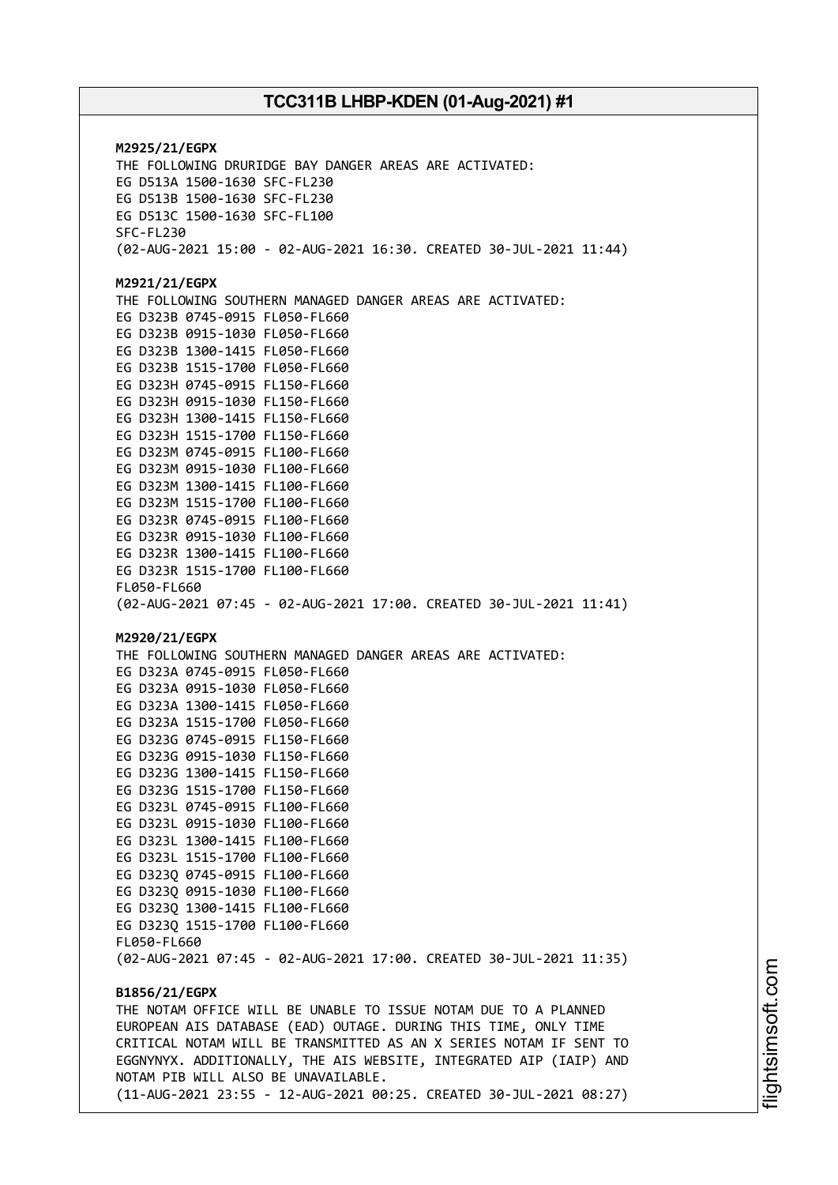**M2925/21/EGPX** THE FOLLOWING DRURIDGE BAY DANGER AREAS ARE ACTIVATED: EG D513A 1500-1630 SFC-FL230 EG D513B 1500-1630 SFC-FL230 EG D513C 1500-1630 SFC-FL100 SFC-FL230 (02-AUG-2021 15:00 - 02-AUG-2021 16:30. CREATED 30-JUL-2021 11:44) **M2921/21/EGPX** THE FOLLOWING SOUTHERN MANAGED DANGER AREAS ARE ACTIVATED: EG D323B 0745-0915 FL050-FL660 EG D323B 0915-1030 FL050-FL660 EG D323B 1300-1415 FL050-FL660 EG D323B 1515-1700 FL050-FL660 EG D323H 0745-0915 FL150-FL660 EG D323H 0915-1030 FL150-FL660 EG D323H 1300-1415 FL150-FL660 EG D323H 1515-1700 FL150-FL660 EG D323M 0745-0915 FL100-FL660 EG D323M 0915-1030 FL100-FL660 EG D323M 1300-1415 FL100-FL660 EG D323M 1515-1700 FL100-FL660 EG D323R 0745-0915 FL100-FL660 EG D323R 0915-1030 FL100-FL660 EG D323R 1300-1415 FL100-FL660 EG D323R 1515-1700 FL100-FL660 FL050-FL660 (02-AUG-2021 07:45 - 02-AUG-2021 17:00. CREATED 30-JUL-2021 11:41) **M2920/21/EGPX** THE FOLLOWING SOUTHERN MANAGED DANGER AREAS ARE ACTIVATED: EG D323A 0745-0915 FL050-FL660 EG D323A 0915-1030 FL050-FL660 EG D323A 1300-1415 FL050-FL660 EG D323A 1515-1700 FL050-FL660 EG D323G 0745-0915 FL150-FL660 EG D323G 0915-1030 FL150-FL660 EG D323G 1300-1415 FL150-FL660 EG D323G 1515-1700 FL150-FL660 EG D323L 0745-0915 FL100-FL660 EG D323L 0915-1030 FL100-FL660 EG D323L 1300-1415 FL100-FL660 EG D323L 1515-1700 FL100-FL660 EG D323Q 0745-0915 FL100-FL660 EG D323Q 0915-1030 FL100-FL660 EG D323Q 1300-1415 FL100-FL660 EG D323Q 1515-1700 FL100-FL660 FL050-FL660 (02-AUG-2021 07:45 - 02-AUG-2021 17:00. CREATED 30-JUL-2021 11:35) **B1856/21/EGPX** THE NOTAM OFFICE WILL BE UNABLE TO ISSUE NOTAM DUE TO A PLANNED EUROPEAN AIS DATABASE (EAD) OUTAGE. DURING THIS TIME, ONLY TIME CRITICAL NOTAM WILL BE TRANSMITTED AS AN X SERIES NOTAM IF SENT TO EGGNYNYX. ADDITIONALLY, THE AIS WEBSITE, INTEGRATED AIP (IAIP) AND NOTAM PIB WILL ALSO BE UNAVAILABLE. (11-AUG-2021 23:55 - 12-AUG-2021 00:25. CREATED 30-JUL-2021 08:27)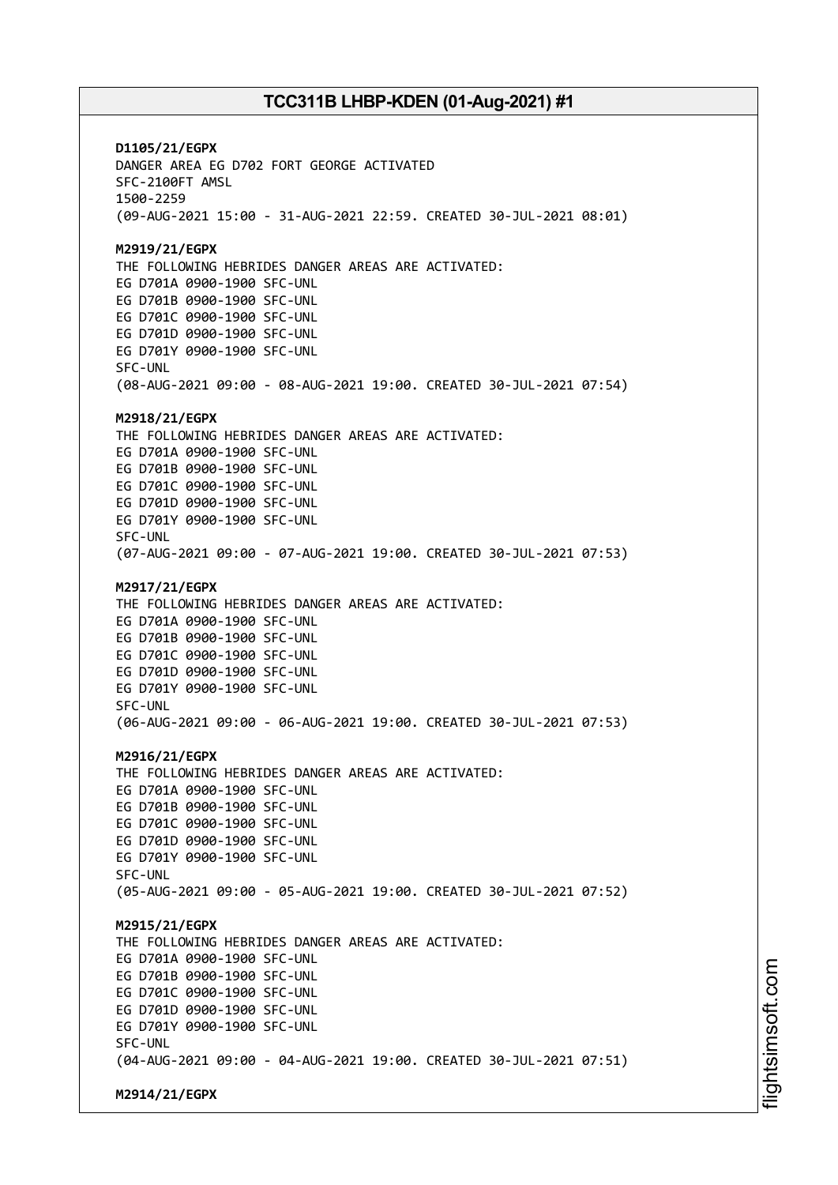**D1105/21/EGPX** DANGER AREA EG D702 FORT GEORGE ACTIVATED SFC-2100FT AMSL 1500-2259 (09-AUG-2021 15:00 - 31-AUG-2021 22:59. CREATED 30-JUL-2021 08:01) **M2919/21/EGPX** THE FOLLOWING HEBRIDES DANGER AREAS ARE ACTIVATED: EG D701A 0900-1900 SFC-UNL EG D701B 0900-1900 SFC-UNL EG D701C 0900-1900 SFC-UNL EG D701D 0900-1900 SFC-UNL EG D701Y 0900-1900 SFC-UNL SFC-UNL (08-AUG-2021 09:00 - 08-AUG-2021 19:00. CREATED 30-JUL-2021 07:54) **M2918/21/EGPX** THE FOLLOWING HEBRIDES DANGER AREAS ARE ACTIVATED: EG D701A 0900-1900 SFC-UNL EG D701B 0900-1900 SFC-UNL EG D701C 0900-1900 SFC-UNL EG D701D 0900-1900 SFC-UNL EG D701Y 0900-1900 SFC-UNL SFC-UNL (07-AUG-2021 09:00 - 07-AUG-2021 19:00. CREATED 30-JUL-2021 07:53) **M2917/21/EGPX** THE FOLLOWING HEBRIDES DANGER AREAS ARE ACTIVATED: EG D701A 0900-1900 SFC-UNL EG D701B 0900-1900 SFC-UNL EG D701C 0900-1900 SFC-UNL EG D701D 0900-1900 SFC-UNL EG D701Y 0900-1900 SFC-UNL SFC-UNL (06-AUG-2021 09:00 - 06-AUG-2021 19:00. CREATED 30-JUL-2021 07:53) **M2916/21/EGPX** THE FOLLOWING HEBRIDES DANGER AREAS ARE ACTIVATED: EG D701A 0900-1900 SFC-UNL EG D701B 0900-1900 SFC-UNL EG D701C 0900-1900 SFC-UNL EG D701D 0900-1900 SFC-UNL EG D701Y 0900-1900 SFC-UNL SFC-UNL (05-AUG-2021 09:00 - 05-AUG-2021 19:00. CREATED 30-JUL-2021 07:52) **M2915/21/EGPX** THE FOLLOWING HEBRIDES DANGER AREAS ARE ACTIVATED: EG D701A 0900-1900 SFC-UNL EG D701B 0900-1900 SFC-UNL EG D701C 0900-1900 SFC-UNL EG D701D 0900-1900 SFC-UNL EG D701Y 0900-1900 SFC-UNL SFC-UNL (04-AUG-2021 09:00 - 04-AUG-2021 19:00. CREATED 30-JUL-2021 07:51) **M2914/21/EGPX**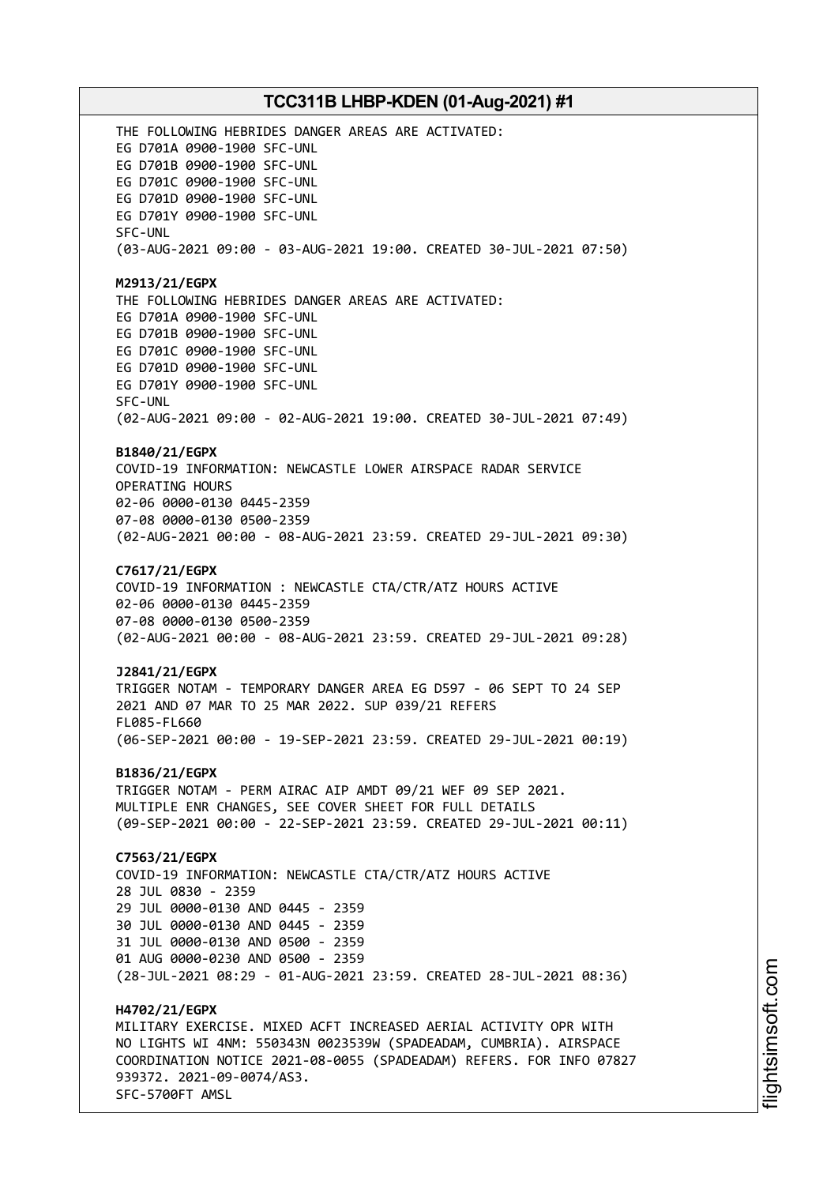THE FOLLOWING HEBRIDES DANGER AREAS ARE ACTIVATED: EG D701A 0900-1900 SFC-UNL EG D701B 0900-1900 SFC-UNL EG D701C 0900-1900 SFC-UNL EG D701D 0900-1900 SFC-UNL EG D701Y 0900-1900 SFC-UNL SFC-UNL (03-AUG-2021 09:00 - 03-AUG-2021 19:00. CREATED 30-JUL-2021 07:50) **M2913/21/EGPX** THE FOLLOWING HEBRIDES DANGER AREAS ARE ACTIVATED: EG D701A 0900-1900 SFC-UNL EG D701B 0900-1900 SFC-UNL EG D701C 0900-1900 SFC-UNL EG D701D 0900-1900 SFC-UNL EG D701Y 0900-1900 SFC-UNL SFC-UNL (02-AUG-2021 09:00 - 02-AUG-2021 19:00. CREATED 30-JUL-2021 07:49) **B1840/21/EGPX** COVID-19 INFORMATION: NEWCASTLE LOWER AIRSPACE RADAR SERVICE OPERATING HOURS 02-06 0000-0130 0445-2359 07-08 0000-0130 0500-2359 (02-AUG-2021 00:00 - 08-AUG-2021 23:59. CREATED 29-JUL-2021 09:30) **C7617/21/EGPX** COVID-19 INFORMATION : NEWCASTLE CTA/CTR/ATZ HOURS ACTIVE 02-06 0000-0130 0445-2359 07-08 0000-0130 0500-2359 (02-AUG-2021 00:00 - 08-AUG-2021 23:59. CREATED 29-JUL-2021 09:28) **J2841/21/EGPX** TRIGGER NOTAM - TEMPORARY DANGER AREA EG D597 - 06 SEPT TO 24 SEP 2021 AND 07 MAR TO 25 MAR 2022. SUP 039/21 REFERS FL085-FL660 (06-SEP-2021 00:00 - 19-SEP-2021 23:59. CREATED 29-JUL-2021 00:19) **B1836/21/EGPX** TRIGGER NOTAM - PERM AIRAC AIP AMDT 09/21 WEF 09 SEP 2021. MULTIPLE ENR CHANGES, SEE COVER SHEET FOR FULL DETAILS (09-SEP-2021 00:00 - 22-SEP-2021 23:59. CREATED 29-JUL-2021 00:11) **C7563/21/EGPX** COVID-19 INFORMATION: NEWCASTLE CTA/CTR/ATZ HOURS ACTIVE 28 JUL 0830 - 2359 29 JUL 0000-0130 AND 0445 - 2359 30 JUL 0000-0130 AND 0445 - 2359 31 JUL 0000-0130 AND 0500 - 2359 01 AUG 0000-0230 AND 0500 - 2359 (28-JUL-2021 08:29 - 01-AUG-2021 23:59. CREATED 28-JUL-2021 08:36) **H4702/21/EGPX** MILITARY EXERCISE. MIXED ACFT INCREASED AERIAL ACTIVITY OPR WITH NO LIGHTS WI 4NM: 550343N 0023539W (SPADEADAM, CUMBRIA). AIRSPACE COORDINATION NOTICE 2021-08-0055 (SPADEADAM) REFERS. FOR INFO 07827 939372. 2021-09-0074/AS3. SFC-5700FT AMSL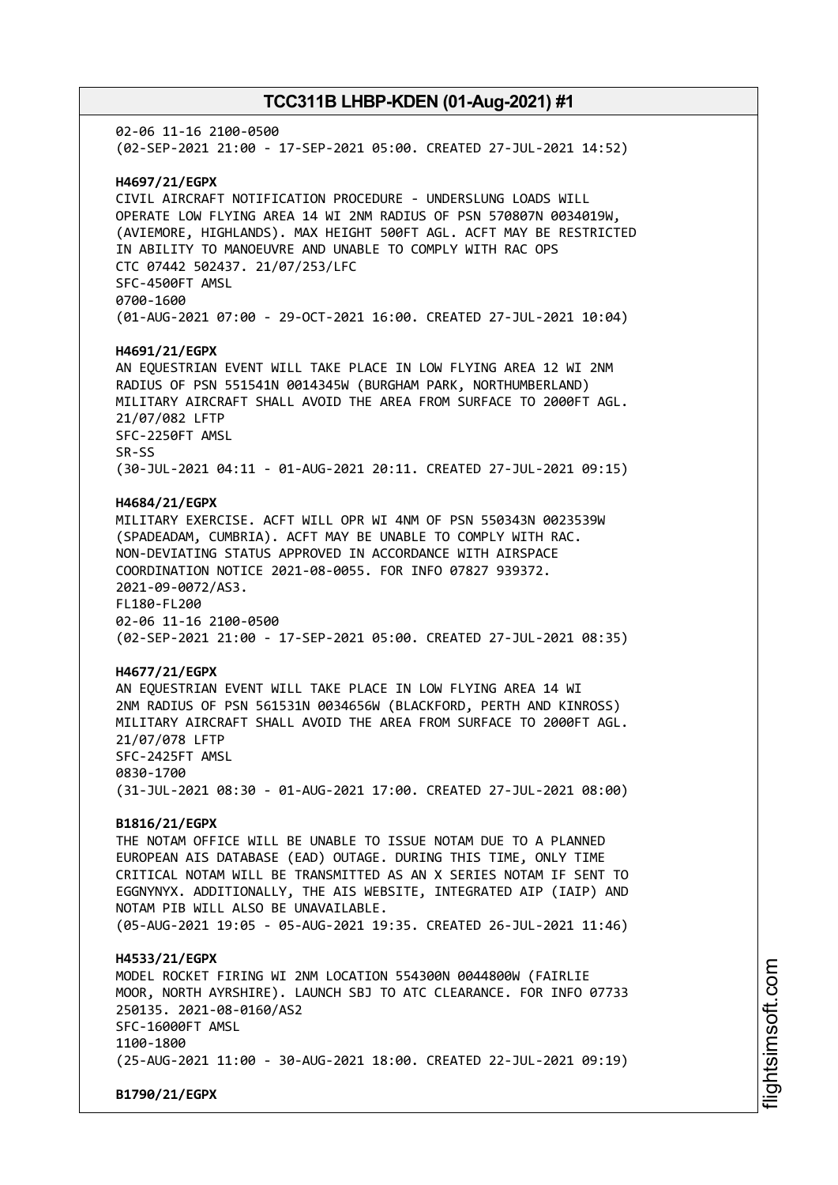02-06 11-16 2100-0500 (02-SEP-2021 21:00 - 17-SEP-2021 05:00. CREATED 27-JUL-2021 14:52) **H4697/21/EGPX** CIVIL AIRCRAFT NOTIFICATION PROCEDURE - UNDERSLUNG LOADS WILL OPERATE LOW FLYING AREA 14 WI 2NM RADIUS OF PSN 570807N 0034019W, (AVIEMORE, HIGHLANDS). MAX HEIGHT 500FT AGL. ACFT MAY BE RESTRICTED IN ABILITY TO MANOEUVRE AND UNABLE TO COMPLY WITH RAC OPS CTC 07442 502437. 21/07/253/LFC SFC-4500FT AMSL 0700-1600 (01-AUG-2021 07:00 - 29-OCT-2021 16:00. CREATED 27-JUL-2021 10:04) **H4691/21/EGPX** AN EQUESTRIAN EVENT WILL TAKE PLACE IN LOW FLYING AREA 12 WI 2NM RADIUS OF PSN 551541N 0014345W (BURGHAM PARK, NORTHUMBERLAND) MILITARY AIRCRAFT SHALL AVOID THE AREA FROM SURFACE TO 2000FT AGL. 21/07/082 LFTP SFC-2250FT AMSL SR-SS (30-JUL-2021 04:11 - 01-AUG-2021 20:11. CREATED 27-JUL-2021 09:15) **H4684/21/EGPX** MILITARY EXERCISE. ACFT WILL OPR WI 4NM OF PSN 550343N 0023539W (SPADEADAM, CUMBRIA). ACFT MAY BE UNABLE TO COMPLY WITH RAC. NON-DEVIATING STATUS APPROVED IN ACCORDANCE WITH AIRSPACE COORDINATION NOTICE 2021-08-0055. FOR INFO 07827 939372. 2021-09-0072/AS3. FL180-FL200 02-06 11-16 2100-0500 (02-SEP-2021 21:00 - 17-SEP-2021 05:00. CREATED 27-JUL-2021 08:35) **H4677/21/EGPX** AN EQUESTRIAN EVENT WILL TAKE PLACE IN LOW FLYING AREA 14 WI 2NM RADIUS OF PSN 561531N 0034656W (BLACKFORD, PERTH AND KINROSS) MILITARY AIRCRAFT SHALL AVOID THE AREA FROM SURFACE TO 2000FT AGL. 21/07/078 LFTP SFC-2425FT AMSL 0830-1700 (31-JUL-2021 08:30 - 01-AUG-2021 17:00. CREATED 27-JUL-2021 08:00) **B1816/21/EGPX** THE NOTAM OFFICE WILL BE UNABLE TO ISSUE NOTAM DUE TO A PLANNED EUROPEAN AIS DATABASE (EAD) OUTAGE. DURING THIS TIME, ONLY TIME CRITICAL NOTAM WILL BE TRANSMITTED AS AN X SERIES NOTAM IF SENT TO EGGNYNYX. ADDITIONALLY, THE AIS WEBSITE, INTEGRATED AIP (IAIP) AND NOTAM PIB WILL ALSO BE UNAVAILABLE. (05-AUG-2021 19:05 - 05-AUG-2021 19:35. CREATED 26-JUL-2021 11:46) **H4533/21/EGPX** MODEL ROCKET FIRING WI 2NM LOCATION 554300N 0044800W (FAIRLIE MOOR, NORTH AYRSHIRE). LAUNCH SBJ TO ATC CLEARANCE. FOR INFO 07733 250135. 2021-08-0160/AS2 SFC-16000FT AMSL 1100-1800 (25-AUG-2021 11:00 - 30-AUG-2021 18:00. CREATED 22-JUL-2021 09:19) **B1790/21/EGPX**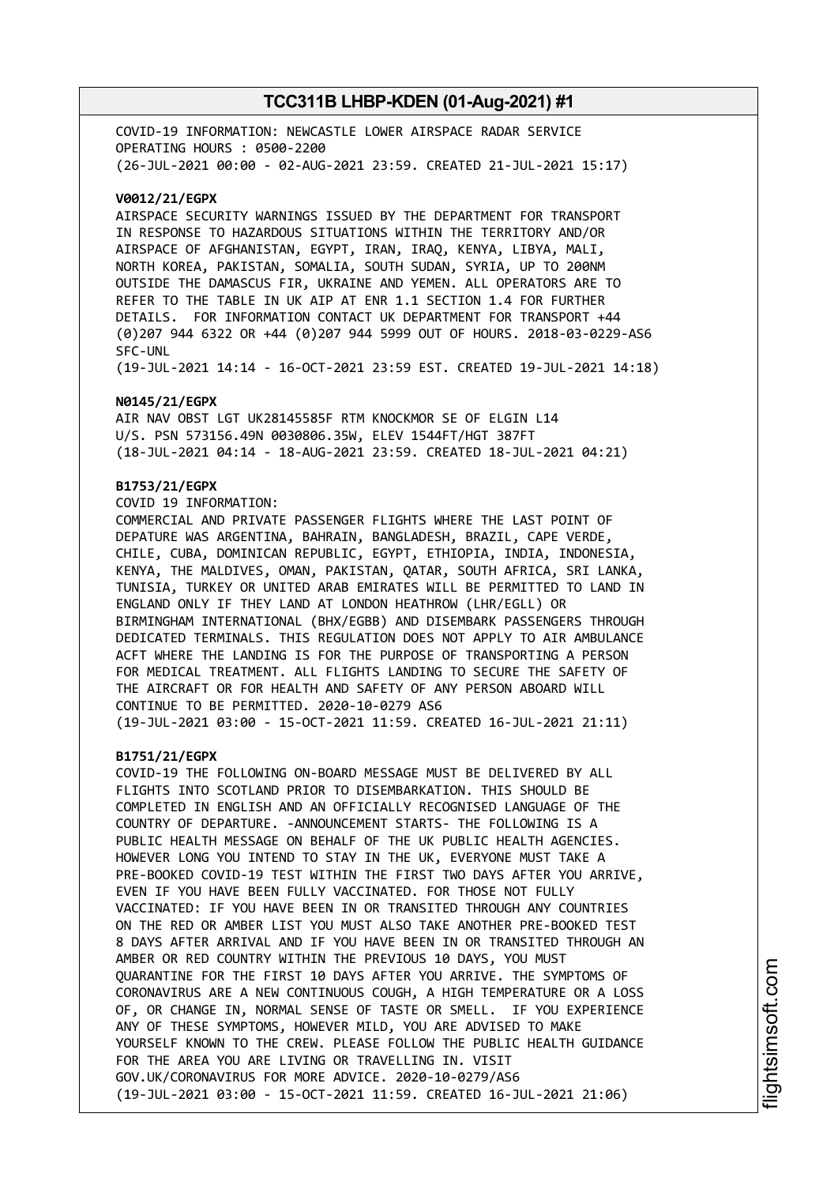COVID-19 INFORMATION: NEWCASTLE LOWER AIRSPACE RADAR SERVICE OPERATING HOURS : 0500-2200 (26-JUL-2021 00:00 - 02-AUG-2021 23:59. CREATED 21-JUL-2021 15:17)

#### **V0012/21/EGPX**

AIRSPACE SECURITY WARNINGS ISSUED BY THE DEPARTMENT FOR TRANSPORT IN RESPONSE TO HAZARDOUS SITUATIONS WITHIN THE TERRITORY AND/OR AIRSPACE OF AFGHANISTAN, EGYPT, IRAN, IRAQ, KENYA, LIBYA, MALI, NORTH KOREA, PAKISTAN, SOMALIA, SOUTH SUDAN, SYRIA, UP TO 200NM OUTSIDE THE DAMASCUS FIR, UKRAINE AND YEMEN. ALL OPERATORS ARE TO REFER TO THE TABLE IN UK AIP AT ENR 1.1 SECTION 1.4 FOR FURTHER DETAILS. FOR INFORMATION CONTACT UK DEPARTMENT FOR TRANSPORT +44 (0)207 944 6322 OR +44 (0)207 944 5999 OUT OF HOURS. 2018-03-0229-AS6 SFC-UNL

(19-JUL-2021 14:14 - 16-OCT-2021 23:59 EST. CREATED 19-JUL-2021 14:18)

#### **N0145/21/EGPX**

AIR NAV OBST LGT UK28145585F RTM KNOCKMOR SE OF ELGIN L14 U/S. PSN 573156.49N 0030806.35W, ELEV 1544FT/HGT 387FT (18-JUL-2021 04:14 - 18-AUG-2021 23:59. CREATED 18-JUL-2021 04:21)

#### **B1753/21/EGPX**

COVID 19 INFORMATION:

COMMERCIAL AND PRIVATE PASSENGER FLIGHTS WHERE THE LAST POINT OF DEPATURE WAS ARGENTINA, BAHRAIN, BANGLADESH, BRAZIL, CAPE VERDE, CHILE, CUBA, DOMINICAN REPUBLIC, EGYPT, ETHIOPIA, INDIA, INDONESIA, KENYA, THE MALDIVES, OMAN, PAKISTAN, QATAR, SOUTH AFRICA, SRI LANKA, TUNISIA, TURKEY OR UNITED ARAB EMIRATES WILL BE PERMITTED TO LAND IN ENGLAND ONLY IF THEY LAND AT LONDON HEATHROW (LHR/EGLL) OR BIRMINGHAM INTERNATIONAL (BHX/EGBB) AND DISEMBARK PASSENGERS THROUGH DEDICATED TERMINALS. THIS REGULATION DOES NOT APPLY TO AIR AMBULANCE ACFT WHERE THE LANDING IS FOR THE PURPOSE OF TRANSPORTING A PERSON FOR MEDICAL TREATMENT. ALL FLIGHTS LANDING TO SECURE THE SAFETY OF THE AIRCRAFT OR FOR HEALTH AND SAFETY OF ANY PERSON ABOARD WILL CONTINUE TO BE PERMITTED. 2020-10-0279 AS6 (19-JUL-2021 03:00 - 15-OCT-2021 11:59. CREATED 16-JUL-2021 21:11)

#### **B1751/21/EGPX**

COVID-19 THE FOLLOWING ON-BOARD MESSAGE MUST BE DELIVERED BY ALL FLIGHTS INTO SCOTLAND PRIOR TO DISEMBARKATION. THIS SHOULD BE COMPLETED IN ENGLISH AND AN OFFICIALLY RECOGNISED LANGUAGE OF THE COUNTRY OF DEPARTURE. -ANNOUNCEMENT STARTS- THE FOLLOWING IS A PUBLIC HEALTH MESSAGE ON BEHALF OF THE UK PUBLIC HEALTH AGENCIES. HOWEVER LONG YOU INTEND TO STAY IN THE UK, EVERYONE MUST TAKE A PRE-BOOKED COVID-19 TEST WITHIN THE FIRST TWO DAYS AFTER YOU ARRIVE, EVEN IF YOU HAVE BEEN FULLY VACCINATED. FOR THOSE NOT FULLY VACCINATED: IF YOU HAVE BEEN IN OR TRANSITED THROUGH ANY COUNTRIES ON THE RED OR AMBER LIST YOU MUST ALSO TAKE ANOTHER PRE-BOOKED TEST 8 DAYS AFTER ARRIVAL AND IF YOU HAVE BEEN IN OR TRANSITED THROUGH AN AMBER OR RED COUNTRY WITHIN THE PREVIOUS 10 DAYS, YOU MUST QUARANTINE FOR THE FIRST 10 DAYS AFTER YOU ARRIVE. THE SYMPTOMS OF CORONAVIRUS ARE A NEW CONTINUOUS COUGH, A HIGH TEMPERATURE OR A LOSS OF, OR CHANGE IN, NORMAL SENSE OF TASTE OR SMELL. IF YOU EXPERIENCE ANY OF THESE SYMPTOMS, HOWEVER MILD, YOU ARE ADVISED TO MAKE YOURSELF KNOWN TO THE CREW. PLEASE FOLLOW THE PUBLIC HEALTH GUIDANCE FOR THE AREA YOU ARE LIVING OR TRAVELLING IN. VISIT GOV.UK/CORONAVIRUS FOR MORE ADVICE. 2020-10-0279/AS6 (19-JUL-2021 03:00 - 15-OCT-2021 11:59. CREATED 16-JUL-2021 21:06)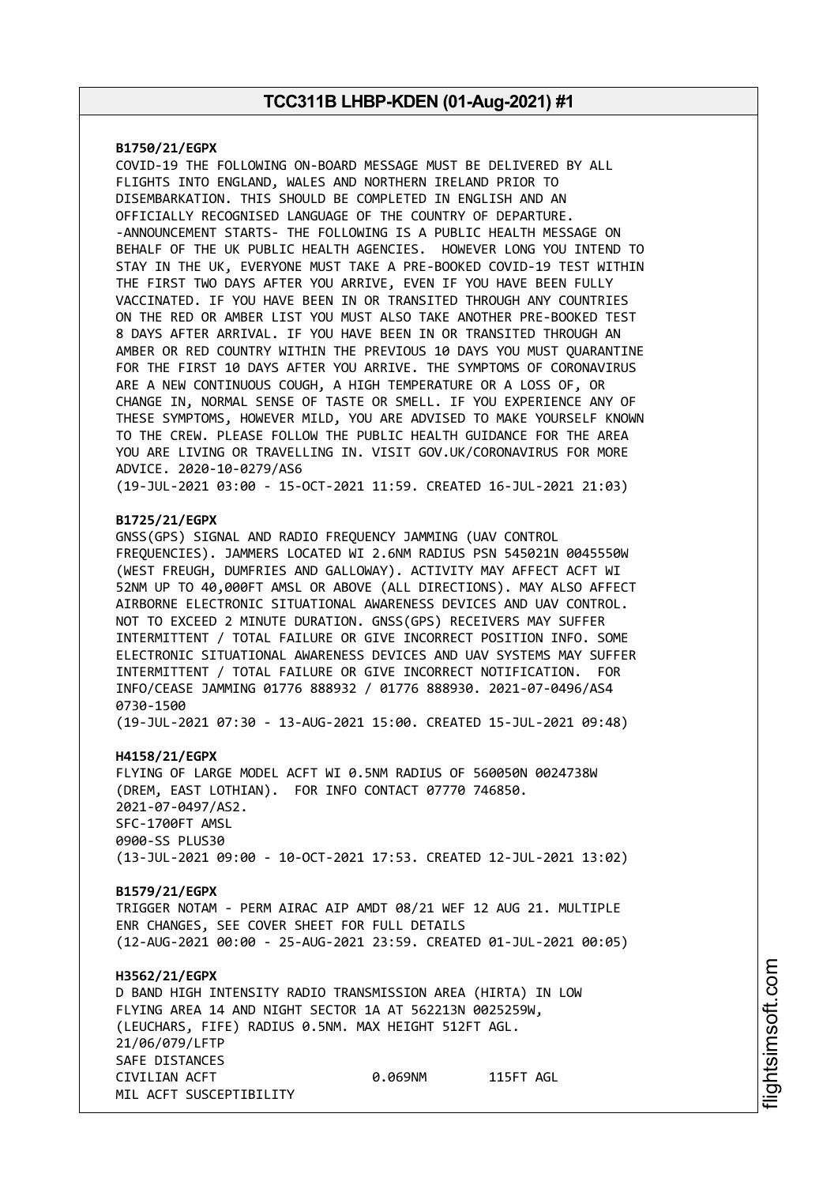#### **B1750/21/EGPX**

COVID-19 THE FOLLOWING ON-BOARD MESSAGE MUST BE DELIVERED BY ALL FLIGHTS INTO ENGLAND, WALES AND NORTHERN IRELAND PRIOR TO DISEMBARKATION. THIS SHOULD BE COMPLETED IN ENGLISH AND AN OFFICIALLY RECOGNISED LANGUAGE OF THE COUNTRY OF DEPARTURE. -ANNOUNCEMENT STARTS- THE FOLLOWING IS A PUBLIC HEALTH MESSAGE ON BEHALF OF THE UK PUBLIC HEALTH AGENCIES. HOWEVER LONG YOU INTEND TO STAY IN THE UK, EVERYONE MUST TAKE A PRE-BOOKED COVID-19 TEST WITHIN THE FIRST TWO DAYS AFTER YOU ARRIVE, EVEN IF YOU HAVE BEEN FULLY VACCINATED. IF YOU HAVE BEEN IN OR TRANSITED THROUGH ANY COUNTRIES ON THE RED OR AMBER LIST YOU MUST ALSO TAKE ANOTHER PRE-BOOKED TEST 8 DAYS AFTER ARRIVAL. IF YOU HAVE BEEN IN OR TRANSITED THROUGH AN AMBER OR RED COUNTRY WITHIN THE PREVIOUS 10 DAYS YOU MUST QUARANTINE FOR THE FIRST 10 DAYS AFTER YOU ARRIVE. THE SYMPTOMS OF CORONAVIRUS ARE A NEW CONTINUOUS COUGH, A HIGH TEMPERATURE OR A LOSS OF, OR CHANGE IN, NORMAL SENSE OF TASTE OR SMELL. IF YOU EXPERIENCE ANY OF THESE SYMPTOMS, HOWEVER MILD, YOU ARE ADVISED TO MAKE YOURSELF KNOWN TO THE CREW. PLEASE FOLLOW THE PUBLIC HEALTH GUIDANCE FOR THE AREA YOU ARE LIVING OR TRAVELLING IN. VISIT GOV.UK/CORONAVIRUS FOR MORE ADVICE. 2020-10-0279/AS6

(19-JUL-2021 03:00 - 15-OCT-2021 11:59. CREATED 16-JUL-2021 21:03)

#### **B1725/21/EGPX**

GNSS(GPS) SIGNAL AND RADIO FREQUENCY JAMMING (UAV CONTROL FREQUENCIES). JAMMERS LOCATED WI 2.6NM RADIUS PSN 545021N 0045550W (WEST FREUGH, DUMFRIES AND GALLOWAY). ACTIVITY MAY AFFECT ACFT WI 52NM UP TO 40,000FT AMSL OR ABOVE (ALL DIRECTIONS). MAY ALSO AFFECT AIRBORNE ELECTRONIC SITUATIONAL AWARENESS DEVICES AND UAV CONTROL. NOT TO EXCEED 2 MINUTE DURATION. GNSS(GPS) RECEIVERS MAY SUFFER INTERMITTENT / TOTAL FAILURE OR GIVE INCORRECT POSITION INFO. SOME ELECTRONIC SITUATIONAL AWARENESS DEVICES AND UAV SYSTEMS MAY SUFFER INTERMITTENT / TOTAL FAILURE OR GIVE INCORRECT NOTIFICATION. FOR INFO/CEASE JAMMING 01776 888932 / 01776 888930. 2021-07-0496/AS4 0730-1500

(19-JUL-2021 07:30 - 13-AUG-2021 15:00. CREATED 15-JUL-2021 09:48)

#### **H4158/21/EGPX**

FLYING OF LARGE MODEL ACFT WI 0.5NM RADIUS OF 560050N 0024738W (DREM, EAST LOTHIAN). FOR INFO CONTACT 07770 746850. 2021-07-0497/AS2. SFC-1700FT AMSL 0900-SS PLUS30 (13-JUL-2021 09:00 - 10-OCT-2021 17:53. CREATED 12-JUL-2021 13:02)

#### **B1579/21/EGPX**

TRIGGER NOTAM - PERM AIRAC AIP AMDT 08/21 WEF 12 AUG 21. MULTIPLE ENR CHANGES, SEE COVER SHEET FOR FULL DETAILS (12-AUG-2021 00:00 - 25-AUG-2021 23:59. CREATED 01-JUL-2021 00:05)

#### **H3562/21/EGPX** D BAND HIGH INTENSITY RADIO TRANSMISSION AREA (HIRTA) IN LOW FLYING AREA 14 AND NIGHT SECTOR 1A AT 562213N 0025259W, (LEUCHARS, FIFE) RADIUS 0.5NM. MAX HEIGHT 512FT AGL. 21/06/079/LFTP SAFE DISTANCES CIVILIAN ACFT 0.069NM 115FT AGL MIL ACFT SUSCEPTIBILITY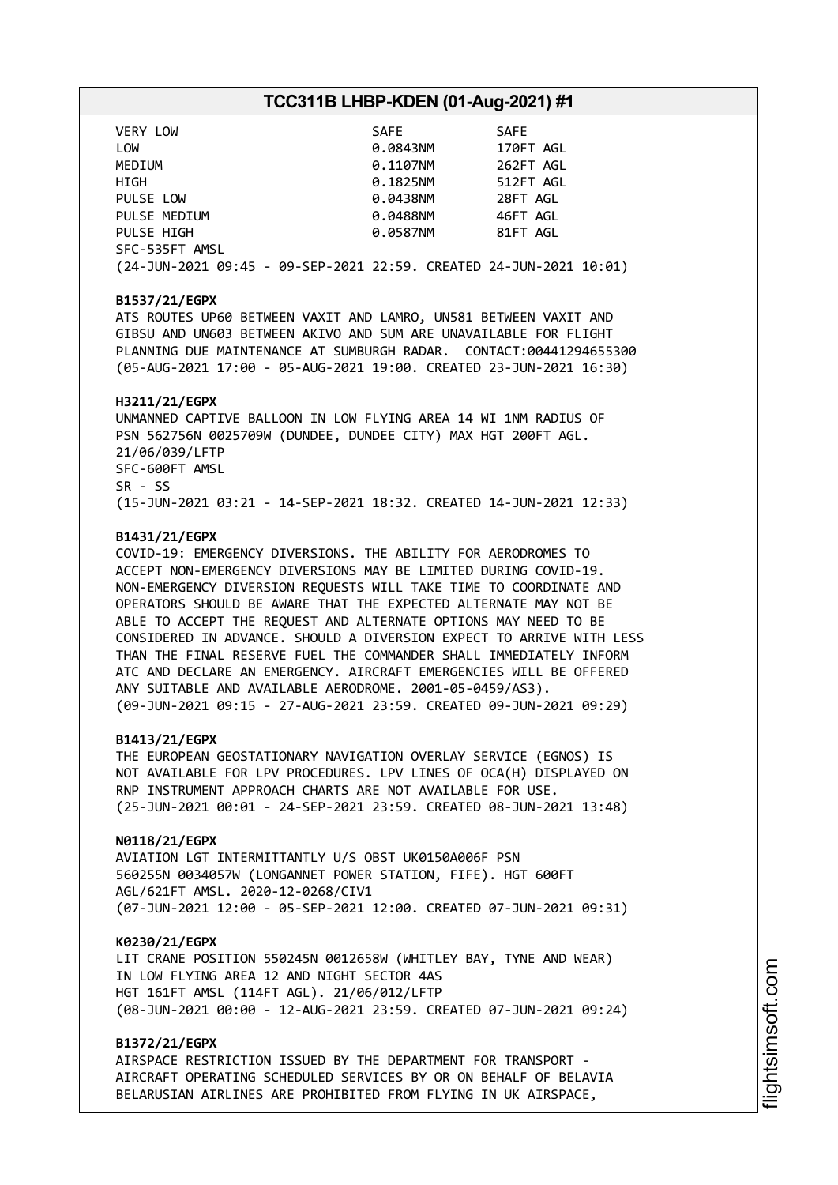| VERY LOW                                                           | SAFE     | <b>SAFE</b> |
|--------------------------------------------------------------------|----------|-------------|
| LOW                                                                | 0.0843NM | 170FT AGL   |
| MEDIUM                                                             | 0.1107NM | 262FT AGL   |
| HIGH                                                               | 0.1825NM | 512FT AGL   |
| PULSE LOW                                                          | 0.0438NM | 28FT AGL    |
| PULSE MEDIUM                                                       | 0.0488NM | 46FT AGL    |
| PULSE HIGH                                                         | 0.0587NM | 81FT AGL    |
| SFC-535FT AMSL                                                     |          |             |
| (24-JUN-2021 09:45 - 09-SEP-2021 22:59. CREATED 24-JUN-2021 10:01) |          |             |

#### **B1537/21/EGPX**

ATS ROUTES UP60 BETWEEN VAXIT AND LAMRO, UN581 BETWEEN VAXIT AND GIBSU AND UN603 BETWEEN AKIVO AND SUM ARE UNAVAILABLE FOR FLIGHT PLANNING DUE MAINTENANCE AT SUMBURGH RADAR. CONTACT:00441294655300 (05-AUG-2021 17:00 - 05-AUG-2021 19:00. CREATED 23-JUN-2021 16:30)

#### **H3211/21/EGPX**

UNMANNED CAPTIVE BALLOON IN LOW FLYING AREA 14 WI 1NM RADIUS OF PSN 562756N 0025709W (DUNDEE, DUNDEE CITY) MAX HGT 200FT AGL. 21/06/039/LFTP SFC-600FT AMSL SR - SS (15-JUN-2021 03:21 - 14-SEP-2021 18:32. CREATED 14-JUN-2021 12:33)

#### **B1431/21/EGPX**

COVID-19: EMERGENCY DIVERSIONS. THE ABILITY FOR AERODROMES TO ACCEPT NON-EMERGENCY DIVERSIONS MAY BE LIMITED DURING COVID-19. NON-EMERGENCY DIVERSION REQUESTS WILL TAKE TIME TO COORDINATE AND OPERATORS SHOULD BE AWARE THAT THE EXPECTED ALTERNATE MAY NOT BE ABLE TO ACCEPT THE REQUEST AND ALTERNATE OPTIONS MAY NEED TO BE CONSIDERED IN ADVANCE. SHOULD A DIVERSION EXPECT TO ARRIVE WITH LESS THAN THE FINAL RESERVE FUEL THE COMMANDER SHALL IMMEDIATELY INFORM ATC AND DECLARE AN EMERGENCY. AIRCRAFT EMERGENCIES WILL BE OFFERED ANY SUITABLE AND AVAILABLE AERODROME. 2001-05-0459/AS3). (09-JUN-2021 09:15 - 27-AUG-2021 23:59. CREATED 09-JUN-2021 09:29)

#### **B1413/21/EGPX**

THE EUROPEAN GEOSTATIONARY NAVIGATION OVERLAY SERVICE (EGNOS) IS NOT AVAILABLE FOR LPV PROCEDURES. LPV LINES OF OCA(H) DISPLAYED ON RNP INSTRUMENT APPROACH CHARTS ARE NOT AVAILABLE FOR USE. (25-JUN-2021 00:01 - 24-SEP-2021 23:59. CREATED 08-JUN-2021 13:48)

#### **N0118/21/EGPX**

AVIATION LGT INTERMITTANTLY U/S OBST UK0150A006F PSN 560255N 0034057W (LONGANNET POWER STATION, FIFE). HGT 600FT AGL/621FT AMSL. 2020-12-0268/CIV1 (07-JUN-2021 12:00 - 05-SEP-2021 12:00. CREATED 07-JUN-2021 09:31)

#### **K0230/21/EGPX**

LIT CRANE POSITION 550245N 0012658W (WHITLEY BAY, TYNE AND WEAR) IN LOW FLYING AREA 12 AND NIGHT SECTOR 4AS HGT 161FT AMSL (114FT AGL). 21/06/012/LFTP (08-JUN-2021 00:00 - 12-AUG-2021 23:59. CREATED 07-JUN-2021 09:24)

#### **B1372/21/EGPX**

AIRSPACE RESTRICTION ISSUED BY THE DEPARTMENT FOR TRANSPORT - AIRCRAFT OPERATING SCHEDULED SERVICES BY OR ON BEHALF OF BELAVIA BELARUSIAN AIRLINES ARE PROHIBITED FROM FLYING IN UK AIRSPACE,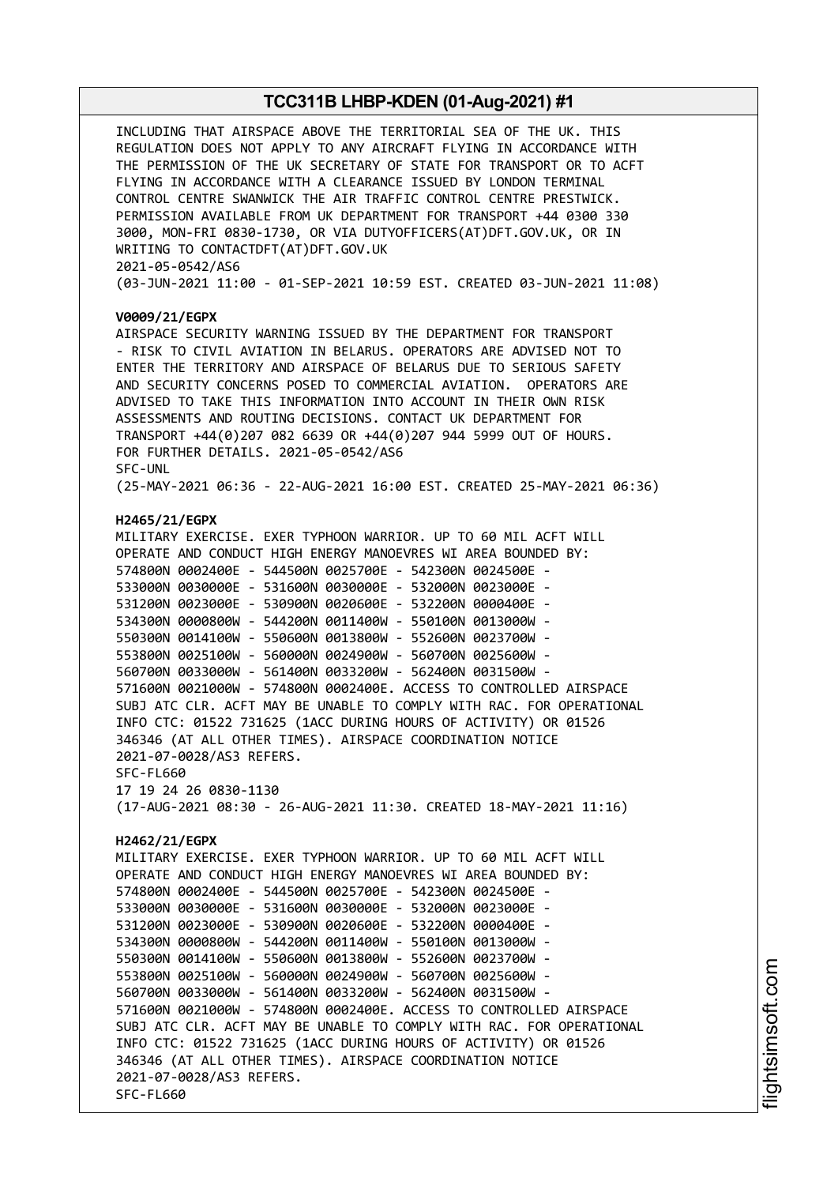INCLUDING THAT AIRSPACE ABOVE THE TERRITORIAL SEA OF THE UK. THIS REGULATION DOES NOT APPLY TO ANY AIRCRAFT FLYING IN ACCORDANCE WITH THE PERMISSION OF THE UK SECRETARY OF STATE FOR TRANSPORT OR TO ACFT FLYING IN ACCORDANCE WITH A CLEARANCE ISSUED BY LONDON TERMINAL CONTROL CENTRE SWANWICK THE AIR TRAFFIC CONTROL CENTRE PRESTWICK. PERMISSION AVAILABLE FROM UK DEPARTMENT FOR TRANSPORT +44 0300 330 3000, MON-FRI 0830-1730, OR VIA DUTYOFFICERS(AT)DFT.GOV.UK, OR IN WRITING TO CONTACTDFT(AT)DFT.GOV.UK 2021-05-0542/AS6 (03-JUN-2021 11:00 - 01-SEP-2021 10:59 EST. CREATED 03-JUN-2021 11:08) **V0009/21/EGPX** AIRSPACE SECURITY WARNING ISSUED BY THE DEPARTMENT FOR TRANSPORT - RISK TO CIVIL AVIATION IN BELARUS. OPERATORS ARE ADVISED NOT TO ENTER THE TERRITORY AND AIRSPACE OF BELARUS DUE TO SERIOUS SAFETY AND SECURITY CONCERNS POSED TO COMMERCIAL AVIATION. OPERATORS ARE ADVISED TO TAKE THIS INFORMATION INTO ACCOUNT IN THEIR OWN RISK ASSESSMENTS AND ROUTING DECISIONS. CONTACT UK DEPARTMENT FOR TRANSPORT +44(0)207 082 6639 OR +44(0)207 944 5999 OUT OF HOURS. FOR FURTHER DETAILS. 2021-05-0542/AS6 SFC-UNL (25-MAY-2021 06:36 - 22-AUG-2021 16:00 EST. CREATED 25-MAY-2021 06:36) **H2465/21/EGPX** MILITARY EXERCISE. EXER TYPHOON WARRIOR. UP TO 60 MIL ACFT WILL OPERATE AND CONDUCT HIGH ENERGY MANOEVRES WI AREA BOUNDED BY: 574800N 0002400E - 544500N 0025700E - 542300N 0024500E - 533000N 0030000E - 531600N 0030000E - 532000N 0023000E - 531200N 0023000E - 530900N 0020600E - 532200N 0000400E - 534300N 0000800W - 544200N 0011400W - 550100N 0013000W - 550300N 0014100W - 550600N 0013800W - 552600N 0023700W - 553800N 0025100W - 560000N 0024900W - 560700N 0025600W - 560700N 0033000W - 561400N 0033200W - 562400N 0031500W - 571600N 0021000W - 574800N 0002400E. ACCESS TO CONTROLLED AIRSPACE SUBJ ATC CLR. ACFT MAY BE UNABLE TO COMPLY WITH RAC. FOR OPERATIONAL INFO CTC: 01522 731625 (1ACC DURING HOURS OF ACTIVITY) OR 01526 346346 (AT ALL OTHER TIMES). AIRSPACE COORDINATION NOTICE 2021-07-0028/AS3 REFERS. SFC-FL660 17 19 24 26 0830-1130 (17-AUG-2021 08:30 - 26-AUG-2021 11:30. CREATED 18-MAY-2021 11:16) **H2462/21/EGPX** MILITARY EXERCISE. EXER TYPHOON WARRIOR. UP TO 60 MIL ACFT WILL OPERATE AND CONDUCT HIGH ENERGY MANOEVRES WI AREA BOUNDED BY: 574800N 0002400E - 544500N 0025700E - 542300N 0024500E - 533000N 0030000E - 531600N 0030000E - 532000N 0023000E - 531200N 0023000E - 530900N 0020600E - 532200N 0000400E - 534300N 0000800W - 544200N 0011400W - 550100N 0013000W - 550300N 0014100W - 550600N 0013800W - 552600N 0023700W - 553800N 0025100W - 560000N 0024900W - 560700N 0025600W - 560700N 0033000W - 561400N 0033200W - 562400N 0031500W - 571600N 0021000W - 574800N 0002400E. ACCESS TO CONTROLLED AIRSPACE SUBJ ATC CLR. ACFT MAY BE UNABLE TO COMPLY WITH RAC. FOR OPERATIONAL INFO CTC: 01522 731625 (1ACC DURING HOURS OF ACTIVITY) OR 01526 346346 (AT ALL OTHER TIMES). AIRSPACE COORDINATION NOTICE 2021-07-0028/AS3 REFERS. SFC-FL660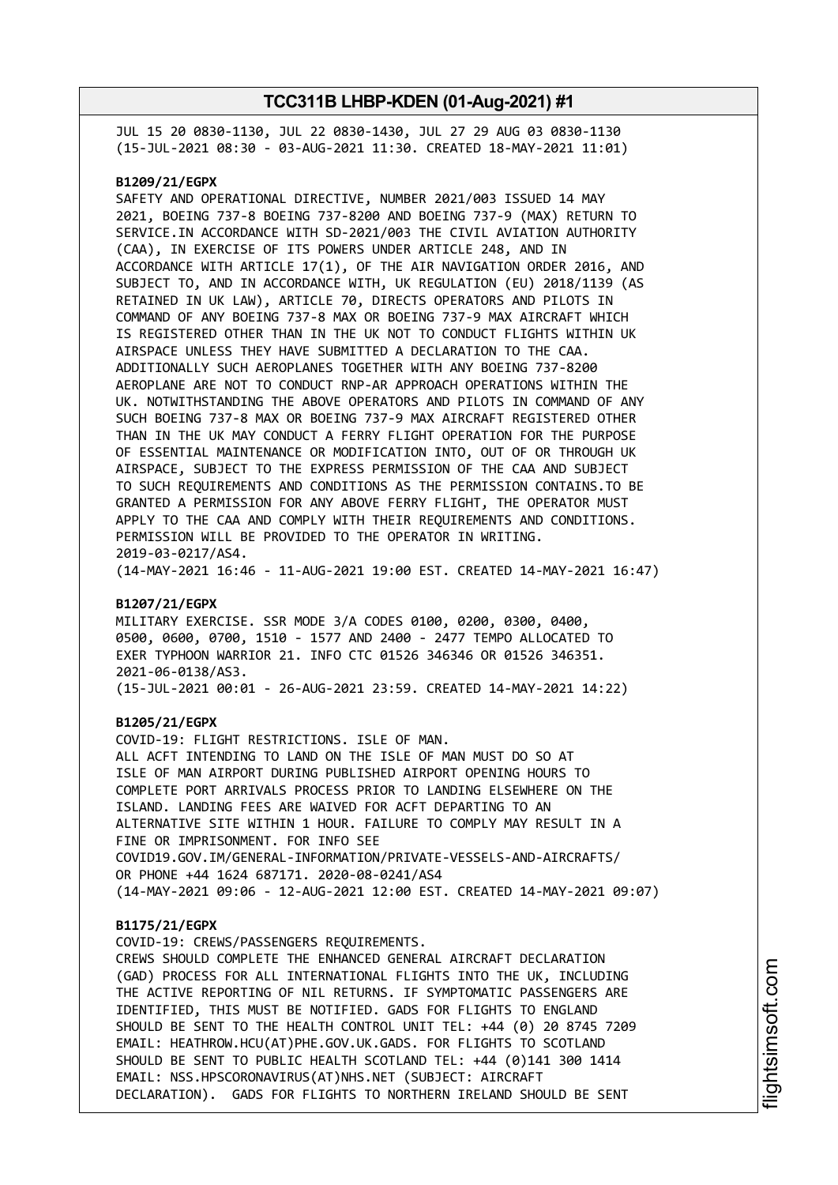JUL 15 20 0830-1130, JUL 22 0830-1430, JUL 27 29 AUG 03 0830-1130 (15-JUL-2021 08:30 - 03-AUG-2021 11:30. CREATED 18-MAY-2021 11:01)

#### **B1209/21/EGPX**

SAFETY AND OPERATIONAL DIRECTIVE, NUMBER 2021/003 ISSUED 14 MAY 2021, BOEING 737-8 BOEING 737-8200 AND BOEING 737-9 (MAX) RETURN TO SERVICE.IN ACCORDANCE WITH SD-2021/003 THE CIVIL AVIATION AUTHORITY (CAA), IN EXERCISE OF ITS POWERS UNDER ARTICLE 248, AND IN ACCORDANCE WITH ARTICLE 17(1), OF THE AIR NAVIGATION ORDER 2016, AND SUBJECT TO, AND IN ACCORDANCE WITH, UK REGULATION (EU) 2018/1139 (AS RETAINED IN UK LAW), ARTICLE 70, DIRECTS OPERATORS AND PILOTS IN COMMAND OF ANY BOEING 737-8 MAX OR BOEING 737-9 MAX AIRCRAFT WHICH IS REGISTERED OTHER THAN IN THE UK NOT TO CONDUCT FLIGHTS WITHIN UK AIRSPACE UNLESS THEY HAVE SUBMITTED A DECLARATION TO THE CAA. ADDITIONALLY SUCH AEROPLANES TOGETHER WITH ANY BOEING 737-8200 AEROPLANE ARE NOT TO CONDUCT RNP-AR APPROACH OPERATIONS WITHIN THE UK. NOTWITHSTANDING THE ABOVE OPERATORS AND PILOTS IN COMMAND OF ANY SUCH BOEING 737-8 MAX OR BOEING 737-9 MAX AIRCRAFT REGISTERED OTHER THAN IN THE UK MAY CONDUCT A FERRY FLIGHT OPERATION FOR THE PURPOSE OF ESSENTIAL MAINTENANCE OR MODIFICATION INTO, OUT OF OR THROUGH UK AIRSPACE, SUBJECT TO THE EXPRESS PERMISSION OF THE CAA AND SUBJECT TO SUCH REQUIREMENTS AND CONDITIONS AS THE PERMISSION CONTAINS.TO BE GRANTED A PERMISSION FOR ANY ABOVE FERRY FLIGHT, THE OPERATOR MUST APPLY TO THE CAA AND COMPLY WITH THEIR REQUIREMENTS AND CONDITIONS. PERMISSION WILL BE PROVIDED TO THE OPERATOR IN WRITING. 2019-03-0217/AS4.

(14-MAY-2021 16:46 - 11-AUG-2021 19:00 EST. CREATED 14-MAY-2021 16:47)

#### **B1207/21/EGPX**

MILITARY EXERCISE. SSR MODE 3/A CODES 0100, 0200, 0300, 0400, 0500, 0600, 0700, 1510 - 1577 AND 2400 - 2477 TEMPO ALLOCATED TO EXER TYPHOON WARRIOR 21. INFO CTC 01526 346346 OR 01526 346351. 2021-06-0138/AS3. (15-JUL-2021 00:01 - 26-AUG-2021 23:59. CREATED 14-MAY-2021 14:22)

#### **B1205/21/EGPX**

COVID-19: FLIGHT RESTRICTIONS. ISLE OF MAN. ALL ACFT INTENDING TO LAND ON THE ISLE OF MAN MUST DO SO AT ISLE OF MAN AIRPORT DURING PUBLISHED AIRPORT OPENING HOURS TO COMPLETE PORT ARRIVALS PROCESS PRIOR TO LANDING ELSEWHERE ON THE ISLAND. LANDING FEES ARE WAIVED FOR ACFT DEPARTING TO AN ALTERNATIVE SITE WITHIN 1 HOUR. FAILURE TO COMPLY MAY RESULT IN A FINE OR IMPRISONMENT. FOR INFO SEE COVID19.GOV.IM/GENERAL-INFORMATION/PRIVATE-VESSELS-AND-AIRCRAFTS/ OR PHONE +44 1624 687171. 2020-08-0241/AS4 (14-MAY-2021 09:06 - 12-AUG-2021 12:00 EST. CREATED 14-MAY-2021 09:07)

#### **B1175/21/EGPX**

COVID-19: CREWS/PASSENGERS REQUIREMENTS. CREWS SHOULD COMPLETE THE ENHANCED GENERAL AIRCRAFT DECLARATION (GAD) PROCESS FOR ALL INTERNATIONAL FLIGHTS INTO THE UK, INCLUDING THE ACTIVE REPORTING OF NIL RETURNS. IF SYMPTOMATIC PASSENGERS ARE IDENTIFIED, THIS MUST BE NOTIFIED. GADS FOR FLIGHTS TO ENGLAND SHOULD BE SENT TO THE HEALTH CONTROL UNIT TEL: +44 (0) 20 8745 7209 EMAIL: HEATHROW.HCU(AT)PHE.GOV.UK.GADS. FOR FLIGHTS TO SCOTLAND SHOULD BE SENT TO PUBLIC HEALTH SCOTLAND TEL: +44 (0)141 300 1414 EMAIL: NSS.HPSCORONAVIRUS(AT)NHS.NET (SUBJECT: AIRCRAFT DECLARATION). GADS FOR FLIGHTS TO NORTHERN IRELAND SHOULD BE SENT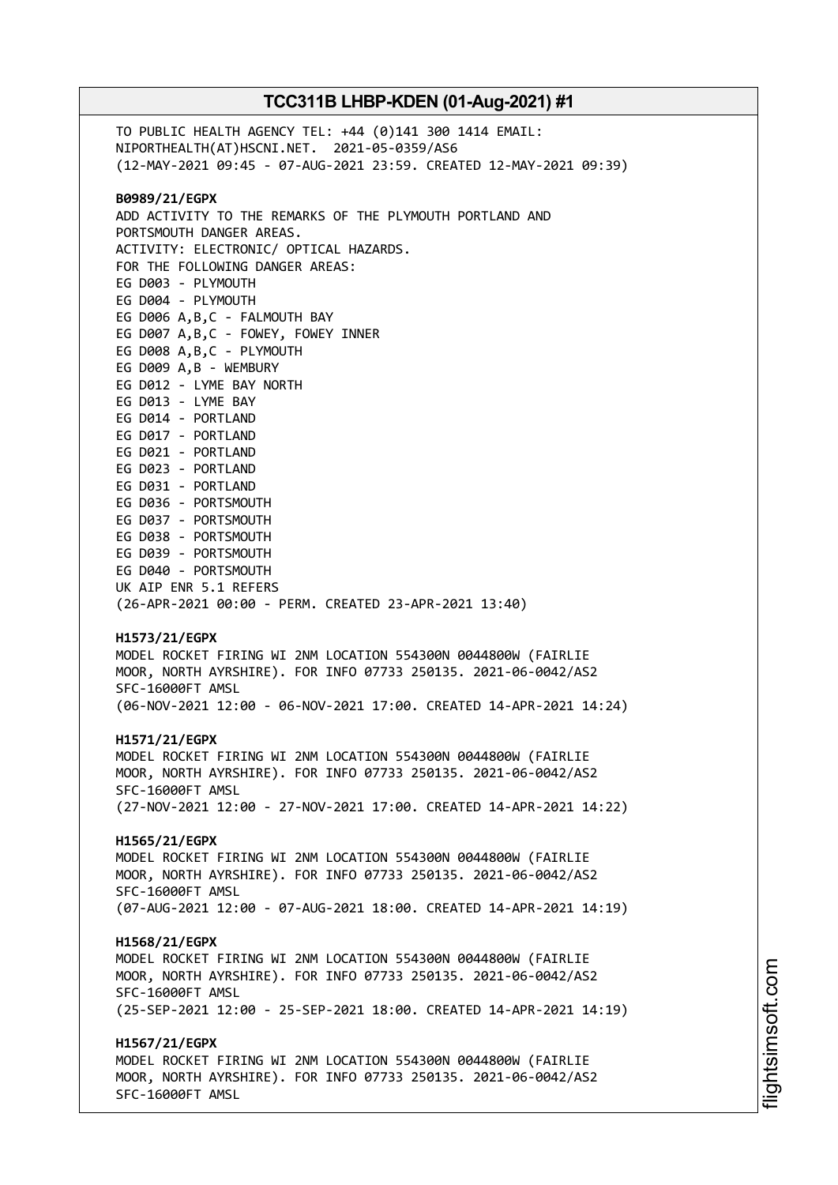TO PUBLIC HEALTH AGENCY TEL: +44 (0)141 300 1414 EMAIL: NIPORTHEALTH(AT)HSCNI.NET. 2021-05-0359/AS6 (12-MAY-2021 09:45 - 07-AUG-2021 23:59. CREATED 12-MAY-2021 09:39) **B0989/21/EGPX** ADD ACTIVITY TO THE REMARKS OF THE PLYMOUTH PORTLAND AND PORTSMOUTH DANGER AREAS. ACTIVITY: ELECTRONIC/ OPTICAL HAZARDS. FOR THE FOLLOWING DANGER AREAS: EG D003 - PLYMOUTH EG D004 - PLYMOUTH EG D006 A,B,C - FALMOUTH BAY EG D007 A,B,C - FOWEY, FOWEY INNER EG D008 A,B,C - PLYMOUTH EG D009 A,B - WEMBURY EG D012 - LYME BAY NORTH EG D013 - LYME BAY EG D014 - PORTLAND EG D017 - PORTLAND EG D021 - PORTLAND EG D023 - PORTLAND EG D031 - PORTLAND EG D036 - PORTSMOUTH EG D037 - PORTSMOUTH EG D038 - PORTSMOUTH EG D039 - PORTSMOUTH EG D040 - PORTSMOUTH UK AIP ENR 5.1 REFERS (26-APR-2021 00:00 - PERM. CREATED 23-APR-2021 13:40) **H1573/21/EGPX** MODEL ROCKET FIRING WI 2NM LOCATION 554300N 0044800W (FAIRLIE MOOR, NORTH AYRSHIRE). FOR INFO 07733 250135. 2021-06-0042/AS2 SFC-16000FT AMSL (06-NOV-2021 12:00 - 06-NOV-2021 17:00. CREATED 14-APR-2021 14:24) **H1571/21/EGPX** MODEL ROCKET FIRING WI 2NM LOCATION 554300N 0044800W (FAIRLIE MOOR, NORTH AYRSHIRE). FOR INFO 07733 250135. 2021-06-0042/AS2 SFC-16000FT AMSL (27-NOV-2021 12:00 - 27-NOV-2021 17:00. CREATED 14-APR-2021 14:22) **H1565/21/EGPX** MODEL ROCKET FIRING WI 2NM LOCATION 554300N 0044800W (FAIRLIE MOOR, NORTH AYRSHIRE). FOR INFO 07733 250135. 2021-06-0042/AS2 SFC-16000FT AMSL (07-AUG-2021 12:00 - 07-AUG-2021 18:00. CREATED 14-APR-2021 14:19) **H1568/21/EGPX** MODEL ROCKET FIRING WI 2NM LOCATION 554300N 0044800W (FAIRLIE MOOR, NORTH AYRSHIRE). FOR INFO 07733 250135. 2021-06-0042/AS2 SFC-16000FT AMSL (25-SEP-2021 12:00 - 25-SEP-2021 18:00. CREATED 14-APR-2021 14:19) **H1567/21/EGPX** MODEL ROCKET FIRING WI 2NM LOCATION 554300N 0044800W (FAIRLIE MOOR, NORTH AYRSHIRE). FOR INFO 07733 250135. 2021-06-0042/AS2 SFC-16000FT AMSL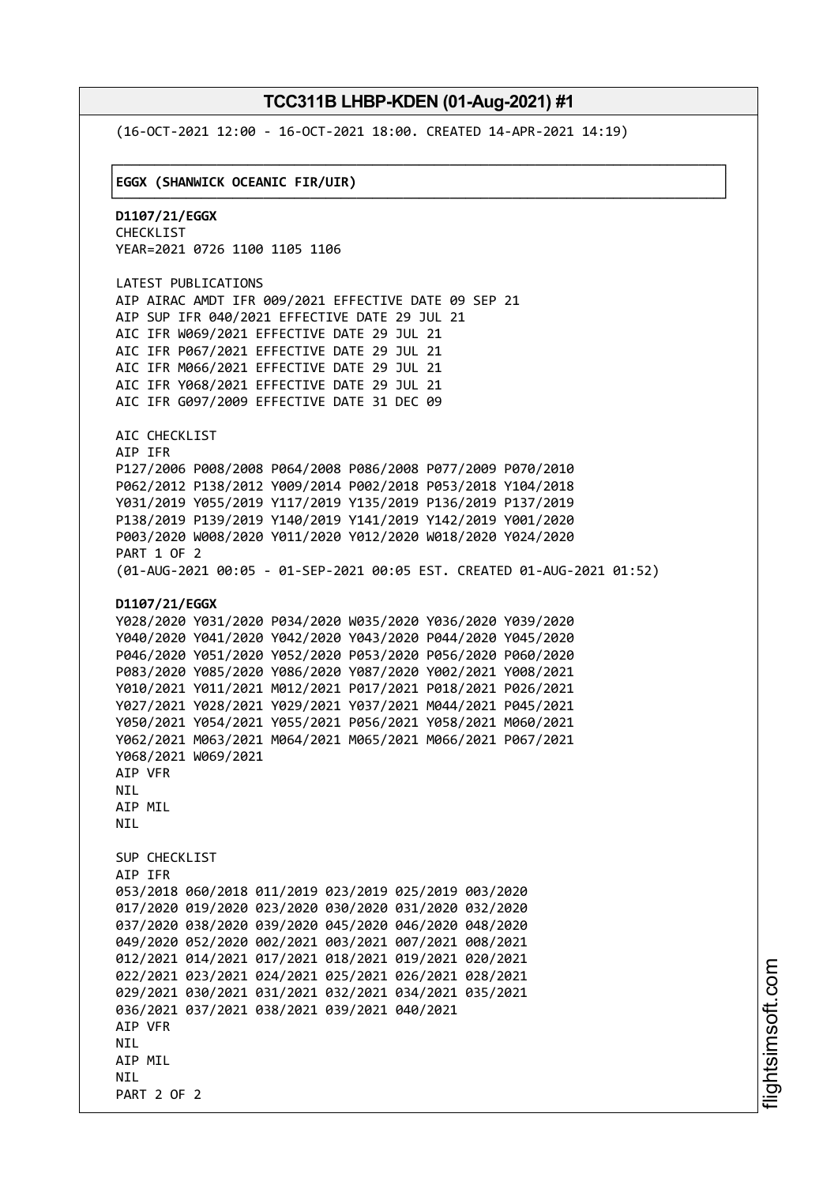└──────────────────────────────────────────────────────────────────────────────┘

(16-OCT-2021 12:00 - 16-OCT-2021 18:00. CREATED 14-APR-2021 14:19)

#### ┌──────────────────────────────────────────────────────────────────────────────┐ │**EGGX (SHANWICK OCEANIC FIR/UIR)** │

**D1107/21/EGGX** CHECKLIST YEAR=2021 0726 1100 1105 1106

LATEST PUBLICATIONS AIP AIRAC AMDT IFR 009/2021 EFFECTIVE DATE 09 SEP 21 AIP SUP IFR 040/2021 EFFECTIVE DATE 29 JUL 21 AIC IFR W069/2021 EFFECTIVE DATE 29 JUL 21 AIC IFR P067/2021 EFFECTIVE DATE 29 JUL 21 AIC IFR M066/2021 EFFECTIVE DATE 29 JUL 21 AIC IFR Y068/2021 EFFECTIVE DATE 29 JUL 21 AIC IFR G097/2009 EFFECTIVE DATE 31 DEC 09

AIC CHECKLIST AIP IFR P127/2006 P008/2008 P064/2008 P086/2008 P077/2009 P070/2010 P062/2012 P138/2012 Y009/2014 P002/2018 P053/2018 Y104/2018 Y031/2019 Y055/2019 Y117/2019 Y135/2019 P136/2019 P137/2019 P138/2019 P139/2019 Y140/2019 Y141/2019 Y142/2019 Y001/2020 P003/2020 W008/2020 Y011/2020 Y012/2020 W018/2020 Y024/2020 PART 1 OF 2 (01-AUG-2021 00:05 - 01-SEP-2021 00:05 EST. CREATED 01-AUG-2021 01:52)

#### **D1107/21/EGGX**

```
Y028/2020 Y031/2020 P034/2020 W035/2020 Y036/2020 Y039/2020
Y040/2020 Y041/2020 Y042/2020 Y043/2020 P044/2020 Y045/2020
P046/2020 Y051/2020 Y052/2020 P053/2020 P056/2020 P060/2020
P083/2020 Y085/2020 Y086/2020 Y087/2020 Y002/2021 Y008/2021
Y010/2021 Y011/2021 M012/2021 P017/2021 P018/2021 P026/2021
Y027/2021 Y028/2021 Y029/2021 Y037/2021 M044/2021 P045/2021
Y050/2021 Y054/2021 Y055/2021 P056/2021 Y058/2021 M060/2021
Y062/2021 M063/2021 M064/2021 M065/2021 M066/2021 P067/2021
Y068/2021 W069/2021
AIP VFR
NIL
AIP MIL
NTI
SUP CHECKLIST
AIP IFR
053/2018 060/2018 011/2019 023/2019 025/2019 003/2020
017/2020 019/2020 023/2020 030/2020 031/2020 032/2020
037/2020 038/2020 039/2020 045/2020 046/2020 048/2020
049/2020 052/2020 002/2021 003/2021 007/2021 008/2021
012/2021 014/2021 017/2021 018/2021 019/2021 020/2021
022/2021 023/2021 024/2021 025/2021 026/2021 028/2021
029/2021 030/2021 031/2021 032/2021 034/2021 035/2021
036/2021 037/2021 038/2021 039/2021 040/2021
AIP VFR
NTI
AIP MIL
NTI
PART 2 OF 2
```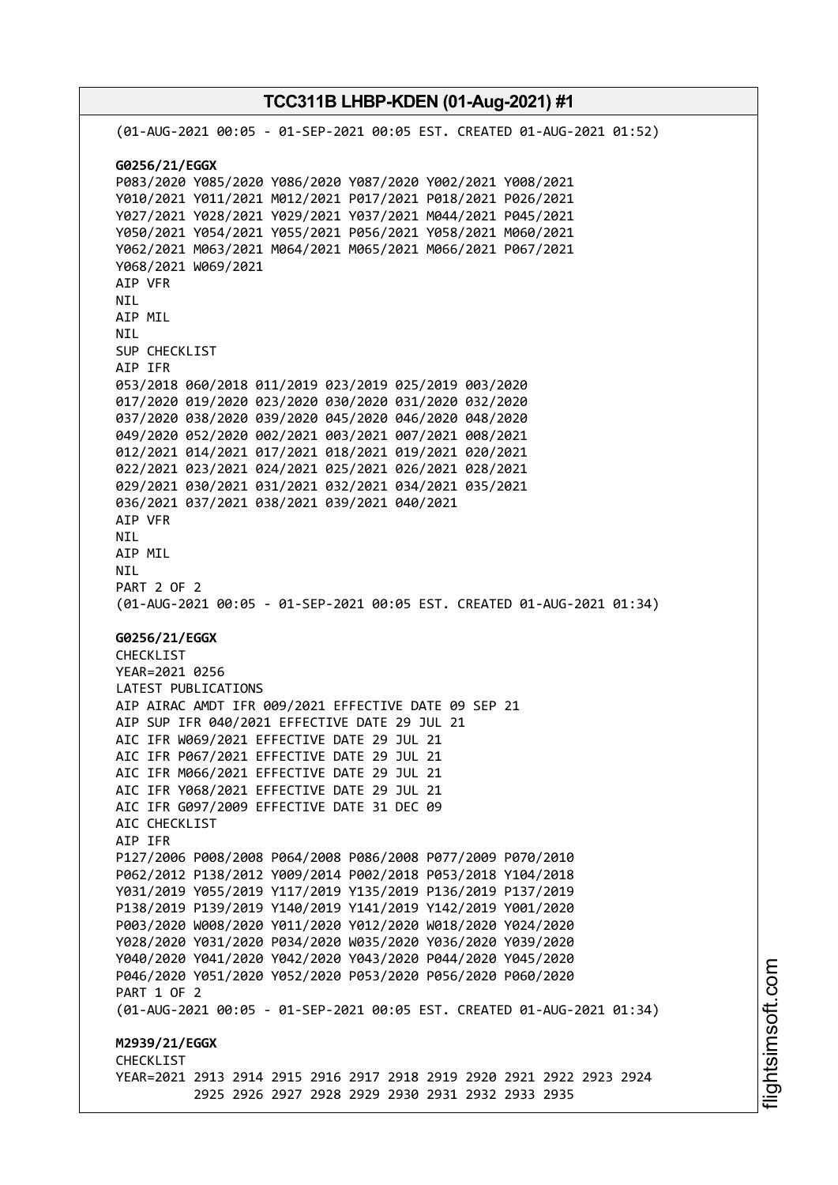**TCC311B LHBP-KDEN (01-Aug-2021) #1** (01-AUG-2021 00:05 - 01-SEP-2021 00:05 EST. CREATED 01-AUG-2021 01:52) **G0256/21/EGGX** P083/2020 Y085/2020 Y086/2020 Y087/2020 Y002/2021 Y008/2021 Y010/2021 Y011/2021 M012/2021 P017/2021 P018/2021 P026/2021 Y027/2021 Y028/2021 Y029/2021 Y037/2021 M044/2021 P045/2021 Y050/2021 Y054/2021 Y055/2021 P056/2021 Y058/2021 M060/2021 Y062/2021 M063/2021 M064/2021 M065/2021 M066/2021 P067/2021 Y068/2021 W069/2021 AIP VFR NIL AIP MIL NIL SUP CHECKLIST AIP IFR 053/2018 060/2018 011/2019 023/2019 025/2019 003/2020 017/2020 019/2020 023/2020 030/2020 031/2020 032/2020 037/2020 038/2020 039/2020 045/2020 046/2020 048/2020 049/2020 052/2020 002/2021 003/2021 007/2021 008/2021 012/2021 014/2021 017/2021 018/2021 019/2021 020/2021 022/2021 023/2021 024/2021 025/2021 026/2021 028/2021 029/2021 030/2021 031/2021 032/2021 034/2021 035/2021 036/2021 037/2021 038/2021 039/2021 040/2021 AIP VFR NIL AIP MIL NIL PART 2 OF 2 (01-AUG-2021 00:05 - 01-SEP-2021 00:05 EST. CREATED 01-AUG-2021 01:34) **G0256/21/EGGX** CHECKLIST YEAR=2021 0256 LATEST PUBLICATIONS AIP AIRAC AMDT IFR 009/2021 EFFECTIVE DATE 09 SEP 21 AIP SUP IFR 040/2021 EFFECTIVE DATE 29 JUL 21 AIC IFR W069/2021 EFFECTIVE DATE 29 JUL 21 AIC IFR P067/2021 EFFECTIVE DATE 29 JUL 21 AIC IFR M066/2021 EFFECTIVE DATE 29 JUL 21 AIC IFR Y068/2021 EFFECTIVE DATE 29 JUL 21 AIC IFR G097/2009 EFFECTIVE DATE 31 DEC 09 AIC CHECKLIST AIP IFR P127/2006 P008/2008 P064/2008 P086/2008 P077/2009 P070/2010 P062/2012 P138/2012 Y009/2014 P002/2018 P053/2018 Y104/2018 Y031/2019 Y055/2019 Y117/2019 Y135/2019 P136/2019 P137/2019 P138/2019 P139/2019 Y140/2019 Y141/2019 Y142/2019 Y001/2020 P003/2020 W008/2020 Y011/2020 Y012/2020 W018/2020 Y024/2020 Y028/2020 Y031/2020 P034/2020 W035/2020 Y036/2020 Y039/2020 Y040/2020 Y041/2020 Y042/2020 Y043/2020 P044/2020 Y045/2020 P046/2020 Y051/2020 Y052/2020 P053/2020 P056/2020 P060/2020 PART 1 OF 2 (01-AUG-2021 00:05 - 01-SEP-2021 00:05 EST. CREATED 01-AUG-2021 01:34) **M2939/21/EGGX CHECKLIST** YEAR=2021 2913 2914 2915 2916 2917 2918 2919 2920 2921 2922 2923 2924 2925 2926 2927 2928 2929 2930 2931 2932 2933 2935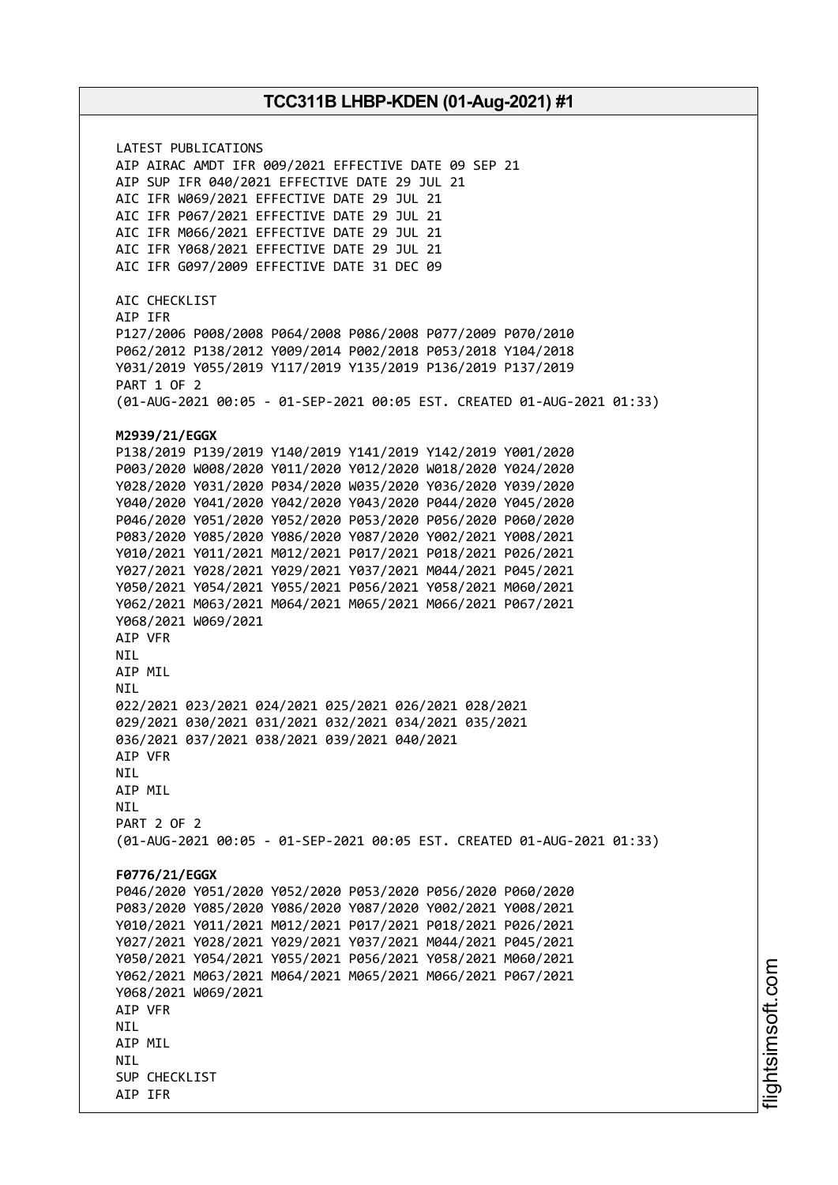LATEST PUBLICATIONS AIP AIRAC AMDT IFR 009/2021 EFFECTIVE DATE 09 SEP 21 AIP SUP IFR 040/2021 EFFECTIVE DATE 29 JUL 21 AIC IFR W069/2021 EFFECTIVE DATE 29 JUL 21 AIC IFR P067/2021 EFFECTIVE DATE 29 JUL 21 AIC IFR M066/2021 EFFECTIVE DATE 29 JUL 21 AIC IFR Y068/2021 EFFECTIVE DATE 29 JUL 21 AIC IFR G097/2009 EFFECTIVE DATE 31 DEC 09 AIC CHECKLIST AIP IFR P127/2006 P008/2008 P064/2008 P086/2008 P077/2009 P070/2010 P062/2012 P138/2012 Y009/2014 P002/2018 P053/2018 Y104/2018 Y031/2019 Y055/2019 Y117/2019 Y135/2019 P136/2019 P137/2019 PART 1 OF 2 (01-AUG-2021 00:05 - 01-SEP-2021 00:05 EST. CREATED 01-AUG-2021 01:33) **M2939/21/EGGX** P138/2019 P139/2019 Y140/2019 Y141/2019 Y142/2019 Y001/2020 P003/2020 W008/2020 Y011/2020 Y012/2020 W018/2020 Y024/2020 Y028/2020 Y031/2020 P034/2020 W035/2020 Y036/2020 Y039/2020 Y040/2020 Y041/2020 Y042/2020 Y043/2020 P044/2020 Y045/2020 P046/2020 Y051/2020 Y052/2020 P053/2020 P056/2020 P060/2020 P083/2020 Y085/2020 Y086/2020 Y087/2020 Y002/2021 Y008/2021 Y010/2021 Y011/2021 M012/2021 P017/2021 P018/2021 P026/2021 Y027/2021 Y028/2021 Y029/2021 Y037/2021 M044/2021 P045/2021 Y050/2021 Y054/2021 Y055/2021 P056/2021 Y058/2021 M060/2021 Y062/2021 M063/2021 M064/2021 M065/2021 M066/2021 P067/2021 Y068/2021 W069/2021 AIP VFR NIL AIP MIL NIL 022/2021 023/2021 024/2021 025/2021 026/2021 028/2021 029/2021 030/2021 031/2021 032/2021 034/2021 035/2021 036/2021 037/2021 038/2021 039/2021 040/2021 AIP VFR NIL AIP MIL **NTI** PART 2 OF 2 (01-AUG-2021 00:05 - 01-SEP-2021 00:05 EST. CREATED 01-AUG-2021 01:33) **F0776/21/EGGX** P046/2020 Y051/2020 Y052/2020 P053/2020 P056/2020 P060/2020 P083/2020 Y085/2020 Y086/2020 Y087/2020 Y002/2021 Y008/2021 Y010/2021 Y011/2021 M012/2021 P017/2021 P018/2021 P026/2021 Y027/2021 Y028/2021 Y029/2021 Y037/2021 M044/2021 P045/2021 Y050/2021 Y054/2021 Y055/2021 P056/2021 Y058/2021 M060/2021 Y062/2021 M063/2021 M064/2021 M065/2021 M066/2021 P067/2021 Y068/2021 W069/2021 AIP VFR **NTI** AIP MIL **NTI** SUP CHECKLIST AIP IFR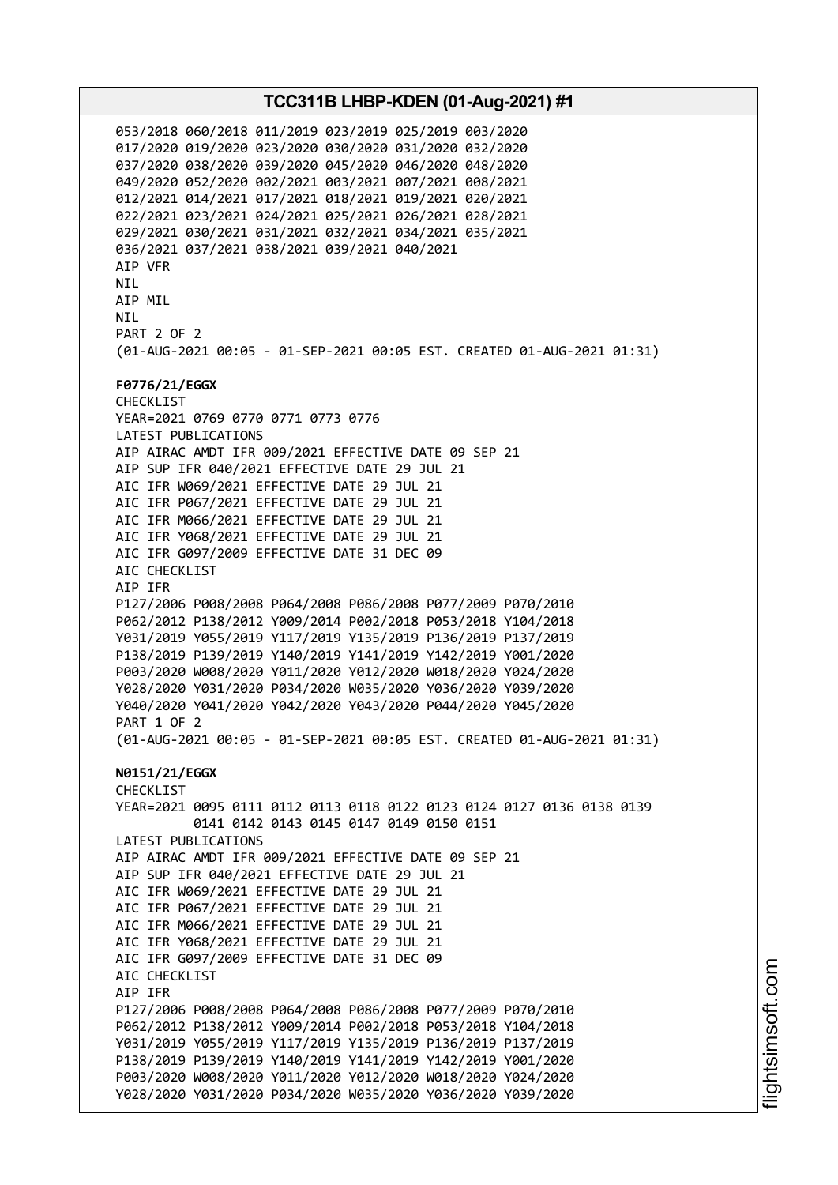053/2018 060/2018 011/2019 023/2019 025/2019 003/2020 017/2020 019/2020 023/2020 030/2020 031/2020 032/2020 037/2020 038/2020 039/2020 045/2020 046/2020 048/2020 049/2020 052/2020 002/2021 003/2021 007/2021 008/2021 012/2021 014/2021 017/2021 018/2021 019/2021 020/2021 022/2021 023/2021 024/2021 025/2021 026/2021 028/2021 029/2021 030/2021 031/2021 032/2021 034/2021 035/2021 036/2021 037/2021 038/2021 039/2021 040/2021 AIP VFR NIL AIP MIL **NTI** PART 2 OF 2 (01-AUG-2021 00:05 - 01-SEP-2021 00:05 EST. CREATED 01-AUG-2021 01:31) **F0776/21/EGGX** CHECKLIST YEAR=2021 0769 0770 0771 0773 0776 LATEST PUBLICATIONS AIP AIRAC AMDT IFR 009/2021 EFFECTIVE DATE 09 SEP 21 AIP SUP IFR 040/2021 EFFECTIVE DATE 29 JUL 21 AIC IFR W069/2021 EFFECTIVE DATE 29 JUL 21 AIC IFR P067/2021 EFFECTIVE DATE 29 JUL 21 AIC IFR M066/2021 EFFECTIVE DATE 29 JUL 21 AIC IFR Y068/2021 EFFECTIVE DATE 29 JUL 21 AIC IFR G097/2009 EFFECTIVE DATE 31 DEC 09 AIC CHECKLIST AIP IFR P127/2006 P008/2008 P064/2008 P086/2008 P077/2009 P070/2010 P062/2012 P138/2012 Y009/2014 P002/2018 P053/2018 Y104/2018 Y031/2019 Y055/2019 Y117/2019 Y135/2019 P136/2019 P137/2019 P138/2019 P139/2019 Y140/2019 Y141/2019 Y142/2019 Y001/2020 P003/2020 W008/2020 Y011/2020 Y012/2020 W018/2020 Y024/2020 Y028/2020 Y031/2020 P034/2020 W035/2020 Y036/2020 Y039/2020 Y040/2020 Y041/2020 Y042/2020 Y043/2020 P044/2020 Y045/2020 PART 1 OF 2 (01-AUG-2021 00:05 - 01-SEP-2021 00:05 EST. CREATED 01-AUG-2021 01:31) **N0151/21/EGGX** CHECKLIST YEAR=2021 0095 0111 0112 0113 0118 0122 0123 0124 0127 0136 0138 0139 0141 0142 0143 0145 0147 0149 0150 0151 LATEST PUBLICATIONS AIP AIRAC AMDT IFR 009/2021 EFFECTIVE DATE 09 SEP 21 AIP SUP IFR 040/2021 EFFECTIVE DATE 29 JUL 21 AIC IFR W069/2021 EFFECTIVE DATE 29 JUL 21 AIC IFR P067/2021 EFFECTIVE DATE 29 JUL 21 AIC IFR M066/2021 EFFECTIVE DATE 29 JUL 21 AIC IFR Y068/2021 EFFECTIVE DATE 29 JUL 21 AIC IFR G097/2009 EFFECTIVE DATE 31 DEC 09 AIC CHECKLIST AIP IFR P127/2006 P008/2008 P064/2008 P086/2008 P077/2009 P070/2010 P062/2012 P138/2012 Y009/2014 P002/2018 P053/2018 Y104/2018 Y031/2019 Y055/2019 Y117/2019 Y135/2019 P136/2019 P137/2019 P138/2019 P139/2019 Y140/2019 Y141/2019 Y142/2019 Y001/2020 P003/2020 W008/2020 Y011/2020 Y012/2020 W018/2020 Y024/2020 Y028/2020 Y031/2020 P034/2020 W035/2020 Y036/2020 Y039/2020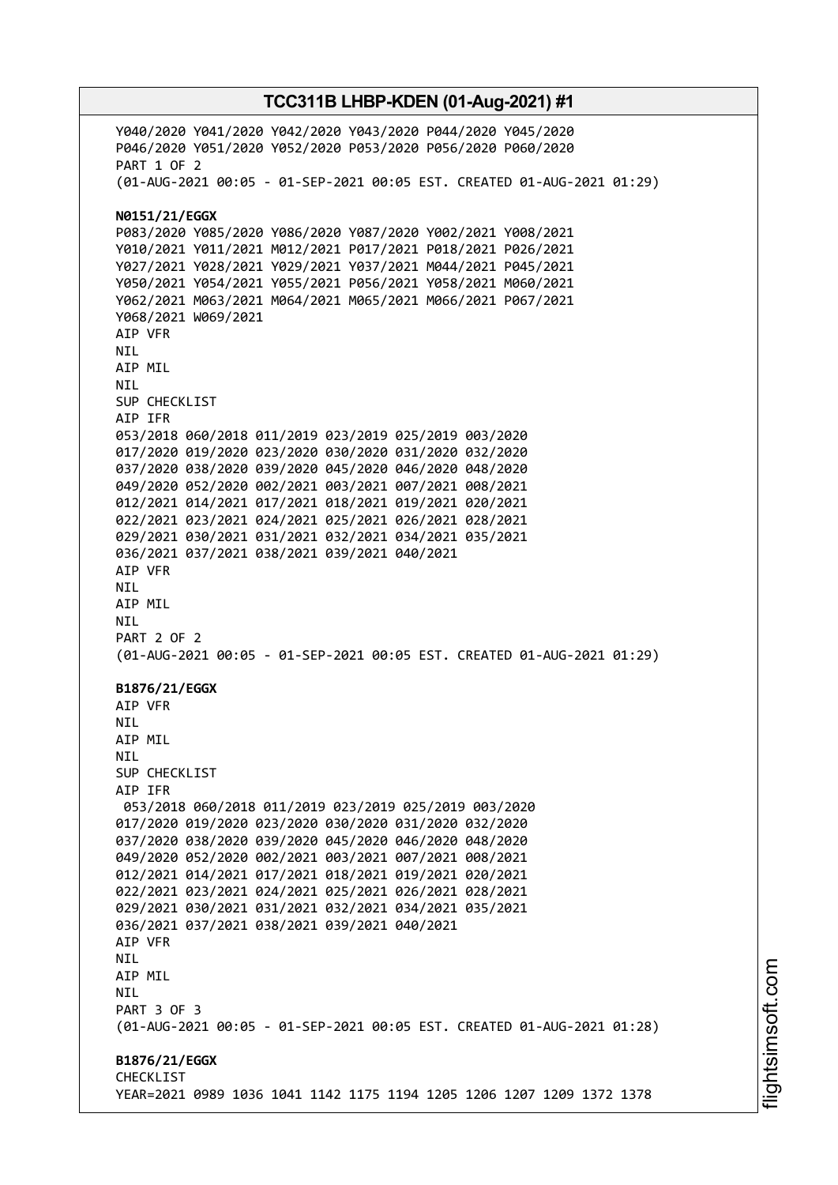Y040/2020 Y041/2020 Y042/2020 Y043/2020 P044/2020 Y045/2020 P046/2020 Y051/2020 Y052/2020 P053/2020 P056/2020 P060/2020 PART 1 OF 2 (01-AUG-2021 00:05 - 01-SEP-2021 00:05 EST. CREATED 01-AUG-2021 01:29) **N0151/21/EGGX** P083/2020 Y085/2020 Y086/2020 Y087/2020 Y002/2021 Y008/2021 Y010/2021 Y011/2021 M012/2021 P017/2021 P018/2021 P026/2021 Y027/2021 Y028/2021 Y029/2021 Y037/2021 M044/2021 P045/2021 Y050/2021 Y054/2021 Y055/2021 P056/2021 Y058/2021 M060/2021 Y062/2021 M063/2021 M064/2021 M065/2021 M066/2021 P067/2021 Y068/2021 W069/2021 AIP VFR NIL AIP MIL NIL SUP CHECKLIST AIP IFR 053/2018 060/2018 011/2019 023/2019 025/2019 003/2020 017/2020 019/2020 023/2020 030/2020 031/2020 032/2020 037/2020 038/2020 039/2020 045/2020 046/2020 048/2020 049/2020 052/2020 002/2021 003/2021 007/2021 008/2021 012/2021 014/2021 017/2021 018/2021 019/2021 020/2021 022/2021 023/2021 024/2021 025/2021 026/2021 028/2021 029/2021 030/2021 031/2021 032/2021 034/2021 035/2021 036/2021 037/2021 038/2021 039/2021 040/2021 AIP VFR NIL AIP MIL NIL PART 2 OF 2 (01-AUG-2021 00:05 - 01-SEP-2021 00:05 EST. CREATED 01-AUG-2021 01:29) **B1876/21/EGGX** AIP VFR **NTI** AIP MIL **NTI** SUP CHECKLIST AIP IFR 053/2018 060/2018 011/2019 023/2019 025/2019 003/2020 017/2020 019/2020 023/2020 030/2020 031/2020 032/2020 037/2020 038/2020 039/2020 045/2020 046/2020 048/2020 049/2020 052/2020 002/2021 003/2021 007/2021 008/2021 012/2021 014/2021 017/2021 018/2021 019/2021 020/2021 022/2021 023/2021 024/2021 025/2021 026/2021 028/2021 029/2021 030/2021 031/2021 032/2021 034/2021 035/2021 036/2021 037/2021 038/2021 039/2021 040/2021 AIP VFR NIL AIP MIL **NTL** PART 3 OF 3 (01-AUG-2021 00:05 - 01-SEP-2021 00:05 EST. CREATED 01-AUG-2021 01:28) **B1876/21/EGGX** CHECKLIST YEAR=2021 0989 1036 1041 1142 1175 1194 1205 1206 1207 1209 1372 1378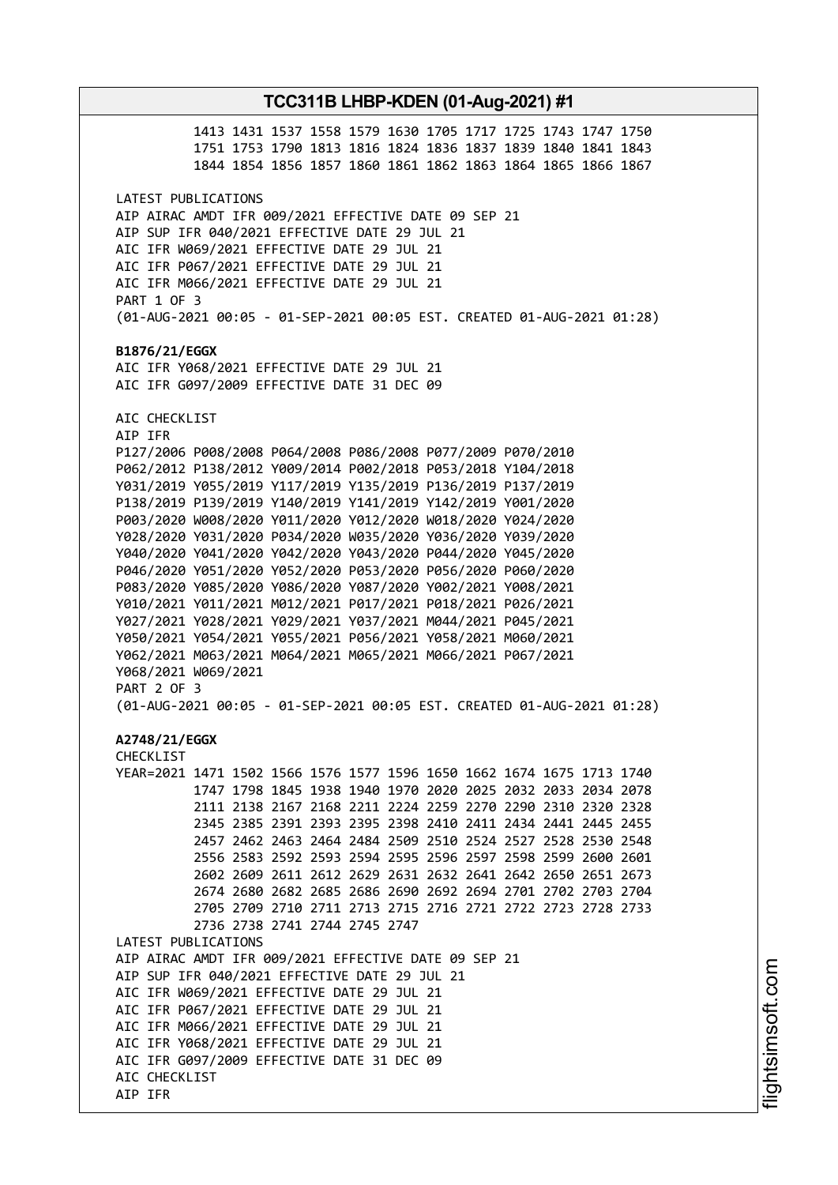# **TCC311B LHBP-KDEN (01-Aug-2021) #1** 1413 1431 1537 1558 1579 1630 1705 1717 1725 1743 1747 1750 1751 1753 1790 1813 1816 1824 1836 1837 1839 1840 1841 1843 1844 1854 1856 1857 1860 1861 1862 1863 1864 1865 1866 1867 LATEST PUBLICATIONS AIP AIRAC AMDT IFR 009/2021 EFFECTIVE DATE 09 SEP 21 AIP SUP IFR 040/2021 EFFECTIVE DATE 29 JUL 21 AIC IFR W069/2021 EFFECTIVE DATE 29 JUL 21 AIC IFR P067/2021 EFFECTIVE DATE 29 JUL 21 AIC IFR M066/2021 EFFECTIVE DATE 29 JUL 21 PART 1 OF 3 (01-AUG-2021 00:05 - 01-SEP-2021 00:05 EST. CREATED 01-AUG-2021 01:28) **B1876/21/EGGX** AIC IFR Y068/2021 EFFECTIVE DATE 29 JUL 21 AIC IFR G097/2009 EFFECTIVE DATE 31 DEC 09 AIC CHECKLIST AIP IFR P127/2006 P008/2008 P064/2008 P086/2008 P077/2009 P070/2010 P062/2012 P138/2012 Y009/2014 P002/2018 P053/2018 Y104/2018 Y031/2019 Y055/2019 Y117/2019 Y135/2019 P136/2019 P137/2019 P138/2019 P139/2019 Y140/2019 Y141/2019 Y142/2019 Y001/2020 P003/2020 W008/2020 Y011/2020 Y012/2020 W018/2020 Y024/2020 Y028/2020 Y031/2020 P034/2020 W035/2020 Y036/2020 Y039/2020 Y040/2020 Y041/2020 Y042/2020 Y043/2020 P044/2020 Y045/2020 P046/2020 Y051/2020 Y052/2020 P053/2020 P056/2020 P060/2020 P083/2020 Y085/2020 Y086/2020 Y087/2020 Y002/2021 Y008/2021 Y010/2021 Y011/2021 M012/2021 P017/2021 P018/2021 P026/2021 Y027/2021 Y028/2021 Y029/2021 Y037/2021 M044/2021 P045/2021 Y050/2021 Y054/2021 Y055/2021 P056/2021 Y058/2021 M060/2021 Y062/2021 M063/2021 M064/2021 M065/2021 M066/2021 P067/2021 Y068/2021 W069/2021 PART 2 OF 3 (01-AUG-2021 00:05 - 01-SEP-2021 00:05 EST. CREATED 01-AUG-2021 01:28) **A2748/21/EGGX** CHECKLIST YEAR=2021 1471 1502 1566 1576 1577 1596 1650 1662 1674 1675 1713 1740 1747 1798 1845 1938 1940 1970 2020 2025 2032 2033 2034 2078 2111 2138 2167 2168 2211 2224 2259 2270 2290 2310 2320 2328 2345 2385 2391 2393 2395 2398 2410 2411 2434 2441 2445 2455 2457 2462 2463 2464 2484 2509 2510 2524 2527 2528 2530 2548 2556 2583 2592 2593 2594 2595 2596 2597 2598 2599 2600 2601 2602 2609 2611 2612 2629 2631 2632 2641 2642 2650 2651 2673 2674 2680 2682 2685 2686 2690 2692 2694 2701 2702 2703 2704 2705 2709 2710 2711 2713 2715 2716 2721 2722 2723 2728 2733 2736 2738 2741 2744 2745 2747 LATEST PUBLICATIONS AIP AIRAC AMDT IFR 009/2021 EFFECTIVE DATE 09 SEP 21 AIP SUP IFR 040/2021 EFFECTIVE DATE 29 JUL 21 AIC IFR W069/2021 EFFECTIVE DATE 29 JUL 21 AIC IFR P067/2021 EFFECTIVE DATE 29 JUL 21 AIC IFR M066/2021 EFFECTIVE DATE 29 JUL 21 AIC IFR Y068/2021 EFFECTIVE DATE 29 JUL 21 AIC IFR G097/2009 EFFECTIVE DATE 31 DEC 09 AIC CHECKLIST AIP IFR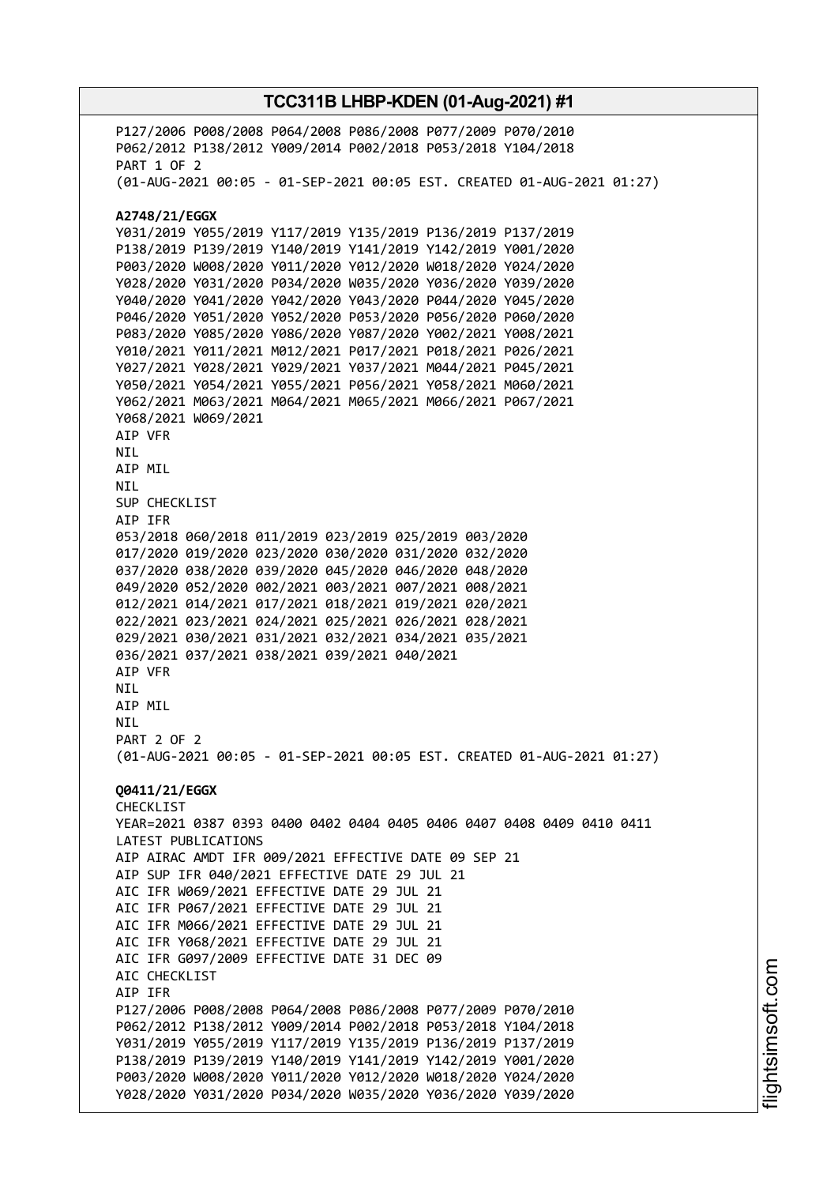P127/2006 P008/2008 P064/2008 P086/2008 P077/2009 P070/2010 P062/2012 P138/2012 Y009/2014 P002/2018 P053/2018 Y104/2018 PART 1 OF 2 (01-AUG-2021 00:05 - 01-SEP-2021 00:05 EST. CREATED 01-AUG-2021 01:27) **A2748/21/EGGX** Y031/2019 Y055/2019 Y117/2019 Y135/2019 P136/2019 P137/2019 P138/2019 P139/2019 Y140/2019 Y141/2019 Y142/2019 Y001/2020 P003/2020 W008/2020 Y011/2020 Y012/2020 W018/2020 Y024/2020 Y028/2020 Y031/2020 P034/2020 W035/2020 Y036/2020 Y039/2020 Y040/2020 Y041/2020 Y042/2020 Y043/2020 P044/2020 Y045/2020 P046/2020 Y051/2020 Y052/2020 P053/2020 P056/2020 P060/2020 P083/2020 Y085/2020 Y086/2020 Y087/2020 Y002/2021 Y008/2021 Y010/2021 Y011/2021 M012/2021 P017/2021 P018/2021 P026/2021 Y027/2021 Y028/2021 Y029/2021 Y037/2021 M044/2021 P045/2021 Y050/2021 Y054/2021 Y055/2021 P056/2021 Y058/2021 M060/2021 Y062/2021 M063/2021 M064/2021 M065/2021 M066/2021 P067/2021 Y068/2021 W069/2021 AIP VFR NIL AIP MIL NIL SUP CHECKLIST AIP IFR 053/2018 060/2018 011/2019 023/2019 025/2019 003/2020 017/2020 019/2020 023/2020 030/2020 031/2020 032/2020 037/2020 038/2020 039/2020 045/2020 046/2020 048/2020 049/2020 052/2020 002/2021 003/2021 007/2021 008/2021 012/2021 014/2021 017/2021 018/2021 019/2021 020/2021 022/2021 023/2021 024/2021 025/2021 026/2021 028/2021 029/2021 030/2021 031/2021 032/2021 034/2021 035/2021 036/2021 037/2021 038/2021 039/2021 040/2021 AIP VFR NIL AIP MIL **NTL** PART 2 OF 2 (01-AUG-2021 00:05 - 01-SEP-2021 00:05 EST. CREATED 01-AUG-2021 01:27) **Q0411/21/EGGX** CHECKLIST YEAR=2021 0387 0393 0400 0402 0404 0405 0406 0407 0408 0409 0410 0411 LATEST PUBLICATIONS AIP AIRAC AMDT IFR 009/2021 EFFECTIVE DATE 09 SEP 21 AIP SUP IFR 040/2021 EFFECTIVE DATE 29 JUL 21 AIC IFR W069/2021 EFFECTIVE DATE 29 JUL 21 AIC IFR P067/2021 EFFECTIVE DATE 29 JUL 21 AIC IFR M066/2021 EFFECTIVE DATE 29 JUL 21 AIC IFR Y068/2021 EFFECTIVE DATE 29 JUL 21 AIC IFR G097/2009 EFFECTIVE DATE 31 DEC 09 AIC CHECKLIST AIP IFR P127/2006 P008/2008 P064/2008 P086/2008 P077/2009 P070/2010 P062/2012 P138/2012 Y009/2014 P002/2018 P053/2018 Y104/2018 Y031/2019 Y055/2019 Y117/2019 Y135/2019 P136/2019 P137/2019 P138/2019 P139/2019 Y140/2019 Y141/2019 Y142/2019 Y001/2020 P003/2020 W008/2020 Y011/2020 Y012/2020 W018/2020 Y024/2020 Y028/2020 Y031/2020 P034/2020 W035/2020 Y036/2020 Y039/2020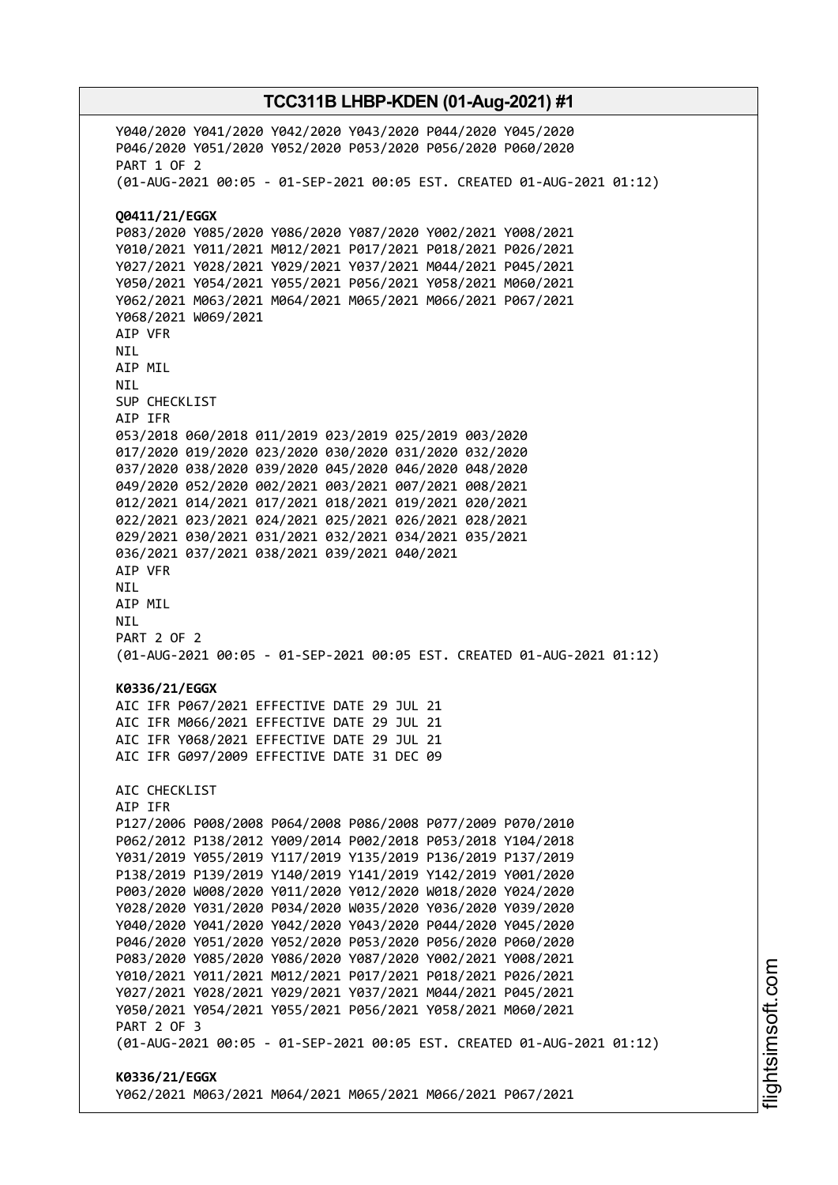Y040/2020 Y041/2020 Y042/2020 Y043/2020 P044/2020 Y045/2020 P046/2020 Y051/2020 Y052/2020 P053/2020 P056/2020 P060/2020 PART 1 OF 2 (01-AUG-2021 00:05 - 01-SEP-2021 00:05 EST. CREATED 01-AUG-2021 01:12) **Q0411/21/EGGX** P083/2020 Y085/2020 Y086/2020 Y087/2020 Y002/2021 Y008/2021 Y010/2021 Y011/2021 M012/2021 P017/2021 P018/2021 P026/2021 Y027/2021 Y028/2021 Y029/2021 Y037/2021 M044/2021 P045/2021 Y050/2021 Y054/2021 Y055/2021 P056/2021 Y058/2021 M060/2021 Y062/2021 M063/2021 M064/2021 M065/2021 M066/2021 P067/2021 Y068/2021 W069/2021 AIP VFR NIL AIP MIL NIL SUP CHECKLIST AIP IFR 053/2018 060/2018 011/2019 023/2019 025/2019 003/2020 017/2020 019/2020 023/2020 030/2020 031/2020 032/2020 037/2020 038/2020 039/2020 045/2020 046/2020 048/2020 049/2020 052/2020 002/2021 003/2021 007/2021 008/2021 012/2021 014/2021 017/2021 018/2021 019/2021 020/2021 022/2021 023/2021 024/2021 025/2021 026/2021 028/2021 029/2021 030/2021 031/2021 032/2021 034/2021 035/2021 036/2021 037/2021 038/2021 039/2021 040/2021 AIP VFR NIL AIP MIL NIL PART 2 OF 2 (01-AUG-2021 00:05 - 01-SEP-2021 00:05 EST. CREATED 01-AUG-2021 01:12) **K0336/21/EGGX** AIC IFR P067/2021 EFFECTIVE DATE 29 JUL 21 AIC IFR M066/2021 EFFECTIVE DATE 29 JUL 21 AIC IFR Y068/2021 EFFECTIVE DATE 29 JUL 21 AIC IFR G097/2009 EFFECTIVE DATE 31 DEC 09 AIC CHECKLIST AIP IFR P127/2006 P008/2008 P064/2008 P086/2008 P077/2009 P070/2010 P062/2012 P138/2012 Y009/2014 P002/2018 P053/2018 Y104/2018 Y031/2019 Y055/2019 Y117/2019 Y135/2019 P136/2019 P137/2019 P138/2019 P139/2019 Y140/2019 Y141/2019 Y142/2019 Y001/2020 P003/2020 W008/2020 Y011/2020 Y012/2020 W018/2020 Y024/2020 Y028/2020 Y031/2020 P034/2020 W035/2020 Y036/2020 Y039/2020 Y040/2020 Y041/2020 Y042/2020 Y043/2020 P044/2020 Y045/2020 P046/2020 Y051/2020 Y052/2020 P053/2020 P056/2020 P060/2020 P083/2020 Y085/2020 Y086/2020 Y087/2020 Y002/2021 Y008/2021 Y010/2021 Y011/2021 M012/2021 P017/2021 P018/2021 P026/2021 Y027/2021 Y028/2021 Y029/2021 Y037/2021 M044/2021 P045/2021 Y050/2021 Y054/2021 Y055/2021 P056/2021 Y058/2021 M060/2021 PART 2 OF 3 (01-AUG-2021 00:05 - 01-SEP-2021 00:05 EST. CREATED 01-AUG-2021 01:12) **K0336/21/EGGX** Y062/2021 M063/2021 M064/2021 M065/2021 M066/2021 P067/2021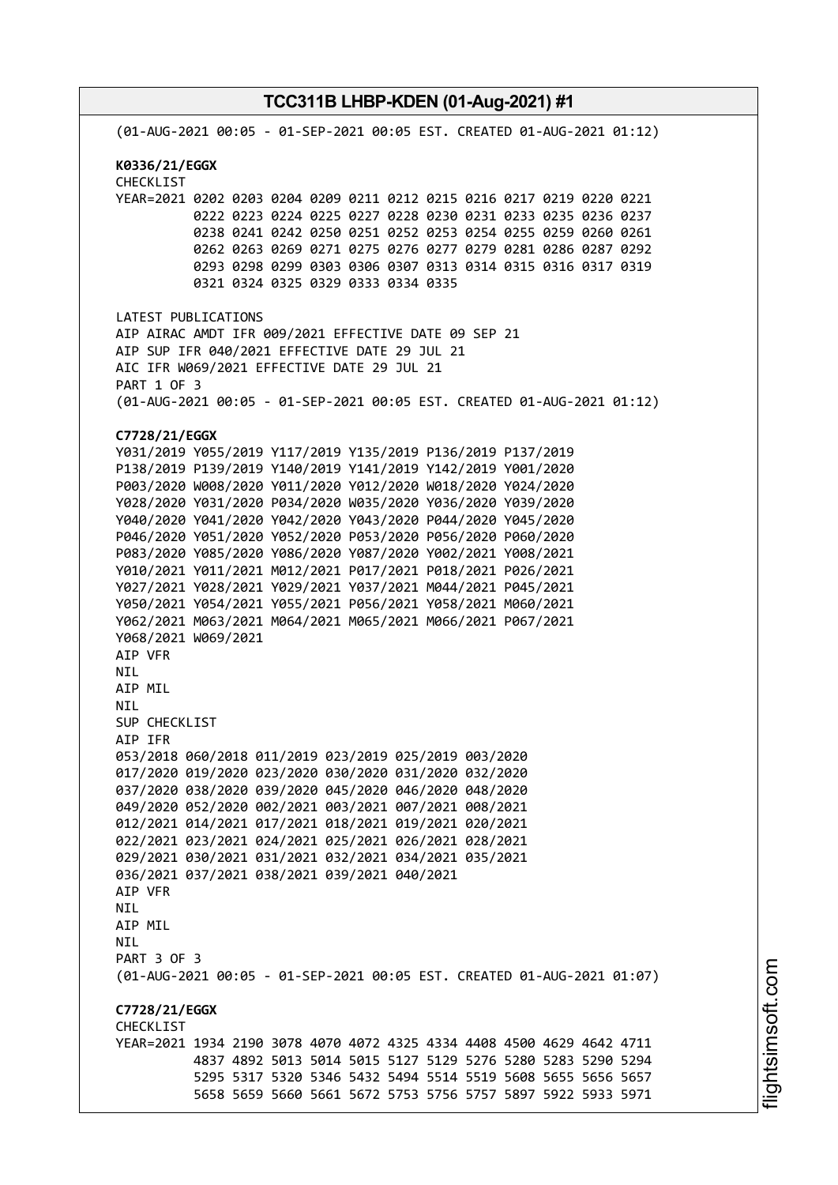**TCC311B LHBP-KDEN (01-Aug-2021) #1** (01-AUG-2021 00:05 - 01-SEP-2021 00:05 EST. CREATED 01-AUG-2021 01:12) **K0336/21/EGGX** CHECKLIST YEAR=2021 0202 0203 0204 0209 0211 0212 0215 0216 0217 0219 0220 0221 0222 0223 0224 0225 0227 0228 0230 0231 0233 0235 0236 0237 0238 0241 0242 0250 0251 0252 0253 0254 0255 0259 0260 0261 0262 0263 0269 0271 0275 0276 0277 0279 0281 0286 0287 0292 0293 0298 0299 0303 0306 0307 0313 0314 0315 0316 0317 0319 0321 0324 0325 0329 0333 0334 0335 LATEST PUBLICATIONS AIP AIRAC AMDT IFR 009/2021 EFFECTIVE DATE 09 SEP 21 AIP SUP IFR 040/2021 EFFECTIVE DATE 29 JUL 21 AIC IFR W069/2021 EFFECTIVE DATE 29 JUL 21 PART 1 OF 3 (01-AUG-2021 00:05 - 01-SEP-2021 00:05 EST. CREATED 01-AUG-2021 01:12) **C7728/21/EGGX** Y031/2019 Y055/2019 Y117/2019 Y135/2019 P136/2019 P137/2019 P138/2019 P139/2019 Y140/2019 Y141/2019 Y142/2019 Y001/2020 P003/2020 W008/2020 Y011/2020 Y012/2020 W018/2020 Y024/2020 Y028/2020 Y031/2020 P034/2020 W035/2020 Y036/2020 Y039/2020 Y040/2020 Y041/2020 Y042/2020 Y043/2020 P044/2020 Y045/2020 P046/2020 Y051/2020 Y052/2020 P053/2020 P056/2020 P060/2020 P083/2020 Y085/2020 Y086/2020 Y087/2020 Y002/2021 Y008/2021 Y010/2021 Y011/2021 M012/2021 P017/2021 P018/2021 P026/2021 Y027/2021 Y028/2021 Y029/2021 Y037/2021 M044/2021 P045/2021 Y050/2021 Y054/2021 Y055/2021 P056/2021 Y058/2021 M060/2021 Y062/2021 M063/2021 M064/2021 M065/2021 M066/2021 P067/2021 Y068/2021 W069/2021 AIP VFR NIL AIP MIL NIL SUP CHECKLIST AIP IFR 053/2018 060/2018 011/2019 023/2019 025/2019 003/2020 017/2020 019/2020 023/2020 030/2020 031/2020 032/2020 037/2020 038/2020 039/2020 045/2020 046/2020 048/2020 049/2020 052/2020 002/2021 003/2021 007/2021 008/2021 012/2021 014/2021 017/2021 018/2021 019/2021 020/2021 022/2021 023/2021 024/2021 025/2021 026/2021 028/2021 029/2021 030/2021 031/2021 032/2021 034/2021 035/2021 036/2021 037/2021 038/2021 039/2021 040/2021 AIP VFR **NTL** AIP MIL NIL PART 3 OF 3 (01-AUG-2021 00:05 - 01-SEP-2021 00:05 EST. CREATED 01-AUG-2021 01:07) **C7728/21/EGGX CHECKLIST** YEAR=2021 1934 2190 3078 4070 4072 4325 4334 4408 4500 4629 4642 4711 4837 4892 5013 5014 5015 5127 5129 5276 5280 5283 5290 5294 5295 5317 5320 5346 5432 5494 5514 5519 5608 5655 5656 5657 5658 5659 5660 5661 5672 5753 5756 5757 5897 5922 5933 5971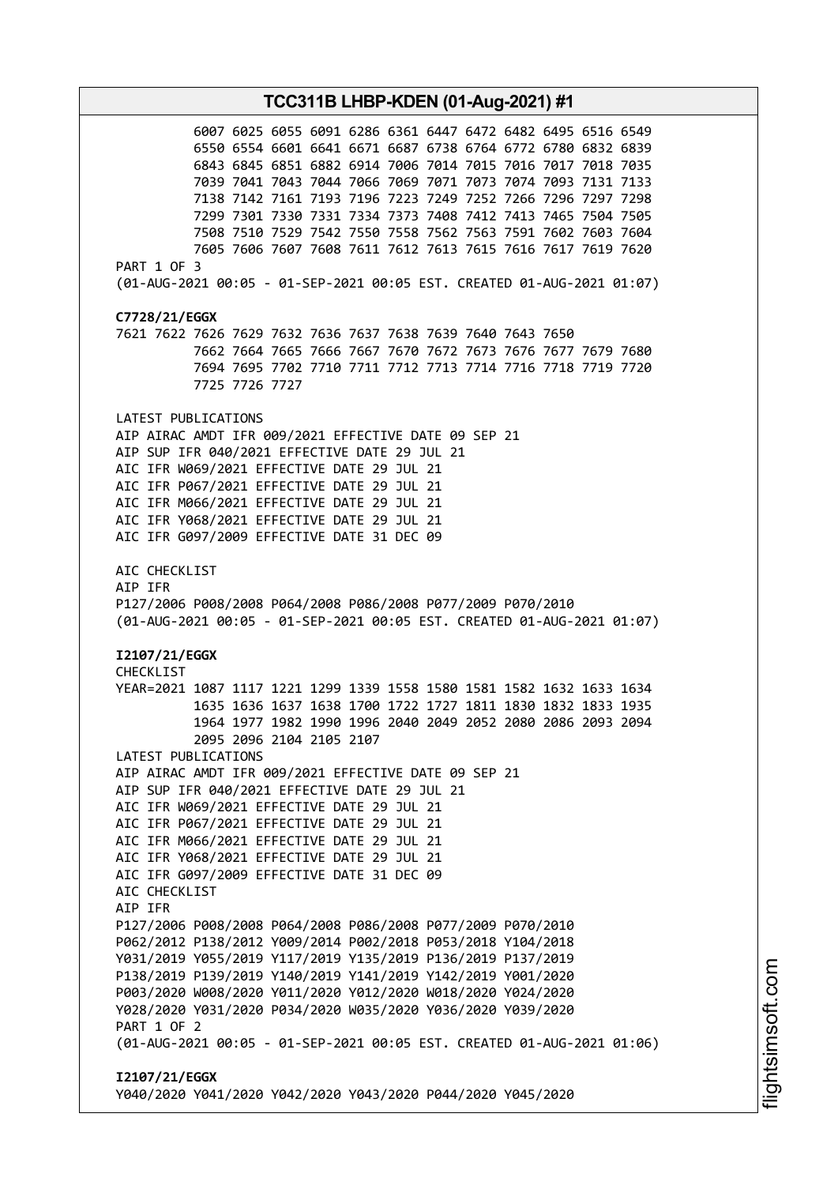**TCC311B LHBP-KDEN (01-Aug-2021) #1** 6007 6025 6055 6091 6286 6361 6447 6472 6482 6495 6516 6549 6550 6554 6601 6641 6671 6687 6738 6764 6772 6780 6832 6839 6843 6845 6851 6882 6914 7006 7014 7015 7016 7017 7018 7035 7039 7041 7043 7044 7066 7069 7071 7073 7074 7093 7131 7133 7138 7142 7161 7193 7196 7223 7249 7252 7266 7296 7297 7298 7299 7301 7330 7331 7334 7373 7408 7412 7413 7465 7504 7505 7508 7510 7529 7542 7550 7558 7562 7563 7591 7602 7603 7604 7605 7606 7607 7608 7611 7612 7613 7615 7616 7617 7619 7620 PART 1 OF 3 (01-AUG-2021 00:05 - 01-SEP-2021 00:05 EST. CREATED 01-AUG-2021 01:07) **C7728/21/EGGX** 7621 7622 7626 7629 7632 7636 7637 7638 7639 7640 7643 7650 7662 7664 7665 7666 7667 7670 7672 7673 7676 7677 7679 7680 7694 7695 7702 7710 7711 7712 7713 7714 7716 7718 7719 7720 7725 7726 7727 LATEST PUBLICATIONS AIP AIRAC AMDT IFR 009/2021 EFFECTIVE DATE 09 SEP 21 AIP SUP IFR 040/2021 EFFECTIVE DATE 29 JUL 21 AIC IFR W069/2021 EFFECTIVE DATE 29 JUL 21 AIC IFR P067/2021 EFFECTIVE DATE 29 JUL 21 AIC IFR M066/2021 EFFECTIVE DATE 29 JUL 21 AIC IFR Y068/2021 EFFECTIVE DATE 29 JUL 21 AIC IFR G097/2009 EFFECTIVE DATE 31 DEC 09 AIC CHECKLIST AIP IFR P127/2006 P008/2008 P064/2008 P086/2008 P077/2009 P070/2010 (01-AUG-2021 00:05 - 01-SEP-2021 00:05 EST. CREATED 01-AUG-2021 01:07) **I2107/21/EGGX** CHECKLIST YEAR=2021 1087 1117 1221 1299 1339 1558 1580 1581 1582 1632 1633 1634 1635 1636 1637 1638 1700 1722 1727 1811 1830 1832 1833 1935 1964 1977 1982 1990 1996 2040 2049 2052 2080 2086 2093 2094 2095 2096 2104 2105 2107 LATEST PUBLICATIONS AIP AIRAC AMDT IFR 009/2021 EFFECTIVE DATE 09 SEP 21 AIP SUP IFR 040/2021 EFFECTIVE DATE 29 JUL 21 AIC IFR W069/2021 EFFECTIVE DATE 29 JUL 21 AIC IFR P067/2021 EFFECTIVE DATE 29 JUL 21 AIC IFR M066/2021 EFFECTIVE DATE 29 JUL 21 AIC IFR Y068/2021 EFFECTIVE DATE 29 JUL 21 AIC IFR G097/2009 EFFECTIVE DATE 31 DEC 09 AIC CHECKLIST AIP IFR P127/2006 P008/2008 P064/2008 P086/2008 P077/2009 P070/2010 P062/2012 P138/2012 Y009/2014 P002/2018 P053/2018 Y104/2018 Y031/2019 Y055/2019 Y117/2019 Y135/2019 P136/2019 P137/2019 P138/2019 P139/2019 Y140/2019 Y141/2019 Y142/2019 Y001/2020 P003/2020 W008/2020 Y011/2020 Y012/2020 W018/2020 Y024/2020 Y028/2020 Y031/2020 P034/2020 W035/2020 Y036/2020 Y039/2020 PART 1 OF 2 (01-AUG-2021 00:05 - 01-SEP-2021 00:05 EST. CREATED 01-AUG-2021 01:06) **I2107/21/EGGX** Y040/2020 Y041/2020 Y042/2020 Y043/2020 P044/2020 Y045/2020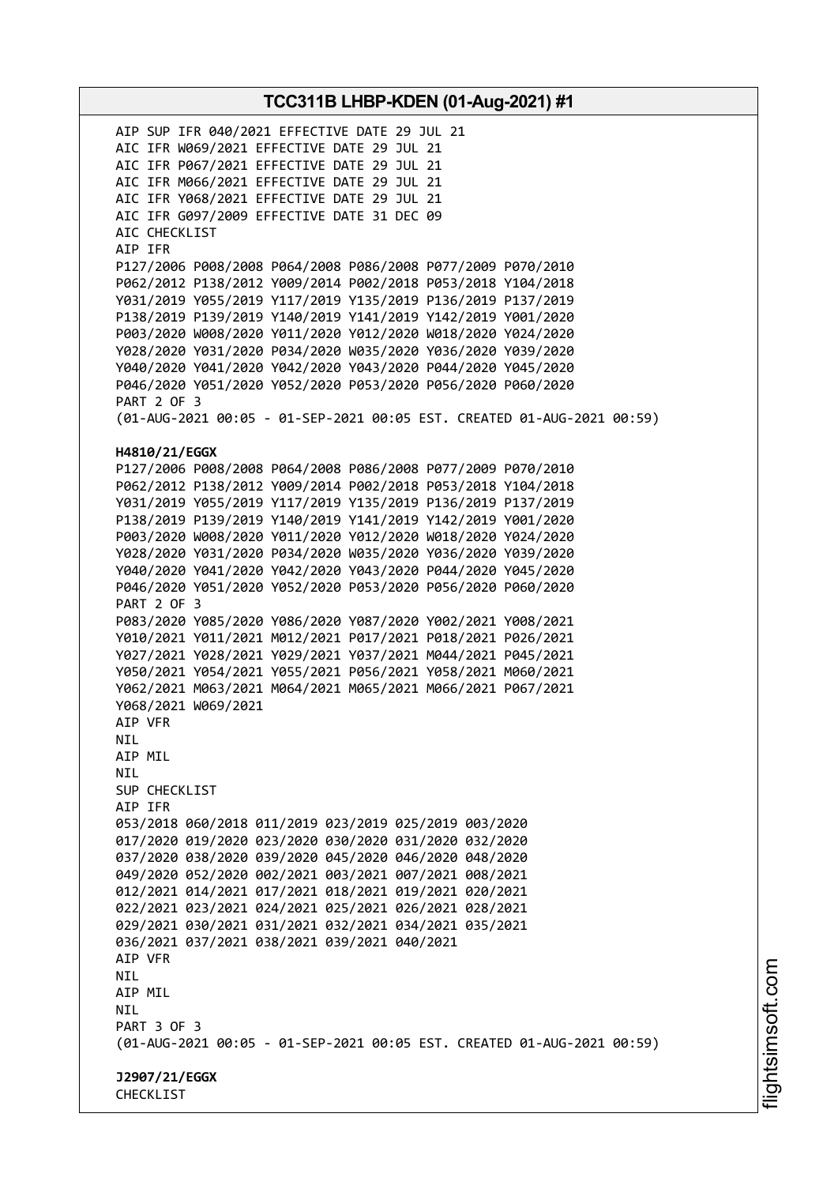AIP SUP IFR 040/2021 EFFECTIVE DATE 29 JUL 21 AIC IFR W069/2021 EFFECTIVE DATE 29 JUL 21 AIC IFR P067/2021 EFFECTIVE DATE 29 JUL 21 AIC IFR M066/2021 EFFECTIVE DATE 29 JUL 21 AIC IFR Y068/2021 EFFECTIVE DATE 29 JUL 21 AIC IFR G097/2009 EFFECTIVE DATE 31 DEC 09 AIC CHECKLIST AIP IFR P127/2006 P008/2008 P064/2008 P086/2008 P077/2009 P070/2010 P062/2012 P138/2012 Y009/2014 P002/2018 P053/2018 Y104/2018 Y031/2019 Y055/2019 Y117/2019 Y135/2019 P136/2019 P137/2019 P138/2019 P139/2019 Y140/2019 Y141/2019 Y142/2019 Y001/2020 P003/2020 W008/2020 Y011/2020 Y012/2020 W018/2020 Y024/2020 Y028/2020 Y031/2020 P034/2020 W035/2020 Y036/2020 Y039/2020 Y040/2020 Y041/2020 Y042/2020 Y043/2020 P044/2020 Y045/2020 P046/2020 Y051/2020 Y052/2020 P053/2020 P056/2020 P060/2020 PART 2 OF 3 (01-AUG-2021 00:05 - 01-SEP-2021 00:05 EST. CREATED 01-AUG-2021 00:59) **H4810/21/EGGX** P127/2006 P008/2008 P064/2008 P086/2008 P077/2009 P070/2010 P062/2012 P138/2012 Y009/2014 P002/2018 P053/2018 Y104/2018 Y031/2019 Y055/2019 Y117/2019 Y135/2019 P136/2019 P137/2019 P138/2019 P139/2019 Y140/2019 Y141/2019 Y142/2019 Y001/2020 P003/2020 W008/2020 Y011/2020 Y012/2020 W018/2020 Y024/2020 Y028/2020 Y031/2020 P034/2020 W035/2020 Y036/2020 Y039/2020 Y040/2020 Y041/2020 Y042/2020 Y043/2020 P044/2020 Y045/2020 P046/2020 Y051/2020 Y052/2020 P053/2020 P056/2020 P060/2020 PART 2 OF 3 P083/2020 Y085/2020 Y086/2020 Y087/2020 Y002/2021 Y008/2021 Y010/2021 Y011/2021 M012/2021 P017/2021 P018/2021 P026/2021 Y027/2021 Y028/2021 Y029/2021 Y037/2021 M044/2021 P045/2021 Y050/2021 Y054/2021 Y055/2021 P056/2021 Y058/2021 M060/2021 Y062/2021 M063/2021 M064/2021 M065/2021 M066/2021 P067/2021 Y068/2021 W069/2021 AIP VFR NIL AIP MIL NIL SUP CHECKLIST AIP IFR 053/2018 060/2018 011/2019 023/2019 025/2019 003/2020 017/2020 019/2020 023/2020 030/2020 031/2020 032/2020 037/2020 038/2020 039/2020 045/2020 046/2020 048/2020 049/2020 052/2020 002/2021 003/2021 007/2021 008/2021 012/2021 014/2021 017/2021 018/2021 019/2021 020/2021 022/2021 023/2021 024/2021 025/2021 026/2021 028/2021 029/2021 030/2021 031/2021 032/2021 034/2021 035/2021 036/2021 037/2021 038/2021 039/2021 040/2021 AIP VFR NIL AIP MIL NIL PART 3 OF 3 (01-AUG-2021 00:05 - 01-SEP-2021 00:05 EST. CREATED 01-AUG-2021 00:59) **J2907/21/EGGX** CHECKLIST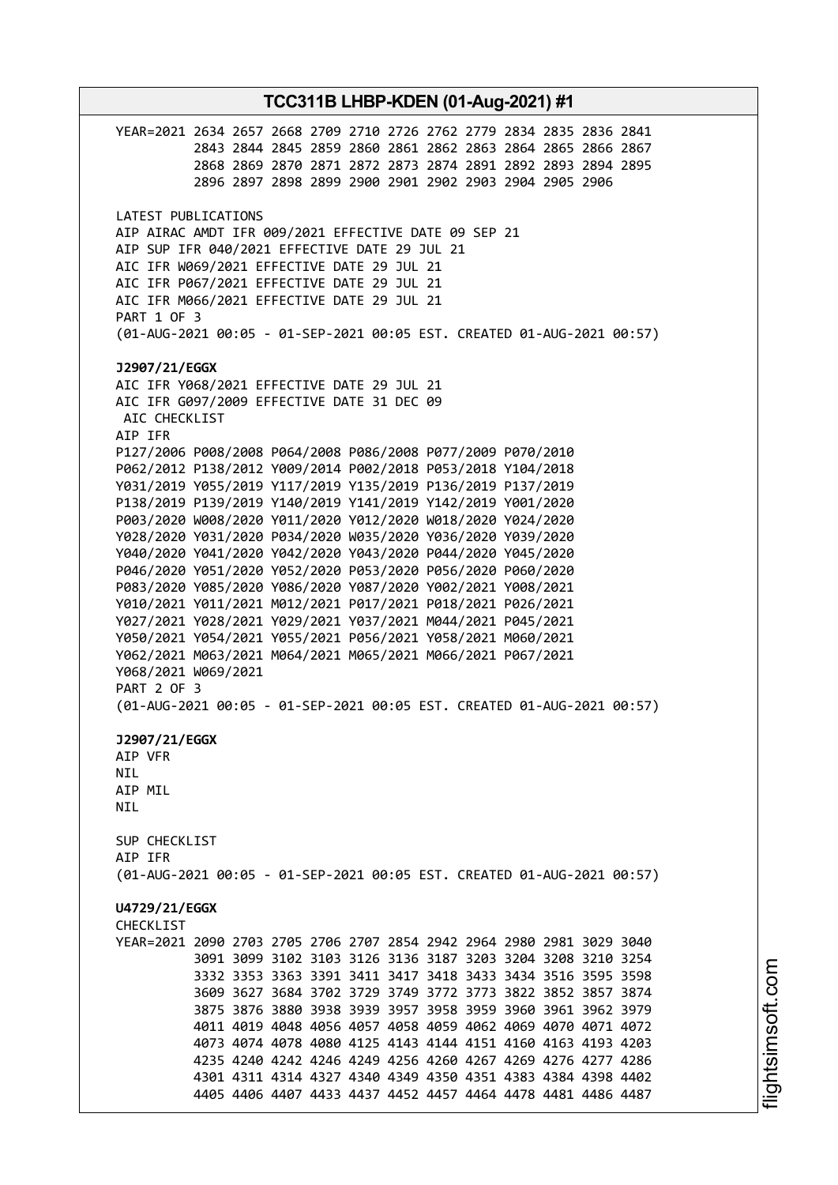**TCC311B LHBP-KDEN (01-Aug-2021) #1** YEAR=2021 2634 2657 2668 2709 2710 2726 2762 2779 2834 2835 2836 2841 2843 2844 2845 2859 2860 2861 2862 2863 2864 2865 2866 2867 2868 2869 2870 2871 2872 2873 2874 2891 2892 2893 2894 2895 2896 2897 2898 2899 2900 2901 2902 2903 2904 2905 2906 LATEST PUBLICATIONS AIP AIRAC AMDT IFR 009/2021 EFFECTIVE DATE 09 SEP 21 AIP SUP IFR 040/2021 EFFECTIVE DATE 29 JUL 21 AIC IFR W069/2021 EFFECTIVE DATE 29 JUL 21 AIC IFR P067/2021 EFFECTIVE DATE 29 JUL 21 AIC IFR M066/2021 EFFECTIVE DATE 29 JUL 21 PART 1 OF 3 (01-AUG-2021 00:05 - 01-SEP-2021 00:05 EST. CREATED 01-AUG-2021 00:57) **J2907/21/EGGX** AIC IFR Y068/2021 EFFECTIVE DATE 29 JUL 21 AIC IFR G097/2009 EFFECTIVE DATE 31 DEC 09 AIC CHECKLIST AIP IFR P127/2006 P008/2008 P064/2008 P086/2008 P077/2009 P070/2010 P062/2012 P138/2012 Y009/2014 P002/2018 P053/2018 Y104/2018 Y031/2019 Y055/2019 Y117/2019 Y135/2019 P136/2019 P137/2019 P138/2019 P139/2019 Y140/2019 Y141/2019 Y142/2019 Y001/2020 P003/2020 W008/2020 Y011/2020 Y012/2020 W018/2020 Y024/2020 Y028/2020 Y031/2020 P034/2020 W035/2020 Y036/2020 Y039/2020 Y040/2020 Y041/2020 Y042/2020 Y043/2020 P044/2020 Y045/2020 P046/2020 Y051/2020 Y052/2020 P053/2020 P056/2020 P060/2020 P083/2020 Y085/2020 Y086/2020 Y087/2020 Y002/2021 Y008/2021 Y010/2021 Y011/2021 M012/2021 P017/2021 P018/2021 P026/2021 Y027/2021 Y028/2021 Y029/2021 Y037/2021 M044/2021 P045/2021 Y050/2021 Y054/2021 Y055/2021 P056/2021 Y058/2021 M060/2021 Y062/2021 M063/2021 M064/2021 M065/2021 M066/2021 P067/2021 Y068/2021 W069/2021 PART 2 OF 3 (01-AUG-2021 00:05 - 01-SEP-2021 00:05 EST. CREATED 01-AUG-2021 00:57) **J2907/21/EGGX** AIP VFR NIL AIP MIL **NTI** SUP CHECKLIST AIP IFR (01-AUG-2021 00:05 - 01-SEP-2021 00:05 EST. CREATED 01-AUG-2021 00:57) **U4729/21/EGGX CHECKLIST** YEAR=2021 2090 2703 2705 2706 2707 2854 2942 2964 2980 2981 3029 3040 3091 3099 3102 3103 3126 3136 3187 3203 3204 3208 3210 3254 3332 3353 3363 3391 3411 3417 3418 3433 3434 3516 3595 3598 3609 3627 3684 3702 3729 3749 3772 3773 3822 3852 3857 3874 3875 3876 3880 3938 3939 3957 3958 3959 3960 3961 3962 3979 4011 4019 4048 4056 4057 4058 4059 4062 4069 4070 4071 4072 4073 4074 4078 4080 4125 4143 4144 4151 4160 4163 4193 4203 4235 4240 4242 4246 4249 4256 4260 4267 4269 4276 4277 4286 4301 4311 4314 4327 4340 4349 4350 4351 4383 4384 4398 4402 4405 4406 4407 4433 4437 4452 4457 4464 4478 4481 4486 4487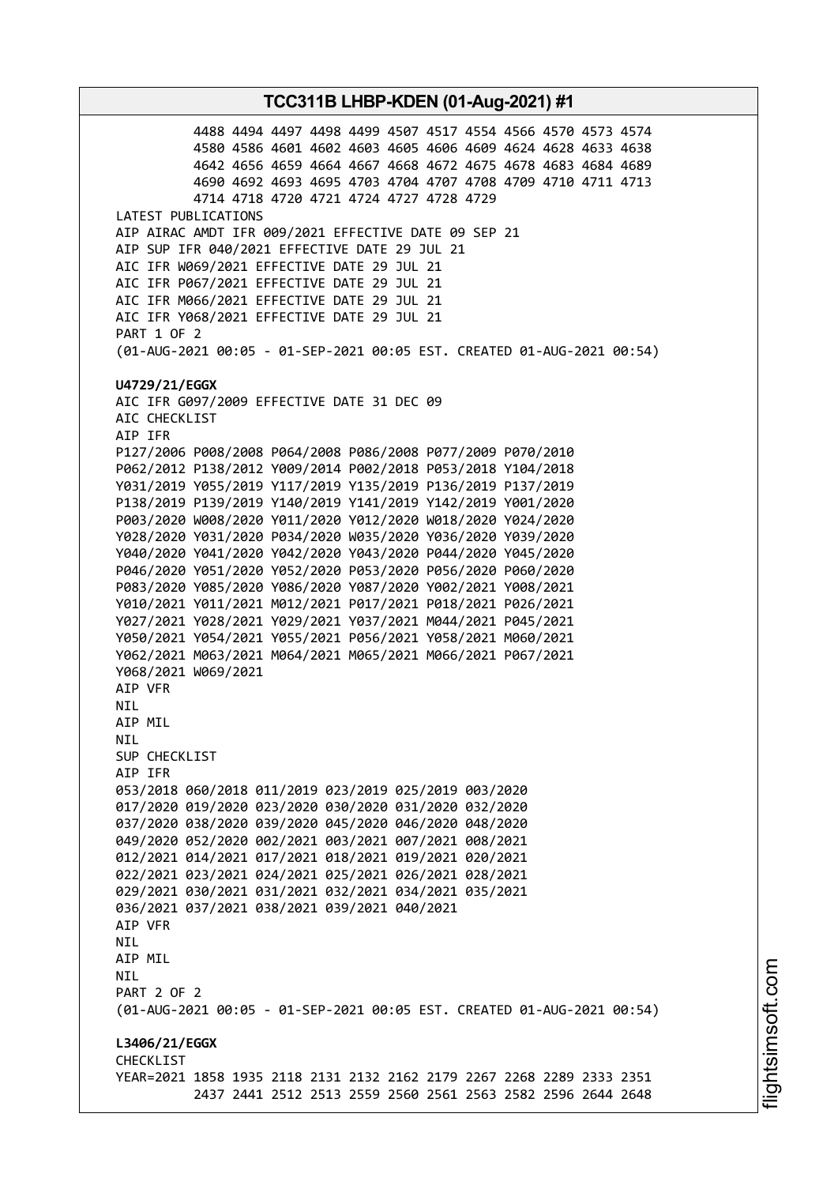4488 4494 4497 4498 4499 4507 4517 4554 4566 4570 4573 4574 4580 4586 4601 4602 4603 4605 4606 4609 4624 4628 4633 4638 4642 4656 4659 4664 4667 4668 4672 4675 4678 4683 4684 4689 4690 4692 4693 4695 4703 4704 4707 4708 4709 4710 4711 4713 4714 4718 4720 4721 4724 4727 4728 4729 LATEST PUBLICATIONS AIP AIRAC AMDT IFR 009/2021 EFFECTIVE DATE 09 SEP 21 AIP SUP IFR 040/2021 EFFECTIVE DATE 29 JUL 21 AIC IFR W069/2021 EFFECTIVE DATE 29 JUL 21 AIC IFR P067/2021 EFFECTIVE DATE 29 JUL 21 AIC IFR M066/2021 EFFECTIVE DATE 29 JUL 21 AIC IFR Y068/2021 EFFECTIVE DATE 29 JUL 21 PART 1 OF 2 (01-AUG-2021 00:05 - 01-SEP-2021 00:05 EST. CREATED 01-AUG-2021 00:54) **U4729/21/EGGX** AIC IFR G097/2009 EFFECTIVE DATE 31 DEC 09 AIC CHECKLIST AIP IFR P127/2006 P008/2008 P064/2008 P086/2008 P077/2009 P070/2010 P062/2012 P138/2012 Y009/2014 P002/2018 P053/2018 Y104/2018 Y031/2019 Y055/2019 Y117/2019 Y135/2019 P136/2019 P137/2019 P138/2019 P139/2019 Y140/2019 Y141/2019 Y142/2019 Y001/2020 P003/2020 W008/2020 Y011/2020 Y012/2020 W018/2020 Y024/2020 Y028/2020 Y031/2020 P034/2020 W035/2020 Y036/2020 Y039/2020 Y040/2020 Y041/2020 Y042/2020 Y043/2020 P044/2020 Y045/2020 P046/2020 Y051/2020 Y052/2020 P053/2020 P056/2020 P060/2020 P083/2020 Y085/2020 Y086/2020 Y087/2020 Y002/2021 Y008/2021 Y010/2021 Y011/2021 M012/2021 P017/2021 P018/2021 P026/2021 Y027/2021 Y028/2021 Y029/2021 Y037/2021 M044/2021 P045/2021 Y050/2021 Y054/2021 Y055/2021 P056/2021 Y058/2021 M060/2021 Y062/2021 M063/2021 M064/2021 M065/2021 M066/2021 P067/2021 Y068/2021 W069/2021 AIP VFR NIL AIP MIL NIL SUP CHECKLIST AIP IFR 053/2018 060/2018 011/2019 023/2019 025/2019 003/2020 017/2020 019/2020 023/2020 030/2020 031/2020 032/2020 037/2020 038/2020 039/2020 045/2020 046/2020 048/2020 049/2020 052/2020 002/2021 003/2021 007/2021 008/2021 012/2021 014/2021 017/2021 018/2021 019/2021 020/2021 022/2021 023/2021 024/2021 025/2021 026/2021 028/2021 029/2021 030/2021 031/2021 032/2021 034/2021 035/2021 036/2021 037/2021 038/2021 039/2021 040/2021 AIP VFR NIL AIP MIL NIL PART 2 OF 2 (01-AUG-2021 00:05 - 01-SEP-2021 00:05 EST. CREATED 01-AUG-2021 00:54) **L3406/21/EGGX CHECKLIST** YEAR=2021 1858 1935 2118 2131 2132 2162 2179 2267 2268 2289 2333 2351 2437 2441 2512 2513 2559 2560 2561 2563 2582 2596 2644 2648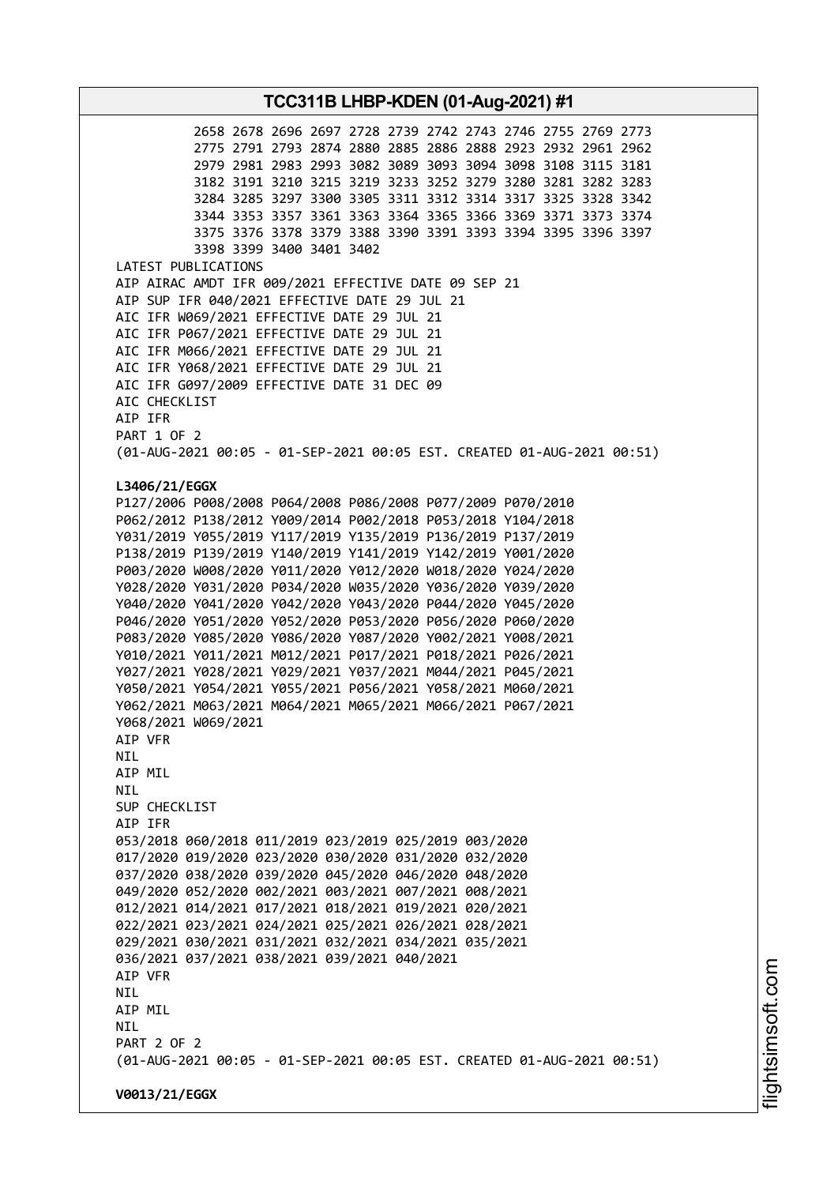2658 2678 2696 2697 2728 2739 2742 2743 2746 2755 2769 2773 2775 2791 2793 2874 2880 2885 2886 2888 2923 2932 2961 2962 2979 2981 2983 2993 3082 3089 3093 3094 3098 3108 3115 3181 3182 3191 3210 3215 3219 3233 3252 3279 3280 3281 3282 3283 3284 3285 3297 3300 3305 3311 3312 3314 3317 3325 3328 3342 3344 3353 3357 3361 3363 3364 3365 3366 3369 3371 3373 3374 3375 3376 3378 3379 3388 3390 3391 3393 3394 3395 3396 3397 3398 3399 3400 3401 3402 LATEST PUBLICATIONS AIP AIRAC AMDT IFR 009/2021 EFFECTIVE DATE 09 SEP 21 AIP SUP IFR 040/2021 EFFECTIVE DATE 29 JUL 21 AIC IFR W069/2021 EFFECTIVE DATE 29 JUL 21 AIC IFR P067/2021 EFFECTIVE DATE 29 JUL 21 AIC IFR M066/2021 EFFECTIVE DATE 29 JUL 21 AIC IFR Y068/2021 EFFECTIVE DATE 29 JUL 21 AIC IFR G097/2009 EFFECTIVE DATE 31 DEC 09 AIC CHECKLIST AIP IFR PART 1 OF 2 (01-AUG-2021 00:05 - 01-SEP-2021 00:05 EST. CREATED 01-AUG-2021 00:51) **L3406/21/EGGX** P127/2006 P008/2008 P064/2008 P086/2008 P077/2009 P070/2010 P062/2012 P138/2012 Y009/2014 P002/2018 P053/2018 Y104/2018 Y031/2019 Y055/2019 Y117/2019 Y135/2019 P136/2019 P137/2019 P138/2019 P139/2019 Y140/2019 Y141/2019 Y142/2019 Y001/2020 P003/2020 W008/2020 Y011/2020 Y012/2020 W018/2020 Y024/2020 Y028/2020 Y031/2020 P034/2020 W035/2020 Y036/2020 Y039/2020 Y040/2020 Y041/2020 Y042/2020 Y043/2020 P044/2020 Y045/2020 P046/2020 Y051/2020 Y052/2020 P053/2020 P056/2020 P060/2020 P083/2020 Y085/2020 Y086/2020 Y087/2020 Y002/2021 Y008/2021 Y010/2021 Y011/2021 M012/2021 P017/2021 P018/2021 P026/2021 Y027/2021 Y028/2021 Y029/2021 Y037/2021 M044/2021 P045/2021 Y050/2021 Y054/2021 Y055/2021 P056/2021 Y058/2021 M060/2021 Y062/2021 M063/2021 M064/2021 M065/2021 M066/2021 P067/2021 Y068/2021 W069/2021 AIP VFR NIL AIP MIL NIL SUP CHECKLIST AIP IFR 053/2018 060/2018 011/2019 023/2019 025/2019 003/2020 017/2020 019/2020 023/2020 030/2020 031/2020 032/2020 037/2020 038/2020 039/2020 045/2020 046/2020 048/2020 049/2020 052/2020 002/2021 003/2021 007/2021 008/2021 012/2021 014/2021 017/2021 018/2021 019/2021 020/2021 022/2021 023/2021 024/2021 025/2021 026/2021 028/2021 029/2021 030/2021 031/2021 032/2021 034/2021 035/2021 036/2021 037/2021 038/2021 039/2021 040/2021 AIP VFR NIL AIP MIL **NTL** PART 2 OF 2 (01-AUG-2021 00:05 - 01-SEP-2021 00:05 EST. CREATED 01-AUG-2021 00:51) **V0013/21/EGGX**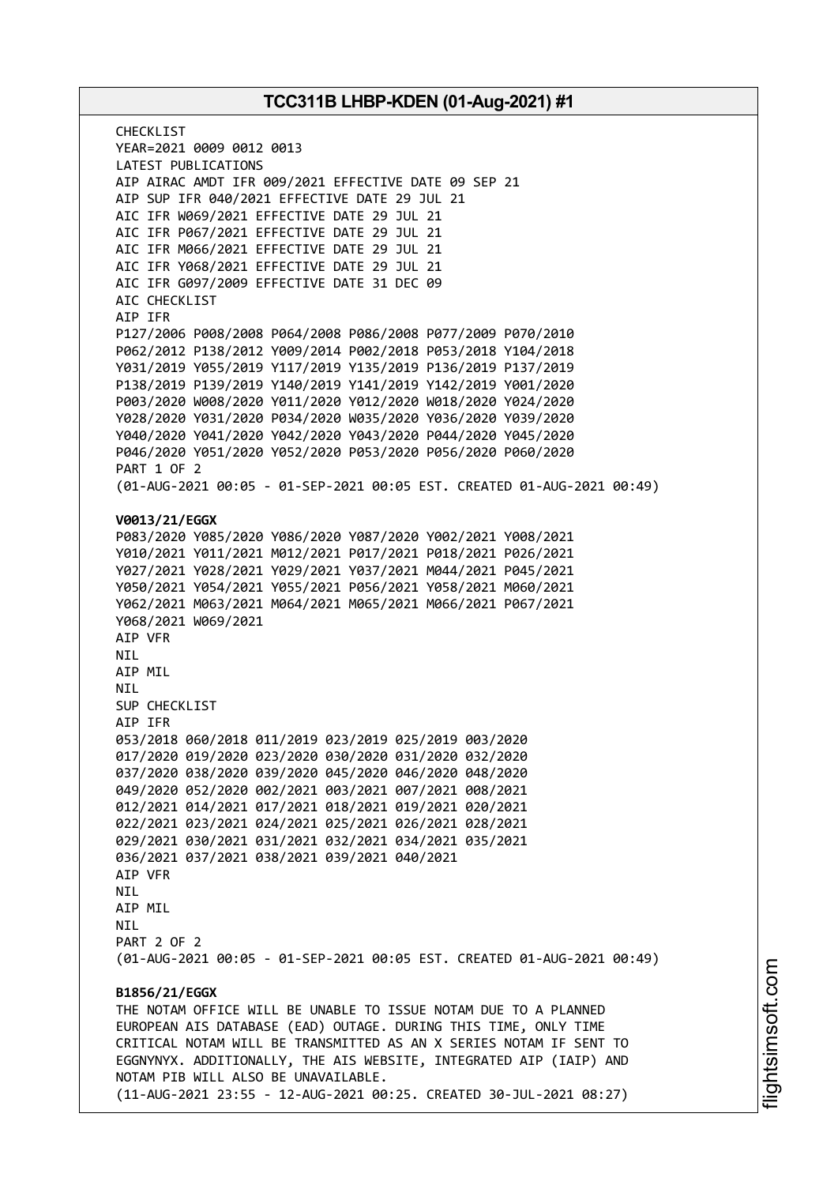CHECKL<sub>IST</sub> YEAR=2021 0009 0012 0013 LATEST PUBLICATIONS AIP AIRAC AMDT IFR 009/2021 EFFECTIVE DATE 09 SEP 21 AIP SUP IFR 040/2021 EFFECTIVE DATE 29 JUL 21 AIC IFR W069/2021 EFFECTIVE DATE 29 JUL 21 AIC IFR P067/2021 EFFECTIVE DATE 29 JUL 21 AIC IFR M066/2021 EFFECTIVE DATE 29 JUL 21 AIC IFR Y068/2021 EFFECTIVE DATE 29 JUL 21 AIC IFR G097/2009 EFFECTIVE DATE 31 DEC 09 AIC CHECKLIST AIP IFR P127/2006 P008/2008 P064/2008 P086/2008 P077/2009 P070/2010 P062/2012 P138/2012 Y009/2014 P002/2018 P053/2018 Y104/2018 Y031/2019 Y055/2019 Y117/2019 Y135/2019 P136/2019 P137/2019 P138/2019 P139/2019 Y140/2019 Y141/2019 Y142/2019 Y001/2020 P003/2020 W008/2020 Y011/2020 Y012/2020 W018/2020 Y024/2020 Y028/2020 Y031/2020 P034/2020 W035/2020 Y036/2020 Y039/2020 Y040/2020 Y041/2020 Y042/2020 Y043/2020 P044/2020 Y045/2020 P046/2020 Y051/2020 Y052/2020 P053/2020 P056/2020 P060/2020 PART 1 OF 2 (01-AUG-2021 00:05 - 01-SEP-2021 00:05 EST. CREATED 01-AUG-2021 00:49) **V0013/21/EGGX** P083/2020 Y085/2020 Y086/2020 Y087/2020 Y002/2021 Y008/2021 Y010/2021 Y011/2021 M012/2021 P017/2021 P018/2021 P026/2021 Y027/2021 Y028/2021 Y029/2021 Y037/2021 M044/2021 P045/2021 Y050/2021 Y054/2021 Y055/2021 P056/2021 Y058/2021 M060/2021 Y062/2021 M063/2021 M064/2021 M065/2021 M066/2021 P067/2021 Y068/2021 W069/2021 AIP VFR NIL AIP MIL **NTI** SUP CHECKLIST AIP IFR 053/2018 060/2018 011/2019 023/2019 025/2019 003/2020 017/2020 019/2020 023/2020 030/2020 031/2020 032/2020 037/2020 038/2020 039/2020 045/2020 046/2020 048/2020 049/2020 052/2020 002/2021 003/2021 007/2021 008/2021 012/2021 014/2021 017/2021 018/2021 019/2021 020/2021 022/2021 023/2021 024/2021 025/2021 026/2021 028/2021 029/2021 030/2021 031/2021 032/2021 034/2021 035/2021 036/2021 037/2021 038/2021 039/2021 040/2021 AIP VFR NIL AIP MIL **NTI** PART 2 OF 2 (01-AUG-2021 00:05 - 01-SEP-2021 00:05 EST. CREATED 01-AUG-2021 00:49) **B1856/21/EGGX** THE NOTAM OFFICE WILL BE UNABLE TO ISSUE NOTAM DUE TO A PLANNED EUROPEAN AIS DATABASE (EAD) OUTAGE. DURING THIS TIME, ONLY TIME CRITICAL NOTAM WILL BE TRANSMITTED AS AN X SERIES NOTAM IF SENT TO EGGNYNYX. ADDITIONALLY, THE AIS WEBSITE, INTEGRATED AIP (IAIP) AND NOTAM PIB WILL ALSO BE UNAVAILABLE. (11-AUG-2021 23:55 - 12-AUG-2021 00:25. CREATED 30-JUL-2021 08:27)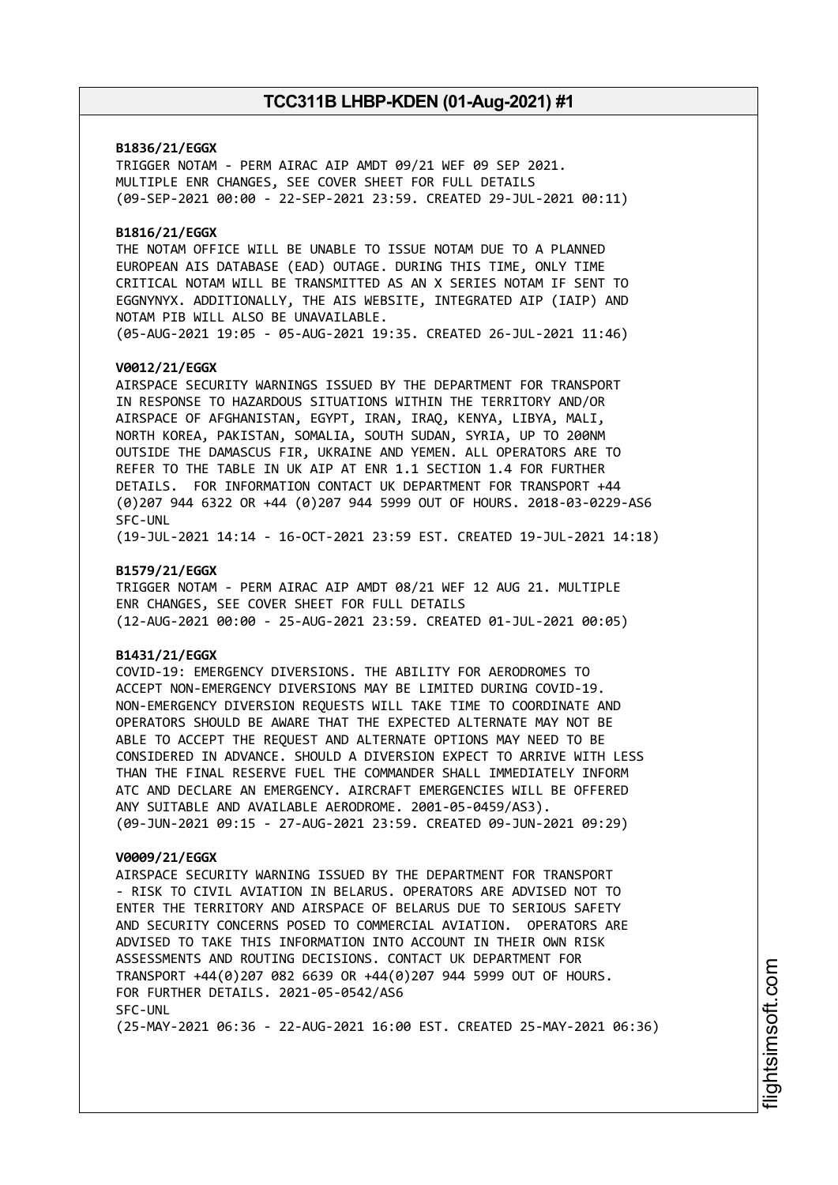## **B1836/21/EGGX**

TRIGGER NOTAM - PERM AIRAC AIP AMDT 09/21 WEF 09 SEP 2021. MULTIPLE ENR CHANGES, SEE COVER SHEET FOR FULL DETAILS (09-SEP-2021 00:00 - 22-SEP-2021 23:59. CREATED 29-JUL-2021 00:11)

# **B1816/21/EGGX**

THE NOTAM OFFICE WILL BE UNABLE TO ISSUE NOTAM DUE TO A PLANNED EUROPEAN AIS DATABASE (EAD) OUTAGE. DURING THIS TIME, ONLY TIME CRITICAL NOTAM WILL BE TRANSMITTED AS AN X SERIES NOTAM IF SENT TO EGGNYNYX. ADDITIONALLY, THE AIS WEBSITE, INTEGRATED AIP (IAIP) AND NOTAM PIB WILL ALSO BE UNAVAILABLE. (05-AUG-2021 19:05 - 05-AUG-2021 19:35. CREATED 26-JUL-2021 11:46)

#### **V0012/21/EGGX**

AIRSPACE SECURITY WARNINGS ISSUED BY THE DEPARTMENT FOR TRANSPORT IN RESPONSE TO HAZARDOUS SITUATIONS WITHIN THE TERRITORY AND/OR AIRSPACE OF AFGHANISTAN, EGYPT, IRAN, IRAQ, KENYA, LIBYA, MALI, NORTH KOREA, PAKISTAN, SOMALIA, SOUTH SUDAN, SYRIA, UP TO 200NM OUTSIDE THE DAMASCUS FIR, UKRAINE AND YEMEN. ALL OPERATORS ARE TO REFER TO THE TABLE IN UK AIP AT ENR 1.1 SECTION 1.4 FOR FURTHER DETAILS. FOR INFORMATION CONTACT UK DEPARTMENT FOR TRANSPORT +44 (0)207 944 6322 OR +44 (0)207 944 5999 OUT OF HOURS. 2018-03-0229-AS6 SFC-UNL

(19-JUL-2021 14:14 - 16-OCT-2021 23:59 EST. CREATED 19-JUL-2021 14:18)

## **B1579/21/EGGX**

TRIGGER NOTAM - PERM AIRAC AIP AMDT 08/21 WEF 12 AUG 21. MULTIPLE ENR CHANGES, SEE COVER SHEET FOR FULL DETAILS (12-AUG-2021 00:00 - 25-AUG-2021 23:59. CREATED 01-JUL-2021 00:05)

## **B1431/21/EGGX**

COVID-19: EMERGENCY DIVERSIONS. THE ABILITY FOR AERODROMES TO ACCEPT NON-EMERGENCY DIVERSIONS MAY BE LIMITED DURING COVID-19. NON-EMERGENCY DIVERSION REQUESTS WILL TAKE TIME TO COORDINATE AND OPERATORS SHOULD BE AWARE THAT THE EXPECTED ALTERNATE MAY NOT BE ABLE TO ACCEPT THE REQUEST AND ALTERNATE OPTIONS MAY NEED TO BE CONSIDERED IN ADVANCE. SHOULD A DIVERSION EXPECT TO ARRIVE WITH LESS THAN THE FINAL RESERVE FUEL THE COMMANDER SHALL IMMEDIATELY INFORM ATC AND DECLARE AN EMERGENCY. AIRCRAFT EMERGENCIES WILL BE OFFERED ANY SUITABLE AND AVAILABLE AERODROME. 2001-05-0459/AS3). (09-JUN-2021 09:15 - 27-AUG-2021 23:59. CREATED 09-JUN-2021 09:29)

#### **V0009/21/EGGX**

AIRSPACE SECURITY WARNING ISSUED BY THE DEPARTMENT FOR TRANSPORT - RISK TO CIVIL AVIATION IN BELARUS. OPERATORS ARE ADVISED NOT TO ENTER THE TERRITORY AND AIRSPACE OF BELARUS DUE TO SERIOUS SAFETY AND SECURITY CONCERNS POSED TO COMMERCIAL AVIATION. OPERATORS ARE ADVISED TO TAKE THIS INFORMATION INTO ACCOUNT IN THEIR OWN RISK ASSESSMENTS AND ROUTING DECISIONS. CONTACT UK DEPARTMENT FOR TRANSPORT +44(0)207 082 6639 OR +44(0)207 944 5999 OUT OF HOURS. FOR FURTHER DETAILS. 2021-05-0542/AS6 SFC-UNL (25-MAY-2021 06:36 - 22-AUG-2021 16:00 EST. CREATED 25-MAY-2021 06:36)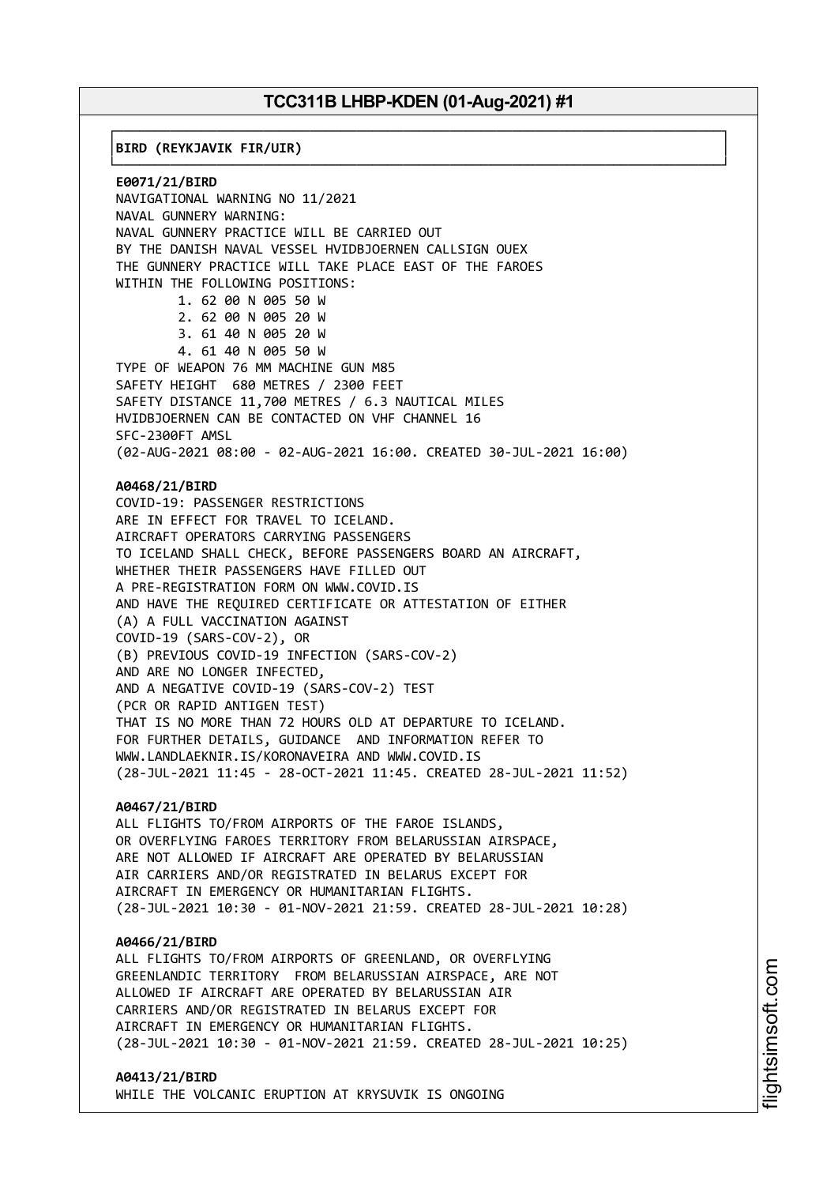┌──────────────────────────────────────────────────────────────────────────────┐

└──────────────────────────────────────────────────────────────────────────────┘

│**BIRD (REYKJAVIK FIR/UIR)** │

**E0071/21/BIRD** NAVIGATIONAL WARNING NO 11/2021 NAVAL GUNNERY WARNING: NAVAL GUNNERY PRACTICE WILL BE CARRIED OUT BY THE DANISH NAVAL VESSEL HVIDBJOERNEN CALLSIGN OUEX THE GUNNERY PRACTICE WILL TAKE PLACE EAST OF THE FAROES WITHIN THE FOLLOWING POSITIONS: 1. 62 00 N 005 50 W 2. 62 00 N 005 20 W 3. 61 40 N 005 20 W 4. 61 40 N 005 50 W TYPE OF WEAPON 76 MM MACHINE GUN M85 SAFETY HEIGHT 680 METRES / 2300 FEET SAFETY DISTANCE 11,700 METRES / 6.3 NAUTICAL MILES HVIDBJOERNEN CAN BE CONTACTED ON VHF CHANNEL 16 SFC-2300FT AMSL (02-AUG-2021 08:00 - 02-AUG-2021 16:00. CREATED 30-JUL-2021 16:00) **A0468/21/BIRD** COVID-19: PASSENGER RESTRICTIONS ARE IN EFFECT FOR TRAVEL TO ICELAND. AIRCRAFT OPERATORS CARRYING PASSENGERS TO ICELAND SHALL CHECK, BEFORE PASSENGERS BOARD AN AIRCRAFT, WHETHER THEIR PASSENGERS HAVE FILLED OUT A PRE-REGISTRATION FORM ON WWW.COVID.IS AND HAVE THE REQUIRED CERTIFICATE OR ATTESTATION OF EITHER (A) A FULL VACCINATION AGAINST COVID-19 (SARS-COV-2), OR (B) PREVIOUS COVID-19 INFECTION (SARS-COV-2) AND ARE NO LONGER INFECTED, AND A NEGATIVE COVID-19 (SARS-COV-2) TEST (PCR OR RAPID ANTIGEN TEST) THAT IS NO MORE THAN 72 HOURS OLD AT DEPARTURE TO ICELAND. FOR FURTHER DETAILS, GUIDANCE AND INFORMATION REFER TO WWW.LANDLAEKNIR.IS/KORONAVEIRA AND WWW.COVID.IS (28-JUL-2021 11:45 - 28-OCT-2021 11:45. CREATED 28-JUL-2021 11:52) **A0467/21/BIRD** ALL FLIGHTS TO/FROM AIRPORTS OF THE FAROE ISLANDS, OR OVERFLYING FAROES TERRITORY FROM BELARUSSIAN AIRSPACE, ARE NOT ALLOWED IF AIRCRAFT ARE OPERATED BY BELARUSSIAN

AIR CARRIERS AND/OR REGISTRATED IN BELARUS EXCEPT FOR AIRCRAFT IN EMERGENCY OR HUMANITARIAN FLIGHTS. (28-JUL-2021 10:30 - 01-NOV-2021 21:59. CREATED 28-JUL-2021 10:28)

#### **A0466/21/BIRD**

ALL FLIGHTS TO/FROM AIRPORTS OF GREENLAND, OR OVERFLYING GREENLANDIC TERRITORY FROM BELARUSSIAN AIRSPACE, ARE NOT ALLOWED IF AIRCRAFT ARE OPERATED BY BELARUSSIAN AIR CARRIERS AND/OR REGISTRATED IN BELARUS EXCEPT FOR AIRCRAFT IN EMERGENCY OR HUMANITARIAN FLIGHTS. (28-JUL-2021 10:30 - 01-NOV-2021 21:59. CREATED 28-JUL-2021 10:25)

#### **A0413/21/BIRD**

WHILE THE VOLCANIC ERUPTION AT KRYSUVIK IS ONGOING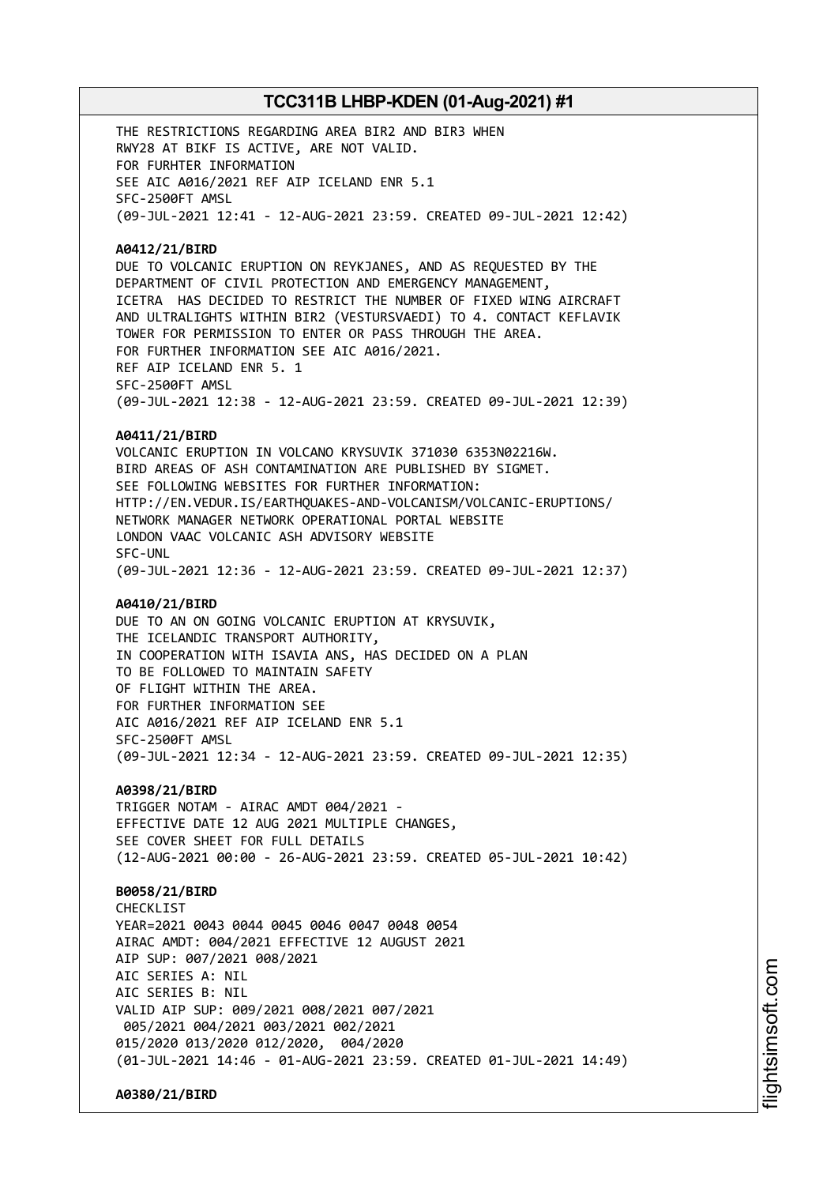THE RESTRICTIONS REGARDING AREA BIR2 AND BIR3 WHEN RWY28 AT BIKF IS ACTIVE, ARE NOT VALID. FOR FURHTER INFORMATION SEE AIC A016/2021 REF AIP ICELAND ENR 5.1 SFC-2500FT AMSL (09-JUL-2021 12:41 - 12-AUG-2021 23:59. CREATED 09-JUL-2021 12:42)

#### **A0412/21/BIRD**

DUE TO VOLCANIC ERUPTION ON REYKJANES, AND AS REQUESTED BY THE DEPARTMENT OF CIVIL PROTECTION AND EMERGENCY MANAGEMENT, ICETRA HAS DECIDED TO RESTRICT THE NUMBER OF FIXED WING AIRCRAFT AND ULTRALIGHTS WITHIN BIR2 (VESTURSVAEDI) TO 4. CONTACT KEFLAVIK TOWER FOR PERMISSION TO ENTER OR PASS THROUGH THE AREA. FOR FURTHER INFORMATION SEE AIC A016/2021. REF AIP ICELAND ENR 5. 1 SFC-2500FT AMSL (09-JUL-2021 12:38 - 12-AUG-2021 23:59. CREATED 09-JUL-2021 12:39)

#### **A0411/21/BIRD**

VOLCANIC ERUPTION IN VOLCANO KRYSUVIK 371030 6353N02216W. BIRD AREAS OF ASH CONTAMINATION ARE PUBLISHED BY SIGMET. SEE FOLLOWING WEBSITES FOR FURTHER INFORMATION: HTTP://EN.VEDUR.IS/EARTHQUAKES-AND-VOLCANISM/VOLCANIC-ERUPTIONS/ NETWORK MANAGER NETWORK OPERATIONAL PORTAL WEBSITE LONDON VAAC VOLCANIC ASH ADVISORY WEBSITE SFC-UNL (09-JUL-2021 12:36 - 12-AUG-2021 23:59. CREATED 09-JUL-2021 12:37)

#### **A0410/21/BIRD**

DUE TO AN ON GOING VOLCANIC ERUPTION AT KRYSUVIK, THE ICELANDIC TRANSPORT AUTHORITY, IN COOPERATION WITH ISAVIA ANS, HAS DECIDED ON A PLAN TO BE FOLLOWED TO MAINTAIN SAFETY OF FLIGHT WITHIN THE AREA. FOR FURTHER INFORMATION SEE AIC A016/2021 REF AIP ICELAND ENR 5.1 SFC-2500FT AMSL (09-JUL-2021 12:34 - 12-AUG-2021 23:59. CREATED 09-JUL-2021 12:35)

## **A0398/21/BIRD**

TRIGGER NOTAM - AIRAC AMDT 004/2021 - EFFECTIVE DATE 12 AUG 2021 MULTIPLE CHANGES, SEE COVER SHEET FOR FULL DETAILS (12-AUG-2021 00:00 - 26-AUG-2021 23:59. CREATED 05-JUL-2021 10:42)

## **B0058/21/BIRD**

CHECKL<sub>IST</sub> YEAR=2021 0043 0044 0045 0046 0047 0048 0054 AIRAC AMDT: 004/2021 EFFECTIVE 12 AUGUST 2021 AIP SUP: 007/2021 008/2021 AIC SERIES A: NIL AIC SERIES B: NIL VALID AIP SUP: 009/2021 008/2021 007/2021 005/2021 004/2021 003/2021 002/2021 015/2020 013/2020 012/2020, 004/2020 (01-JUL-2021 14:46 - 01-AUG-2021 23:59. CREATED 01-JUL-2021 14:49)

**A0380/21/BIRD**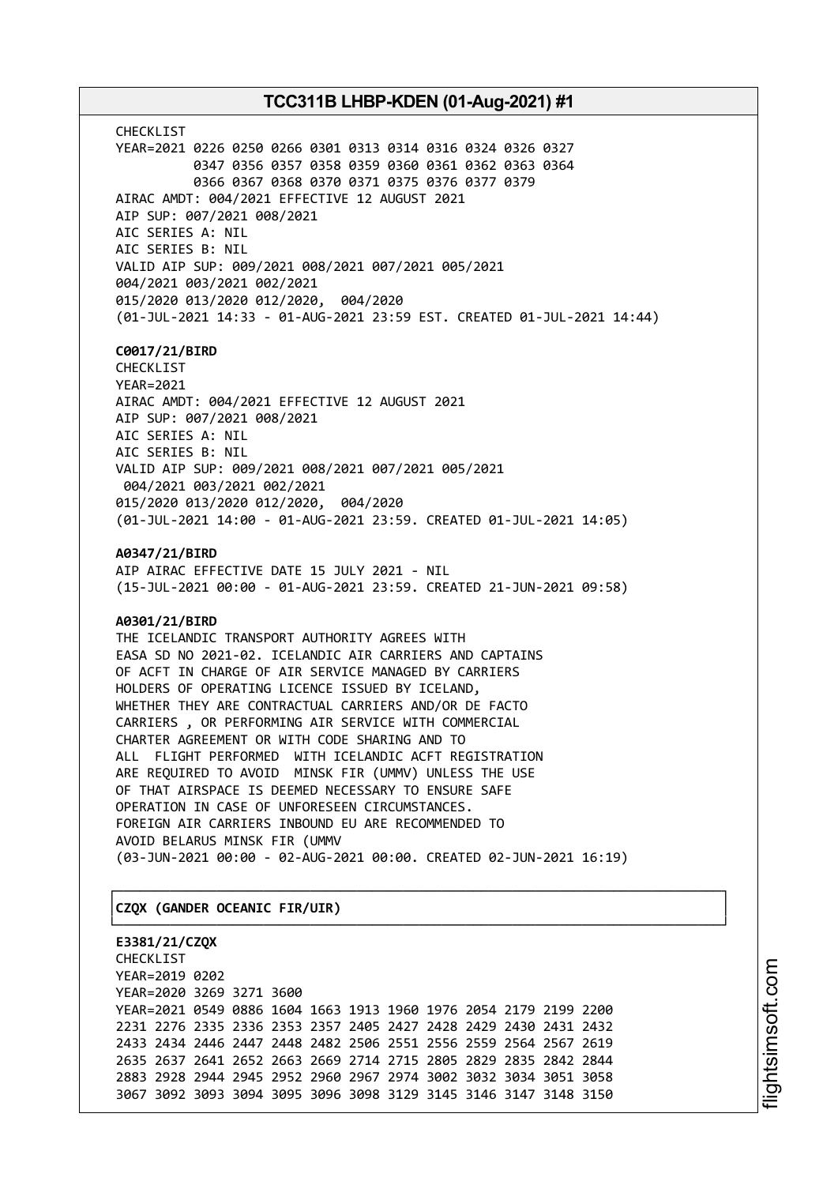CHECKLIST YEAR=2021 0226 0250 0266 0301 0313 0314 0316 0324 0326 0327 0347 0356 0357 0358 0359 0360 0361 0362 0363 0364 0366 0367 0368 0370 0371 0375 0376 0377 0379 AIRAC AMDT: 004/2021 EFFECTIVE 12 AUGUST 2021 AIP SUP: 007/2021 008/2021 AIC SERIES A: NIL AIC SERIES B: NIL VALID AIP SUP: 009/2021 008/2021 007/2021 005/2021 004/2021 003/2021 002/2021 015/2020 013/2020 012/2020, 004/2020 (01-JUL-2021 14:33 - 01-AUG-2021 23:59 EST. CREATED 01-JUL-2021 14:44)

## **C0017/21/BIRD**

CHECKLIST YEAR=2021 AIRAC AMDT: 004/2021 EFFECTIVE 12 AUGUST 2021 AIP SUP: 007/2021 008/2021 AIC SERIES A: NIL AIC SERIES B: NIL VALID AIP SUP: 009/2021 008/2021 007/2021 005/2021 004/2021 003/2021 002/2021 015/2020 013/2020 012/2020, 004/2020 (01-JUL-2021 14:00 - 01-AUG-2021 23:59. CREATED 01-JUL-2021 14:05)

**A0347/21/BIRD**

AIP AIRAC EFFECTIVE DATE 15 JULY 2021 - NIL (15-JUL-2021 00:00 - 01-AUG-2021 23:59. CREATED 21-JUN-2021 09:58)

## **A0301/21/BIRD**

THE ICELANDIC TRANSPORT AUTHORITY AGREES WITH EASA SD NO 2021-02. ICELANDIC AIR CARRIERS AND CAPTAINS OF ACFT IN CHARGE OF AIR SERVICE MANAGED BY CARRIERS HOLDERS OF OPERATING LICENCE ISSUED BY ICELAND, WHETHER THEY ARE CONTRACTUAL CARRIERS AND/OR DE FACTO CARRIERS , OR PERFORMING AIR SERVICE WITH COMMERCIAL CHARTER AGREEMENT OR WITH CODE SHARING AND TO ALL FLIGHT PERFORMED WITH ICELANDIC ACFT REGISTRATION ARE REQUIRED TO AVOID MINSK FIR (UMMV) UNLESS THE USE OF THAT AIRSPACE IS DEEMED NECESSARY TO ENSURE SAFE OPERATION IN CASE OF UNFORESEEN CIRCUMSTANCES. FOREIGN AIR CARRIERS INBOUND EU ARE RECOMMENDED TO AVOID BELARUS MINSK FIR (UMMV (03-JUN-2021 00:00 - 02-AUG-2021 00:00. CREATED 02-JUN-2021 16:19)

┌──────────────────────────────────────────────────────────────────────────────┐

└──────────────────────────────────────────────────────────────────────────────┘

## │**CZQX (GANDER OCEANIC FIR/UIR)** │

**E3381/21/CZQX** CHECKLIST YEAR=2019 0202 YEAR=2020 3269 3271 3600 YEAR=2021 0549 0886 1604 1663 1913 1960 1976 2054 2179 2199 2200 2231 2276 2335 2336 2353 2357 2405 2427 2428 2429 2430 2431 2432 2433 2434 2446 2447 2448 2482 2506 2551 2556 2559 2564 2567 2619 2635 2637 2641 2652 2663 2669 2714 2715 2805 2829 2835 2842 2844 2883 2928 2944 2945 2952 2960 2967 2974 3002 3032 3034 3051 3058 3067 3092 3093 3094 3095 3096 3098 3129 3145 3146 3147 3148 3150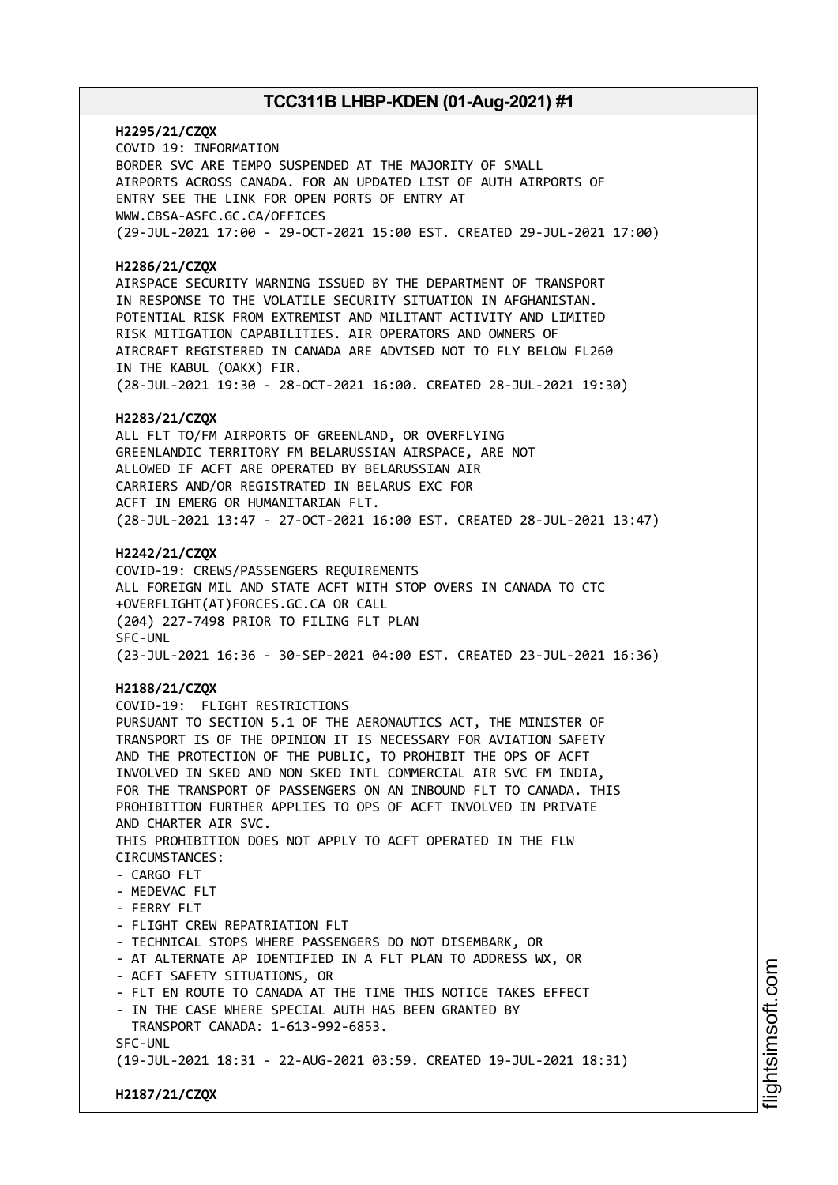**H2295/21/CZQX** COVID 19: INFORMATION BORDER SVC ARE TEMPO SUSPENDED AT THE MAJORITY OF SMALL AIRPORTS ACROSS CANADA. FOR AN UPDATED LIST OF AUTH AIRPORTS OF ENTRY SEE THE LINK FOR OPEN PORTS OF ENTRY AT WWW.CBSA-ASFC.GC.CA/OFFICES (29-JUL-2021 17:00 - 29-OCT-2021 15:00 EST. CREATED 29-JUL-2021 17:00)

## **H2286/21/CZQX**

AIRSPACE SECURITY WARNING ISSUED BY THE DEPARTMENT OF TRANSPORT IN RESPONSE TO THE VOLATILE SECURITY SITUATION IN AFGHANISTAN. POTENTIAL RISK FROM EXTREMIST AND MILITANT ACTIVITY AND LIMITED RISK MITIGATION CAPABILITIES. AIR OPERATORS AND OWNERS OF AIRCRAFT REGISTERED IN CANADA ARE ADVISED NOT TO FLY BELOW FL260 IN THE KABUL (OAKX) FIR. (28-JUL-2021 19:30 - 28-OCT-2021 16:00. CREATED 28-JUL-2021 19:30)

## **H2283/21/CZQX**

ALL FLT TO/FM AIRPORTS OF GREENLAND, OR OVERFLYING GREENLANDIC TERRITORY FM BELARUSSIAN AIRSPACE, ARE NOT ALLOWED IF ACFT ARE OPERATED BY BELARUSSIAN AIR CARRIERS AND/OR REGISTRATED IN BELARUS EXC FOR ACFT IN EMERG OR HUMANITARIAN FLT. (28-JUL-2021 13:47 - 27-OCT-2021 16:00 EST. CREATED 28-JUL-2021 13:47)

## **H2242/21/CZQX**

COVID-19: CREWS/PASSENGERS REQUIREMENTS ALL FOREIGN MIL AND STATE ACFT WITH STOP OVERS IN CANADA TO CTC +OVERFLIGHT(AT)FORCES.GC.CA OR CALL (204) 227-7498 PRIOR TO FILING FLT PLAN SFC-UNL (23-JUL-2021 16:36 - 30-SEP-2021 04:00 EST. CREATED 23-JUL-2021 16:36)

## **H2188/21/CZQX**

COVID-19: FLIGHT RESTRICTIONS PURSUANT TO SECTION 5.1 OF THE AERONAUTICS ACT, THE MINISTER OF TRANSPORT IS OF THE OPINION IT IS NECESSARY FOR AVIATION SAFETY AND THE PROTECTION OF THE PUBLIC, TO PROHIBIT THE OPS OF ACFT INVOLVED IN SKED AND NON SKED INTL COMMERCIAL AIR SVC FM INDIA, FOR THE TRANSPORT OF PASSENGERS ON AN INBOUND FLT TO CANADA. THIS PROHIBITION FURTHER APPLIES TO OPS OF ACFT INVOLVED IN PRIVATE AND CHARTER AIR SVC. THIS PROHIBITION DOES NOT APPLY TO ACFT OPERATED IN THE FLW CIRCUMSTANCES:  $-$  CARGO FLT - MEDEVAC FLT - FERRY FLT - FLIGHT CREW REPATRIATION FLT - TECHNICAL STOPS WHERE PASSENGERS DO NOT DISEMBARK, OR - AT ALTERNATE AP IDENTIFIED IN A FLT PLAN TO ADDRESS WX, OR - ACFT SAFETY SITUATIONS, OR - FLT EN ROUTE TO CANADA AT THE TIME THIS NOTICE TAKES EFFECT - IN THE CASE WHERE SPECIAL AUTH HAS BEEN GRANTED BY TRANSPORT CANADA: 1-613-992-6853. SFC-UNL (19-JUL-2021 18:31 - 22-AUG-2021 03:59. CREATED 19-JUL-2021 18:31)

**H2187/21/CZQX**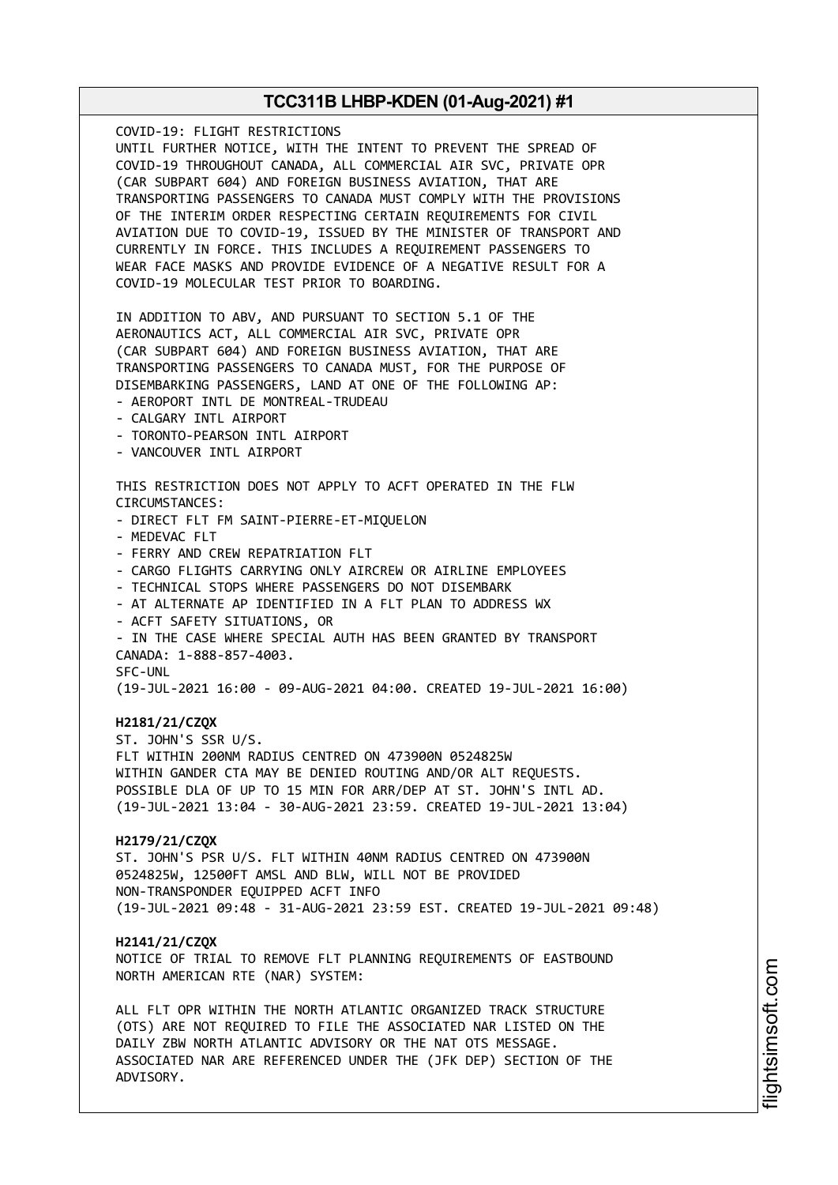COVID-19: FLIGHT RESTRICTIONS UNTIL FURTHER NOTICE, WITH THE INTENT TO PREVENT THE SPREAD OF COVID-19 THROUGHOUT CANADA, ALL COMMERCIAL AIR SVC, PRIVATE OPR (CAR SUBPART 604) AND FOREIGN BUSINESS AVIATION, THAT ARE TRANSPORTING PASSENGERS TO CANADA MUST COMPLY WITH THE PROVISIONS OF THE INTERIM ORDER RESPECTING CERTAIN REQUIREMENTS FOR CIVIL AVIATION DUE TO COVID-19, ISSUED BY THE MINISTER OF TRANSPORT AND CURRENTLY IN FORCE. THIS INCLUDES A REQUIREMENT PASSENGERS TO WEAR FACE MASKS AND PROVIDE EVIDENCE OF A NEGATIVE RESULT FOR A COVID-19 MOLECULAR TEST PRIOR TO BOARDING. IN ADDITION TO ABV, AND PURSUANT TO SECTION 5.1 OF THE AERONAUTICS ACT, ALL COMMERCIAL AIR SVC, PRIVATE OPR (CAR SUBPART 604) AND FOREIGN BUSINESS AVIATION, THAT ARE TRANSPORTING PASSENGERS TO CANADA MUST, FOR THE PURPOSE OF DISEMBARKING PASSENGERS, LAND AT ONE OF THE FOLLOWING AP: - AEROPORT INTL DE MONTREAL-TRUDEAU - CALGARY INTL AIRPORT - TORONTO-PEARSON INTL AIRPORT - VANCOUVER INTL AIRPORT THIS RESTRICTION DOES NOT APPLY TO ACFT OPERATED IN THE FLW CIRCUMSTANCES: - DIRECT FLT FM SAINT-PIERRE-ET-MIQUELON - MEDEVAC FLT - FERRY AND CREW REPATRIATION FLT - CARGO FLIGHTS CARRYING ONLY AIRCREW OR AIRLINE EMPLOYEES - TECHNICAL STOPS WHERE PASSENGERS DO NOT DISEMBARK - AT ALTERNATE AP IDENTIFIED IN A FLT PLAN TO ADDRESS WX - ACFT SAFETY SITUATIONS, OR - IN THE CASE WHERE SPECIAL AUTH HAS BEEN GRANTED BY TRANSPORT CANADA: 1-888-857-4003. SFC-UNL (19-JUL-2021 16:00 - 09-AUG-2021 04:00. CREATED 19-JUL-2021 16:00) **H2181/21/CZQX** ST. JOHN'S SSR U/S. FLT WITHIN 200NM RADIUS CENTRED ON 473900N 0524825W WITHIN GANDER CTA MAY BE DENIED ROUTING AND/OR ALT REQUESTS. POSSIBLE DLA OF UP TO 15 MIN FOR ARR/DEP AT ST. JOHN'S INTL AD. (19-JUL-2021 13:04 - 30-AUG-2021 23:59. CREATED 19-JUL-2021 13:04) **H2179/21/CZQX** ST. JOHN'S PSR U/S. FLT WITHIN 40NM RADIUS CENTRED ON 473900N 0524825W, 12500FT AMSL AND BLW, WILL NOT BE PROVIDED NON-TRANSPONDER EQUIPPED ACFT INFO (19-JUL-2021 09:48 - 31-AUG-2021 23:59 EST. CREATED 19-JUL-2021 09:48) **H2141/21/CZQX** NOTICE OF TRIAL TO REMOVE FLT PLANNING REQUIREMENTS OF EASTBOUND NORTH AMERICAN RTE (NAR) SYSTEM: ALL FLT OPR WITHIN THE NORTH ATLANTIC ORGANIZED TRACK STRUCTURE (OTS) ARE NOT REQUIRED TO FILE THE ASSOCIATED NAR LISTED ON THE DAILY ZBW NORTH ATLANTIC ADVISORY OR THE NAT OTS MESSAGE. ASSOCIATED NAR ARE REFERENCED UNDER THE (JFK DEP) SECTION OF THE ADVISORY.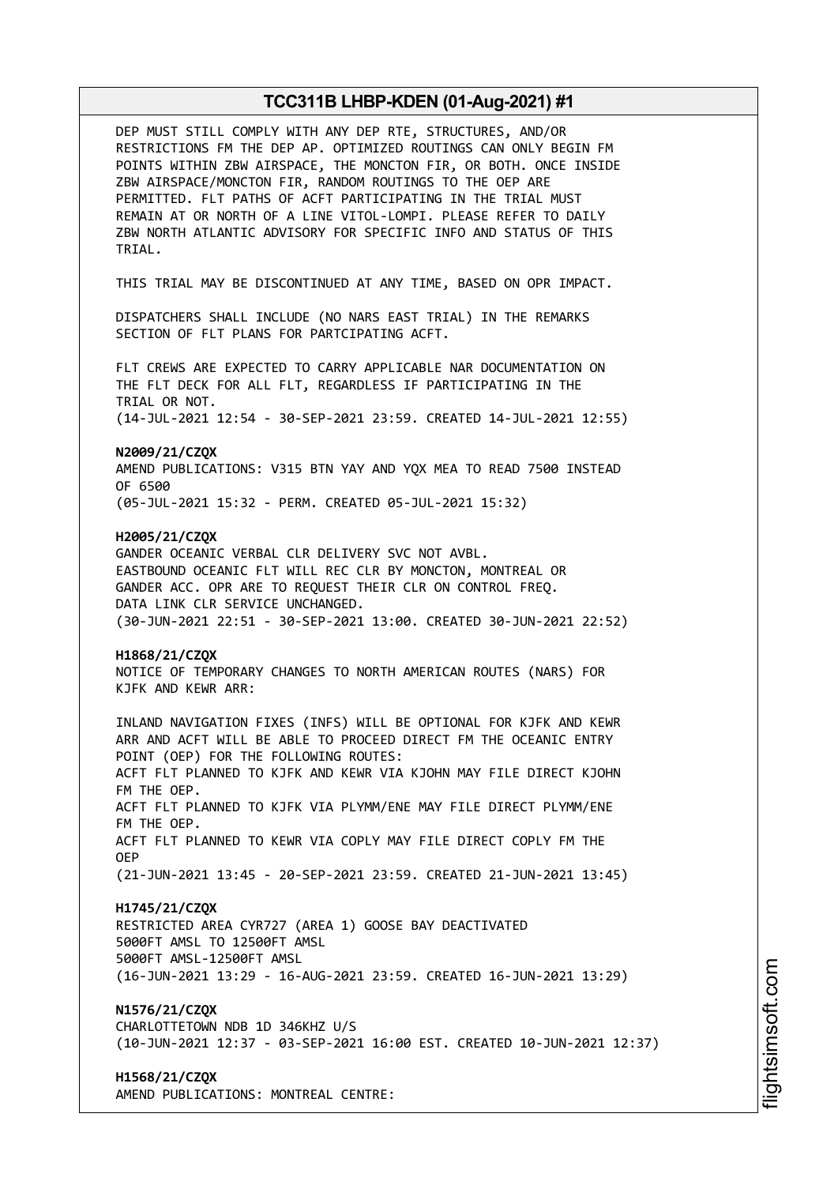| DEP MUST STILL COMPLY WITH ANY DEP RTE, STRUCTURES, AND/OR<br>RESTRICTIONS FM THE DEP AP. OPTIMIZED ROUTINGS CAN ONLY BEGIN FM<br>POINTS WITHIN ZBW AIRSPACE, THE MONCTON FIR, OR BOTH. ONCE INSIDE<br>ZBW AIRSPACE/MONCTON FIR, RANDOM ROUTINGS TO THE OEP ARE<br>PERMITTED. FLT PATHS OF ACFT PARTICIPATING IN THE TRIAL MUST<br>REMAIN AT OR NORTH OF A LINE VITOL-LOMPI. PLEASE REFER TO DAILY<br>ZBW NORTH ATLANTIC ADVISORY FOR SPECIFIC INFO AND STATUS OF THIS<br>TRIAL.                       |
|--------------------------------------------------------------------------------------------------------------------------------------------------------------------------------------------------------------------------------------------------------------------------------------------------------------------------------------------------------------------------------------------------------------------------------------------------------------------------------------------------------|
| THIS TRIAL MAY BE DISCONTINUED AT ANY TIME, BASED ON OPR IMPACT.                                                                                                                                                                                                                                                                                                                                                                                                                                       |
| DISPATCHERS SHALL INCLUDE (NO NARS EAST TRIAL) IN THE REMARKS<br>SECTION OF FLT PLANS FOR PARTCIPATING ACFT.                                                                                                                                                                                                                                                                                                                                                                                           |
| FLT CREWS ARE EXPECTED TO CARRY APPLICABLE NAR DOCUMENTATION ON<br>THE FLT DECK FOR ALL FLT, REGARDLESS IF PARTICIPATING IN THE<br>TRIAL OR NOT.                                                                                                                                                                                                                                                                                                                                                       |
| (14-JUL-2021 12:54 - 30-SEP-2021 23:59. CREATED 14-JUL-2021 12:55)                                                                                                                                                                                                                                                                                                                                                                                                                                     |
| N2009/21/CZQX<br>AMEND PUBLICATIONS: V315 BTN YAY AND YOX MEA TO READ 7500 INSTEAD<br>OF 6500                                                                                                                                                                                                                                                                                                                                                                                                          |
| (05-JUL-2021 15:32 - PERM. CREATED 05-JUL-2021 15:32)                                                                                                                                                                                                                                                                                                                                                                                                                                                  |
| H2005/21/CZQX<br>GANDER OCEANIC VERBAL CLR DELIVERY SVC NOT AVBL.<br>EASTBOUND OCEANIC FLT WILL REC CLR BY MONCTON, MONTREAL OR<br>GANDER ACC. OPR ARE TO REQUEST THEIR CLR ON CONTROL FREQ.<br>DATA LINK CLR SERVICE UNCHANGED.<br>(30-JUN-2021 22:51 - 30-SEP-2021 13:00. CREATED 30-JUN-2021 22:52)                                                                                                                                                                                                 |
| H1868/21/CZQX<br>NOTICE OF TEMPORARY CHANGES TO NORTH AMERICAN ROUTES (NARS) FOR<br>KJFK AND KEWR ARR:                                                                                                                                                                                                                                                                                                                                                                                                 |
| INLAND NAVIGATION FIXES (INFS) WILL BE OPTIONAL FOR KJFK AND KEWR<br>ARR AND ACFT WILL BE ABLE TO PROCEED DIRECT FM THE OCEANIC ENTRY<br>POINT (OEP) FOR THE FOLLOWING ROUTES:<br>ACFT FLT PLANNED TO KJFK AND KEWR VIA KJOHN MAY FILE DIRECT KJOHN<br>FM THE OEP.<br>ACFT FLT PLANNED TO KJFK VIA PLYMM/ENE MAY FILE DIRECT PLYMM/ENE<br>FM THE OEP.<br>ACFT FLT PLANNED TO KEWR VIA COPLY MAY FILE DIRECT COPLY FM THE<br>0EP.<br>(21-JUN-2021 13:45 - 20-SEP-2021 23:59. CREATED 21-JUN-2021 13:45) |
| H1745/21/CZQX<br>RESTRICTED AREA CYR727 (AREA 1) GOOSE BAY DEACTIVATED<br>5000FT AMSL TO 12500FT AMSL<br>5000FT AMSL-12500FT AMSL<br>(16-JUN-2021 13:29 - 16-AUG-2021 23:59. CREATED 16-JUN-2021 13:29)                                                                                                                                                                                                                                                                                                |
| N1576/21/CZQX<br>CHARLOTTETOWN NDB 1D 346KHZ U/S<br>(10-JUN-2021 12:37 - 03-SEP-2021 16:00 EST. CREATED 10-JUN-2021 12:37)                                                                                                                                                                                                                                                                                                                                                                             |
| H1568/21/CZQX<br>AMEND PUBLICATIONS: MONTREAL CENTRE:                                                                                                                                                                                                                                                                                                                                                                                                                                                  |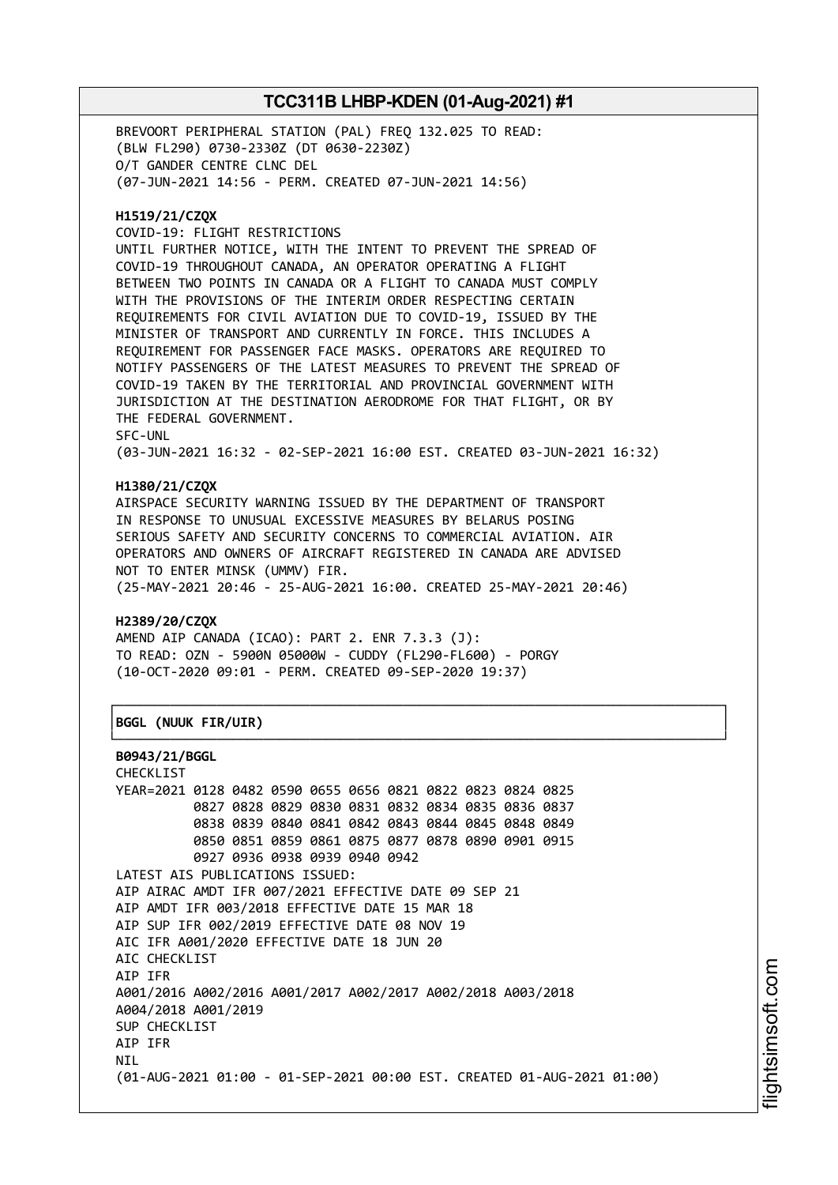BREVOORT PERIPHERAL STATION (PAL) FREQ 132.025 TO READ: (BLW FL290) 0730-2330Z (DT 0630-2230Z) O/T GANDER CENTRE CLNC DEL (07-JUN-2021 14:56 - PERM. CREATED 07-JUN-2021 14:56)

## **H1519/21/CZQX**

COVID-19: FLIGHT RESTRICTIONS

UNTIL FURTHER NOTICE, WITH THE INTENT TO PREVENT THE SPREAD OF COVID-19 THROUGHOUT CANADA, AN OPERATOR OPERATING A FLIGHT BETWEEN TWO POINTS IN CANADA OR A FLIGHT TO CANADA MUST COMPLY WITH THE PROVISIONS OF THE INTERIM ORDER RESPECTING CERTAIN REQUIREMENTS FOR CIVIL AVIATION DUE TO COVID-19, ISSUED BY THE MINISTER OF TRANSPORT AND CURRENTLY IN FORCE. THIS INCLUDES A REQUIREMENT FOR PASSENGER FACE MASKS. OPERATORS ARE REQUIRED TO NOTIFY PASSENGERS OF THE LATEST MEASURES TO PREVENT THE SPREAD OF COVID-19 TAKEN BY THE TERRITORIAL AND PROVINCIAL GOVERNMENT WITH JURISDICTION AT THE DESTINATION AERODROME FOR THAT FLIGHT, OR BY THE FEDERAL GOVERNMENT. SFC-UNL

(03-JUN-2021 16:32 - 02-SEP-2021 16:00 EST. CREATED 03-JUN-2021 16:32)

# **H1380/21/CZQX**

AIRSPACE SECURITY WARNING ISSUED BY THE DEPARTMENT OF TRANSPORT IN RESPONSE TO UNUSUAL EXCESSIVE MEASURES BY BELARUS POSING SERIOUS SAFETY AND SECURITY CONCERNS TO COMMERCIAL AVIATION. AIR OPERATORS AND OWNERS OF AIRCRAFT REGISTERED IN CANADA ARE ADVISED NOT TO ENTER MINSK (UMMV) FIR. (25-MAY-2021 20:46 - 25-AUG-2021 16:00. CREATED 25-MAY-2021 20:46)

┌──────────────────────────────────────────────────────────────────────────────┐

└──────────────────────────────────────────────────────────────────────────────┘

## **H2389/20/CZQX**

AMEND AIP CANADA (ICAO): PART 2. ENR 7.3.3 (J): TO READ: OZN - 5900N 05000W - CUDDY (FL290-FL600) - PORGY (10-OCT-2020 09:01 - PERM. CREATED 09-SEP-2020 19:37)

## │**BGGL (NUUK FIR/UIR)** │

```
B0943/21/BGGL
```
CHECKLIST YEAR=2021 0128 0482 0590 0655 0656 0821 0822 0823 0824 0825 0827 0828 0829 0830 0831 0832 0834 0835 0836 0837 0838 0839 0840 0841 0842 0843 0844 0845 0848 0849 0850 0851 0859 0861 0875 0877 0878 0890 0901 0915 0927 0936 0938 0939 0940 0942 LATEST AIS PUBLICATIONS ISSUED: AIP AIRAC AMDT IFR 007/2021 EFFECTIVE DATE 09 SEP 21 AIP AMDT IFR 003/2018 EFFECTIVE DATE 15 MAR 18 AIP SUP IFR 002/2019 EFFECTIVE DATE 08 NOV 19 AIC IFR A001/2020 EFFECTIVE DATE 18 JUN 20 AIC CHECKLIST AIP IFR A001/2016 A002/2016 A001/2017 A002/2017 A002/2018 A003/2018 A004/2018 A001/2019 SUP CHECKLIST AIP IFR **NTI** (01-AUG-2021 01:00 - 01-SEP-2021 00:00 EST. CREATED 01-AUG-2021 01:00)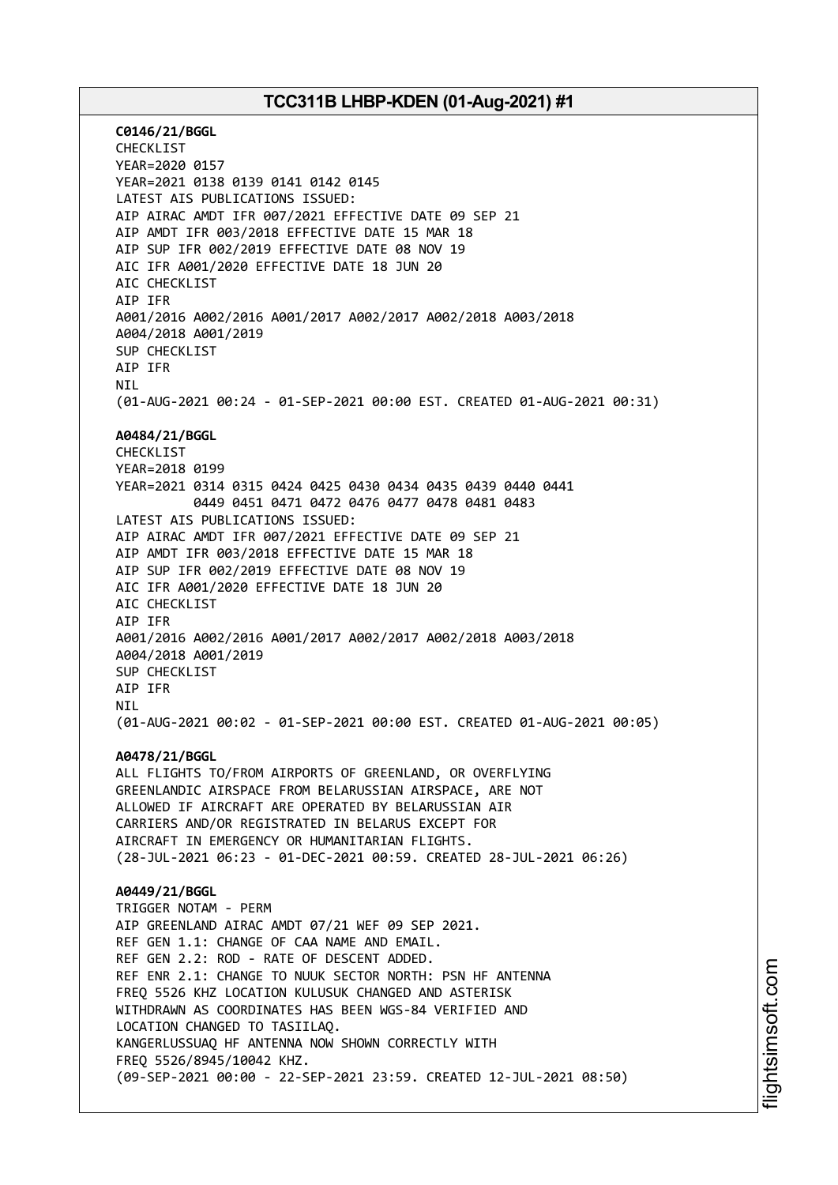**C0146/21/BGGL** CHECKLIST YEAR=2020 0157 YEAR=2021 0138 0139 0141 0142 0145 LATEST AIS PUBLICATIONS ISSUED: AIP AIRAC AMDT IFR 007/2021 EFFECTIVE DATE 09 SEP 21 AIP AMDT IFR 003/2018 EFFECTIVE DATE 15 MAR 18 AIP SUP IFR 002/2019 EFFECTIVE DATE 08 NOV 19 AIC IFR A001/2020 EFFECTIVE DATE 18 JUN 20 AIC CHECKLIST AIP IFR A001/2016 A002/2016 A001/2017 A002/2017 A002/2018 A003/2018 A004/2018 A001/2019 SUP CHECKLIST AIP IFR **NTI** (01-AUG-2021 00:24 - 01-SEP-2021 00:00 EST. CREATED 01-AUG-2021 00:31) **A0484/21/BGGL** CHECKLIST YEAR=2018 0199 YEAR=2021 0314 0315 0424 0425 0430 0434 0435 0439 0440 0441 0449 0451 0471 0472 0476 0477 0478 0481 0483 LATEST AIS PUBLICATIONS ISSUED: AIP AIRAC AMDT IFR 007/2021 EFFECTIVE DATE 09 SEP 21 AIP AMDT IFR 003/2018 EFFECTIVE DATE 15 MAR 18 AIP SUP IFR 002/2019 EFFECTIVE DATE 08 NOV 19 AIC IFR A001/2020 EFFECTIVE DATE 18 JUN 20 AIC CHECKLIST AIP IFR A001/2016 A002/2016 A001/2017 A002/2017 A002/2018 A003/2018 A004/2018 A001/2019 SUP CHECKLIST AIP IFR NIL (01-AUG-2021 00:02 - 01-SEP-2021 00:00 EST. CREATED 01-AUG-2021 00:05) **A0478/21/BGGL** ALL FLIGHTS TO/FROM AIRPORTS OF GREENLAND, OR OVERFLYING GREENLANDIC AIRSPACE FROM BELARUSSIAN AIRSPACE, ARE NOT ALLOWED IF AIRCRAFT ARE OPERATED BY BELARUSSIAN AIR CARRIERS AND/OR REGISTRATED IN BELARUS EXCEPT FOR AIRCRAFT IN EMERGENCY OR HUMANITARIAN FLIGHTS. (28-JUL-2021 06:23 - 01-DEC-2021 00:59. CREATED 28-JUL-2021 06:26) **A0449/21/BGGL** TRIGGER NOTAM - PERM AIP GREENLAND AIRAC AMDT 07/21 WEF 09 SEP 2021. REF GEN 1.1: CHANGE OF CAA NAME AND EMAIL. REF GEN 2.2: ROD - RATE OF DESCENT ADDED. REF ENR 2.1: CHANGE TO NUUK SECTOR NORTH: PSN HF ANTENNA FREQ 5526 KHZ LOCATION KULUSUK CHANGED AND ASTERISK WITHDRAWN AS COORDINATES HAS BEEN WGS-84 VERIFIED AND LOCATION CHANGED TO TASIILAQ. KANGERLUSSUAQ HF ANTENNA NOW SHOWN CORRECTLY WITH FREQ 5526/8945/10042 KHZ. (09-SEP-2021 00:00 - 22-SEP-2021 23:59. CREATED 12-JUL-2021 08:50)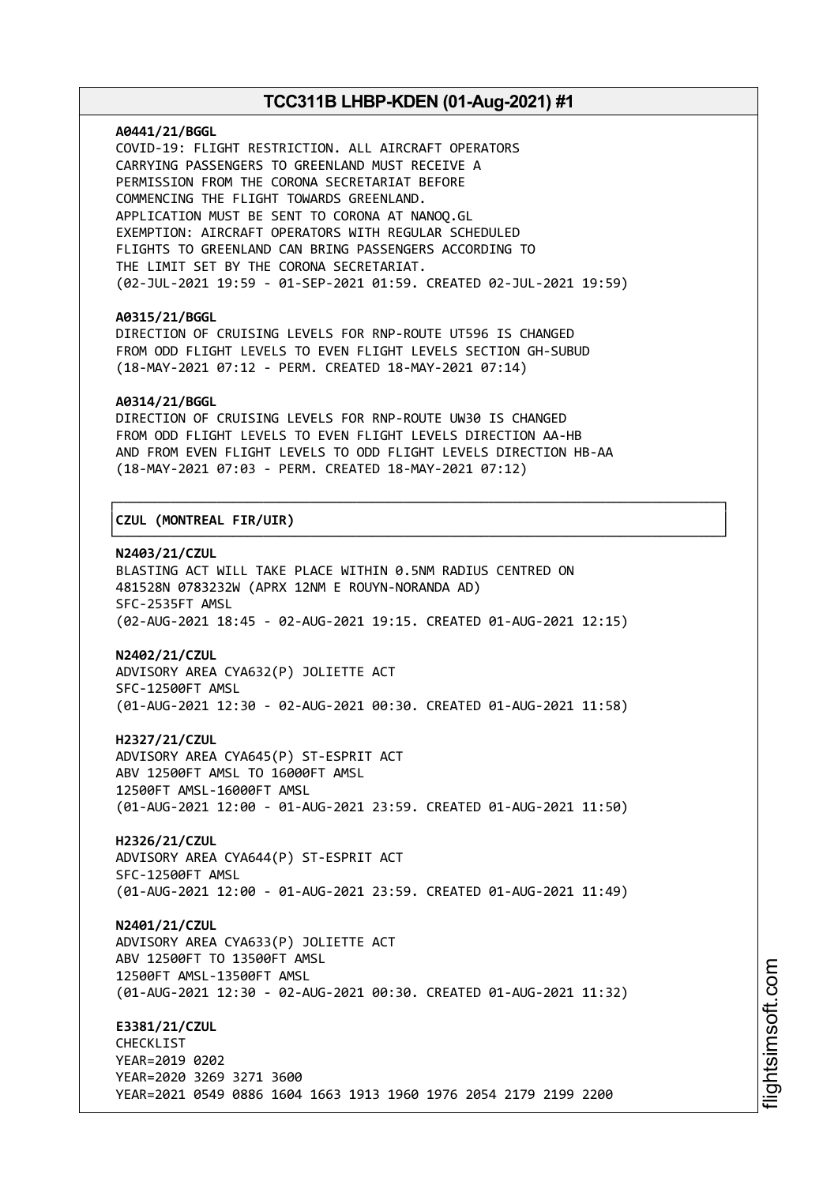#### **A0441/21/BGGL**

COVID-19: FLIGHT RESTRICTION. ALL AIRCRAFT OPERATORS CARRYING PASSENGERS TO GREENLAND MUST RECEIVE A PERMISSION FROM THE CORONA SECRETARIAT BEFORE COMMENCING THE FLIGHT TOWARDS GREENLAND. APPLICATION MUST BE SENT TO CORONA AT NANOQ.GL EXEMPTION: AIRCRAFT OPERATORS WITH REGULAR SCHEDULED FLIGHTS TO GREENLAND CAN BRING PASSENGERS ACCORDING TO THE LIMIT SET BY THE CORONA SECRETARIAT. (02-JUL-2021 19:59 - 01-SEP-2021 01:59. CREATED 02-JUL-2021 19:59)

#### **A0315/21/BGGL**

DIRECTION OF CRUISING LEVELS FOR RNP-ROUTE UT596 IS CHANGED FROM ODD FLIGHT LEVELS TO EVEN FLIGHT LEVELS SECTION GH-SUBUD (18-MAY-2021 07:12 - PERM. CREATED 18-MAY-2021 07:14)

#### **A0314/21/BGGL**

DIRECTION OF CRUISING LEVELS FOR RNP-ROUTE UW30 IS CHANGED FROM ODD FLIGHT LEVELS TO EVEN FLIGHT LEVELS DIRECTION AA-HB AND FROM EVEN FLIGHT LEVELS TO ODD FLIGHT LEVELS DIRECTION HB-AA (18-MAY-2021 07:03 - PERM. CREATED 18-MAY-2021 07:12)

┌──────────────────────────────────────────────────────────────────────────────┐

└──────────────────────────────────────────────────────────────────────────────┘

# │**CZUL (MONTREAL FIR/UIR)** │

## **N2403/21/CZUL**

BLASTING ACT WILL TAKE PLACE WITHIN 0.5NM RADIUS CENTRED ON 481528N 0783232W (APRX 12NM E ROUYN-NORANDA AD) SFC-2535FT AMSL (02-AUG-2021 18:45 - 02-AUG-2021 19:15. CREATED 01-AUG-2021 12:15)

#### **N2402/21/CZUL**

ADVISORY AREA CYA632(P) JOLIETTE ACT SFC-12500FT AMSL (01-AUG-2021 12:30 - 02-AUG-2021 00:30. CREATED 01-AUG-2021 11:58)

**H2327/21/CZUL** ADVISORY AREA CYA645(P) ST-ESPRIT ACT ABV 12500FT AMSL TO 16000FT AMSL 12500FT AMSL-16000FT AMSL (01-AUG-2021 12:00 - 01-AUG-2021 23:59. CREATED 01-AUG-2021 11:50)

**H2326/21/CZUL** ADVISORY AREA CYA644(P) ST-ESPRIT ACT SFC-12500FT AMSL (01-AUG-2021 12:00 - 01-AUG-2021 23:59. CREATED 01-AUG-2021 11:49)

**N2401/21/CZUL** ADVISORY AREA CYA633(P) JOLIETTE ACT ABV 12500FT TO 13500FT AMSL 12500FT AMSL-13500FT AMSL (01-AUG-2021 12:30 - 02-AUG-2021 00:30. CREATED 01-AUG-2021 11:32)

**E3381/21/CZUL** CHECKLIST YEAR=2019 0202 YEAR=2020 3269 3271 3600 YEAR=2021 0549 0886 1604 1663 1913 1960 1976 2054 2179 2199 2200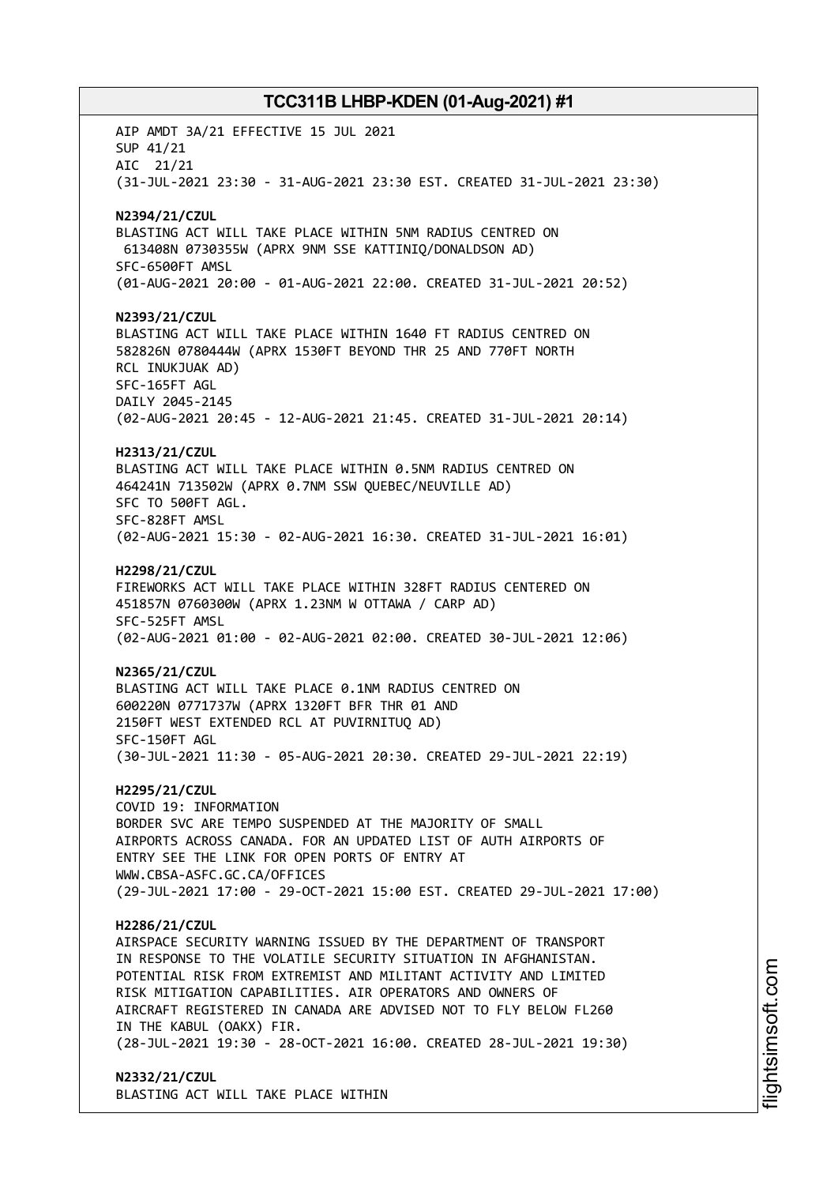AIP AMDT 3A/21 EFFECTIVE 15 JUL 2021 SUP 41/21 AIC 21/21 (31-JUL-2021 23:30 - 31-AUG-2021 23:30 EST. CREATED 31-JUL-2021 23:30) **N2394/21/CZUL** BLASTING ACT WILL TAKE PLACE WITHIN 5NM RADIUS CENTRED ON 613408N 0730355W (APRX 9NM SSE KATTINIQ/DONALDSON AD) SFC-6500FT AMSL (01-AUG-2021 20:00 - 01-AUG-2021 22:00. CREATED 31-JUL-2021 20:52) **N2393/21/CZUL** BLASTING ACT WILL TAKE PLACE WITHIN 1640 FT RADIUS CENTRED ON 582826N 0780444W (APRX 1530FT BEYOND THR 25 AND 770FT NORTH RCL INUKJUAK AD) SFC-165FT AGL DAILY 2045-2145 (02-AUG-2021 20:45 - 12-AUG-2021 21:45. CREATED 31-JUL-2021 20:14) **H2313/21/CZUL** BLASTING ACT WILL TAKE PLACE WITHIN 0.5NM RADIUS CENTRED ON 464241N 713502W (APRX 0.7NM SSW QUEBEC/NEUVILLE AD) SFC TO 500FT AGL. SFC-828FT AMSL (02-AUG-2021 15:30 - 02-AUG-2021 16:30. CREATED 31-JUL-2021 16:01) **H2298/21/CZUL** FIREWORKS ACT WILL TAKE PLACE WITHIN 328FT RADIUS CENTERED ON 451857N 0760300W (APRX 1.23NM W OTTAWA / CARP AD) SFC-525FT AMSL (02-AUG-2021 01:00 - 02-AUG-2021 02:00. CREATED 30-JUL-2021 12:06) **N2365/21/CZUL** BLASTING ACT WILL TAKE PLACE 0.1NM RADIUS CENTRED ON 600220N 0771737W (APRX 1320FT BFR THR 01 AND 2150FT WEST EXTENDED RCL AT PUVIRNITUQ AD) SFC-150FT AGL (30-JUL-2021 11:30 - 05-AUG-2021 20:30. CREATED 29-JUL-2021 22:19) **H2295/21/CZUL** COVID 19: INFORMATION BORDER SVC ARE TEMPO SUSPENDED AT THE MAJORITY OF SMALL AIRPORTS ACROSS CANADA. FOR AN UPDATED LIST OF AUTH AIRPORTS OF ENTRY SEE THE LINK FOR OPEN PORTS OF ENTRY AT WWW.CBSA-ASFC.GC.CA/OFFICES (29-JUL-2021 17:00 - 29-OCT-2021 15:00 EST. CREATED 29-JUL-2021 17:00) **H2286/21/CZUL** AIRSPACE SECURITY WARNING ISSUED BY THE DEPARTMENT OF TRANSPORT IN RESPONSE TO THE VOLATILE SECURITY SITUATION IN AFGHANISTAN. POTENTIAL RISK FROM EXTREMIST AND MILITANT ACTIVITY AND LIMITED RISK MITIGATION CAPABILITIES. AIR OPERATORS AND OWNERS OF AIRCRAFT REGISTERED IN CANADA ARE ADVISED NOT TO FLY BELOW FL260 IN THE KABUL (OAKX) FIR. (28-JUL-2021 19:30 - 28-OCT-2021 16:00. CREATED 28-JUL-2021 19:30) **N2332/21/CZUL** BLASTING ACT WILL TAKE PLACE WITHIN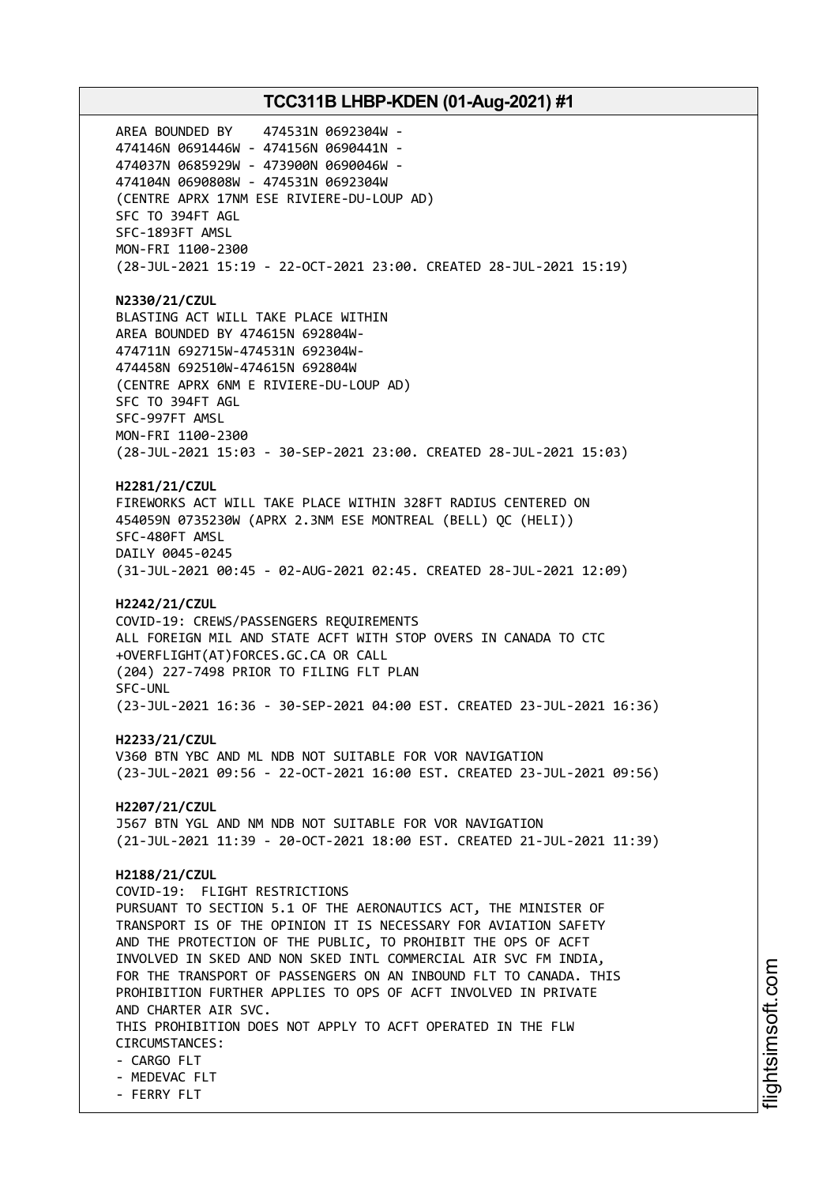AREA BOUNDED BY 474531N 0692304W - 474146N 0691446W - 474156N 0690441N - 474037N 0685929W - 473900N 0690046W - 474104N 0690808W - 474531N 0692304W (CENTRE APRX 17NM ESE RIVIERE-DU-LOUP AD) SFC TO 394FT AGL SFC-1893FT AMSL MON-FRI 1100-2300 (28-JUL-2021 15:19 - 22-OCT-2021 23:00. CREATED 28-JUL-2021 15:19) **N2330/21/CZUL** BLASTING ACT WILL TAKE PLACE WITHIN AREA BOUNDED BY 474615N 692804W-474711N 692715W-474531N 692304W-474458N 692510W-474615N 692804W (CENTRE APRX 6NM E RIVIERE-DU-LOUP AD) SFC TO 394FT AGL SFC-997FT AMSL MON-FRI 1100-2300 (28-JUL-2021 15:03 - 30-SEP-2021 23:00. CREATED 28-JUL-2021 15:03) **H2281/21/CZUL** FIREWORKS ACT WILL TAKE PLACE WITHIN 328FT RADIUS CENTERED ON 454059N 0735230W (APRX 2.3NM ESE MONTREAL (BELL) QC (HELI)) SFC-480FT AMSL DAILY 0045-0245 (31-JUL-2021 00:45 - 02-AUG-2021 02:45. CREATED 28-JUL-2021 12:09) **H2242/21/CZUL** COVID-19: CREWS/PASSENGERS REQUIREMENTS ALL FOREIGN MIL AND STATE ACFT WITH STOP OVERS IN CANADA TO CTC +OVERFLIGHT(AT)FORCES.GC.CA OR CALL (204) 227-7498 PRIOR TO FILING FLT PLAN SFC-UNL (23-JUL-2021 16:36 - 30-SEP-2021 04:00 EST. CREATED 23-JUL-2021 16:36) **H2233/21/CZUL** V360 BTN YBC AND ML NDB NOT SUITABLE FOR VOR NAVIGATION (23-JUL-2021 09:56 - 22-OCT-2021 16:00 EST. CREATED 23-JUL-2021 09:56) **H2207/21/CZUL** J567 BTN YGL AND NM NDB NOT SUITABLE FOR VOR NAVIGATION (21-JUL-2021 11:39 - 20-OCT-2021 18:00 EST. CREATED 21-JUL-2021 11:39) **H2188/21/CZUL** COVID-19: FLIGHT RESTRICTIONS PURSUANT TO SECTION 5.1 OF THE AERONAUTICS ACT, THE MINISTER OF TRANSPORT IS OF THE OPINION IT IS NECESSARY FOR AVIATION SAFETY AND THE PROTECTION OF THE PUBLIC, TO PROHIBIT THE OPS OF ACFT INVOLVED IN SKED AND NON SKED INTL COMMERCIAL AIR SVC FM INDIA, FOR THE TRANSPORT OF PASSENGERS ON AN INBOUND FLT TO CANADA. THIS PROHIBITION FURTHER APPLIES TO OPS OF ACFT INVOLVED IN PRIVATE AND CHARTER AIR SVC. THIS PROHIBITION DOES NOT APPLY TO ACFT OPERATED IN THE FLW CIRCUMSTANCES: - CARGO FLT - MEDEVAC FLT - FERRY FLT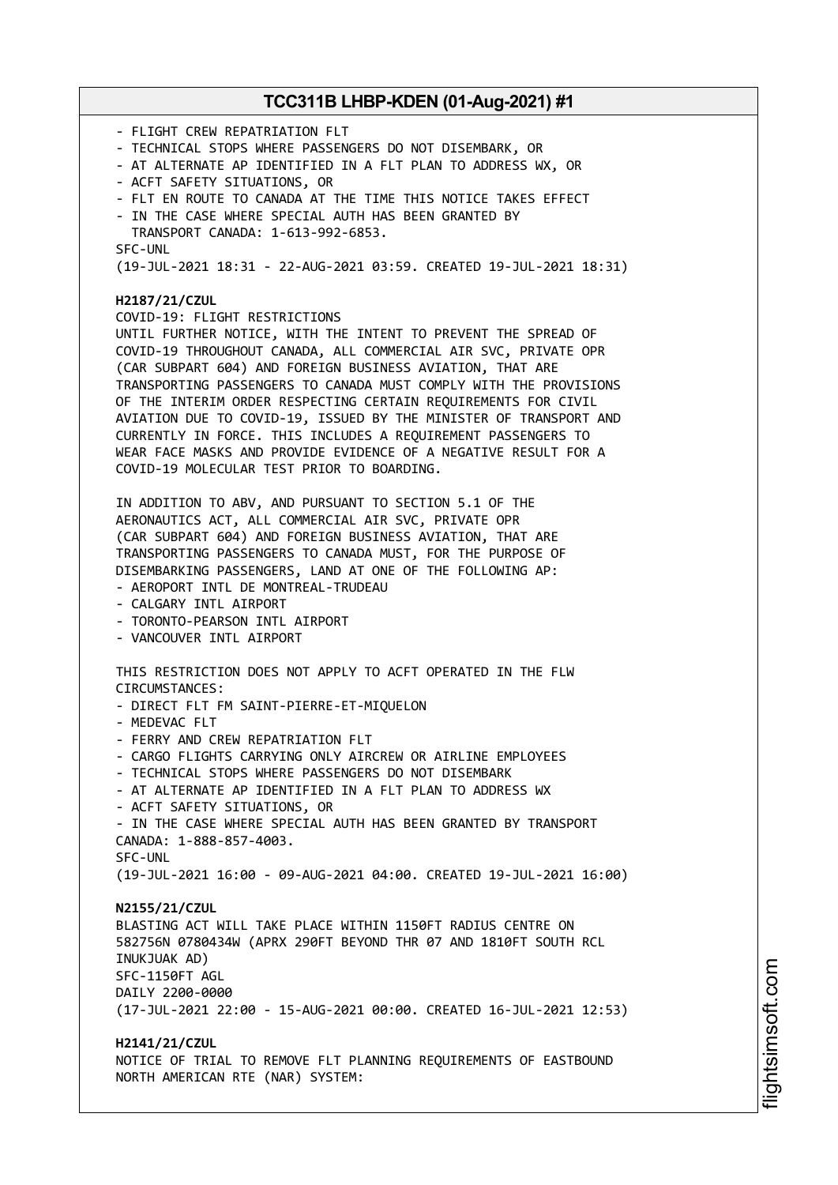- FLIGHT CREW REPATRIATION FLT - TECHNICAL STOPS WHERE PASSENGERS DO NOT DISEMBARK, OR - AT ALTERNATE AP IDENTIFIED IN A FLT PLAN TO ADDRESS WX, OR - ACFT SAFETY SITUATIONS, OR - FLT EN ROUTE TO CANADA AT THE TIME THIS NOTICE TAKES EFFECT - IN THE CASE WHERE SPECIAL AUTH HAS BEEN GRANTED BY TRANSPORT CANADA: 1-613-992-6853. SFC-UNL (19-JUL-2021 18:31 - 22-AUG-2021 03:59. CREATED 19-JUL-2021 18:31) **H2187/21/CZUL** COVID-19: FLIGHT RESTRICTIONS UNTIL FURTHER NOTICE, WITH THE INTENT TO PREVENT THE SPREAD OF COVID-19 THROUGHOUT CANADA, ALL COMMERCIAL AIR SVC, PRIVATE OPR (CAR SUBPART 604) AND FOREIGN BUSINESS AVIATION, THAT ARE TRANSPORTING PASSENGERS TO CANADA MUST COMPLY WITH THE PROVISIONS OF THE INTERIM ORDER RESPECTING CERTAIN REQUIREMENTS FOR CIVIL AVIATION DUE TO COVID-19, ISSUED BY THE MINISTER OF TRANSPORT AND CURRENTLY IN FORCE. THIS INCLUDES A REQUIREMENT PASSENGERS TO WEAR FACE MASKS AND PROVIDE EVIDENCE OF A NEGATIVE RESULT FOR A COVID-19 MOLECULAR TEST PRIOR TO BOARDING. IN ADDITION TO ABV, AND PURSUANT TO SECTION 5.1 OF THE AERONAUTICS ACT, ALL COMMERCIAL AIR SVC, PRIVATE OPR (CAR SUBPART 604) AND FOREIGN BUSINESS AVIATION, THAT ARE TRANSPORTING PASSENGERS TO CANADA MUST, FOR THE PURPOSE OF DISEMBARKING PASSENGERS, LAND AT ONE OF THE FOLLOWING AP: - AEROPORT INTL DE MONTREAL-TRUDEAU - CALGARY INTL AIRPORT - TORONTO-PEARSON INTL AIRPORT - VANCOUVER INTL AIRPORT THIS RESTRICTION DOES NOT APPLY TO ACFT OPERATED IN THE FLW CIRCUMSTANCES: - DIRECT FLT FM SAINT-PIERRE-ET-MIQUELON - MEDEVAC FLT - FERRY AND CREW REPATRIATION FLT - CARGO FLIGHTS CARRYING ONLY AIRCREW OR AIRLINE EMPLOYEES - TECHNICAL STOPS WHERE PASSENGERS DO NOT DISEMBARK - AT ALTERNATE AP IDENTIFIED IN A FLT PLAN TO ADDRESS WX - ACFT SAFETY SITUATIONS, OR - IN THE CASE WHERE SPECIAL AUTH HAS BEEN GRANTED BY TRANSPORT CANADA: 1-888-857-4003. SFC-UNL (19-JUL-2021 16:00 - 09-AUG-2021 04:00. CREATED 19-JUL-2021 16:00) **N2155/21/CZUL** BLASTING ACT WILL TAKE PLACE WITHIN 1150FT RADIUS CENTRE ON 582756N 0780434W (APRX 290FT BEYOND THR 07 AND 1810FT SOUTH RCL INUKJUAK AD) SFC-1150FT AGL DAILY 2200-0000 (17-JUL-2021 22:00 - 15-AUG-2021 00:00. CREATED 16-JUL-2021 12:53) **H2141/21/CZUL** NOTICE OF TRIAL TO REMOVE FLT PLANNING REQUIREMENTS OF EASTBOUND NORTH AMERICAN RTE (NAR) SYSTEM: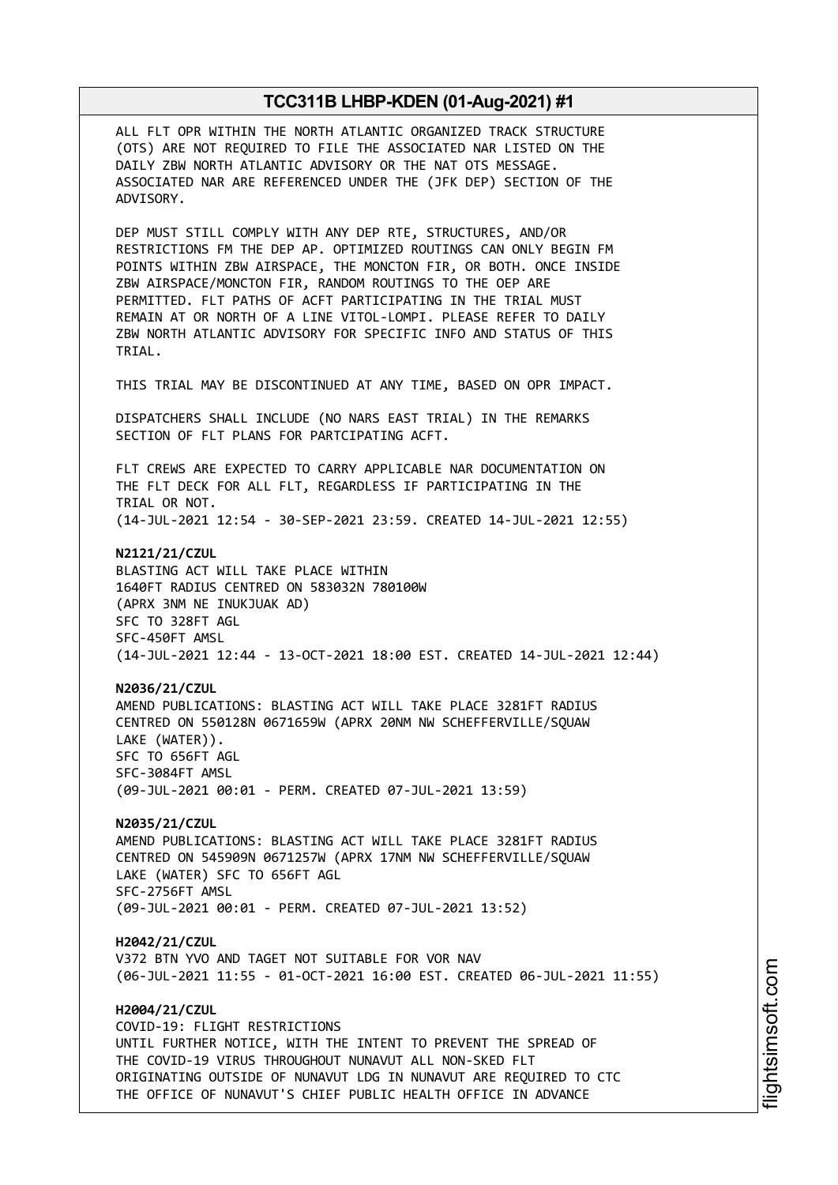ALL FLT OPR WITHIN THE NORTH ATLANTIC ORGANIZED TRACK STRUCTURE (OTS) ARE NOT REQUIRED TO FILE THE ASSOCIATED NAR LISTED ON THE DAILY ZBW NORTH ATLANTIC ADVISORY OR THE NAT OTS MESSAGE. ASSOCIATED NAR ARE REFERENCED UNDER THE (JFK DEP) SECTION OF THE ADVISORY.

DEP MUST STILL COMPLY WITH ANY DEP RTE, STRUCTURES, AND/OR RESTRICTIONS FM THE DEP AP. OPTIMIZED ROUTINGS CAN ONLY BEGIN FM POINTS WITHIN ZBW AIRSPACE, THE MONCTON FIR, OR BOTH. ONCE INSIDE ZBW AIRSPACE/MONCTON FIR, RANDOM ROUTINGS TO THE OEP ARE PERMITTED. FLT PATHS OF ACFT PARTICIPATING IN THE TRIAL MUST REMAIN AT OR NORTH OF A LINE VITOL-LOMPI. PLEASE REFER TO DAILY ZBW NORTH ATLANTIC ADVISORY FOR SPECIFIC INFO AND STATUS OF THIS TRIAL.

THIS TRIAL MAY BE DISCONTINUED AT ANY TIME, BASED ON OPR IMPACT.

DISPATCHERS SHALL INCLUDE (NO NARS EAST TRIAL) IN THE REMARKS SECTION OF FLT PLANS FOR PARTCIPATING ACFT.

FLT CREWS ARE EXPECTED TO CARRY APPLICABLE NAR DOCUMENTATION ON THE FLT DECK FOR ALL FLT, REGARDLESS IF PARTICIPATING IN THE TRIAL OR NOT. (14-JUL-2021 12:54 - 30-SEP-2021 23:59. CREATED 14-JUL-2021 12:55)

**N2121/21/CZUL** BLASTING ACT WILL TAKE PLACE WITHIN 1640FT RADIUS CENTRED ON 583032N 780100W (APRX 3NM NE INUKJUAK AD) SFC TO 328FT AGL SFC-450FT AMSL (14-JUL-2021 12:44 - 13-OCT-2021 18:00 EST. CREATED 14-JUL-2021 12:44)

**N2036/21/CZUL** AMEND PUBLICATIONS: BLASTING ACT WILL TAKE PLACE 3281FT RADIUS CENTRED ON 550128N 0671659W (APRX 20NM NW SCHEFFERVILLE/SQUAW LAKE (WATER)). SFC TO 656FT AGL SFC-3084FT AMSL (09-JUL-2021 00:01 - PERM. CREATED 07-JUL-2021 13:59)

**N2035/21/CZUL** AMEND PUBLICATIONS: BLASTING ACT WILL TAKE PLACE 3281FT RADIUS CENTRED ON 545909N 0671257W (APRX 17NM NW SCHEFFERVILLE/SQUAW LAKE (WATER) SFC TO 656FT AGL SFC-2756FT AMSL (09-JUL-2021 00:01 - PERM. CREATED 07-JUL-2021 13:52)

**H2042/21/CZUL** V372 BTN YVO AND TAGET NOT SUITABLE FOR VOR NAV (06-JUL-2021 11:55 - 01-OCT-2021 16:00 EST. CREATED 06-JUL-2021 11:55)

**H2004/21/CZUL** COVID-19: FLIGHT RESTRICTIONS UNTIL FURTHER NOTICE, WITH THE INTENT TO PREVENT THE SPREAD OF THE COVID-19 VIRUS THROUGHOUT NUNAVUT ALL NON-SKED FLT ORIGINATING OUTSIDE OF NUNAVUT LDG IN NUNAVUT ARE REQUIRED TO CTC THE OFFICE OF NUNAVUT'S CHIEF PUBLIC HEALTH OFFICE IN ADVANCE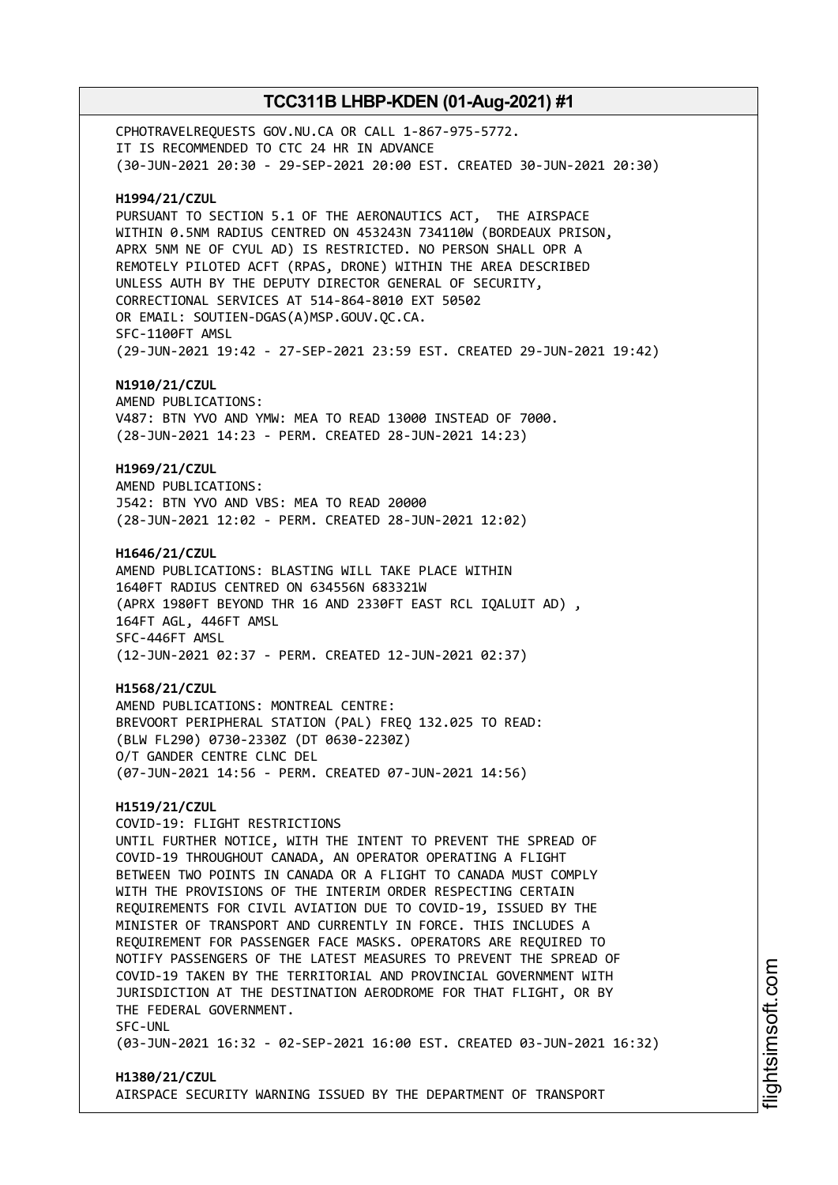CPHOTRAVELREQUESTS GOV.NU.CA OR CALL 1-867-975-5772. IT IS RECOMMENDED TO CTC 24 HR IN ADVANCE (30-JUN-2021 20:30 - 29-SEP-2021 20:00 EST. CREATED 30-JUN-2021 20:30) **H1994/21/CZUL** PURSUANT TO SECTION 5.1 OF THE AERONAUTICS ACT, THE AIRSPACE WITHIN 0.5NM RADIUS CENTRED ON 453243N 734110W (BORDEAUX PRISON, APRX 5NM NE OF CYUL AD) IS RESTRICTED. NO PERSON SHALL OPR A REMOTELY PILOTED ACFT (RPAS, DRONE) WITHIN THE AREA DESCRIBED UNLESS AUTH BY THE DEPUTY DIRECTOR GENERAL OF SECURITY, CORRECTIONAL SERVICES AT 514-864-8010 EXT 50502 OR EMAIL: SOUTIEN-DGAS(A)MSP.GOUV.QC.CA. SFC-1100FT AMSL (29-JUN-2021 19:42 - 27-SEP-2021 23:59 EST. CREATED 29-JUN-2021 19:42) **N1910/21/CZUL** AMEND PUBLICATIONS: V487: BTN YVO AND YMW: MEA TO READ 13000 INSTEAD OF 7000. (28-JUN-2021 14:23 - PERM. CREATED 28-JUN-2021 14:23) **H1969/21/CZUL** AMEND PUBLICATIONS: J542: BTN YVO AND VBS: MEA TO READ 20000 (28-JUN-2021 12:02 - PERM. CREATED 28-JUN-2021 12:02) **H1646/21/CZUL** AMEND PUBLICATIONS: BLASTING WILL TAKE PLACE WITHIN 1640FT RADIUS CENTRED ON 634556N 683321W (APRX 1980FT BEYOND THR 16 AND 2330FT EAST RCL IQALUIT AD) , 164FT AGL, 446FT AMSL SFC-446FT AMSL (12-JUN-2021 02:37 - PERM. CREATED 12-JUN-2021 02:37) **H1568/21/CZUL** AMEND PUBLICATIONS: MONTREAL CENTRE: BREVOORT PERIPHERAL STATION (PAL) FREQ 132.025 TO READ: (BLW FL290) 0730-2330Z (DT 0630-2230Z) O/T GANDER CENTRE CLNC DEL (07-JUN-2021 14:56 - PERM. CREATED 07-JUN-2021 14:56) **H1519/21/CZUL** COVID-19: FLIGHT RESTRICTIONS UNTIL FURTHER NOTICE, WITH THE INTENT TO PREVENT THE SPREAD OF COVID-19 THROUGHOUT CANADA, AN OPERATOR OPERATING A FLIGHT BETWEEN TWO POINTS IN CANADA OR A FLIGHT TO CANADA MUST COMPLY WITH THE PROVISIONS OF THE INTERIM ORDER RESPECTING CERTAIN REQUIREMENTS FOR CIVIL AVIATION DUE TO COVID-19, ISSUED BY THE MINISTER OF TRANSPORT AND CURRENTLY IN FORCE. THIS INCLUDES A REQUIREMENT FOR PASSENGER FACE MASKS. OPERATORS ARE REQUIRED TO NOTIFY PASSENGERS OF THE LATEST MEASURES TO PREVENT THE SPREAD OF COVID-19 TAKEN BY THE TERRITORIAL AND PROVINCIAL GOVERNMENT WITH JURISDICTION AT THE DESTINATION AERODROME FOR THAT FLIGHT, OR BY THE FEDERAL GOVERNMENT. SFC-UNL (03-JUN-2021 16:32 - 02-SEP-2021 16:00 EST. CREATED 03-JUN-2021 16:32)

# **H1380/21/CZUL** AIRSPACE SECURITY WARNING ISSUED BY THE DEPARTMENT OF TRANSPORT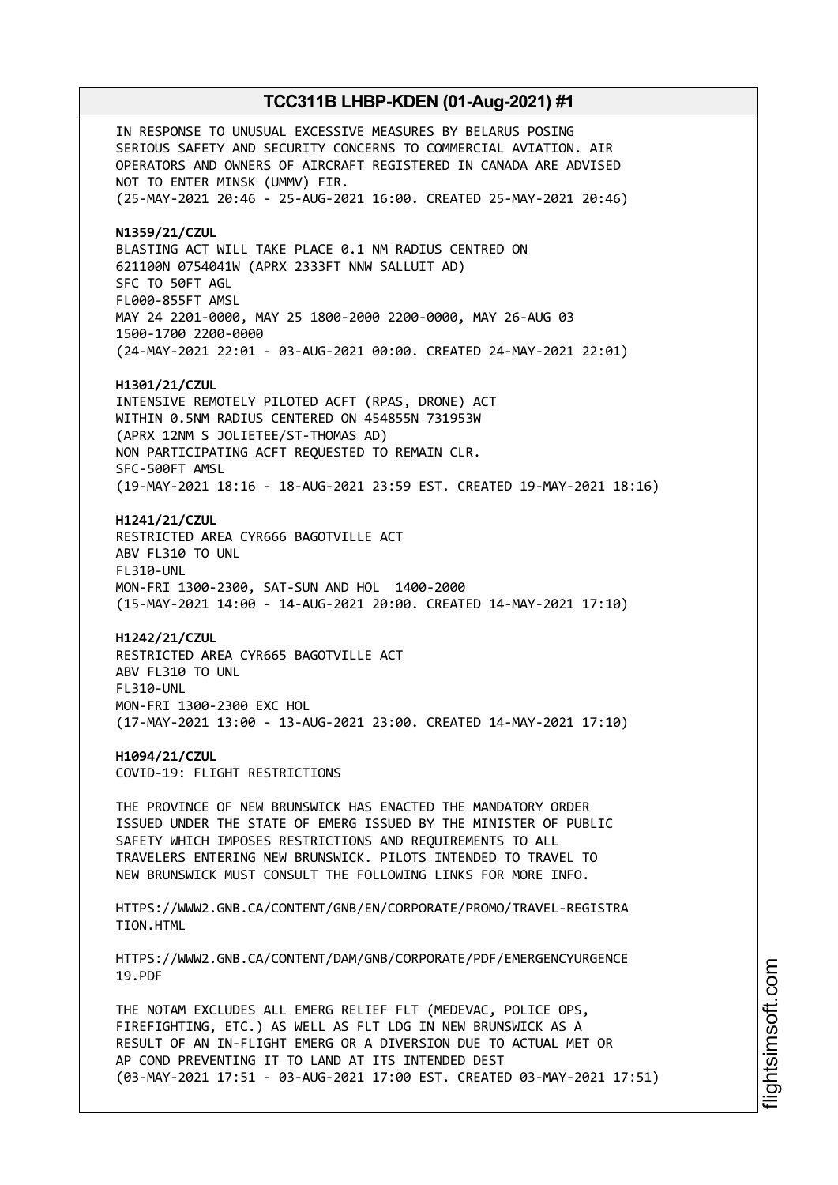IN RESPONSE TO UNUSUAL EXCESSIVE MEASURES BY BELARUS POSING SERIOUS SAFETY AND SECURITY CONCERNS TO COMMERCIAL AVIATION. AIR OPERATORS AND OWNERS OF AIRCRAFT REGISTERED IN CANADA ARE ADVISED NOT TO ENTER MINSK (UMMV) FIR. (25-MAY-2021 20:46 - 25-AUG-2021 16:00. CREATED 25-MAY-2021 20:46) **N1359/21/CZUL** BLASTING ACT WILL TAKE PLACE 0.1 NM RADIUS CENTRED ON 621100N 0754041W (APRX 2333FT NNW SALLUIT AD) SFC TO 50FT AGL FL000-855FT AMSL MAY 24 2201-0000, MAY 25 1800-2000 2200-0000, MAY 26-AUG 03 1500-1700 2200-0000 (24-MAY-2021 22:01 - 03-AUG-2021 00:00. CREATED 24-MAY-2021 22:01) **H1301/21/CZUL** INTENSIVE REMOTELY PILOTED ACFT (RPAS, DRONE) ACT WITHIN 0.5NM RADIUS CENTERED ON 454855N 731953W (APRX 12NM S JOLIETEE/ST-THOMAS AD) NON PARTICIPATING ACFT REQUESTED TO REMAIN CLR. SFC-500FT AMSL (19-MAY-2021 18:16 - 18-AUG-2021 23:59 EST. CREATED 19-MAY-2021 18:16) **H1241/21/CZUL** RESTRICTED AREA CYR666 BAGOTVILLE ACT ABV FL310 TO UNL FL310-UNL MON-FRI 1300-2300, SAT-SUN AND HOL 1400-2000 (15-MAY-2021 14:00 - 14-AUG-2021 20:00. CREATED 14-MAY-2021 17:10) **H1242/21/CZUL** RESTRICTED AREA CYR665 BAGOTVILLE ACT ABV FL310 TO UNL FL310-UNL MON-FRI 1300-2300 EXC HOL (17-MAY-2021 13:00 - 13-AUG-2021 23:00. CREATED 14-MAY-2021 17:10) **H1094/21/CZUL** COVID-19: FLIGHT RESTRICTIONS THE PROVINCE OF NEW BRUNSWICK HAS ENACTED THE MANDATORY ORDER ISSUED UNDER THE STATE OF EMERG ISSUED BY THE MINISTER OF PUBLIC SAFETY WHICH IMPOSES RESTRICTIONS AND REQUIREMENTS TO ALL TRAVELERS ENTERING NEW BRUNSWICK. PILOTS INTENDED TO TRAVEL TO NEW BRUNSWICK MUST CONSULT THE FOLLOWING LINKS FOR MORE INFO. HTTPS://WWW2.GNB.CA/CONTENT/GNB/EN/CORPORATE/PROMO/TRAVEL-REGISTRA TION.HTML HTTPS://WWW2.GNB.CA/CONTENT/DAM/GNB/CORPORATE/PDF/EMERGENCYURGENCE 19.PDF THE NOTAM EXCLUDES ALL EMERG RELIEF FLT (MEDEVAC, POLICE OPS, FIREFIGHTING, ETC.) AS WELL AS FLT LDG IN NEW BRUNSWICK AS A RESULT OF AN IN-FLIGHT EMERG OR A DIVERSION DUE TO ACTUAL MET OR AP COND PREVENTING IT TO LAND AT ITS INTENDED DEST (03-MAY-2021 17:51 - 03-AUG-2021 17:00 EST. CREATED 03-MAY-2021 17:51)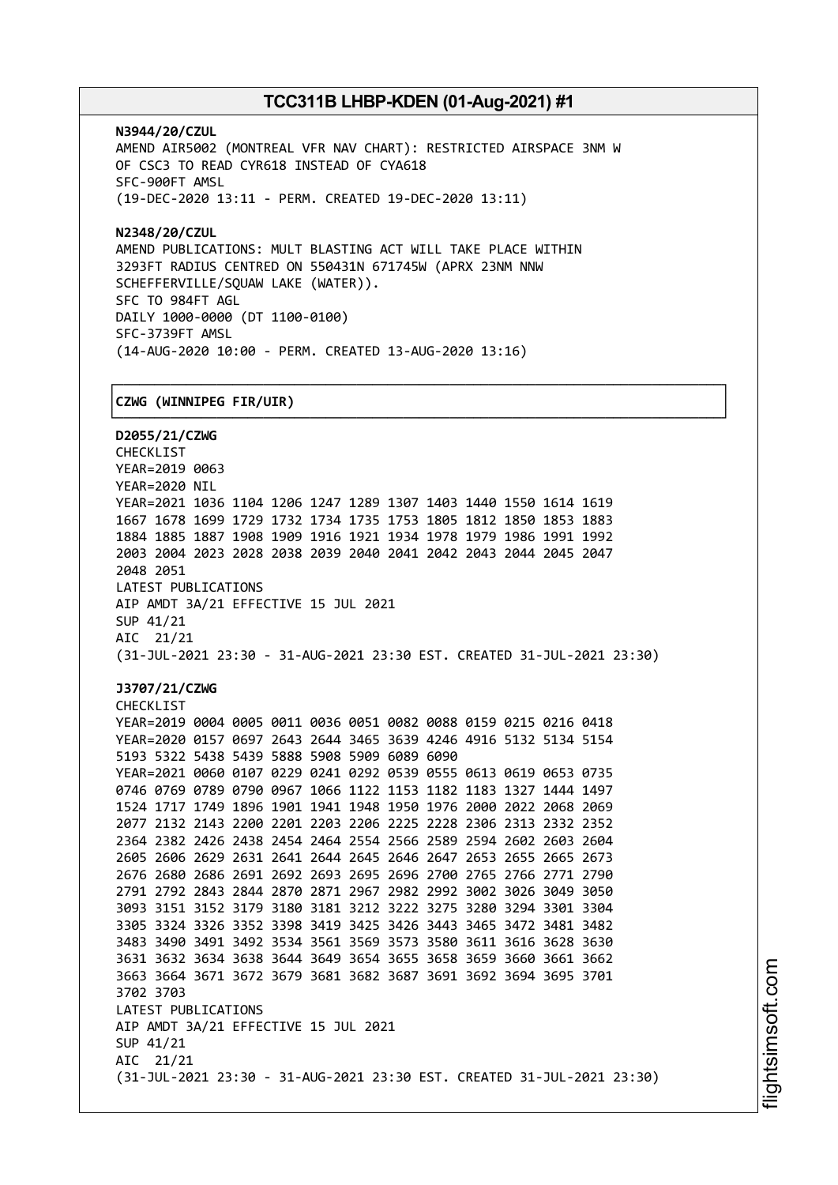┌──────────────────────────────────────────────────────────────────────────────┐

**N3944/20/CZUL** AMEND AIR5002 (MONTREAL VFR NAV CHART): RESTRICTED AIRSPACE 3NM W OF CSC3 TO READ CYR618 INSTEAD OF CYA618 SFC-900FT AMSL (19-DEC-2020 13:11 - PERM. CREATED 19-DEC-2020 13:11)

**N2348/20/CZUL** AMEND PUBLICATIONS: MULT BLASTING ACT WILL TAKE PLACE WITHIN 3293FT RADIUS CENTRED ON 550431N 671745W (APRX 23NM NNW SCHEFFERVILLE/SQUAW LAKE (WATER)). SFC TO 984FT AGL DAILY 1000-0000 (DT 1100-0100) SFC-3739FT AMSL (14-AUG-2020 10:00 - PERM. CREATED 13-AUG-2020 13:16)

## │**CZWG (WINNIPEG FIR/UIR)** │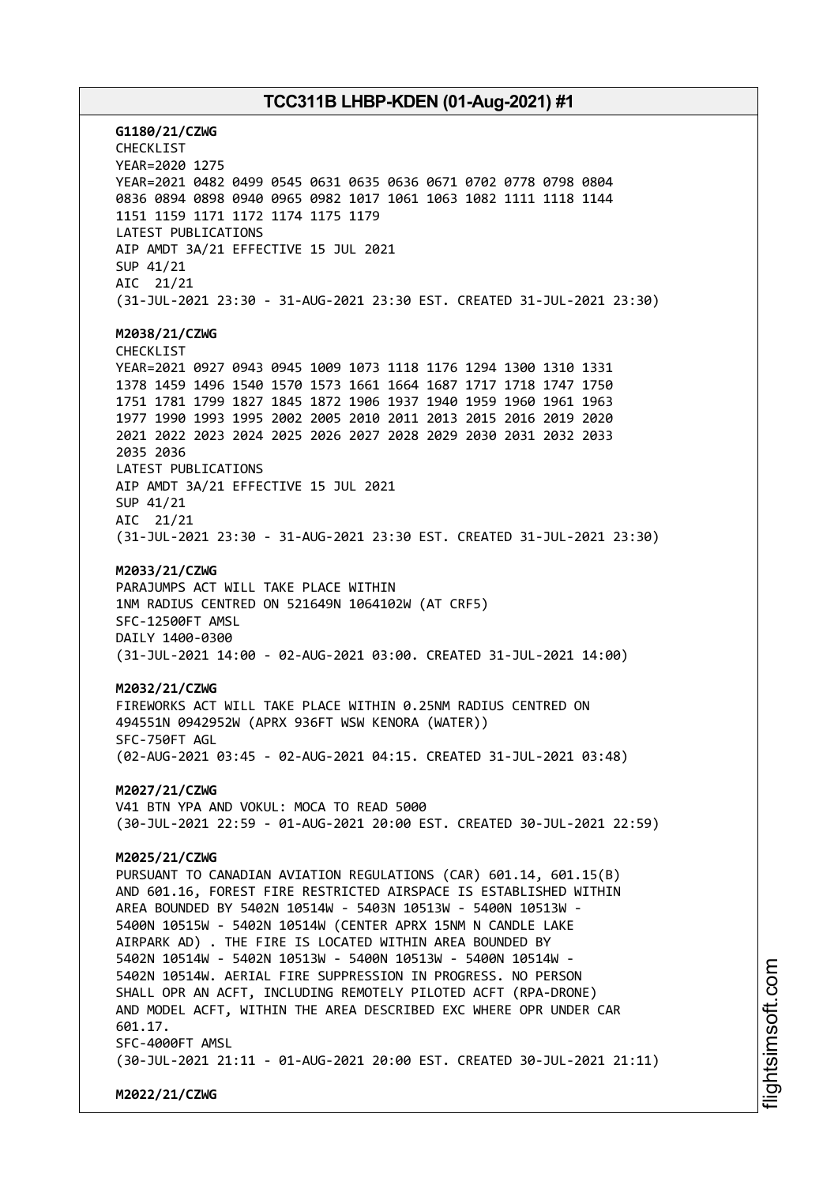**G1180/21/CZWG** CHECKLIST YEAR=2020 1275 YEAR=2021 0482 0499 0545 0631 0635 0636 0671 0702 0778 0798 0804 0836 0894 0898 0940 0965 0982 1017 1061 1063 1082 1111 1118 1144 1151 1159 1171 1172 1174 1175 1179 LATEST PUBLICATIONS AIP AMDT 3A/21 EFFECTIVE 15 JUL 2021 SUP 41/21 AIC 21/21 (31-JUL-2021 23:30 - 31-AUG-2021 23:30 EST. CREATED 31-JUL-2021 23:30) **M2038/21/CZWG** CHECKLIST YEAR=2021 0927 0943 0945 1009 1073 1118 1176 1294 1300 1310 1331 1378 1459 1496 1540 1570 1573 1661 1664 1687 1717 1718 1747 1750 1751 1781 1799 1827 1845 1872 1906 1937 1940 1959 1960 1961 1963 1977 1990 1993 1995 2002 2005 2010 2011 2013 2015 2016 2019 2020 2021 2022 2023 2024 2025 2026 2027 2028 2029 2030 2031 2032 2033 2035 2036 LATEST PUBLICATIONS AIP AMDT 3A/21 EFFECTIVE 15 JUL 2021 SUP 41/21 AIC 21/21 (31-JUL-2021 23:30 - 31-AUG-2021 23:30 EST. CREATED 31-JUL-2021 23:30) **M2033/21/CZWG** PARAJUMPS ACT WILL TAKE PLACE WITHIN 1NM RADIUS CENTRED ON 521649N 1064102W (AT CRF5) SFC-12500FT AMSL DAILY 1400-0300 (31-JUL-2021 14:00 - 02-AUG-2021 03:00. CREATED 31-JUL-2021 14:00) **M2032/21/CZWG** FIREWORKS ACT WILL TAKE PLACE WITHIN 0.25NM RADIUS CENTRED ON 494551N 0942952W (APRX 936FT WSW KENORA (WATER)) SFC-750FT AGL (02-AUG-2021 03:45 - 02-AUG-2021 04:15. CREATED 31-JUL-2021 03:48) **M2027/21/CZWG** V41 BTN YPA AND VOKUL: MOCA TO READ 5000 (30-JUL-2021 22:59 - 01-AUG-2021 20:00 EST. CREATED 30-JUL-2021 22:59) **M2025/21/CZWG** PURSUANT TO CANADIAN AVIATION REGULATIONS (CAR) 601.14, 601.15(B) AND 601.16, FOREST FIRE RESTRICTED AIRSPACE IS ESTABLISHED WITHIN AREA BOUNDED BY 5402N 10514W - 5403N 10513W - 5400N 10513W - 5400N 10515W - 5402N 10514W (CENTER APRX 15NM N CANDLE LAKE AIRPARK AD) . THE FIRE IS LOCATED WITHIN AREA BOUNDED BY 5402N 10514W - 5402N 10513W - 5400N 10513W - 5400N 10514W - 5402N 10514W. AERIAL FIRE SUPPRESSION IN PROGRESS. NO PERSON SHALL OPR AN ACFT, INCLUDING REMOTELY PILOTED ACFT (RPA-DRONE) AND MODEL ACFT, WITHIN THE AREA DESCRIBED EXC WHERE OPR UNDER CAR 601.17. SFC-4000FT AMSL (30-JUL-2021 21:11 - 01-AUG-2021 20:00 EST. CREATED 30-JUL-2021 21:11) **M2022/21/CZWG**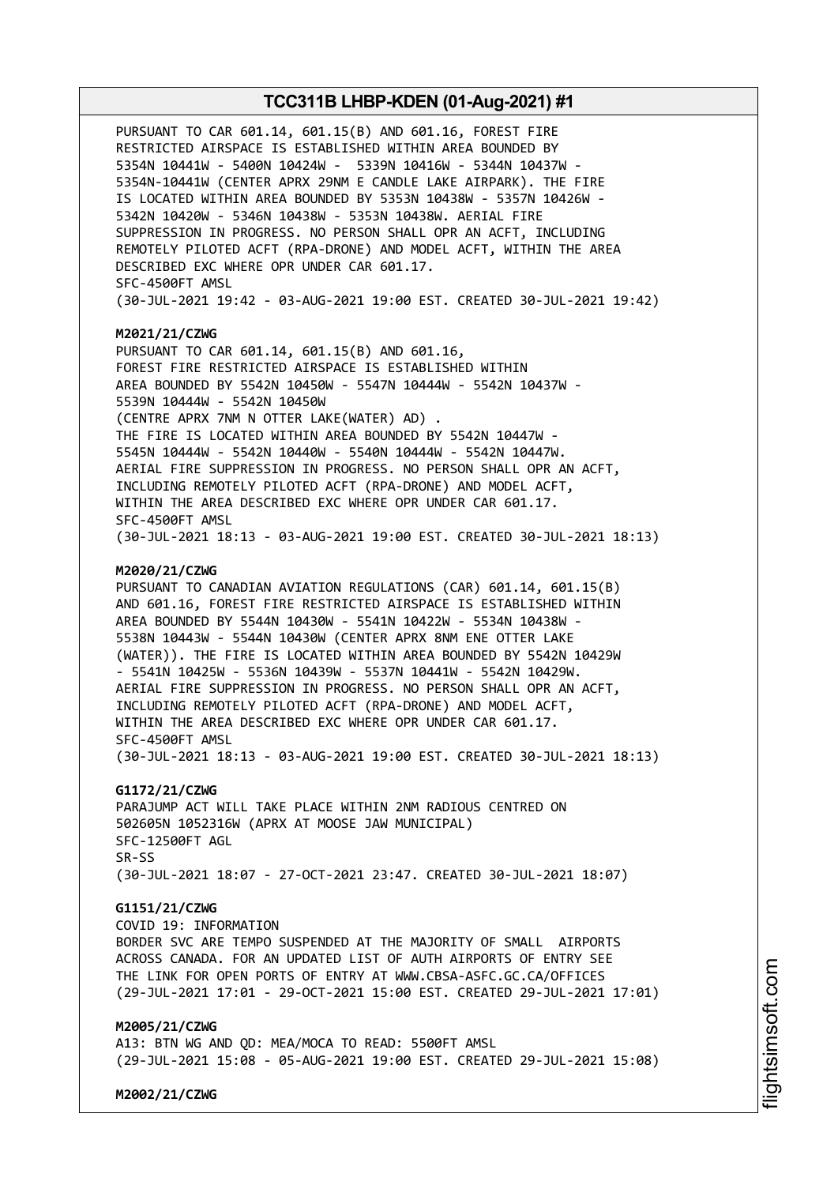PURSUANT TO CAR 601.14, 601.15(B) AND 601.16, FOREST FIRE RESTRICTED AIRSPACE IS ESTABLISHED WITHIN AREA BOUNDED BY 5354N 10441W - 5400N 10424W - 5339N 10416W - 5344N 10437W - 5354N-10441W (CENTER APRX 29NM E CANDLE LAKE AIRPARK). THE FIRE IS LOCATED WITHIN AREA BOUNDED BY 5353N 10438W - 5357N 10426W - 5342N 10420W - 5346N 10438W - 5353N 10438W. AERIAL FIRE SUPPRESSION IN PROGRESS. NO PERSON SHALL OPR AN ACFT, INCLUDING REMOTELY PILOTED ACFT (RPA-DRONE) AND MODEL ACFT, WITHIN THE AREA DESCRIBED EXC WHERE OPR UNDER CAR 601.17. SFC-4500FT AMSL (30-JUL-2021 19:42 - 03-AUG-2021 19:00 EST. CREATED 30-JUL-2021 19:42)

#### **M2021/21/CZWG**

PURSUANT TO CAR 601.14, 601.15(B) AND 601.16, FOREST FIRE RESTRICTED AIRSPACE IS ESTABLISHED WITHIN AREA BOUNDED BY 5542N 10450W - 5547N 10444W - 5542N 10437W - 5539N 10444W - 5542N 10450W (CENTRE APRX 7NM N OTTER LAKE(WATER) AD) . THE FIRE IS LOCATED WITHIN AREA BOUNDED BY 5542N 10447W - 5545N 10444W - 5542N 10440W - 5540N 10444W - 5542N 10447W. AERIAL FIRE SUPPRESSION IN PROGRESS. NO PERSON SHALL OPR AN ACFT, INCLUDING REMOTELY PILOTED ACFT (RPA-DRONE) AND MODEL ACFT, WITHIN THE AREA DESCRIBED EXC WHERE OPR UNDER CAR 601.17. SFC-4500FT AMSL (30-JUL-2021 18:13 - 03-AUG-2021 19:00 EST. CREATED 30-JUL-2021 18:13)

#### **M2020/21/CZWG**

PURSUANT TO CANADIAN AVIATION REGULATIONS (CAR) 601.14, 601.15(B) AND 601.16, FOREST FIRE RESTRICTED AIRSPACE IS ESTABLISHED WITHIN AREA BOUNDED BY 5544N 10430W - 5541N 10422W - 5534N 10438W - 5538N 10443W - 5544N 10430W (CENTER APRX 8NM ENE OTTER LAKE (WATER)). THE FIRE IS LOCATED WITHIN AREA BOUNDED BY 5542N 10429W - 5541N 10425W - 5536N 10439W - 5537N 10441W - 5542N 10429W. AERIAL FIRE SUPPRESSION IN PROGRESS. NO PERSON SHALL OPR AN ACFT, INCLUDING REMOTELY PILOTED ACFT (RPA-DRONE) AND MODEL ACFT, WITHIN THE AREA DESCRIBED EXC WHERE OPR UNDER CAR 601.17. SFC-4500FT AMSL (30-JUL-2021 18:13 - 03-AUG-2021 19:00 EST. CREATED 30-JUL-2021 18:13)

#### **G1172/21/CZWG**

PARAJUMP ACT WILL TAKE PLACE WITHIN 2NM RADIOUS CENTRED ON 502605N 1052316W (APRX AT MOOSE JAW MUNICIPAL) SFC-12500FT AGL SR-SS (30-JUL-2021 18:07 - 27-OCT-2021 23:47. CREATED 30-JUL-2021 18:07)

## **G1151/21/CZWG**

COVID 19: INFORMATION BORDER SVC ARE TEMPO SUSPENDED AT THE MAJORITY OF SMALL AIRPORTS ACROSS CANADA. FOR AN UPDATED LIST OF AUTH AIRPORTS OF ENTRY SEE THE LINK FOR OPEN PORTS OF ENTRY AT WWW.CBSA-ASFC.GC.CA/OFFICES (29-JUL-2021 17:01 - 29-OCT-2021 15:00 EST. CREATED 29-JUL-2021 17:01)

#### **M2005/21/CZWG**

A13: BTN WG AND QD: MEA/MOCA TO READ: 5500FT AMSL (29-JUL-2021 15:08 - 05-AUG-2021 19:00 EST. CREATED 29-JUL-2021 15:08)

**M2002/21/CZWG**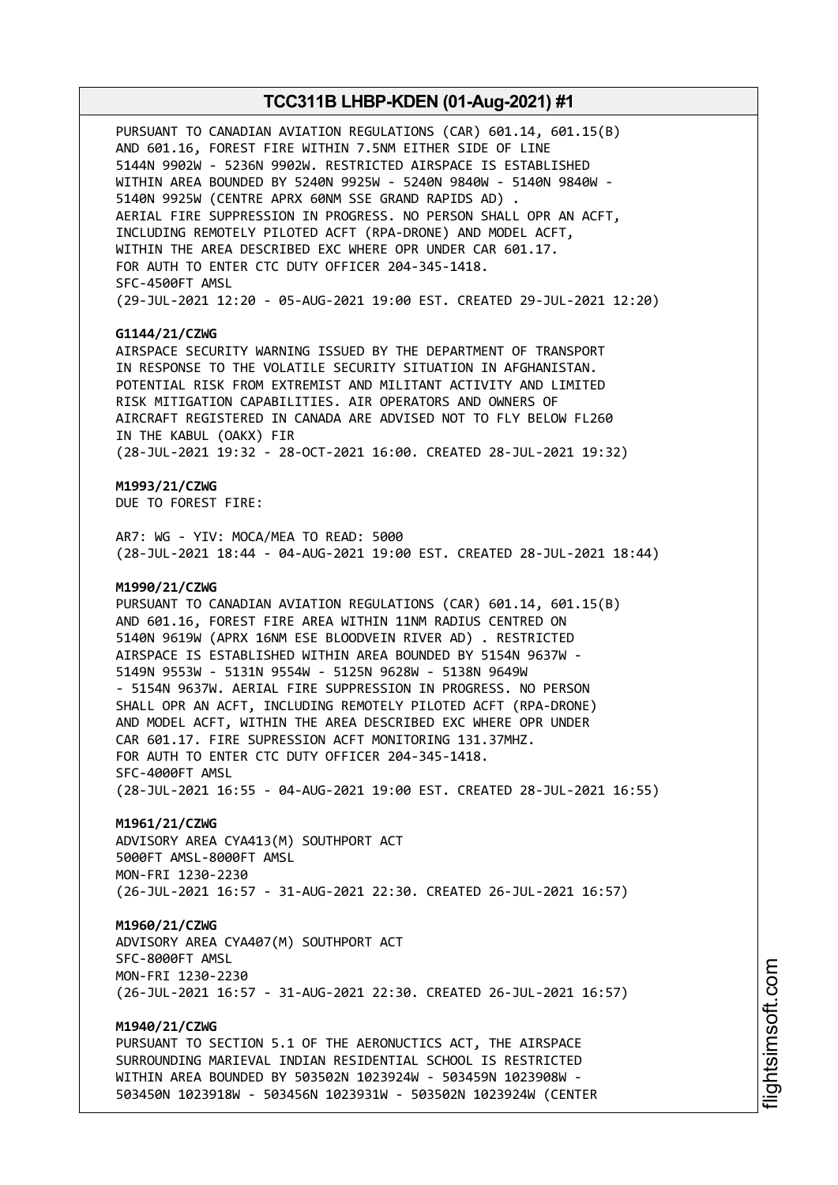PURSUANT TO CANADIAN AVIATION REGULATIONS (CAR) 601.14, 601.15(B) AND 601.16, FOREST FIRE WITHIN 7.5NM EITHER SIDE OF LINE 5144N 9902W - 5236N 9902W. RESTRICTED AIRSPACE IS ESTABLISHED WITHIN AREA BOUNDED BY 5240N 9925W - 5240N 9840W - 5140N 9840W - 5140N 9925W (CENTRE APRX 60NM SSE GRAND RAPIDS AD) . AERIAL FIRE SUPPRESSION IN PROGRESS. NO PERSON SHALL OPR AN ACFT, INCLUDING REMOTELY PILOTED ACFT (RPA-DRONE) AND MODEL ACFT, WITHIN THE AREA DESCRIBED EXC WHERE OPR UNDER CAR 601.17. FOR AUTH TO ENTER CTC DUTY OFFICER 204-345-1418. SFC-4500FT AMSL (29-JUL-2021 12:20 - 05-AUG-2021 19:00 EST. CREATED 29-JUL-2021 12:20)

## **G1144/21/CZWG**

AIRSPACE SECURITY WARNING ISSUED BY THE DEPARTMENT OF TRANSPORT IN RESPONSE TO THE VOLATILE SECURITY SITUATION IN AFGHANISTAN. POTENTIAL RISK FROM EXTREMIST AND MILITANT ACTIVITY AND LIMITED RISK MITIGATION CAPABILITIES. AIR OPERATORS AND OWNERS OF AIRCRAFT REGISTERED IN CANADA ARE ADVISED NOT TO FLY BELOW FL260 IN THE KABUL (OAKX) FIR (28-JUL-2021 19:32 - 28-OCT-2021 16:00. CREATED 28-JUL-2021 19:32)

# **M1993/21/CZWG**

DUE TO FOREST FIRE:

AR7: WG - YIV: MOCA/MEA TO READ: 5000 (28-JUL-2021 18:44 - 04-AUG-2021 19:00 EST. CREATED 28-JUL-2021 18:44)

#### **M1990/21/CZWG**

PURSUANT TO CANADIAN AVIATION REGULATIONS (CAR) 601.14, 601.15(B) AND 601.16, FOREST FIRE AREA WITHIN 11NM RADIUS CENTRED ON 5140N 9619W (APRX 16NM ESE BLOODVEIN RIVER AD) . RESTRICTED AIRSPACE IS ESTABLISHED WITHIN AREA BOUNDED BY 5154N 9637W - 5149N 9553W - 5131N 9554W - 5125N 9628W - 5138N 9649W - 5154N 9637W. AERIAL FIRE SUPPRESSION IN PROGRESS. NO PERSON SHALL OPR AN ACFT, INCLUDING REMOTELY PILOTED ACFT (RPA-DRONE) AND MODEL ACFT, WITHIN THE AREA DESCRIBED EXC WHERE OPR UNDER CAR 601.17. FIRE SUPRESSION ACFT MONITORING 131.37MHZ. FOR AUTH TO ENTER CTC DUTY OFFICER 204-345-1418. SFC-4000FT AMSL (28-JUL-2021 16:55 - 04-AUG-2021 19:00 EST. CREATED 28-JUL-2021 16:55)

#### **M1961/21/CZWG**

ADVISORY AREA CYA413(M) SOUTHPORT ACT 5000FT AMSL-8000FT AMSL MON-FRI 1230-2230 (26-JUL-2021 16:57 - 31-AUG-2021 22:30. CREATED 26-JUL-2021 16:57)

## **M1960/21/CZWG**

ADVISORY AREA CYA407(M) SOUTHPORT ACT SFC-8000FT AMSL MON-FRI 1230-2230 (26-JUL-2021 16:57 - 31-AUG-2021 22:30. CREATED 26-JUL-2021 16:57)

## **M1940/21/CZWG**

PURSUANT TO SECTION 5.1 OF THE AERONUCTICS ACT, THE AIRSPACE SURROUNDING MARIEVAL INDIAN RESIDENTIAL SCHOOL IS RESTRICTED WITHIN AREA BOUNDED BY 503502N 1023924W - 503459N 1023908W - 503450N 1023918W - 503456N 1023931W - 503502N 1023924W (CENTER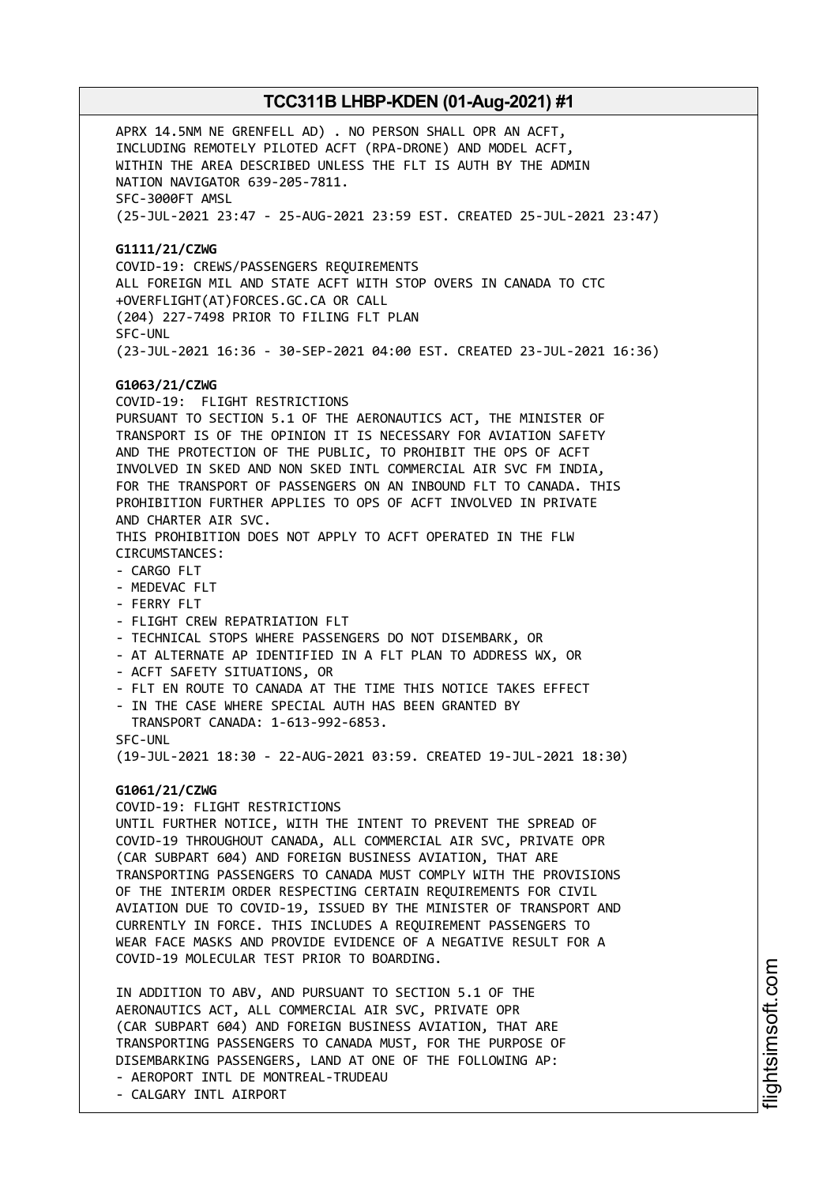APRX 14.5NM NE GRENFELL AD) . NO PERSON SHALL OPR AN ACFT, INCLUDING REMOTELY PILOTED ACFT (RPA-DRONE) AND MODEL ACFT, WITHIN THE AREA DESCRIBED UNLESS THE FLT IS AUTH BY THE ADMIN NATION NAVIGATOR 639-205-7811. SFC-3000FT AMSL (25-JUL-2021 23:47 - 25-AUG-2021 23:59 EST. CREATED 25-JUL-2021 23:47) **G1111/21/CZWG** COVID-19: CREWS/PASSENGERS REQUIREMENTS ALL FOREIGN MIL AND STATE ACFT WITH STOP OVERS IN CANADA TO CTC +OVERFLIGHT(AT)FORCES.GC.CA OR CALL (204) 227-7498 PRIOR TO FILING FLT PLAN SFC-UNL (23-JUL-2021 16:36 - 30-SEP-2021 04:00 EST. CREATED 23-JUL-2021 16:36) **G1063/21/CZWG** COVID-19: FLIGHT RESTRICTIONS PURSUANT TO SECTION 5.1 OF THE AERONAUTICS ACT, THE MINISTER OF TRANSPORT IS OF THE OPINION IT IS NECESSARY FOR AVIATION SAFETY AND THE PROTECTION OF THE PUBLIC, TO PROHIBIT THE OPS OF ACFT INVOLVED IN SKED AND NON SKED INTL COMMERCIAL AIR SVC FM INDIA, FOR THE TRANSPORT OF PASSENGERS ON AN INBOUND FLT TO CANADA. THIS PROHIBITION FURTHER APPLIES TO OPS OF ACFT INVOLVED IN PRIVATE AND CHARTER AIR SVC. THIS PROHIBITION DOES NOT APPLY TO ACFT OPERATED IN THE FLW CIRCUMSTANCES: - CARGO FLT - MEDEVAC FLT - FERRY FLT - FLIGHT CREW REPATRIATION FLT - TECHNICAL STOPS WHERE PASSENGERS DO NOT DISEMBARK, OR - AT ALTERNATE AP IDENTIFIED IN A FLT PLAN TO ADDRESS WX, OR - ACFT SAFETY SITUATIONS, OR - FLT EN ROUTE TO CANADA AT THE TIME THIS NOTICE TAKES EFFECT - IN THE CASE WHERE SPECIAL AUTH HAS BEEN GRANTED BY TRANSPORT CANADA: 1-613-992-6853. SFC-UNL (19-JUL-2021 18:30 - 22-AUG-2021 03:59. CREATED 19-JUL-2021 18:30) **G1061/21/CZWG** COVID-19: FLIGHT RESTRICTIONS UNTIL FURTHER NOTICE, WITH THE INTENT TO PREVENT THE SPREAD OF COVID-19 THROUGHOUT CANADA, ALL COMMERCIAL AIR SVC, PRIVATE OPR (CAR SUBPART 604) AND FOREIGN BUSINESS AVIATION, THAT ARE TRANSPORTING PASSENGERS TO CANADA MUST COMPLY WITH THE PROVISIONS OF THE INTERIM ORDER RESPECTING CERTAIN REQUIREMENTS FOR CIVIL AVIATION DUE TO COVID-19, ISSUED BY THE MINISTER OF TRANSPORT AND CURRENTLY IN FORCE. THIS INCLUDES A REQUIREMENT PASSENGERS TO WEAR FACE MASKS AND PROVIDE EVIDENCE OF A NEGATIVE RESULT FOR A COVID-19 MOLECULAR TEST PRIOR TO BOARDING. IN ADDITION TO ABV, AND PURSUANT TO SECTION 5.1 OF THE AERONAUTICS ACT, ALL COMMERCIAL AIR SVC, PRIVATE OPR (CAR SUBPART 604) AND FOREIGN BUSINESS AVIATION, THAT ARE TRANSPORTING PASSENGERS TO CANADA MUST, FOR THE PURPOSE OF DISEMBARKING PASSENGERS, LAND AT ONE OF THE FOLLOWING AP:

- AEROPORT INTL DE MONTREAL-TRUDEAU
- CALGARY INTL AIRPORT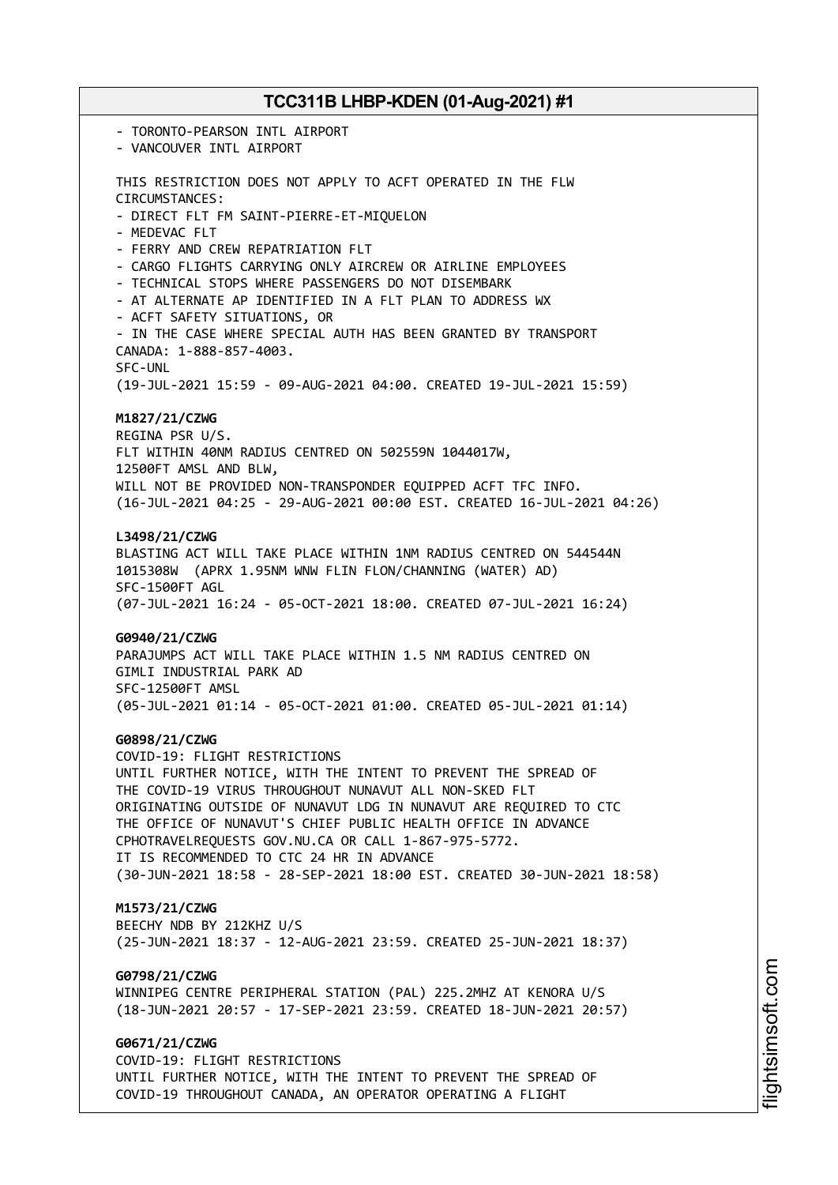- TORONTO-PEARSON INTL AIRPORT - VANCOUVER INTL AIRPORT THIS RESTRICTION DOES NOT APPLY TO ACFT OPERATED IN THE FLW CIRCUMSTANCES: - DIRECT FLT FM SAINT-PIERRE-ET-MIQUELON - MEDEVAC FLT - FERRY AND CREW REPATRIATION FLT - CARGO FLIGHTS CARRYING ONLY AIRCREW OR AIRLINE EMPLOYEES - TECHNICAL STOPS WHERE PASSENGERS DO NOT DISEMBARK - AT ALTERNATE AP IDENTIFIED IN A FLT PLAN TO ADDRESS WX - ACFT SAFETY SITUATIONS, OR - IN THE CASE WHERE SPECIAL AUTH HAS BEEN GRANTED BY TRANSPORT CANADA: 1-888-857-4003. SFC-UNL (19-JUL-2021 15:59 - 09-AUG-2021 04:00. CREATED 19-JUL-2021 15:59) **M1827/21/CZWG** REGINA PSR U/S. FLT WITHIN 40NM RADIUS CENTRED ON 502559N 1044017W, 12500FT AMSL AND BLW, WILL NOT BE PROVIDED NON-TRANSPONDER EQUIPPED ACFT TFC INFO. (16-JUL-2021 04:25 - 29-AUG-2021 00:00 EST. CREATED 16-JUL-2021 04:26) **L3498/21/CZWG** BLASTING ACT WILL TAKE PLACE WITHIN 1NM RADIUS CENTRED ON 544544N 1015308W (APRX 1.95NM WNW FLIN FLON/CHANNING (WATER) AD) SFC-1500FT AGL (07-JUL-2021 16:24 - 05-OCT-2021 18:00. CREATED 07-JUL-2021 16:24) **G0940/21/CZWG** PARAJUMPS ACT WILL TAKE PLACE WITHIN 1.5 NM RADIUS CENTRED ON GIMLI INDUSTRIAL PARK AD SFC-12500FT AMSL (05-JUL-2021 01:14 - 05-OCT-2021 01:00. CREATED 05-JUL-2021 01:14) **G0898/21/CZWG** COVID-19: FLIGHT RESTRICTIONS UNTIL FURTHER NOTICE, WITH THE INTENT TO PREVENT THE SPREAD OF THE COVID-19 VIRUS THROUGHOUT NUNAVUT ALL NON-SKED FLT ORIGINATING OUTSIDE OF NUNAVUT LDG IN NUNAVUT ARE REQUIRED TO CTC THE OFFICE OF NUNAVUT'S CHIEF PUBLIC HEALTH OFFICE IN ADVANCE CPHOTRAVELREQUESTS GOV.NU.CA OR CALL 1-867-975-5772. IT IS RECOMMENDED TO CTC 24 HR IN ADVANCE (30-JUN-2021 18:58 - 28-SEP-2021 18:00 EST. CREATED 30-JUN-2021 18:58) **M1573/21/CZWG** BEECHY NDB BY 212KHZ U/S (25-JUN-2021 18:37 - 12-AUG-2021 23:59. CREATED 25-JUN-2021 18:37) **G0798/21/CZWG** WINNIPEG CENTRE PERIPHERAL STATION (PAL) 225.2MHZ AT KENORA U/S (18-JUN-2021 20:57 - 17-SEP-2021 23:59. CREATED 18-JUN-2021 20:57) **G0671/21/CZWG** COVID-19: FLIGHT RESTRICTIONS UNTIL FURTHER NOTICE, WITH THE INTENT TO PREVENT THE SPREAD OF

COVID-19 THROUGHOUT CANADA, AN OPERATOR OPERATING A FLIGHT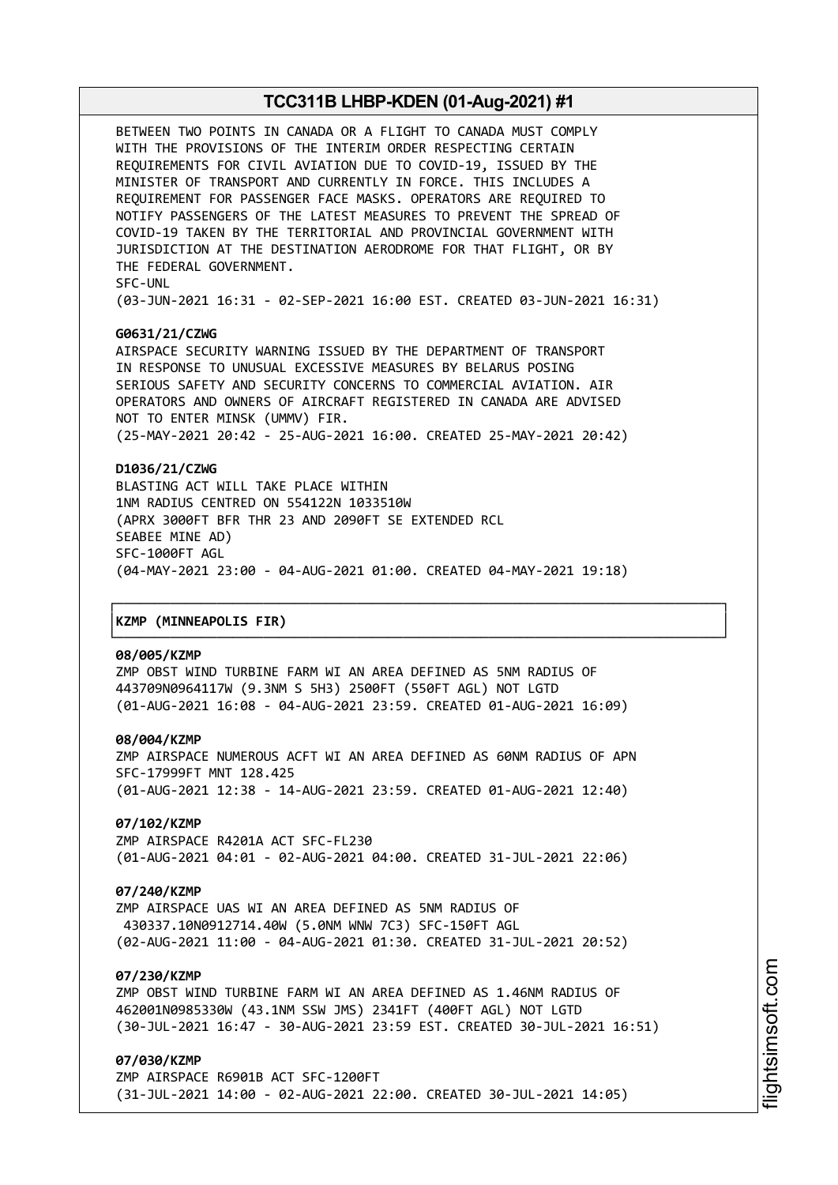BETWEEN TWO POINTS IN CANADA OR A FLIGHT TO CANADA MUST COMPLY WITH THE PROVISIONS OF THE INTERIM ORDER RESPECTING CERTAIN REQUIREMENTS FOR CIVIL AVIATION DUE TO COVID-19, ISSUED BY THE MINISTER OF TRANSPORT AND CURRENTLY IN FORCE. THIS INCLUDES A REQUIREMENT FOR PASSENGER FACE MASKS. OPERATORS ARE REQUIRED TO NOTIFY PASSENGERS OF THE LATEST MEASURES TO PREVENT THE SPREAD OF COVID-19 TAKEN BY THE TERRITORIAL AND PROVINCIAL GOVERNMENT WITH JURISDICTION AT THE DESTINATION AERODROME FOR THAT FLIGHT, OR BY THE FEDERAL GOVERNMENT. SFC-UNL

(03-JUN-2021 16:31 - 02-SEP-2021 16:00 EST. CREATED 03-JUN-2021 16:31)

## **G0631/21/CZWG**

AIRSPACE SECURITY WARNING ISSUED BY THE DEPARTMENT OF TRANSPORT IN RESPONSE TO UNUSUAL EXCESSIVE MEASURES BY BELARUS POSING SERIOUS SAFETY AND SECURITY CONCERNS TO COMMERCIAL AVIATION. AIR OPERATORS AND OWNERS OF AIRCRAFT REGISTERED IN CANADA ARE ADVISED NOT TO ENTER MINSK (UMMV) FIR. (25-MAY-2021 20:42 - 25-AUG-2021 16:00. CREATED 25-MAY-2021 20:42)

#### **D1036/21/CZWG**

BLASTING ACT WILL TAKE PLACE WITHIN 1NM RADIUS CENTRED ON 554122N 1033510W (APRX 3000FT BFR THR 23 AND 2090FT SE EXTENDED RCL SEABEE MINE AD) SFC-1000FT AGL (04-MAY-2021 23:00 - 04-AUG-2021 01:00. CREATED 04-MAY-2021 19:18)

┌──────────────────────────────────────────────────────────────────────────────┐

└──────────────────────────────────────────────────────────────────────────────┘

#### │**KZMP (MINNEAPOLIS FIR)** │

#### **08/005/KZMP**

ZMP OBST WIND TURBINE FARM WI AN AREA DEFINED AS 5NM RADIUS OF 443709N0964117W (9.3NM S 5H3) 2500FT (550FT AGL) NOT LGTD (01-AUG-2021 16:08 - 04-AUG-2021 23:59. CREATED 01-AUG-2021 16:09)

#### **08/004/KZMP**

ZMP AIRSPACE NUMEROUS ACFT WI AN AREA DEFINED AS 60NM RADIUS OF APN SFC-17999FT MNT 128.425 (01-AUG-2021 12:38 - 14-AUG-2021 23:59. CREATED 01-AUG-2021 12:40)

## **07/102/KZMP**

ZMP AIRSPACE R4201A ACT SFC-FL230 (01-AUG-2021 04:01 - 02-AUG-2021 04:00. CREATED 31-JUL-2021 22:06)

#### **07/240/KZMP**

ZMP AIRSPACE UAS WI AN AREA DEFINED AS 5NM RADIUS OF 430337.10N0912714.40W (5.0NM WNW 7C3) SFC-150FT AGL (02-AUG-2021 11:00 - 04-AUG-2021 01:30. CREATED 31-JUL-2021 20:52)

# **07/230/KZMP**

ZMP OBST WIND TURBINE FARM WI AN AREA DEFINED AS 1.46NM RADIUS OF 462001N0985330W (43.1NM SSW JMS) 2341FT (400FT AGL) NOT LGTD (30-JUL-2021 16:47 - 30-AUG-2021 23:59 EST. CREATED 30-JUL-2021 16:51)

## **07/030/KZMP**

ZMP AIRSPACE R6901B ACT SFC-1200FT (31-JUL-2021 14:00 - 02-AUG-2021 22:00. CREATED 30-JUL-2021 14:05)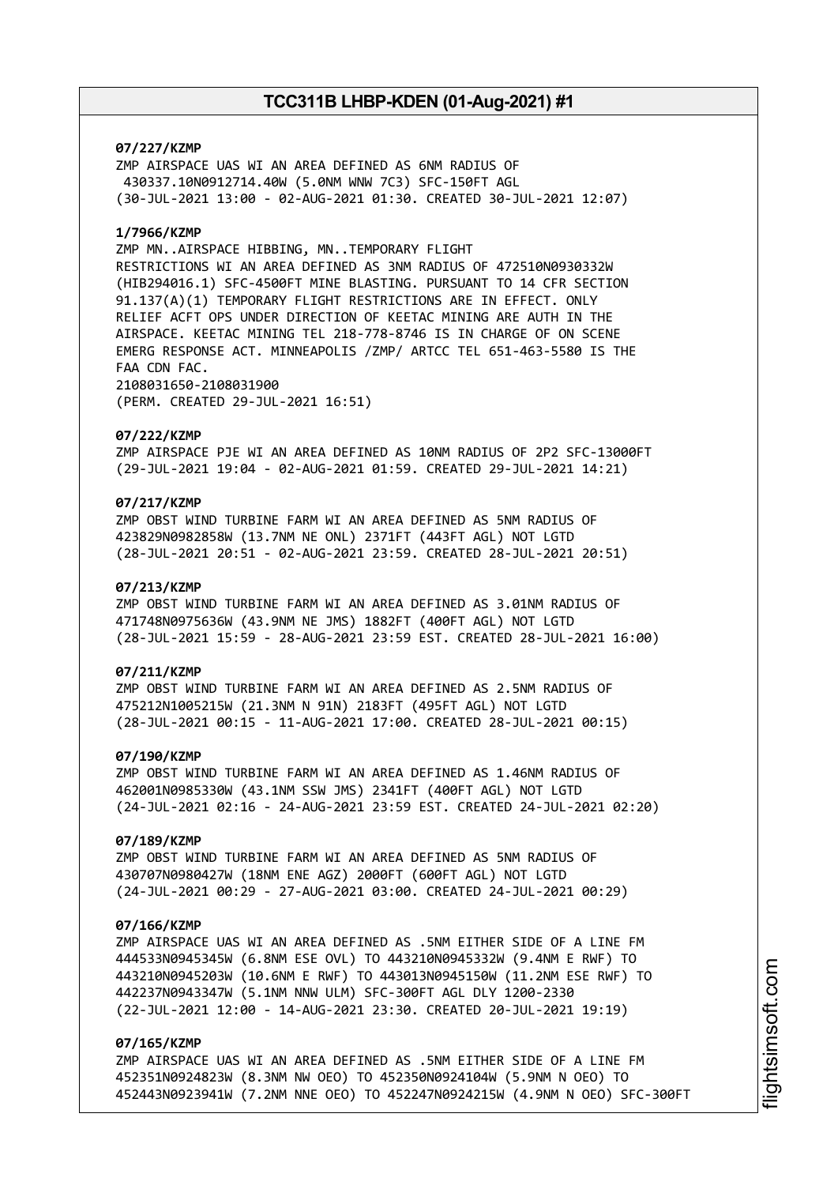## **07/227/KZMP**

ZMP AIRSPACE UAS WI AN AREA DEFINED AS 6NM RADIUS OF 430337.10N0912714.40W (5.0NM WNW 7C3) SFC-150FT AGL (30-JUL-2021 13:00 - 02-AUG-2021 01:30. CREATED 30-JUL-2021 12:07)

## **1/7966/KZMP**

ZMP MN..AIRSPACE HIBBING, MN..TEMPORARY FLIGHT RESTRICTIONS WI AN AREA DEFINED AS 3NM RADIUS OF 472510N0930332W (HIB294016.1) SFC-4500FT MINE BLASTING. PURSUANT TO 14 CFR SECTION 91.137(A)(1) TEMPORARY FLIGHT RESTRICTIONS ARE IN EFFECT. ONLY RELIEF ACFT OPS UNDER DIRECTION OF KEETAC MINING ARE AUTH IN THE AIRSPACE. KEETAC MINING TEL 218-778-8746 IS IN CHARGE OF ON SCENE EMERG RESPONSE ACT. MINNEAPOLIS /ZMP/ ARTCC TEL 651-463-5580 IS THE FAA CDN FAC. 2108031650-2108031900

(PERM. CREATED 29-JUL-2021 16:51)

#### **07/222/KZMP**

ZMP AIRSPACE PJE WI AN AREA DEFINED AS 10NM RADIUS OF 2P2 SFC-13000FT (29-JUL-2021 19:04 - 02-AUG-2021 01:59. CREATED 29-JUL-2021 14:21)

# **07/217/KZMP**

ZMP OBST WIND TURBINE FARM WI AN AREA DEFINED AS 5NM RADIUS OF 423829N0982858W (13.7NM NE ONL) 2371FT (443FT AGL) NOT LGTD (28-JUL-2021 20:51 - 02-AUG-2021 23:59. CREATED 28-JUL-2021 20:51)

#### **07/213/KZMP**

ZMP OBST WIND TURBINE FARM WI AN AREA DEFINED AS 3.01NM RADIUS OF 471748N0975636W (43.9NM NE JMS) 1882FT (400FT AGL) NOT LGTD (28-JUL-2021 15:59 - 28-AUG-2021 23:59 EST. CREATED 28-JUL-2021 16:00)

## **07/211/KZMP**

ZMP OBST WIND TURBINE FARM WI AN AREA DEFINED AS 2.5NM RADIUS OF 475212N1005215W (21.3NM N 91N) 2183FT (495FT AGL) NOT LGTD (28-JUL-2021 00:15 - 11-AUG-2021 17:00. CREATED 28-JUL-2021 00:15)

## **07/190/KZMP**

ZMP OBST WIND TURBINE FARM WI AN AREA DEFINED AS 1.46NM RADIUS OF 462001N0985330W (43.1NM SSW JMS) 2341FT (400FT AGL) NOT LGTD (24-JUL-2021 02:16 - 24-AUG-2021 23:59 EST. CREATED 24-JUL-2021 02:20)

#### **07/189/KZMP**

ZMP OBST WIND TURBINE FARM WI AN AREA DEFINED AS 5NM RADIUS OF 430707N0980427W (18NM ENE AGZ) 2000FT (600FT AGL) NOT LGTD (24-JUL-2021 00:29 - 27-AUG-2021 03:00. CREATED 24-JUL-2021 00:29)

## **07/166/KZMP**

ZMP AIRSPACE UAS WI AN AREA DEFINED AS .5NM EITHER SIDE OF A LINE FM 444533N0945345W (6.8NM ESE OVL) TO 443210N0945332W (9.4NM E RWF) TO 443210N0945203W (10.6NM E RWF) TO 443013N0945150W (11.2NM ESE RWF) TO 442237N0943347W (5.1NM NNW ULM) SFC-300FT AGL DLY 1200-2330 (22-JUL-2021 12:00 - 14-AUG-2021 23:30. CREATED 20-JUL-2021 19:19)

# **07/165/KZMP**

ZMP AIRSPACE UAS WI AN AREA DEFINED AS .5NM EITHER SIDE OF A LINE FM 452351N0924823W (8.3NM NW OEO) TO 452350N0924104W (5.9NM N OEO) TO 452443N0923941W (7.2NM NNE OEO) TO 452247N0924215W (4.9NM N OEO) SFC-300FT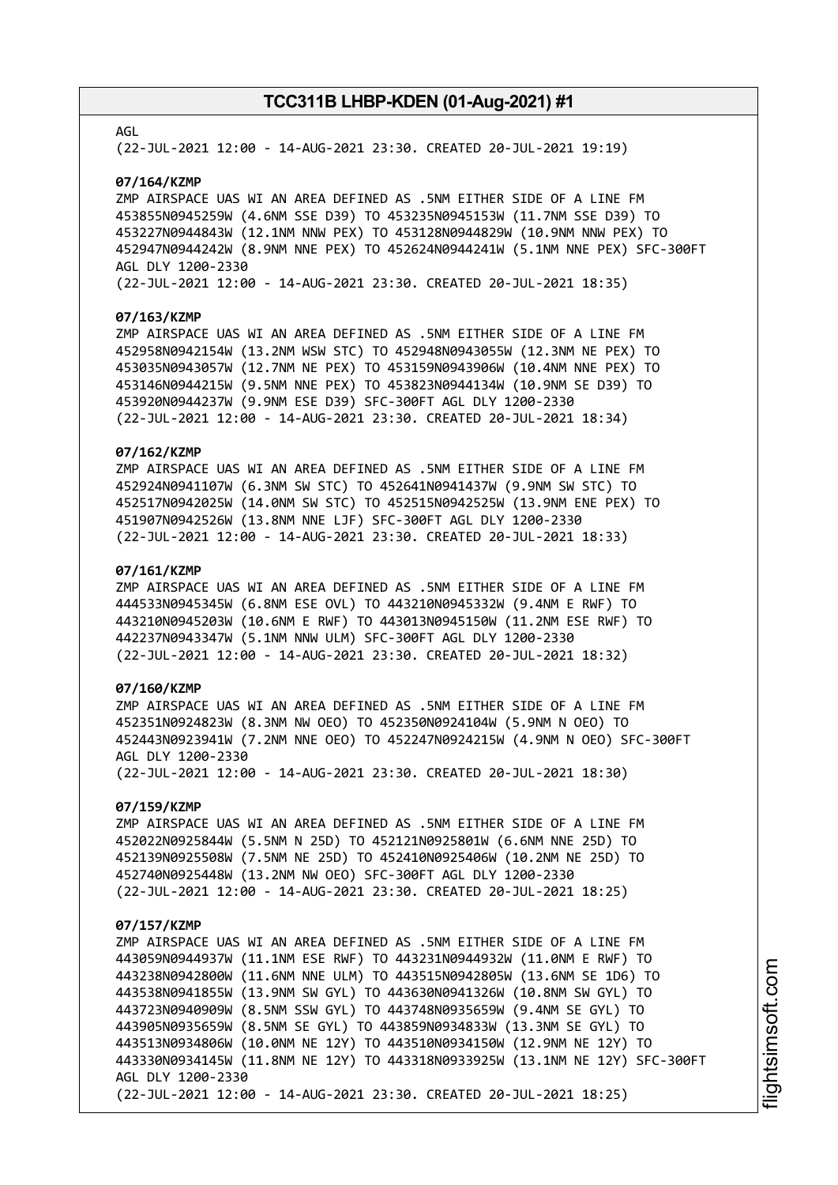## AGL

(22-JUL-2021 12:00 - 14-AUG-2021 23:30. CREATED 20-JUL-2021 19:19)

#### **07/164/KZMP**

ZMP AIRSPACE UAS WI AN AREA DEFINED AS .5NM EITHER SIDE OF A LINE FM 453855N0945259W (4.6NM SSE D39) TO 453235N0945153W (11.7NM SSE D39) TO 453227N0944843W (12.1NM NNW PEX) TO 453128N0944829W (10.9NM NNW PEX) TO 452947N0944242W (8.9NM NNE PEX) TO 452624N0944241W (5.1NM NNE PEX) SFC-300FT AGL DLY 1200-2330

(22-JUL-2021 12:00 - 14-AUG-2021 23:30. CREATED 20-JUL-2021 18:35)

#### **07/163/KZMP**

ZMP AIRSPACE UAS WI AN AREA DEFINED AS .5NM EITHER SIDE OF A LINE FM 452958N0942154W (13.2NM WSW STC) TO 452948N0943055W (12.3NM NE PEX) TO 453035N0943057W (12.7NM NE PEX) TO 453159N0943906W (10.4NM NNE PEX) TO 453146N0944215W (9.5NM NNE PEX) TO 453823N0944134W (10.9NM SE D39) TO 453920N0944237W (9.9NM ESE D39) SFC-300FT AGL DLY 1200-2330 (22-JUL-2021 12:00 - 14-AUG-2021 23:30. CREATED 20-JUL-2021 18:34)

## **07/162/KZMP**

ZMP AIRSPACE UAS WI AN AREA DEFINED AS .5NM EITHER SIDE OF A LINE FM 452924N0941107W (6.3NM SW STC) TO 452641N0941437W (9.9NM SW STC) TO 452517N0942025W (14.0NM SW STC) TO 452515N0942525W (13.9NM ENE PEX) TO 451907N0942526W (13.8NM NNE LJF) SFC-300FT AGL DLY 1200-2330 (22-JUL-2021 12:00 - 14-AUG-2021 23:30. CREATED 20-JUL-2021 18:33)

#### **07/161/KZMP**

ZMP AIRSPACE UAS WI AN AREA DEFINED AS .5NM EITHER SIDE OF A LINE FM 444533N0945345W (6.8NM ESE OVL) TO 443210N0945332W (9.4NM E RWF) TO 443210N0945203W (10.6NM E RWF) TO 443013N0945150W (11.2NM ESE RWF) TO 442237N0943347W (5.1NM NNW ULM) SFC-300FT AGL DLY 1200-2330 (22-JUL-2021 12:00 - 14-AUG-2021 23:30. CREATED 20-JUL-2021 18:32)

## **07/160/KZMP**

ZMP AIRSPACE UAS WI AN AREA DEFINED AS .5NM EITHER SIDE OF A LINE FM 452351N0924823W (8.3NM NW OEO) TO 452350N0924104W (5.9NM N OEO) TO 452443N0923941W (7.2NM NNE OEO) TO 452247N0924215W (4.9NM N OEO) SFC-300FT AGL DLY 1200-2330 (22-JUL-2021 12:00 - 14-AUG-2021 23:30. CREATED 20-JUL-2021 18:30)

## **07/159/KZMP**

ZMP AIRSPACE UAS WI AN AREA DEFINED AS .5NM EITHER SIDE OF A LINE FM 452022N0925844W (5.5NM N 25D) TO 452121N0925801W (6.6NM NNE 25D) TO 452139N0925508W (7.5NM NE 25D) TO 452410N0925406W (10.2NM NE 25D) TO 452740N0925448W (13.2NM NW OEO) SFC-300FT AGL DLY 1200-2330 (22-JUL-2021 12:00 - 14-AUG-2021 23:30. CREATED 20-JUL-2021 18:25)

#### **07/157/KZMP**

ZMP AIRSPACE UAS WI AN AREA DEFINED AS .5NM EITHER SIDE OF A LINE FM 443059N0944937W (11.1NM ESE RWF) TO 443231N0944932W (11.0NM E RWF) TO 443238N0942800W (11.6NM NNE ULM) TO 443515N0942805W (13.6NM SE 1D6) TO 443538N0941855W (13.9NM SW GYL) TO 443630N0941326W (10.8NM SW GYL) TO 443723N0940909W (8.5NM SSW GYL) TO 443748N0935659W (9.4NM SE GYL) TO 443905N0935659W (8.5NM SE GYL) TO 443859N0934833W (13.3NM SE GYL) TO 443513N0934806W (10.0NM NE 12Y) TO 443510N0934150W (12.9NM NE 12Y) TO 443330N0934145W (11.8NM NE 12Y) TO 443318N0933925W (13.1NM NE 12Y) SFC-300FT AGL DLY 1200-2330 (22-JUL-2021 12:00 - 14-AUG-2021 23:30. CREATED 20-JUL-2021 18:25)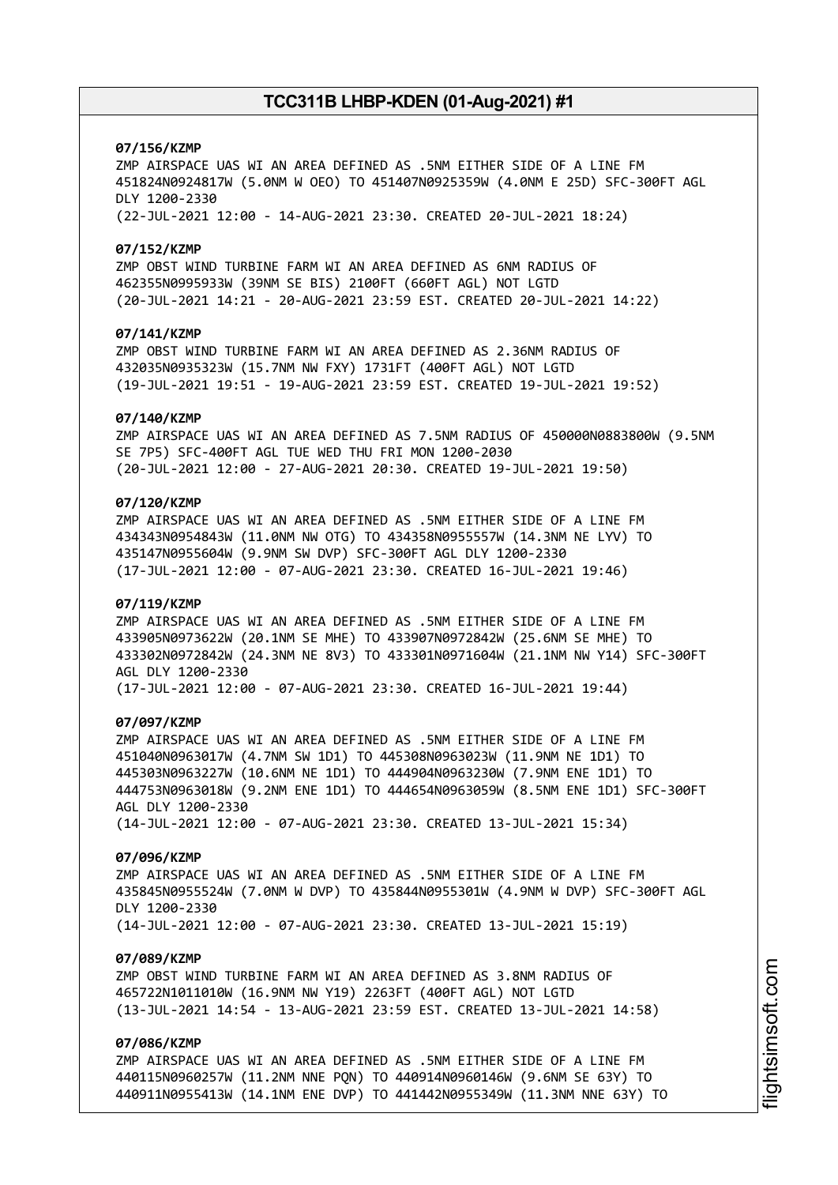## **07/156/KZMP**

ZMP AIRSPACE UAS WI AN AREA DEFINED AS .5NM EITHER SIDE OF A LINE FM 451824N0924817W (5.0NM W OEO) TO 451407N0925359W (4.0NM E 25D) SFC-300FT AGL DLY 1200-2330 (22-JUL-2021 12:00 - 14-AUG-2021 23:30. CREATED 20-JUL-2021 18:24)

### **07/152/KZMP**

ZMP OBST WIND TURBINE FARM WI AN AREA DEFINED AS 6NM RADIUS OF 462355N0995933W (39NM SE BIS) 2100FT (660FT AGL) NOT LGTD (20-JUL-2021 14:21 - 20-AUG-2021 23:59 EST. CREATED 20-JUL-2021 14:22)

## **07/141/KZMP**

ZMP OBST WIND TURBINE FARM WI AN AREA DEFINED AS 2.36NM RADIUS OF 432035N0935323W (15.7NM NW FXY) 1731FT (400FT AGL) NOT LGTD (19-JUL-2021 19:51 - 19-AUG-2021 23:59 EST. CREATED 19-JUL-2021 19:52)

#### **07/140/KZMP**

ZMP AIRSPACE UAS WI AN AREA DEFINED AS 7.5NM RADIUS OF 450000N0883800W (9.5NM SE 7P5) SFC-400FT AGL TUE WED THU FRI MON 1200-2030 (20-JUL-2021 12:00 - 27-AUG-2021 20:30. CREATED 19-JUL-2021 19:50)

## **07/120/KZMP**

ZMP AIRSPACE UAS WI AN AREA DEFINED AS .5NM EITHER SIDE OF A LINE FM 434343N0954843W (11.0NM NW OTG) TO 434358N0955557W (14.3NM NE LYV) TO 435147N0955604W (9.9NM SW DVP) SFC-300FT AGL DLY 1200-2330 (17-JUL-2021 12:00 - 07-AUG-2021 23:30. CREATED 16-JUL-2021 19:46)

### **07/119/KZMP**

ZMP AIRSPACE UAS WI AN AREA DEFINED AS .5NM EITHER SIDE OF A LINE FM 433905N0973622W (20.1NM SE MHE) TO 433907N0972842W (25.6NM SE MHE) TO 433302N0972842W (24.3NM NE 8V3) TO 433301N0971604W (21.1NM NW Y14) SFC-300FT AGL DLY 1200-2330 (17-JUL-2021 12:00 - 07-AUG-2021 23:30. CREATED 16-JUL-2021 19:44)

#### **07/097/KZMP**

ZMP AIRSPACE UAS WI AN AREA DEFINED AS .5NM EITHER SIDE OF A LINE FM 451040N0963017W (4.7NM SW 1D1) TO 445308N0963023W (11.9NM NE 1D1) TO 445303N0963227W (10.6NM NE 1D1) TO 444904N0963230W (7.9NM ENE 1D1) TO 444753N0963018W (9.2NM ENE 1D1) TO 444654N0963059W (8.5NM ENE 1D1) SFC-300FT AGL DLY 1200-2330 (14-JUL-2021 12:00 - 07-AUG-2021 23:30. CREATED 13-JUL-2021 15:34)

### **07/096/KZMP**

ZMP AIRSPACE UAS WI AN AREA DEFINED AS .5NM EITHER SIDE OF A LINE FM 435845N0955524W (7.0NM W DVP) TO 435844N0955301W (4.9NM W DVP) SFC-300FT AGL DLY 1200-2330 (14-JUL-2021 12:00 - 07-AUG-2021 23:30. CREATED 13-JUL-2021 15:19)

### **07/089/KZMP**

ZMP OBST WIND TURBINE FARM WI AN AREA DEFINED AS 3.8NM RADIUS OF 465722N1011010W (16.9NM NW Y19) 2263FT (400FT AGL) NOT LGTD (13-JUL-2021 14:54 - 13-AUG-2021 23:59 EST. CREATED 13-JUL-2021 14:58)

## **07/086/KZMP**

ZMP AIRSPACE UAS WI AN AREA DEFINED AS .5NM EITHER SIDE OF A LINE FM 440115N0960257W (11.2NM NNE PQN) TO 440914N0960146W (9.6NM SE 63Y) TO 440911N0955413W (14.1NM ENE DVP) TO 441442N0955349W (11.3NM NNE 63Y) TO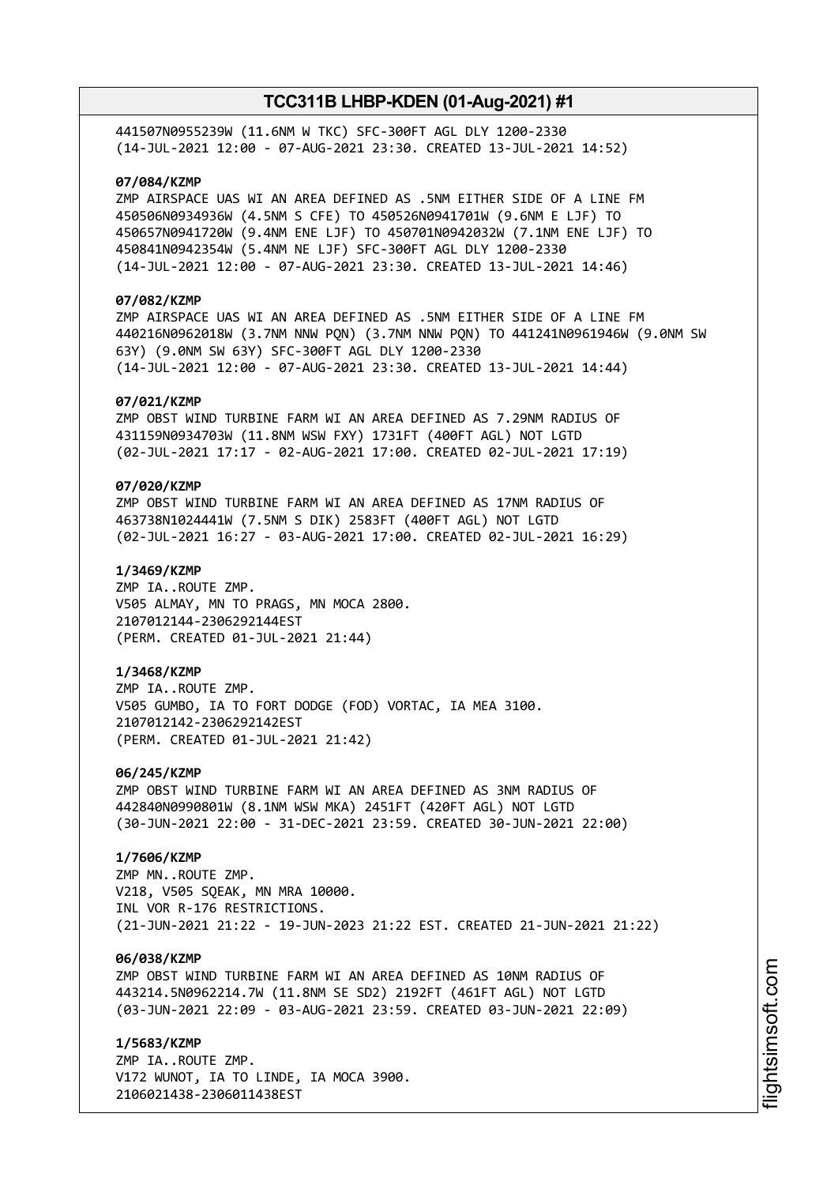441507N0955239W (11.6NM W TKC) SFC-300FT AGL DLY 1200-2330 (14-JUL-2021 12:00 - 07-AUG-2021 23:30. CREATED 13-JUL-2021 14:52)

## **07/084/KZMP**

ZMP AIRSPACE UAS WI AN AREA DEFINED AS .5NM EITHER SIDE OF A LINE FM 450506N0934936W (4.5NM S CFE) TO 450526N0941701W (9.6NM E LJF) TO 450657N0941720W (9.4NM ENE LJF) TO 450701N0942032W (7.1NM ENE LJF) TO 450841N0942354W (5.4NM NE LJF) SFC-300FT AGL DLY 1200-2330 (14-JUL-2021 12:00 - 07-AUG-2021 23:30. CREATED 13-JUL-2021 14:46)

## **07/082/KZMP**

ZMP AIRSPACE UAS WI AN AREA DEFINED AS .5NM EITHER SIDE OF A LINE FM 440216N0962018W (3.7NM NNW PQN) (3.7NM NNW PQN) TO 441241N0961946W (9.0NM SW 63Y) (9.0NM SW 63Y) SFC-300FT AGL DLY 1200-2330 (14-JUL-2021 12:00 - 07-AUG-2021 23:30. CREATED 13-JUL-2021 14:44)

### **07/021/KZMP**

ZMP OBST WIND TURBINE FARM WI AN AREA DEFINED AS 7.29NM RADIUS OF 431159N0934703W (11.8NM WSW FXY) 1731FT (400FT AGL) NOT LGTD (02-JUL-2021 17:17 - 02-AUG-2021 17:00. CREATED 02-JUL-2021 17:19)

## **07/020/KZMP**

ZMP OBST WIND TURBINE FARM WI AN AREA DEFINED AS 17NM RADIUS OF 463738N1024441W (7.5NM S DIK) 2583FT (400FT AGL) NOT LGTD (02-JUL-2021 16:27 - 03-AUG-2021 17:00. CREATED 02-JUL-2021 16:29)

### **1/3469/KZMP**

ZMP IA..ROUTE ZMP. V505 ALMAY, MN TO PRAGS, MN MOCA 2800. 2107012144-2306292144EST (PERM. CREATED 01-JUL-2021 21:44)

### **1/3468/KZMP**

ZMP IA..ROUTE ZMP. V505 GUMBO, IA TO FORT DODGE (FOD) VORTAC, IA MEA 3100. 2107012142-2306292142EST (PERM. CREATED 01-JUL-2021 21:42)

#### **06/245/KZMP**

ZMP OBST WIND TURBINE FARM WI AN AREA DEFINED AS 3NM RADIUS OF 442840N0990801W (8.1NM WSW MKA) 2451FT (420FT AGL) NOT LGTD (30-JUN-2021 22:00 - 31-DEC-2021 23:59. CREATED 30-JUN-2021 22:00)

## **1/7606/KZMP**

ZMP MN..ROUTE ZMP. V218, V505 SQEAK, MN MRA 10000. INL VOR R-176 RESTRICTIONS. (21-JUN-2021 21:22 - 19-JUN-2023 21:22 EST. CREATED 21-JUN-2021 21:22)

### **06/038/KZMP**

ZMP OBST WIND TURBINE FARM WI AN AREA DEFINED AS 10NM RADIUS OF 443214.5N0962214.7W (11.8NM SE SD2) 2192FT (461FT AGL) NOT LGTD (03-JUN-2021 22:09 - 03-AUG-2021 23:59. CREATED 03-JUN-2021 22:09)

**1/5683/KZMP** ZMP IA..ROUTE ZMP. V172 WUNOT, IA TO LINDE, IA MOCA 3900. 2106021438-2306011438EST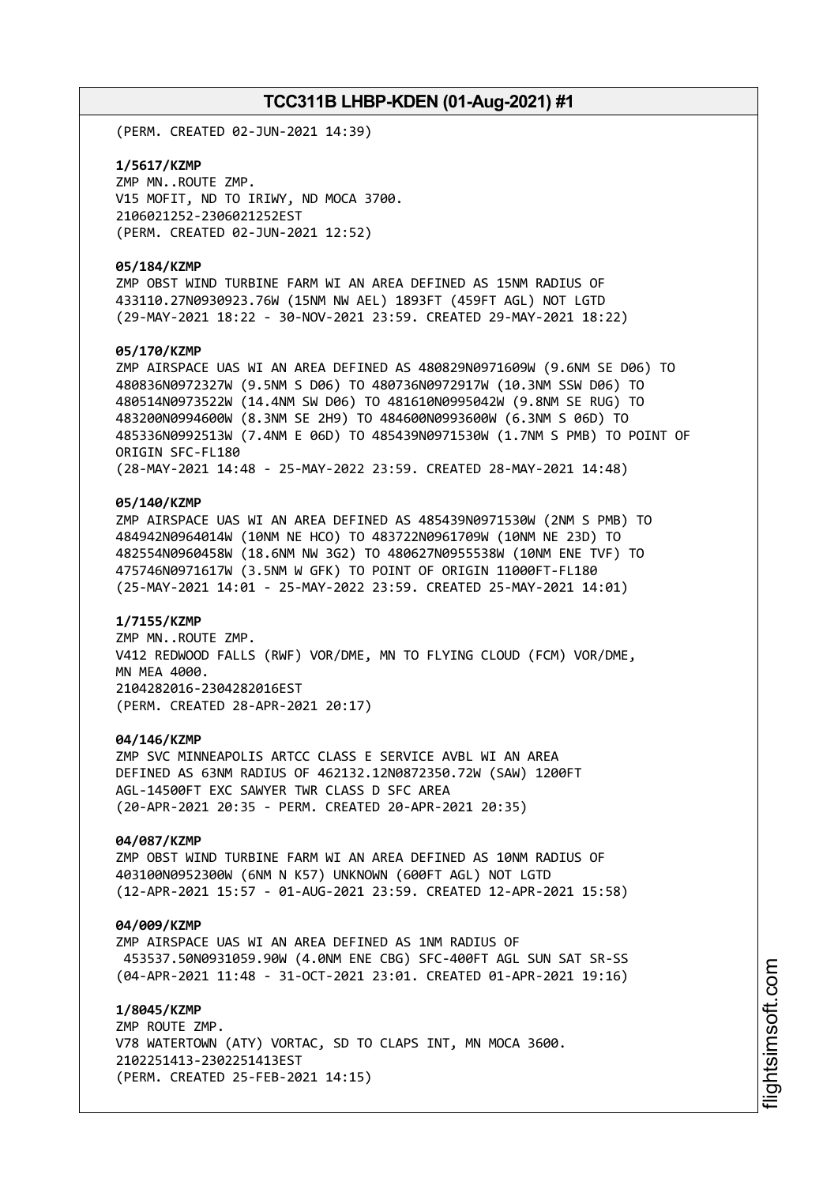(PERM. CREATED 02-JUN-2021 14:39)

**1/5617/KZMP** ZMP MN..ROUTE ZMP. V15 MOFIT, ND TO IRIWY, ND MOCA 3700. 2106021252-2306021252EST (PERM. CREATED 02-JUN-2021 12:52)

### **05/184/KZMP**

ZMP OBST WIND TURBINE FARM WI AN AREA DEFINED AS 15NM RADIUS OF 433110.27N0930923.76W (15NM NW AEL) 1893FT (459FT AGL) NOT LGTD (29-MAY-2021 18:22 - 30-NOV-2021 23:59. CREATED 29-MAY-2021 18:22)

### **05/170/KZMP**

ZMP AIRSPACE UAS WI AN AREA DEFINED AS 480829N0971609W (9.6NM SE D06) TO 480836N0972327W (9.5NM S D06) TO 480736N0972917W (10.3NM SSW D06) TO 480514N0973522W (14.4NM SW D06) TO 481610N0995042W (9.8NM SE RUG) TO 483200N0994600W (8.3NM SE 2H9) TO 484600N0993600W (6.3NM S 06D) TO 485336N0992513W (7.4NM E 06D) TO 485439N0971530W (1.7NM S PMB) TO POINT OF ORIGIN SFC-FL180 (28-MAY-2021 14:48 - 25-MAY-2022 23:59. CREATED 28-MAY-2021 14:48)

### **05/140/KZMP**

ZMP AIRSPACE UAS WI AN AREA DEFINED AS 485439N0971530W (2NM S PMB) TO 484942N0964014W (10NM NE HCO) TO 483722N0961709W (10NM NE 23D) TO 482554N0960458W (18.6NM NW 3G2) TO 480627N0955538W (10NM ENE TVF) TO 475746N0971617W (3.5NM W GFK) TO POINT OF ORIGIN 11000FT-FL180 (25-MAY-2021 14:01 - 25-MAY-2022 23:59. CREATED 25-MAY-2021 14:01)

### **1/7155/KZMP**

ZMP MN..ROUTE ZMP. V412 REDWOOD FALLS (RWF) VOR/DME, MN TO FLYING CLOUD (FCM) VOR/DME, MN MEA 4000. 2104282016-2304282016EST (PERM. CREATED 28-APR-2021 20:17)

### **04/146/KZMP**

ZMP SVC MINNEAPOLIS ARTCC CLASS E SERVICE AVBL WI AN AREA DEFINED AS 63NM RADIUS OF 462132.12N0872350.72W (SAW) 1200FT AGL-14500FT EXC SAWYER TWR CLASS D SFC AREA (20-APR-2021 20:35 - PERM. CREATED 20-APR-2021 20:35)

### **04/087/KZMP**

ZMP OBST WIND TURBINE FARM WI AN AREA DEFINED AS 10NM RADIUS OF 403100N0952300W (6NM N K57) UNKNOWN (600FT AGL) NOT LGTD (12-APR-2021 15:57 - 01-AUG-2021 23:59. CREATED 12-APR-2021 15:58)

### **04/009/KZMP**

ZMP AIRSPACE UAS WI AN AREA DEFINED AS 1NM RADIUS OF 453537.50N0931059.90W (4.0NM ENE CBG) SFC-400FT AGL SUN SAT SR-SS (04-APR-2021 11:48 - 31-OCT-2021 23:01. CREATED 01-APR-2021 19:16)

**1/8045/KZMP** ZMP ROUTE ZMP. V78 WATERTOWN (ATY) VORTAC, SD TO CLAPS INT, MN MOCA 3600. 2102251413-2302251413EST (PERM. CREATED 25-FEB-2021 14:15)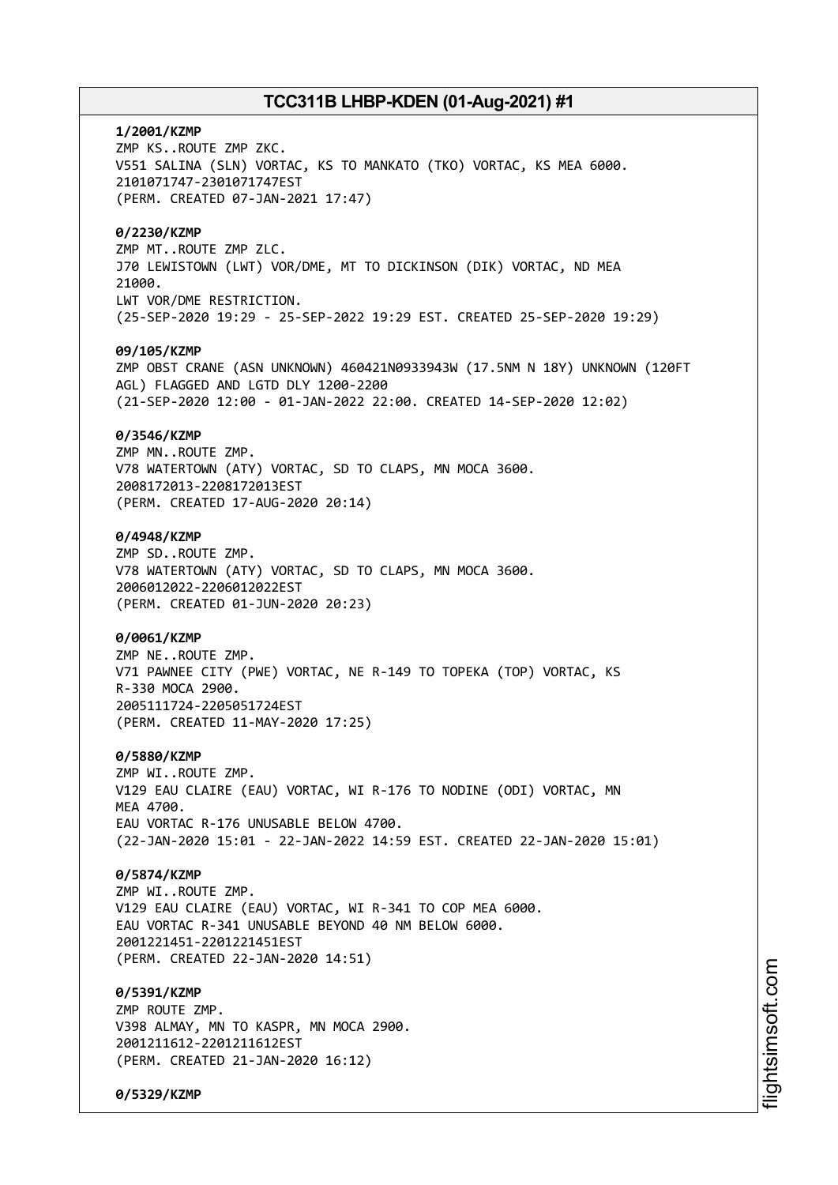**1/2001/KZMP** ZMP KS..ROUTE ZMP ZKC. V551 SALINA (SLN) VORTAC, KS TO MANKATO (TKO) VORTAC, KS MEA 6000. 2101071747-2301071747EST (PERM. CREATED 07-JAN-2021 17:47) **0/2230/KZMP** ZMP MT..ROUTE ZMP ZLC. J70 LEWISTOWN (LWT) VOR/DME, MT TO DICKINSON (DIK) VORTAC, ND MEA 21000. LWT VOR/DME RESTRICTION. (25-SEP-2020 19:29 - 25-SEP-2022 19:29 EST. CREATED 25-SEP-2020 19:29) **09/105/KZMP** ZMP OBST CRANE (ASN UNKNOWN) 460421N0933943W (17.5NM N 18Y) UNKNOWN (120FT AGL) FLAGGED AND LGTD DLY 1200-2200 (21-SEP-2020 12:00 - 01-JAN-2022 22:00. CREATED 14-SEP-2020 12:02) **0/3546/KZMP** ZMP MN..ROUTE ZMP. V78 WATERTOWN (ATY) VORTAC, SD TO CLAPS, MN MOCA 3600. 2008172013-2208172013EST (PERM. CREATED 17-AUG-2020 20:14) **0/4948/KZMP** ZMP SD..ROUTE ZMP. V78 WATERTOWN (ATY) VORTAC, SD TO CLAPS, MN MOCA 3600. 2006012022-2206012022EST (PERM. CREATED 01-JUN-2020 20:23) **0/0061/KZMP** ZMP NE..ROUTE ZMP. V71 PAWNEE CITY (PWE) VORTAC, NE R-149 TO TOPEKA (TOP) VORTAC, KS R-330 MOCA 2900. 2005111724-2205051724EST (PERM. CREATED 11-MAY-2020 17:25) **0/5880/KZMP** ZMP WI..ROUTE ZMP. V129 EAU CLAIRE (EAU) VORTAC, WI R-176 TO NODINE (ODI) VORTAC, MN **MFA 4700** EAU VORTAC R-176 UNUSABLE BELOW 4700. (22-JAN-2020 15:01 - 22-JAN-2022 14:59 EST. CREATED 22-JAN-2020 15:01) **0/5874/KZMP** ZMP WI..ROUTE ZMP. V129 EAU CLAIRE (EAU) VORTAC, WI R-341 TO COP MEA 6000. EAU VORTAC R-341 UNUSABLE BEYOND 40 NM BELOW 6000. 2001221451-2201221451EST (PERM. CREATED 22-JAN-2020 14:51) **0/5391/KZMP** ZMP ROUTE ZMP. V398 ALMAY, MN TO KASPR, MN MOCA 2900. 2001211612-2201211612EST (PERM. CREATED 21-JAN-2020 16:12)

**0/5329/KZMP**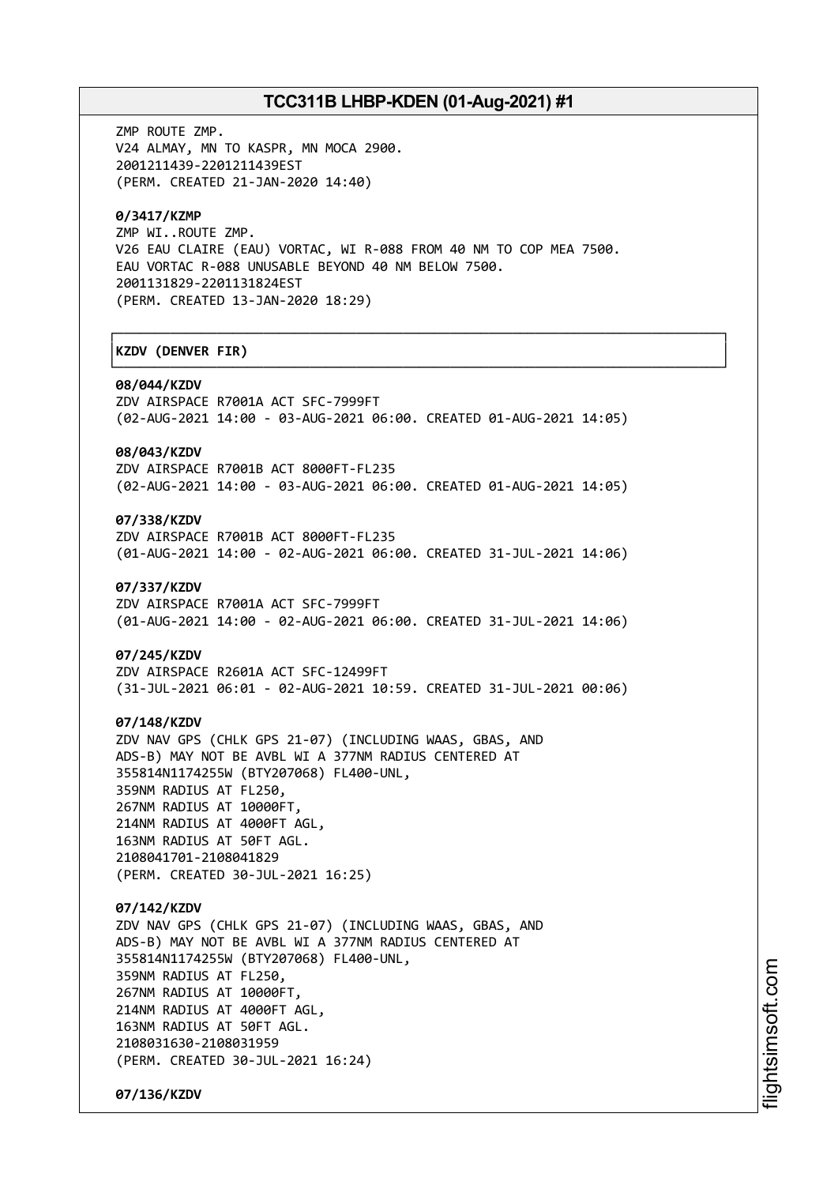┌──────────────────────────────────────────────────────────────────────────────┐

└──────────────────────────────────────────────────────────────────────────────┘

ZMP ROUTE ZMP. V24 ALMAY, MN TO KASPR, MN MOCA 2900. 2001211439-2201211439EST (PERM. CREATED 21-JAN-2020 14:40)

## **0/3417/KZMP**

ZMP WI..ROUTE ZMP. V26 EAU CLAIRE (EAU) VORTAC, WI R-088 FROM 40 NM TO COP MEA 7500. EAU VORTAC R-088 UNUSABLE BEYOND 40 NM BELOW 7500. 2001131829-2201131824EST (PERM. CREATED 13-JAN-2020 18:29)

## │**KZDV (DENVER FIR)** │

#### **08/044/KZDV**

ZDV AIRSPACE R7001A ACT SFC-7999FT (02-AUG-2021 14:00 - 03-AUG-2021 06:00. CREATED 01-AUG-2021 14:05)

## **08/043/KZDV**

ZDV AIRSPACE R7001B ACT 8000FT-FL235 (02-AUG-2021 14:00 - 03-AUG-2021 06:00. CREATED 01-AUG-2021 14:05)

## **07/338/KZDV**

ZDV AIRSPACE R7001B ACT 8000FT-FL235 (01-AUG-2021 14:00 - 02-AUG-2021 06:00. CREATED 31-JUL-2021 14:06)

#### **07/337/KZDV**

ZDV AIRSPACE R7001A ACT SFC-7999FT (01-AUG-2021 14:00 - 02-AUG-2021 06:00. CREATED 31-JUL-2021 14:06)

### **07/245/KZDV**

ZDV AIRSPACE R2601A ACT SFC-12499FT (31-JUL-2021 06:01 - 02-AUG-2021 10:59. CREATED 31-JUL-2021 00:06)

### **07/148/KZDV**

ZDV NAV GPS (CHLK GPS 21-07) (INCLUDING WAAS, GBAS, AND ADS-B) MAY NOT BE AVBL WI A 377NM RADIUS CENTERED AT 355814N1174255W (BTY207068) FL400-UNL, 359NM RADIUS AT FL250, 267NM RADIUS AT 10000FT, 214NM RADIUS AT 4000FT AGL, 163NM RADIUS AT 50FT AGL. 2108041701-2108041829

(PERM. CREATED 30-JUL-2021 16:25)

# **07/142/KZDV**

ZDV NAV GPS (CHLK GPS 21-07) (INCLUDING WAAS, GBAS, AND ADS-B) MAY NOT BE AVBL WI A 377NM RADIUS CENTERED AT 355814N1174255W (BTY207068) FL400-UNL, 359NM RADIUS AT FL250, 267NM RADIUS AT 10000FT, 214NM RADIUS AT 4000FT AGL, 163NM RADIUS AT 50FT AGL. 2108031630-2108031959 (PERM. CREATED 30-JUL-2021 16:24)

**07/136/KZDV**

i⊒<br>⊫ htsim soft.c om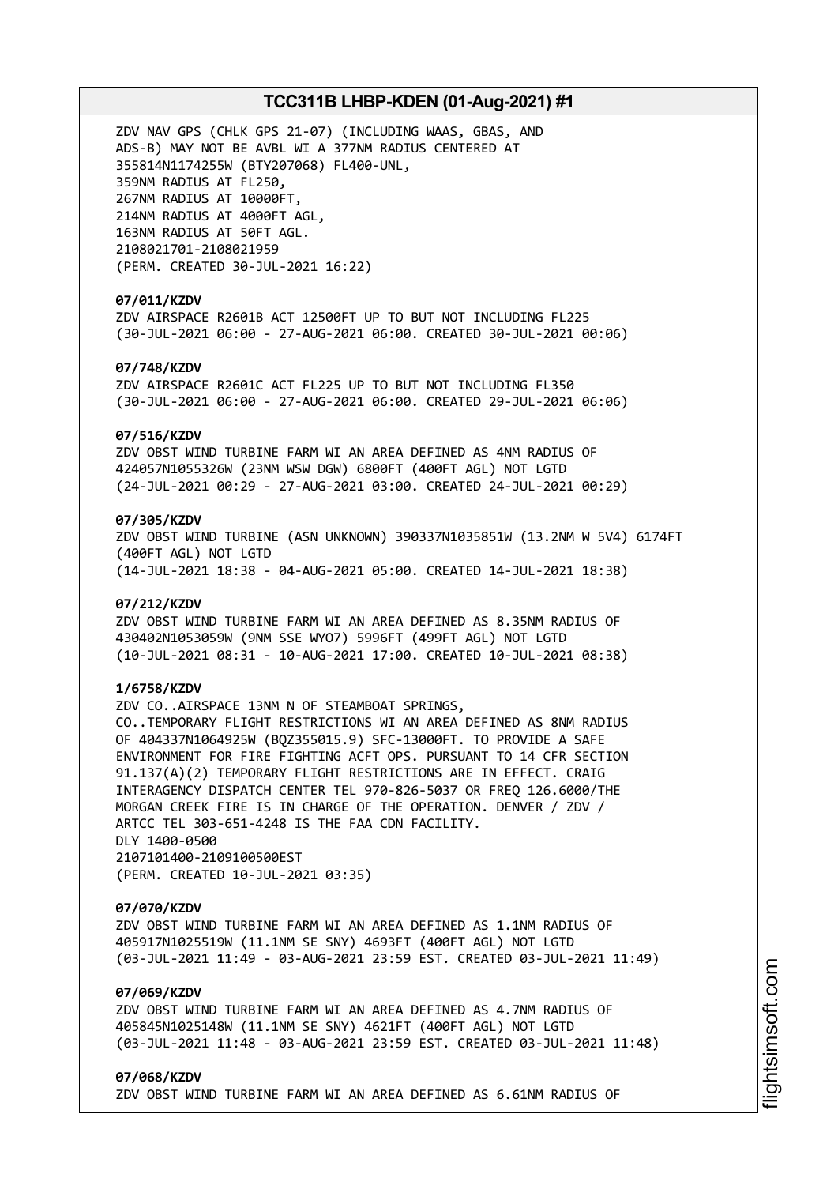ZDV NAV GPS (CHLK GPS 21-07) (INCLUDING WAAS, GBAS, AND ADS-B) MAY NOT BE AVBL WI A 377NM RADIUS CENTERED AT 355814N1174255W (BTY207068) FL400-UNL, 359NM RADIUS AT FL250, 267NM RADIUS AT 10000FT, 214NM RADIUS AT 4000FT AGL, 163NM RADIUS AT 50FT AGL. 2108021701-2108021959 (PERM. CREATED 30-JUL-2021 16:22)

## **07/011/KZDV**

ZDV AIRSPACE R2601B ACT 12500FT UP TO BUT NOT INCLUDING FL225 (30-JUL-2021 06:00 - 27-AUG-2021 06:00. CREATED 30-JUL-2021 00:06)

## **07/748/KZDV**

ZDV AIRSPACE R2601C ACT FL225 UP TO BUT NOT INCLUDING FL350 (30-JUL-2021 06:00 - 27-AUG-2021 06:00. CREATED 29-JUL-2021 06:06)

### **07/516/KZDV**

ZDV OBST WIND TURBINE FARM WI AN AREA DEFINED AS 4NM RADIUS OF 424057N1055326W (23NM WSW DGW) 6800FT (400FT AGL) NOT LGTD (24-JUL-2021 00:29 - 27-AUG-2021 03:00. CREATED 24-JUL-2021 00:29)

## **07/305/KZDV**

ZDV OBST WIND TURBINE (ASN UNKNOWN) 390337N1035851W (13.2NM W 5V4) 6174FT (400FT AGL) NOT LGTD (14-JUL-2021 18:38 - 04-AUG-2021 05:00. CREATED 14-JUL-2021 18:38)

### **07/212/KZDV**

ZDV OBST WIND TURBINE FARM WI AN AREA DEFINED AS 8.35NM RADIUS OF 430402N1053059W (9NM SSE WYO7) 5996FT (499FT AGL) NOT LGTD (10-JUL-2021 08:31 - 10-AUG-2021 17:00. CREATED 10-JUL-2021 08:38)

## **1/6758/KZDV**

ZDV CO..AIRSPACE 13NM N OF STEAMBOAT SPRINGS, CO..TEMPORARY FLIGHT RESTRICTIONS WI AN AREA DEFINED AS 8NM RADIUS OF 404337N1064925W (BQZ355015.9) SFC-13000FT. TO PROVIDE A SAFE ENVIRONMENT FOR FIRE FIGHTING ACFT OPS. PURSUANT TO 14 CFR SECTION 91.137(A)(2) TEMPORARY FLIGHT RESTRICTIONS ARE IN EFFECT. CRAIG INTERAGENCY DISPATCH CENTER TEL 970-826-5037 OR FREQ 126.6000/THE MORGAN CREEK FIRE IS IN CHARGE OF THE OPERATION. DENVER / ZDV / ARTCC TEL 303-651-4248 IS THE FAA CDN FACILITY. DLY 1400-0500 2107101400-2109100500EST (PERM. CREATED 10-JUL-2021 03:35)

#### **07/070/KZDV**

ZDV OBST WIND TURBINE FARM WI AN AREA DEFINED AS 1.1NM RADIUS OF 405917N1025519W (11.1NM SE SNY) 4693FT (400FT AGL) NOT LGTD (03-JUL-2021 11:49 - 03-AUG-2021 23:59 EST. CREATED 03-JUL-2021 11:49)

## **07/069/KZDV**

ZDV OBST WIND TURBINE FARM WI AN AREA DEFINED AS 4.7NM RADIUS OF 405845N1025148W (11.1NM SE SNY) 4621FT (400FT AGL) NOT LGTD (03-JUL-2021 11:48 - 03-AUG-2021 23:59 EST. CREATED 03-JUL-2021 11:48)

### **07/068/KZDV**

ZDV OBST WIND TURBINE FARM WI AN AREA DEFINED AS 6.61NM RADIUS OF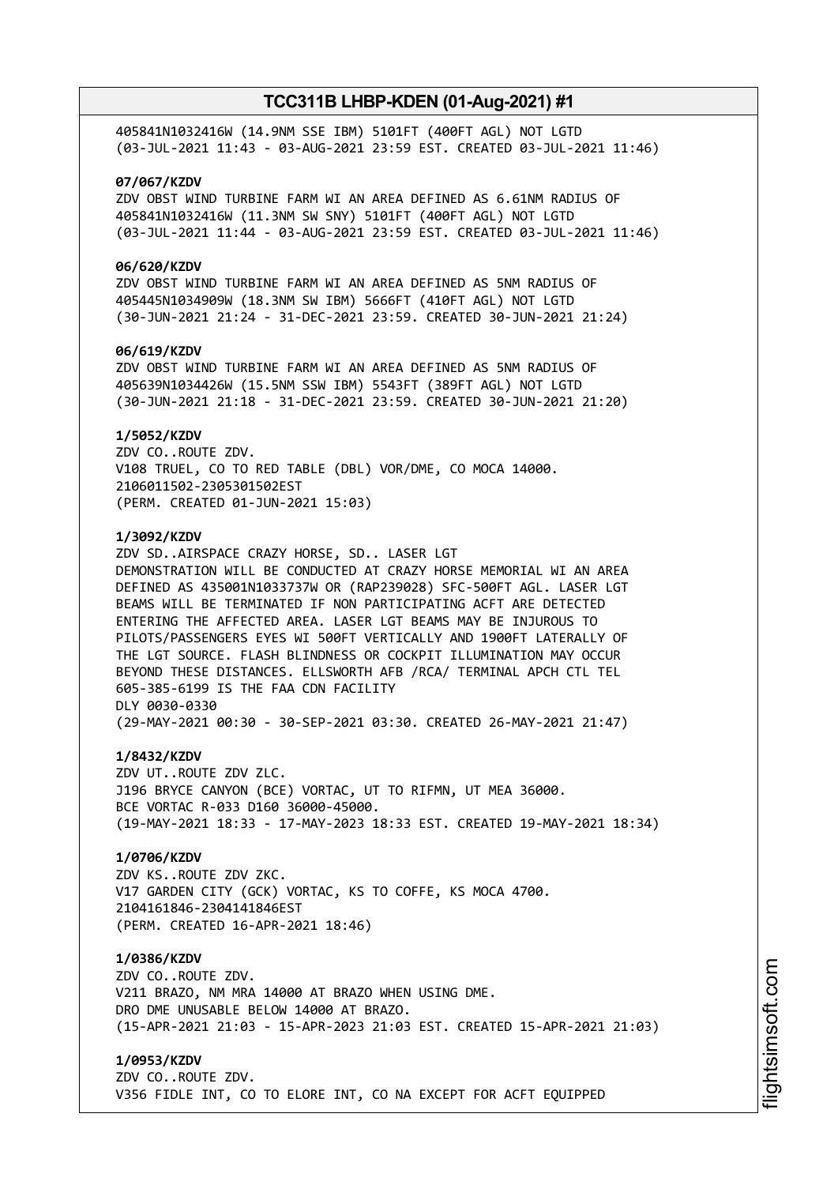405841N1032416W (14.9NM SSE IBM) 5101FT (400FT AGL) NOT LGTD (03-JUL-2021 11:43 - 03-AUG-2021 23:59 EST. CREATED 03-JUL-2021 11:46)

### **07/067/KZDV**

ZDV OBST WIND TURBINE FARM WI AN AREA DEFINED AS 6.61NM RADIUS OF 405841N1032416W (11.3NM SW SNY) 5101FT (400FT AGL) NOT LGTD (03-JUL-2021 11:44 - 03-AUG-2021 23:59 EST. CREATED 03-JUL-2021 11:46)

## **06/620/KZDV**

ZDV OBST WIND TURBINE FARM WI AN AREA DEFINED AS 5NM RADIUS OF 405445N1034909W (18.3NM SW IBM) 5666FT (410FT AGL) NOT LGTD (30-JUN-2021 21:24 - 31-DEC-2021 23:59. CREATED 30-JUN-2021 21:24)

### **06/619/KZDV**

ZDV OBST WIND TURBINE FARM WI AN AREA DEFINED AS 5NM RADIUS OF 405639N1034426W (15.5NM SSW IBM) 5543FT (389FT AGL) NOT LGTD (30-JUN-2021 21:18 - 31-DEC-2021 23:59. CREATED 30-JUN-2021 21:20)

### **1/5052/KZDV**

ZDV CO..ROUTE ZDV. V108 TRUEL, CO TO RED TABLE (DBL) VOR/DME, CO MOCA 14000. 2106011502-2305301502EST (PERM. CREATED 01-JUN-2021 15:03)

### **1/3092/KZDV**

ZDV SD..AIRSPACE CRAZY HORSE, SD.. LASER LGT DEMONSTRATION WILL BE CONDUCTED AT CRAZY HORSE MEMORIAL WI AN AREA DEFINED AS 435001N1033737W OR (RAP239028) SFC-500FT AGL. LASER LGT BEAMS WILL BE TERMINATED IF NON PARTICIPATING ACFT ARE DETECTED ENTERING THE AFFECTED AREA. LASER LGT BEAMS MAY BE INJUROUS TO PILOTS/PASSENGERS EYES WI 500FT VERTICALLY AND 1900FT LATERALLY OF THE LGT SOURCE. FLASH BLINDNESS OR COCKPIT ILLUMINATION MAY OCCUR BEYOND THESE DISTANCES. ELLSWORTH AFB /RCA/ TERMINAL APCH CTL TEL 605-385-6199 IS THE FAA CDN FACILITY DLY 0030-0330 (29-MAY-2021 00:30 - 30-SEP-2021 03:30. CREATED 26-MAY-2021 21:47)

## **1/8432/KZDV**

ZDV UT..ROUTE ZDV ZLC. J196 BRYCE CANYON (BCE) VORTAC, UT TO RIFMN, UT MEA 36000. BCE VORTAC R-033 D160 36000-45000. (19-MAY-2021 18:33 - 17-MAY-2023 18:33 EST. CREATED 19-MAY-2021 18:34)

## **1/0706/KZDV**

ZDV KS..ROUTE ZDV ZKC. V17 GARDEN CITY (GCK) VORTAC, KS TO COFFE, KS MOCA 4700. 2104161846-2304141846EST (PERM. CREATED 16-APR-2021 18:46)

## **1/0386/KZDV**

ZDV CO..ROUTE ZDV. V211 BRAZO, NM MRA 14000 AT BRAZO WHEN USING DME. DRO DME UNUSABLE BELOW 14000 AT BRAZO. (15-APR-2021 21:03 - 15-APR-2023 21:03 EST. CREATED 15-APR-2021 21:03)

# **1/0953/KZDV**

ZDV CO..ROUTE ZDV. V356 FIDLE INT, CO TO ELORE INT, CO NA EXCEPT FOR ACFT EQUIPPED